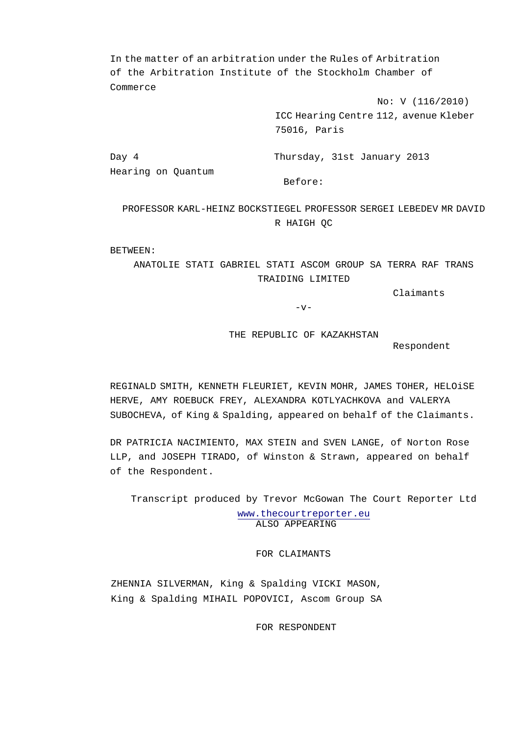In the matter of an arbitration under the Rules of Arbitration of the Arbitration Institute of the Stockholm Chamber of Commerce

No: V (116/2010)

ICC Hearing Centre 112, avenue Kleber 75016, Paris

Day 4 Thursday, 31st January 2013 Hearing on Quantum

Before:

# PROFESSOR KARL-HEINZ BOCKSTIEGEL PROFESSOR SERGEI LEBEDEV MR DAVID R HAIGH QC

BETWEEN:

ANATOLIE STATI GABRIEL STATI ASCOM GROUP SA TERRA RAF TRANS TRAIDING LIMITED

Claimants

 $-v-$ 

THE REPUBLIC OF KAZAKHSTAN

Respondent

REGINALD SMITH, KENNETH FLEURIET, KEVIN MOHR, JAMES TOHER, HELOiSE HERVE, AMY ROEBUCK FREY, ALEXANDRA KOTLYACHKOVA and VALERYA SUBOCHEVA, of King & Spalding, appeared on behalf of the Claimants.

DR PATRICIA NACIMIENTO, MAX STEIN and SVEN LANGE, of Norton Rose LLP, and JOSEPH TIRADO, of Winston & Strawn, appeared on behalf of the Respondent.

Transcript produced by Trevor McGowan The Court Reporter Ltd

www.thecourtreporter.eu ALSO APPEARING

FOR CLAIMANTS

ZHENNIA SILVERMAN, King & Spalding VICKI MASON, King & Spalding MIHAIL POPOVICI, Ascom Group SA

FOR RESPONDENT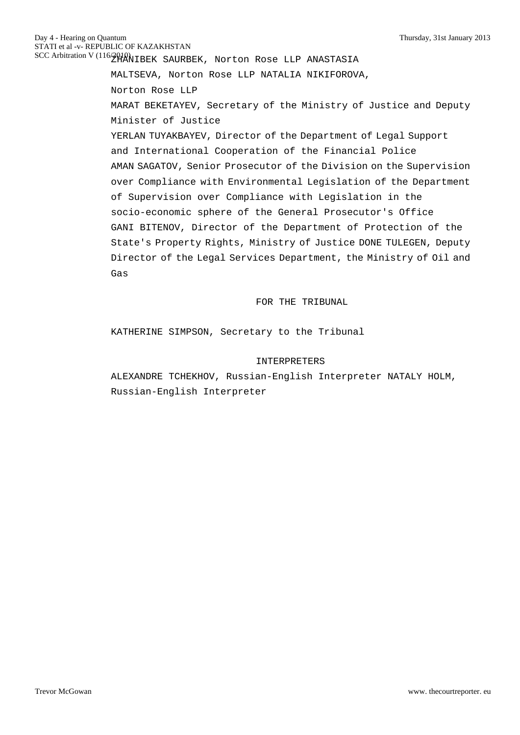SCC Arbitration V (116/2010) ZHANIBEK SAURBEK, Norton Rose LLP ANASTASIA

MALTSEVA, Norton Rose LLP NATALIA NIKIFOROVA,

Norton Rose LLP

MARAT BEKETAYEV, Secretary of the Ministry of Justice and Deputy Minister of Justice

YERLAN TUYAKBAYEV, Director of the Department of Legal Support and International Cooperation of the Financial Police AMAN SAGATOV, Senior Prosecutor of the Division on the Supervision over Compliance with Environmental Legislation of the Department of Supervision over Compliance with Legislation in the socio-economic sphere of the General Prosecutor's Office GANI BITENOV, Director of the Department of Protection of the State's Property Rights, Ministry of Justice DONE TULEGEN, Deputy Director of the Legal Services Department, the Ministry of Oil and Gas

## FOR THE TRIBUNAL

KATHERINE SIMPSON, Secretary to the Tribunal

#### INTERPRETERS

ALEXANDRE TCHEKHOV, Russian-English Interpreter NATALY HOLM, Russian-English Interpreter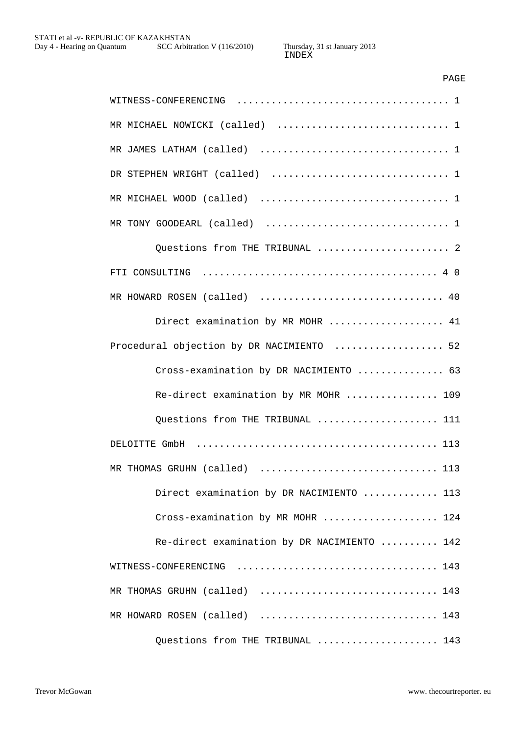### PAGE

| WITNESS-CONFERENCING                                                                                        |
|-------------------------------------------------------------------------------------------------------------|
| MR MICHAEL NOWICKI (called)  1                                                                              |
| MR JAMES LATHAM (called)  1                                                                                 |
| DR STEPHEN WRIGHT (called)  1                                                                               |
|                                                                                                             |
| MR TONY GOODEARL (called)  1                                                                                |
| Questions from THE TRIBUNAL  2                                                                              |
| FTI CONSULTING $\ldots \ldots \ldots \ldots \ldots \ldots \ldots \ldots \ldots \ldots \ldots \ldots \ldots$ |
| MR HOWARD ROSEN (called)  40                                                                                |
| Direct examination by MR MOHR  41                                                                           |
| Procedural objection by DR NACIMIENTO  52                                                                   |
| Cross-examination by DR NACIMIENTO  63                                                                      |
| Re-direct examination by MR MOHR  109                                                                       |
| Questions from THE TRIBUNAL  111                                                                            |
|                                                                                                             |
| MR THOMAS GRUHN (called)  113                                                                               |
| Direct examination by DR NACIMIENTO  113                                                                    |
| Cross-examination by MR MOHR  124                                                                           |
| Re-direct examination by DR NACIMIENTO  142                                                                 |
| WITNESS-CONFERENCING  143                                                                                   |
| MR THOMAS GRUHN (called)  143                                                                               |
| MR HOWARD ROSEN (called)  143                                                                               |
| Questions from THE TRIBUNAL  143                                                                            |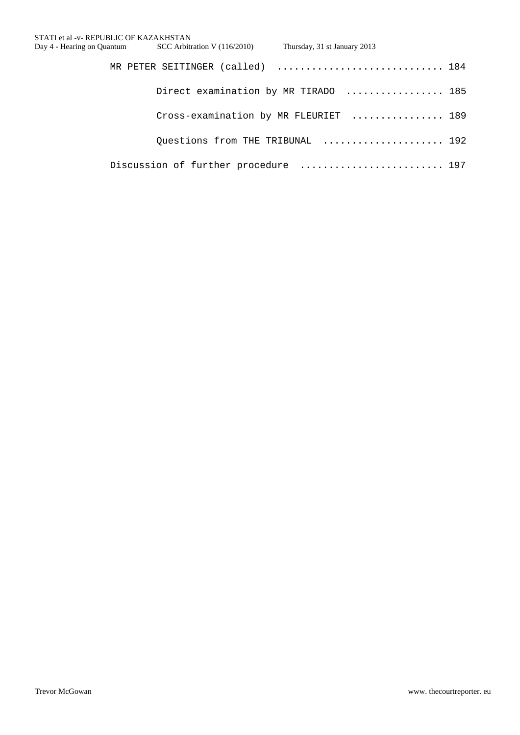| MR PETER SEITINGER (called)  184      |  |
|---------------------------------------|--|
| Direct examination by MR TIRADO  185  |  |
| Cross-examination by MR FLEURIET  189 |  |
| Questions from THE TRIBUNAL  192      |  |
| Discussion of further procedure  197  |  |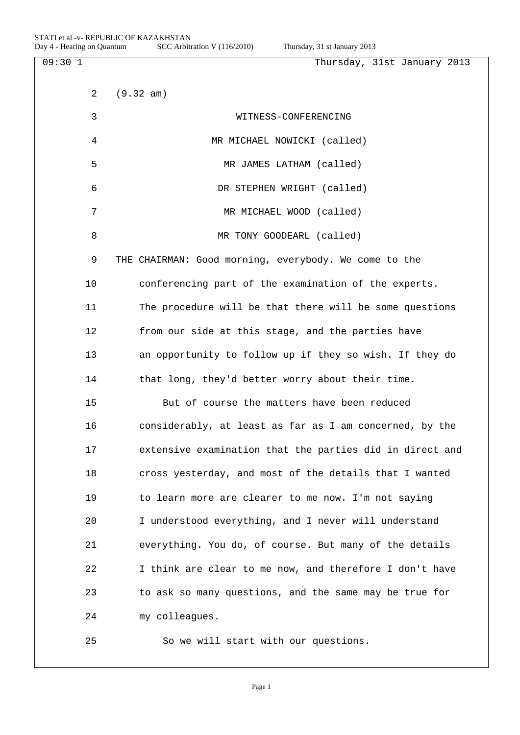09:30 1 Thursday, 31st January 2013 2 (9.32 am) 3 WITNESS-CONFERENCING 4 MR MICHAEL NOWICKI (called) 5 MR JAMES LATHAM (called) 6 DR STEPHEN WRIGHT (called) 7 MR MICHAEL WOOD (called) 8 MR TONY GOODEARL (called) 9 THE CHAIRMAN: Good morning, everybody. We come to the 10 conferencing part of the examination of the experts. 11 The procedure will be that there will be some questions 12 from our side at this stage, and the parties have 13 an opportunity to follow up if they so wish. If they do 14 that long, they'd better worry about their time. 15 But of course the matters have been reduced 16 considerably, at least as far as I am concerned, by the 17 extensive examination that the parties did in direct and 18 cross yesterday, and most of the details that I wanted 19 to learn more are clearer to me now. I'm not saying 20 I understood everything, and I never will understand 21 everything. You do, of course. But many of the details 22 I think are clear to me now, and therefore I don't have 23 to ask so many questions, and the same may be true for 24 my colleagues. 25 So we will start with our questions.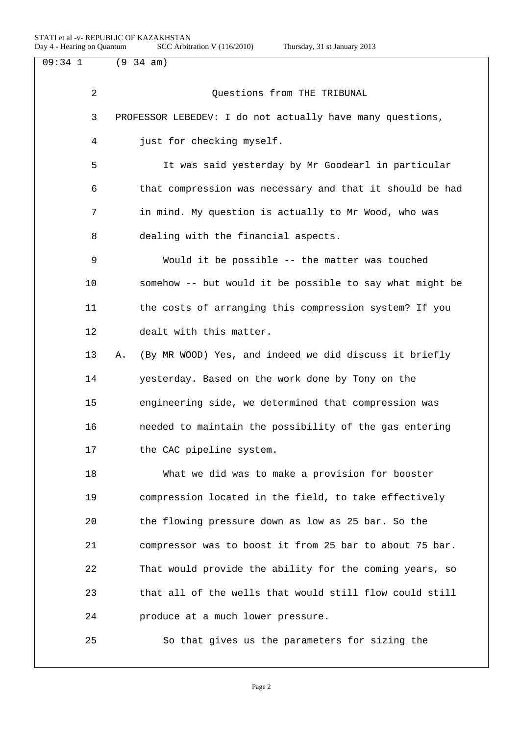| $09:34$ 1      | $(9 \ 34 \ am)$                                              |
|----------------|--------------------------------------------------------------|
| $\overline{a}$ | Questions from THE TRIBUNAL                                  |
| 3              | PROFESSOR LEBEDEV: I do not actually have many questions,    |
| 4              | just for checking myself.                                    |
| 5              | It was said yesterday by Mr Goodearl in particular           |
| 6              | that compression was necessary and that it should be had     |
| 7              | in mind. My question is actually to Mr Wood, who was         |
| 8              | dealing with the financial aspects.                          |
| 9              | Would it be possible -- the matter was touched               |
| 10             | somehow -- but would it be possible to say what might be     |
| 11             | the costs of arranging this compression system? If you       |
| 12             | dealt with this matter.                                      |
| 13             | (By MR WOOD) Yes, and indeed we did discuss it briefly<br>Α. |
| 14             | yesterday. Based on the work done by Tony on the             |
| 15             | engineering side, we determined that compression was         |
| 16             | needed to maintain the possibility of the gas entering       |
| 17             | the CAC pipeline system.                                     |
| 18             | What we did was to make a provision for booster              |
| 19             | compression located in the field, to take effectively        |
| 20             | the flowing pressure down as low as 25 bar. So the           |
| 21             | compressor was to boost it from 25 bar to about 75 bar.      |
| 22             | That would provide the ability for the coming years, so      |
| 23             | that all of the wells that would still flow could still      |
| 24             | produce at a much lower pressure.                            |
| 25             | So that gives us the parameters for sizing the               |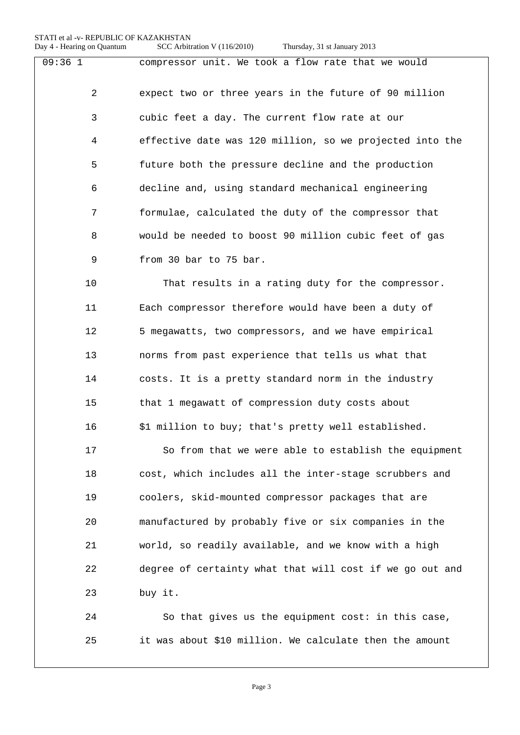# STATI et al -v- REPUBLIC OF KAZAKHSTAN

| Day 4 - Hearing on Quantum | Thursday, 31 st January 2013<br>SCC Arbitration V (116/2010) |
|----------------------------|--------------------------------------------------------------|
| $09:36$ 1                  | compressor unit. We took a flow rate that we would           |
| $\overline{a}$             | expect two or three years in the future of 90 million        |
| 3                          | cubic feet a day. The current flow rate at our               |
| 4                          | effective date was 120 million, so we projected into the     |
| 5                          | future both the pressure decline and the production          |
| 6                          | decline and, using standard mechanical engineering           |
| 7                          | formulae, calculated the duty of the compressor that         |
| 8                          | would be needed to boost 90 million cubic feet of gas        |
| 9                          | from 30 bar to 75 bar.                                       |
| 10                         | That results in a rating duty for the compressor.            |
| 11                         | Each compressor therefore would have been a duty of          |
| 12                         | 5 megawatts, two compressors, and we have empirical          |
| 13                         | norms from past experience that tells us what that           |
| 14                         | costs. It is a pretty standard norm in the industry          |
| 15                         | that 1 megawatt of compression duty costs about              |
| 16                         | \$1 million to buy; that's pretty well established.          |
| 17                         | So from that we were able to establish the equipment         |
| 18                         | cost, which includes all the inter-stage scrubbers and       |
| 19                         | coolers, skid-mounted compressor packages that are           |
| 20                         | manufactured by probably five or six companies in the        |
| 21                         | world, so readily available, and we know with a high         |
| 22                         | degree of certainty what that will cost if we go out and     |
| 23                         | buy it.                                                      |
| 24                         | So that gives us the equipment cost: in this case,           |
| 25                         | it was about \$10 million. We calculate then the amount      |
|                            |                                                              |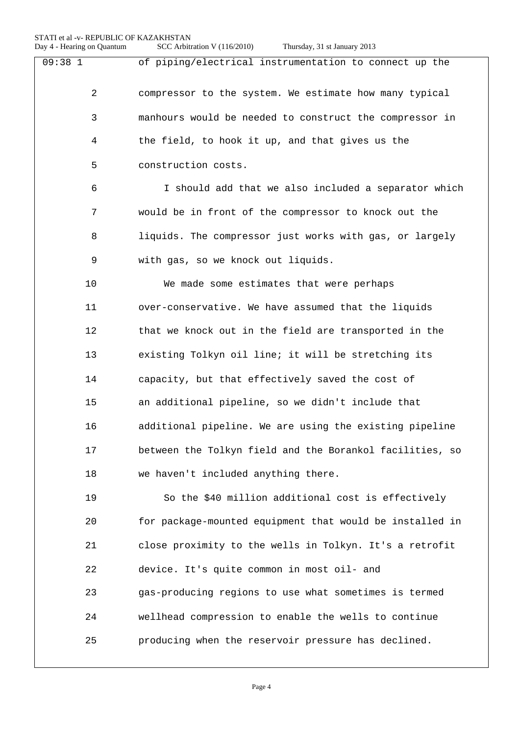| $09:38$ 1 | of piping/electrical instrumentation to connect up the   |
|-----------|----------------------------------------------------------|
| 2         | compressor to the system. We estimate how many typical   |
| 3         | manhours would be needed to construct the compressor in  |
| 4         | the field, to hook it up, and that gives us the          |
| 5         | construction costs.                                      |
| 6         | I should add that we also included a separator which     |
| 7         | would be in front of the compressor to knock out the     |
| 8         | liquids. The compressor just works with gas, or largely  |
| 9         | with gas, so we knock out liquids.                       |
| 10        | We made some estimates that were perhaps                 |
| 11        | over-conservative. We have assumed that the liquids      |
| 12        | that we knock out in the field are transported in the    |
| 13        | existing Tolkyn oil line; it will be stretching its      |
| 14        | capacity, but that effectively saved the cost of         |
| 15        | an additional pipeline, so we didn't include that        |
| 16        | additional pipeline. We are using the existing pipeline  |
| 17        | between the Tolkyn field and the Borankol facilities, so |
| 18        | we haven't included anything there.                      |
| 19        | So the \$40 million additional cost is effectively       |
| 20        | for package-mounted equipment that would be installed in |
| 21        | close proximity to the wells in Tolkyn. It's a retrofit  |
| 22        | device. It's quite common in most oil- and               |
| 23        | gas-producing regions to use what sometimes is termed    |
| 24        | wellhead compression to enable the wells to continue     |
| 25        | producing when the reservoir pressure has declined.      |
|           |                                                          |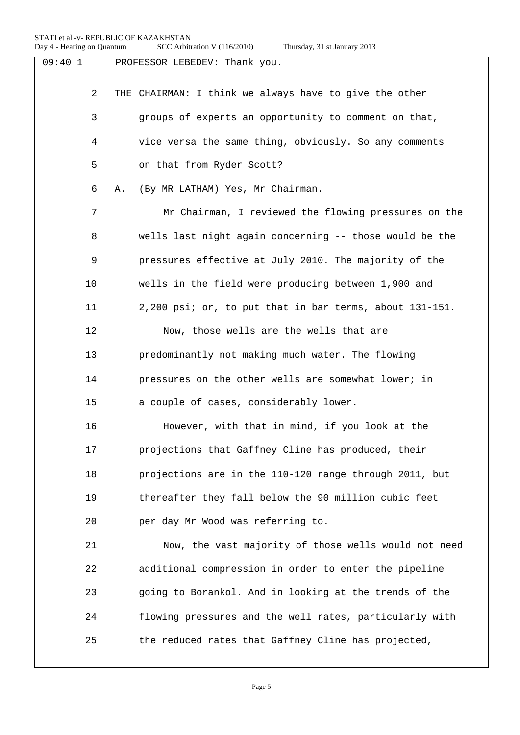| 09:401         | PROFESSOR LEBEDEV: Thank you.                           |
|----------------|---------------------------------------------------------|
| $\overline{2}$ | THE CHAIRMAN: I think we always have to give the other  |
| 3              | groups of experts an opportunity to comment on that,    |
| 4              | vice versa the same thing, obviously. So any comments   |
| 5              | on that from Ryder Scott?                               |
| 6              | (By MR LATHAM) Yes, Mr Chairman.<br>Α.                  |
| 7              | Mr Chairman, I reviewed the flowing pressures on the    |
| 8              | wells last night again concerning -- those would be the |
| 9              | pressures effective at July 2010. The majority of the   |
| 10             | wells in the field were producing between 1,900 and     |
| 11             | 2,200 psi; or, to put that in bar terms, about 131-151. |
| 12             | Now, those wells are the wells that are                 |
| 13             | predominantly not making much water. The flowing        |
| 14             | pressures on the other wells are somewhat lower; in     |
| 15             | a couple of cases, considerably lower.                  |
| 16             | However, with that in mind, if you look at the          |
| 17             | projections that Gaffney Cline has produced, their      |
| 18             | projections are in the 110-120 range through 2011, but  |
| 19             | thereafter they fall below the 90 million cubic feet    |
| 20             | per day Mr Wood was referring to.                       |
| 21             | Now, the vast majority of those wells would not need    |
| 22             | additional compression in order to enter the pipeline   |
| 23             | going to Borankol. And in looking at the trends of the  |
| 24             | flowing pressures and the well rates, particularly with |
| 25             | the reduced rates that Gaffney Cline has projected,     |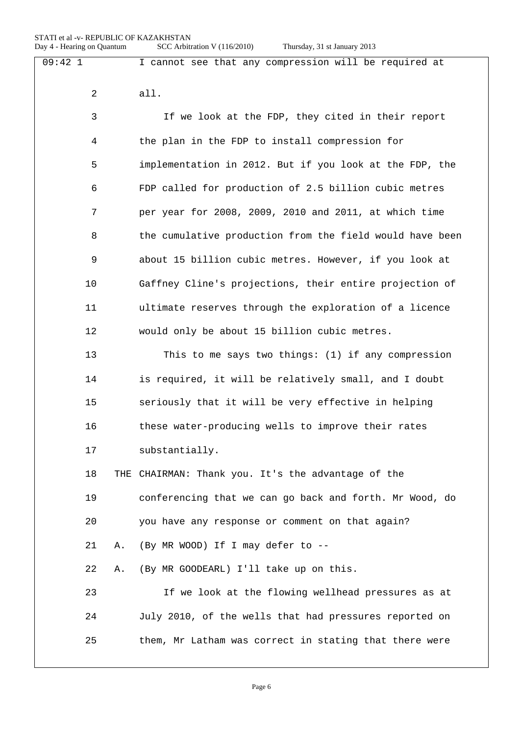| 09:421      |    | I cannot see that any compression will be required at    |
|-------------|----|----------------------------------------------------------|
| 2           |    | all.                                                     |
| 3           |    | If we look at the FDP, they cited in their report        |
| 4           |    | the plan in the FDP to install compression for           |
| 5           |    | implementation in 2012. But if you look at the FDP, the  |
| 6           |    | FDP called for production of 2.5 billion cubic metres    |
| 7           |    | per year for 2008, 2009, 2010 and 2011, at which time    |
| 8           |    | the cumulative production from the field would have been |
| $\mathsf 9$ |    | about 15 billion cubic metres. However, if you look at   |
| 10          |    | Gaffney Cline's projections, their entire projection of  |
| 11          |    | ultimate reserves through the exploration of a licence   |
| 12          |    | would only be about 15 billion cubic metres.             |
| 13          |    | This to me says two things: $(1)$ if any compression     |
| 14          |    | is required, it will be relatively small, and I doubt    |
| 15          |    | seriously that it will be very effective in helping      |
| 16          |    | these water-producing wells to improve their rates       |
| 17          |    | substantially.                                           |
| 18          |    | THE CHAIRMAN: Thank you. It's the advantage of the       |
| 19          |    | conferencing that we can go back and forth. Mr Wood, do  |
| 20          |    | you have any response or comment on that again?          |
| 21          | Α. | (By MR WOOD) If I may defer to --                        |
| 22          | Α. | (By MR GOODEARL) I'll take up on this.                   |
| 23          |    | If we look at the flowing wellhead pressures as at       |
| 24          |    | July 2010, of the wells that had pressures reported on   |
| 25          |    | them, Mr Latham was correct in stating that there were   |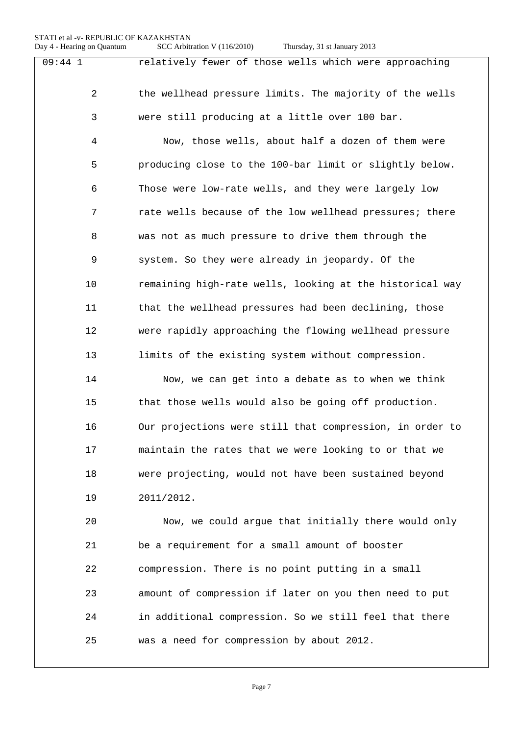#### STATI et al -v- REPUBLIC OF KAZAKHSTAN<br>Dav 4 - Hearing on Ouantum SCC Arbitr  $SCC$  Arbitration V (116/2010)

|  |  | Thursday, 31 st January 2013 |  |
|--|--|------------------------------|--|
|--|--|------------------------------|--|

| $a_{y}$ + 110 and $a_{y}$ on $a_{y}$ and $a_{y}$ | $\text{C} \subset \text{L}$ . The relation $\mathcal{L}$ (110/2010)<br>$\lceil$ ratio $\lceil$ ratio $\lceil$ ratio $\lceil$ ratio $\lceil$ ratio $\lceil$ |
|--------------------------------------------------|------------------------------------------------------------------------------------------------------------------------------------------------------------|
| $09:44$ 1                                        | relatively fewer of those wells which were approaching                                                                                                     |
| 2                                                | the wellhead pressure limits. The majority of the wells                                                                                                    |
| 3                                                | were still producing at a little over 100 bar.                                                                                                             |
| 4                                                | Now, those wells, about half a dozen of them were                                                                                                          |
| 5                                                | producing close to the 100-bar limit or slightly below.                                                                                                    |
| 6                                                | Those were low-rate wells, and they were largely low                                                                                                       |
| 7                                                | rate wells because of the low wellhead pressures; there                                                                                                    |
| 8                                                | was not as much pressure to drive them through the                                                                                                         |
| 9                                                | system. So they were already in jeopardy. Of the                                                                                                           |
| 10                                               | remaining high-rate wells, looking at the historical way                                                                                                   |
| 11                                               | that the wellhead pressures had been declining, those                                                                                                      |
| 12                                               | were rapidly approaching the flowing wellhead pressure                                                                                                     |
| 13                                               | limits of the existing system without compression.                                                                                                         |
| 14                                               | Now, we can get into a debate as to when we think                                                                                                          |
| 15                                               | that those wells would also be going off production.                                                                                                       |
| 16                                               | Our projections were still that compression, in order to                                                                                                   |
| 17                                               | maintain the rates that we were looking to or that we                                                                                                      |
| 18                                               | were projecting, would not have been sustained beyond                                                                                                      |
| 19                                               | 2011/2012.                                                                                                                                                 |
| 20                                               | Now, we could argue that initially there would only                                                                                                        |
| 21                                               | be a requirement for a small amount of booster                                                                                                             |
| 22                                               | compression. There is no point putting in a small                                                                                                          |
| 23                                               | amount of compression if later on you then need to put                                                                                                     |
| 24                                               | in additional compression. So we still feel that there                                                                                                     |
| 25                                               | was a need for compression by about 2012.                                                                                                                  |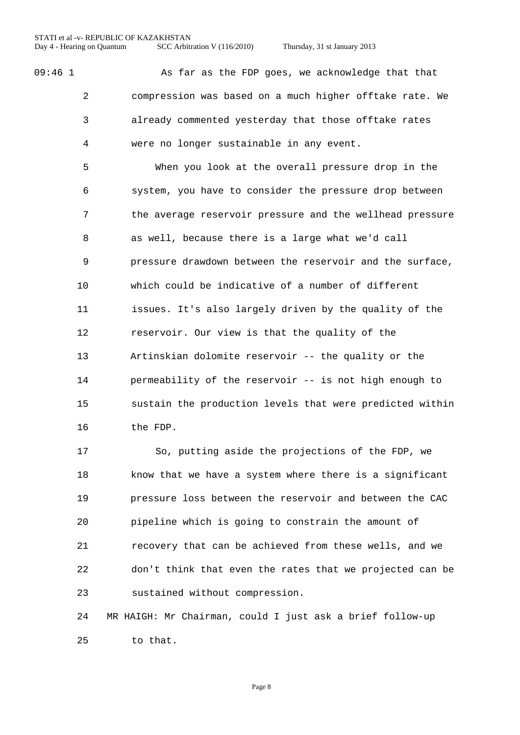09:46 1 As far as the FDP goes, we acknowledge that that compression was based on a much higher offtake rate. We already commented yesterday that those offtake rates were no longer sustainable in any event.

> When you look at the overall pressure drop in the system, you have to consider the pressure drop between the average reservoir pressure and the wellhead pressure as well, because there is a large what we'd call pressure drawdown between the reservoir and the surface, which could be indicative of a number of different issues. It's also largely driven by the quality of the reservoir. Our view is that the quality of the Artinskian dolomite reservoir -- the quality or the permeability of the reservoir -- is not high enough to sustain the production levels that were predicted within the FDP.

> So, putting aside the projections of the FDP, we know that we have a system where there is a significant pressure loss between the reservoir and between the CAC pipeline which is going to constrain the amount of recovery that can be achieved from these wells, and we don't think that even the rates that we projected can be sustained without compression.

 MR HAIGH: Mr Chairman, could I just ask a brief follow-up to that.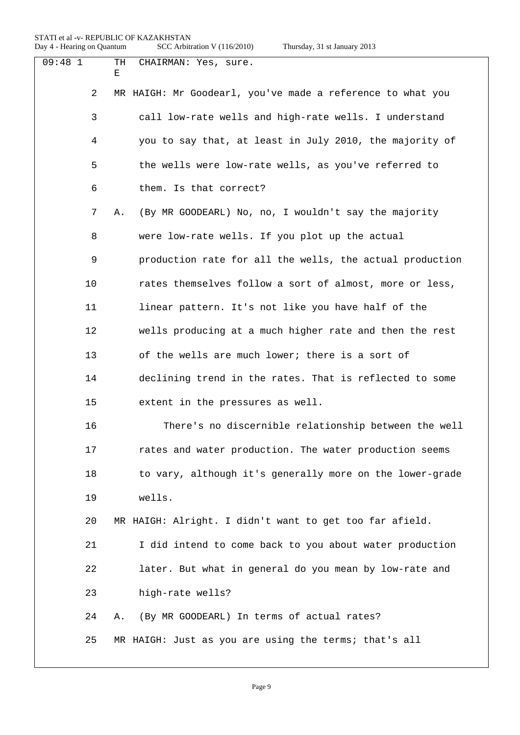| $09:48$ 1 |                | TH<br>Ε | CHAIRMAN: Yes, sure.                                       |
|-----------|----------------|---------|------------------------------------------------------------|
|           | $\overline{2}$ |         | MR HAIGH: Mr Goodearl, you've made a reference to what you |
|           | 3              |         | call low-rate wells and high-rate wells. I understand      |
|           | 4              |         | you to say that, at least in July 2010, the majority of    |
|           | 5              |         | the wells were low-rate wells, as you've referred to       |
|           | 6              |         | them. Is that correct?                                     |
|           | 7              | Α.      | (By MR GOODEARL) No, no, I wouldn't say the majority       |
|           | 8              |         | were low-rate wells. If you plot up the actual             |
|           | 9              |         | production rate for all the wells, the actual production   |
|           | 10             |         | rates themselves follow a sort of almost, more or less,    |
|           | 11             |         | linear pattern. It's not like you have half of the         |
|           | 12             |         | wells producing at a much higher rate and then the rest    |
|           | 13             |         | of the wells are much lower; there is a sort of            |
|           | 14             |         | declining trend in the rates. That is reflected to some    |
|           | 15             |         | extent in the pressures as well.                           |
|           | 16             |         | There's no discernible relationship between the well       |
|           | 17             |         | rates and water production. The water production seems     |
|           | 18             |         | to vary, although it's generally more on the lower-grade   |
|           | 19             |         | wells.                                                     |
|           | 20             |         | MR HAIGH: Alright. I didn't want to get too far afield.    |
|           | 21             |         | I did intend to come back to you about water production    |
|           | 22             |         | later. But what in general do you mean by low-rate and     |
|           | 23             |         | high-rate wells?                                           |
|           | 24             | Α.      | (By MR GOODEARL) In terms of actual rates?                 |
|           | 25             |         | MR HAIGH: Just as you are using the terms; that's all      |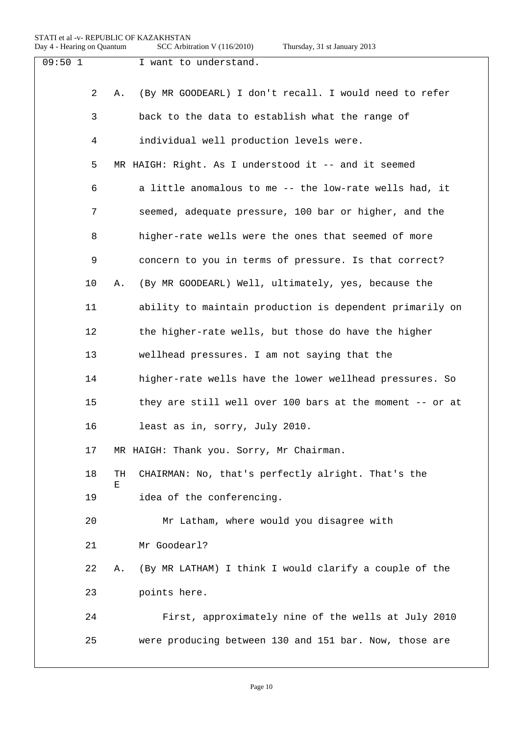| Day 4 - Hearing on Quantum |         | SCC Arbitration V (116/2010)<br>Thursday, 31 st January 2013 |
|----------------------------|---------|--------------------------------------------------------------|
| 09:501                     |         | I want to understand.                                        |
| $\overline{2}$             | Α.      | (By MR GOODEARL) I don't recall. I would need to refer       |
| 3                          |         | back to the data to establish what the range of              |
| 4                          |         | individual well production levels were.                      |
| 5                          |         | MR HAIGH: Right. As I understood it -- and it seemed         |
| 6                          |         | a little anomalous to me -- the low-rate wells had, it       |
| 7                          |         | seemed, adequate pressure, 100 bar or higher, and the        |
| 8                          |         | higher-rate wells were the ones that seemed of more          |
| 9                          |         | concern to you in terms of pressure. Is that correct?        |
| 10                         | Α.      | (By MR GOODEARL) Well, ultimately, yes, because the          |
| 11                         |         | ability to maintain production is dependent primarily on     |
| 12                         |         | the higher-rate wells, but those do have the higher          |
| 13                         |         | wellhead pressures. I am not saying that the                 |
| 14                         |         | higher-rate wells have the lower wellhead pressures. So      |
| 15                         |         | they are still well over 100 bars at the moment -- or at     |
| 16                         |         | least as in, sorry, July 2010.                               |
| 17                         |         | MR HAIGH: Thank you. Sorry, Mr Chairman.                     |
| 18                         | TH<br>Е | CHAIRMAN: No, that's perfectly alright. That's the           |
| 19                         |         | idea of the conferencing.                                    |
| 20                         |         | Mr Latham, where would you disagree with                     |
| 21                         |         | Mr Goodearl?                                                 |
| 22                         | Α.      | (By MR LATHAM) I think I would clarify a couple of the       |
| 23                         |         | points here.                                                 |
| 24                         |         | First, approximately nine of the wells at July 2010          |
| 25                         |         | were producing between 130 and 151 bar. Now, those are       |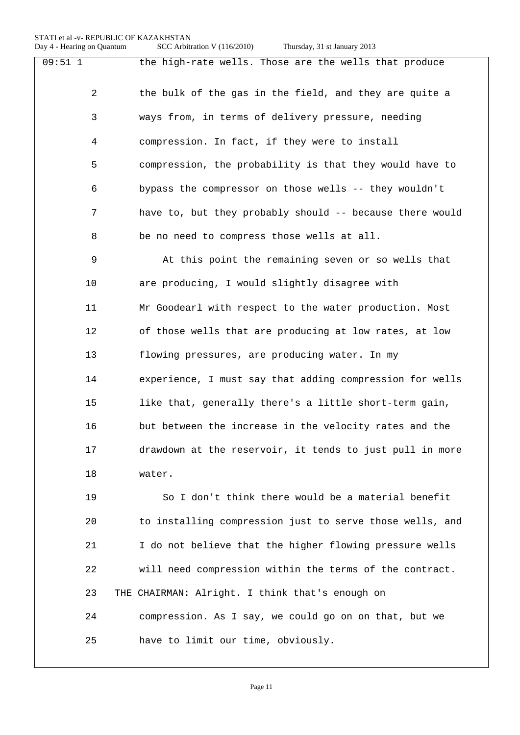| $09:51$ 1      | the high-rate wells. Those are the wells that produce    |
|----------------|----------------------------------------------------------|
| $\overline{a}$ | the bulk of the gas in the field, and they are quite a   |
| 3              | ways from, in terms of delivery pressure, needing        |
| 4              | compression. In fact, if they were to install            |
| 5              | compression, the probability is that they would have to  |
| 6              | bypass the compressor on those wells -- they wouldn't    |
| 7              | have to, but they probably should -- because there would |
| 8              | be no need to compress those wells at all.               |
| 9              | At this point the remaining seven or so wells that       |
| 10             | are producing, I would slightly disagree with            |
| 11             | Mr Goodearl with respect to the water production. Most   |
| 12             | of those wells that are producing at low rates, at low   |
| 13             | flowing pressures, are producing water. In my            |
| 14             | experience, I must say that adding compression for wells |
| 15             | like that, generally there's a little short-term gain,   |
| 16             | but between the increase in the velocity rates and the   |
| 17             | drawdown at the reservoir, it tends to just pull in more |
| 18             | water.                                                   |
| 19             | So I don't think there would be a material benefit       |
| 20             | to installing compression just to serve those wells, and |
| 21             | I do not believe that the higher flowing pressure wells  |
| 22             | will need compression within the terms of the contract.  |
| 23             | THE CHAIRMAN: Alright. I think that's enough on          |
| 24             | compression. As I say, we could go on on that, but we    |
| 25             | have to limit our time, obviously.                       |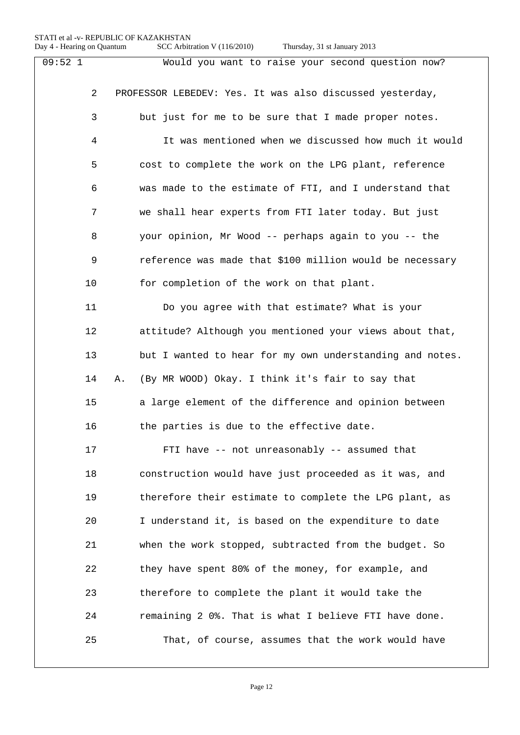| $09:52$ 1      | Would you want to raise your second question now?        |
|----------------|----------------------------------------------------------|
| $\overline{2}$ | PROFESSOR LEBEDEV: Yes. It was also discussed yesterday, |
| 3              | but just for me to be sure that I made proper notes.     |
| 4              | It was mentioned when we discussed how much it would     |
| 5              | cost to complete the work on the LPG plant, reference    |
| 6              | was made to the estimate of FTI, and I understand that   |
| 7              | we shall hear experts from FTI later today. But just     |
| 8              | your opinion, Mr Wood -- perhaps again to you -- the     |
| 9              | reference was made that \$100 million would be necessary |
| 10             | for completion of the work on that plant.                |
| 11             | Do you agree with that estimate? What is your            |
| 12             | attitude? Although you mentioned your views about that,  |
| 13             | but I wanted to hear for my own understanding and notes. |
| 14             | (By MR WOOD) Okay. I think it's fair to say that<br>Α.   |
| 15             | a large element of the difference and opinion between    |
| 16             | the parties is due to the effective date.                |
| 17             | FTI have -- not unreasonably -- assumed that             |
| 18             | construction would have just proceeded as it was, and    |
| 19             | therefore their estimate to complete the LPG plant, as   |
| 20             | I understand it, is based on the expenditure to date     |
| 21             | when the work stopped, subtracted from the budget. So    |
| 22             | they have spent 80% of the money, for example, and       |
| 23             | therefore to complete the plant it would take the        |
| 24             | remaining 2 0%. That is what I believe FTI have done.    |
| 25             | That, of course, assumes that the work would have        |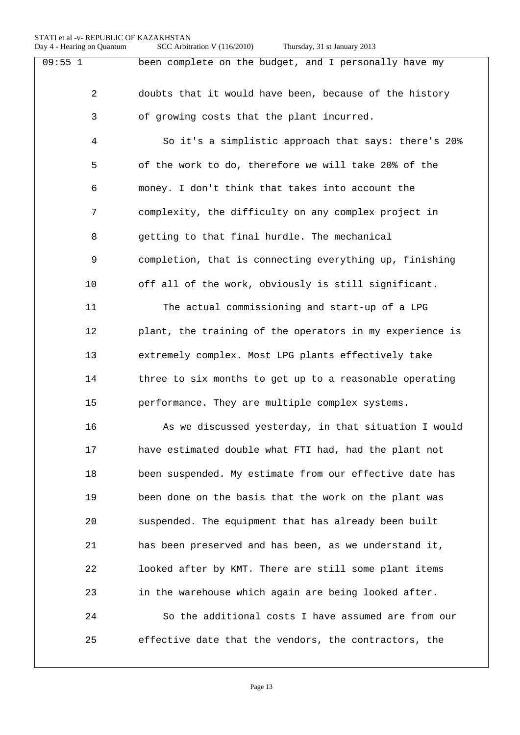|  |  | Thursday, 31 st January 2013 |  |
|--|--|------------------------------|--|
|--|--|------------------------------|--|

| 09:551         | been complete on the budget, and I personally have my    |
|----------------|----------------------------------------------------------|
| $\overline{2}$ | doubts that it would have been, because of the history   |
| 3              | of growing costs that the plant incurred.                |
| $\overline{4}$ | So it's a simplistic approach that says: there's 20%     |
| 5              | of the work to do, therefore we will take 20% of the     |
| 6              | money. I don't think that takes into account the         |
| 7              | complexity, the difficulty on any complex project in     |
| 8              | getting to that final hurdle. The mechanical             |
| 9              | completion, that is connecting everything up, finishing  |
| 10             | off all of the work, obviously is still significant.     |
| 11             | The actual commissioning and start-up of a LPG           |
| 12             | plant, the training of the operators in my experience is |
| 13             | extremely complex. Most LPG plants effectively take      |
| 14             | three to six months to get up to a reasonable operating  |
| 15             | performance. They are multiple complex systems.          |
| 16             | As we discussed yesterday, in that situation I would     |
| 17             | have estimated double what FTI had, had the plant not    |
| 18             | been suspended. My estimate from our effective date has  |
| 19             | been done on the basis that the work on the plant was    |
| 20             | suspended. The equipment that has already been built     |
| 21             | has been preserved and has been, as we understand it,    |
| 22             | looked after by KMT. There are still some plant items    |
| 23             | in the warehouse which again are being looked after.     |
| 24             | So the additional costs I have assumed are from our      |
| 25             | effective date that the vendors, the contractors, the    |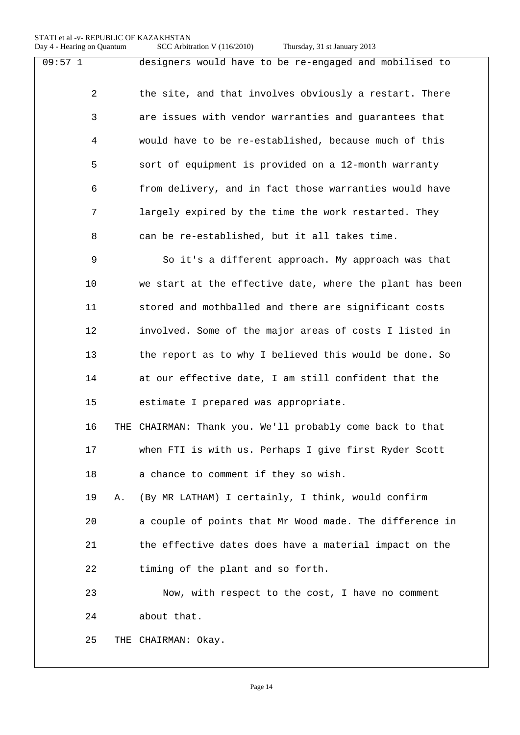| $09:57$ 1      | designers would have to be re-engaged and mobilised to    |
|----------------|-----------------------------------------------------------|
|                |                                                           |
| $\overline{a}$ | the site, and that involves obviously a restart. There    |
| 3              | are issues with vendor warranties and guarantees that     |
| 4              | would have to be re-established, because much of this     |
| 5              | sort of equipment is provided on a 12-month warranty      |
| 6              | from delivery, and in fact those warranties would have    |
| 7              | largely expired by the time the work restarted. They      |
| 8              | can be re-established, but it all takes time.             |
| 9              | So it's a different approach. My approach was that        |
| 10             | we start at the effective date, where the plant has been  |
| 11             | stored and mothballed and there are significant costs     |
| 12             | involved. Some of the major areas of costs I listed in    |
| 13             | the report as to why I believed this would be done. So    |
| 14             | at our effective date, I am still confident that the      |
| 15             | estimate I prepared was appropriate.                      |
| 16             | THE CHAIRMAN: Thank you. We'll probably come back to that |
| 17             | when FTI is with us. Perhaps I give first Ryder Scott     |
| 18             | a chance to comment if they so wish.                      |
| 19<br>Α.       | (By MR LATHAM) I certainly, I think, would confirm        |
| 20             | a couple of points that Mr Wood made. The difference in   |
| 21             | the effective dates does have a material impact on the    |
| 22             | timing of the plant and so forth.                         |
| 23             | Now, with respect to the cost, I have no comment          |
| 24             | about that.                                               |
| 25             | THE CHAIRMAN: Okay.                                       |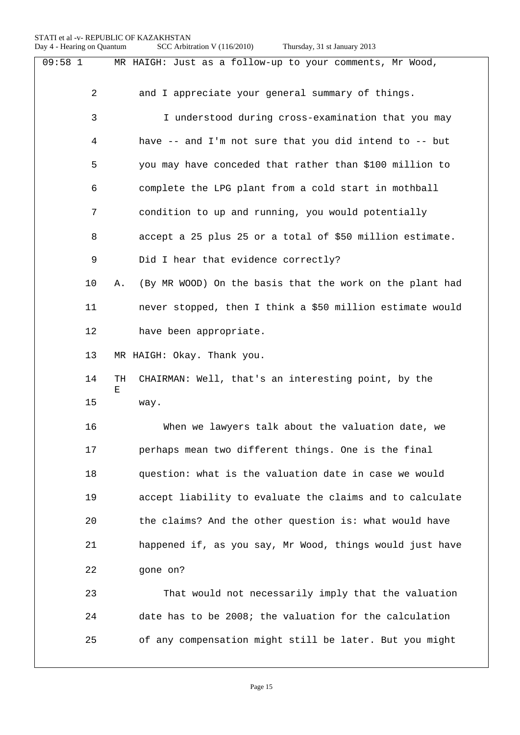STATI et al -v- REPUBLIC OF KAZAKHSTAN<br>Day 4 - Hearing on Quantum SCC Arbitr SCC Arbitration V (116/2010)

|  |  | Thursday, 31 st January 2013 |  |
|--|--|------------------------------|--|
|--|--|------------------------------|--|

| $09:58$ 1      | MR HAIGH: Just as a follow-up to your comments, Mr Wood,       |
|----------------|----------------------------------------------------------------|
|                |                                                                |
| $\overline{2}$ | and I appreciate your general summary of things.               |
| 3              | I understood during cross-examination that you may             |
| 4              | have -- and I'm not sure that you did intend to -- but         |
| 5              | you may have conceded that rather than \$100 million to        |
| 6              | complete the LPG plant from a cold start in mothball           |
| 7              | condition to up and running, you would potentially             |
| 8              | accept a 25 plus 25 or a total of \$50 million estimate.       |
| 9              | Did I hear that evidence correctly?                            |
| 10             | (By MR WOOD) On the basis that the work on the plant had<br>Α. |
| 11             | never stopped, then I think a \$50 million estimate would      |
| 12             | have been appropriate.                                         |
| 13             | MR HAIGH: Okay. Thank you.                                     |
| 14             | TH<br>CHAIRMAN: Well, that's an interesting point, by the<br>Ε |
| 15             | way.                                                           |
| 16             | When we lawyers talk about the valuation date, we              |
| 17             | perhaps mean two different things. One is the final            |
| 18             | question: what is the valuation date in case we would          |
| 19             | accept liability to evaluate the claims and to calculate       |
| 20             | the claims? And the other question is: what would have         |
| 21             | happened if, as you say, Mr Wood, things would just have       |
| 22             | gone on?                                                       |
| 23             | That would not necessarily imply that the valuation            |
| 24             | date has to be 2008; the valuation for the calculation         |
| 25             | of any compensation might still be later. But you might        |
|                |                                                                |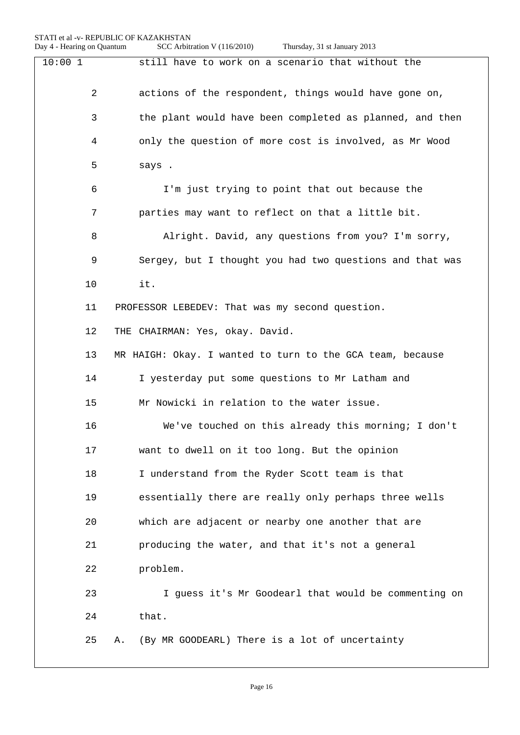| 10:001         | still have to work on a scenario that without the         |
|----------------|-----------------------------------------------------------|
| $\overline{2}$ | actions of the respondent, things would have gone on,     |
| 3              | the plant would have been completed as planned, and then  |
| 4              | only the question of more cost is involved, as Mr Wood    |
| 5              | says.                                                     |
| 6              | I'm just trying to point that out because the             |
| 7              | parties may want to reflect on that a little bit.         |
| 8              | Alright. David, any questions from you? I'm sorry,        |
| 9              | Sergey, but I thought you had two questions and that was  |
| 10             | it.                                                       |
| 11             | PROFESSOR LEBEDEV: That was my second question.           |
| 12             | THE CHAIRMAN: Yes, okay. David.                           |
| 13             | MR HAIGH: Okay. I wanted to turn to the GCA team, because |
| 14             | I yesterday put some questions to Mr Latham and           |
| 15             | Mr Nowicki in relation to the water issue.                |
| 16             | We've touched on this already this morning; I don't       |
| 17             | want to dwell on it too long. But the opinion             |
| 18             | I understand from the Ryder Scott team is that            |
| 19             | essentially there are really only perhaps three wells     |
| 20             | which are adjacent or nearby one another that are         |
| 21             | producing the water, and that it's not a general          |
| 22             | problem.                                                  |
| 23             | I guess it's Mr Goodearl that would be commenting on      |
| 24             | that.                                                     |
| 25             | (By MR GOODEARL) There is a lot of uncertainty<br>Α.      |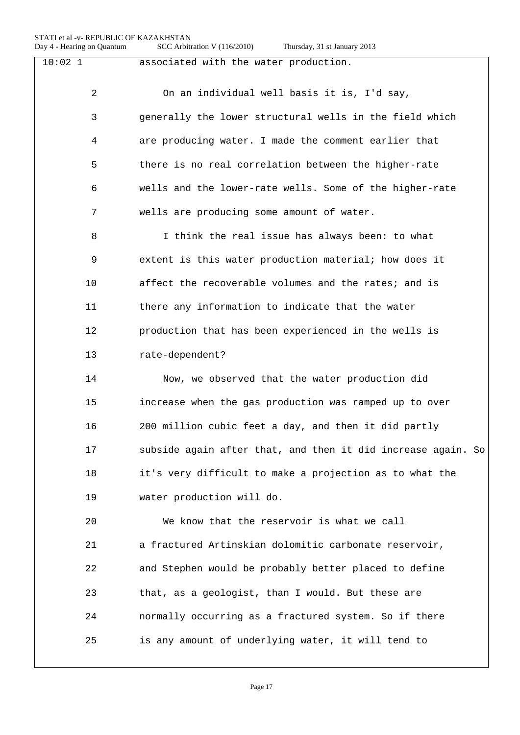| $10:02$ 1 | associated with the water production.                        |
|-----------|--------------------------------------------------------------|
| 2         | On an individual well basis it is, I'd say,                  |
| 3         | generally the lower structural wells in the field which      |
| 4         | are producing water. I made the comment earlier that         |
| 5         | there is no real correlation between the higher-rate         |
| 6         | wells and the lower-rate wells. Some of the higher-rate      |
| 7         | wells are producing some amount of water.                    |
| 8         | I think the real issue has always been: to what              |
| 9         | extent is this water production material; how does it        |
| 10        | affect the recoverable volumes and the rates; and is         |
| 11        | there any information to indicate that the water             |
| 12        | production that has been experienced in the wells is         |
| 13        | rate-dependent?                                              |
| 14        | Now, we observed that the water production did               |
| 15        | increase when the gas production was ramped up to over       |
| 16        | 200 million cubic feet a day, and then it did partly         |
| 17        | subside again after that, and then it did increase again. So |
| 18        | it's very difficult to make a projection as to what the      |
| 19        | water production will do.                                    |
| 20        | We know that the reservoir is what we call                   |
| 21        | a fractured Artinskian dolomitic carbonate reservoir,        |
| 22        | and Stephen would be probably better placed to define        |
| 23        | that, as a geologist, than I would. But these are            |
| 24        | normally occurring as a fractured system. So if there        |
| 25        | is any amount of underlying water, it will tend to           |
|           |                                                              |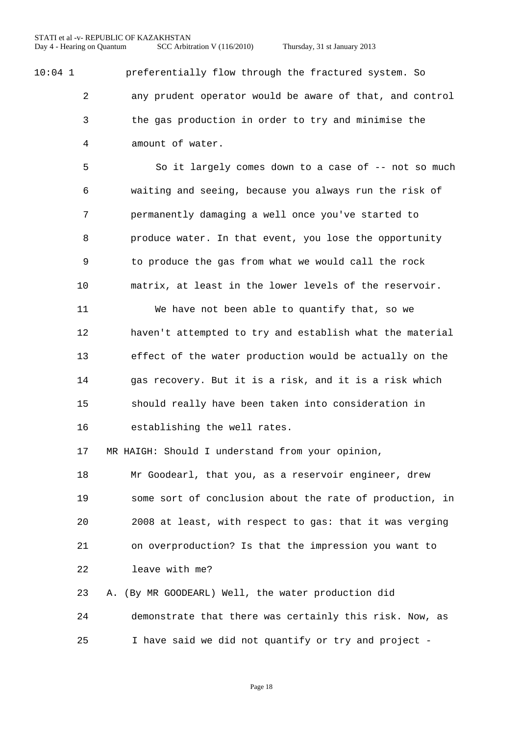10:04 1 preferentially flow through the fractured system. So any prudent operator would be aware of that, and control the gas production in order to try and minimise the amount of water.

 So it largely comes down to a case of -- not so much waiting and seeing, because you always run the risk of permanently damaging a well once you've started to produce water. In that event, you lose the opportunity to produce the gas from what we would call the rock matrix, at least in the lower levels of the reservoir.

 We have not been able to quantify that, so we haven't attempted to try and establish what the material effect of the water production would be actually on the gas recovery. But it is a risk, and it is a risk which should really have been taken into consideration in establishing the well rates.

MR HAIGH: Should I understand from your opinion,

 Mr Goodearl, that you, as a reservoir engineer, drew some sort of conclusion about the rate of production, in 2008 at least, with respect to gas: that it was verging on overproduction? Is that the impression you want to leave with me?

 A. (By MR GOODEARL) Well, the water production did demonstrate that there was certainly this risk. Now, as I have said we did not quantify or try and project -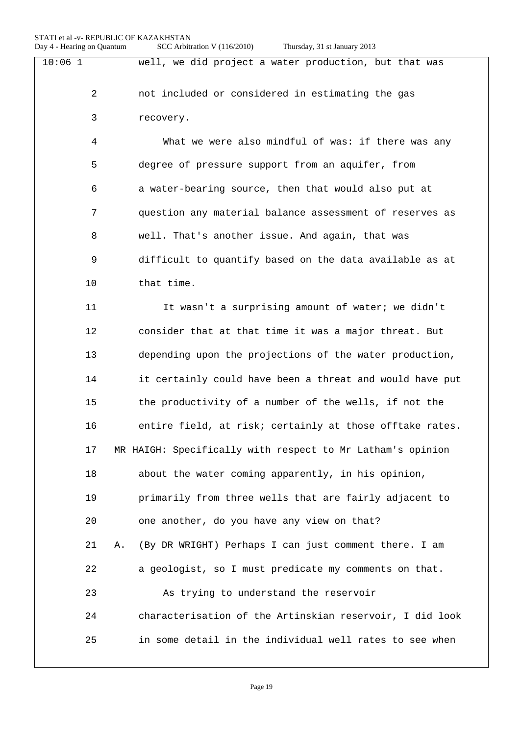| $10:06$ 1      | well, we did project a water production, but that was       |
|----------------|-------------------------------------------------------------|
| $\overline{2}$ | not included or considered in estimating the gas            |
| 3              | recovery.                                                   |
| 4              | What we were also mindful of was: if there was any          |
| 5              | degree of pressure support from an aquifer, from            |
| 6              | a water-bearing source, then that would also put at         |
| 7              | question any material balance assessment of reserves as     |
| 8              | well. That's another issue. And again, that was             |
| 9              | difficult to quantify based on the data available as at     |
| 10             | that time.                                                  |
| 11             | It wasn't a surprising amount of water; we didn't           |
| 12             | consider that at that time it was a major threat. But       |
| 13             | depending upon the projections of the water production,     |
| 14             | it certainly could have been a threat and would have put    |
| 15             | the productivity of a number of the wells, if not the       |
| 16             | entire field, at risk; certainly at those offtake rates.    |
| 17             | MR HAIGH: Specifically with respect to Mr Latham's opinion  |
| 18             | about the water coming apparently, in his opinion,          |
| 19             | primarily from three wells that are fairly adjacent to      |
| 20             | one another, do you have any view on that?                  |
| 21             | (By DR WRIGHT) Perhaps I can just comment there. I am<br>Α. |
| 22             | a geologist, so I must predicate my comments on that.       |
| 23             | As trying to understand the reservoir                       |
| 24             | characterisation of the Artinskian reservoir, I did look    |
| 25             | in some detail in the individual well rates to see when     |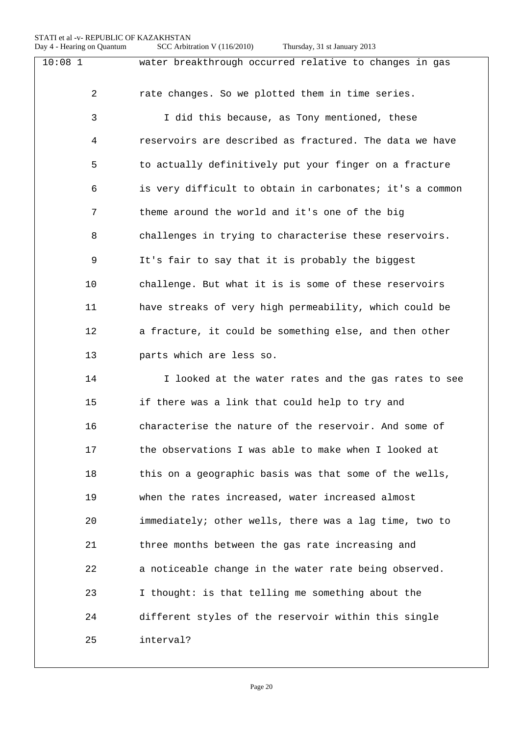| $10:08$ 1 | water breakthrough occurred relative to changes in gas   |
|-----------|----------------------------------------------------------|
| 2         | rate changes. So we plotted them in time series.         |
| 3         | I did this because, as Tony mentioned, these             |
| 4         | reservoirs are described as fractured. The data we have  |
| 5         | to actually definitively put your finger on a fracture   |
| 6         | is very difficult to obtain in carbonates; it's a common |
| 7         | theme around the world and it's one of the big           |
| 8         | challenges in trying to characterise these reservoirs.   |
| 9         | It's fair to say that it is probably the biggest         |
| 10        | challenge. But what it is is some of these reservoirs    |
| 11        | have streaks of very high permeability, which could be   |
|           |                                                          |
| 12        | a fracture, it could be something else, and then other   |
| 13        | parts which are less so.                                 |
| 14        | I looked at the water rates and the gas rates to see     |
| 15        | if there was a link that could help to try and           |
| 16        | characterise the nature of the reservoir. And some of    |
| 17        | the observations I was able to make when I looked at     |
| 18        | this on a geographic basis was that some of the wells,   |
| 19        | when the rates increased, water increased almost         |
| 20        | immediately; other wells, there was a lag time, two to   |
| 21        | three months between the gas rate increasing and         |
| 22        | a noticeable change in the water rate being observed.    |
| 23        | I thought: is that telling me something about the        |
| 24        | different styles of the reservoir within this single     |
| 25        | interval?                                                |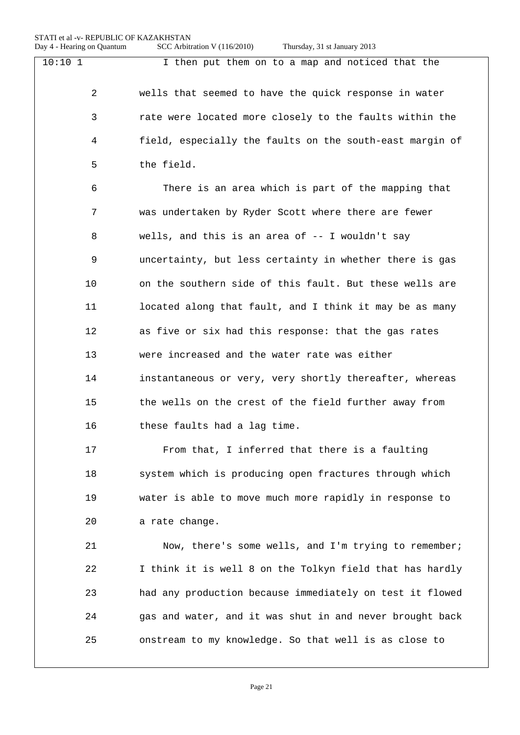| 10:101 | I then put them on to a map and noticed that the         |
|--------|----------------------------------------------------------|
| 2      | wells that seemed to have the quick response in water    |
| 3      | rate were located more closely to the faults within the  |
| 4      | field, especially the faults on the south-east margin of |
| 5      | the field.                                               |
| 6      | There is an area which is part of the mapping that       |
| 7      | was undertaken by Ryder Scott where there are fewer      |
| 8      | wells, and this is an area of -- I wouldn't say          |
| 9      | uncertainty, but less certainty in whether there is gas  |
| 10     | on the southern side of this fault. But these wells are  |
| 11     | located along that fault, and I think it may be as many  |
| 12     | as five or six had this response: that the gas rates     |
| 13     | were increased and the water rate was either             |
| 14     | instantaneous or very, very shortly thereafter, whereas  |
| 15     | the wells on the crest of the field further away from    |
| 16     | these faults had a lag time.                             |
| 17     | From that, I inferred that there is a faulting           |
| 18     | system which is producing open fractures through which   |
| 19     | water is able to move much more rapidly in response to   |
| 20     | a rate change.                                           |
| 21     | Now, there's some wells, and I'm trying to remember;     |
| 22     | I think it is well 8 on the Tolkyn field that has hardly |
| 23     | had any production because immediately on test it flowed |
| 24     | gas and water, and it was shut in and never brought back |
| 25     | onstream to my knowledge. So that well is as close to    |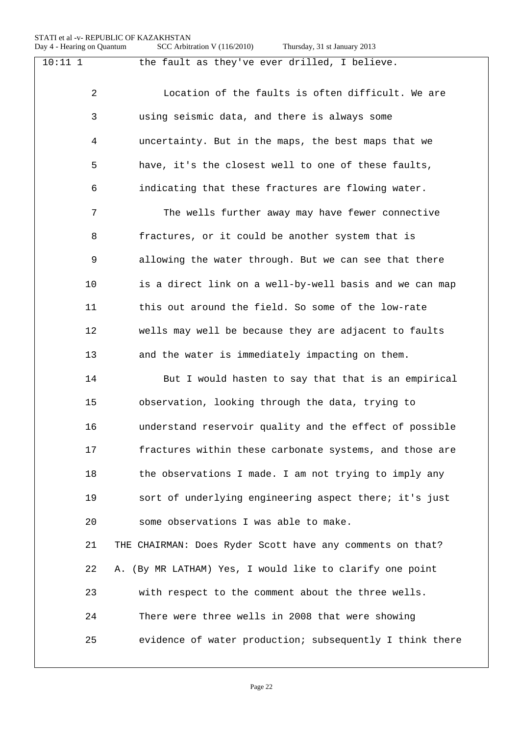| $10:11$ 1      | the fault as they've ever drilled, I believe.             |
|----------------|-----------------------------------------------------------|
| $\overline{a}$ | Location of the faults is often difficult. We are         |
| 3              | using seismic data, and there is always some              |
| 4              | uncertainty. But in the maps, the best maps that we       |
| 5              | have, it's the closest well to one of these faults,       |
| 6              | indicating that these fractures are flowing water.        |
| 7              | The wells further away may have fewer connective          |
| 8              | fractures, or it could be another system that is          |
| 9              | allowing the water through. But we can see that there     |
| 10             | is a direct link on a well-by-well basis and we can map   |
| 11             | this out around the field. So some of the low-rate        |
| 12             | wells may well be because they are adjacent to faults     |
| 13             | and the water is immediately impacting on them.           |
| 14             | But I would hasten to say that that is an empirical       |
| 15             | observation, looking through the data, trying to          |
| 16             | understand reservoir quality and the effect of possible   |
| 17             | fractures within these carbonate systems, and those are   |
| 18             | the observations I made. I am not trying to imply any     |
| 19             | sort of underlying engineering aspect there; it's just    |
| 20             | some observations I was able to make.                     |
| 21             | THE CHAIRMAN: Does Ryder Scott have any comments on that? |
| 22             | A. (By MR LATHAM) Yes, I would like to clarify one point  |
| 23             | with respect to the comment about the three wells.        |
| 24             | There were three wells in 2008 that were showing          |
| 25             | evidence of water production; subsequently I think there  |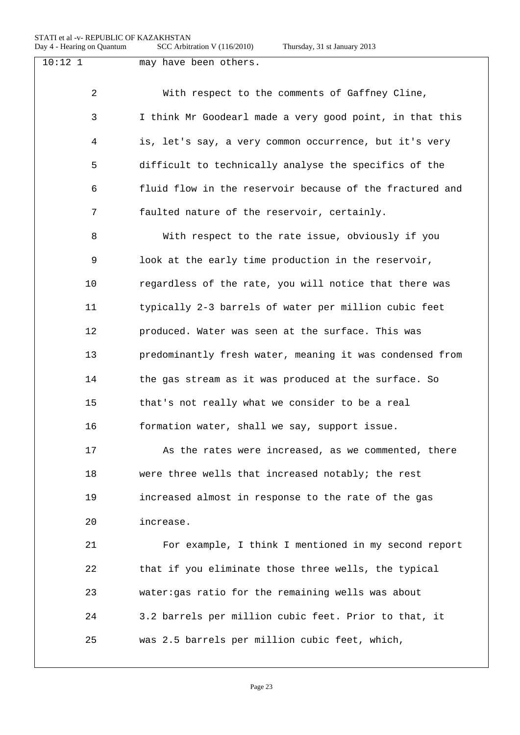| $10:12$ 1      | may have been others.                                    |
|----------------|----------------------------------------------------------|
|                |                                                          |
| $\overline{2}$ | With respect to the comments of Gaffney Cline,           |
| 3              | I think Mr Goodearl made a very good point, in that this |
| 4              | is, let's say, a very common occurrence, but it's very   |
| 5              | difficult to technically analyse the specifics of the    |
| 6              | fluid flow in the reservoir because of the fractured and |
| 7              | faulted nature of the reservoir, certainly.              |
| 8              | With respect to the rate issue, obviously if you         |
| 9              | look at the early time production in the reservoir,      |
| 10             | regardless of the rate, you will notice that there was   |
| 11             | typically 2-3 barrels of water per million cubic feet    |
| 12             | produced. Water was seen at the surface. This was        |
| 13             | predominantly fresh water, meaning it was condensed from |
| 14             | the gas stream as it was produced at the surface. So     |
| 15             | that's not really what we consider to be a real          |
| 16             | formation water, shall we say, support issue.            |
| 17             | As the rates were increased, as we commented, there      |
| 18             | were three wells that increased notably; the rest        |
| 19             | increased almost in response to the rate of the gas      |
| 20             | increase.                                                |
| 21             | For example, I think I mentioned in my second report     |
| 22             | that if you eliminate those three wells, the typical     |
| 23             | water: gas ratio for the remaining wells was about       |
| 24             | 3.2 barrels per million cubic feet. Prior to that, it    |
| 25             | was 2.5 barrels per million cubic feet, which,           |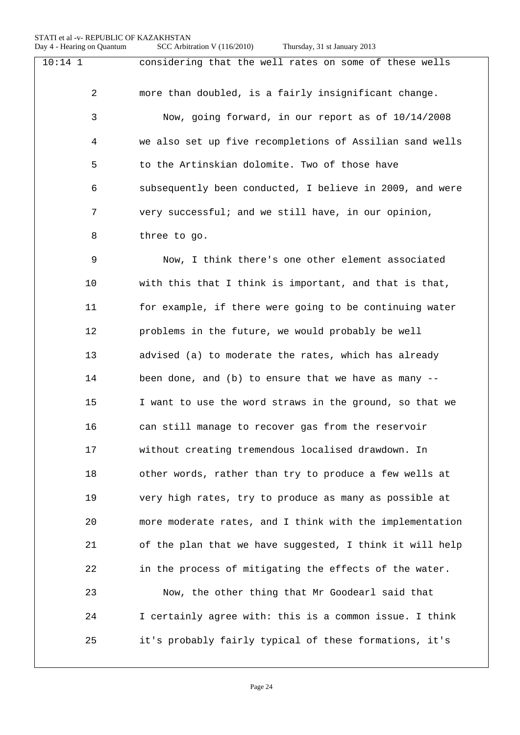| $10:14$ 1 | considering that the well rates on some of these wells   |
|-----------|----------------------------------------------------------|
| 2         | more than doubled, is a fairly insignificant change.     |
| 3         | Now, going forward, in our report as of 10/14/2008       |
| 4         | we also set up five recompletions of Assilian sand wells |
| 5         | to the Artinskian dolomite. Two of those have            |
| 6         | subsequently been conducted, I believe in 2009, and were |
| 7         | very successful; and we still have, in our opinion,      |
| 8         | three to go.                                             |
| 9         | Now, I think there's one other element associated        |
| 10        | with this that I think is important, and that is that,   |
| 11        | for example, if there were going to be continuing water  |
| 12        | problems in the future, we would probably be well        |
| 13        | advised (a) to moderate the rates, which has already     |
| 14        | been done, and $(b)$ to ensure that we have as many $-$  |
| 15        | I want to use the word straws in the ground, so that we  |
| 16        | can still manage to recover gas from the reservoir       |
| 17        | without creating tremendous localised drawdown. In       |
| 18        | other words, rather than try to produce a few wells at   |
| 19        | very high rates, try to produce as many as possible at   |
| 20        | more moderate rates, and I think with the implementation |
| 21        | of the plan that we have suggested, I think it will help |
| 22        | in the process of mitigating the effects of the water.   |
| 23        | Now, the other thing that Mr Goodearl said that          |
| 24        | I certainly agree with: this is a common issue. I think  |
| 25        | it's probably fairly typical of these formations, it's   |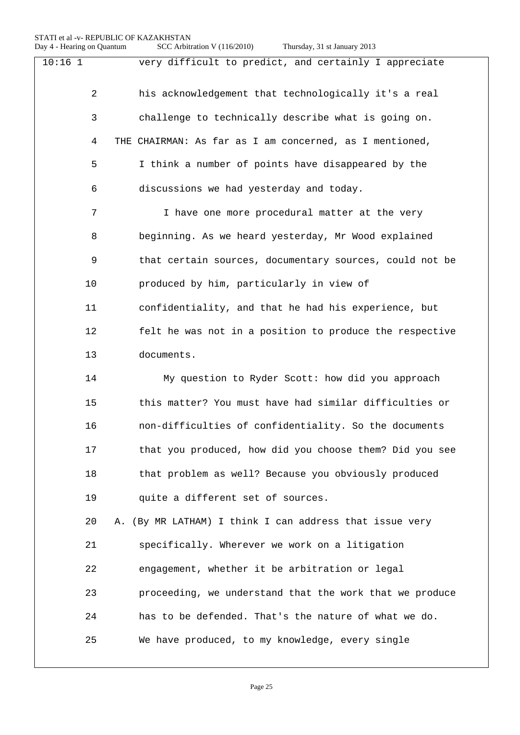| $10:16$ 1      | very difficult to predict, and certainly I appreciate   |
|----------------|---------------------------------------------------------|
| $\overline{a}$ | his acknowledgement that technologically it's a real    |
| 3              | challenge to technically describe what is going on.     |
| 4              | THE CHAIRMAN: As far as I am concerned, as I mentioned, |
| 5              | I think a number of points have disappeared by the      |
| 6              | discussions we had yesterday and today.                 |
| 7              | I have one more procedural matter at the very           |
| 8              | beginning. As we heard yesterday, Mr Wood explained     |
| 9              | that certain sources, documentary sources, could not be |
| 10             | produced by him, particularly in view of                |
| 11             | confidentiality, and that he had his experience, but    |
| 12             | felt he was not in a position to produce the respective |
| 13             | documents.                                              |
| 14             | My question to Ryder Scott: how did you approach        |
| 15             | this matter? You must have had similar difficulties or  |
| 16             | non-difficulties of confidentiality. So the documents   |
| 17             | that you produced, how did you choose them? Did you see |
| 18             | that problem as well? Because you obviously produced    |
| 19             | quite a different set of sources.                       |
| 20             | A. (By MR LATHAM) I think I can address that issue very |
| 21             | specifically. Wherever we work on a litigation          |
| 22             | engagement, whether it be arbitration or legal          |
| 23             | proceeding, we understand that the work that we produce |
| 24             | has to be defended. That's the nature of what we do.    |
| 25             | We have produced, to my knowledge, every single         |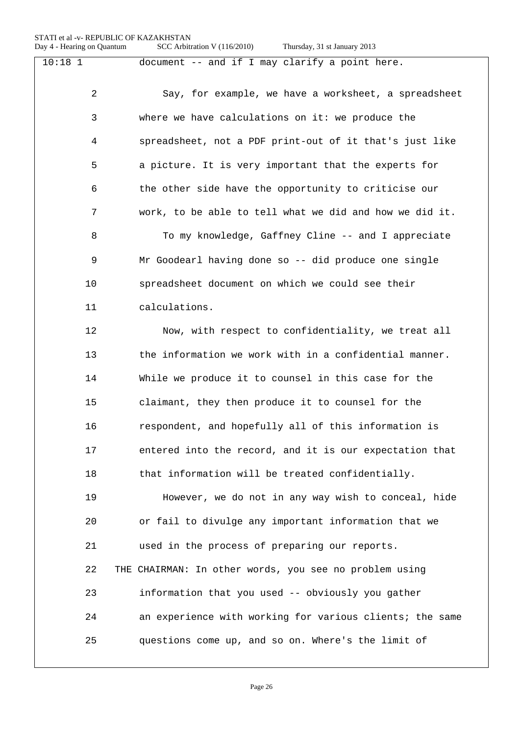| $10:18$ 1      | document -- and if I may clarify a point here.           |
|----------------|----------------------------------------------------------|
| $\overline{2}$ | Say, for example, we have a worksheet, a spreadsheet     |
| 3              | where we have calculations on it: we produce the         |
| 4              | spreadsheet, not a PDF print-out of it that's just like  |
| 5              | a picture. It is very important that the experts for     |
| 6              | the other side have the opportunity to criticise our     |
| 7              | work, to be able to tell what we did and how we did it.  |
| 8              | To my knowledge, Gaffney Cline -- and I appreciate       |
| 9              | Mr Goodearl having done so -- did produce one single     |
| 10             | spreadsheet document on which we could see their         |
| 11             | calculations.                                            |
| 12             | Now, with respect to confidentiality, we treat all       |
| 13             | the information we work with in a confidential manner.   |
| 14             | While we produce it to counsel in this case for the      |
| 15             | claimant, they then produce it to counsel for the        |
| 16             | respondent, and hopefully all of this information is     |
| 17             | entered into the record, and it is our expectation that  |
| 18             | that information will be treated confidentially.         |
| 19             | However, we do not in any way wish to conceal, hide      |
| 20             | or fail to divulge any important information that we     |
| 21             | used in the process of preparing our reports.            |
| 22             | THE CHAIRMAN: In other words, you see no problem using   |
| 23             | information that you used -- obviously you gather        |
| 24             | an experience with working for various clients; the same |
| 25             | questions come up, and so on. Where's the limit of       |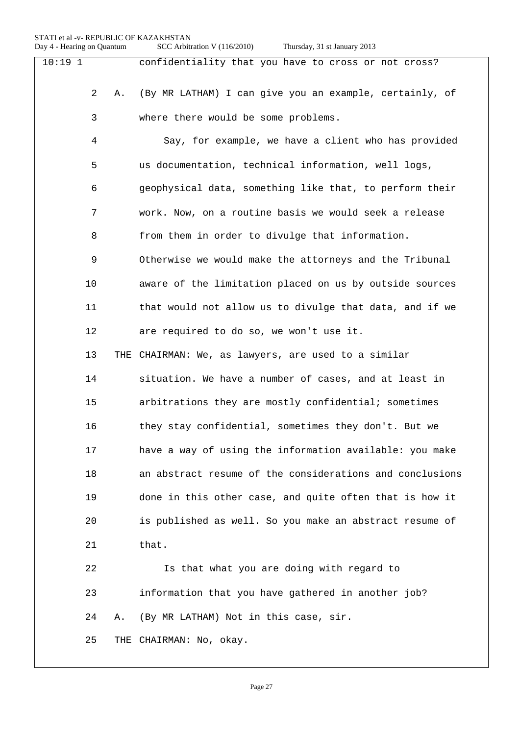|  |  | Thursday, 31 st January 2013 |  |
|--|--|------------------------------|--|
|--|--|------------------------------|--|

| $10:19$ 1 |     | confidentiality that you have to cross or not cross?     |
|-----------|-----|----------------------------------------------------------|
| 2         | Α.  | (By MR LATHAM) I can give you an example, certainly, of  |
| 3         |     | where there would be some problems.                      |
| 4         |     | Say, for example, we have a client who has provided      |
| 5         |     | us documentation, technical information, well logs,      |
| 6         |     | geophysical data, something like that, to perform their  |
| 7         |     | work. Now, on a routine basis we would seek a release    |
| 8         |     | from them in order to divulge that information.          |
| 9         |     | Otherwise we would make the attorneys and the Tribunal   |
| 10        |     | aware of the limitation placed on us by outside sources  |
| 11        |     | that would not allow us to divulge that data, and if we  |
| 12        |     | are required to do so, we won't use it.                  |
| 13        | THE | CHAIRMAN: We, as lawyers, are used to a similar          |
| 14        |     | situation. We have a number of cases, and at least in    |
| 15        |     | arbitrations they are mostly confidential; sometimes     |
| 16        |     | they stay confidential, sometimes they don't. But we     |
| 17        |     | have a way of using the information available: you make  |
| 18        |     | an abstract resume of the considerations and conclusions |
| 19        |     | done in this other case, and quite often that is how it  |
| 20        |     | is published as well. So you make an abstract resume of  |
| 21        |     | that.                                                    |
| 22        |     | Is that what you are doing with regard to                |
| 23        |     | information that you have gathered in another job?       |
| 24        | Α.  | (By MR LATHAM) Not in this case, sir.                    |
| 25        | THE | CHAIRMAN: No, okay.                                      |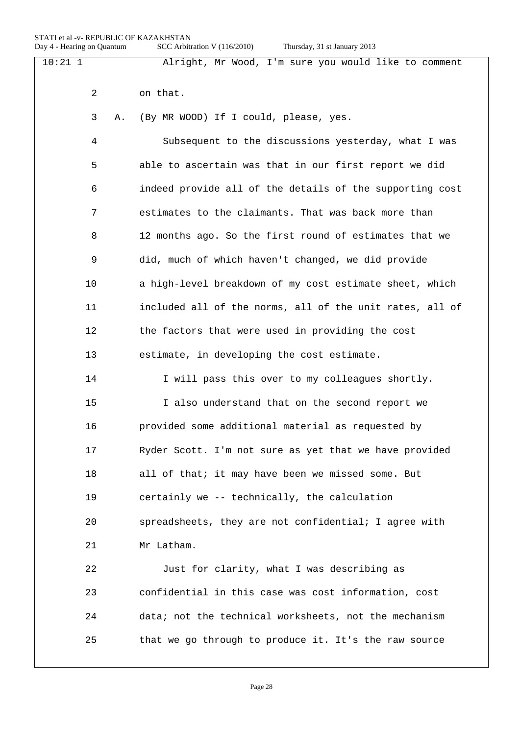| $10:21$ 1 |         | Alright, Mr Wood, I'm sure you would like to comment     |
|-----------|---------|----------------------------------------------------------|
|           | 2       | on that.                                                 |
|           | 3<br>Α. | (By MR WOOD) If I could, please, yes.                    |
|           | 4       | Subsequent to the discussions yesterday, what I was      |
|           | 5       | able to ascertain was that in our first report we did    |
|           | 6       | indeed provide all of the details of the supporting cost |
|           | 7       | estimates to the claimants. That was back more than      |
|           | 8       | 12 months ago. So the first round of estimates that we   |
|           | 9       | did, much of which haven't changed, we did provide       |
| 10        |         | a high-level breakdown of my cost estimate sheet, which  |
| 11        |         | included all of the norms, all of the unit rates, all of |
| 12        |         | the factors that were used in providing the cost         |
| 13        |         | estimate, in developing the cost estimate.               |
| 14        |         | I will pass this over to my colleagues shortly.          |
| 15        |         | I also understand that on the second report we           |
| 16        |         | provided some additional material as requested by        |
| 17        |         | Ryder Scott. I'm not sure as yet that we have provided   |
| 18        |         | all of that; it may have been we missed some. But        |
| 19        |         | certainly we -- technically, the calculation             |
| 20        |         | spreadsheets, they are not confidential; I agree with    |
| 21        |         | Mr Latham.                                               |
| 22        |         | Just for clarity, what I was describing as               |
| 23        |         | confidential in this case was cost information, cost     |
| 24        |         | data; not the technical worksheets, not the mechanism    |
| 25        |         | that we go through to produce it. It's the raw source    |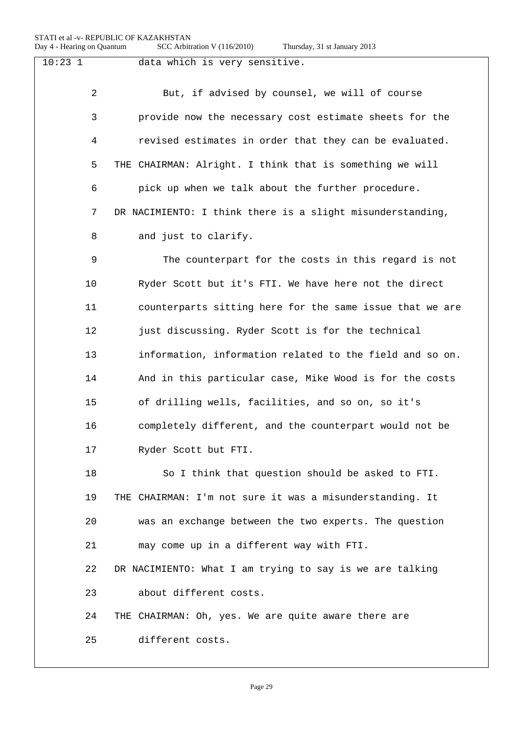| $10:23$ 1      | data which is very sensitive.                              |
|----------------|------------------------------------------------------------|
| $\overline{a}$ | But, if advised by counsel, we will of course              |
| 3              | provide now the necessary cost estimate sheets for the     |
| 4              | revised estimates in order that they can be evaluated.     |
| 5              | THE CHAIRMAN: Alright. I think that is something we will   |
| 6              | pick up when we talk about the further procedure.          |
| 7              | DR NACIMIENTO: I think there is a slight misunderstanding, |
| 8              | and just to clarify.                                       |
| 9              | The counterpart for the costs in this regard is not        |
| 10             | Ryder Scott but it's FTI. We have here not the direct      |
| 11             | counterparts sitting here for the same issue that we are   |
| 12             | just discussing. Ryder Scott is for the technical          |
| 13             | information, information related to the field and so on.   |
| 14             | And in this particular case, Mike Wood is for the costs    |
| 15             | of drilling wells, facilities, and so on, so it's          |
| 16             | completely different, and the counterpart would not be     |
| 17             | Ryder Scott but FTI.                                       |
| 18             | So I think that question should be asked to FTI.           |
| 19             | THE CHAIRMAN: I'm not sure it was a misunderstanding. It   |
| 20             | was an exchange between the two experts. The question      |
| 21             | may come up in a different way with FTI.                   |
| 22             | DR NACIMIENTO: What I am trying to say is we are talking   |
| 23             | about different costs.                                     |
| 24             | THE CHAIRMAN: Oh, yes. We are quite aware there are        |
| 25             | different costs.                                           |
|                |                                                            |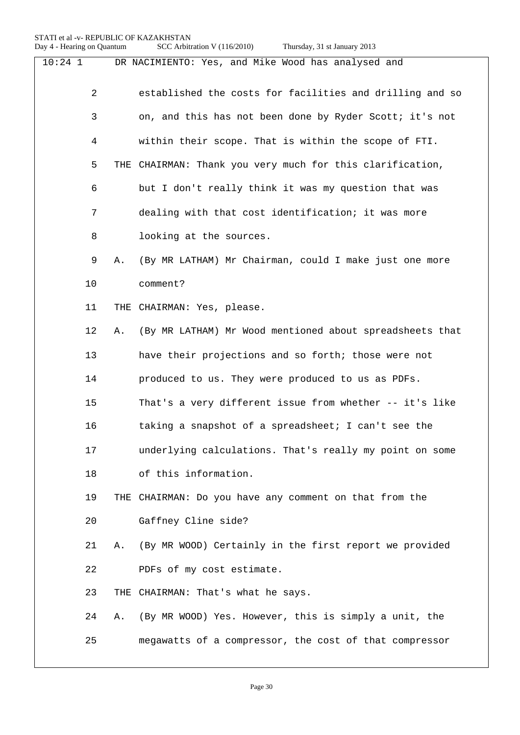| $10:24$ 1 |    |    | DR NACIMIENTO: Yes, and Mike Wood has analysed and        |
|-----------|----|----|-----------------------------------------------------------|
|           | 2  |    | established the costs for facilities and drilling and so  |
|           | 3  |    | on, and this has not been done by Ryder Scott; it's not   |
|           | 4  |    | within their scope. That is within the scope of FTI.      |
|           | 5  |    | THE CHAIRMAN: Thank you very much for this clarification, |
|           | 6  |    | but I don't really think it was my question that was      |
|           | 7  |    | dealing with that cost identification; it was more        |
|           | 8  |    | looking at the sources.                                   |
|           | 9  | Α. | (By MR LATHAM) Mr Chairman, could I make just one more    |
|           | 10 |    | comment?                                                  |
|           | 11 |    | THE CHAIRMAN: Yes, please.                                |
|           | 12 | Α. | (By MR LATHAM) Mr Wood mentioned about spreadsheets that  |
|           | 13 |    | have their projections and so forth; those were not       |
|           | 14 |    | produced to us. They were produced to us as PDFs.         |
|           | 15 |    | That's a very different issue from whether -- it's like   |
|           | 16 |    | taking a snapshot of a spreadsheet; I can't see the       |
|           | 17 |    | underlying calculations. That's really my point on some   |
|           | 18 |    | of this information.                                      |
|           | 19 |    | THE CHAIRMAN: Do you have any comment on that from the    |
|           | 20 |    | Gaffney Cline side?                                       |
|           | 21 | Α. | (By MR WOOD) Certainly in the first report we provided    |
|           | 22 |    | PDFs of my cost estimate.                                 |
|           | 23 |    | THE CHAIRMAN: That's what he says.                        |
|           | 24 | Α. | (By MR WOOD) Yes. However, this is simply a unit, the     |
|           | 25 |    | megawatts of a compressor, the cost of that compressor    |
|           |    |    |                                                           |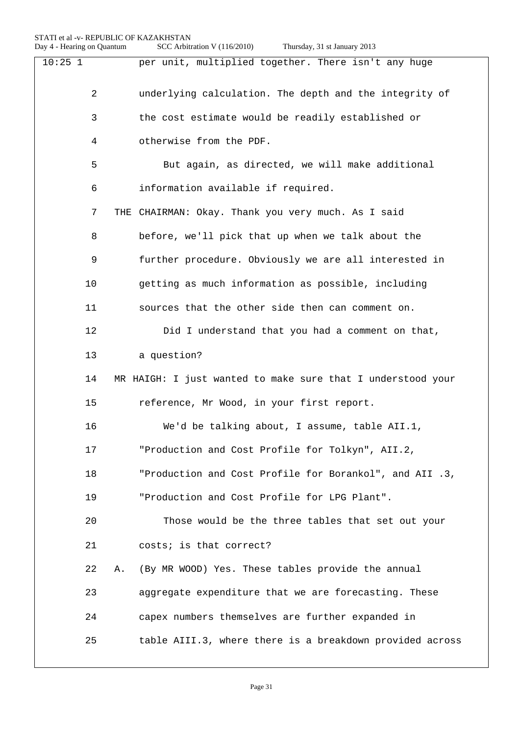| Day 4 - Hearing on Quantum | Thursday, 31 st January 2013<br>SCC Arbitration V (116/2010) |
|----------------------------|--------------------------------------------------------------|
| $10:25$ 1                  | per unit, multiplied together. There isn't any huge          |
|                            |                                                              |
| 2                          | underlying calculation. The depth and the integrity of       |
| 3                          | the cost estimate would be readily established or            |
| 4                          | otherwise from the PDF.                                      |
| 5                          | But again, as directed, we will make additional              |
| 6                          | information available if required.                           |
| 7                          | THE CHAIRMAN: Okay. Thank you very much. As I said           |
| 8                          | before, we'll pick that up when we talk about the            |
| 9                          | further procedure. Obviously we are all interested in        |
| 10                         | getting as much information as possible, including           |
| 11                         | sources that the other side then can comment on.             |
| 12                         | Did I understand that you had a comment on that,             |
| 13                         | a question?                                                  |
| 14                         | MR HAIGH: I just wanted to make sure that I understood your  |
| 15                         | reference, Mr Wood, in your first report.                    |
| 16                         | We'd be talking about, I assume, table AII.1,                |
| 17                         | "Production and Cost Profile for Tolkyn", AII.2,             |
| 18                         | "Production and Cost Profile for Borankol", and AII .3,      |
| 19                         | "Production and Cost Profile for LPG Plant".                 |
| 20                         | Those would be the three tables that set out your            |
| 21                         | costs; is that correct?                                      |
| 22                         | (By MR WOOD) Yes. These tables provide the annual<br>Α.      |
| 23                         | aggregate expenditure that we are forecasting. These         |
|                            |                                                              |

25 table AIII.3, where there is a breakdown provided across

Page 31

24 capex numbers themselves are further expanded in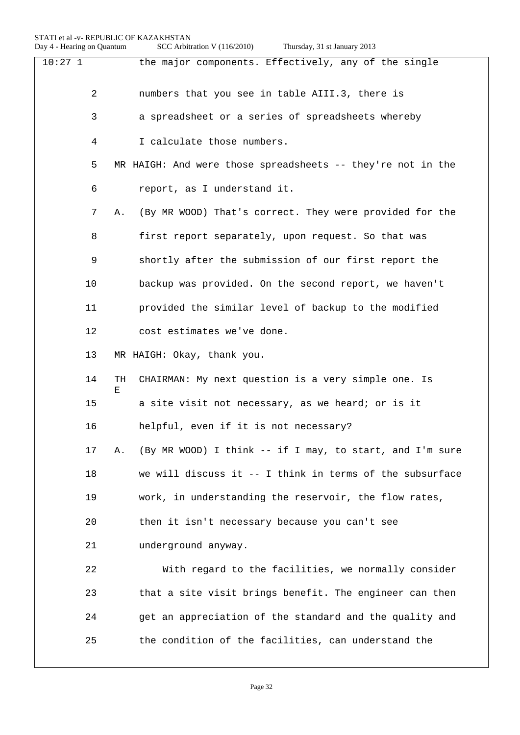| $10:27$ 1 | the major components. Effectively, any of the single           |
|-----------|----------------------------------------------------------------|
| 2         | numbers that you see in table AIII.3, there is                 |
| 3         | a spreadsheet or a series of spreadsheets whereby              |
| 4         | I calculate those numbers.                                     |
| 5         | MR HAIGH: And were those spreadsheets -- they're not in the    |
| 6         | report, as I understand it.                                    |
| 7         | (By MR WOOD) That's correct. They were provided for the<br>Α.  |
| 8         | first report separately, upon request. So that was             |
| 9         | shortly after the submission of our first report the           |
| 10        | backup was provided. On the second report, we haven't          |
| 11        | provided the similar level of backup to the modified           |
| 12        | cost estimates we've done.                                     |
| 13        | MR HAIGH: Okay, thank you.                                     |
| 14        | CHAIRMAN: My next question is a very simple one. Is<br>TH<br>Ε |
| 15        | a site visit not necessary, as we heard; or is it              |
| 16        | helpful, even if it is not necessary?                          |
| 17        | (By MR WOOD) I think -- if I may, to start, and I'm sure<br>Α. |
| 18        | we will discuss it -- I think in terms of the subsurface       |
| 19        | work, in understanding the reservoir, the flow rates,          |
| 20        | then it isn't necessary because you can't see                  |
| 21        | underground anyway.                                            |
| 22        | With regard to the facilities, we normally consider            |
| 23        | that a site visit brings benefit. The engineer can then        |
| 24        | get an appreciation of the standard and the quality and        |
| 25        | the condition of the facilities, can understand the            |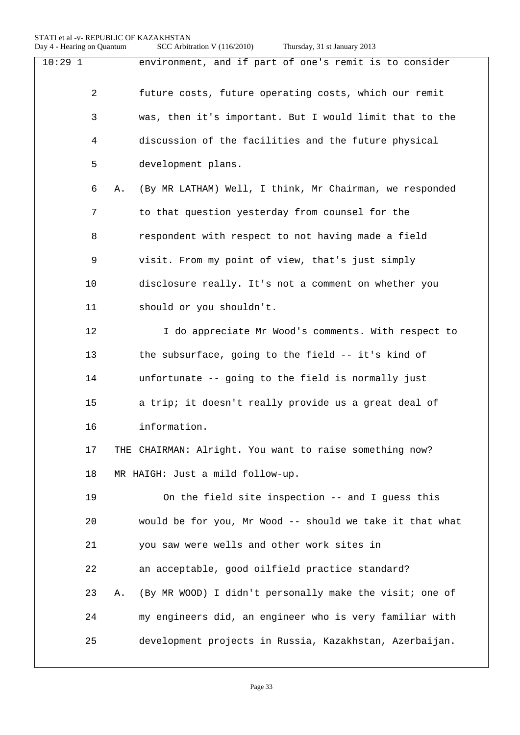| $10:29$ 1 | environment, and if part of one's remit is to consider        |
|-----------|---------------------------------------------------------------|
| 2         | future costs, future operating costs, which our remit         |
| 3         | was, then it's important. But I would limit that to the       |
| 4         | discussion of the facilities and the future physical          |
| 5         | development plans.                                            |
| 6         | (By MR LATHAM) Well, I think, Mr Chairman, we responded<br>Α. |
| 7         | to that question yesterday from counsel for the               |
| 8         | respondent with respect to not having made a field            |
| 9         | visit. From my point of view, that's just simply              |
| 10        | disclosure really. It's not a comment on whether you          |
| 11        | should or you shouldn't.                                      |
| 12        | I do appreciate Mr Wood's comments. With respect to           |
| 13        | the subsurface, going to the field -- it's kind of            |
| 14        | unfortunate -- going to the field is normally just            |
| 15        | a trip; it doesn't really provide us a great deal of          |
| 16        | information.                                                  |
| 17        | THE CHAIRMAN: Alright. You want to raise something now?       |
| 18        | MR HAIGH: Just a mild follow-up.                              |
| 19        | On the field site inspection -- and I guess this              |
| 20        | would be for you, Mr Wood -- should we take it that what      |
| 21        | you saw were wells and other work sites in                    |
| 22        | an acceptable, good oilfield practice standard?               |
| 23        | (By MR WOOD) I didn't personally make the visit; one of<br>Α. |
| 24        | my engineers did, an engineer who is very familiar with       |
| 25        | development projects in Russia, Kazakhstan, Azerbaijan.       |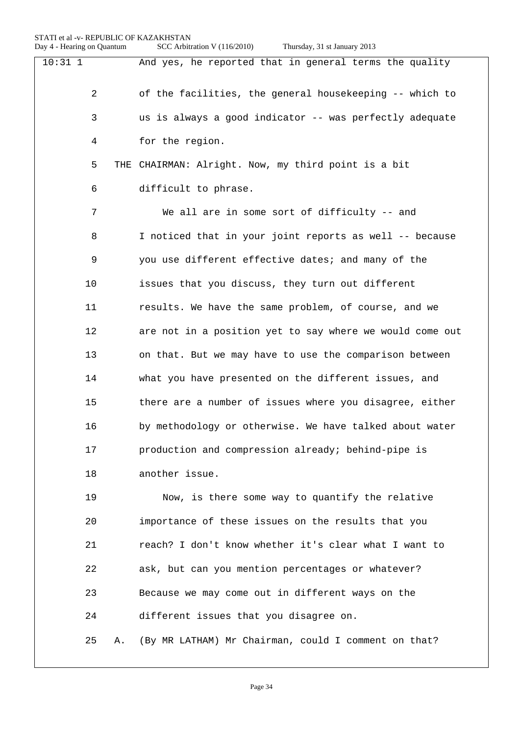| $10:31$ 1 |    | And yes, he reported that in general terms the quality   |
|-----------|----|----------------------------------------------------------|
|           |    |                                                          |
| 2         |    | of the facilities, the general housekeeping -- which to  |
| 3         |    | us is always a good indicator -- was perfectly adequate  |
| 4         |    | for the region.                                          |
| 5         |    | THE CHAIRMAN: Alright. Now, my third point is a bit      |
| 6         |    | difficult to phrase.                                     |
| 7         |    | We all are in some sort of difficulty -- and             |
| 8         |    | I noticed that in your joint reports as well -- because  |
| 9         |    | you use different effective dates; and many of the       |
| 10        |    | issues that you discuss, they turn out different         |
| 11        |    | results. We have the same problem, of course, and we     |
| 12        |    | are not in a position yet to say where we would come out |
| 13        |    | on that. But we may have to use the comparison between   |
| 14        |    | what you have presented on the different issues, and     |
| 15        |    | there are a number of issues where you disagree, either  |
| 16        |    | by methodology or otherwise. We have talked about water  |
| 17        |    | production and compression already; behind-pipe is       |
| 18        |    | another issue.                                           |
| 19        |    | Now, is there some way to quantify the relative          |
| 20        |    | importance of these issues on the results that you       |
| 21        |    | reach? I don't know whether it's clear what I want to    |
| 22        |    | ask, but can you mention percentages or whatever?        |
| 23        |    | Because we may come out in different ways on the         |
| 24        |    | different issues that you disagree on.                   |
| 25        | Α. | (By MR LATHAM) Mr Chairman, could I comment on that?     |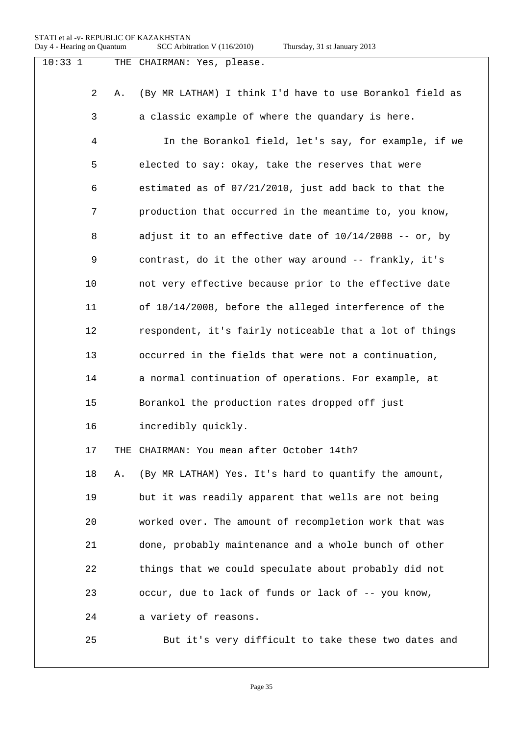| 10:331 |                      | THE CHAIRMAN: Yes, please.                               |
|--------|----------------------|----------------------------------------------------------|
|        | $\overline{a}$<br>Α. | (By MR LATHAM) I think I'd have to use Borankol field as |
|        | 3                    | a classic example of where the quandary is here.         |
|        | 4                    | In the Borankol field, let's say, for example, if we     |
|        | 5                    | elected to say: okay, take the reserves that were        |
|        | 6                    | estimated as of 07/21/2010, just add back to that the    |
|        | 7                    | production that occurred in the meantime to, you know,   |
|        | 8                    | adjust it to an effective date of $10/14/2008$ -- or, by |
|        | 9                    | contrast, do it the other way around -- frankly, it's    |
| 10     |                      | not very effective because prior to the effective date   |
| 11     |                      | of 10/14/2008, before the alleged interference of the    |
| 12     |                      | respondent, it's fairly noticeable that a lot of things  |
| 13     |                      | occurred in the fields that were not a continuation,     |
| 14     |                      | a normal continuation of operations. For example, at     |
| 15     |                      | Borankol the production rates dropped off just           |
| 16     |                      | incredibly quickly.                                      |
| 17     |                      | THE CHAIRMAN: You mean after October 14th?               |
| 18     | Α.                   | (By MR LATHAM) Yes. It's hard to quantify the amount,    |
| 19     |                      | but it was readily apparent that wells are not being     |
| 20     |                      | worked over. The amount of recompletion work that was    |
| 21     |                      | done, probably maintenance and a whole bunch of other    |
| 22     |                      | things that we could speculate about probably did not    |
| 23     |                      | occur, due to lack of funds or lack of -- you know,      |
| 24     |                      | a variety of reasons.                                    |
| 25     |                      | But it's very difficult to take these two dates and      |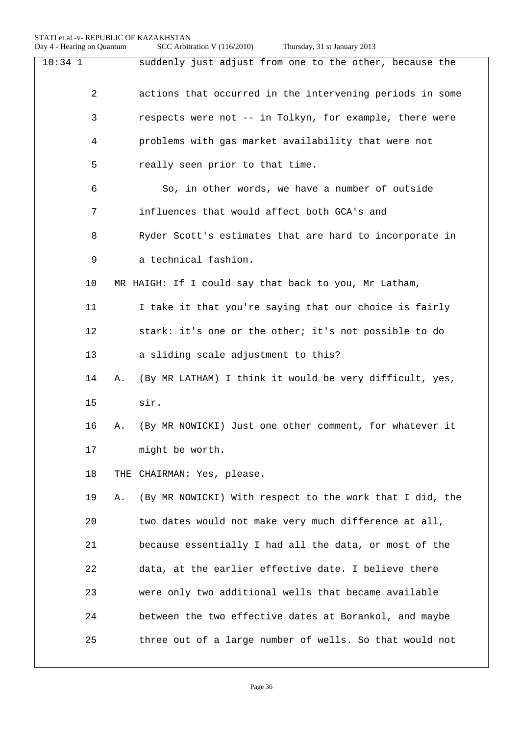| $10:34$ 1 | suddenly just adjust from one to the other, because the        |
|-----------|----------------------------------------------------------------|
| 2         | actions that occurred in the intervening periods in some       |
| 3         | respects were not -- in Tolkyn, for example, there were        |
| 4         | problems with gas market availability that were not            |
| 5         | really seen prior to that time.                                |
| 6         | So, in other words, we have a number of outside                |
| 7         | influences that would affect both GCA's and                    |
| 8         | Ryder Scott's estimates that are hard to incorporate in        |
| 9         | a technical fashion.                                           |
| $10 \,$   | MR HAIGH: If I could say that back to you, Mr Latham,          |
| 11        | I take it that you're saying that our choice is fairly         |
| 12        | stark: it's one or the other; it's not possible to do          |
| 13        | a sliding scale adjustment to this?                            |
| 14        | (By MR LATHAM) I think it would be very difficult, yes,<br>Α.  |
| 15        | sir.                                                           |
| 16        | (By MR NOWICKI) Just one other comment, for whatever it<br>Α.  |
| 17        | might be worth.                                                |
| 18        | THE CHAIRMAN: Yes, please.                                     |
| 19        | (By MR NOWICKI) With respect to the work that I did, the<br>Α. |
| 20        | two dates would not make very much difference at all,          |
| 21        | because essentially I had all the data, or most of the         |
| 22        | data, at the earlier effective date. I believe there           |
| 23        | were only two additional wells that became available           |
| 24        | between the two effective dates at Borankol, and maybe         |
| 25        | three out of a large number of wells. So that would not        |
|           |                                                                |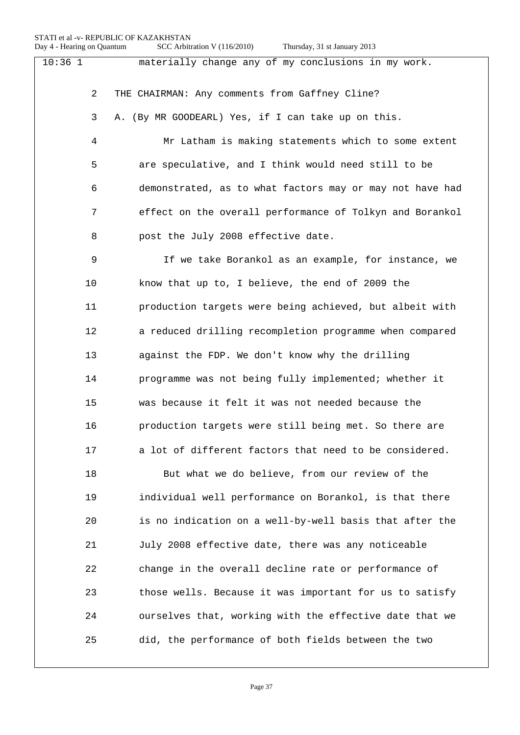| $10:36$ 1      | materially change any of my conclusions in my work.      |
|----------------|----------------------------------------------------------|
| $\overline{2}$ | THE CHAIRMAN: Any comments from Gaffney Cline?           |
| 3              | A. (By MR GOODEARL) Yes, if I can take up on this.       |
| 4              | Mr Latham is making statements which to some extent      |
| 5              | are speculative, and I think would need still to be      |
| 6              | demonstrated, as to what factors may or may not have had |
| 7              | effect on the overall performance of Tolkyn and Borankol |
| 8              | post the July 2008 effective date.                       |
| 9              | If we take Borankol as an example, for instance, we      |
| 10             | know that up to, I believe, the end of 2009 the          |
| 11             | production targets were being achieved, but albeit with  |
| 12             | a reduced drilling recompletion programme when compared  |
| 13             | against the FDP. We don't know why the drilling          |
| 14             | programme was not being fully implemented; whether it    |
| 15             | was because it felt it was not needed because the        |
| 16             | production targets were still being met. So there are    |
| 17             | a lot of different factors that need to be considered.   |
| 18             | But what we do believe, from our review of the           |
| 19             | individual well performance on Borankol, is that there   |
| 20             | is no indication on a well-by-well basis that after the  |
| 21             | July 2008 effective date, there was any noticeable       |
| 22             | change in the overall decline rate or performance of     |
| 23             | those wells. Because it was important for us to satisfy  |
| 24             | ourselves that, working with the effective date that we  |
| 25             | did, the performance of both fields between the two      |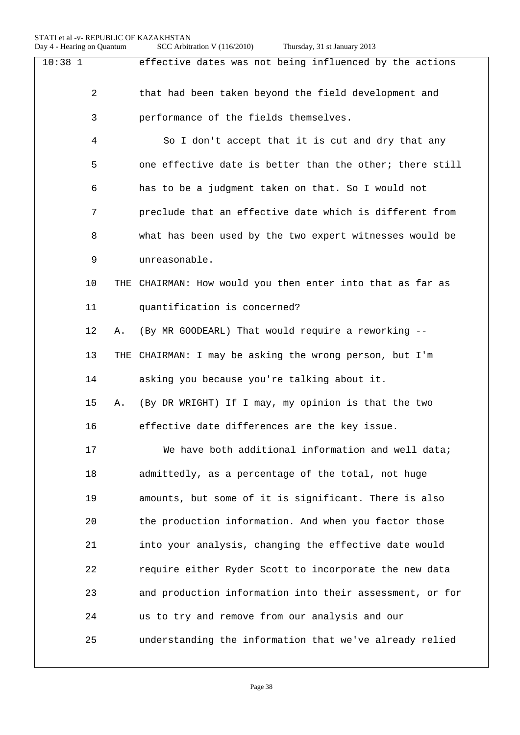| $10:38$ 1      |    | effective dates was not being influenced by the actions    |
|----------------|----|------------------------------------------------------------|
| 2              |    | that had been taken beyond the field development and       |
| 3              |    | performance of the fields themselves.                      |
| 4              |    | So I don't accept that it is cut and dry that any          |
| 5              |    | one effective date is better than the other; there still   |
| 6              |    | has to be a judgment taken on that. So I would not         |
| $7\phantom{.}$ |    | preclude that an effective date which is different from    |
| 8              |    | what has been used by the two expert witnesses would be    |
| $\mathsf 9$    |    | unreasonable.                                              |
| 10             |    | THE CHAIRMAN: How would you then enter into that as far as |
| 11             |    | quantification is concerned?                               |
| 12             | Α. | (By MR GOODEARL) That would require a reworking --         |
| 13             |    | THE CHAIRMAN: I may be asking the wrong person, but I'm    |
| 14             |    | asking you because you're talking about it.                |
| 15             | Α. | (By DR WRIGHT) If I may, my opinion is that the two        |
| 16             |    | effective date differences are the key issue.              |
| 17             |    | We have both additional information and well data;         |
| $18\,$         |    | admittedly, as a percentage of the total, not huge         |
| 19             |    | amounts, but some of it is significant. There is also      |
| 20             |    | the production information. And when you factor those      |
| 21             |    | into your analysis, changing the effective date would      |
| 22             |    | require either Ryder Scott to incorporate the new data     |
| 23             |    | and production information into their assessment, or for   |
| 24             |    | us to try and remove from our analysis and our             |
| 25             |    | understanding the information that we've already relied    |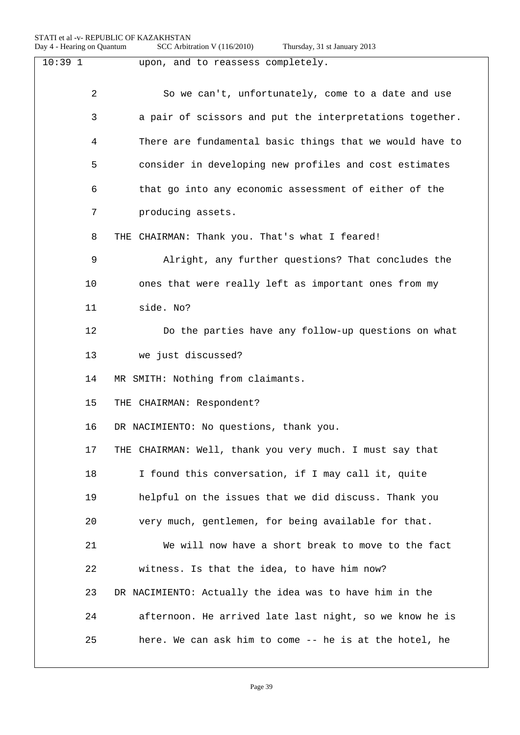| $10:39$ 1 | upon, and to reassess completely.                        |
|-----------|----------------------------------------------------------|
| 2         | So we can't, unfortunately, come to a date and use       |
| 3         | a pair of scissors and put the interpretations together. |
| 4         | There are fundamental basic things that we would have to |
| 5         | consider in developing new profiles and cost estimates   |
| 6         | that go into any economic assessment of either of the    |
| 7         | producing assets.                                        |
| 8         | THE CHAIRMAN: Thank you. That's what I feared!           |
| 9         | Alright, any further questions? That concludes the       |
| 10        | ones that were really left as important ones from my     |
| 11        | side. No?                                                |
| 12        | Do the parties have any follow-up questions on what      |
| 13        | we just discussed?                                       |
| 14        | MR SMITH: Nothing from claimants.                        |
| 15        | THE CHAIRMAN: Respondent?                                |
| 16        | DR NACIMIENTO: No questions, thank you.                  |
| 17        | THE CHAIRMAN: Well, thank you very much. I must say that |
| 18        | I found this conversation, if I may call it, quite       |
| 19        | helpful on the issues that we did discuss. Thank you     |
| 20        | very much, gentlemen, for being available for that.      |
| 21        | We will now have a short break to move to the fact       |
| 22        | witness. Is that the idea, to have him now?              |
| 23        | DR NACIMIENTO: Actually the idea was to have him in the  |
| 24        | afternoon. He arrived late last night, so we know he is  |
| 25        | here. We can ask him to come -- he is at the hotel, he   |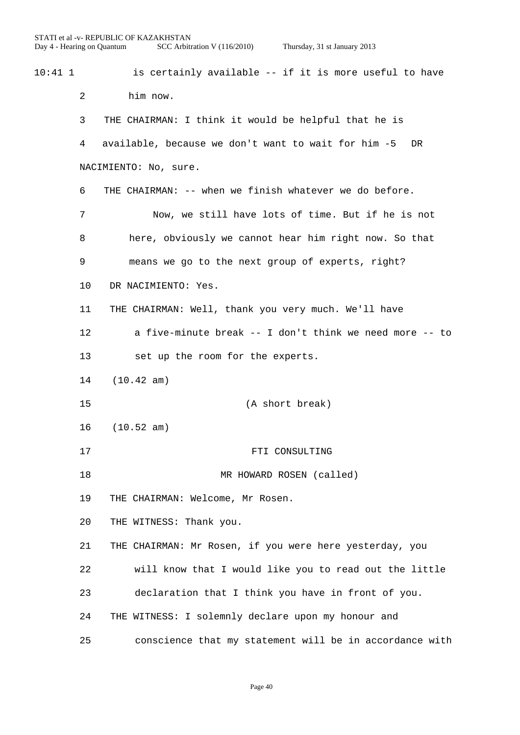10:41 1 is certainly available -- if it is more useful to have him now. THE CHAIRMAN: I think it would be helpful that he is available, because we don't want to wait for him -5 DR NACIMIENTO: No, sure. THE CHAIRMAN: -- when we finish whatever we do before. Now, we still have lots of time. But if he is not here, obviously we cannot hear him right now. So that means we go to the next group of experts, right? DR NACIMIENTO: Yes. THE CHAIRMAN: Well, thank you very much. We'll have a five-minute break -- I don't think we need more -- to set up the room for the experts. (10.42 am) (A short break) (10.52 am) 17 FTI CONSULTING 18 MR HOWARD ROSEN (called) THE CHAIRMAN: Welcome, Mr Rosen. THE WITNESS: Thank you. THE CHAIRMAN: Mr Rosen, if you were here yesterday, you will know that I would like you to read out the little declaration that I think you have in front of you. THE WITNESS: I solemnly declare upon my honour and conscience that my statement will be in accordance with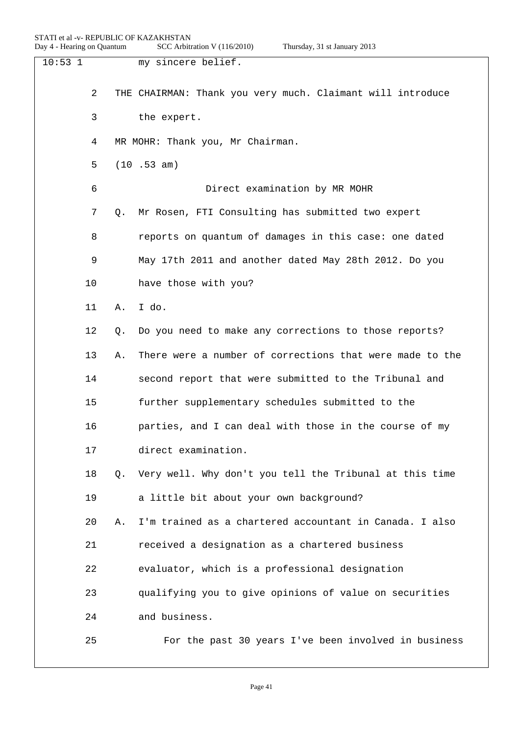|  |  | Thursday, 31 st January 2013 |  |
|--|--|------------------------------|--|
|--|--|------------------------------|--|

| $10:53$ 1 |    | my sincere belief.                                         |
|-----------|----|------------------------------------------------------------|
| 2         |    | THE CHAIRMAN: Thank you very much. Claimant will introduce |
| 3         |    | the expert.                                                |
| 4         |    | MR MOHR: Thank you, Mr Chairman.                           |
| 5         |    | (10.53 am)                                                 |
| 6         |    | Direct examination by MR MOHR                              |
| 7         | O. | Mr Rosen, FTI Consulting has submitted two expert          |
| 8         |    | reports on quantum of damages in this case: one dated      |
| 9         |    | May 17th 2011 and another dated May 28th 2012. Do you      |
| 10        |    | have those with you?                                       |
| 11        | Α. | I do.                                                      |
| 12        | Q. | Do you need to make any corrections to those reports?      |
| 13        | Α. | There were a number of corrections that were made to the   |
| 14        |    | second report that were submitted to the Tribunal and      |
| 15        |    | further supplementary schedules submitted to the           |
| 16        |    | parties, and I can deal with those in the course of my     |
| 17        |    | direct examination.                                        |
| 18        | Q. | Very well. Why don't you tell the Tribunal at this time    |
| 19        |    | a little bit about your own background?                    |
| 20        | Α. | I'm trained as a chartered accountant in Canada. I also    |
| 21        |    | received a designation as a chartered business             |
| 22        |    | evaluator, which is a professional designation             |
| 23        |    | qualifying you to give opinions of value on securities     |
| 24        |    | and business.                                              |
| 25        |    | For the past 30 years I've been involved in business       |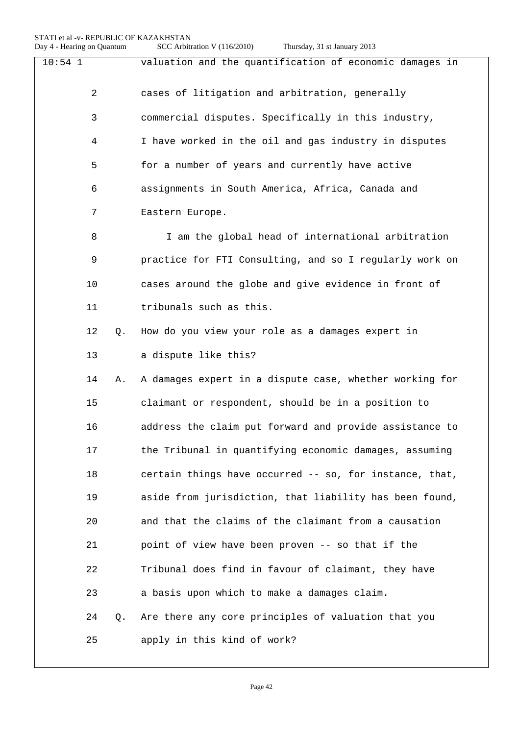| $10:54$ 1 |                |    | valuation and the quantification of economic damages in |
|-----------|----------------|----|---------------------------------------------------------|
|           | $\overline{2}$ |    | cases of litigation and arbitration, generally          |
|           | 3              |    | commercial disputes. Specifically in this industry,     |
|           | 4              |    | I have worked in the oil and gas industry in disputes   |
|           | 5              |    | for a number of years and currently have active         |
|           | 6              |    | assignments in South America, Africa, Canada and        |
|           | 7              |    | Eastern Europe.                                         |
|           | 8              |    | I am the global head of international arbitration       |
|           | 9              |    | practice for FTI Consulting, and so I regularly work on |
|           | 10             |    | cases around the globe and give evidence in front of    |
|           | 11             |    | tribunals such as this.                                 |
|           | 12             | Q. | How do you view your role as a damages expert in        |
|           | 13             |    | a dispute like this?                                    |
|           | 14             | Α. | A damages expert in a dispute case, whether working for |
|           | 15             |    | claimant or respondent, should be in a position to      |
|           | 16             |    | address the claim put forward and provide assistance to |
|           | 17             |    | the Tribunal in quantifying economic damages, assuming  |
|           | 18             |    | certain things have occurred -- so, for instance, that, |
|           | 19             |    | aside from jurisdiction, that liability has been found, |
|           | 20             |    | and that the claims of the claimant from a causation    |
|           | 21             |    | point of view have been proven -- so that if the        |
|           | 22             |    | Tribunal does find in favour of claimant, they have     |
|           | 23             |    | a basis upon which to make a damages claim.             |
|           | 24             | Q. | Are there any core principles of valuation that you     |
|           | 25             |    | apply in this kind of work?                             |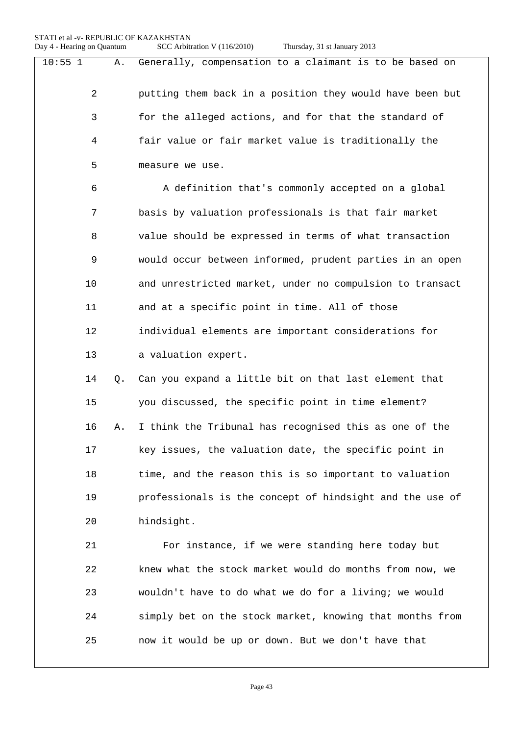| $10:55$ 1      | Α. | Generally, compensation to a claimant is to be based on  |
|----------------|----|----------------------------------------------------------|
| $\overline{a}$ |    | putting them back in a position they would have been but |
| 3              |    | for the alleged actions, and for that the standard of    |
| 4              |    | fair value or fair market value is traditionally the     |
| 5              |    | measure we use.                                          |
| 6              |    | A definition that's commonly accepted on a global        |
| 7              |    | basis by valuation professionals is that fair market     |
| 8              |    | value should be expressed in terms of what transaction   |
| 9              |    | would occur between informed, prudent parties in an open |
| 10             |    | and unrestricted market, under no compulsion to transact |
| 11             |    | and at a specific point in time. All of those            |
| 12             |    | individual elements are important considerations for     |
| 13             |    | a valuation expert.                                      |
| 14             | Q. | Can you expand a little bit on that last element that    |
| 15             |    | you discussed, the specific point in time element?       |
| 16             | Α. | I think the Tribunal has recognised this as one of the   |
| 17             |    | key issues, the valuation date, the specific point in    |
| 18             |    | time, and the reason this is so important to valuation   |
| 19             |    | professionals is the concept of hindsight and the use of |
| 20             |    | hindsight.                                               |
| 21             |    | For instance, if we were standing here today but         |
| 22             |    | knew what the stock market would do months from now, we  |
| 23             |    | wouldn't have to do what we do for a living; we would    |
| 24             |    | simply bet on the stock market, knowing that months from |
| 25             |    | now it would be up or down. But we don't have that       |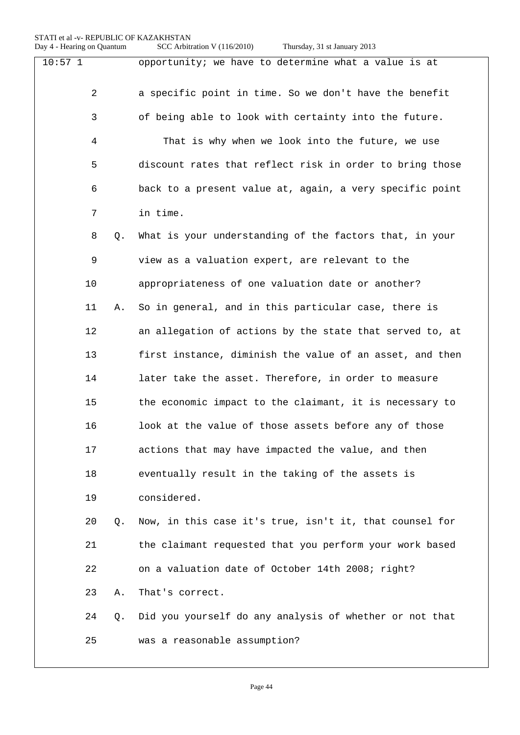| Thursday, 31 st January 2013 |  |  |  |
|------------------------------|--|--|--|
|------------------------------|--|--|--|

| $10:57$ 1 |    | opportunity; we have to determine what a value is at     |
|-----------|----|----------------------------------------------------------|
| 2         |    | a specific point in time. So we don't have the benefit   |
| 3         |    | of being able to look with certainty into the future.    |
| 4         |    | That is why when we look into the future, we use         |
| 5         |    | discount rates that reflect risk in order to bring those |
| 6         |    | back to a present value at, again, a very specific point |
| 7         |    | in time.                                                 |
| 8         | Q. | What is your understanding of the factors that, in your  |
| 9         |    | view as a valuation expert, are relevant to the          |
| 10        |    | appropriateness of one valuation date or another?        |
| 11        | Α. | So in general, and in this particular case, there is     |
| 12        |    | an allegation of actions by the state that served to, at |
| 13        |    | first instance, diminish the value of an asset, and then |
| 14        |    | later take the asset. Therefore, in order to measure     |
| 15        |    | the economic impact to the claimant, it is necessary to  |
| 16        |    | look at the value of those assets before any of those    |
| 17        |    | actions that may have impacted the value, and then       |
| 18        |    | eventually result in the taking of the assets is         |
| 19        |    | considered.                                              |
| 20        | Q. | Now, in this case it's true, isn't it, that counsel for  |
| 21        |    | the claimant requested that you perform your work based  |
| 22        |    | on a valuation date of October 14th 2008; right?         |
| 23        | Α. | That's correct.                                          |
| 24        | Q. | Did you yourself do any analysis of whether or not that  |
| 25        |    | was a reasonable assumption?                             |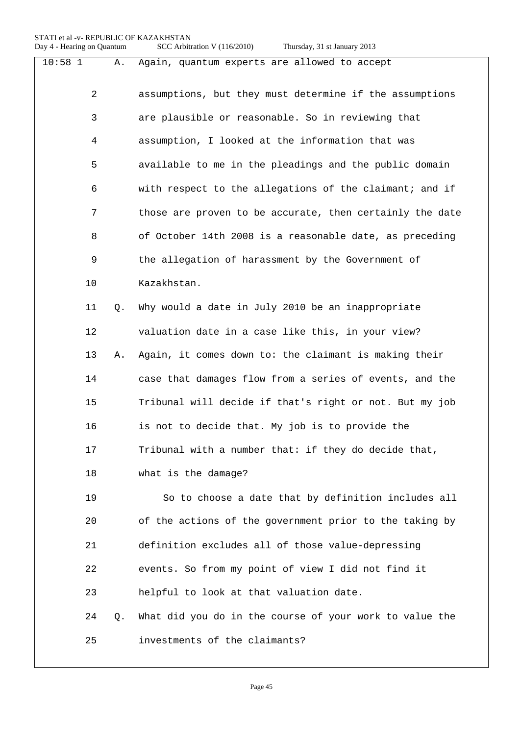## STATI et al -v- REPUBLIC OF KAZAKHSTAN<br>Day 4 - Hearing on Quantum SCC Arbitr

| $10:58$ 1      | Α. | Again, quantum experts are allowed to accept             |
|----------------|----|----------------------------------------------------------|
| $\overline{a}$ |    | assumptions, but they must determine if the assumptions  |
| 3              |    | are plausible or reasonable. So in reviewing that        |
| 4              |    | assumption, I looked at the information that was         |
| 5              |    | available to me in the pleadings and the public domain   |
| 6              |    | with respect to the allegations of the claimant; and if  |
| 7              |    | those are proven to be accurate, then certainly the date |
| 8              |    | of October 14th 2008 is a reasonable date, as preceding  |
| 9              |    | the allegation of harassment by the Government of        |
| 10             |    | Kazakhstan.                                              |
| 11             | Q. | Why would a date in July 2010 be an inappropriate        |
| 12             |    | valuation date in a case like this, in your view?        |
| 13             | Α. | Again, it comes down to: the claimant is making their    |
| 14             |    | case that damages flow from a series of events, and the  |
| 15             |    | Tribunal will decide if that's right or not. But my job  |
| 16             |    | is not to decide that. My job is to provide the          |
| 17             |    | Tribunal with a number that: if they do decide that,     |
| 18             |    | what is the damage?                                      |
| 19             |    | So to choose a date that by definition includes all      |
| 20             |    | of the actions of the government prior to the taking by  |
| 21             |    | definition excludes all of those value-depressing        |
| 22             |    | events. So from my point of view I did not find it       |
| 23             |    | helpful to look at that valuation date.                  |
| 24             | Q. | What did you do in the course of your work to value the  |
| 25             |    | investments of the claimants?                            |
|                |    |                                                          |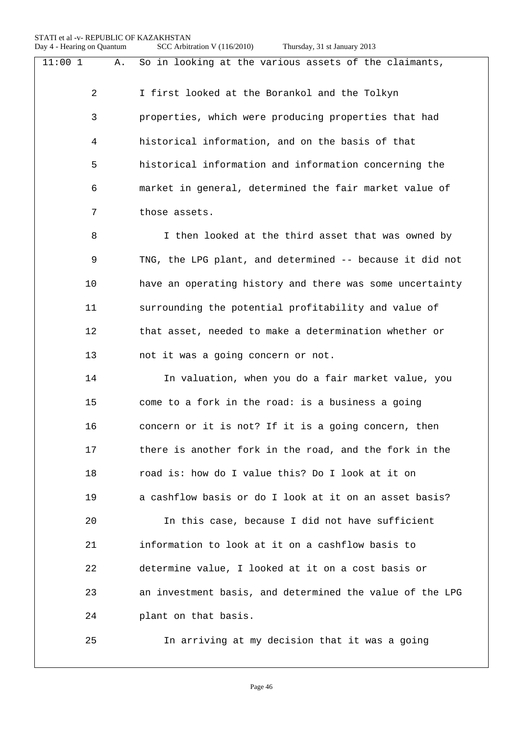| 11:001         | So in looking at the various assets of the claimants,<br>Α. |
|----------------|-------------------------------------------------------------|
| $\overline{2}$ | I first looked at the Borankol and the Tolkyn               |
| 3              | properties, which were producing properties that had        |
| 4              | historical information, and on the basis of that            |
| 5              | historical information and information concerning the       |
| 6              | market in general, determined the fair market value of      |
| 7              | those assets.                                               |
| 8              | I then looked at the third asset that was owned by          |
| 9              | TNG, the LPG plant, and determined -- because it did not    |
| 10             | have an operating history and there was some uncertainty    |
| 11             | surrounding the potential profitability and value of        |
| 12             | that asset, needed to make a determination whether or       |
| 13             | not it was a going concern or not.                          |
| 14             | In valuation, when you do a fair market value, you          |
| 15             | come to a fork in the road: is a business a going           |
| 16             | concern or it is not? If it is a going concern, then        |
| 17             | there is another fork in the road, and the fork in the      |
| 18             | road is: how do I value this? Do I look at it on            |
| 19             | a cashflow basis or do I look at it on an asset basis?      |
| 20             | In this case, because I did not have sufficient             |
| 21             | information to look at it on a cashflow basis to            |
| 22             | determine value, I looked at it on a cost basis or          |
| 23             | an investment basis, and determined the value of the LPG    |
| 24             | plant on that basis.                                        |
| 25             | In arriving at my decision that it was a going              |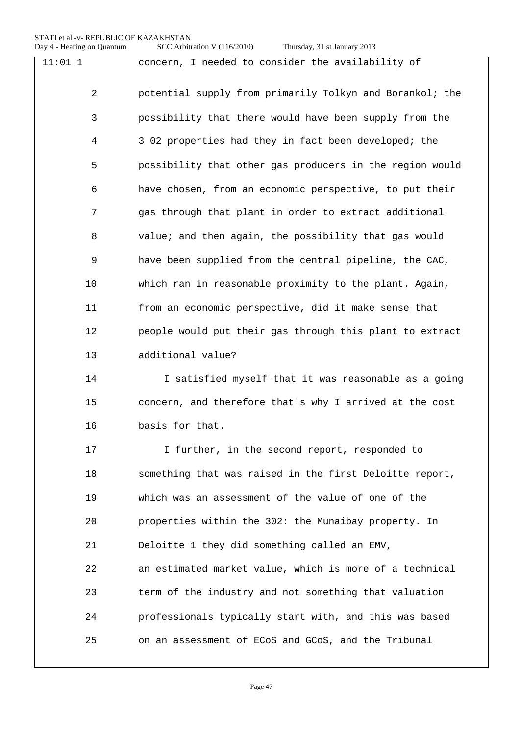| $11:01$ 1      | concern, I needed to consider the availability of        |
|----------------|----------------------------------------------------------|
|                |                                                          |
| $\overline{2}$ | potential supply from primarily Tolkyn and Borankol; the |
| 3              | possibility that there would have been supply from the   |
| 4              | 3 02 properties had they in fact been developed; the     |
| 5              | possibility that other gas producers in the region would |
| 6              | have chosen, from an economic perspective, to put their  |
| 7              | gas through that plant in order to extract additional    |
| 8              | value; and then again, the possibility that gas would    |
| 9              | have been supplied from the central pipeline, the CAC,   |
| 10             | which ran in reasonable proximity to the plant. Again,   |
| 11             | from an economic perspective, did it make sense that     |
| 12             | people would put their gas through this plant to extract |
| 13             | additional value?                                        |
| 14             | I satisfied myself that it was reasonable as a going     |
| 15             | concern, and therefore that's why I arrived at the cost  |
| 16             | basis for that.                                          |
| 17             | I further, in the second report, responded to            |
| 18             | something that was raised in the first Deloitte report,  |
| 19             | which was an assessment of the value of one of the       |
| 20             | properties within the 302: the Munaibay property. In     |
| 21             | Deloitte 1 they did something called an EMV,             |
| 22             | an estimated market value, which is more of a technical  |
| 23             | term of the industry and not something that valuation    |
| 24             | professionals typically start with, and this was based   |
| 25             | on an assessment of ECoS and GCoS, and the Tribunal      |
|                |                                                          |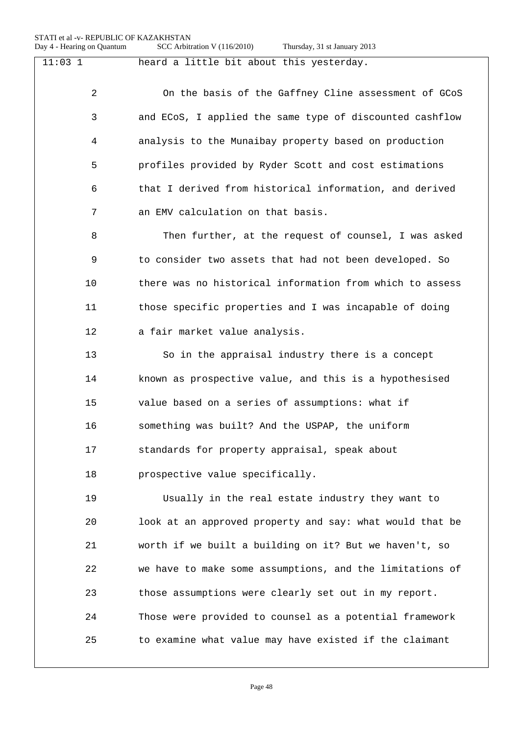| $11:03$ 1      | heard a little bit about this yesterday.                 |
|----------------|----------------------------------------------------------|
| $\overline{2}$ | On the basis of the Gaffney Cline assessment of GCoS     |
| 3              | and ECoS, I applied the same type of discounted cashflow |
| 4              | analysis to the Munaibay property based on production    |
| 5              | profiles provided by Ryder Scott and cost estimations    |
| 6              | that I derived from historical information, and derived  |
| 7              | an EMV calculation on that basis.                        |
| 8              | Then further, at the request of counsel, I was asked     |
| 9              | to consider two assets that had not been developed. So   |
| 10             | there was no historical information from which to assess |
| 11             | those specific properties and I was incapable of doing   |
| 12             | a fair market value analysis.                            |
| 13             | So in the appraisal industry there is a concept          |
| 14             | known as prospective value, and this is a hypothesised   |
| 15             | value based on a series of assumptions: what if          |
| 16             | something was built? And the USPAP, the uniform          |
| 17             | standards for property appraisal, speak about            |
| 18             | prospective value specifically.                          |
| 19             | Usually in the real estate industry they want to         |
| 20             | look at an approved property and say: what would that be |
| 21             | worth if we built a building on it? But we haven't, so   |
| 22             | we have to make some assumptions, and the limitations of |
| 23             | those assumptions were clearly set out in my report.     |
| 24             | Those were provided to counsel as a potential framework  |
| 25             | to examine what value may have existed if the claimant   |
|                |                                                          |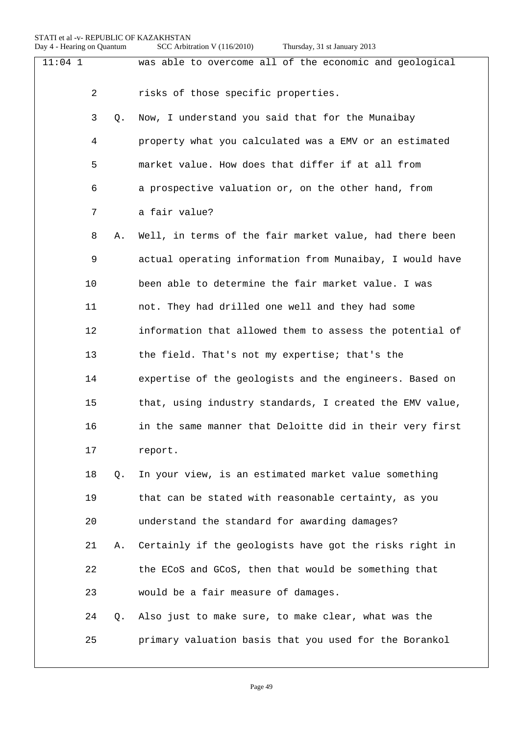| $11:04$ 1 |    |    | was able to overcome all of the economic and geological  |
|-----------|----|----|----------------------------------------------------------|
|           | 2  |    | risks of those specific properties.                      |
|           | 3  | Q. | Now, I understand you said that for the Munaibay         |
|           | 4  |    | property what you calculated was a EMV or an estimated   |
|           | 5  |    | market value. How does that differ if at all from        |
|           | 6  |    | a prospective valuation or, on the other hand, from      |
|           | 7  |    | a fair value?                                            |
|           | 8  | Α. | Well, in terms of the fair market value, had there been  |
|           | 9  |    | actual operating information from Munaibay, I would have |
|           | 10 |    | been able to determine the fair market value. I was      |
|           | 11 |    | not. They had drilled one well and they had some         |
|           | 12 |    | information that allowed them to assess the potential of |
|           | 13 |    | the field. That's not my expertise; that's the           |
|           | 14 |    | expertise of the geologists and the engineers. Based on  |
|           | 15 |    | that, using industry standards, I created the EMV value, |
|           | 16 |    | in the same manner that Deloitte did in their very first |
|           | 17 |    | report.                                                  |
|           | 18 | Q. | In your view, is an estimated market value something     |
|           | 19 |    | that can be stated with reasonable certainty, as you     |
|           | 20 |    | understand the standard for awarding damages?            |
|           | 21 | Α. | Certainly if the geologists have got the risks right in  |
|           | 22 |    | the ECoS and GCoS, then that would be something that     |
|           | 23 |    | would be a fair measure of damages.                      |
|           | 24 | Q. | Also just to make sure, to make clear, what was the      |
|           | 25 |    | primary valuation basis that you used for the Borankol   |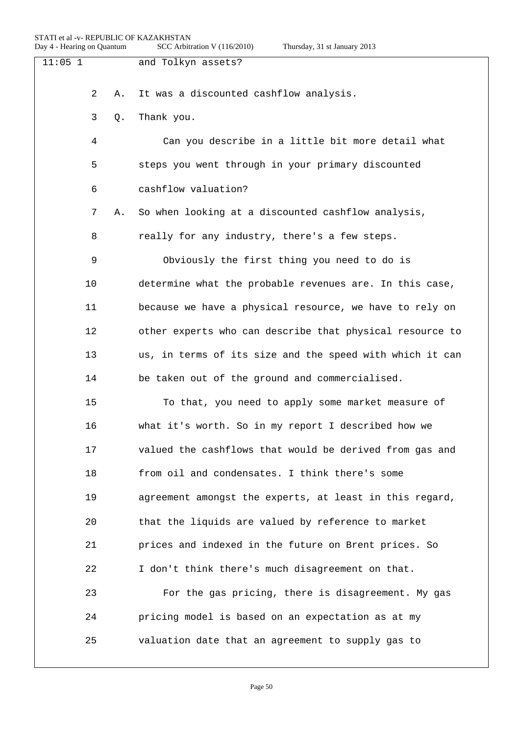| Thursday, 31 st January 2013 |  |  |
|------------------------------|--|--|
|                              |  |  |

| $11:05$ 1      |    | and Tolkyn assets?                                       |
|----------------|----|----------------------------------------------------------|
| $\overline{2}$ | Α. | It was a discounted cashflow analysis.                   |
| 3              | Q. | Thank you.                                               |
| 4              |    | Can you describe in a little bit more detail what        |
| 5              |    | steps you went through in your primary discounted        |
| 6              |    | cashflow valuation?                                      |
| 7              | Α. | So when looking at a discounted cashflow analysis,       |
| 8              |    | really for any industry, there's a few steps.            |
| 9              |    | Obviously the first thing you need to do is              |
| 10             |    | determine what the probable revenues are. In this case,  |
| 11             |    | because we have a physical resource, we have to rely on  |
| 12             |    | other experts who can describe that physical resource to |
| 13             |    | us, in terms of its size and the speed with which it can |
| 14             |    | be taken out of the ground and commercialised.           |
| 15             |    | To that, you need to apply some market measure of        |
| 16             |    | what it's worth. So in my report I described how we      |
| 17             |    | valued the cashflows that would be derived from gas and  |
| 18             |    | from oil and condensates. I think there's some           |
| 19             |    | agreement amongst the experts, at least in this regard,  |
| 20             |    | that the liquids are valued by reference to market       |
| 21             |    | prices and indexed in the future on Brent prices. So     |
| 22             |    | I don't think there's much disagreement on that.         |
| 23             |    | For the gas pricing, there is disagreement. My gas       |
| 24             |    | pricing model is based on an expectation as at my        |
| 25             |    | valuation date that an agreement to supply gas to        |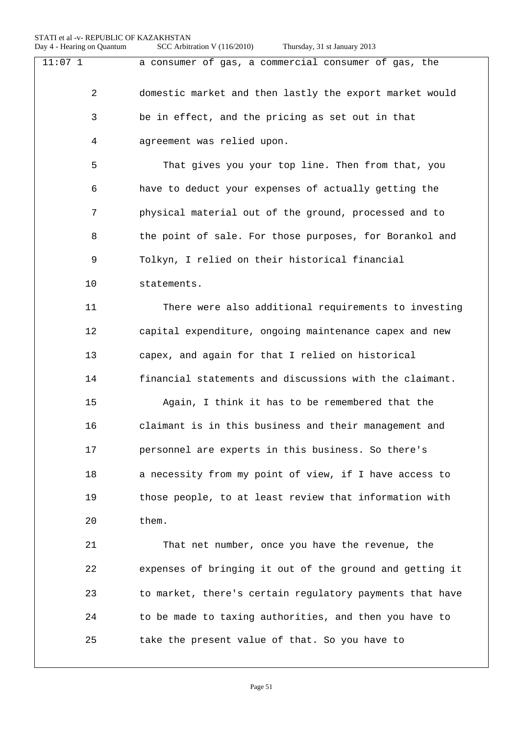10 statements.

11:07 1 a consumer of gas, a commercial consumer of gas, the

2 domestic market and then lastly the export market would 3 be in effect, and the pricing as set out in that 4 agreement was relied upon.

5 That gives you your top line. Then from that, you 6 have to deduct your expenses of actually getting the 7 physical material out of the ground, processed and to 8 the point of sale. For those purposes, for Borankol and 9 Tolkyn, I relied on their historical financial

11 There were also additional requirements to investing 12 capital expenditure, ongoing maintenance capex and new 13 capex, and again for that I relied on historical 14 financial statements and discussions with the claimant.

15 Again, I think it has to be remembered that the 16 claimant is in this business and their management and 17 personnel are experts in this business. So there's 18 a necessity from my point of view, if I have access to 19 those people, to at least review that information with 20 them.

21 That net number, once you have the revenue, the 22 expenses of bringing it out of the ground and getting it 23 to market, there's certain regulatory payments that have 24 to be made to taxing authorities, and then you have to 25 take the present value of that. So you have to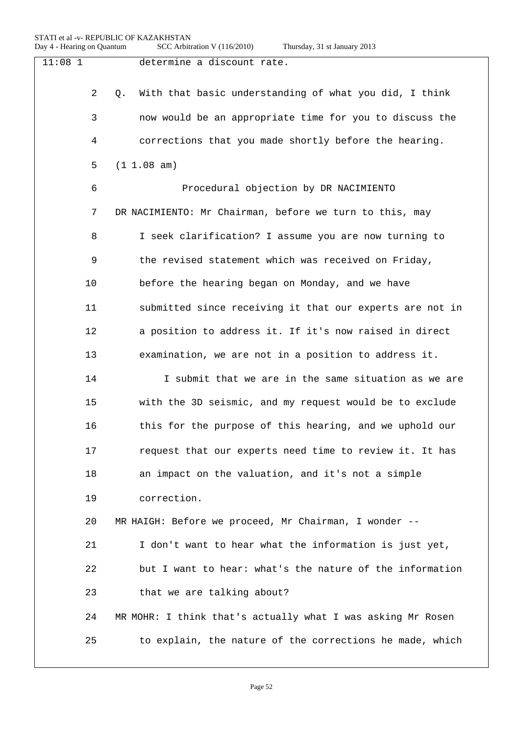| $11:08$ 1      | determine a discount rate.                                   |
|----------------|--------------------------------------------------------------|
|                |                                                              |
| $\overline{2}$ | With that basic understanding of what you did, I think<br>Q. |
| 3              | now would be an appropriate time for you to discuss the      |
| 4              | corrections that you made shortly before the hearing.        |
| 5              | (1 1.08 am)                                                  |
| 6              | Procedural objection by DR NACIMIENTO                        |
| 7              | DR NACIMIENTO: Mr Chairman, before we turn to this, may      |
| 8              | I seek clarification? I assume you are now turning to        |
| 9              | the revised statement which was received on Friday,          |
| 10             | before the hearing began on Monday, and we have              |
| 11             | submitted since receiving it that our experts are not in     |
| 12             | a position to address it. If it's now raised in direct       |
| 13             | examination, we are not in a position to address it.         |
| 14             | I submit that we are in the same situation as we are         |
| 15             | with the 3D seismic, and my request would be to exclude      |
| 16             | this for the purpose of this hearing, and we uphold our      |
| 17             | request that our experts need time to review it. It has      |
| 18             | an impact on the valuation, and it's not a simple            |
| 19             | correction.                                                  |
| 20             | MR HAIGH: Before we proceed, Mr Chairman, I wonder --        |
| 21             | I don't want to hear what the information is just yet,       |
| 22             | but I want to hear: what's the nature of the information     |
| 23             | that we are talking about?                                   |
| 24             | MR MOHR: I think that's actually what I was asking Mr Rosen  |
| 25             | to explain, the nature of the corrections he made, which     |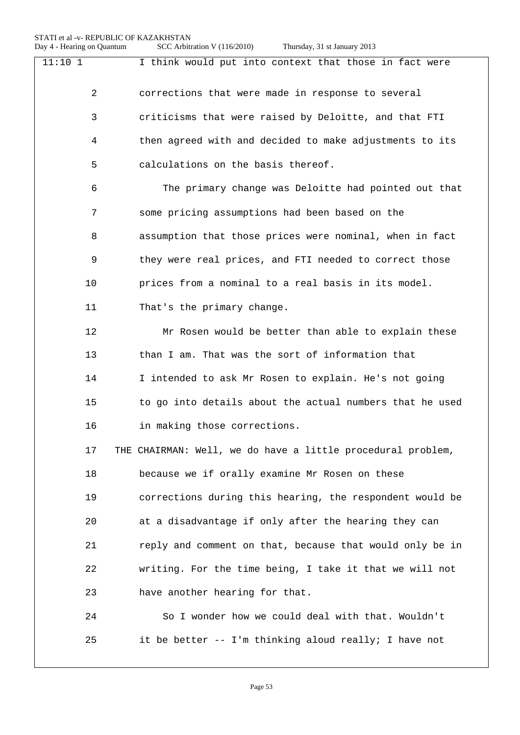| $11:10$ 1 | I think would put into context that those in fact were      |
|-----------|-------------------------------------------------------------|
| 2         | corrections that were made in response to several           |
| 3         | criticisms that were raised by Deloitte, and that FTI       |
| 4         | then agreed with and decided to make adjustments to its     |
| 5         | calculations on the basis thereof.                          |
| 6         | The primary change was Deloitte had pointed out that        |
| 7         | some pricing assumptions had been based on the              |
| 8         | assumption that those prices were nominal, when in fact     |
| 9         | they were real prices, and FTI needed to correct those      |
| 10        | prices from a nominal to a real basis in its model.         |
| 11        | That's the primary change.                                  |
| 12        | Mr Rosen would be better than able to explain these         |
| 13        | than I am. That was the sort of information that            |
| 14        | I intended to ask Mr Rosen to explain. He's not going       |
| 15        | to go into details about the actual numbers that he used    |
| 16        | in making those corrections.                                |
| 17        | THE CHAIRMAN: Well, we do have a little procedural problem, |
| 18        | because we if orally examine Mr Rosen on these              |
| 19        | corrections during this hearing, the respondent would be    |
| 20        | at a disadvantage if only after the hearing they can        |
| 21        | reply and comment on that, because that would only be in    |
| 22        | writing. For the time being, I take it that we will not     |
| 23        | have another hearing for that.                              |
| 24        | So I wonder how we could deal with that. Wouldn't           |
| 25        | it be better -- I'm thinking aloud really; I have not       |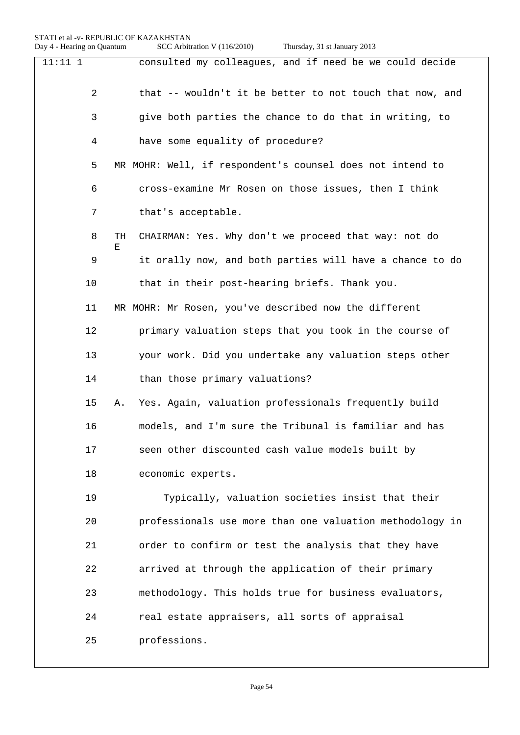| 11:111         | consulted my colleagues, and if need be we could decide         |
|----------------|-----------------------------------------------------------------|
| $\overline{2}$ | that -- wouldn't it be better to not touch that now, and        |
| 3              | give both parties the chance to do that in writing, to          |
| 4              | have some equality of procedure?                                |
| 5              | MR MOHR: Well, if respondent's counsel does not intend to       |
| 6              | cross-examine Mr Rosen on those issues, then I think            |
| 7              | that's acceptable.                                              |
| 8              | TH<br>CHAIRMAN: Yes. Why don't we proceed that way: not do<br>Е |
| 9              | it orally now, and both parties will have a chance to do        |
| 10             | that in their post-hearing briefs. Thank you.                   |
| 11             | MR MOHR: Mr Rosen, you've described now the different           |
| 12             | primary valuation steps that you took in the course of          |
| 13             | your work. Did you undertake any valuation steps other          |
| 14             | than those primary valuations?                                  |
| 15             | Yes. Again, valuation professionals frequently build<br>Α.      |
| 16             | models, and I'm sure the Tribunal is familiar and has           |
| 17             | seen other discounted cash value models built by                |
| 18             | economic experts.                                               |
| 19             | Typically, valuation societies insist that their                |
| 20             | professionals use more than one valuation methodology in        |
| 21             | order to confirm or test the analysis that they have            |
| 22             | arrived at through the application of their primary             |
| 23             | methodology. This holds true for business evaluators,           |
| 24             | real estate appraisers, all sorts of appraisal                  |
| 25             | professions.                                                    |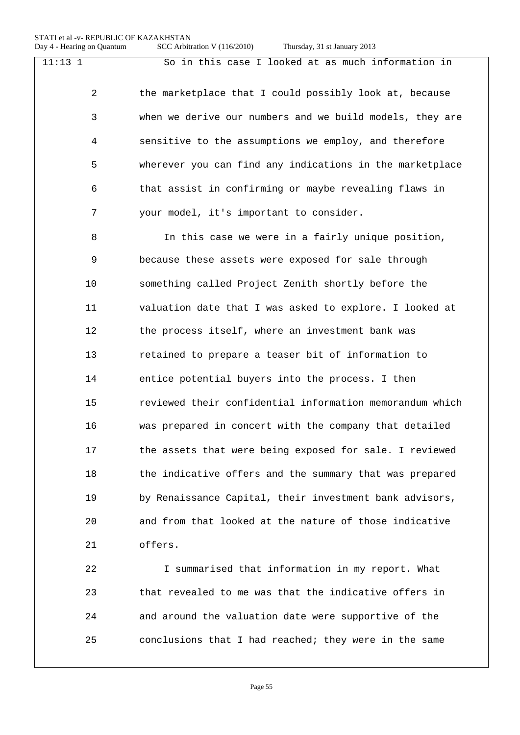|           | $5CC/1101141011 + 110/2010$<br>111 runsuay, 91 st January 2019 |  |
|-----------|----------------------------------------------------------------|--|
| $11:13$ 1 | So in this case I looked at as much information in             |  |
| 2         | the marketplace that I could possibly look at, because         |  |
| 3         | when we derive our numbers and we build models, they are       |  |
| 4         | sensitive to the assumptions we employ, and therefore          |  |
| 5         | wherever you can find any indications in the marketplace       |  |
| 6         | that assist in confirming or maybe revealing flaws in          |  |
| 7         | your model, it's important to consider.                        |  |
| 8         | In this case we were in a fairly unique position,              |  |
| 9         | because these assets were exposed for sale through             |  |
| 10        | something called Project Zenith shortly before the             |  |
| 11        | valuation date that I was asked to explore. I looked at        |  |
| 12        | the process itself, where an investment bank was               |  |
| 13        | retained to prepare a teaser bit of information to             |  |
| 14        | entice potential buyers into the process. I then               |  |
| 15        | reviewed their confidential information memorandum which       |  |
| 16        | was prepared in concert with the company that detailed         |  |
| 17        | the assets that were being exposed for sale. I reviewed        |  |
| 18        | the indicative offers and the summary that was prepared        |  |
| 19        | by Renaissance Capital, their investment bank advisors,        |  |
| 20        | and from that looked at the nature of those indicative         |  |
| 21        | offers.                                                        |  |
| 22        | I summarised that information in my report. What               |  |
| 23        | that revealed to me was that the indicative offers in          |  |
| 24        | and around the valuation date were supportive of the           |  |

25 conclusions that I had reached; they were in the same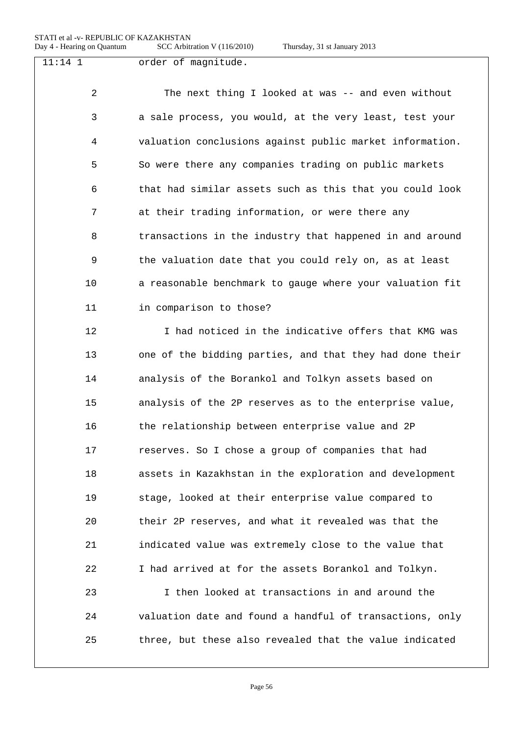| $11:14$ 1      | order of magnitude.                                      |
|----------------|----------------------------------------------------------|
| $\overline{2}$ | The next thing I looked at was -- and even without       |
| 3              | a sale process, you would, at the very least, test your  |
| 4              | valuation conclusions against public market information. |
| 5              | So were there any companies trading on public markets    |
| 6              | that had similar assets such as this that you could look |
| 7              | at their trading information, or were there any          |
| 8              | transactions in the industry that happened in and around |
| $\mathsf 9$    | the valuation date that you could rely on, as at least   |
| 10             | a reasonable benchmark to gauge where your valuation fit |
| 11             | in comparison to those?                                  |
| 12             | I had noticed in the indicative offers that KMG was      |
| 13             | one of the bidding parties, and that they had done their |
| 14             | analysis of the Borankol and Tolkyn assets based on      |
| 15             | analysis of the 2P reserves as to the enterprise value,  |
| 16             | the relationship between enterprise value and 2P         |
| 17             | reserves. So I chose a group of companies that had       |
| $18\,$         | assets in Kazakhstan in the exploration and development  |
| 19             | stage, looked at their enterprise value compared to      |
| 20             | their 2P reserves, and what it revealed was that the     |
| 21             | indicated value was extremely close to the value that    |
| 22             | I had arrived at for the assets Borankol and Tolkyn.     |
| 23             | I then looked at transactions in and around the          |
| 24             | valuation date and found a handful of transactions, only |
| 25             | three, but these also revealed that the value indicated  |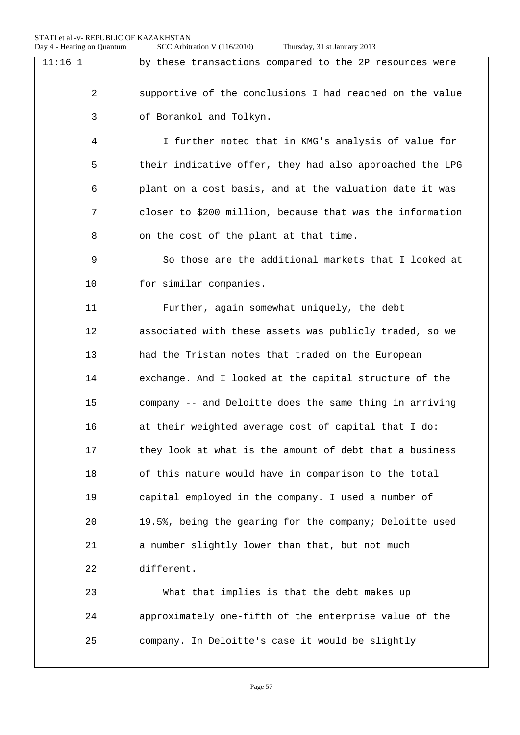Day 4 - Hearing on Quantum SCC Arbitration V (116/2010) Thursday, 31 st January 2013 11:16 1 by these transactions compared to the 2P resources were 2 supportive of the conclusions I had reached on the value 3 of Borankol and Tolkyn. 4 I further noted that in KMG's analysis of value for 5 their indicative offer, they had also approached the LPG 6 plant on a cost basis, and at the valuation date it was 7 closer to \$200 million, because that was the information 8 on the cost of the plant at that time. 9 So those are the additional markets that I looked at 10 for similar companies. 11 Further, again somewhat uniquely, the debt 12 associated with these assets was publicly traded, so we 13 had the Tristan notes that traded on the European 14 exchange. And I looked at the capital structure of the 15 company -- and Deloitte does the same thing in arriving 16 at their weighted average cost of capital that I do: 17 they look at what is the amount of debt that a business 18 of this nature would have in comparison to the total 19 capital employed in the company. I used a number of 20 19.5%, being the gearing for the company; Deloitte used 21 a number slightly lower than that, but not much

22 different.

23 What that implies is that the debt makes up 24 approximately one-fifth of the enterprise value of the 25 company. In Deloitte's case it would be slightly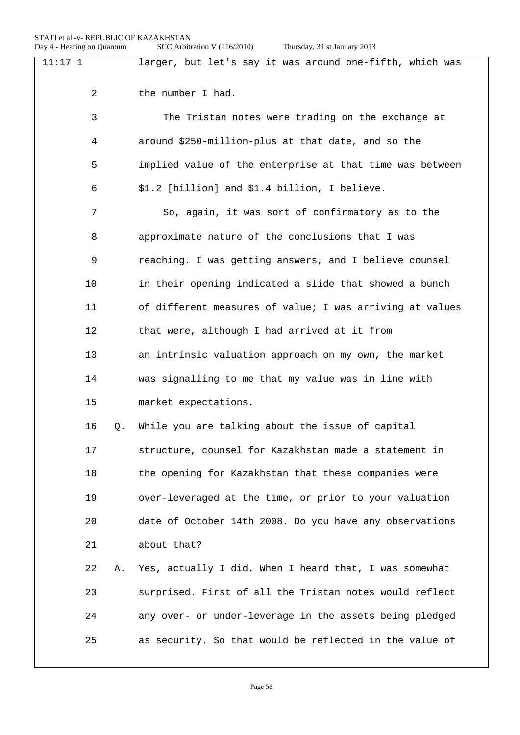| 11:171 |    | larger, but let's say it was around one-fifth, which was |  |  |
|--------|----|----------------------------------------------------------|--|--|
| 2      |    | the number I had.                                        |  |  |
| 3      |    | The Tristan notes were trading on the exchange at        |  |  |
| 4      |    | around \$250-million-plus at that date, and so the       |  |  |
| 5      |    | implied value of the enterprise at that time was between |  |  |
| 6      |    | \$1.2 [billion] and \$1.4 billion, I believe.            |  |  |
| 7      |    | So, again, it was sort of confirmatory as to the         |  |  |
| 8      |    | approximate nature of the conclusions that I was         |  |  |
| 9      |    | reaching. I was getting answers, and I believe counsel   |  |  |
| 10     |    | in their opening indicated a slide that showed a bunch   |  |  |
| 11     |    | of different measures of value; I was arriving at values |  |  |
| 12     |    | that were, although I had arrived at it from             |  |  |
| 13     |    | an intrinsic valuation approach on my own, the market    |  |  |
| 14     |    | was signalling to me that my value was in line with      |  |  |
| 15     |    | market expectations.                                     |  |  |
| 16     | O. | While you are talking about the issue of capital         |  |  |
| $17$   |    | structure, counsel for Kazakhstan made a statement in    |  |  |
| 18     |    | the opening for Kazakhstan that these companies were     |  |  |
| 19     |    | over-leveraged at the time, or prior to your valuation   |  |  |
| 20     |    | date of October 14th 2008. Do you have any observations  |  |  |
| 21     |    | about that?                                              |  |  |
| 22     | Α. | Yes, actually I did. When I heard that, I was somewhat   |  |  |
| 23     |    | surprised. First of all the Tristan notes would reflect  |  |  |
| 24     |    | any over- or under-leverage in the assets being pledged  |  |  |
| 25     |    | as security. So that would be reflected in the value of  |  |  |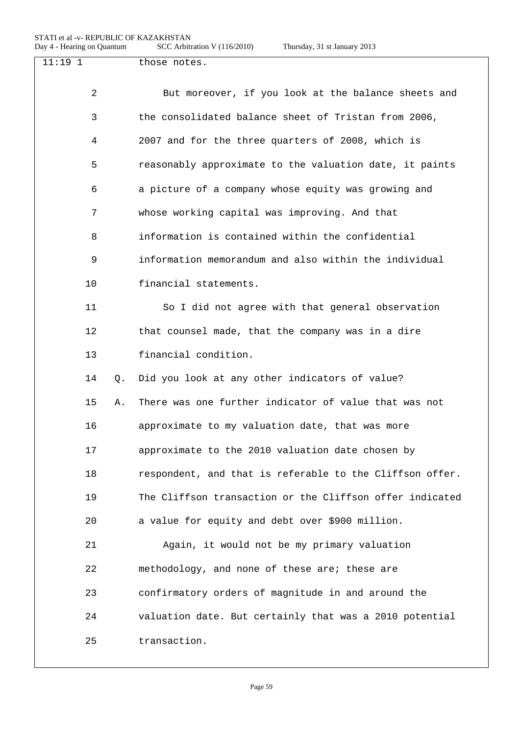| $11:19$ 1 |    |    | those notes.                                             |
|-----------|----|----|----------------------------------------------------------|
|           | 2  |    | But moreover, if you look at the balance sheets and      |
|           | 3  |    | the consolidated balance sheet of Tristan from 2006,     |
|           | 4  |    | 2007 and for the three quarters of 2008, which is        |
|           | 5  |    | reasonably approximate to the valuation date, it paints  |
|           | 6  |    | a picture of a company whose equity was growing and      |
|           | 7  |    | whose working capital was improving. And that            |
|           | 8  |    | information is contained within the confidential         |
|           | 9  |    | information memorandum and also within the individual    |
|           | 10 |    | financial statements.                                    |
|           | 11 |    | So I did not agree with that general observation         |
|           | 12 |    | that counsel made, that the company was in a dire        |
|           | 13 |    | financial condition.                                     |
|           | 14 | Q. | Did you look at any other indicators of value?           |
|           | 15 | Α. | There was one further indicator of value that was not    |
|           | 16 |    | approximate to my valuation date, that was more          |
|           | 17 |    | approximate to the 2010 valuation date chosen by         |
|           | 18 |    | respondent, and that is referable to the Cliffson offer. |
|           | 19 |    | The Cliffson transaction or the Cliffson offer indicated |
|           | 20 |    | a value for equity and debt over \$900 million.          |
|           | 21 |    | Again, it would not be my primary valuation              |
|           | 22 |    | methodology, and none of these are; these are            |
|           | 23 |    | confirmatory orders of magnitude in and around the       |
|           | 24 |    | valuation date. But certainly that was a 2010 potential  |
|           | 25 |    | transaction.                                             |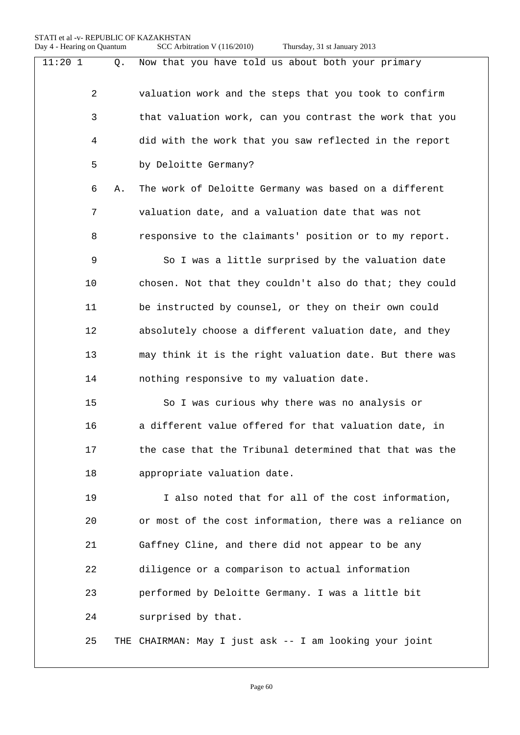| $11:20$ 1 | Q.             | Now that you have told us about both your primary        |
|-----------|----------------|----------------------------------------------------------|
|           | $\overline{2}$ | valuation work and the steps that you took to confirm    |
|           | 3              | that valuation work, can you contrast the work that you  |
|           | 4              | did with the work that you saw reflected in the report   |
|           | 5              | by Deloitte Germany?                                     |
|           | 6<br>Α.        | The work of Deloitte Germany was based on a different    |
|           | 7              | valuation date, and a valuation date that was not        |
|           | 8              | responsive to the claimants' position or to my report.   |
|           | 9              | So I was a little surprised by the valuation date        |
| 10        |                | chosen. Not that they couldn't also do that; they could  |
| 11        |                | be instructed by counsel, or they on their own could     |
| 12        |                | absolutely choose a different valuation date, and they   |
| 13        |                | may think it is the right valuation date. But there was  |
| 14        |                | nothing responsive to my valuation date.                 |
| 15        |                | So I was curious why there was no analysis or            |
| 16        |                | a different value offered for that valuation date, in    |
|           | 17             | the case that the Tribunal determined that that was the  |
| 18        |                | appropriate valuation date.                              |
| 19        |                | I also noted that for all of the cost information,       |
| 20        |                | or most of the cost information, there was a reliance on |
|           | 21             | Gaffney Cline, and there did not appear to be any        |
| 22        |                | diligence or a comparison to actual information          |
| 23        |                | performed by Deloitte Germany. I was a little bit        |
| 24        |                | surprised by that.                                       |
|           | 25             | THE CHAIRMAN: May I just ask -- I am looking your joint  |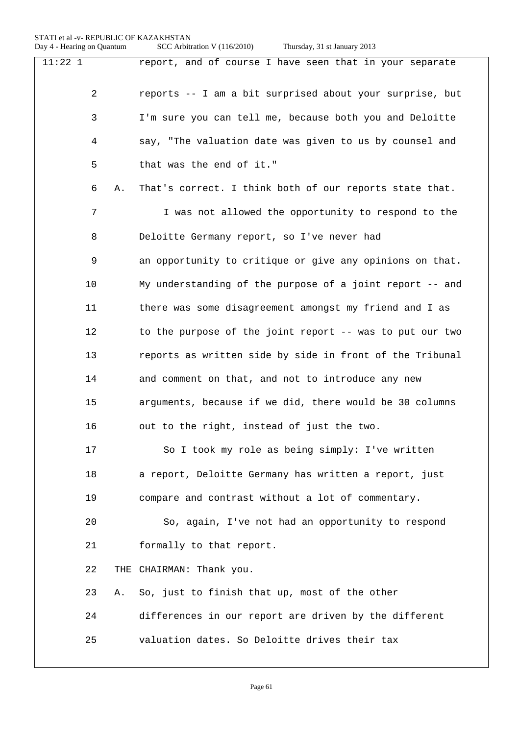| $11:22$ 1 |    | report, and of course I have seen that in your separate  |  |
|-----------|----|----------------------------------------------------------|--|
| 2         |    | reports -- I am a bit surprised about your surprise, but |  |
| 3         |    | I'm sure you can tell me, because both you and Deloitte  |  |
| 4         |    | say, "The valuation date was given to us by counsel and  |  |
| 5         |    | that was the end of it."                                 |  |
| 6         | Α. | That's correct. I think both of our reports state that.  |  |
| 7         |    | I was not allowed the opportunity to respond to the      |  |
| 8         |    | Deloitte Germany report, so I've never had               |  |
| 9         |    | an opportunity to critique or give any opinions on that. |  |
| 10        |    | My understanding of the purpose of a joint report -- and |  |
| 11        |    | there was some disagreement amongst my friend and I as   |  |
| 12        |    | to the purpose of the joint report -- was to put our two |  |
| 13        |    | reports as written side by side in front of the Tribunal |  |
| 14        |    | and comment on that, and not to introduce any new        |  |
| 15        |    | arguments, because if we did, there would be 30 columns  |  |
| 16        |    | out to the right, instead of just the two.               |  |
| 17        |    | So I took my role as being simply: I've written          |  |
| 18        |    | a report, Deloitte Germany has written a report, just    |  |
| 19        |    | compare and contrast without a lot of commentary.        |  |
| 20        |    | So, again, I've not had an opportunity to respond        |  |
| 21        |    | formally to that report.                                 |  |
| 22        |    | THE CHAIRMAN: Thank you.                                 |  |
| 23        | Α. | So, just to finish that up, most of the other            |  |
| 24        |    | differences in our report are driven by the different    |  |
| 25        |    | valuation dates. So Deloitte drives their tax            |  |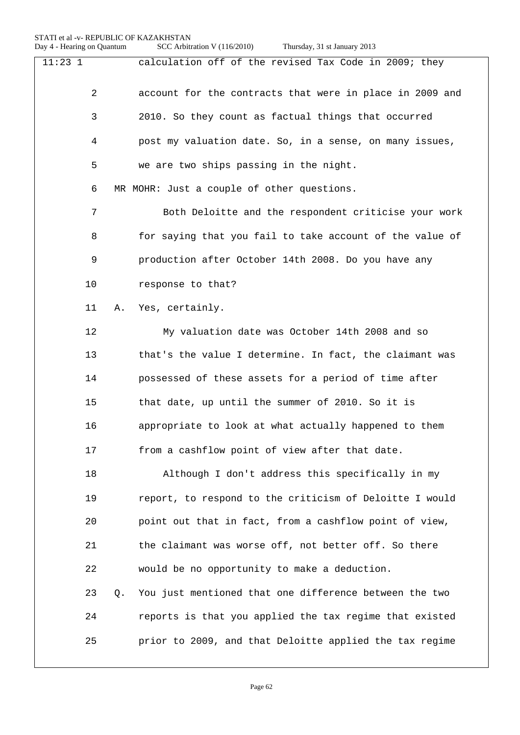| $11:23$ 1      |           | calculation off of the revised Tax Code in 2009; they    |
|----------------|-----------|----------------------------------------------------------|
| $\overline{2}$ |           | account for the contracts that were in place in 2009 and |
| 3              |           | 2010. So they count as factual things that occurred      |
| 4              |           | post my valuation date. So, in a sense, on many issues,  |
| 5              |           | we are two ships passing in the night.                   |
| 6              |           | MR MOHR: Just a couple of other questions.               |
| 7              |           | Both Deloitte and the respondent criticise your work     |
| 8              |           | for saying that you fail to take account of the value of |
| 9              |           | production after October 14th 2008. Do you have any      |
| 10             |           | response to that?                                        |
| 11             | Α.        | Yes, certainly.                                          |
| 12             |           | My valuation date was October 14th 2008 and so           |
| 13             |           | that's the value I determine. In fact, the claimant was  |
| 14             |           | possessed of these assets for a period of time after     |
| 15             |           | that date, up until the summer of 2010. So it is         |
| 16             |           | appropriate to look at what actually happened to them    |
| 17             |           | from a cashflow point of view after that date.           |
| 18             |           | Although I don't address this specifically in my         |
| 19             |           | report, to respond to the criticism of Deloitte I would  |
| 20             |           | point out that in fact, from a cashflow point of view,   |
| 21             |           | the claimant was worse off, not better off. So there     |
| 22             |           | would be no opportunity to make a deduction.             |
| 23             | $\circ$ . | You just mentioned that one difference between the two   |
| 24             |           | reports is that you applied the tax regime that existed  |
| 25             |           | prior to 2009, and that Deloitte applied the tax regime  |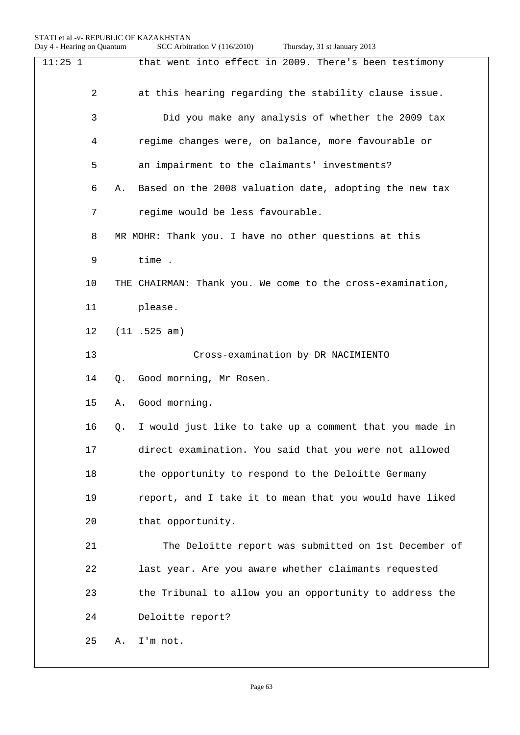| at this hearing regarding the stability clause issue.      |
|------------------------------------------------------------|
| Did you make any analysis of whether the 2009 tax          |
| regime changes were, on balance, more favourable or        |
| an impairment to the claimants' investments?               |
| Based on the 2008 valuation date, adopting the new tax     |
|                                                            |
| MR MOHR: Thank you. I have no other questions at this      |
|                                                            |
| THE CHAIRMAN: Thank you. We come to the cross-examination, |
|                                                            |
|                                                            |
| Cross-examination by DR NACIMIENTO                         |
|                                                            |
|                                                            |
| I would just like to take up a comment that you made in    |
| direct examination. You said that you were not allowed     |
| the opportunity to respond to the Deloitte Germany         |
| report, and I take it to mean that you would have liked    |
|                                                            |
| The Deloitte report was submitted on 1st December of       |
| last year. Are you aware whether claimants requested       |
| the Tribunal to allow you an opportunity to address the    |
|                                                            |
|                                                            |
|                                                            |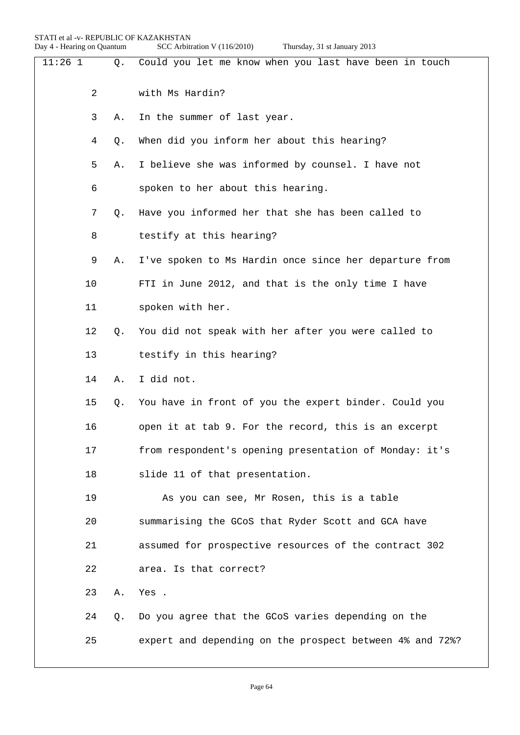| $11:26$ 1 | Q. | Could you let me know when you last have been in touch   |  |
|-----------|----|----------------------------------------------------------|--|
| 2         |    | with Ms Hardin?                                          |  |
| 3         | Α. | In the summer of last year.                              |  |
| 4         | Q. | When did you inform her about this hearing?              |  |
| 5         | Α. | I believe she was informed by counsel. I have not        |  |
| 6         |    | spoken to her about this hearing.                        |  |
| 7         | Q. | Have you informed her that she has been called to        |  |
| 8         |    | testify at this hearing?                                 |  |
| 9         | Α. | I've spoken to Ms Hardin once since her departure from   |  |
| 10        |    | FTI in June 2012, and that is the only time I have       |  |
| 11        |    | spoken with her.                                         |  |
| 12        | Q. | You did not speak with her after you were called to      |  |
| 13        |    | testify in this hearing?                                 |  |
| 14        | Α. | I did not.                                               |  |
| 15        | Q. | You have in front of you the expert binder. Could you    |  |
| 16        |    | open it at tab 9. For the record, this is an excerpt     |  |
| 17        |    | from respondent's opening presentation of Monday: it's   |  |
| 18        |    | slide 11 of that presentation.                           |  |
| 19        |    | As you can see, Mr Rosen, this is a table                |  |
| 20        |    | summarising the GCoS that Ryder Scott and GCA have       |  |
| 21        |    | assumed for prospective resources of the contract 302    |  |
| 22        |    | area. Is that correct?                                   |  |
| 23        | Α. | Yes.                                                     |  |
| 24        | Q. | Do you agree that the GCoS varies depending on the       |  |
| 25        |    | expert and depending on the prospect between 4% and 72%? |  |
|           |    |                                                          |  |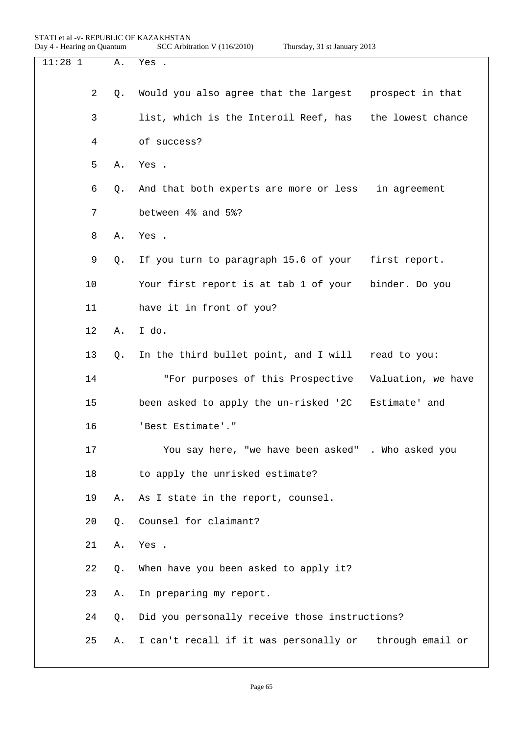| $11:28$ 1 | Α. | Yes .                                                   |                    |
|-----------|----|---------------------------------------------------------|--------------------|
|           |    |                                                         |                    |
| 2         | Q. | Would you also agree that the largest prospect in that  |                    |
| 3         |    | list, which is the Interoil Reef, has the lowest chance |                    |
| 4         |    | of success?                                             |                    |
| 5         | Α. | Yes .                                                   |                    |
| 6         | Q. | And that both experts are more or less in agreement     |                    |
| 7         |    | between 4% and 5%?                                      |                    |
| 8         | Α. | Yes.                                                    |                    |
| 9         | О. | If you turn to paragraph 15.6 of your                   | first report.      |
| 10        |    | Your first report is at tab 1 of your                   | binder. Do you     |
| 11        |    | have it in front of you?                                |                    |
| $12 \,$   | Α. | I do.                                                   |                    |
| 13        | Q. | In the third bullet point, and I will                   | read to you:       |
| 14        |    | "For purposes of this Prospective                       | Valuation, we have |
| 15        |    | been asked to apply the un-risked '2C                   | Estimate' and      |
| 16        |    | 'Best Estimate'."                                       |                    |
| 17        |    | You say here, "we have been asked" . Who asked you      |                    |
| 18        |    | to apply the unrisked estimate?                         |                    |
| 19        | Α. | As I state in the report, counsel.                      |                    |
| 20        | Q. | Counsel for claimant?                                   |                    |
| 21        | Α. | Yes.                                                    |                    |
| 22        | Q. | When have you been asked to apply it?                   |                    |
| 23        | Α. | In preparing my report.                                 |                    |
| 24        | Q. | Did you personally receive those instructions?          |                    |
| 25        | Α. | I can't recall if it was personally or through email or |                    |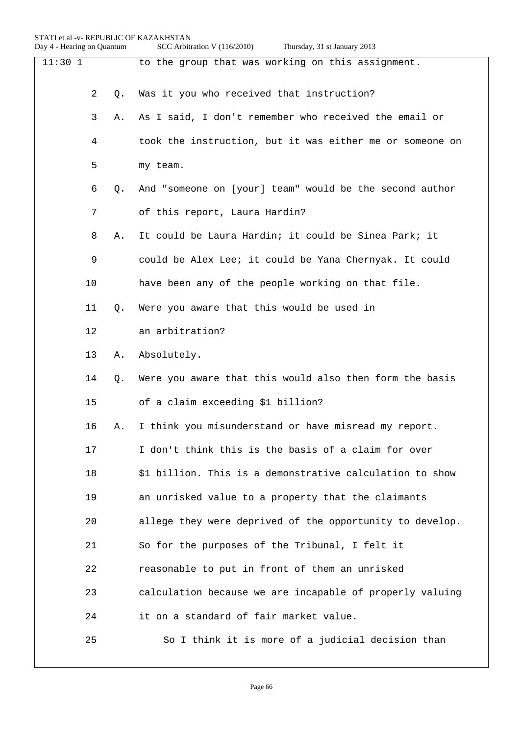| STATI et al -v- REPUBLIC OF KAZAKHSTAN<br>Day 4 - Hearing on Quantum |    |       | SCC Arbitration V (116/2010)<br>Thursday, 31 st January 2013 |  |  |  |
|----------------------------------------------------------------------|----|-------|--------------------------------------------------------------|--|--|--|
| $11:30$ 1                                                            |    |       | to the group that was working on this assignment.            |  |  |  |
|                                                                      | 2  | $Q$ . | Was it you who received that instruction?                    |  |  |  |
|                                                                      | 3  | Α.    | As I said, I don't remember who received the email or        |  |  |  |
|                                                                      | 4  |       | took the instruction, but it was either me or someone on     |  |  |  |
|                                                                      | 5  |       | my team.                                                     |  |  |  |
|                                                                      | 6  | Q.    | And "someone on [your] team" would be the second author      |  |  |  |
|                                                                      | 7  |       | of this report, Laura Hardin?                                |  |  |  |
|                                                                      | 8  | Α.    | It could be Laura Hardin; it could be Sinea Park; it         |  |  |  |
|                                                                      | 9  |       | could be Alex Lee; it could be Yana Chernyak. It could       |  |  |  |
|                                                                      | 10 |       | have been any of the people working on that file.            |  |  |  |
|                                                                      | 11 | Q.    | Were you aware that this would be used in                    |  |  |  |
|                                                                      | 12 |       | an arbitration?                                              |  |  |  |
|                                                                      | 13 | Α.    | Absolutely.                                                  |  |  |  |
|                                                                      | 14 | Q.    | Were you aware that this would also then form the basis      |  |  |  |
|                                                                      | 15 |       | of a claim exceeding \$1 billion?                            |  |  |  |
|                                                                      | 16 | Α.    | I think you misunderstand or have misread my report.         |  |  |  |
|                                                                      | 17 |       | I don't think this is the basis of a claim for over          |  |  |  |
|                                                                      | 18 |       | \$1 billion. This is a demonstrative calculation to show     |  |  |  |
|                                                                      | 19 |       | an unrisked value to a property that the claimants           |  |  |  |
|                                                                      | 20 |       | allege they were deprived of the opportunity to develop.     |  |  |  |
|                                                                      | 21 |       | So for the purposes of the Tribunal, I felt it               |  |  |  |
|                                                                      | 22 |       | reasonable to put in front of them an unrisked               |  |  |  |
|                                                                      | 23 |       | calculation because we are incapable of properly valuing     |  |  |  |
|                                                                      | 24 |       | it on a standard of fair market value.                       |  |  |  |
|                                                                      | 25 |       | So I think it is more of a judicial decision than            |  |  |  |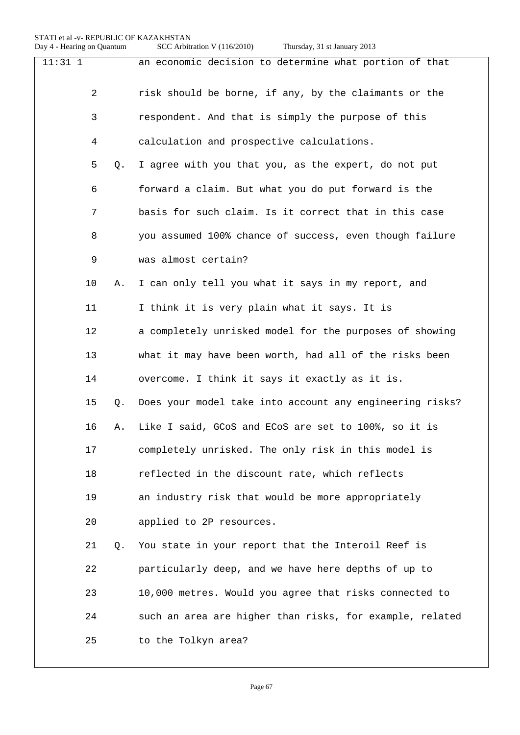| $11:31$ 1 |    |    | an economic decision to determine what portion of that   |
|-----------|----|----|----------------------------------------------------------|
|           | 2  |    | risk should be borne, if any, by the claimants or the    |
|           | 3  |    | respondent. And that is simply the purpose of this       |
|           | 4  |    | calculation and prospective calculations.                |
|           | 5  | О. | I agree with you that you, as the expert, do not put     |
|           | 6  |    | forward a claim. But what you do put forward is the      |
|           | 7  |    | basis for such claim. Is it correct that in this case    |
|           | 8  |    | you assumed 100% chance of success, even though failure  |
|           | 9  |    | was almost certain?                                      |
|           | 10 | Α. | I can only tell you what it says in my report, and       |
|           | 11 |    | I think it is very plain what it says. It is             |
|           | 12 |    | a completely unrisked model for the purposes of showing  |
|           | 13 |    | what it may have been worth, had all of the risks been   |
|           | 14 |    | overcome. I think it says it exactly as it is.           |
|           | 15 | Q. | Does your model take into account any engineering risks? |
|           | 16 | Α. | Like I said, GCoS and ECoS are set to 100%, so it is     |
|           | 17 |    | completely unrisked. The only risk in this model is      |
|           | 18 |    | reflected in the discount rate, which reflects           |
|           | 19 |    | an industry risk that would be more appropriately        |
|           | 20 |    | applied to 2P resources.                                 |
|           | 21 | О. | You state in your report that the Interoil Reef is       |
|           | 22 |    | particularly deep, and we have here depths of up to      |
|           | 23 |    | 10,000 metres. Would you agree that risks connected to   |
|           | 24 |    | such an area are higher than risks, for example, related |
|           | 25 |    | to the Tolkyn area?                                      |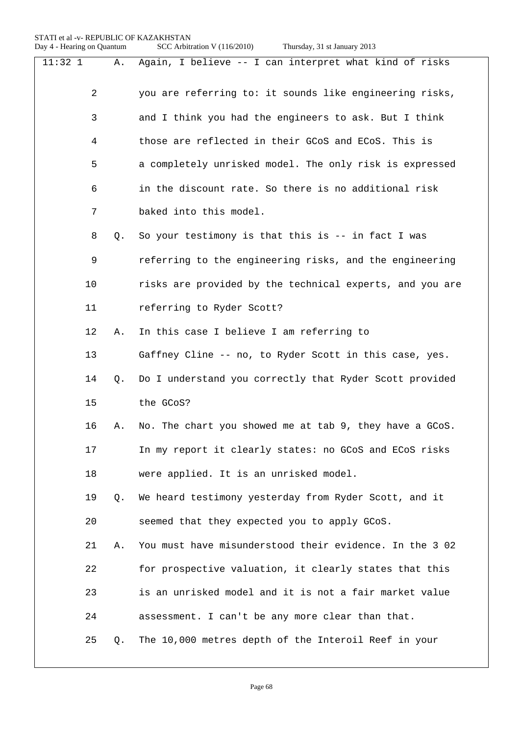| $11:32$ 1 |                | Α. | Again, I believe -- I can interpret what kind of risks   |
|-----------|----------------|----|----------------------------------------------------------|
|           |                |    |                                                          |
|           | $\overline{2}$ |    | you are referring to: it sounds like engineering risks,  |
|           | 3              |    | and I think you had the engineers to ask. But I think    |
|           | 4              |    | those are reflected in their GCoS and ECoS. This is      |
|           | 5              |    | a completely unrisked model. The only risk is expressed  |
|           | 6              |    | in the discount rate. So there is no additional risk     |
|           | 7              |    | baked into this model.                                   |
|           | 8              | Q. | So your testimony is that this is -- in fact I was       |
|           | 9              |    | referring to the engineering risks, and the engineering  |
|           | 10             |    | risks are provided by the technical experts, and you are |
|           | 11             |    | referring to Ryder Scott?                                |
|           | 12             | Α. | In this case I believe I am referring to                 |
|           | 13             |    | Gaffney Cline -- no, to Ryder Scott in this case, yes.   |
|           | 14             | Q. | Do I understand you correctly that Ryder Scott provided  |
|           | 15             |    | the GCoS?                                                |
|           | 16             | Α. | No. The chart you showed me at tab 9, they have a GCoS.  |
|           | 17             |    | In my report it clearly states: no GCoS and ECoS risks   |
|           | 18             |    | were applied. It is an unrisked model.                   |
|           | 19             | Q. | We heard testimony yesterday from Ryder Scott, and it    |
|           | 20             |    | seemed that they expected you to apply GCoS.             |
|           | 21             | Α. | You must have misunderstood their evidence. In the 3 02  |
|           | 22             |    | for prospective valuation, it clearly states that this   |
|           | 23             |    | is an unrisked model and it is not a fair market value   |
|           | 24             |    | assessment. I can't be any more clear than that.         |
|           | 25             | Q. | The 10,000 metres depth of the Interoil Reef in your     |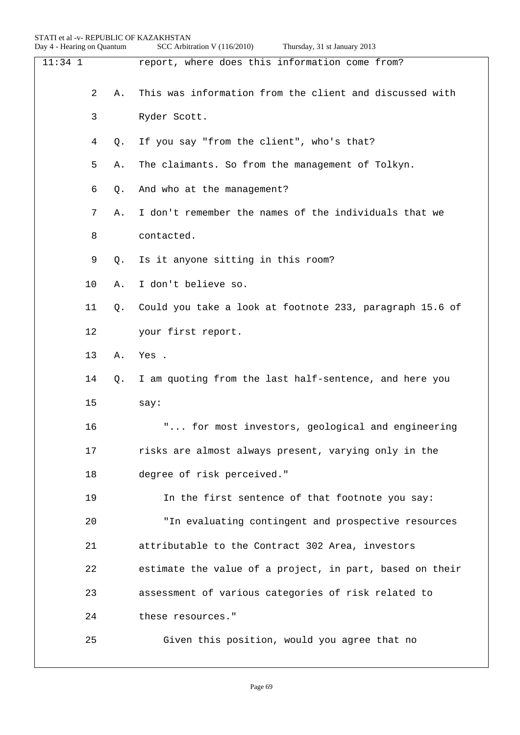| $11:34$ 1 |                |    | report, where does this information come from?           |  |  |
|-----------|----------------|----|----------------------------------------------------------|--|--|
|           | $\overline{2}$ | Α. | This was information from the client and discussed with  |  |  |
|           | 3              |    | Ryder Scott.                                             |  |  |
|           | 4              | Q. | If you say "from the client", who's that?                |  |  |
|           | 5              | Α. | The claimants. So from the management of Tolkyn.         |  |  |
|           | 6              | Q. | And who at the management?                               |  |  |
|           | 7              | Α. | I don't remember the names of the individuals that we    |  |  |
|           | 8              |    | contacted.                                               |  |  |
|           | 9              | Q. | Is it anyone sitting in this room?                       |  |  |
|           | 10             | Α. | I don't believe so.                                      |  |  |
|           | 11             | O. | Could you take a look at footnote 233, paragraph 15.6 of |  |  |
|           | 12             |    | your first report.                                       |  |  |
|           | 13             | Α. | Yes.                                                     |  |  |
|           | 14             | Q. | I am quoting from the last half-sentence, and here you   |  |  |
|           | 15             |    | say:                                                     |  |  |
|           | 16             |    | " for most investors, geological and engineering         |  |  |
|           | 17             |    | risks are almost always present, varying only in the     |  |  |
|           | 18             |    | degree of risk perceived."                               |  |  |
|           | 19             |    | In the first sentence of that footnote you say:          |  |  |
|           | 20             |    | "In evaluating contingent and prospective resources      |  |  |
|           | 21             |    | attributable to the Contract 302 Area, investors         |  |  |
|           | 22             |    | estimate the value of a project, in part, based on their |  |  |
|           | 23             |    | assessment of various categories of risk related to      |  |  |
|           | 24             |    | these resources."                                        |  |  |
|           | 25             |    | Given this position, would you agree that no             |  |  |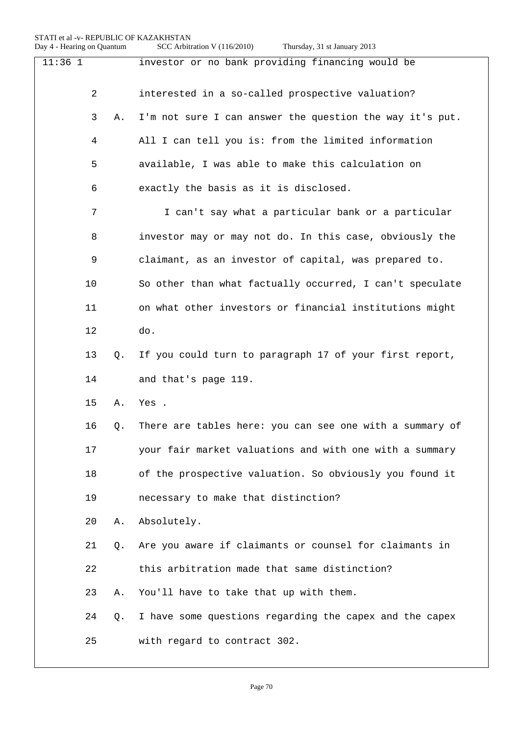| $11:36$ 1 |                |    | investor or no bank providing financing would be         |
|-----------|----------------|----|----------------------------------------------------------|
|           | $\overline{2}$ |    | interested in a so-called prospective valuation?         |
|           | 3              | Α. | I'm not sure I can answer the question the way it's put. |
|           | 4              |    | All I can tell you is: from the limited information      |
|           | 5              |    | available, I was able to make this calculation on        |
|           | 6              |    | exactly the basis as it is disclosed.                    |
|           | 7              |    | I can't say what a particular bank or a particular       |
|           | 8              |    | investor may or may not do. In this case, obviously the  |
|           | 9              |    | claimant, as an investor of capital, was prepared to.    |
|           | 10             |    | So other than what factually occurred, I can't speculate |
|           | 11             |    | on what other investors or financial institutions might  |
|           | 12             |    | do.                                                      |
|           | 13             | Q. | If you could turn to paragraph 17 of your first report,  |
|           | 14             |    | and that's page 119.                                     |
|           | 15             | Α. | Yes .                                                    |
|           | 16             | Q. | There are tables here: you can see one with a summary of |
|           | 17             |    | your fair market valuations and with one with a summary  |
|           | 18             |    | of the prospective valuation. So obviously you found it  |
|           | 19             |    | necessary to make that distinction?                      |
|           | 20             | Α. | Absolutely.                                              |
|           | 21             | O. | Are you aware if claimants or counsel for claimants in   |
|           | 22             |    | this arbitration made that same distinction?             |
|           | 23             | Α. | You'll have to take that up with them.                   |
|           | 24             | Q. | I have some questions regarding the capex and the capex  |
|           | 25             |    | with regard to contract 302.                             |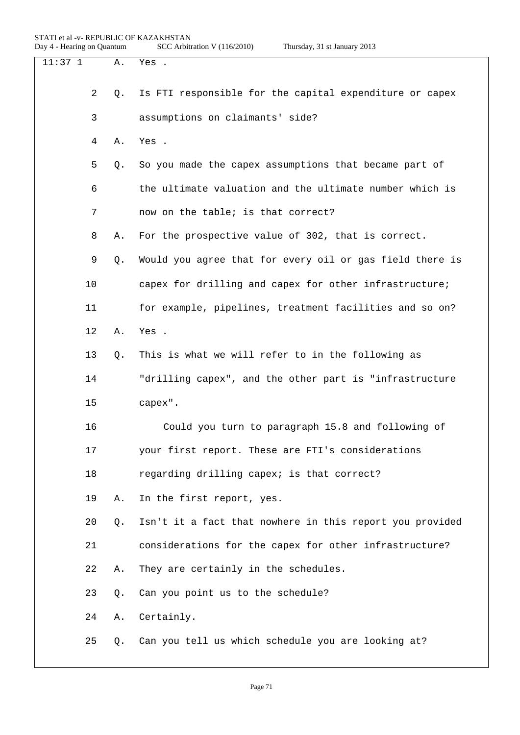| $11:37$ 1 |             | Α. | Yes .                                                    |
|-----------|-------------|----|----------------------------------------------------------|
|           | 2           | Q. | Is FTI responsible for the capital expenditure or capex  |
|           | 3           |    | assumptions on claimants' side?                          |
|           | 4           | Α. | Yes .                                                    |
|           | 5           | Q. | So you made the capex assumptions that became part of    |
|           | 6           |    | the ultimate valuation and the ultimate number which is  |
|           | 7           |    | now on the table; is that correct?                       |
|           | 8           | Α. | For the prospective value of 302, that is correct.       |
|           | $\mathsf 9$ | Q. | Would you agree that for every oil or gas field there is |
|           | 10          |    | capex for drilling and capex for other infrastructure;   |
|           | 11          |    | for example, pipelines, treatment facilities and so on?  |
|           | 12          | Α. | Yes.                                                     |
|           | 13          | Q. | This is what we will refer to in the following as        |
|           | 14          |    | "drilling capex", and the other part is "infrastructure  |
|           | 15          |    | capex".                                                  |
|           | 16          |    | Could you turn to paragraph 15.8 and following of        |
|           | 17          |    | your first report. These are FTI's considerations        |
|           | 18          |    | regarding drilling capex; is that correct?               |
|           | 19          | Α. | In the first report, yes.                                |
|           | 20          | Q. | Isn't it a fact that nowhere in this report you provided |
|           | 21          |    | considerations for the capex for other infrastructure?   |
|           | 22          | Α. | They are certainly in the schedules.                     |
|           | 23          | Ο. | Can you point us to the schedule?                        |
|           | 24          | Α. | Certainly.                                               |
|           | 25          | Q. | Can you tell us which schedule you are looking at?       |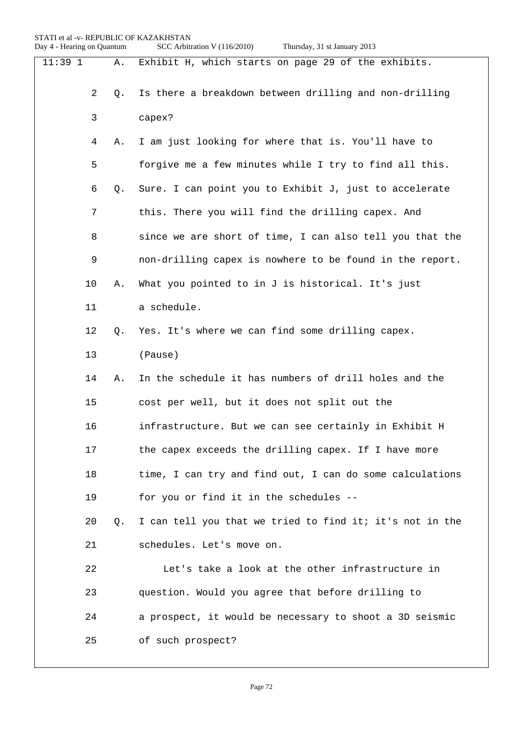| $11:39$ 1 | Α. | Exhibit H, which starts on page 29 of the exhibits.      |
|-----------|----|----------------------------------------------------------|
|           |    |                                                          |
| 2         | Q. | Is there a breakdown between drilling and non-drilling   |
| 3         |    | capex?                                                   |
| 4         | Α. | I am just looking for where that is. You'll have to      |
| 5         |    | forgive me a few minutes while I try to find all this.   |
| 6         | Q. | Sure. I can point you to Exhibit J, just to accelerate   |
| 7         |    | this. There you will find the drilling capex. And        |
| 8         |    | since we are short of time, I can also tell you that the |
| 9         |    | non-drilling capex is nowhere to be found in the report. |
| 10        | Α. | What you pointed to in J is historical. It's just        |
| 11        |    | a schedule.                                              |
| 12        | Q. | Yes. It's where we can find some drilling capex.         |
| 13        |    | (Pause)                                                  |
| 14        | Α. | In the schedule it has numbers of drill holes and the    |
| 15        |    | cost per well, but it does not split out the             |
| 16        |    | infrastructure. But we can see certainly in Exhibit H    |
| 17        |    | the capex exceeds the drilling capex. If I have more     |
| 18        |    | time, I can try and find out, I can do some calculations |
| 19        |    | for you or find it in the schedules --                   |
| 20        | Q. | I can tell you that we tried to find it; it's not in the |
| 21        |    | schedules. Let's move on.                                |
| 22        |    | Let's take a look at the other infrastructure in         |
| 23        |    | question. Would you agree that before drilling to        |
| 24        |    | a prospect, it would be necessary to shoot a 3D seismic  |
| 25        |    | of such prospect?                                        |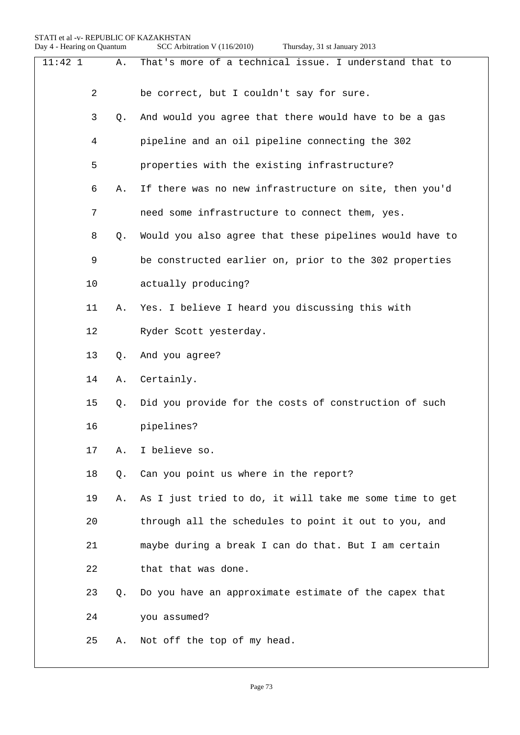STATI et al -v- REPUBLIC OF KAZAKHSTAN<br>Day 4 - Hearing on Quantum SCC Arbitr

| $11:42$ 1 | Α. | That's more of a technical issue. I understand that to  |
|-----------|----|---------------------------------------------------------|
| 2         |    | be correct, but I couldn't say for sure.                |
| 3         | O. | And would you agree that there would have to be a gas   |
| 4         |    | pipeline and an oil pipeline connecting the 302         |
| 5         |    | properties with the existing infrastructure?            |
| б         | Α. | If there was no new infrastructure on site, then you'd  |
| 7         |    | need some infrastructure to connect them, yes.          |
| 8         | Q. | Would you also agree that these pipelines would have to |
| 9         |    | be constructed earlier on, prior to the 302 properties  |
| 10        |    | actually producing?                                     |
| 11        | Α. | Yes. I believe I heard you discussing this with         |
| 12        |    | Ryder Scott yesterday.                                  |
| 13        | Q. | And you agree?                                          |
| 14        | Α. | Certainly.                                              |
| 15        | Q. | Did you provide for the costs of construction of such   |
| 16        |    | pipelines?                                              |
| 17        | Α. | I believe so.                                           |
| 18        | Q. | Can you point us where in the report?                   |
| 19        | Α. | As I just tried to do, it will take me some time to get |
| 20        |    | through all the schedules to point it out to you, and   |
| 21        |    | maybe during a break I can do that. But I am certain    |
| 22        |    | that that was done.                                     |
| 23        | Q. | Do you have an approximate estimate of the capex that   |
| 24        |    | you assumed?                                            |
| 25        | Α. | Not off the top of my head.                             |
|           |    |                                                         |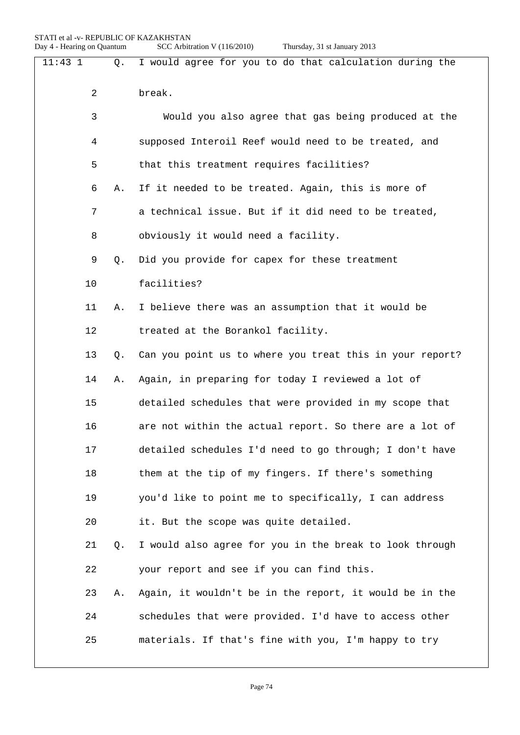| $11:43$ 1 |    | Q. | I would agree for you to do that calculation during the  |
|-----------|----|----|----------------------------------------------------------|
|           | 2  |    | break.                                                   |
|           | 3  |    | Would you also agree that gas being produced at the      |
|           | 4  |    | supposed Interoil Reef would need to be treated, and     |
|           | 5  |    | that this treatment requires facilities?                 |
|           | 6  | Α. | If it needed to be treated. Again, this is more of       |
|           | 7  |    | a technical issue. But if it did need to be treated,     |
|           | 8  |    | obviously it would need a facility.                      |
|           | 9  | Q. | Did you provide for capex for these treatment            |
|           | 10 |    | facilities?                                              |
|           | 11 | Α. | I believe there was an assumption that it would be       |
|           | 12 |    | treated at the Borankol facility.                        |
|           | 13 | Q. | Can you point us to where you treat this in your report? |
|           | 14 | Α. | Again, in preparing for today I reviewed a lot of        |
|           | 15 |    | detailed schedules that were provided in my scope that   |
|           | 16 |    | are not within the actual report. So there are a lot of  |
|           | 17 |    | detailed schedules I'd need to go through; I don't have  |
|           | 18 |    | them at the tip of my fingers. If there's something      |
|           | 19 |    | you'd like to point me to specifically, I can address    |
|           | 20 |    | it. But the scope was quite detailed.                    |
|           | 21 | Q. | I would also agree for you in the break to look through  |
|           | 22 |    | your report and see if you can find this.                |
|           | 23 | Α. | Again, it wouldn't be in the report, it would be in the  |
|           | 24 |    | schedules that were provided. I'd have to access other   |
|           | 25 |    | materials. If that's fine with you, I'm happy to try     |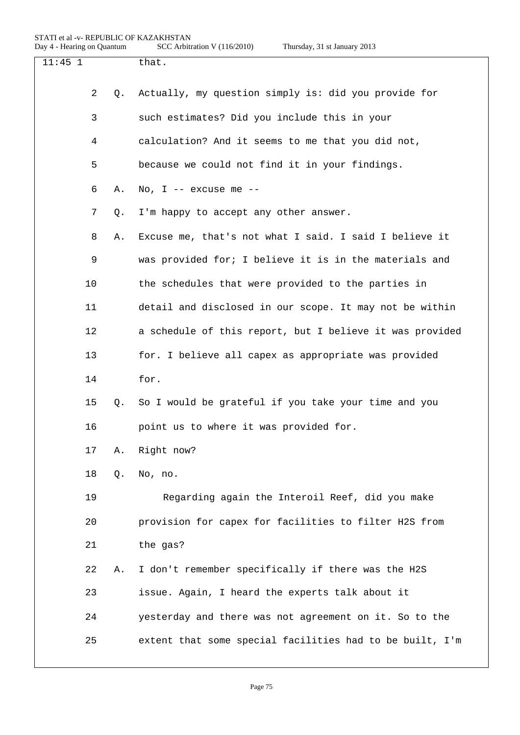| $11:45$ 1 |    |    | that.                                                    |
|-----------|----|----|----------------------------------------------------------|
|           | 2  | Q. | Actually, my question simply is: did you provide for     |
|           | 3  |    | such estimates? Did you include this in your             |
|           | 4  |    | calculation? And it seems to me that you did not,        |
|           | 5  |    | because we could not find it in your findings.           |
|           | 6  | Α. | No, $I$ -- excuse me --                                  |
|           | 7  | Q. | I'm happy to accept any other answer.                    |
|           | 8  | Α. | Excuse me, that's not what I said. I said I believe it   |
|           | 9  |    | was provided for; I believe it is in the materials and   |
|           | 10 |    | the schedules that were provided to the parties in       |
|           | 11 |    | detail and disclosed in our scope. It may not be within  |
|           | 12 |    | a schedule of this report, but I believe it was provided |
|           | 13 |    | for. I believe all capex as appropriate was provided     |
|           | 14 |    | for.                                                     |
|           | 15 | Q. | So I would be grateful if you take your time and you     |
|           | 16 |    | point us to where it was provided for.                   |
|           | 17 | Α. | Right now?                                               |
|           | 18 | Q. | No, no.                                                  |
|           | 19 |    | Regarding again the Interoil Reef, did you make          |
|           | 20 |    | provision for capex for facilities to filter H2S from    |
|           | 21 |    | the gas?                                                 |
|           | 22 | Α. | I don't remember specifically if there was the H2S       |
|           | 23 |    | issue. Again, I heard the experts talk about it          |
|           | 24 |    | yesterday and there was not agreement on it. So to the   |
|           | 25 |    | extent that some special facilities had to be built, I'm |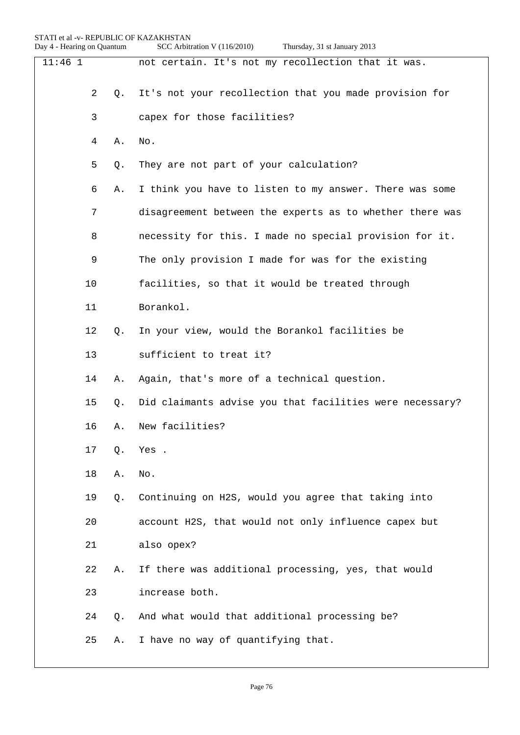| not certain. It's not my recollection that it was.       |
|----------------------------------------------------------|
| It's not your recollection that you made provision for   |
| capex for those facilities?                              |
| No.                                                      |
| They are not part of your calculation?                   |
| I think you have to listen to my answer. There was some  |
| disagreement between the experts as to whether there was |
| necessity for this. I made no special provision for it.  |
| The only provision I made for was for the existing       |
| facilities, so that it would be treated through          |
| Borankol.                                                |
| In your view, would the Borankol facilities be           |
| sufficient to treat it?                                  |
| Again, that's more of a technical question.              |
| Did claimants advise you that facilities were necessary? |
| New facilities?                                          |
| Yes.                                                     |
| No.                                                      |
| Continuing on H2S, would you agree that taking into      |
| account H2S, that would not only influence capex but     |
| also opex?                                               |
| If there was additional processing, yes, that would      |
| increase both.                                           |
| And what would that additional processing be?            |
|                                                          |
|                                                          |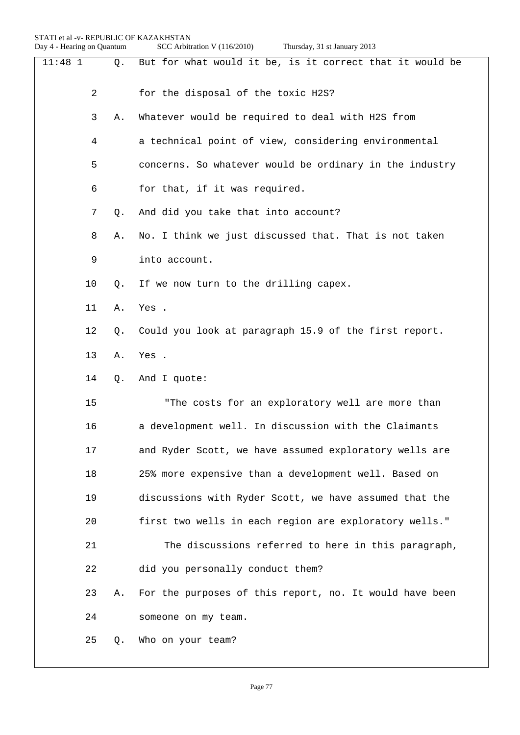STATI et al -v- REPUBLIC OF KAZAKHSTAN<br>Day 4 - Hearing on Quantum SCC Arbitr

SCC Arbitration V (116/2010) Thursday, 31 st January 2013

| $11:48$ 1      | Q. | But for what would it be, is it correct that it would be |  |  |
|----------------|----|----------------------------------------------------------|--|--|
|                |    |                                                          |  |  |
| $\overline{a}$ |    | for the disposal of the toxic H2S?                       |  |  |
| 3              | Α. | Whatever would be required to deal with H2S from         |  |  |
| 4              |    | a technical point of view, considering environmental     |  |  |
| 5              |    | concerns. So whatever would be ordinary in the industry  |  |  |
| 6              |    | for that, if it was required.                            |  |  |
| 7              | Q. | And did you take that into account?                      |  |  |
| 8              | Α. | No. I think we just discussed that. That is not taken    |  |  |
| 9              |    | into account.                                            |  |  |
| 10             | Q. | If we now turn to the drilling capex.                    |  |  |
| 11             | Α. | Yes .                                                    |  |  |
| 12             | Q. | Could you look at paragraph 15.9 of the first report.    |  |  |
| 13             | Α. | Yes .                                                    |  |  |
| 14             | Q. | And I quote:                                             |  |  |
| 15             |    | "The costs for an exploratory well are more than         |  |  |
| 16             |    | a development well. In discussion with the Claimants     |  |  |
| 17             |    | and Ryder Scott, we have assumed exploratory wells are   |  |  |
| 18             |    | 25% more expensive than a development well. Based on     |  |  |
| 19             |    | discussions with Ryder Scott, we have assumed that the   |  |  |
| 20             |    | first two wells in each region are exploratory wells."   |  |  |
| 21             |    | The discussions referred to here in this paragraph,      |  |  |
| 22             |    | did you personally conduct them?                         |  |  |
| 23             | Α. | For the purposes of this report, no. It would have been  |  |  |
| 24             |    | someone on my team.                                      |  |  |
| 25             | Q. | Who on your team?                                        |  |  |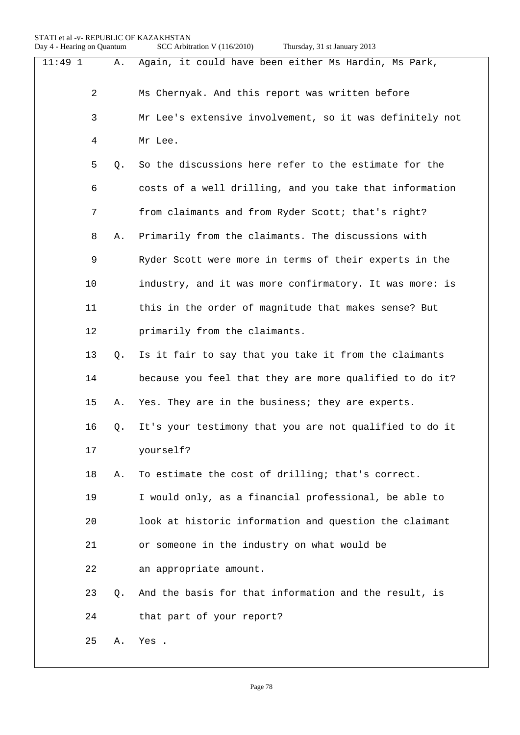| STATI et al -v- REPUBLIC OF KAZAKHSTAN |  |  |
|----------------------------------------|--|--|
|                                        |  |  |

| Day 4 - Hearing on Quantum |    | SCC Arbitration V (116/2010)<br>Thursday, 31 st January 2013 |
|----------------------------|----|--------------------------------------------------------------|
| $11:49$ 1<br>Α.            |    | Again, it could have been either Ms Hardin, Ms Park,         |
| 2                          |    | Ms Chernyak. And this report was written before              |
| 3                          |    | Mr Lee's extensive involvement, so it was definitely not     |
| 4                          |    | Mr Lee.                                                      |
| 5                          | Q. | So the discussions here refer to the estimate for the        |
| 6                          |    | costs of a well drilling, and you take that information      |
| 7                          |    | from claimants and from Ryder Scott; that's right?           |
| 8                          | Α. | Primarily from the claimants. The discussions with           |
| 9                          |    | Ryder Scott were more in terms of their experts in the       |
| 10                         |    | industry, and it was more confirmatory. It was more: is      |
| 11                         |    | this in the order of magnitude that makes sense? But         |
| 12                         |    | primarily from the claimants.                                |
| 13                         | Q. | Is it fair to say that you take it from the claimants        |
| 14                         |    | because you feel that they are more qualified to do it?      |
| 15                         | Α. | Yes. They are in the business; they are experts.             |
| 16                         | Q. | It's your testimony that you are not qualified to do it      |
| 17                         |    | yourself?                                                    |
| 18                         | Α. | To estimate the cost of drilling; that's correct.            |
| 19                         |    | I would only, as a financial professional, be able to        |
| 20                         |    | look at historic information and question the claimant       |
| 21                         |    | or someone in the industry on what would be                  |
| 22                         |    | an appropriate amount.                                       |
| 23                         | Q. | And the basis for that information and the result, is        |
| 24                         |    | that part of your report?                                    |
| 25                         | Α. | Yes.                                                         |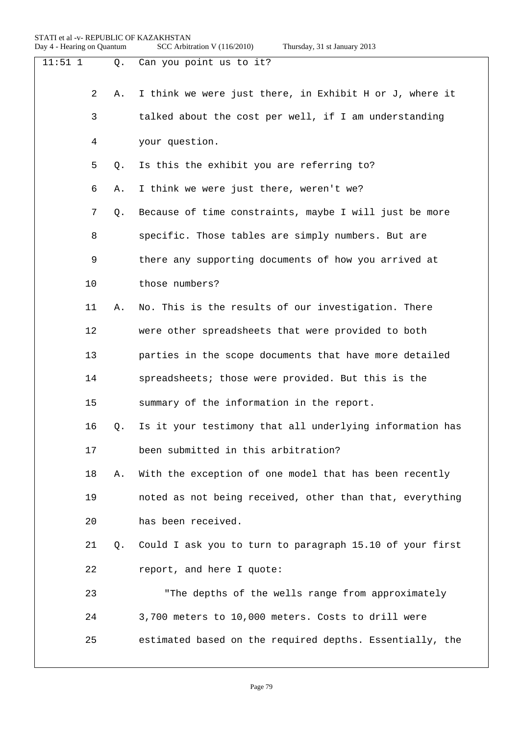| $11:51$ 1      | Q. | Can you point us to it?                                  |
|----------------|----|----------------------------------------------------------|
| $\overline{2}$ | Α. | I think we were just there, in Exhibit H or J, where it  |
| 3              |    | talked about the cost per well, if I am understanding    |
| 4              |    | your question.                                           |
| 5              | O. | Is this the exhibit you are referring to?                |
| 6              | Α. | I think we were just there, weren't we?                  |
| 7              | Q. | Because of time constraints, maybe I will just be more   |
| 8              |    | specific. Those tables are simply numbers. But are       |
| 9              |    | there any supporting documents of how you arrived at     |
| 10             |    | those numbers?                                           |
| 11             | Α. | No. This is the results of our investigation. There      |
| 12             |    | were other spreadsheets that were provided to both       |
| 13             |    | parties in the scope documents that have more detailed   |
| 14             |    | spreadsheets; those were provided. But this is the       |
| 15             |    | summary of the information in the report.                |
| 16             | Q. | Is it your testimony that all underlying information has |
| 17             |    | been submitted in this arbitration?                      |
| 18             | Α. | With the exception of one model that has been recently   |
| 19             |    | noted as not being received, other than that, everything |
| 20             |    | has been received.                                       |
| 21             | Q. | Could I ask you to turn to paragraph 15.10 of your first |
| 22             |    | report, and here I quote:                                |
| 23             |    | "The depths of the wells range from approximately        |
| 24             |    | 3,700 meters to 10,000 meters. Costs to drill were       |
| 25             |    | estimated based on the required depths. Essentially, the |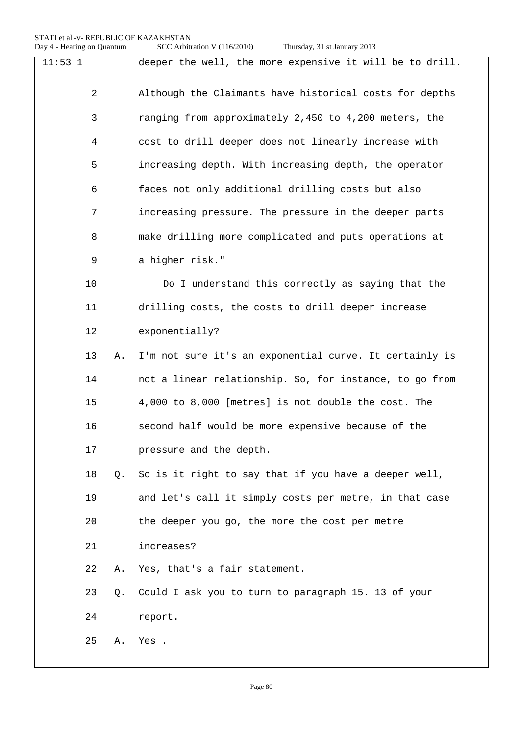| $11:53 \ \overline{1}$ |    | deeper the well, the more expensive it will be to drill. |  |
|------------------------|----|----------------------------------------------------------|--|
| $\overline{2}$         |    | Although the Claimants have historical costs for depths  |  |
| 3                      |    | ranging from approximately 2,450 to 4,200 meters, the    |  |
| 4                      |    | cost to drill deeper does not linearly increase with     |  |
| 5                      |    | increasing depth. With increasing depth, the operator    |  |
| 6                      |    | faces not only additional drilling costs but also        |  |
| 7                      |    | increasing pressure. The pressure in the deeper parts    |  |
| 8                      |    | make drilling more complicated and puts operations at    |  |
| $\mathsf 9$            |    | a higher risk."                                          |  |
| 10                     |    | Do I understand this correctly as saying that the        |  |
| 11                     |    | drilling costs, the costs to drill deeper increase       |  |
| 12                     |    | exponentially?                                           |  |
| 13                     | Α. | I'm not sure it's an exponential curve. It certainly is  |  |
| 14                     |    | not a linear relationship. So, for instance, to go from  |  |
| 15                     |    | 4,000 to 8,000 [metres] is not double the cost. The      |  |
| 16                     |    | second half would be more expensive because of the       |  |
| 17                     |    | pressure and the depth.                                  |  |
| 18                     | Q. | So is it right to say that if you have a deeper well,    |  |
| 19                     |    | and let's call it simply costs per metre, in that case   |  |
| 20                     |    | the deeper you go, the more the cost per metre           |  |
| 21                     |    | increases?                                               |  |
| 22                     | Α. | Yes, that's a fair statement.                            |  |
| 23                     | Q. | Could I ask you to turn to paragraph 15. 13 of your      |  |
| 24                     |    | report.                                                  |  |
| 25                     | Α. | Yes.                                                     |  |
|                        |    |                                                          |  |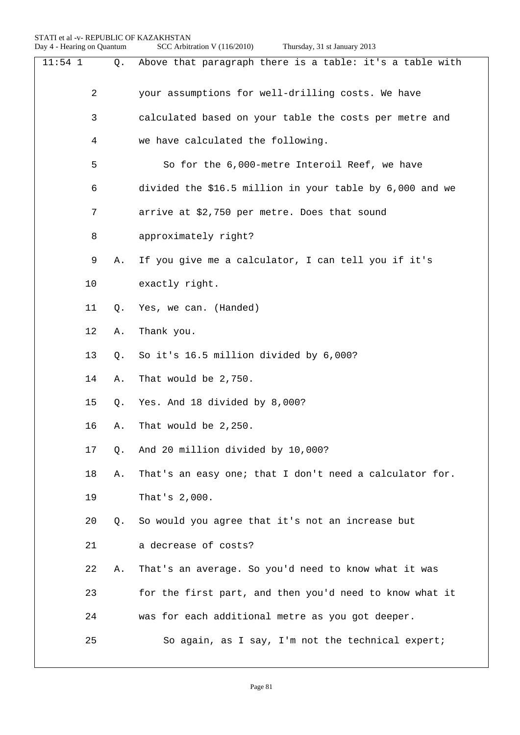| SCC Arbitration V (116/2010) | Thursday, 31 st January 2013 |
|------------------------------|------------------------------|
|------------------------------|------------------------------|

| $11:54$ 1 | Above that paragraph there is a table: it's a table with<br>Q. |    |                                                          |  |
|-----------|----------------------------------------------------------------|----|----------------------------------------------------------|--|
|           | $\overline{2}$                                                 |    | your assumptions for well-drilling costs. We have        |  |
|           | 3                                                              |    | calculated based on your table the costs per metre and   |  |
|           | 4                                                              |    | we have calculated the following.                        |  |
|           | 5                                                              |    | So for the 6,000-metre Interoil Reef, we have            |  |
|           | 6                                                              |    | divided the \$16.5 million in your table by 6,000 and we |  |
|           | 7                                                              |    | arrive at \$2,750 per metre. Does that sound             |  |
|           | 8                                                              |    | approximately right?                                     |  |
|           | 9                                                              | Α. | If you give me a calculator, I can tell you if it's      |  |
|           | 10                                                             |    | exactly right.                                           |  |
|           | 11                                                             | Q. | Yes, we can. (Handed)                                    |  |
|           | $12 \,$                                                        | Α. | Thank you.                                               |  |
|           | 13                                                             | Q. | So it's 16.5 million divided by 6,000?                   |  |
|           | 14                                                             | Α. | That would be 2,750.                                     |  |
|           | 15                                                             | O. | Yes. And 18 divided by 8,000?                            |  |
|           | 16                                                             | Α. | That would be 2,250.                                     |  |
|           | 17                                                             | Q. | And 20 million divided by 10,000?                        |  |
|           | 18                                                             | Α. | That's an easy one; that I don't need a calculator for.  |  |
|           | 19                                                             |    | That's 2,000.                                            |  |
|           | 20                                                             | Q. | So would you agree that it's not an increase but         |  |
|           | 21                                                             |    | a decrease of costs?                                     |  |
|           | 22                                                             | Α. | That's an average. So you'd need to know what it was     |  |
|           | 23                                                             |    | for the first part, and then you'd need to know what it  |  |
|           | 24                                                             |    | was for each additional metre as you got deeper.         |  |
|           | 25                                                             |    | So again, as I say, I'm not the technical expert;        |  |
|           |                                                                |    |                                                          |  |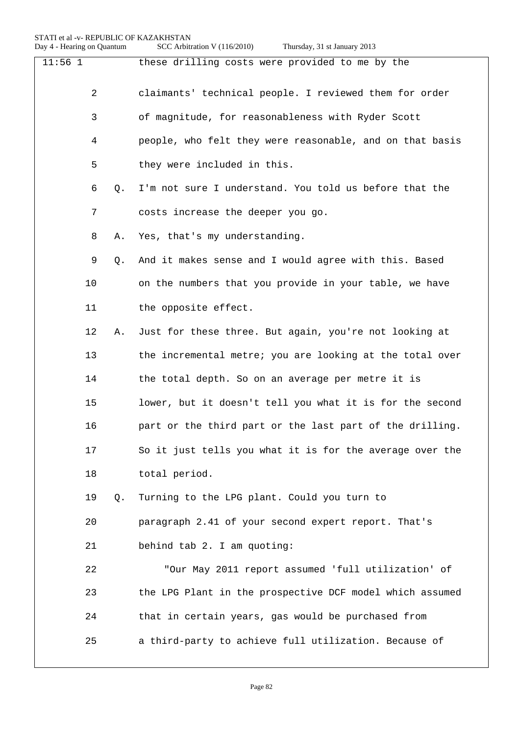| $11:56$ 1 |                |    | these drilling costs were provided to me by the          |
|-----------|----------------|----|----------------------------------------------------------|
|           | $\overline{2}$ |    | claimants' technical people. I reviewed them for order   |
|           | 3              |    | of magnitude, for reasonableness with Ryder Scott        |
|           | 4              |    | people, who felt they were reasonable, and on that basis |
|           | 5              |    | they were included in this.                              |
|           | 6              | Q. | I'm not sure I understand. You told us before that the   |
|           | 7              |    | costs increase the deeper you go.                        |
|           | 8              | Α. | Yes, that's my understanding.                            |
|           | 9              | Q. | And it makes sense and I would agree with this. Based    |
|           | 10             |    | on the numbers that you provide in your table, we have   |
|           | 11             |    | the opposite effect.                                     |
|           | 12             | Α. | Just for these three. But again, you're not looking at   |
|           | 13             |    | the incremental metre; you are looking at the total over |
|           | 14             |    | the total depth. So on an average per metre it is        |
|           | 15             |    | lower, but it doesn't tell you what it is for the second |
|           | 16             |    | part or the third part or the last part of the drilling. |
|           | 17             |    | So it just tells you what it is for the average over the |
|           | 18             |    | total period.                                            |
|           | 19             | Q. | Turning to the LPG plant. Could you turn to              |
|           | 20             |    | paragraph 2.41 of your second expert report. That's      |
|           | 21             |    | behind tab 2. I am quoting:                              |
|           | 22             |    | "Our May 2011 report assumed 'full utilization' of       |
|           | 23             |    | the LPG Plant in the prospective DCF model which assumed |
|           | 24             |    | that in certain years, gas would be purchased from       |
|           | 25             |    | a third-party to achieve full utilization. Because of    |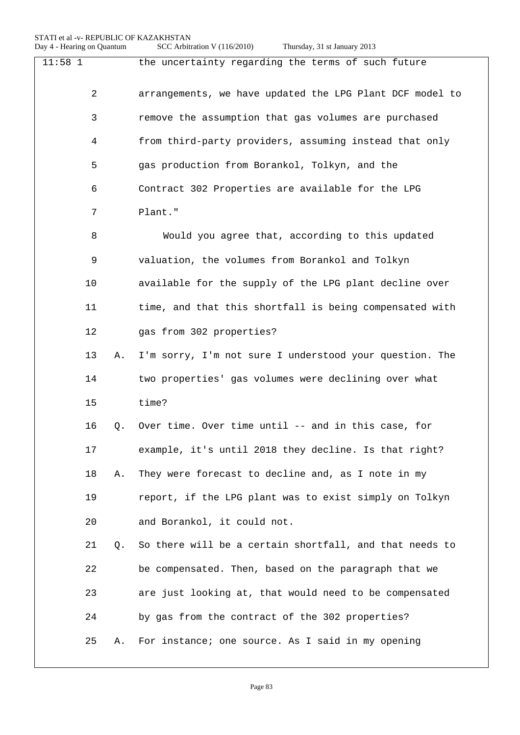| $11:58$ 1 |    |    | the uncertainty regarding the terms of such future       |
|-----------|----|----|----------------------------------------------------------|
|           | 2  |    | arrangements, we have updated the LPG Plant DCF model to |
|           | 3  |    | remove the assumption that gas volumes are purchased     |
|           | 4  |    | from third-party providers, assuming instead that only   |
|           | 5  |    | gas production from Borankol, Tolkyn, and the            |
|           | 6  |    | Contract 302 Properties are available for the LPG        |
|           | 7  |    | Plant."                                                  |
|           | 8  |    | Would you agree that, according to this updated          |
|           | 9  |    | valuation, the volumes from Borankol and Tolkyn          |
|           | 10 |    | available for the supply of the LPG plant decline over   |
|           | 11 |    | time, and that this shortfall is being compensated with  |
|           | 12 |    | gas from 302 properties?                                 |
|           | 13 | Α. | I'm sorry, I'm not sure I understood your question. The  |
|           | 14 |    | two properties' gas volumes were declining over what     |
|           | 15 |    | time?                                                    |
|           | 16 | Q. | Over time. Over time until -- and in this case, for      |
|           | 17 |    | example, it's until 2018 they decline. Is that right?    |
|           | 18 | Α. | They were forecast to decline and, as I note in my       |
|           | 19 |    | report, if the LPG plant was to exist simply on Tolkyn   |
|           | 20 |    | and Borankol, it could not.                              |
|           | 21 | Q. | So there will be a certain shortfall, and that needs to  |
|           | 22 |    | be compensated. Then, based on the paragraph that we     |
|           | 23 |    | are just looking at, that would need to be compensated   |
|           | 24 |    | by gas from the contract of the 302 properties?          |
|           | 25 | Α. | For instance; one source. As I said in my opening        |
|           |    |    |                                                          |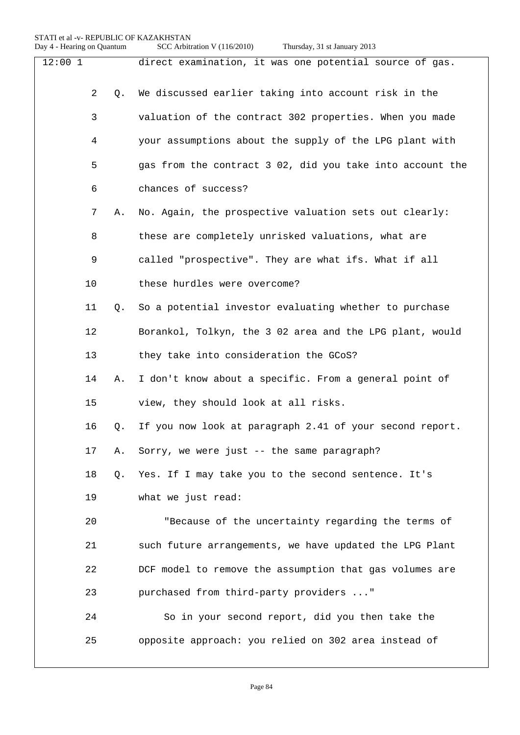| $12:00$ 1      |                | direct examination, it was one potential source of gas.   |
|----------------|----------------|-----------------------------------------------------------|
| $\overline{2}$ | Q.             | We discussed earlier taking into account risk in the      |
| 3              |                | valuation of the contract 302 properties. When you made   |
| 4              |                | your assumptions about the supply of the LPG plant with   |
| 5              |                | gas from the contract 3 02, did you take into account the |
| 6              |                | chances of success?                                       |
| 7              | Α.             | No. Again, the prospective valuation sets out clearly:    |
| 8              |                | these are completely unrisked valuations, what are        |
| 9              |                | called "prospective". They are what ifs. What if all      |
| 10             |                | these hurdles were overcome?                              |
| 11             | Q <sub>1</sub> | So a potential investor evaluating whether to purchase    |
| 12             |                | Borankol, Tolkyn, the 3 02 area and the LPG plant, would  |
| 13             |                | they take into consideration the GCoS?                    |
| 14             | Α.             | I don't know about a specific. From a general point of    |
| 15             |                | view, they should look at all risks.                      |
| 16             | Q.             | If you now look at paragraph 2.41 of your second report.  |
| 17             | Α.             | Sorry, we were just -- the same paragraph?                |
| 18             | Q.             | Yes. If I may take you to the second sentence. It's       |
| 19             |                | what we just read:                                        |
| 20             |                | "Because of the uncertainty regarding the terms of        |
| 21             |                | such future arrangements, we have updated the LPG Plant   |
| 22             |                | DCF model to remove the assumption that gas volumes are   |
| 23             |                | purchased from third-party providers "                    |
| 24             |                | So in your second report, did you then take the           |
| 25             |                | opposite approach: you relied on 302 area instead of      |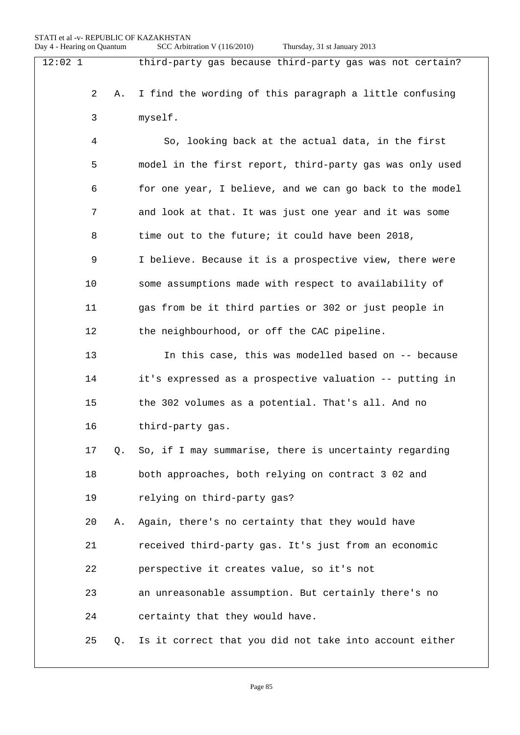| $12:02$ 1 |                      | third-party gas because third-party gas was not certain? |  |
|-----------|----------------------|----------------------------------------------------------|--|
|           | $\overline{a}$<br>Α. | I find the wording of this paragraph a little confusing  |  |
|           | 3                    | myself.                                                  |  |
|           | 4                    | So, looking back at the actual data, in the first        |  |
|           | 5                    | model in the first report, third-party gas was only used |  |
|           | 6                    | for one year, I believe, and we can go back to the model |  |
|           | 7                    | and look at that. It was just one year and it was some   |  |
|           | 8                    | time out to the future; it could have been 2018,         |  |
|           | 9                    | I believe. Because it is a prospective view, there were  |  |
| 10        |                      | some assumptions made with respect to availability of    |  |
| 11        |                      | gas from be it third parties or 302 or just people in    |  |
| 12        |                      | the neighbourhood, or off the CAC pipeline.              |  |
| 13        |                      | In this case, this was modelled based on -- because      |  |
| 14        |                      | it's expressed as a prospective valuation -- putting in  |  |
| 15        |                      | the 302 volumes as a potential. That's all. And no       |  |
| 16        |                      | third-party gas.                                         |  |
| 17        | Q.                   | So, if I may summarise, there is uncertainty regarding   |  |
| 18        |                      | both approaches, both relying on contract 3 02 and       |  |
| 19        |                      | relying on third-party gas?                              |  |
| 20        | Α.                   | Again, there's no certainty that they would have         |  |
| 21        |                      | received third-party gas. It's just from an economic     |  |
| 22        |                      | perspective it creates value, so it's not                |  |
| 23        |                      | an unreasonable assumption. But certainly there's no     |  |
| 24        |                      | certainty that they would have.                          |  |
| 25        | Q.                   | Is it correct that you did not take into account either  |  |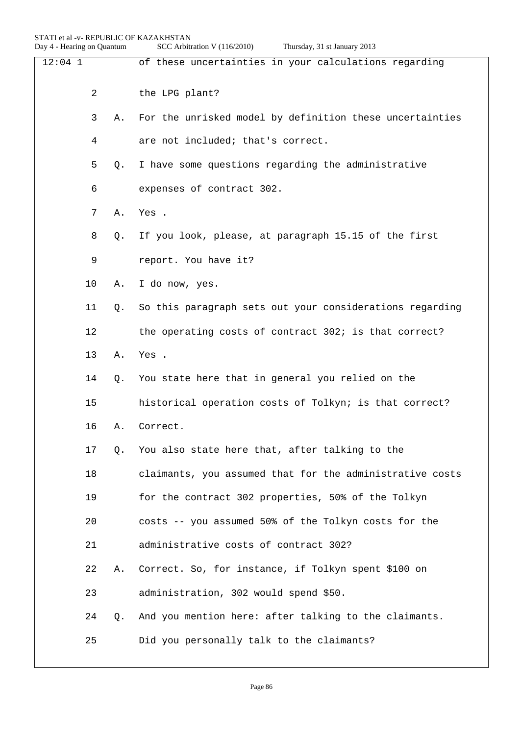| $12:04$ 1 |    |    | of these uncertainties in your calculations regarding    |  |
|-----------|----|----|----------------------------------------------------------|--|
|           | 2  |    | the LPG plant?                                           |  |
|           | 3  | Α. | For the unrisked model by definition these uncertainties |  |
|           | 4  |    | are not included; that's correct.                        |  |
|           | 5  | О. | I have some questions regarding the administrative       |  |
|           | 6  |    | expenses of contract 302.                                |  |
|           | 7  | Α. | Yes.                                                     |  |
|           | 8  | Q. | If you look, please, at paragraph 15.15 of the first     |  |
|           | 9  |    | report. You have it?                                     |  |
|           | 10 | Α. | I do now, yes.                                           |  |
|           | 11 | Q. | So this paragraph sets out your considerations regarding |  |
|           | 12 |    | the operating costs of contract 302; is that correct?    |  |
|           | 13 | Α. | Yes .                                                    |  |
|           | 14 | Q. | You state here that in general you relied on the         |  |
|           | 15 |    | historical operation costs of Tolkyn; is that correct?   |  |
|           | 16 | Α. | Correct.                                                 |  |
|           | 17 | Q. | You also state here that, after talking to the           |  |
|           | 18 |    | claimants, you assumed that for the administrative costs |  |
|           | 19 |    | for the contract 302 properties, 50% of the Tolkyn       |  |
|           | 20 |    | costs -- you assumed 50% of the Tolkyn costs for the     |  |
|           | 21 |    | administrative costs of contract 302?                    |  |
|           | 22 | Α. | Correct. So, for instance, if Tolkyn spent \$100 on      |  |
|           | 23 |    | administration, 302 would spend \$50.                    |  |
|           | 24 | Q. | And you mention here: after talking to the claimants.    |  |
|           | 25 |    | Did you personally talk to the claimants?                |  |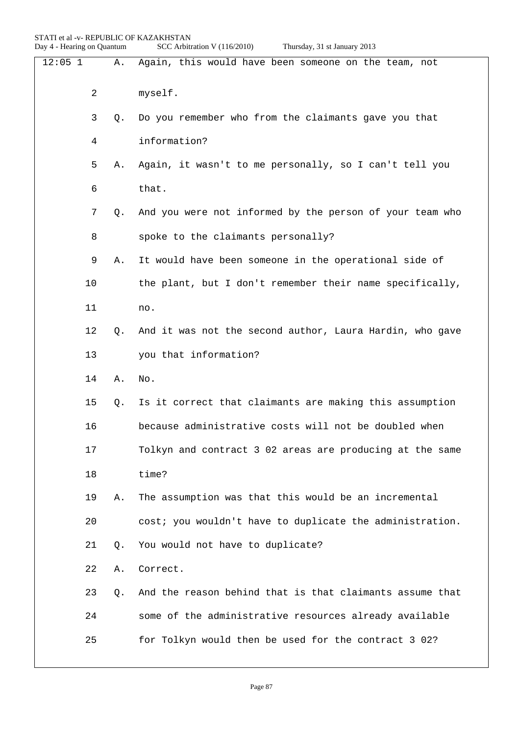| $12:05$ 1      | Α. | Again, this would have been someone on the team, not     |  |
|----------------|----|----------------------------------------------------------|--|
| $\overline{2}$ |    | myself.                                                  |  |
| 3              | Q. | Do you remember who from the claimants gave you that     |  |
| 4              |    | information?                                             |  |
| 5              | Α. | Again, it wasn't to me personally, so I can't tell you   |  |
| б              |    | that.                                                    |  |
| 7              | Q. | And you were not informed by the person of your team who |  |
| 8              |    | spoke to the claimants personally?                       |  |
| 9              | Α. | It would have been someone in the operational side of    |  |
| 10             |    | the plant, but I don't remember their name specifically, |  |
| 11             |    | no.                                                      |  |
| 12             | O. | And it was not the second author, Laura Hardin, who gave |  |
| 13             |    | you that information?                                    |  |
| 14             | Α. | No.                                                      |  |
| 15             | Q. | Is it correct that claimants are making this assumption  |  |
| 16             |    | because administrative costs will not be doubled when    |  |
| 17             |    | Tolkyn and contract 3 02 areas are producing at the same |  |
| 18             |    | time?                                                    |  |
| 19             | Α. | The assumption was that this would be an incremental     |  |
| 20             |    | cost; you wouldn't have to duplicate the administration. |  |
| 21             | Q. | You would not have to duplicate?                         |  |
| 22             | Α. | Correct.                                                 |  |
| 23             | Q. | And the reason behind that is that claimants assume that |  |
| 24             |    | some of the administrative resources already available   |  |
| 25             |    | for Tolkyn would then be used for the contract 3 02?     |  |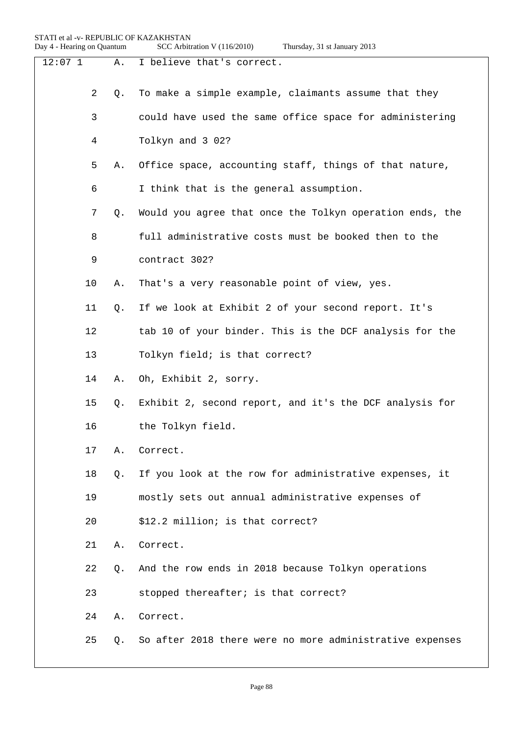|  |  | Thursday, 31 st January 2013 |  |
|--|--|------------------------------|--|
|--|--|------------------------------|--|

| $12:07$ 1 | Α.        | I believe that's correct.                                   |
|-----------|-----------|-------------------------------------------------------------|
| 2         | Q.        | To make a simple example, claimants assume that they        |
| 3         |           | could have used the same office space for administering     |
| 4         |           | Tolkyn and 3 02?                                            |
| 5         | Α.        | Office space, accounting staff, things of that nature,      |
| 6         |           | I think that is the general assumption.                     |
| 7         | $\circ$ . | Would you agree that once the Tolkyn operation ends, the    |
| 8         |           | full administrative costs must be booked then to the        |
| 9         |           | contract 302?                                               |
| 10        | Α.        | That's a very reasonable point of view, yes.                |
| 11        | Q.        | If we look at Exhibit 2 of your second report. It's         |
| 12        |           | tab 10 of your binder. This is the DCF analysis for the     |
| 13        |           | Tolkyn field; is that correct?                              |
| 14        | Α.        | Oh, Exhibit 2, sorry.                                       |
| 15        | Q.        | Exhibit 2, second report, and it's the DCF analysis for     |
| 16        |           | the Tolkyn field.                                           |
| 17        | Α.        | Correct.                                                    |
| 18        | Q.        | If you look at the row for administrative expenses, it      |
| 19        |           | mostly sets out annual administrative expenses of           |
| 20        |           | \$12.2 million; is that correct?                            |
| 21        | Α.        | Correct.                                                    |
| 22        | О.        | And the row ends in 2018 because Tolkyn operations          |
| 23        |           | stopped thereafter; is that correct?                        |
| 24        | Α.        | Correct.                                                    |
| 25        |           | Q. So after 2018 there were no more administrative expenses |
|           |           |                                                             |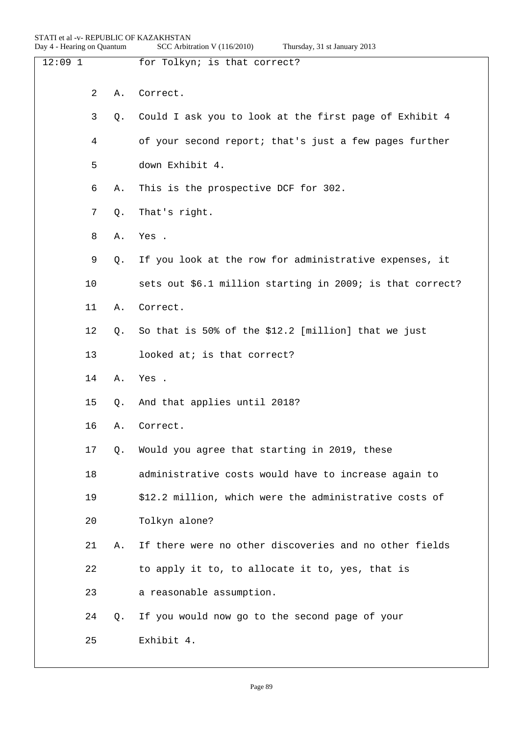| $12:09$ 1 |    |                | for Tolkyn; is that correct?                              |
|-----------|----|----------------|-----------------------------------------------------------|
|           | 2  | Α.             | Correct.                                                  |
|           | 3  | Q.             | Could I ask you to look at the first page of Exhibit 4    |
|           | 4  |                | of your second report; that's just a few pages further    |
|           | 5  |                | down Exhibit 4.                                           |
|           | 6  | Α.             | This is the prospective DCF for 302.                      |
|           | 7  | Q.             | That's right.                                             |
|           | 8  | Α.             | Yes.                                                      |
|           | 9  | Q <sub>z</sub> | If you look at the row for administrative expenses, it    |
|           | 10 |                | sets out \$6.1 million starting in 2009; is that correct? |
|           | 11 | Α.             | Correct.                                                  |
|           | 12 | Q.             | So that is 50% of the \$12.2 [million] that we just       |
|           | 13 |                | looked at; is that correct?                               |
|           | 14 | Α.             | Yes .                                                     |
|           | 15 | Q.             | And that applies until 2018?                              |
|           | 16 | Α.             | Correct.                                                  |
|           | 17 | Q.             | Would you agree that starting in 2019, these              |
|           | 18 |                | administrative costs would have to increase again to      |
|           | 19 |                | \$12.2 million, which were the administrative costs of    |
|           | 20 |                | Tolkyn alone?                                             |
|           | 21 | Α.             | If there were no other discoveries and no other fields    |
|           | 22 |                | to apply it to, to allocate it to, yes, that is           |
|           | 23 |                | a reasonable assumption.                                  |
|           | 24 | Q.             | If you would now go to the second page of your            |
|           | 25 |                | Exhibit 4.                                                |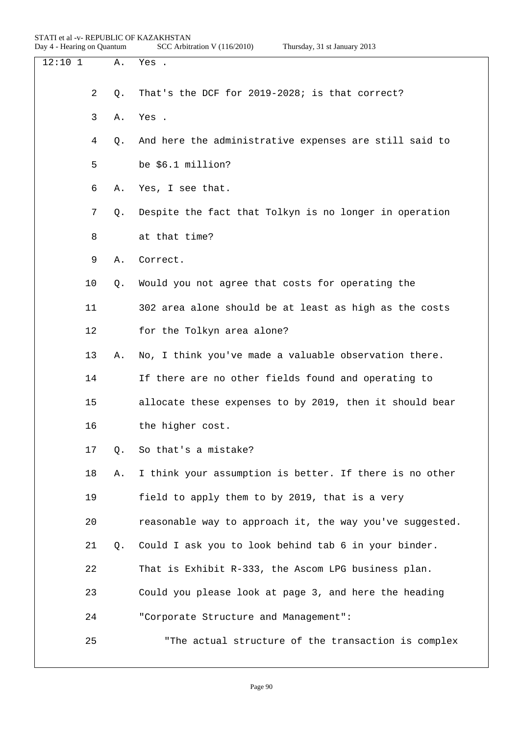| $12:10$ 1 | Α.                   | Yes .                                                    |
|-----------|----------------------|----------------------------------------------------------|
|           | $\overline{2}$<br>Q. | That's the DCF for 2019-2028; is that correct?           |
|           | 3<br>Α.              | Yes .                                                    |
|           | 4<br>Q.              | And here the administrative expenses are still said to   |
|           | 5                    | be \$6.1 million?                                        |
|           | 6<br>Α.              | Yes, I see that.                                         |
|           | 7<br>Q.              | Despite the fact that Tolkyn is no longer in operation   |
|           | 8                    | at that time?                                            |
|           | 9<br>Α.              | Correct.                                                 |
| 10        | Q.                   | Would you not agree that costs for operating the         |
| 11        |                      | 302 area alone should be at least as high as the costs   |
| 12        |                      | for the Tolkyn area alone?                               |
| 13        | Α.                   | No, I think you've made a valuable observation there.    |
| 14        |                      | If there are no other fields found and operating to      |
| 15        |                      | allocate these expenses to by 2019, then it should bear  |
| 16        |                      | the higher cost.                                         |
| 17        | Q.                   | So that's a mistake?                                     |
| 18        | Α.                   | I think your assumption is better. If there is no other  |
| 19        |                      | field to apply them to by 2019, that is a very           |
| 20        |                      | reasonable way to approach it, the way you've suggested. |
| 21        | Q.                   | Could I ask you to look behind tab 6 in your binder.     |
| 22        |                      | That is Exhibit R-333, the Ascom LPG business plan.      |
| 23        |                      | Could you please look at page 3, and here the heading    |
| 24        |                      | "Corporate Structure and Management":                    |
| 25        |                      | "The actual structure of the transaction is complex      |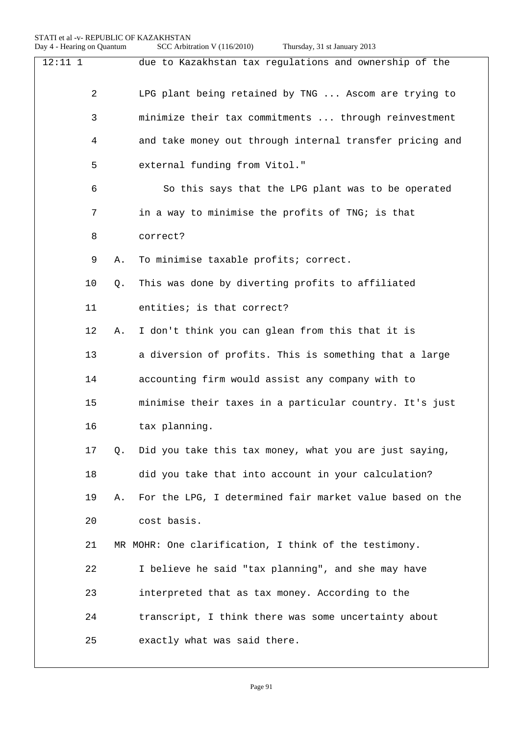| $12:11$ 1      |    | due to Kazakhstan tax regulations and ownership of the   |
|----------------|----|----------------------------------------------------------|
| $\overline{2}$ |    | LPG plant being retained by TNG  Ascom are trying to     |
| 3              |    | minimize their tax commitments  through reinvestment     |
| 4              |    | and take money out through internal transfer pricing and |
| 5              |    | external funding from Vitol."                            |
| 6              |    | So this says that the LPG plant was to be operated       |
| 7              |    | in a way to minimise the profits of TNG; is that         |
| 8              |    | correct?                                                 |
| 9              | Α. | To minimise taxable profits; correct.                    |
| 10             | Q. | This was done by diverting profits to affiliated         |
| 11             |    | entities; is that correct?                               |
| 12             | Α. | I don't think you can glean from this that it is         |
| 13             |    | a diversion of profits. This is something that a large   |
| 14             |    | accounting firm would assist any company with to         |
| 15             |    | minimise their taxes in a particular country. It's just  |
| 16             |    | tax planning.                                            |
| 17             | Q. | Did you take this tax money, what you are just saying,   |
| 18             |    | did you take that into account in your calculation?      |
| 19             | Α. | For the LPG, I determined fair market value based on the |
| 20             |    | cost basis.                                              |
| 21             |    | MR MOHR: One clarification, I think of the testimony.    |
| 22             |    | I believe he said "tax planning", and she may have       |
| 23             |    | interpreted that as tax money. According to the          |
| 24             |    | transcript, I think there was some uncertainty about     |
| 25             |    | exactly what was said there.                             |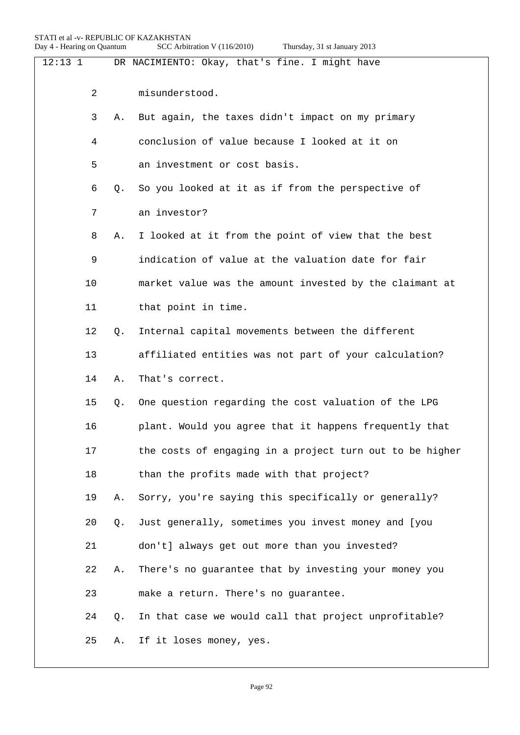| $12:13$ 1 |    |    | DR NACIMIENTO: Okay, that's fine. I might have           |
|-----------|----|----|----------------------------------------------------------|
|           | 2  |    | misunderstood.                                           |
|           | 3  | Α. | But again, the taxes didn't impact on my primary         |
|           | 4  |    | conclusion of value because I looked at it on            |
|           | 5  |    | an investment or cost basis.                             |
|           | 6  | Q. | So you looked at it as if from the perspective of        |
|           | 7  |    | an investor?                                             |
|           | 8  | Α. | I looked at it from the point of view that the best      |
|           | 9  |    | indication of value at the valuation date for fair       |
|           | 10 |    | market value was the amount invested by the claimant at  |
|           | 11 |    | that point in time.                                      |
|           | 12 | Q. | Internal capital movements between the different         |
|           | 13 |    | affiliated entities was not part of your calculation?    |
|           | 14 | Α. | That's correct.                                          |
|           | 15 | Q. | One question regarding the cost valuation of the LPG     |
|           | 16 |    | plant. Would you agree that it happens frequently that   |
|           | 17 |    | the costs of engaging in a project turn out to be higher |
|           | 18 |    | than the profits made with that project?                 |
|           | 19 | Α. | Sorry, you're saying this specifically or generally?     |
|           | 20 | Q. | Just generally, sometimes you invest money and [you      |
|           | 21 |    | don't] always get out more than you invested?            |
|           | 22 | Α. | There's no guarantee that by investing your money you    |
|           | 23 |    | make a return. There's no guarantee.                     |
|           | 24 | Q. | In that case we would call that project unprofitable?    |
|           | 25 | Α. | If it loses money, yes.                                  |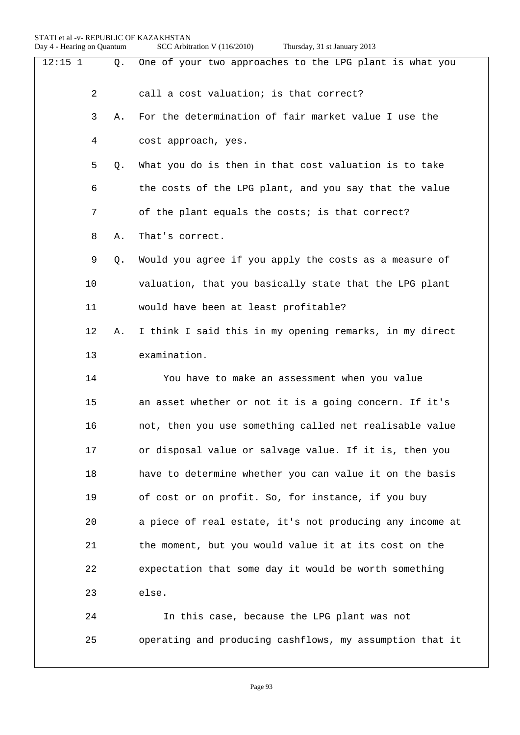| $12:15$ 1 |    | Q. | One of your two approaches to the LPG plant is what you  |
|-----------|----|----|----------------------------------------------------------|
|           |    |    |                                                          |
|           | 2  |    | call a cost valuation; is that correct?                  |
|           | 3  | Α. | For the determination of fair market value I use the     |
|           | 4  |    | cost approach, yes.                                      |
|           | 5  | Q. | What you do is then in that cost valuation is to take    |
|           | 6  |    | the costs of the LPG plant, and you say that the value   |
|           | 7  |    | of the plant equals the costs; is that correct?          |
|           | 8  | Α. | That's correct.                                          |
|           | 9  | Q. | Would you agree if you apply the costs as a measure of   |
|           | 10 |    | valuation, that you basically state that the LPG plant   |
|           | 11 |    | would have been at least profitable?                     |
|           | 12 | Α. | I think I said this in my opening remarks, in my direct  |
|           | 13 |    | examination.                                             |
|           | 14 |    | You have to make an assessment when you value            |
|           | 15 |    | an asset whether or not it is a going concern. If it's   |
|           | 16 |    | not, then you use something called net realisable value  |
|           | 17 |    | or disposal value or salvage value. If it is, then you   |
|           | 18 |    | have to determine whether you can value it on the basis  |
|           | 19 |    | of cost or on profit. So, for instance, if you buy       |
|           | 20 |    | a piece of real estate, it's not producing any income at |
|           | 21 |    | the moment, but you would value it at its cost on the    |
|           | 22 |    | expectation that some day it would be worth something    |
|           | 23 |    | else.                                                    |
|           | 24 |    | In this case, because the LPG plant was not              |
|           | 25 |    | operating and producing cashflows, my assumption that it |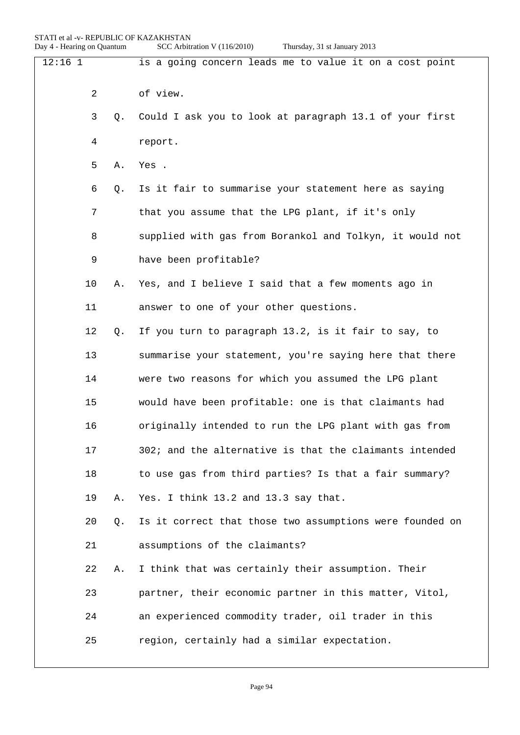| $12:16$ 1 |    |    | is a going concern leads me to value it on a cost point  |
|-----------|----|----|----------------------------------------------------------|
|           |    |    |                                                          |
|           | 2  |    | of view.                                                 |
|           | 3  | Q. | Could I ask you to look at paragraph 13.1 of your first  |
|           | 4  |    | report.                                                  |
|           | 5  | Α. | Yes .                                                    |
|           | 6  | Q. | Is it fair to summarise your statement here as saying    |
|           | 7  |    | that you assume that the LPG plant, if it's only         |
|           | 8  |    | supplied with gas from Borankol and Tolkyn, it would not |
|           | 9  |    | have been profitable?                                    |
|           | 10 | Α. | Yes, and I believe I said that a few moments ago in      |
|           | 11 |    | answer to one of your other questions.                   |
|           | 12 | Q. | If you turn to paragraph 13.2, is it fair to say, to     |
|           | 13 |    | summarise your statement, you're saying here that there  |
|           | 14 |    | were two reasons for which you assumed the LPG plant     |
|           | 15 |    | would have been profitable: one is that claimants had    |
|           | 16 |    | originally intended to run the LPG plant with gas from   |
|           | 17 |    | 302; and the alternative is that the claimants intended  |
|           | 18 |    | to use gas from third parties? Is that a fair summary?   |
|           | 19 | Α. | Yes. I think 13.2 and 13.3 say that.                     |
|           | 20 | Q. | Is it correct that those two assumptions were founded on |
|           | 21 |    | assumptions of the claimants?                            |
|           | 22 | Α. | I think that was certainly their assumption. Their       |
|           | 23 |    | partner, their economic partner in this matter, Vitol,   |
|           | 24 |    | an experienced commodity trader, oil trader in this      |
|           | 25 |    | region, certainly had a similar expectation.             |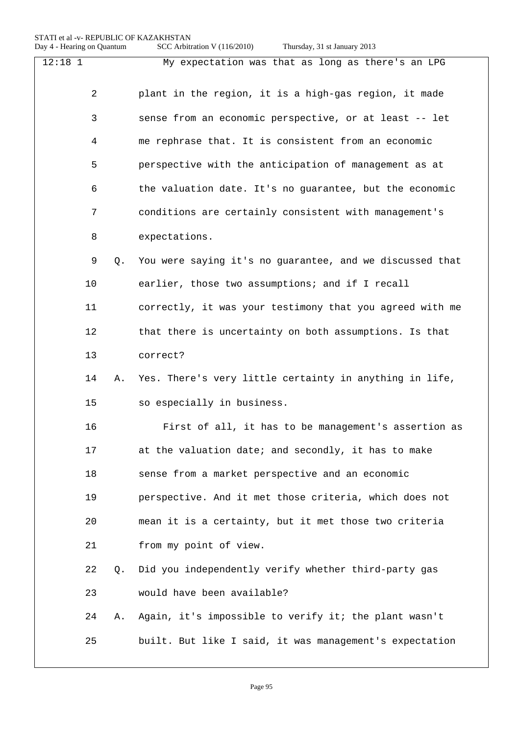| $12:18$ 1 |                | My expectation was that as long as there's an LPG        |
|-----------|----------------|----------------------------------------------------------|
|           | $\overline{2}$ | plant in the region, it is a high-gas region, it made    |
|           | 3              | sense from an economic perspective, or at least -- let   |
|           | 4              | me rephrase that. It is consistent from an economic      |
|           | 5              | perspective with the anticipation of management as at    |
|           | 6              | the valuation date. It's no guarantee, but the economic  |
|           | 7              | conditions are certainly consistent with management's    |
|           | 8              | expectations.                                            |
|           | 9<br>O.        | You were saying it's no guarantee, and we discussed that |
| 10        |                | earlier, those two assumptions; and if I recall          |
| 11        |                | correctly, it was your testimony that you agreed with me |
| 12        |                | that there is uncertainty on both assumptions. Is that   |
| 13        |                | correct?                                                 |
| 14        | Α.             | Yes. There's very little certainty in anything in life,  |
| 15        |                | so especially in business.                               |
| 16        |                | First of all, it has to be management's assertion as     |
| 17        |                | at the valuation date; and secondly, it has to make      |
| 18        |                | sense from a market perspective and an economic          |
| 19        |                | perspective. And it met those criteria, which does not   |
| 20        |                | mean it is a certainty, but it met those two criteria    |
| 21        |                | from my point of view.                                   |
| 22        | $Q_{\star}$    | Did you independently verify whether third-party gas     |
| 23        |                | would have been available?                               |
| 24        | Α.             | Again, it's impossible to verify it; the plant wasn't    |
| 25        |                | built. But like I said, it was management's expectation  |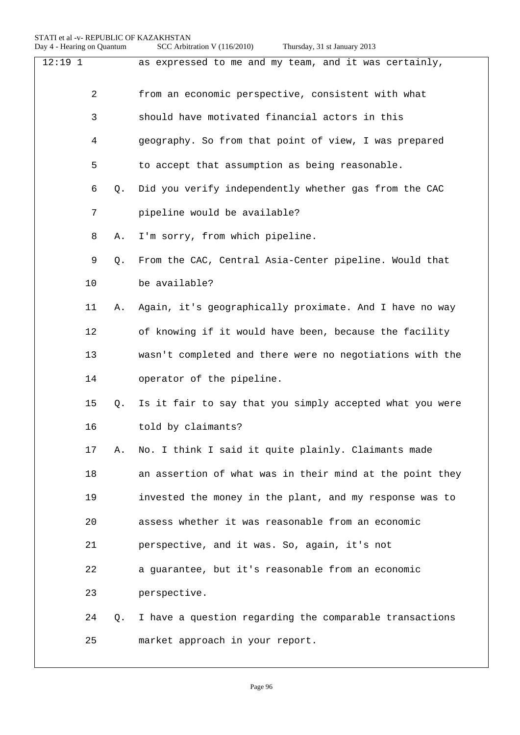| $12:19$ 1 |                |    | as expressed to me and my team, and it was certainly,    |
|-----------|----------------|----|----------------------------------------------------------|
|           | $\overline{a}$ |    | from an economic perspective, consistent with what       |
|           | 3              |    | should have motivated financial actors in this           |
|           | 4              |    | geography. So from that point of view, I was prepared    |
|           | 5              |    | to accept that assumption as being reasonable.           |
|           | 6              | Q. | Did you verify independently whether gas from the CAC    |
|           | 7              |    | pipeline would be available?                             |
|           | 8              | Α. | I'm sorry, from which pipeline.                          |
|           | 9              | Q. | From the CAC, Central Asia-Center pipeline. Would that   |
|           | 10             |    | be available?                                            |
|           | 11             | Α. | Again, it's geographically proximate. And I have no way  |
|           | 12             |    | of knowing if it would have been, because the facility   |
|           | 13             |    | wasn't completed and there were no negotiations with the |
|           | 14             |    | operator of the pipeline.                                |
|           | 15             | Q. | Is it fair to say that you simply accepted what you were |
|           | 16             |    | told by claimants?                                       |
|           | 17             | Α. | No. I think I said it quite plainly. Claimants made      |
|           | 18             |    | an assertion of what was in their mind at the point they |
|           | 19             |    | invested the money in the plant, and my response was to  |
|           | 20             |    | assess whether it was reasonable from an economic        |
|           | 21             |    | perspective, and it was. So, again, it's not             |
|           | 22             |    | a guarantee, but it's reasonable from an economic        |
|           | 23             |    | perspective.                                             |
|           | 24             | Q. | I have a question regarding the comparable transactions  |
|           | 25             |    | market approach in your report.                          |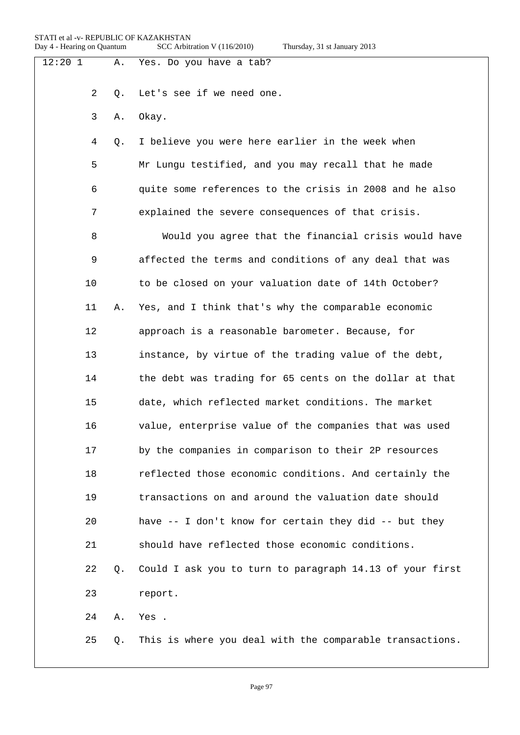| 12:201         | Α. | Yes. Do you have a tab?                                  |
|----------------|----|----------------------------------------------------------|
| $\overline{2}$ | Q. | Let's see if we need one.                                |
| 3              | Α. | Okay.                                                    |
| 4              | Q. | I believe you were here earlier in the week when         |
| 5              |    | Mr Lungu testified, and you may recall that he made      |
| 6              |    | quite some references to the crisis in 2008 and he also  |
| 7              |    | explained the severe consequences of that crisis.        |
| 8              |    | Would you agree that the financial crisis would have     |
| $\mathsf 9$    |    | affected the terms and conditions of any deal that was   |
| 10             |    | to be closed on your valuation date of 14th October?     |
| 11             | Α. | Yes, and I think that's why the comparable economic      |
| 12             |    | approach is a reasonable barometer. Because, for         |
| 13             |    | instance, by virtue of the trading value of the debt,    |
| 14             |    | the debt was trading for 65 cents on the dollar at that  |
| 15             |    | date, which reflected market conditions. The market      |
| 16             |    | value, enterprise value of the companies that was used   |
| 17             |    | by the companies in comparison to their 2P resources     |
| 18             |    | reflected those economic conditions. And certainly the   |
| 19             |    | transactions on and around the valuation date should     |
| 20             |    | have -- I don't know for certain they did -- but they    |
| 21             |    | should have reflected those economic conditions.         |
| 22             | Q. | Could I ask you to turn to paragraph 14.13 of your first |
| 23             |    | report.                                                  |
| 24             | Α. | Yes .                                                    |
| 25             | Q. | This is where you deal with the comparable transactions. |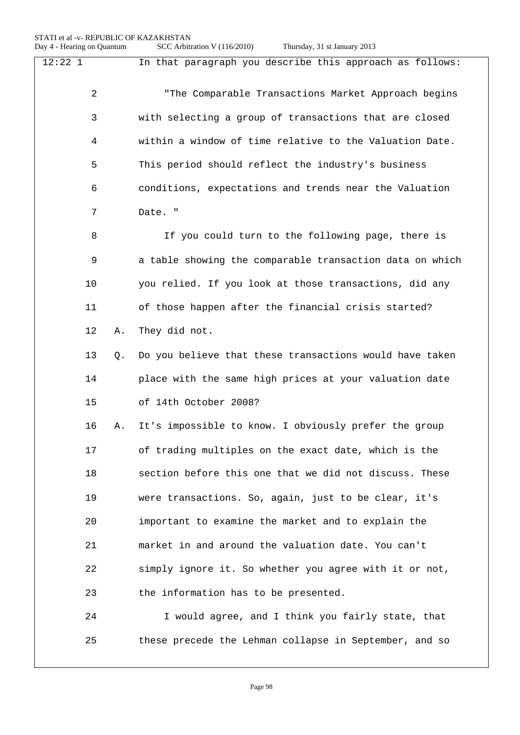| 12:221 |    | In that paragraph you describe this approach as follows: |
|--------|----|----------------------------------------------------------|
| 2      |    | "The Comparable Transactions Market Approach begins      |
| 3      |    | with selecting a group of transactions that are closed   |
| 4      |    | within a window of time relative to the Valuation Date.  |
| 5      |    | This period should reflect the industry's business       |
| 6      |    | conditions, expectations and trends near the Valuation   |
| 7      |    | Date. "                                                  |
| 8      |    | If you could turn to the following page, there is        |
| 9      |    | a table showing the comparable transaction data on which |
| 10     |    | you relied. If you look at those transactions, did any   |
| 11     |    | of those happen after the financial crisis started?      |
| 12     | Α. | They did not.                                            |
| 13     | Q. | Do you believe that these transactions would have taken  |
| 14     |    | place with the same high prices at your valuation date   |
| 15     |    | of 14th October 2008?                                    |
| 16     | Α. | It's impossible to know. I obviously prefer the group    |
| 17     |    | of trading multiples on the exact date, which is the     |
| 18     |    | section before this one that we did not discuss. These   |
| 19     |    | were transactions. So, again, just to be clear, it's     |
| 20     |    | important to examine the market and to explain the       |
| 21     |    | market in and around the valuation date. You can't       |
| 22     |    | simply ignore it. So whether you agree with it or not,   |
| 23     |    | the information has to be presented.                     |
| 24     |    | I would agree, and I think you fairly state, that        |
| 25     |    | these precede the Lehman collapse in September, and so   |
|        |    |                                                          |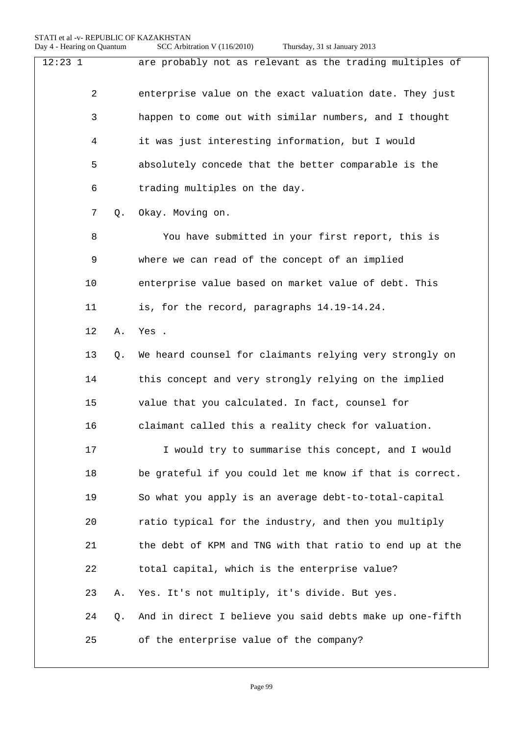| $12:23$ 1 |                |    | are probably not as relevant as the trading multiples of |
|-----------|----------------|----|----------------------------------------------------------|
|           | $\overline{2}$ |    | enterprise value on the exact valuation date. They just  |
|           | 3              |    | happen to come out with similar numbers, and I thought   |
|           | 4              |    | it was just interesting information, but I would         |
|           | 5              |    | absolutely concede that the better comparable is the     |
|           | 6              |    | trading multiples on the day.                            |
|           | 7              | Q. | Okay. Moving on.                                         |
|           | 8              |    | You have submitted in your first report, this is         |
|           | 9              |    | where we can read of the concept of an implied           |
|           | 10             |    | enterprise value based on market value of debt. This     |
|           | 11             |    | is, for the record, paragraphs 14.19-14.24.              |
|           | 12             | Α. | Yes .                                                    |
|           | 13             | Q. | We heard counsel for claimants relying very strongly on  |
|           | 14             |    | this concept and very strongly relying on the implied    |
|           | 15             |    | value that you calculated. In fact, counsel for          |
|           | 16             |    | claimant called this a reality check for valuation.      |
|           | 17             |    | I would try to summarise this concept, and I would       |
|           | 18             |    | be grateful if you could let me know if that is correct. |
|           | 19             |    | So what you apply is an average debt-to-total-capital    |
|           | 20             |    | ratio typical for the industry, and then you multiply    |
|           | 21             |    | the debt of KPM and TNG with that ratio to end up at the |
|           | 22             |    | total capital, which is the enterprise value?            |
|           | 23             | Α. | Yes. It's not multiply, it's divide. But yes.            |
|           | 24             | Q. | And in direct I believe you said debts make up one-fifth |
|           | 25             |    | of the enterprise value of the company?                  |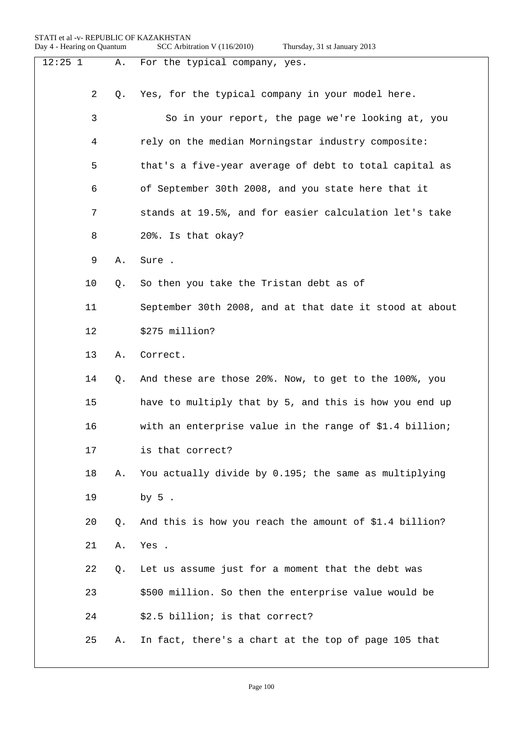| Thursday, 31 st January 2013 |  |  |
|------------------------------|--|--|
|                              |  |  |

| $12:25$ 1 |    | Α. | For the typical company, yes.                           |
|-----------|----|----|---------------------------------------------------------|
|           | 2  | Q. | Yes, for the typical company in your model here.        |
|           | 3  |    | So in your report, the page we're looking at, you       |
|           | 4  |    | rely on the median Morningstar industry composite:      |
|           | 5  |    | that's a five-year average of debt to total capital as  |
|           | 6  |    | of September 30th 2008, and you state here that it      |
|           | 7  |    | stands at 19.5%, and for easier calculation let's take  |
|           | 8  |    | 20%. Is that okay?                                      |
|           | 9  | Α. | Sure .                                                  |
|           | 10 | Q. | So then you take the Tristan debt as of                 |
|           | 11 |    | September 30th 2008, and at that date it stood at about |
|           | 12 |    | \$275 million?                                          |
|           | 13 | Α. | Correct.                                                |
|           | 14 | Q. | And these are those 20%. Now, to get to the 100%, you   |
|           | 15 |    | have to multiply that by 5, and this is how you end up  |
|           | 16 |    | with an enterprise value in the range of \$1.4 billion; |
|           | 17 |    | is that correct?                                        |
|           | 18 | Α. | You actually divide by 0.195; the same as multiplying   |
|           | 19 |    |                                                         |
|           |    |    | by $5$ .                                                |
|           | 20 | Q. | And this is how you reach the amount of \$1.4 billion?  |
|           | 21 | Α. | Yes .                                                   |
|           | 22 | Q. | Let us assume just for a moment that the debt was       |
|           | 23 |    | \$500 million. So then the enterprise value would be    |
|           | 24 |    | \$2.5 billion; is that correct?                         |
|           | 25 | Α. | In fact, there's a chart at the top of page 105 that    |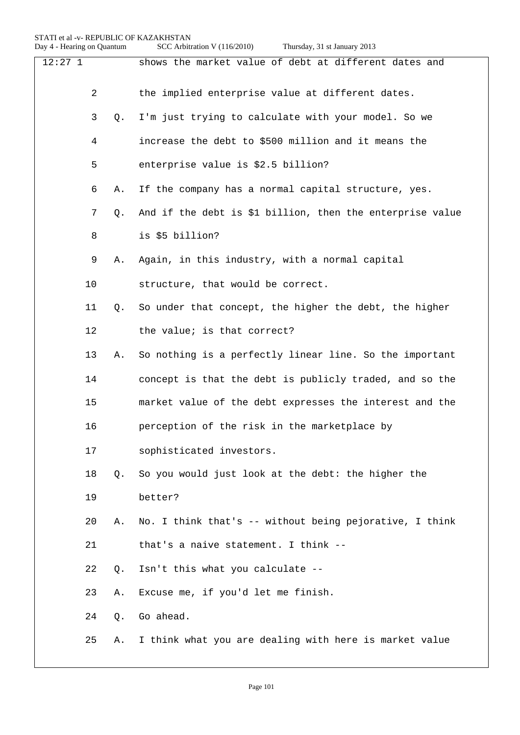| 12:271 |    | shows the market value of debt at different dates and     |
|--------|----|-----------------------------------------------------------|
| 2      |    | the implied enterprise value at different dates.          |
| 3      | Q. | I'm just trying to calculate with your model. So we       |
| 4      |    | increase the debt to \$500 million and it means the       |
| 5      |    | enterprise value is \$2.5 billion?                        |
| 6      | Α. | If the company has a normal capital structure, yes.       |
| 7      | Q. | And if the debt is \$1 billion, then the enterprise value |
| 8      |    | is \$5 billion?                                           |
| 9      | Α. | Again, in this industry, with a normal capital            |
| 10     |    | structure, that would be correct.                         |
| 11     | O. | So under that concept, the higher the debt, the higher    |
| 12     |    | the value; is that correct?                               |
| 13     | Α. | So nothing is a perfectly linear line. So the important   |
| 14     |    | concept is that the debt is publicly traded, and so the   |
| 15     |    | market value of the debt expresses the interest and the   |
| 16     |    | perception of the risk in the marketplace by              |
| 17     |    | sophisticated investors.                                  |
| 18     | Q. | So you would just look at the debt: the higher the        |
| 19     |    | better?                                                   |
| 20     | Α. | No. I think that's -- without being pejorative, I think   |
| 21     |    | that's a naive statement. I think --                      |
| 22     | Q. | Isn't this what you calculate --                          |
| 23     | Α. | Excuse me, if you'd let me finish.                        |
| 24     | Q. | Go ahead.                                                 |
| 25     | Α. | I think what you are dealing with here is market value    |
|        |    |                                                           |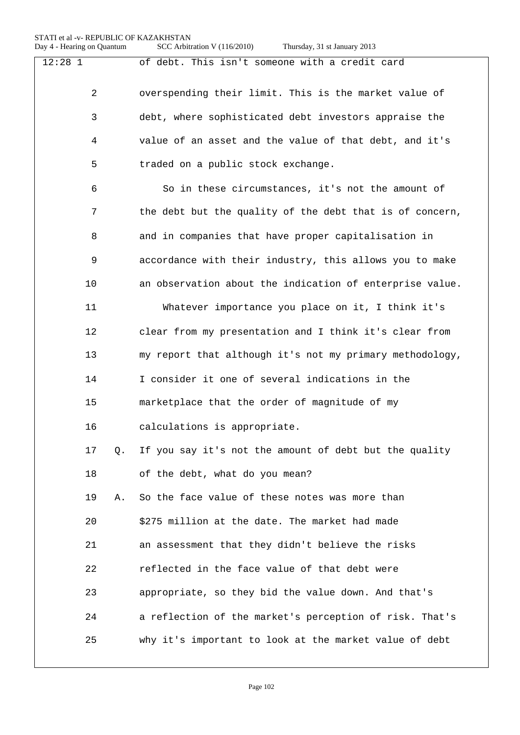|  |  | Thursday, 31 st January 2013 |  |
|--|--|------------------------------|--|
|--|--|------------------------------|--|

| $12:28$ 1 |                | of debt. This isn't someone with a credit card           |
|-----------|----------------|----------------------------------------------------------|
|           | $\overline{2}$ | overspending their limit. This is the market value of    |
|           | 3              | debt, where sophisticated debt investors appraise the    |
|           | 4              | value of an asset and the value of that debt, and it's   |
|           | 5              | traded on a public stock exchange.                       |
|           | 6              | So in these circumstances, it's not the amount of        |
|           | 7              | the debt but the quality of the debt that is of concern, |
|           | 8              | and in companies that have proper capitalisation in      |
|           | 9              | accordance with their industry, this allows you to make  |
| 10        |                | an observation about the indication of enterprise value. |
| 11        |                | Whatever importance you place on it, I think it's        |
| 12        |                | clear from my presentation and I think it's clear from   |
| 13        |                | my report that although it's not my primary methodology, |
| 14        |                | I consider it one of several indications in the          |
| 15        |                | marketplace that the order of magnitude of my            |
| 16        |                | calculations is appropriate.                             |
| 17        | Q.             | If you say it's not the amount of debt but the quality   |
| 18        |                | of the debt, what do you mean?                           |
| 19        | Α.             | So the face value of these notes was more than           |
| 20        |                | \$275 million at the date. The market had made           |
| 21        |                | an assessment that they didn't believe the risks         |
| 22        |                | reflected in the face value of that debt were            |
| 23        |                | appropriate, so they bid the value down. And that's      |
| 24        |                | a reflection of the market's perception of risk. That's  |
| 25        |                | why it's important to look at the market value of debt   |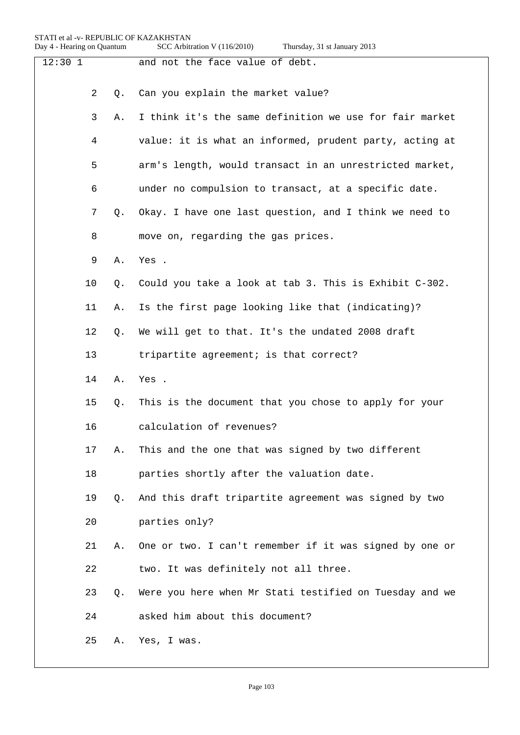| 12:301 |                |    | and not the face value of debt.                         |
|--------|----------------|----|---------------------------------------------------------|
|        | $\overline{2}$ | Q. | Can you explain the market value?                       |
|        | 3              | Α. | I think it's the same definition we use for fair market |
|        | 4              |    | value: it is what an informed, prudent party, acting at |
|        | 5              |    | arm's length, would transact in an unrestricted market, |
|        | 6              |    | under no compulsion to transact, at a specific date.    |
|        | 7              | Q. | Okay. I have one last question, and I think we need to  |
|        | 8              |    | move on, regarding the gas prices.                      |
|        | 9              | Α. | Yes.                                                    |
|        | 10             | Q. | Could you take a look at tab 3. This is Exhibit C-302.  |
|        | 11             | Α. | Is the first page looking like that (indicating)?       |
|        | 12             | Q. | We will get to that. It's the undated 2008 draft        |
|        | 13             |    | tripartite agreement; is that correct?                  |
|        | 14             | Α. | Yes .                                                   |
|        | 15             | Q. | This is the document that you chose to apply for your   |
|        | 16             |    | calculation of revenues?                                |
|        | 17             | Α. | This and the one that was signed by two different       |
|        | 18             |    | parties shortly after the valuation date.               |
|        | 19             | Q. | And this draft tripartite agreement was signed by two   |
|        | 20             |    | parties only?                                           |
|        | 21             | Α. | One or two. I can't remember if it was signed by one or |
|        | 22             |    | two. It was definitely not all three.                   |
|        | 23             | Q. | Were you here when Mr Stati testified on Tuesday and we |
|        | 24             |    | asked him about this document?                          |
|        | 25             | Α. | Yes, I was.                                             |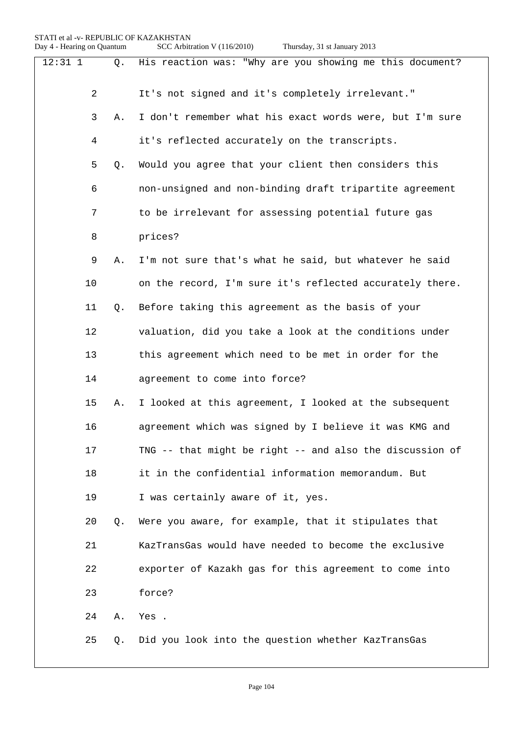| $12:31$ 1 |                | Q. | His reaction was: "Why are you showing me this document? |
|-----------|----------------|----|----------------------------------------------------------|
|           | $\overline{2}$ |    | It's not signed and it's completely irrelevant."         |
|           | 3              | Α. | I don't remember what his exact words were, but I'm sure |
|           | 4              |    | it's reflected accurately on the transcripts.            |
|           | 5              | Q. | Would you agree that your client then considers this     |
|           | 6              |    | non-unsigned and non-binding draft tripartite agreement  |
|           | 7              |    | to be irrelevant for assessing potential future gas      |
|           | 8              |    | prices?                                                  |
|           | 9              | Α. | I'm not sure that's what he said, but whatever he said   |
|           | 10             |    | on the record, I'm sure it's reflected accurately there. |
|           | 11             | Q. | Before taking this agreement as the basis of your        |
|           | 12             |    | valuation, did you take a look at the conditions under   |
|           | 13             |    | this agreement which need to be met in order for the     |
|           | 14             |    | agreement to come into force?                            |
|           | 15             | Α. | I looked at this agreement, I looked at the subsequent   |
|           | 16             |    | agreement which was signed by I believe it was KMG and   |
|           | 17             |    | TNG -- that might be right -- and also the discussion of |
|           | 18             |    | it in the confidential information memorandum. But       |
|           | 19             |    | I was certainly aware of it, yes.                        |
|           | 20             | Q. | Were you aware, for example, that it stipulates that     |
|           | 21             |    | KazTransGas would have needed to become the exclusive    |
|           | 22             |    | exporter of Kazakh gas for this agreement to come into   |
|           | 23             |    | force?                                                   |
|           | 24             | Α. | Yes.                                                     |
|           | 25             | Q. | Did you look into the question whether KazTransGas       |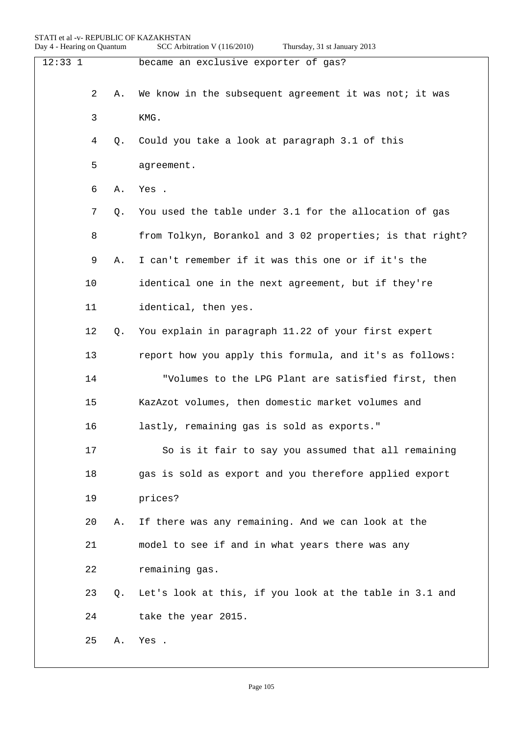| 12:331 |    |    | became an exclusive exporter of gas?                      |
|--------|----|----|-----------------------------------------------------------|
|        | 2  | Α. | We know in the subsequent agreement it was not; it was    |
|        | 3  |    | KMG.                                                      |
|        | 4  | Q. | Could you take a look at paragraph 3.1 of this            |
|        | 5  |    | agreement.                                                |
|        | 6  | Α. | Yes .                                                     |
|        | 7  | Q. | You used the table under 3.1 for the allocation of gas    |
|        | 8  |    | from Tolkyn, Borankol and 3 02 properties; is that right? |
|        | 9  | Α. | I can't remember if it was this one or if it's the        |
|        | 10 |    | identical one in the next agreement, but if they're       |
|        | 11 |    | identical, then yes.                                      |
|        | 12 | O. | You explain in paragraph 11.22 of your first expert       |
|        | 13 |    | report how you apply this formula, and it's as follows:   |
|        | 14 |    | "Volumes to the LPG Plant are satisfied first, then       |
|        | 15 |    | KazAzot volumes, then domestic market volumes and         |
|        | 16 |    | lastly, remaining gas is sold as exports."                |
|        | 17 |    | So is it fair to say you assumed that all remaining       |
|        | 18 |    | gas is sold as export and you therefore applied export    |
|        | 19 |    | prices?                                                   |
|        | 20 | Α. | If there was any remaining. And we can look at the        |
|        | 21 |    | model to see if and in what years there was any           |
|        | 22 |    | remaining gas.                                            |
|        | 23 | Q. | Let's look at this, if you look at the table in 3.1 and   |
|        | 24 |    | take the year 2015.                                       |
|        | 25 | Α. | Yes.                                                      |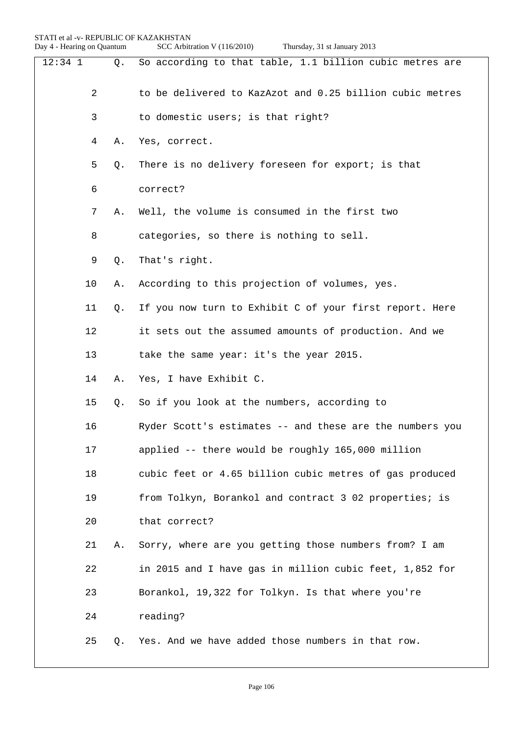| $12:34$ 1 | Q. | So according to that table, 1.1 billion cubic metres are |
|-----------|----|----------------------------------------------------------|
| 2         |    | to be delivered to KazAzot and 0.25 billion cubic metres |
| 3         |    | to domestic users; is that right?                        |
| 4         | Α. | Yes, correct.                                            |
| 5         | Q. | There is no delivery foreseen for export; is that        |
| 6         |    | correct?                                                 |
| 7         | Α. | Well, the volume is consumed in the first two            |
| 8         |    | categories, so there is nothing to sell.                 |
| 9         | Q. | That's right.                                            |
| 10        | Α. | According to this projection of volumes, yes.            |
| 11        | Q. | If you now turn to Exhibit C of your first report. Here  |
| 12        |    | it sets out the assumed amounts of production. And we    |
| 13        |    | take the same year: it's the year 2015.                  |
| 14        | Α. | Yes, I have Exhibit C.                                   |
| 15        | Q. | So if you look at the numbers, according to              |
| 16        |    | Ryder Scott's estimates -- and these are the numbers you |
| 17        |    | applied -- there would be roughly 165,000 million        |
| 18        |    | cubic feet or 4.65 billion cubic metres of gas produced  |
| 19        |    | from Tolkyn, Borankol and contract 3 02 properties; is   |
| 20        |    | that correct?                                            |
| 21        | Α. | Sorry, where are you getting those numbers from? I am    |
| 22        |    | in 2015 and I have gas in million cubic feet, 1,852 for  |
| 23        |    | Borankol, 19,322 for Tolkyn. Is that where you're        |
| 24        |    | reading?                                                 |
| 25        | Q. | Yes. And we have added those numbers in that row.        |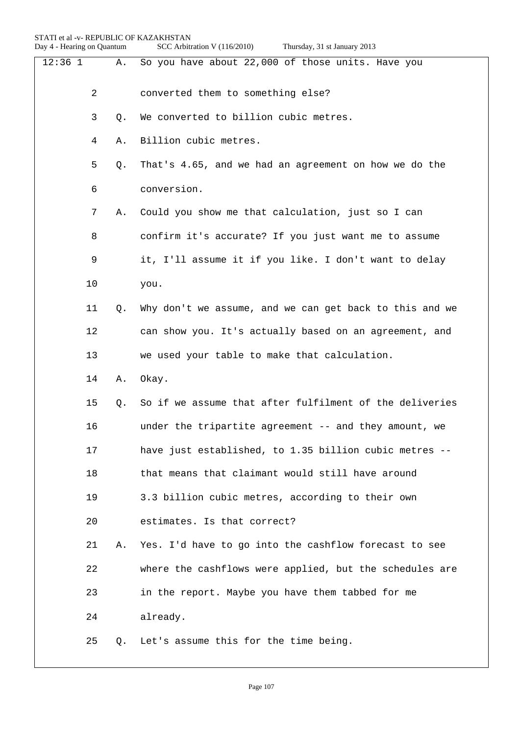| $12:36$ 1      | Α. | So you have about 22,000 of those units. Have you       |
|----------------|----|---------------------------------------------------------|
| $\overline{2}$ |    | converted them to something else?                       |
| 3              | Q. | We converted to billion cubic metres.                   |
| 4              | Α. | Billion cubic metres.                                   |
| 5              | Q. | That's 4.65, and we had an agreement on how we do the   |
| 6              |    | conversion.                                             |
| 7              | Α. | Could you show me that calculation, just so I can       |
| 8              |    | confirm it's accurate? If you just want me to assume    |
| 9              |    | it, I'll assume it if you like. I don't want to delay   |
| 10             |    | you.                                                    |
| 11             | Q. | Why don't we assume, and we can get back to this and we |
| 12             |    | can show you. It's actually based on an agreement, and  |
| 13             |    | we used your table to make that calculation.            |
| 14             | Α. | Okay.                                                   |
| 15             | Q. | So if we assume that after fulfilment of the deliveries |
| 16             |    | under the tripartite agreement -- and they amount, we   |
| 17             |    | have just established, to 1.35 billion cubic metres --  |
| 18             |    | that means that claimant would still have around        |
| 19             |    | 3.3 billion cubic metres, according to their own        |
| 20             |    | estimates. Is that correct?                             |
| 21             | Α. | Yes. I'd have to go into the cashflow forecast to see   |
| 22             |    | where the cashflows were applied, but the schedules are |
| 23             |    | in the report. Maybe you have them tabbed for me        |
| 24             |    | already.                                                |
| 25             | Q. | Let's assume this for the time being.                   |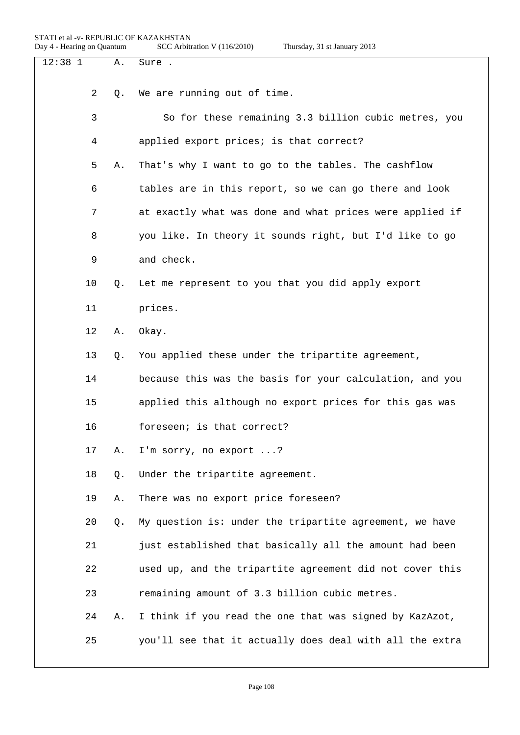| $12:38$ 1 |    | Α. | Sure .                                                   |
|-----------|----|----|----------------------------------------------------------|
|           | 2  | Q. | We are running out of time.                              |
|           | 3  |    | So for these remaining 3.3 billion cubic metres, you     |
|           | 4  |    | applied export prices; is that correct?                  |
|           | 5  | Α. | That's why I want to go to the tables. The cashflow      |
|           | 6  |    | tables are in this report, so we can go there and look   |
|           | 7  |    | at exactly what was done and what prices were applied if |
|           | 8  |    | you like. In theory it sounds right, but I'd like to go  |
|           | 9  |    | and check.                                               |
|           | 10 | Q. | Let me represent to you that you did apply export        |
|           | 11 |    | prices.                                                  |
|           | 12 | Α. | Okay.                                                    |
|           | 13 | О. | You applied these under the tripartite agreement,        |
|           | 14 |    | because this was the basis for your calculation, and you |
|           | 15 |    | applied this although no export prices for this gas was  |
|           | 16 |    | foreseen; is that correct?                               |
|           | 17 | Α. | I'm sorry, no export ?                                   |
|           | 18 | Q. | Under the tripartite agreement.                          |
|           | 19 | Α. | There was no export price foreseen?                      |
|           | 20 | Q. | My question is: under the tripartite agreement, we have  |
|           | 21 |    | just established that basically all the amount had been  |
|           | 22 |    | used up, and the tripartite agreement did not cover this |
|           | 23 |    | remaining amount of 3.3 billion cubic metres.            |
|           | 24 | Α. | I think if you read the one that was signed by KazAzot,  |
|           | 25 |    | you'll see that it actually does deal with all the extra |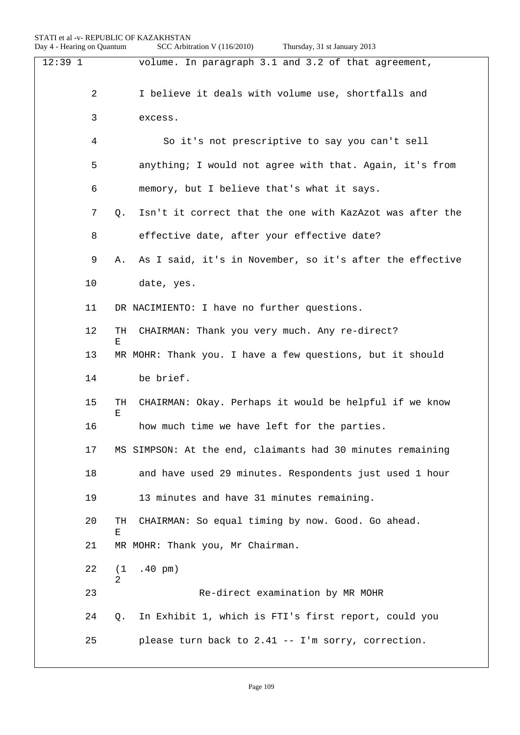12:39 1 volume. In paragraph 3.1 and 3.2 of that agreement, 2 I believe it deals with volume use, shortfalls and 3 excess. 4 So it's not prescriptive to say you can't sell 5 anything; I would not agree with that. Again, it's from 6 memory, but I believe that's what it says. 7 Q. Isn't it correct that the one with KazAzot was after the 8 effective date, after your effective date? 9 A. As I said, it's in November, so it's after the effective 10 date, yes. 11 DR NACIMIENTO: I have no further questions. 12 TH E CHAIRMAN: Thank you very much. Any re-direct? 13 MR MOHR: Thank you. I have a few questions, but it should 14 be brief. 15 TH E CHAIRMAN: Okay. Perhaps it would be helpful if we know 16 how much time we have left for the parties. 17 MS SIMPSON: At the end, claimants had 30 minutes remaining 18 and have used 29 minutes. Respondents just used 1 hour 19 13 minutes and have 31 minutes remaining. 20 TH E CHAIRMAN: So equal timing by now. Good. Go ahead. 21 MR MOHR: Thank you, Mr Chairman. 22 (1 2 .40 pm) 23 Re-direct examination by MR MOHR 24 Q. In Exhibit 1, which is FTI's first report, could you 25 please turn back to 2.41 -- I'm sorry, correction.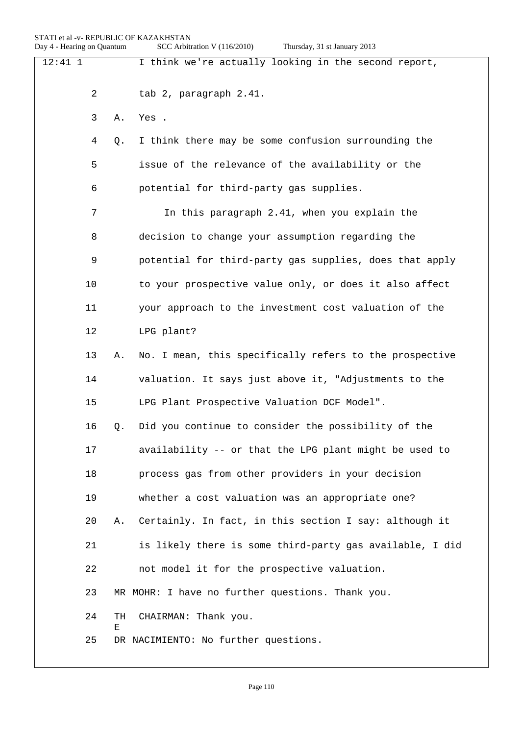| 12:411 |                | I think we're actually looking in the second report,     |
|--------|----------------|----------------------------------------------------------|
|        | $\overline{a}$ | tab 2, paragraph 2.41.                                   |
| 3      | Α.             | Yes.                                                     |
| 4      | Q.             | I think there may be some confusion surrounding the      |
| 5      |                | issue of the relevance of the availability or the        |
| 6      |                | potential for third-party gas supplies.                  |
| 7      |                | In this paragraph 2.41, when you explain the             |
| 8      |                | decision to change your assumption regarding the         |
| 9      |                | potential for third-party gas supplies, does that apply  |
| 10     |                | to your prospective value only, or does it also affect   |
| 11     |                | your approach to the investment cost valuation of the    |
| 12     |                | LPG plant?                                               |
| 13     | Α.             | No. I mean, this specifically refers to the prospective  |
| 14     |                | valuation. It says just above it, "Adjustments to the    |
| 15     |                | LPG Plant Prospective Valuation DCF Model".              |
| 16     | О.             | Did you continue to consider the possibility of the      |
| 17     |                | availability -- or that the LPG plant might be used to   |
| 18     |                | process gas from other providers in your decision        |
| 19     |                | whether a cost valuation was an appropriate one?         |
| 20     | Α.             | Certainly. In fact, in this section I say: although it   |
| 21     |                | is likely there is some third-party gas available, I did |
| 22     |                | not model it for the prospective valuation.              |
| 23     |                | MR MOHR: I have no further questions. Thank you.         |
| 24     | TH<br>Е        | CHAIRMAN: Thank you.                                     |
| 25     |                | DR NACIMIENTO: No further questions.                     |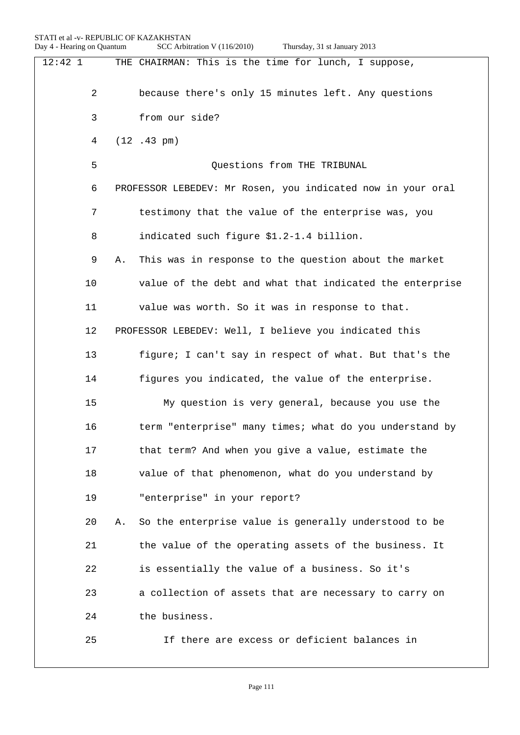| 12:421         | THE CHAIRMAN: This is the time for lunch, I suppose,        |
|----------------|-------------------------------------------------------------|
| $\overline{2}$ | because there's only 15 minutes left. Any questions         |
| 3              | from our side?                                              |
| 4              | $(12.43 \text{ pm})$                                        |
| 5              | Questions from THE TRIBUNAL                                 |
| 6              | PROFESSOR LEBEDEV: Mr Rosen, you indicated now in your oral |
| 7              | testimony that the value of the enterprise was, you         |
| 8              | indicated such figure \$1.2-1.4 billion.                    |
| 9              | This was in response to the question about the market<br>Α. |
| 10             | value of the debt and what that indicated the enterprise    |
| 11             | value was worth. So it was in response to that.             |
| 12             | PROFESSOR LEBEDEV: Well, I believe you indicated this       |
| 13             | figure; I can't say in respect of what. But that's the      |
| 14             | figures you indicated, the value of the enterprise.         |
| 15             | My question is very general, because you use the            |
| 16             | term "enterprise" many times; what do you understand by     |
| 17             | that term? And when you give a value, estimate the          |
| 18             | value of that phenomenon, what do you understand by         |
| 19             | "enterprise" in your report?                                |
| 20             | So the enterprise value is generally understood to be<br>Α. |
| 21             | the value of the operating assets of the business. It       |
| 22             | is essentially the value of a business. So it's             |
| 23             | a collection of assets that are necessary to carry on       |
| 24             | the business.                                               |
| 25             | If there are excess or deficient balances in                |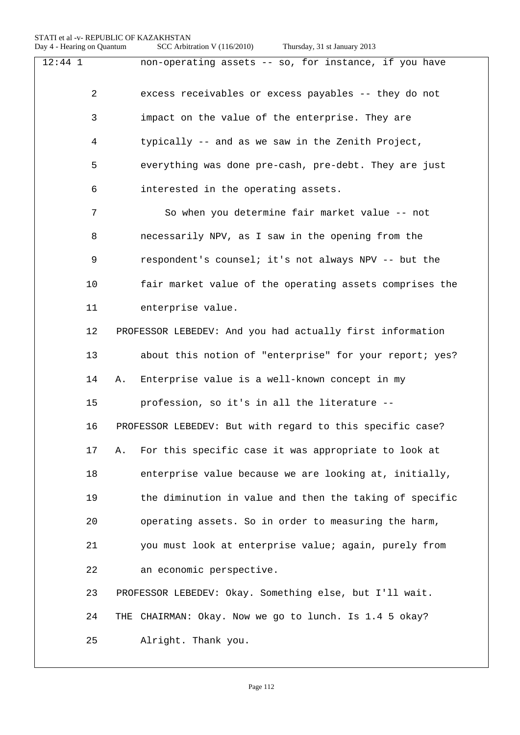| $\overline{12}:44$ 1 | non-operating assets -- so, for instance, if you have      |
|----------------------|------------------------------------------------------------|
|                      |                                                            |
| $\overline{2}$       | excess receivables or excess payables -- they do not       |
| 3                    | impact on the value of the enterprise. They are            |
| 4                    | typically -- and as we saw in the Zenith Project,          |
| 5                    | everything was done pre-cash, pre-debt. They are just      |
| 6                    | interested in the operating assets.                        |
| 7                    | So when you determine fair market value -- not             |
| 8                    | necessarily NPV, as I saw in the opening from the          |
| 9                    | respondent's counsel; it's not always NPV -- but the       |
| 10                   | fair market value of the operating assets comprises the    |
| 11                   | enterprise value.                                          |
| 12                   | PROFESSOR LEBEDEV: And you had actually first information  |
| 13                   | about this notion of "enterprise" for your report; yes?    |
| 14                   | Enterprise value is a well-known concept in my<br>Α.       |
| 15                   | profession, so it's in all the literature --               |
| 16                   | PROFESSOR LEBEDEV: But with regard to this specific case?  |
| 17                   | For this specific case it was appropriate to look at<br>Α. |
| 18                   | enterprise value because we are looking at, initially,     |
| 19                   | the diminution in value and then the taking of specific    |
| 20                   | operating assets. So in order to measuring the harm,       |
| 21                   | you must look at enterprise value; again, purely from      |
| 22                   | an economic perspective.                                   |
| 23                   | PROFESSOR LEBEDEV: Okay. Something else, but I'll wait.    |
| 24                   | THE CHAIRMAN: Okay. Now we go to lunch. Is 1.4 5 okay?     |
| 25                   | Alright. Thank you.                                        |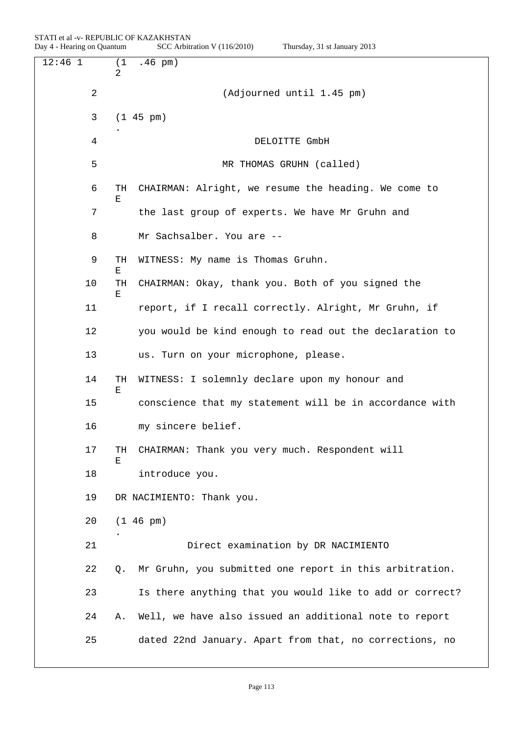12:46 1 (1 2 .46 pm) 2 (Adjourned until 1.45 pm) 3 (1 45 pm) . 4 DELOITTE GmbH 5 MR THOMAS GRUHN (called) 6 TH E CHAIRMAN: Alright, we resume the heading. We come to 7 the last group of experts. We have Mr Gruhn and 8 Mr Sachsalber. You are -- 9 TH E WITNESS: My name is Thomas Gruhn. 10 TH CHAIRMAN: Okay, thank you. Both of you signed the E 11 report, if I recall correctly. Alright, Mr Gruhn, if 12 you would be kind enough to read out the declaration to 13 us. Turn on your microphone, please. 14 TH WITNESS: I solemnly declare upon my honour and E 15 conscience that my statement will be in accordance with 16 my sincere belief. 17 TH  $\mathbf E$ CHAIRMAN: Thank you very much. Respondent will 18 introduce you. 19 DR NACIMIENTO: Thank you. 20 .  $(1 46 pm)$ 21 Direct examination by DR NACIMIENTO 22 Q. Mr Gruhn, you submitted one report in this arbitration. 23 Is there anything that you would like to add or correct? 24 A. Well, we have also issued an additional note to report 25 dated 22nd January. Apart from that, no corrections, no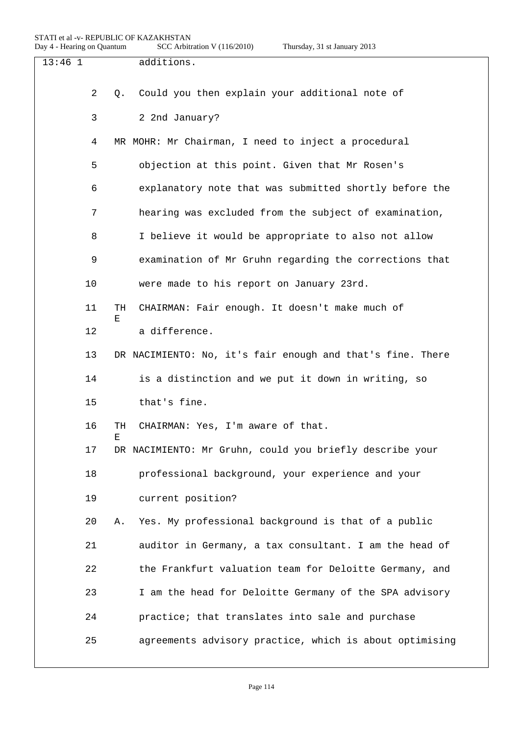| $13:46$ 1 |                      | additions.                                                 |
|-----------|----------------------|------------------------------------------------------------|
|           |                      |                                                            |
|           | $\overline{2}$<br>Q. | Could you then explain your additional note of             |
|           | 3                    | 2 2nd January?                                             |
|           | 4                    | MR MOHR: Mr Chairman, I need to inject a procedural        |
|           | 5                    | objection at this point. Given that Mr Rosen's             |
|           | 6                    | explanatory note that was submitted shortly before the     |
|           | 7                    | hearing was excluded from the subject of examination,      |
|           | 8                    | I believe it would be appropriate to also not allow        |
|           | 9                    | examination of Mr Gruhn regarding the corrections that     |
| 10        |                      | were made to his report on January 23rd.                   |
| 11        | TH<br>Е              | CHAIRMAN: Fair enough. It doesn't make much of             |
| 12        |                      | a difference.                                              |
| 13        |                      | DR NACIMIENTO: No, it's fair enough and that's fine. There |
| 14        |                      | is a distinction and we put it down in writing, so         |
| 15        |                      | that's fine.                                               |
| 16        | TH<br>Е              | CHAIRMAN: Yes, I'm aware of that.                          |
| 17        |                      | DR NACIMIENTO: Mr Gruhn, could you briefly describe your   |
| 18        |                      | professional background, your experience and your          |
| 19        |                      | current position?                                          |
| 20        | Α.                   | Yes. My professional background is that of a public        |
| 21        |                      | auditor in Germany, a tax consultant. I am the head of     |
| 22        |                      | the Frankfurt valuation team for Deloitte Germany, and     |
| 23        |                      | I am the head for Deloitte Germany of the SPA advisory     |
| 24        |                      | practice; that translates into sale and purchase           |
| 25        |                      | agreements advisory practice, which is about optimising    |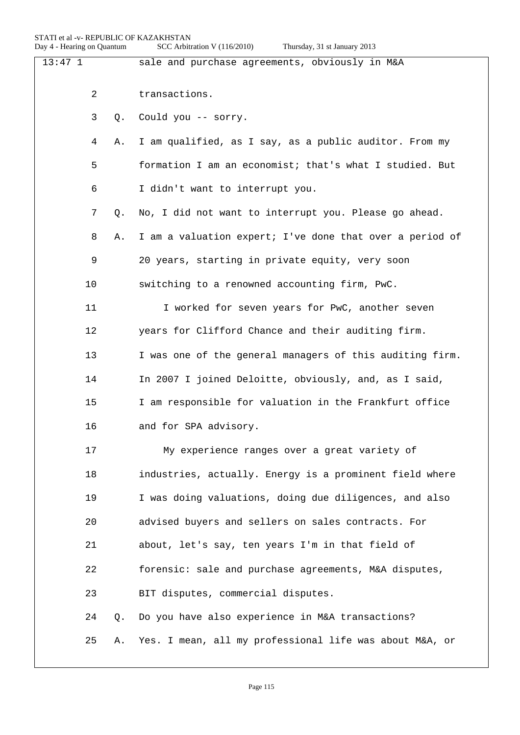| $13:47$ 1 |    |    | sale and purchase agreements, obviously in M&A           |
|-----------|----|----|----------------------------------------------------------|
|           | 2  |    | transactions.                                            |
|           | 3  | Q. | Could you -- sorry.                                      |
|           | 4  | Α. | I am qualified, as I say, as a public auditor. From my   |
|           | 5  |    | formation I am an economist; that's what I studied. But  |
|           | 6  |    | I didn't want to interrupt you.                          |
|           | 7  | Q. | No, I did not want to interrupt you. Please go ahead.    |
|           | 8  | Α. | I am a valuation expert; I've done that over a period of |
|           | 9  |    | 20 years, starting in private equity, very soon          |
|           | 10 |    | switching to a renowned accounting firm, PwC.            |
|           | 11 |    | I worked for seven years for PwC, another seven          |
|           | 12 |    | years for Clifford Chance and their auditing firm.       |
|           | 13 |    | I was one of the general managers of this auditing firm. |
|           | 14 |    | In 2007 I joined Deloitte, obviously, and, as I said,    |
|           | 15 |    | I am responsible for valuation in the Frankfurt office   |
|           | 16 |    | and for SPA advisory.                                    |
|           | 17 |    | My experience ranges over a great variety of             |
|           | 18 |    | industries, actually. Energy is a prominent field where  |
|           | 19 |    | I was doing valuations, doing due diligences, and also   |
|           | 20 |    | advised buyers and sellers on sales contracts. For       |
|           | 21 |    | about, let's say, ten years I'm in that field of         |
|           | 22 |    | forensic: sale and purchase agreements, M&A disputes,    |
|           | 23 |    | BIT disputes, commercial disputes.                       |
|           | 24 | Q. | Do you have also experience in M&A transactions?         |
|           | 25 | Α. | Yes. I mean, all my professional life was about M&A, or  |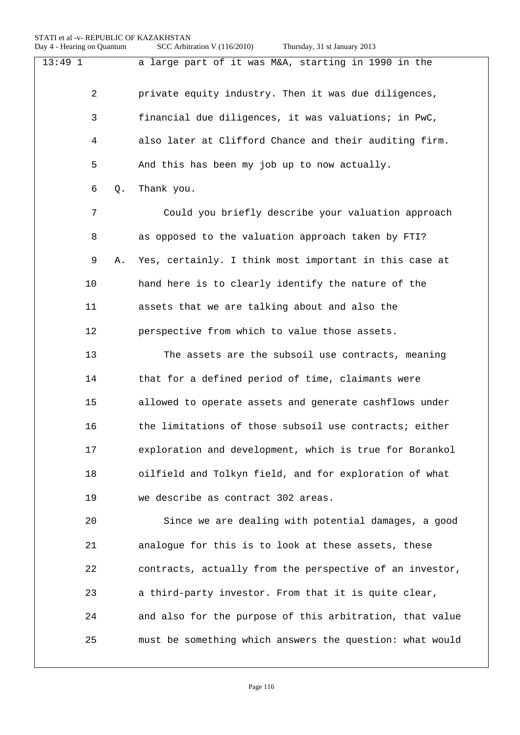| $13:49$ 1 |    |    | a large part of it was M&A, starting in 1990 in the      |
|-----------|----|----|----------------------------------------------------------|
|           | 2  |    | private equity industry. Then it was due diligences,     |
|           | 3  |    | financial due diligences, it was valuations; in PwC,     |
|           | 4  |    | also later at Clifford Chance and their auditing firm.   |
|           | 5  |    | And this has been my job up to now actually.             |
|           | 6  | Q. | Thank you.                                               |
|           | 7  |    | Could you briefly describe your valuation approach       |
|           | 8  |    | as opposed to the valuation approach taken by FTI?       |
|           | 9  | Α. | Yes, certainly. I think most important in this case at   |
|           | 10 |    | hand here is to clearly identify the nature of the       |
|           | 11 |    | assets that we are talking about and also the            |
|           | 12 |    | perspective from which to value those assets.            |
|           | 13 |    | The assets are the subsoil use contracts, meaning        |
|           | 14 |    | that for a defined period of time, claimants were        |
|           | 15 |    | allowed to operate assets and generate cashflows under   |
|           | 16 |    | the limitations of those subsoil use contracts; either   |
|           | 17 |    | exploration and development, which is true for Borankol  |
|           | 18 |    | oilfield and Tolkyn field, and for exploration of what   |
|           | 19 |    | we describe as contract 302 areas.                       |
|           | 20 |    | Since we are dealing with potential damages, a good      |
|           | 21 |    | analogue for this is to look at these assets, these      |
|           | 22 |    | contracts, actually from the perspective of an investor, |
|           | 23 |    | a third-party investor. From that it is quite clear,     |
|           | 24 |    | and also for the purpose of this arbitration, that value |
|           | 25 |    | must be something which answers the question: what would |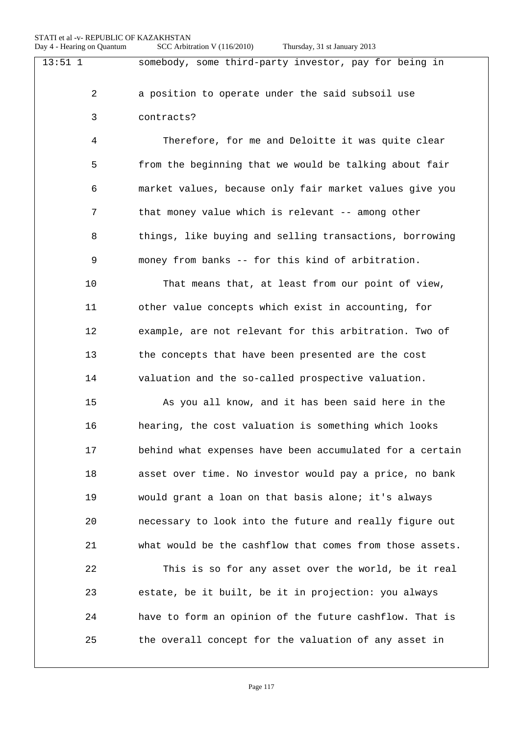Day 4 - Hearing on Quantum SCC Arbitration V (116/2010) Thursday, 31 st January 2013

13:51 1 somebody, some third-party investor, pay for being in 2 a position to operate under the said subsoil use 3 contracts? 4 Therefore, for me and Deloitte it was quite clear 5 from the beginning that we would be talking about fair 6 market values, because only fair market values give you 7 that money value which is relevant -- among other 8 things, like buying and selling transactions, borrowing 9 money from banks -- for this kind of arbitration. 10 That means that, at least from our point of view, 11 other value concepts which exist in accounting, for 12 example, are not relevant for this arbitration. Two of 13 the concepts that have been presented are the cost 14 valuation and the so-called prospective valuation. 15 As you all know, and it has been said here in the 16 hearing, the cost valuation is something which looks 17 behind what expenses have been accumulated for a certain 18 asset over time. No investor would pay a price, no bank 19 would grant a loan on that basis alone; it's always 20 necessary to look into the future and really figure out 21 what would be the cashflow that comes from those assets. 22 This is so for any asset over the world, be it real 23 estate, be it built, be it in projection: you always 24 have to form an opinion of the future cashflow. That is 25 the overall concept for the valuation of any asset in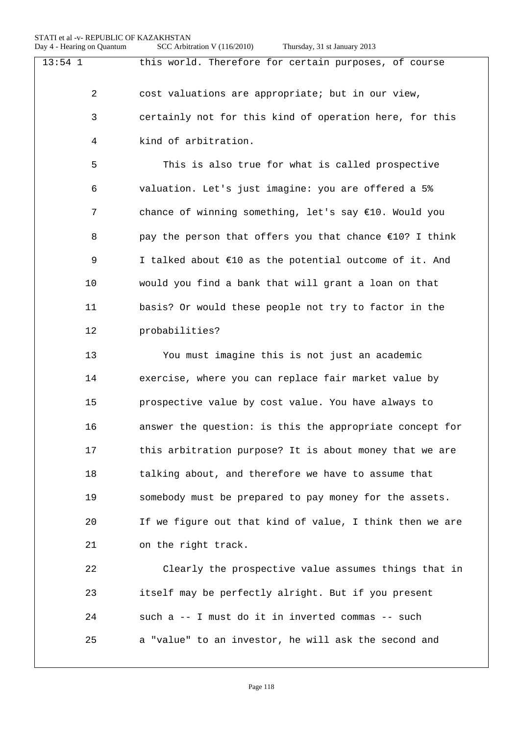Day 4 - Hearing on Quantum SCC Arbitration V (116/2010) Thursday, 31 st January 2013

13:54 1 this world. Therefore for certain purposes, of course 2 cost valuations are appropriate; but in our view, 3 certainly not for this kind of operation here, for this 4 kind of arbitration. 5 This is also true for what is called prospective 6 valuation. Let's just imagine: you are offered a 5% 7 chance of winning something, let's say €10. Would you 8 pay the person that offers you that chance €10? I think 9 I talked about €10 as the potential outcome of it. And 10 would you find a bank that will grant a loan on that 11 basis? Or would these people not try to factor in the 12 probabilities? 13 You must imagine this is not just an academic 14 exercise, where you can replace fair market value by 15 prospective value by cost value. You have always to 16 answer the question: is this the appropriate concept for 17 this arbitration purpose? It is about money that we are 18 talking about, and therefore we have to assume that 19 somebody must be prepared to pay money for the assets. 20 If we figure out that kind of value, I think then we are 21 on the right track. 22 Clearly the prospective value assumes things that in 23 itself may be perfectly alright. But if you present 24 such a -- I must do it in inverted commas -- such 25 a "value" to an investor, he will ask the second and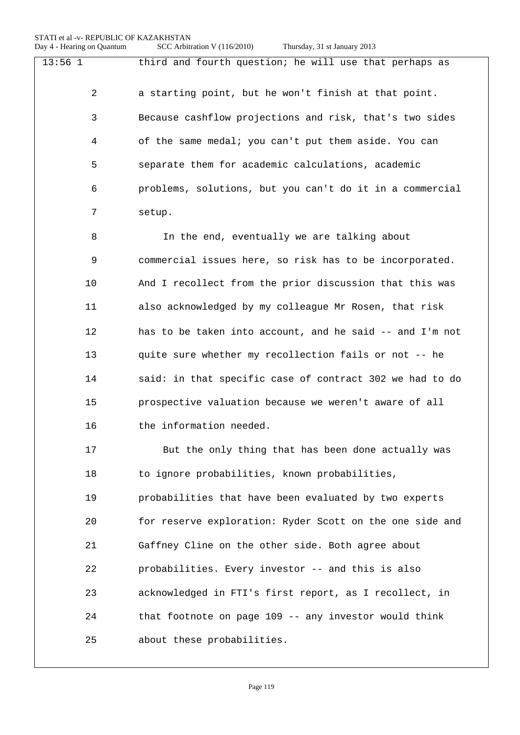| $13:56$ 1 | third and fourth question; he will use that perhaps as   |
|-----------|----------------------------------------------------------|
| 2         | a starting point, but he won't finish at that point.     |
| 3         | Because cashflow projections and risk, that's two sides  |
| 4         | of the same medal; you can't put them aside. You can     |
| 5         | separate them for academic calculations, academic        |
| 6         | problems, solutions, but you can't do it in a commercial |
| 7         | setup.                                                   |
| 8         | In the end, eventually we are talking about              |
| 9         | commercial issues here, so risk has to be incorporated.  |
| 10        | And I recollect from the prior discussion that this was  |
| 11        | also acknowledged by my colleague Mr Rosen, that risk    |
| 12        | has to be taken into account, and he said -- and I'm not |
| 13        | quite sure whether my recollection fails or not -- he    |
| 14        | said: in that specific case of contract 302 we had to do |
| 15        | prospective valuation because we weren't aware of all    |
| 16        | the information needed.                                  |
| 17        | But the only thing that has been done actually was       |
| 18        | to ignore probabilities, known probabilities,            |
| 19        | probabilities that have been evaluated by two experts    |
| 20        | for reserve exploration: Ryder Scott on the one side and |
| 21        | Gaffney Cline on the other side. Both agree about        |
| 22        | probabilities. Every investor -- and this is also        |
| 23        | acknowledged in FTI's first report, as I recollect, in   |
| 24        | that footnote on page 109 -- any investor would think    |
| 25        | about these probabilities.                               |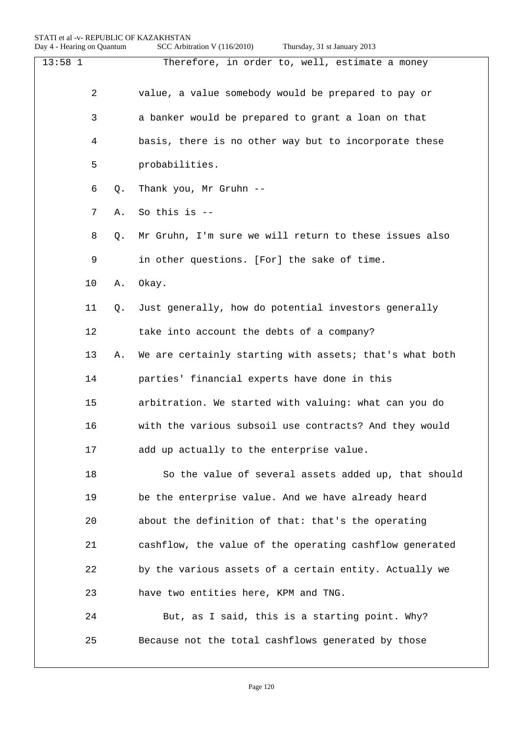| $13:58$ 1 |    |    | Therefore, in order to, well, estimate a money          |
|-----------|----|----|---------------------------------------------------------|
|           | 2  |    | value, a value somebody would be prepared to pay or     |
|           | 3  |    | a banker would be prepared to grant a loan on that      |
|           | 4  |    | basis, there is no other way but to incorporate these   |
|           | 5  |    | probabilities.                                          |
|           | 6  | Q. | Thank you, Mr Gruhn --                                  |
|           | 7  | Α. | So this is $-$ -                                        |
|           | 8  | Q. | Mr Gruhn, I'm sure we will return to these issues also  |
|           | 9  |    | in other questions. [For] the sake of time.             |
|           | 10 | Α. | Okay.                                                   |
|           | 11 | Q. | Just generally, how do potential investors generally    |
|           | 12 |    | take into account the debts of a company?               |
|           | 13 | Α. | We are certainly starting with assets; that's what both |
|           | 14 |    | parties' financial experts have done in this            |
|           | 15 |    | arbitration. We started with valuing: what can you do   |
|           | 16 |    | with the various subsoil use contracts? And they would  |
|           | 17 |    | add up actually to the enterprise value.                |
|           | 18 |    | So the value of several assets added up, that should    |
|           | 19 |    | be the enterprise value. And we have already heard      |
|           | 20 |    | about the definition of that: that's the operating      |
|           | 21 |    | cashflow, the value of the operating cashflow generated |
|           | 22 |    | by the various assets of a certain entity. Actually we  |
|           | 23 |    | have two entities here, KPM and TNG.                    |
|           | 24 |    | But, as I said, this is a starting point. Why?          |
|           | 25 |    | Because not the total cashflows generated by those      |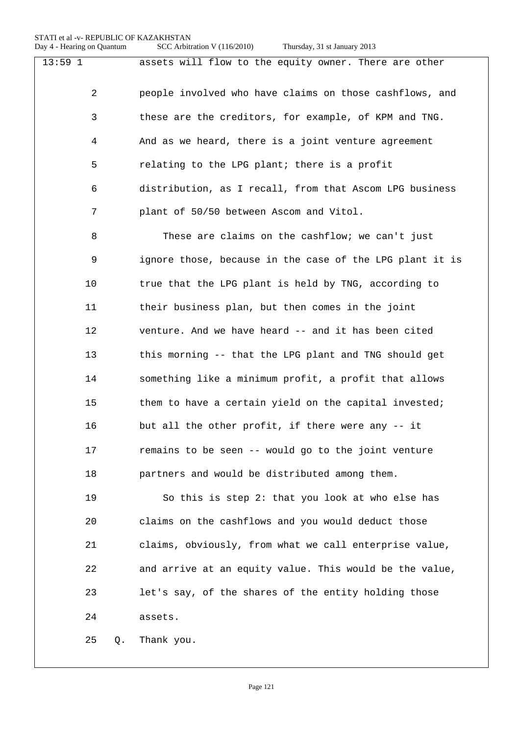| $13:59$ 1 | assets will flow to the equity owner. There are other    |
|-----------|----------------------------------------------------------|
| 2         | people involved who have claims on those cashflows, and  |
| 3         | these are the creditors, for example, of KPM and TNG.    |
| 4         | And as we heard, there is a joint venture agreement      |
| 5         | relating to the LPG plant; there is a profit             |
| 6         | distribution, as I recall, from that Ascom LPG business  |
| 7         | plant of 50/50 between Ascom and Vitol.                  |
| 8         | These are claims on the cashflow; we can't just          |
| 9         | ignore those, because in the case of the LPG plant it is |
| 10        | true that the LPG plant is held by TNG, according to     |
| 11        | their business plan, but then comes in the joint         |
| 12        | venture. And we have heard -- and it has been cited      |
| 13        | this morning -- that the LPG plant and TNG should get    |
| 14        | something like a minimum profit, a profit that allows    |
| 15        | them to have a certain yield on the capital invested;    |
| 16        | but all the other profit, if there were any -- it        |
| 17        | remains to be seen -- would go to the joint venture      |
| 18        | partners and would be distributed among them.            |
| 19        | So this is step 2: that you look at who else has         |
| 20        | claims on the cashflows and you would deduct those       |
| 21        | claims, obviously, from what we call enterprise value,   |
| 22        | and arrive at an equity value. This would be the value,  |

23 let's say, of the shares of the entity holding those 24 assets.

25 Q. Thank you.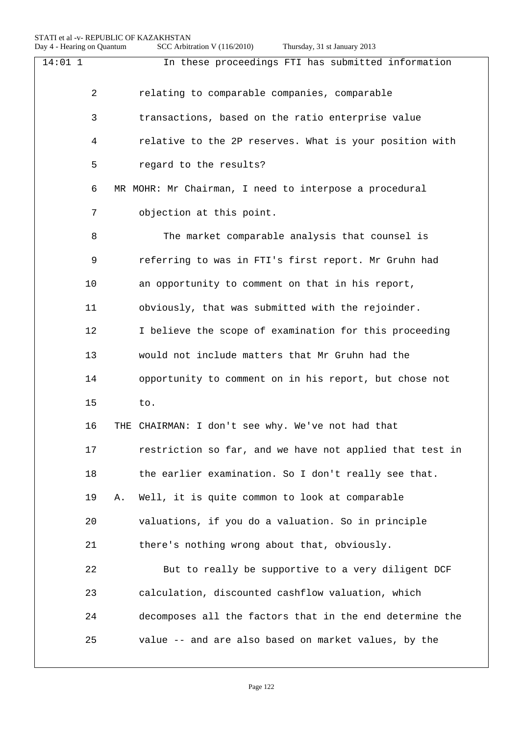| $14:01$ 1      | In these proceedings FTI has submitted information       |
|----------------|----------------------------------------------------------|
| $\overline{2}$ | relating to comparable companies, comparable             |
| 3              | transactions, based on the ratio enterprise value        |
| 4              | relative to the 2P reserves. What is your position with  |
| 5              | regard to the results?                                   |
| 6              | MR MOHR: Mr Chairman, I need to interpose a procedural   |
| 7              | objection at this point.                                 |
| 8              | The market comparable analysis that counsel is           |
| 9              | referring to was in FTI's first report. Mr Gruhn had     |
| 10             | an opportunity to comment on that in his report,         |
| 11             | obviously, that was submitted with the rejoinder.        |
| 12             | I believe the scope of examination for this proceeding   |
| 13             | would not include matters that Mr Gruhn had the          |
| 14             | opportunity to comment on in his report, but chose not   |
| 15             | to.                                                      |
| 16             | THE CHAIRMAN: I don't see why. We've not had that        |
| 17             | restriction so far, and we have not applied that test in |
| 18             | the earlier examination. So I don't really see that.     |
| 19             | Well, it is quite common to look at comparable<br>Α.     |
| 20             | valuations, if you do a valuation. So in principle       |
| 21             | there's nothing wrong about that, obviously.             |
| 22             | But to really be supportive to a very diligent DCF       |
| 23             | calculation, discounted cashflow valuation, which        |
| 24             | decomposes all the factors that in the end determine the |
| 25             | value -- and are also based on market values, by the     |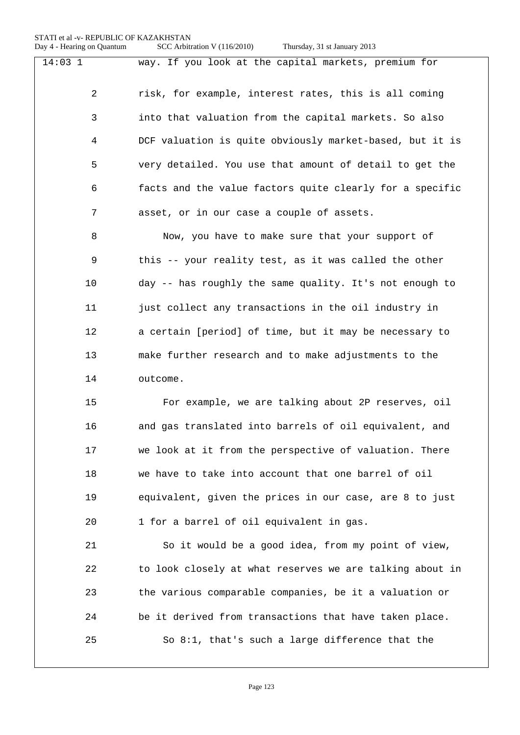## STATI et al -v- REPUBLIC OF KAZAKHSTAN<br>Day 4 - Hearing on Quantum SCC Arbitr

| $14:03$ 1      | way. If you look at the capital markets, premium for     |
|----------------|----------------------------------------------------------|
| $\overline{2}$ | risk, for example, interest rates, this is all coming    |
| 3              | into that valuation from the capital markets. So also    |
| 4              | DCF valuation is quite obviously market-based, but it is |
| 5              | very detailed. You use that amount of detail to get the  |
| 6              | facts and the value factors quite clearly for a specific |
| 7              | asset, or in our case a couple of assets.                |
| 8              | Now, you have to make sure that your support of          |
| 9              | this -- your reality test, as it was called the other    |
| 10             | day -- has roughly the same quality. It's not enough to  |
| 11             | just collect any transactions in the oil industry in     |
| 12             | a certain [period] of time, but it may be necessary to   |
| 13             | make further research and to make adjustments to the     |
| 14             | outcome.                                                 |
| 15             | For example, we are talking about 2P reserves, oil       |
| 16             | and gas translated into barrels of oil equivalent, and   |
| 17             | we look at it from the perspective of valuation. There   |
| 18             | we have to take into account that one barrel of oil      |
| 19             | equivalent, given the prices in our case, are 8 to just  |
| 20             | 1 for a barrel of oil equivalent in gas.                 |
| 21             | So it would be a good idea, from my point of view,       |
| 22             | to look closely at what reserves we are talking about in |
| 23             | the various comparable companies, be it a valuation or   |
| 24             | be it derived from transactions that have taken place.   |
| 25             | So 8:1, that's such a large difference that the          |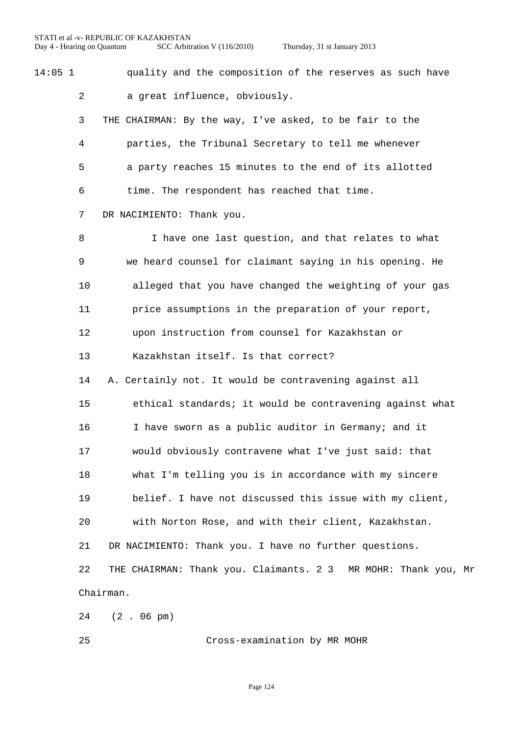14:05 1 quality and the composition of the reserves as such have

a great influence, obviously.

 THE CHAIRMAN: By the way, I've asked, to be fair to the parties, the Tribunal Secretary to tell me whenever a party reaches 15 minutes to the end of its allotted time. The respondent has reached that time.

DR NACIMIENTO: Thank you.

 I have one last question, and that relates to what we heard counsel for claimant saying in his opening. He alleged that you have changed the weighting of your gas price assumptions in the preparation of your report, upon instruction from counsel for Kazakhstan or Kazakhstan itself. Is that correct?

 A. Certainly not. It would be contravening against all ethical standards; it would be contravening against what I have sworn as a public auditor in Germany; and it would obviously contravene what I've just said: that what I'm telling you is in accordance with my sincere belief. I have not discussed this issue with my client, with Norton Rose, and with their client, Kazakhstan.

DR NACIMIENTO: Thank you. I have no further questions.

 THE CHAIRMAN: Thank you. Claimants. 2 3 MR MOHR: Thank you, Mr Chairman.

(2 . 06 pm)

Cross-examination by MR MOHR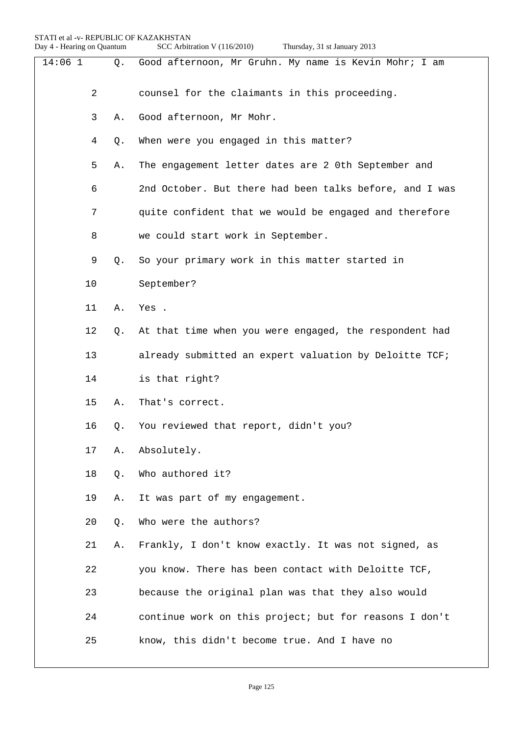| STATI et al -v- REPUBLIC OF KAZAKHSTAN<br>Day 4 - Hearing on Quantum |    | SCC Arbitration V (116/2010)<br>Thursday, 31 st January 2013 |
|----------------------------------------------------------------------|----|--------------------------------------------------------------|
| $14:06$ 1                                                            | Q. | Good afternoon, Mr Gruhn. My name is Kevin Mohr; I am        |
| 2                                                                    |    | counsel for the claimants in this proceeding.                |
| 3                                                                    | Α. | Good afternoon, Mr Mohr.                                     |
| 4                                                                    | Q. | When were you engaged in this matter?                        |
| 5                                                                    | Α. | The engagement letter dates are 2 0th September and          |
| 6                                                                    |    | 2nd October. But there had been talks before, and I was      |
| 7                                                                    |    | quite confident that we would be engaged and therefore       |
| 8                                                                    |    | we could start work in September.                            |
| 9                                                                    | Q. | So your primary work in this matter started in               |
| 10                                                                   |    | September?                                                   |
| 11                                                                   | Α. | Yes.                                                         |
| 12                                                                   | Q. | At that time when you were engaged, the respondent had       |
| 13                                                                   |    | already submitted an expert valuation by Deloitte TCF;       |
| 14                                                                   |    | is that right?                                               |
| 15                                                                   | Α. | That's correct.                                              |
| 16                                                                   | Q. | You reviewed that report, didn't you?                        |
| 17                                                                   | Α. | Absolutely.                                                  |
| 18                                                                   | Q. | Who authored it?                                             |
| 19                                                                   | Α. | It was part of my engagement.                                |
| 20                                                                   | Q. | Who were the authors?                                        |
| 21                                                                   | Α. | Frankly, I don't know exactly. It was not signed, as         |
| 22                                                                   |    | you know. There has been contact with Deloitte TCF,          |
| 23                                                                   |    | because the original plan was that they also would           |
| 24                                                                   |    | continue work on this project; but for reasons I don't       |
| 25                                                                   |    | know, this didn't become true. And I have no                 |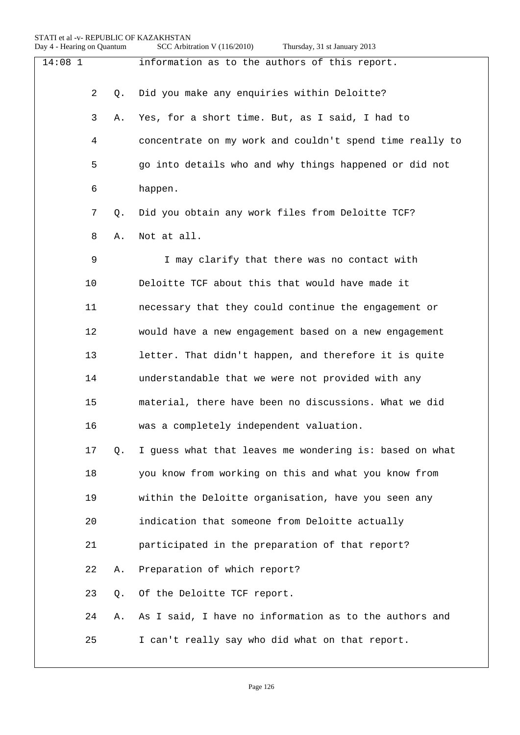| $14:08$ 1 |    |    | information as to the authors of this report.            |
|-----------|----|----|----------------------------------------------------------|
|           |    |    |                                                          |
|           | 2  | Q. | Did you make any enquiries within Deloitte?              |
|           | 3  | Α. | Yes, for a short time. But, as I said, I had to          |
|           | 4  |    | concentrate on my work and couldn't spend time really to |
|           | 5  |    | go into details who and why things happened or did not   |
|           | 6  |    | happen.                                                  |
|           | 7  | Q. | Did you obtain any work files from Deloitte TCF?         |
|           | 8  | Α. | Not at all.                                              |
|           | 9  |    | I may clarify that there was no contact with             |
|           | 10 |    | Deloitte TCF about this that would have made it          |
|           | 11 |    | necessary that they could continue the engagement or     |
|           | 12 |    | would have a new engagement based on a new engagement    |
|           | 13 |    | letter. That didn't happen, and therefore it is quite    |
|           | 14 |    | understandable that we were not provided with any        |
|           | 15 |    | material, there have been no discussions. What we did    |
|           | 16 |    | was a completely independent valuation.                  |
|           | 17 | Q. | I guess what that leaves me wondering is: based on what  |
|           | 18 |    | you know from working on this and what you know from     |
|           | 19 |    | within the Deloitte organisation, have you seen any      |
|           | 20 |    | indication that someone from Deloitte actually           |
|           | 21 |    | participated in the preparation of that report?          |
|           | 22 | Α. | Preparation of which report?                             |
|           | 23 | Q. | Of the Deloitte TCF report.                              |
|           | 24 | Α. | As I said, I have no information as to the authors and   |
|           | 25 |    | I can't really say who did what on that report.          |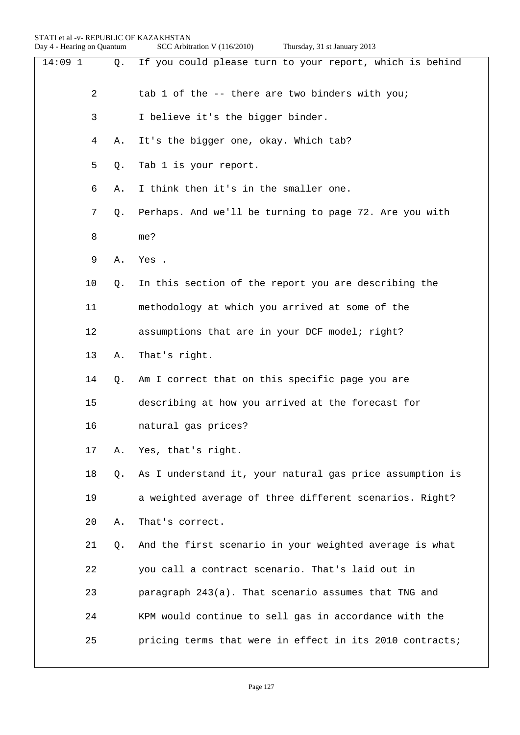STATI et al -v- REPUBLIC OF KAZAKHSTAN<br>Day 4 - Hearing on Quantum SCC Arbitr SCC Arbitration V (116/2010)

| $14:09$ 1 |                | Q. | If you could please turn to your report, which is behind |
|-----------|----------------|----|----------------------------------------------------------|
|           | $\overline{a}$ |    | tab 1 of the -- there are two binders with you;          |
|           | 3              |    |                                                          |
|           |                |    | I believe it's the bigger binder.                        |
|           | 4              | Α. | It's the bigger one, okay. Which tab?                    |
|           | 5              | Q. | Tab 1 is your report.                                    |
|           | 6              | Α. | I think then it's in the smaller one.                    |
|           | 7              | Q. | Perhaps. And we'll be turning to page 72. Are you with   |
|           | 8              |    | me?                                                      |
|           | 9              | Α. | Yes.                                                     |
|           | 10             | Q. | In this section of the report you are describing the     |
|           | 11             |    | methodology at which you arrived at some of the          |
|           | 12             |    | assumptions that are in your DCF model; right?           |
|           | 13             | Α. | That's right.                                            |
|           | 14             | Q. | Am I correct that on this specific page you are          |
|           | 15             |    | describing at how you arrived at the forecast for        |
|           | 16             |    | natural gas prices?                                      |
|           | 17             | Α. | Yes, that's right.                                       |
|           | 18             | Q. | As I understand it, your natural gas price assumption is |
|           | 19             |    | a weighted average of three different scenarios. Right?  |
|           | 20             | Α. | That's correct.                                          |
|           | 21             | Q. | And the first scenario in your weighted average is what  |
|           | 22             |    | you call a contract scenario. That's laid out in         |
|           | 23             |    | paragraph 243(a). That scenario assumes that TNG and     |
|           | 24             |    | KPM would continue to sell gas in accordance with the    |
|           | 25             |    | pricing terms that were in effect in its 2010 contracts; |
|           |                |    |                                                          |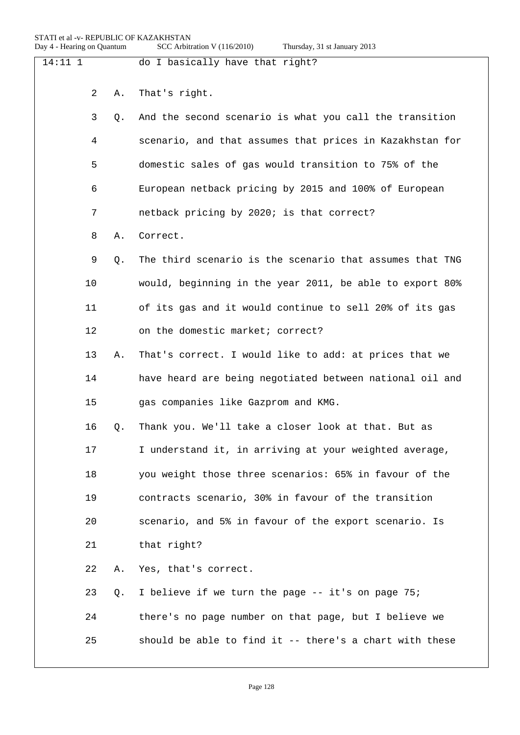| $14:11$ 1 |                |    | do I basically have that right?                          |
|-----------|----------------|----|----------------------------------------------------------|
|           | $\overline{2}$ | Α. | That's right.                                            |
|           | 3              | Q. | And the second scenario is what you call the transition  |
|           | 4              |    | scenario, and that assumes that prices in Kazakhstan for |
|           | 5              |    | domestic sales of gas would transition to 75% of the     |
|           | 6              |    | European netback pricing by 2015 and 100% of European    |
|           | 7              |    | netback pricing by 2020; is that correct?                |
|           | 8              | Α. | Correct.                                                 |
|           | 9              | Q. | The third scenario is the scenario that assumes that TNG |
|           | 10             |    | would, beginning in the year 2011, be able to export 80% |
|           | 11             |    | of its gas and it would continue to sell 20% of its gas  |
|           | 12             |    | on the domestic market; correct?                         |
|           | 13             | Α. | That's correct. I would like to add: at prices that we   |
|           | 14             |    | have heard are being negotiated between national oil and |
|           | 15             |    | gas companies like Gazprom and KMG.                      |
|           | 16             | Q. | Thank you. We'll take a closer look at that. But as      |
|           | 17             |    | I understand it, in arriving at your weighted average,   |
|           | 18             |    | you weight those three scenarios: 65% in favour of the   |
|           | 19             |    | contracts scenario, 30% in favour of the transition      |
|           | 20             |    | scenario, and 5% in favour of the export scenario. Is    |
|           | 21             |    | that right?                                              |
|           | 22             | Α. | Yes, that's correct.                                     |
|           | 23             | Q. | I believe if we turn the page -- it's on page 75;        |
|           | 24             |    | there's no page number on that page, but I believe we    |
|           | 25             |    | should be able to find it -- there's a chart with these  |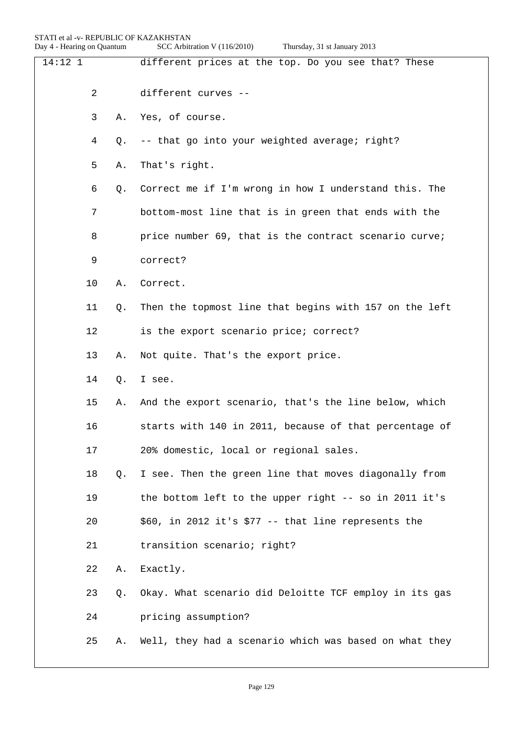| $14:12$ 1 |                |    | different prices at the top. Do you see that? These    |
|-----------|----------------|----|--------------------------------------------------------|
|           | $\overline{a}$ |    | different curves --                                    |
|           | 3              | Α. | Yes, of course.                                        |
|           | 4              | Q. | -- that go into your weighted average; right?          |
|           | 5              | Α. | That's right.                                          |
|           | 6              | Q. | Correct me if I'm wrong in how I understand this. The  |
|           | 7              |    | bottom-most line that is in green that ends with the   |
|           | 8              |    | price number 69, that is the contract scenario curve;  |
|           | 9              |    | correct?                                               |
| 10        |                | Α. | Correct.                                               |
|           |                |    | Then the topmost line that begins with 157 on the left |
| 11        |                | Q. |                                                        |
| 12        |                |    | is the export scenario price; correct?                 |
| 13        |                | Α. | Not quite. That's the export price.                    |
| 14        |                | Q. | I see.                                                 |
| 15        |                | Α. | And the export scenario, that's the line below, which  |
| 16        |                |    | starts with 140 in 2011, because of that percentage of |
| 17        |                |    | 20% domestic, local or regional sales.                 |
| 18        |                | Q. | I see. Then the green line that moves diagonally from  |
| 19        |                |    | the bottom left to the upper right -- so in 2011 it's  |
| 20        |                |    | \$60, in 2012 it's \$77 -- that line represents the    |
| 21        |                |    | transition scenario; right?                            |
| 22        |                | Α. | Exactly.                                               |
| 23        |                | Q. | Okay. What scenario did Deloitte TCF employ in its gas |
| 24        |                |    | pricing assumption?                                    |
| 25        |                | Α. | Well, they had a scenario which was based on what they |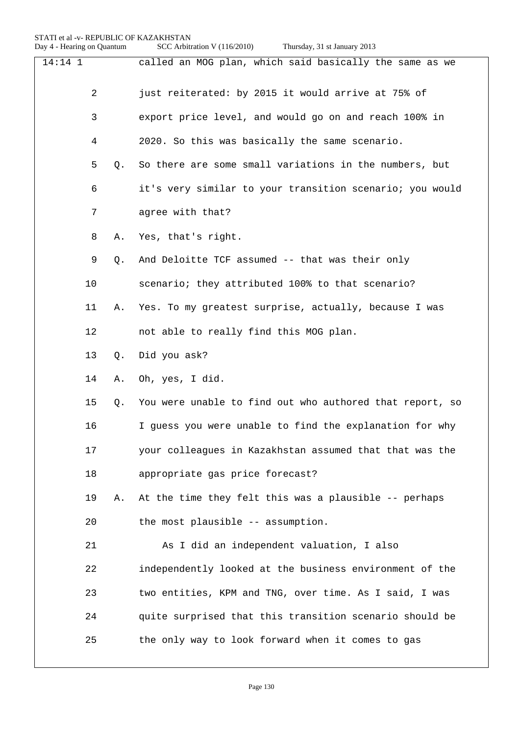| $14:14$ 1 |    | called an MOG plan, which said basically the same as we  |
|-----------|----|----------------------------------------------------------|
| 2         |    | just reiterated: by 2015 it would arrive at 75% of       |
| 3         |    | export price level, and would go on and reach 100% in    |
| 4         |    | 2020. So this was basically the same scenario.           |
| 5         | Q. | So there are some small variations in the numbers, but   |
| 6         |    | it's very similar to your transition scenario; you would |
| 7         |    | agree with that?                                         |
| 8         | Α. | Yes, that's right.                                       |
| 9         | О. | And Deloitte TCF assumed -- that was their only          |
| 10        |    | scenario; they attributed 100% to that scenario?         |
| 11        | Α. | Yes. To my greatest surprise, actually, because I was    |
| 12        |    | not able to really find this MOG plan.                   |
| 13        | Q. | Did you ask?                                             |
| 14        | Α. | Oh, yes, I did.                                          |
| 15        | Q. | You were unable to find out who authored that report, so |
| 16        |    | I guess you were unable to find the explanation for why  |
| 17        |    | your colleagues in Kazakhstan assumed that that was the  |
| 18        |    | appropriate gas price forecast?                          |
| 19        | Α. | At the time they felt this was a plausible -- perhaps    |
| 20        |    | the most plausible -- assumption.                        |
| 21        |    | As I did an independent valuation, I also                |
| 22        |    | independently looked at the business environment of the  |
| 23        |    | two entities, KPM and TNG, over time. As I said, I was   |
| 24        |    | quite surprised that this transition scenario should be  |
| 25        |    | the only way to look forward when it comes to gas        |
|           |    |                                                          |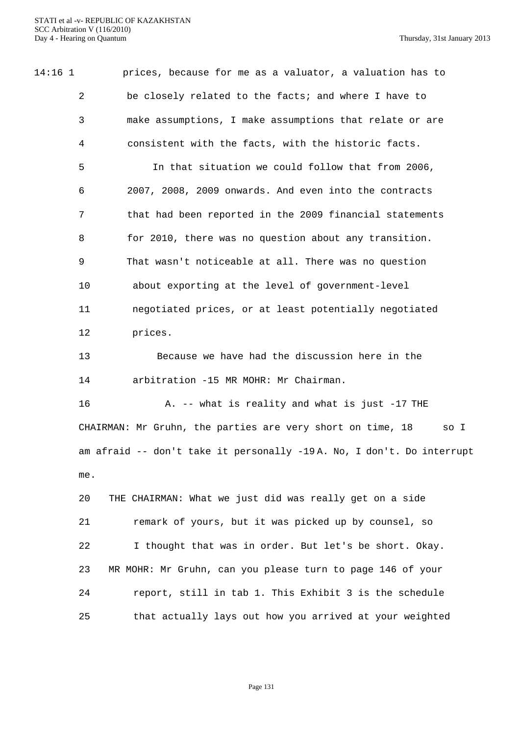| $14:16$ 1 |                | prices, because for me as a valuator, a valuation has to           |
|-----------|----------------|--------------------------------------------------------------------|
|           | $\overline{a}$ | be closely related to the facts; and where I have to               |
|           | 3              | make assumptions, I make assumptions that relate or are            |
|           | 4              | consistent with the facts, with the historic facts.                |
|           | 5              | In that situation we could follow that from 2006,                  |
|           | 6              | 2007, 2008, 2009 onwards. And even into the contracts              |
|           | 7              | that had been reported in the 2009 financial statements            |
|           | 8              | for 2010, there was no question about any transition.              |
|           | 9              | That wasn't noticeable at all. There was no question               |
|           | 10             | about exporting at the level of government-level                   |
|           | 11             | negotiated prices, or at least potentially negotiated              |
|           | 12             | prices.                                                            |
|           | 13             | Because we have had the discussion here in the                     |
|           | 14             | arbitration -15 MR MOHR: Mr Chairman.                              |
|           | 16             | A. -- what is reality and what is just -17 THE                     |
|           |                | CHAIRMAN: Mr Gruhn, the parties are very short on time, 18<br>so I |

am afraid -- don't take it personally -19 A. No, I don't. Do interrupt me.

 THE CHAIRMAN: What we just did was really get on a side remark of yours, but it was picked up by counsel, so I thought that was in order. But let's be short. Okay. MR MOHR: Mr Gruhn, can you please turn to page 146 of your report, still in tab 1. This Exhibit 3 is the schedule that actually lays out how you arrived at your weighted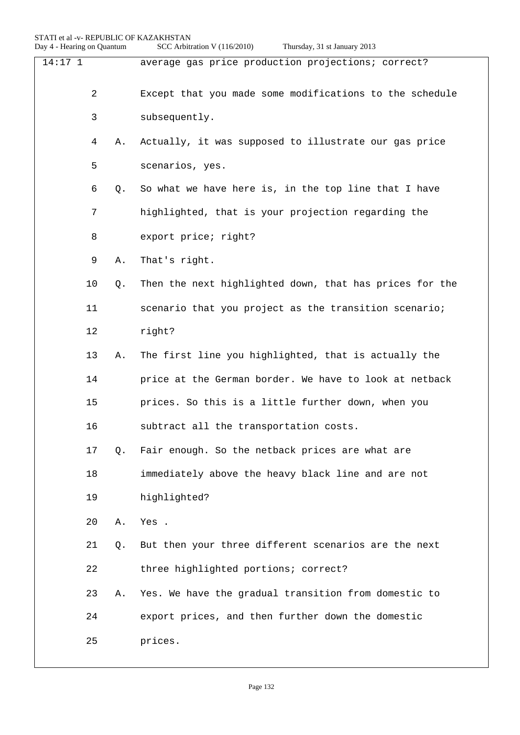| $14:17$ 1 |                |    | average gas price production projections; correct?      |
|-----------|----------------|----|---------------------------------------------------------|
|           | $\overline{2}$ |    | Except that you made some modifications to the schedule |
|           | 3              |    | subsequently.                                           |
|           | 4              | Α. | Actually, it was supposed to illustrate our gas price   |
|           | 5              |    | scenarios, yes.                                         |
|           | 6              | Q. | So what we have here is, in the top line that I have    |
|           | 7              |    | highlighted, that is your projection regarding the      |
|           | 8              |    | export price; right?                                    |
|           | 9              | Α. | That's right.                                           |
|           | 10             | Q. | Then the next highlighted down, that has prices for the |
|           | 11             |    | scenario that you project as the transition scenario;   |
|           | 12             |    | right?                                                  |
|           | 13             | Α. | The first line you highlighted, that is actually the    |
|           | 14             |    | price at the German border. We have to look at netback  |
|           | 15             |    | prices. So this is a little further down, when you      |
|           | 16             |    | subtract all the transportation costs.                  |
|           | 17             | Q. | Fair enough. So the netback prices are what are         |
|           | 18             |    | immediately above the heavy black line and are not      |
|           | 19             |    | highlighted?                                            |
|           | 20             | Α. | Yes.                                                    |
|           | 21             | Q. | But then your three different scenarios are the next    |
|           | 22             |    | three highlighted portions; correct?                    |
|           | 23             | Α. | Yes. We have the gradual transition from domestic to    |
|           | 24             |    | export prices, and then further down the domestic       |
|           | 25             |    | prices.                                                 |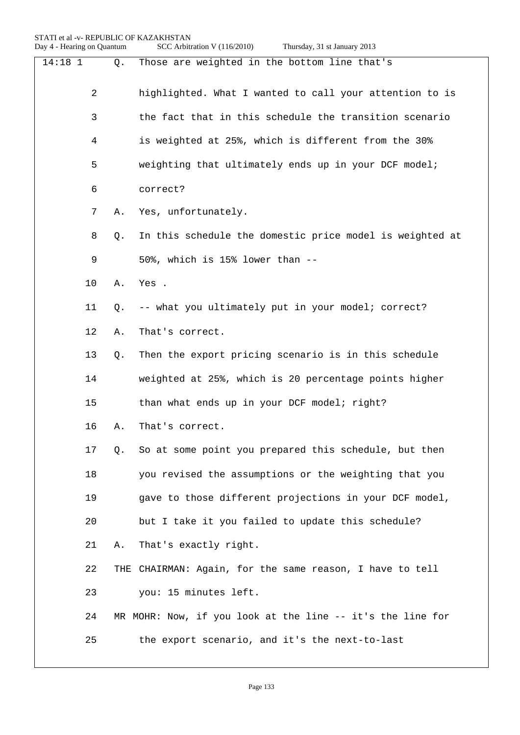|  |  | Thursday, 31 st January 2013 |  |
|--|--|------------------------------|--|
|--|--|------------------------------|--|

| $14:18$ 1      | Q. | Those are weighted in the bottom line that's               |
|----------------|----|------------------------------------------------------------|
| $\overline{2}$ |    | highlighted. What I wanted to call your attention to is    |
| 3              |    | the fact that in this schedule the transition scenario     |
| 4              |    | is weighted at 25%, which is different from the 30%        |
| 5              |    | weighting that ultimately ends up in your DCF model;       |
| 6              |    | correct?                                                   |
| 7              | Α. | Yes, unfortunately.                                        |
| 8              | Q. | In this schedule the domestic price model is weighted at   |
| 9              |    | 50%, which is 15% lower than --                            |
| 10             | Α. | Yes .                                                      |
| 11             | О. | -- what you ultimately put in your model; correct?         |
| 12             | Α. | That's correct.                                            |
| 13             | Q. | Then the export pricing scenario is in this schedule       |
| 14             |    | weighted at 25%, which is 20 percentage points higher      |
| 15             |    | than what ends up in your DCF model; right?                |
| 16             | Α. | That's correct.                                            |
| 17             | Q. | So at some point you prepared this schedule, but then      |
| 18             |    | you revised the assumptions or the weighting that you      |
| 19             |    | gave to those different projections in your DCF model,     |
| 20             |    | but I take it you failed to update this schedule?          |
| 21             | Α. | That's exactly right.                                      |
| 22             |    | THE CHAIRMAN: Again, for the same reason, I have to tell   |
| 23             |    | you: 15 minutes left.                                      |
| 24             |    | MR MOHR: Now, if you look at the line -- it's the line for |
| 25             |    | the export scenario, and it's the next-to-last             |
|                |    |                                                            |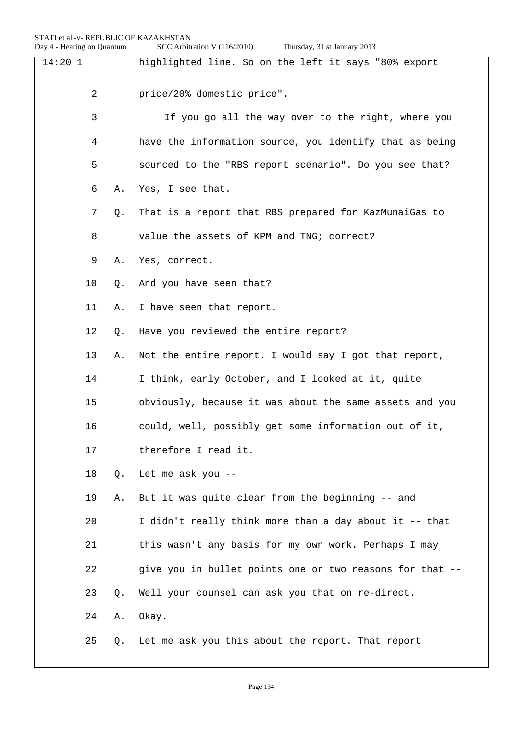| 14:201 |                | highlighted line. So on the left it says "80% export     |
|--------|----------------|----------------------------------------------------------|
|        | $\overline{2}$ |                                                          |
|        |                | price/20% domestic price".                               |
|        | 3              | If you go all the way over to the right, where you       |
|        | 4              | have the information source, you identify that as being  |
|        | 5              | sourced to the "RBS report scenario". Do you see that?   |
|        | 6<br>Α.        | Yes, I see that.                                         |
|        | 7<br>Q.        | That is a report that RBS prepared for KazMunaiGas to    |
|        | 8              | value the assets of KPM and TNG; correct?                |
|        | 9<br>Α.        | Yes, correct.                                            |
| 10     | Q.             | And you have seen that?                                  |
| 11     | Α.             | I have seen that report.                                 |
| 12     | Q.             | Have you reviewed the entire report?                     |
| 13     | Α.             | Not the entire report. I would say I got that report,    |
| 14     |                | I think, early October, and I looked at it, quite        |
| 15     |                | obviously, because it was about the same assets and you  |
| 16     |                | could, well, possibly get some information out of it,    |
| 17     |                | therefore I read it.                                     |
| 18     | Q.             | Let me ask you --                                        |
| 19     | Α.             | But it was quite clear from the beginning -- and         |
| 20     |                | I didn't really think more than a day about it -- that   |
| 21     |                | this wasn't any basis for my own work. Perhaps I may     |
| 22     |                | give you in bullet points one or two reasons for that -- |
| 23     | O.             | Well your counsel can ask you that on re-direct.         |
| 24     | Α.             | Okay.                                                    |
| 25     | Q.             | Let me ask you this about the report. That report        |
|        |                |                                                          |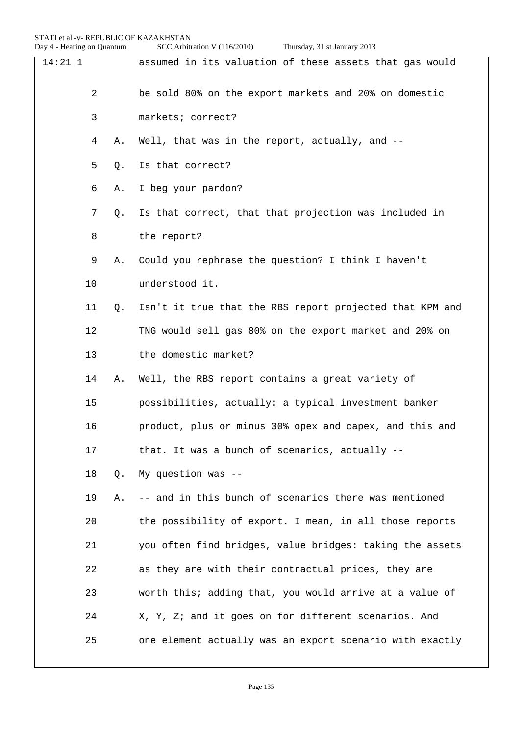| $14:21$ 1 |    |    | assumed in its valuation of these assets that gas would  |
|-----------|----|----|----------------------------------------------------------|
|           | 2  |    | be sold 80% on the export markets and 20% on domestic    |
|           | 3  |    | markets; correct?                                        |
|           | 4  | Α. | Well, that was in the report, actually, and --           |
|           | 5  | Q. | Is that correct?                                         |
|           | 6  | Α. | I beg your pardon?                                       |
|           | 7  | Q. | Is that correct, that that projection was included in    |
|           | 8  |    | the report?                                              |
|           | 9  | Α. | Could you rephrase the question? I think I haven't       |
|           | 10 |    | understood it.                                           |
|           | 11 | Q. | Isn't it true that the RBS report projected that KPM and |
|           | 12 |    | TNG would sell gas 80% on the export market and 20% on   |
|           | 13 |    | the domestic market?                                     |
|           | 14 | Α. | Well, the RBS report contains a great variety of         |
|           | 15 |    | possibilities, actually: a typical investment banker     |
|           | 16 |    | product, plus or minus 30% opex and capex, and this and  |
|           | 17 |    | that. It was a bunch of scenarios, actually --           |
|           | 18 | Q. | My question was --                                       |
|           | 19 | Α. | -- and in this bunch of scenarios there was mentioned    |
|           | 20 |    | the possibility of export. I mean, in all those reports  |
|           | 21 |    | you often find bridges, value bridges: taking the assets |
|           | 22 |    | as they are with their contractual prices, they are      |
|           | 23 |    | worth this; adding that, you would arrive at a value of  |
|           | 24 |    | X, Y, Z; and it goes on for different scenarios. And     |
|           | 25 |    | one element actually was an export scenario with exactly |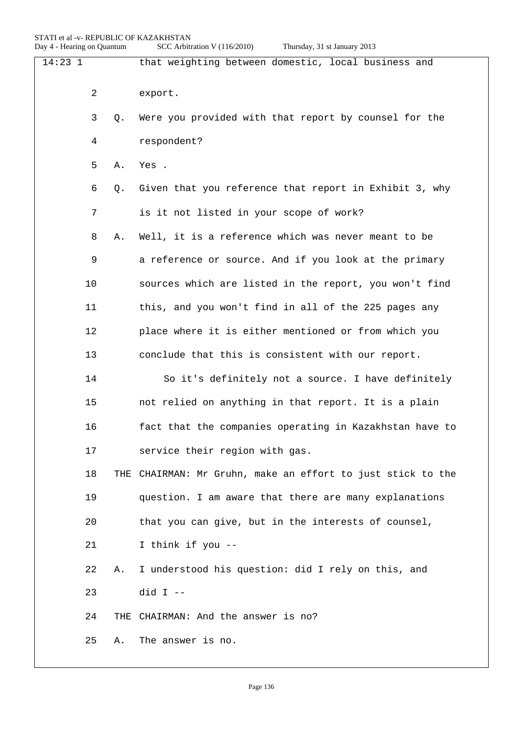| $14:23$ 1 |                |     | that weighting between domestic, local business and         |
|-----------|----------------|-----|-------------------------------------------------------------|
|           | $\overline{2}$ |     | export.                                                     |
|           | 3              | Q.  | Were you provided with that report by counsel for the       |
|           | 4              |     | respondent?                                                 |
|           | 5              | Α.  | Yes.                                                        |
|           | 6              | Q.  | Given that you reference that report in Exhibit 3, why      |
|           | 7              |     | is it not listed in your scope of work?                     |
|           | 8              | Α.  | Well, it is a reference which was never meant to be         |
|           | 9              |     | a reference or source. And if you look at the primary       |
|           | 10             |     | sources which are listed in the report, you won't find      |
|           | 11             |     | this, and you won't find in all of the 225 pages any        |
|           | 12             |     | place where it is either mentioned or from which you        |
|           | 13             |     | conclude that this is consistent with our report.           |
|           | 14             |     | So it's definitely not a source. I have definitely          |
|           | 15             |     | not relied on anything in that report. It is a plain        |
|           | 16             |     | fact that the companies operating in Kazakhstan have to     |
|           | 17             |     | service their region with gas.                              |
|           | 18             |     | THE CHAIRMAN: Mr Gruhn, make an effort to just stick to the |
|           | 19             |     | question. I am aware that there are many explanations       |
|           | 20             |     | that you can give, but in the interests of counsel,         |
|           | 21             |     | I think if you --                                           |
|           | 22             | Α.  | I understood his question: did I rely on this, and          |
|           | 23             |     | did $I$ --                                                  |
|           | 24             | THE | CHAIRMAN: And the answer is no?                             |
|           | 25             | Α.  | The answer is no.                                           |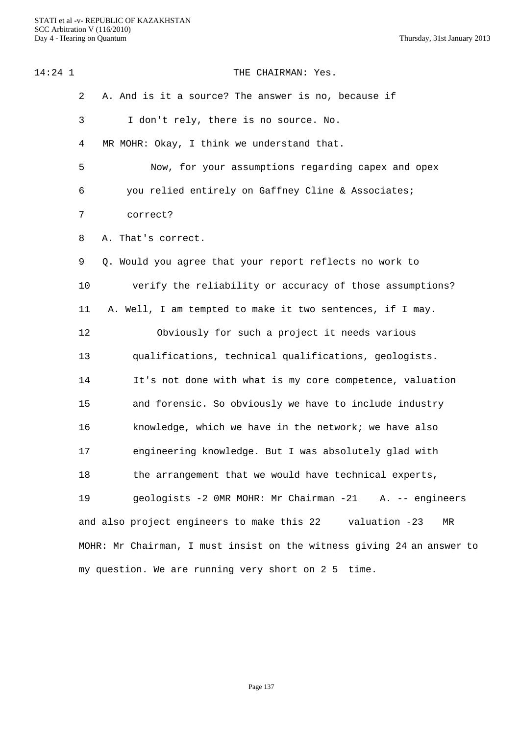| $14:24$ 1 |    | THE CHAIRMAN: Yes.                                                     |
|-----------|----|------------------------------------------------------------------------|
|           | 2  | A. And is it a source? The answer is no, because if                    |
|           | 3  | I don't rely, there is no source. No.                                  |
|           | 4  | MR MOHR: Okay, I think we understand that.                             |
|           | 5  | Now, for your assumptions regarding capex and opex                     |
|           | 6  | you relied entirely on Gaffney Cline & Associates;                     |
|           | 7  | correct?                                                               |
|           | 8  | A. That's correct.                                                     |
|           | 9  | Q. Would you agree that your report reflects no work to                |
|           | 10 | verify the reliability or accuracy of those assumptions?               |
|           | 11 | A. Well, I am tempted to make it two sentences, if I may.              |
|           | 12 | Obviously for such a project it needs various                          |
|           | 13 | qualifications, technical qualifications, geologists.                  |
|           | 14 | It's not done with what is my core competence, valuation               |
|           | 15 | and forensic. So obviously we have to include industry                 |
|           | 16 | knowledge, which we have in the network; we have also                  |
|           | 17 | engineering knowledge. But I was absolutely glad with                  |
|           | 18 | the arrangement that we would have technical experts,                  |
|           | 19 | geologists -2 OMR MOHR: Mr Chairman -21 A. -- engineers                |
|           |    | and also project engineers to make this 22 valuation -23<br>MR         |
|           |    | MOHR: Mr Chairman, I must insist on the witness giving 24 an answer to |
|           |    | my question. We are running very short on 2 5 time.                    |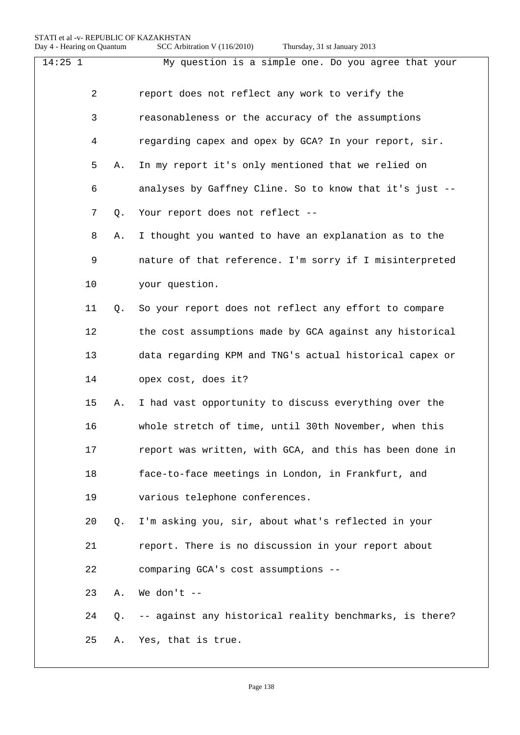| $14:25$ 1 |         |           | My question is a simple one. Do you agree that your     |
|-----------|---------|-----------|---------------------------------------------------------|
|           | 2       |           | report does not reflect any work to verify the          |
|           | 3       |           | reasonableness or the accuracy of the assumptions       |
|           | 4       |           | regarding capex and opex by GCA? In your report, sir.   |
|           | 5       | Α.        | In my report it's only mentioned that we relied on      |
|           | 6       |           | analyses by Gaffney Cline. So to know that it's just -- |
|           | 7       | Q.        | Your report does not reflect --                         |
|           | 8       | Α.        | I thought you wanted to have an explanation as to the   |
|           | 9       |           | nature of that reference. I'm sorry if I misinterpreted |
|           | $10 \,$ |           | your question.                                          |
|           | 11      | Q.        | So your report does not reflect any effort to compare   |
|           | 12      |           | the cost assumptions made by GCA against any historical |
|           | 13      |           | data regarding KPM and TNG's actual historical capex or |
|           | 14      |           | opex cost, does it?                                     |
|           | 15      | Α.        | I had vast opportunity to discuss everything over the   |
|           | 16      |           | whole stretch of time, until 30th November, when this   |
|           | 17      |           | report was written, with GCA, and this has been done in |
|           | 18      |           | face-to-face meetings in London, in Frankfurt, and      |
|           | 19      |           | various telephone conferences.                          |
|           | 20      | $\circ$ . | I'm asking you, sir, about what's reflected in your     |
|           | 21      |           | report. There is no discussion in your report about     |
|           | 22      |           | comparing GCA's cost assumptions --                     |
|           | 23      | Α.        | We don't $--$                                           |
|           | 24      | O.        | -- against any historical reality benchmarks, is there? |
|           | 25      | Α.        | Yes, that is true.                                      |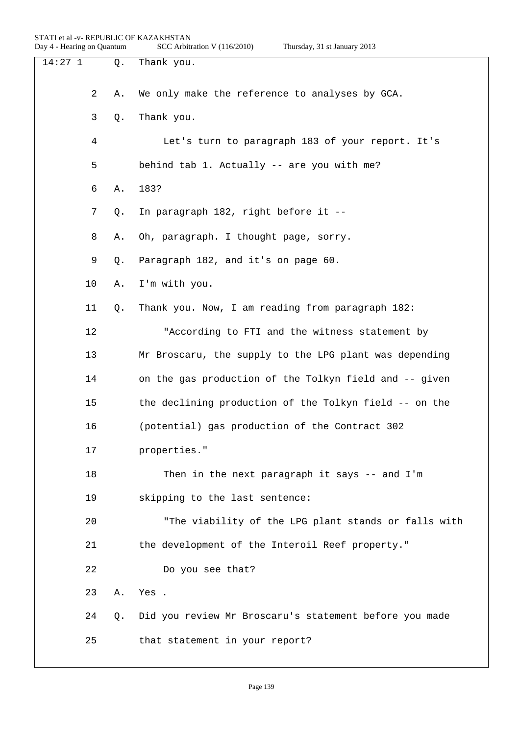| $14:27$ 1 |                | Q. | Thank you.                                             |
|-----------|----------------|----|--------------------------------------------------------|
|           |                |    |                                                        |
|           | $\overline{2}$ | Α. | We only make the reference to analyses by GCA.         |
|           | 3              | Q. | Thank you.                                             |
|           | 4              |    | Let's turn to paragraph 183 of your report. It's       |
|           | 5              |    | behind tab 1. Actually -- are you with me?             |
|           | 6              | Α. | 183?                                                   |
|           | 7              | Q. | In paragraph 182, right before it --                   |
|           | 8              | Α. | Oh, paragraph. I thought page, sorry.                  |
|           | 9              | Q. | Paragraph 182, and it's on page 60.                    |
|           | 10             | Α. | I'm with you.                                          |
|           | 11             | Q. | Thank you. Now, I am reading from paragraph 182:       |
|           | 12             |    | "According to FTI and the witness statement by         |
|           | 13             |    | Mr Broscaru, the supply to the LPG plant was depending |
|           | 14             |    | on the gas production of the Tolkyn field and -- given |
|           | 15             |    | the declining production of the Tolkyn field -- on the |
|           | 16             |    | (potential) gas production of the Contract 302         |
|           | 17             |    | properties."                                           |
|           | 18             |    | Then in the next paragraph it says -- and I'm          |
|           | 19             |    | skipping to the last sentence:                         |
|           | 20             |    | "The viability of the LPG plant stands or falls with   |
|           | 21             |    | the development of the Interoil Reef property."        |
|           | 22             |    | Do you see that?                                       |
|           | 23             | Α. | Yes.                                                   |
|           | 24             | Q. | Did you review Mr Broscaru's statement before you made |
|           | 25             |    | that statement in your report?                         |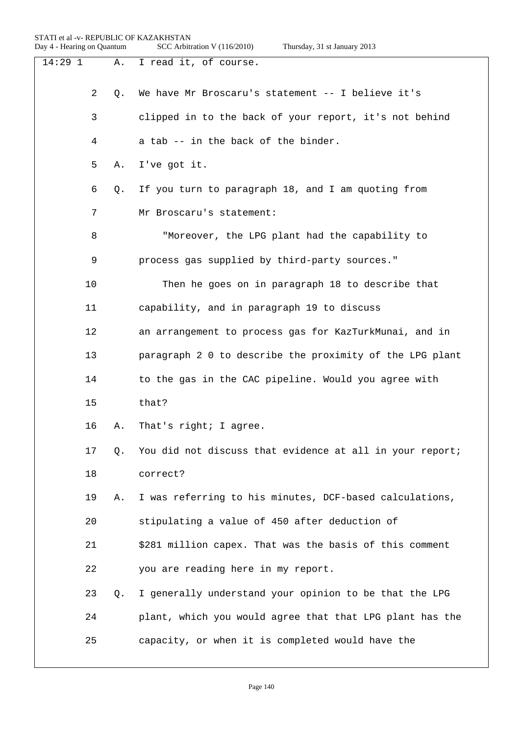| STATI et al -v- REPUBLIC OF KAZAKHSTAN<br>Day 4 - Hearing on Quantum |    | SCC Arbitration V (116/2010)<br>Thursday, 31 st January 2013 |
|----------------------------------------------------------------------|----|--------------------------------------------------------------|
| $14:29$ 1                                                            | Α. | I read it, of course.                                        |
| $\overline{2}$                                                       | Q. | We have Mr Broscaru's statement -- I believe it's            |
| 3                                                                    |    | clipped in to the back of your report, it's not behind       |
| 4                                                                    |    | a tab -- in the back of the binder.                          |
| 5                                                                    | Α. | I've got it.                                                 |
| 6                                                                    | Q. | If you turn to paragraph 18, and I am quoting from           |
| 7                                                                    |    | Mr Broscaru's statement:                                     |
| 8                                                                    |    | "Moreover, the LPG plant had the capability to               |
| 9                                                                    |    | process gas supplied by third-party sources."                |
| 10                                                                   |    | Then he goes on in paragraph 18 to describe that             |
| 11                                                                   |    | capability, and in paragraph 19 to discuss                   |
| 12                                                                   |    | an arrangement to process gas for KazTurkMunai, and in       |
| 13                                                                   |    | paragraph 2 0 to describe the proximity of the LPG plant     |
| 14                                                                   |    | to the gas in the CAC pipeline. Would you agree with         |
| 15                                                                   |    | that?                                                        |
| 16                                                                   | Α. | That's right; I agree.                                       |
| 17                                                                   | Q. | You did not discuss that evidence at all in your report;     |
| 18                                                                   |    | correct?                                                     |
| 19                                                                   | Α. | I was referring to his minutes, DCF-based calculations,      |
| 20                                                                   |    | stipulating a value of 450 after deduction of                |
| 21                                                                   |    | \$281 million capex. That was the basis of this comment      |
| 22                                                                   |    | you are reading here in my report.                           |
| 23                                                                   | Q. | I generally understand your opinion to be that the LPG       |
| 24                                                                   |    | plant, which you would agree that that LPG plant has the     |
| 25                                                                   |    | capacity, or when it is completed would have the             |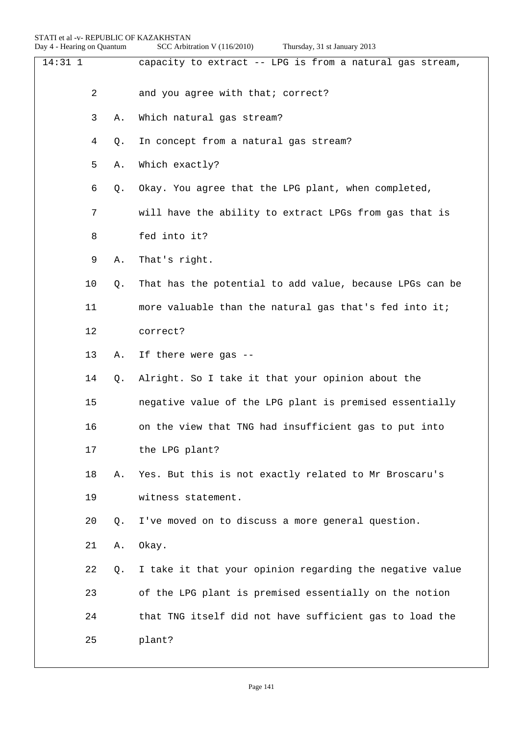| $14:31$ 1 |         |    | capacity to extract -- LPG is from a natural gas stream, |
|-----------|---------|----|----------------------------------------------------------|
|           | 2       |    | and you agree with that; correct?                        |
|           |         |    |                                                          |
|           | 3       | Α. | Which natural gas stream?                                |
|           | 4       | Q. | In concept from a natural gas stream?                    |
|           | 5       | Α. | Which exactly?                                           |
|           | 6       | Q. | Okay. You agree that the LPG plant, when completed,      |
|           | 7       |    | will have the ability to extract LPGs from gas that is   |
|           | 8       |    | fed into it?                                             |
|           | 9       | Α. | That's right.                                            |
|           | $10 \,$ | Q. | That has the potential to add value, because LPGs can be |
|           | 11      |    | more valuable than the natural gas that's fed into it;   |
|           | 12      |    | correct?                                                 |
|           | 13      | Α. | If there were gas --                                     |
|           | 14      | Q. | Alright. So I take it that your opinion about the        |
|           | 15      |    | negative value of the LPG plant is premised essentially  |
|           | 16      |    | on the view that TNG had insufficient gas to put into    |
|           | 17      |    | the LPG plant?                                           |
|           | 18      | Α. | Yes. But this is not exactly related to Mr Broscaru's    |
|           | 19      |    | witness statement.                                       |
|           | 20      | Q. | I've moved on to discuss a more general question.        |
|           | 21      | Α. | Okay.                                                    |
|           | 22      | Q. | I take it that your opinion regarding the negative value |
|           | 23      |    | of the LPG plant is premised essentially on the notion   |
|           | 24      |    | that TNG itself did not have sufficient gas to load the  |
|           | 25      |    | plant?                                                   |
|           |         |    |                                                          |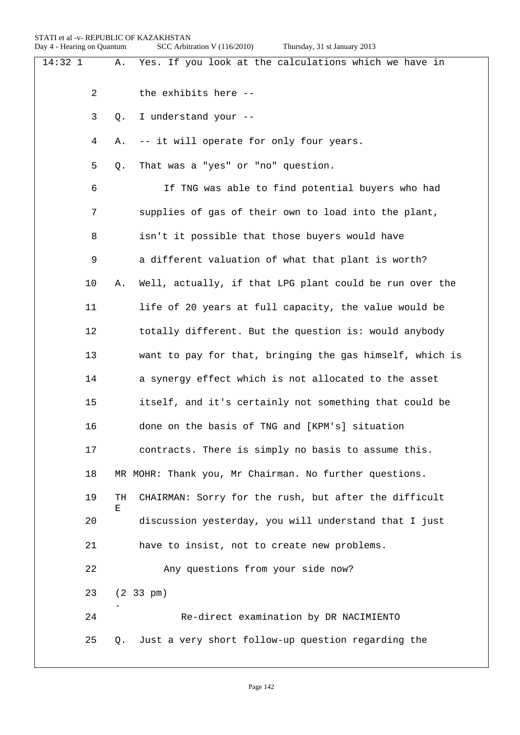| $14:32$ 1 | Α.             | Yes. If you look at the calculations which we have in    |
|-----------|----------------|----------------------------------------------------------|
| 2         |                | the exhibits here --                                     |
| 3         | Q.             | I understand your --                                     |
| 4         | Α.             | -- it will operate for only four years.                  |
| 5         | Q.             | That was a "yes" or "no" question.                       |
| 6         |                | If TNG was able to find potential buyers who had         |
| 7         |                | supplies of gas of their own to load into the plant,     |
| 8         |                | isn't it possible that those buyers would have           |
| 9         |                | a different valuation of what that plant is worth?       |
| 10        | Α.             | Well, actually, if that LPG plant could be run over the  |
| 11        |                | life of 20 years at full capacity, the value would be    |
| 12        |                | totally different. But the question is: would anybody    |
| 13        |                | want to pay for that, bringing the gas himself, which is |
| 14        |                | a synergy effect which is not allocated to the asset     |
| 15        |                | itself, and it's certainly not something that could be   |
| 16        |                | done on the basis of TNG and [KPM's] situation           |
| 17        |                | contracts. There is simply no basis to assume this.      |
| 18        |                | MR MOHR: Thank you, Mr Chairman. No further questions.   |
| 19        | TH<br>E        | CHAIRMAN: Sorry for the rush, but after the difficult    |
| 20        |                | discussion yesterday, you will understand that I just    |
| 21        |                | have to insist, not to create new problems.              |
| 22        |                | Any questions from your side now?                        |
| 23        |                | $(2\;33\;pm)$                                            |
| 24        |                | Re-direct examination by DR NACIMIENTO                   |
| 25        | Q <sub>z</sub> | Just a very short follow-up question regarding the       |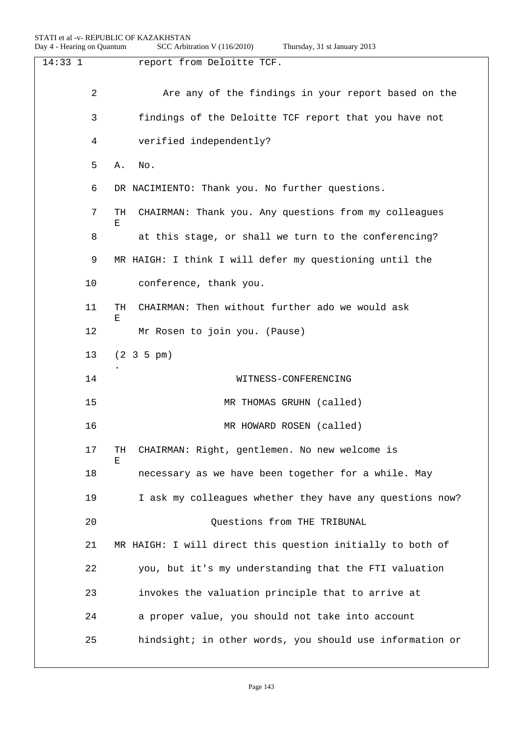| 14:331         | report from Deloitte TCF.                                               |
|----------------|-------------------------------------------------------------------------|
| $\overline{2}$ | Are any of the findings in your report based on the                     |
| 3              | findings of the Deloitte TCF report that you have not                   |
| 4              | verified independently?                                                 |
| 5              | No.<br>Α.                                                               |
| 6              | DR NACIMIENTO: Thank you. No further questions.                         |
| 7              | CHAIRMAN: Thank you. Any questions from my colleagues<br><b>TH</b><br>Е |
| 8              | at this stage, or shall we turn to the conferencing?                    |
| 9              | MR HAIGH: I think I will defer my questioning until the                 |
| 10             | conference, thank you.                                                  |
| 11             | CHAIRMAN: Then without further ado we would ask<br><b>TH</b><br>Е       |
| 12             | Mr Rosen to join you. (Pause)                                           |
| 13             | $(2 \ 3 \ 5 \ pm)$                                                      |
| 14             | WITNESS-CONFERENCING                                                    |
| 15             | MR THOMAS GRUHN (called)                                                |
| 16             | MR HOWARD ROSEN (called)                                                |
| 17             | TH<br>CHAIRMAN: Right, gentlemen. No new welcome is<br>Е                |
| 18             | necessary as we have been together for a while. May                     |
| 19             | I ask my colleagues whether they have any questions now?                |
| 20             | Questions from THE TRIBUNAL                                             |
| 21             | MR HAIGH: I will direct this question initially to both of              |
| 22             | you, but it's my understanding that the FTI valuation                   |
| 23             | invokes the valuation principle that to arrive at                       |
| 24             | a proper value, you should not take into account                        |
| 25             | hindsight; in other words, you should use information or                |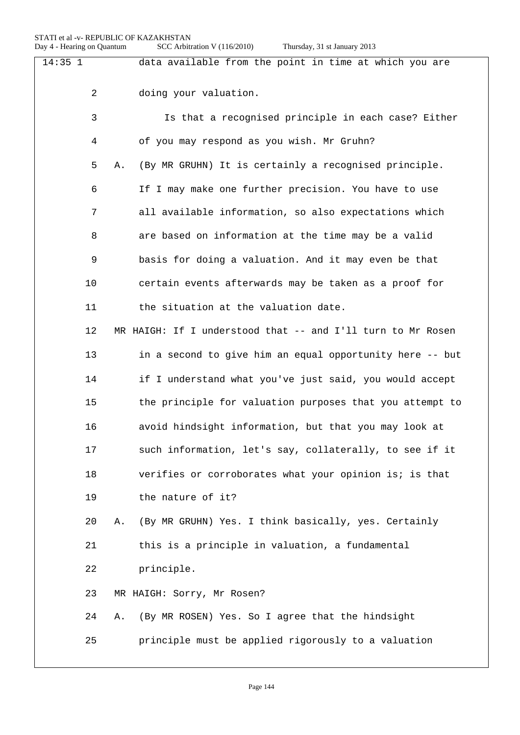|                | data available from the point in time at which you are      |
|----------------|-------------------------------------------------------------|
| $\overline{a}$ | doing your valuation.                                       |
| 3              | Is that a recognised principle in each case? Either         |
| 4              | of you may respond as you wish. Mr Gruhn?                   |
| 5              | (By MR GRUHN) It is certainly a recognised principle.<br>Α. |
| 6              | If I may make one further precision. You have to use        |
| 7              | all available information, so also expectations which       |
| 8              | are based on information at the time may be a valid         |
| 9              | basis for doing a valuation. And it may even be that        |
| 10             | certain events afterwards may be taken as a proof for       |
| 11             | the situation at the valuation date.                        |
| 12             | MR HAIGH: If I understood that -- and I'll turn to Mr Rosen |
| 13             | in a second to give him an equal opportunity here -- but    |
| 14             | if I understand what you've just said, you would accept     |
| 15             | the principle for valuation purposes that you attempt to    |
| 16             | avoid hindsight information, but that you may look at       |
| 17             | such information, let's say, collaterally, to see if it     |
| 18             | verifies or corroborates what your opinion is; is that      |
| 19             | the nature of it?                                           |
| 20             | (By MR GRUHN) Yes. I think basically, yes. Certainly<br>Α.  |
| 21             | this is a principle in valuation, a fundamental             |
| 22             | principle.                                                  |
| 23             | MR HAIGH: Sorry, Mr Rosen?                                  |
| 24             | (By MR ROSEN) Yes. So I agree that the hindsight<br>Α.      |
| 25             | principle must be applied rigorously to a valuation         |
|                |                                                             |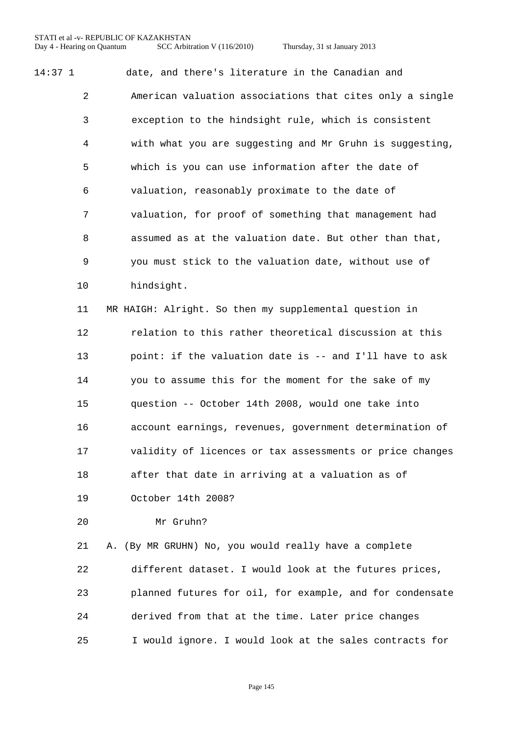14:37 1 date, and there's literature in the Canadian and American valuation associations that cites only a single exception to the hindsight rule, which is consistent with what you are suggesting and Mr Gruhn is suggesting, which is you can use information after the date of valuation, reasonably proximate to the date of valuation, for proof of something that management had assumed as at the valuation date. But other than that, you must stick to the valuation date, without use of hindsight.

 MR HAIGH: Alright. So then my supplemental question in relation to this rather theoretical discussion at this point: if the valuation date is -- and I'll have to ask you to assume this for the moment for the sake of my question -- October 14th 2008, would one take into account earnings, revenues, government determination of validity of licences or tax assessments or price changes after that date in arriving at a valuation as of October 14th 2008?

Mr Gruhn?

 A. (By MR GRUHN) No, you would really have a complete different dataset. I would look at the futures prices, planned futures for oil, for example, and for condensate derived from that at the time. Later price changes I would ignore. I would look at the sales contracts for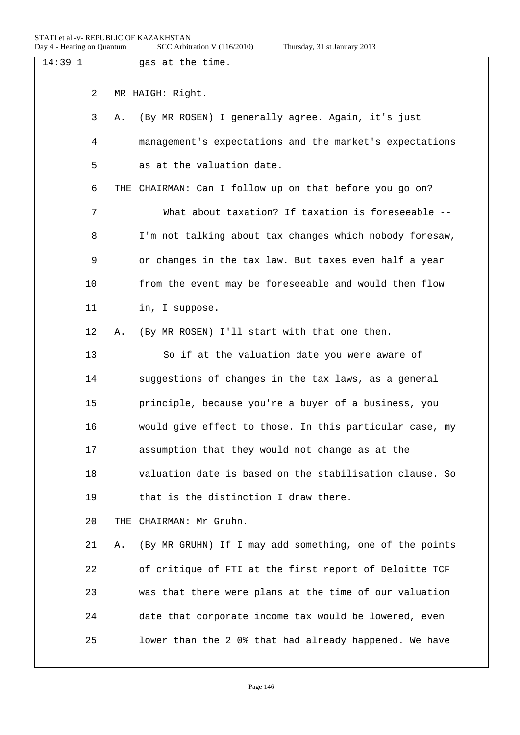| $14:39$ 1 |    | gas at the time.                                        |
|-----------|----|---------------------------------------------------------|
| 2         |    | MR HAIGH: Right.                                        |
| 3         | Α. | (By MR ROSEN) I generally agree. Again, it's just       |
| 4         |    | management's expectations and the market's expectations |
| 5         |    | as at the valuation date.                               |
| 6         |    | THE CHAIRMAN: Can I follow up on that before you go on? |
| 7         |    | What about taxation? If taxation is foreseeable --      |
| 8         |    | I'm not talking about tax changes which nobody foresaw, |
| 9         |    | or changes in the tax law. But taxes even half a year   |
| 10        |    | from the event may be foreseeable and would then flow   |
| 11        |    | in, I suppose.                                          |
| 12        | Α. | (By MR ROSEN) I'll start with that one then.            |
| 13        |    | So if at the valuation date you were aware of           |
| 14        |    | suggestions of changes in the tax laws, as a general    |
| 15        |    | principle, because you're a buyer of a business, you    |
| 16        |    | would give effect to those. In this particular case, my |
| 17        |    | assumption that they would not change as at the         |
| 18        |    | valuation date is based on the stabilisation clause. So |
| 19        |    | that is the distinction I draw there.                   |
| 20        |    | THE CHAIRMAN: Mr Gruhn.                                 |
| 21        | Α. | (By MR GRUHN) If I may add something, one of the points |
| 22        |    | of critique of FTI at the first report of Deloitte TCF  |
| 23        |    | was that there were plans at the time of our valuation  |
| 24        |    | date that corporate income tax would be lowered, even   |
| 25        |    | lower than the 2 0% that had already happened. We have  |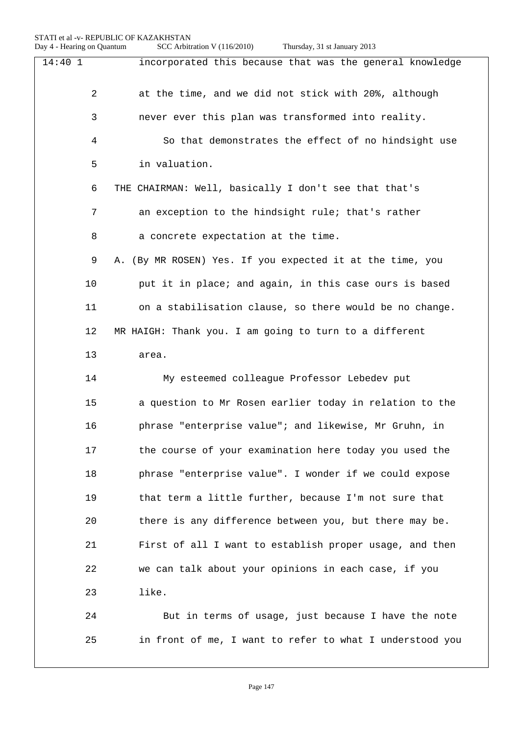| $14:40$ 1      | incorporated this because that was the general knowledge  |
|----------------|-----------------------------------------------------------|
| $\overline{2}$ | at the time, and we did not stick with 20%, although      |
| 3              | never ever this plan was transformed into reality.        |
| 4              | So that demonstrates the effect of no hindsight use       |
| 5              | in valuation.                                             |
| 6              | THE CHAIRMAN: Well, basically I don't see that that's     |
| 7              | an exception to the hindsight rule; that's rather         |
| 8              | a concrete expectation at the time.                       |
| 9              | A. (By MR ROSEN) Yes. If you expected it at the time, you |
| 10             | put it in place; and again, in this case ours is based    |
| 11             | on a stabilisation clause, so there would be no change.   |
| 12             | MR HAIGH: Thank you. I am going to turn to a different    |
| 13             | area.                                                     |
| 14             | My esteemed colleague Professor Lebedev put               |
| 15             | a question to Mr Rosen earlier today in relation to the   |
| 16             | phrase "enterprise value"; and likewise, Mr Gruhn, in     |
| 17             | the course of your examination here today you used the    |
| 18             | phrase "enterprise value". I wonder if we could expose    |
| 19             | that term a little further, because I'm not sure that     |
| 20             | there is any difference between you, but there may be.    |
| 21             | First of all I want to establish proper usage, and then   |
| 22             | we can talk about your opinions in each case, if you      |
| 23             | like.                                                     |
| 24             | But in terms of usage, just because I have the note       |
| 25             | in front of me, I want to refer to what I understood you  |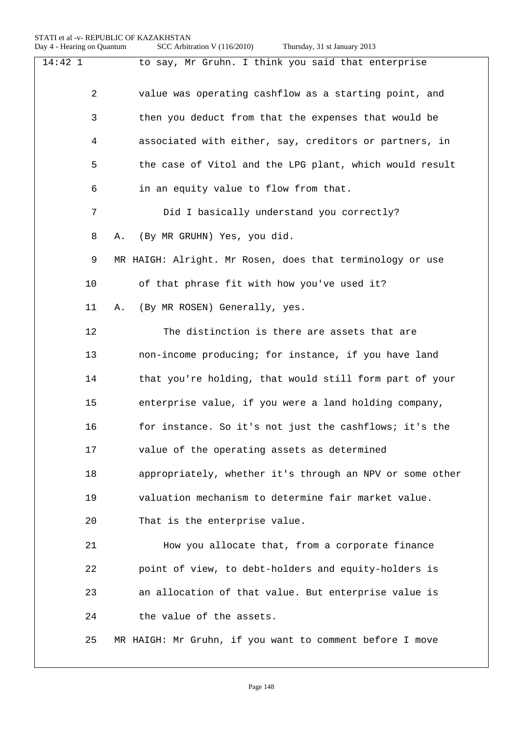| 14:421 | to say, Mr Gruhn. I think you said that enterprise        |
|--------|-----------------------------------------------------------|
| 2      | value was operating cashflow as a starting point, and     |
| 3      | then you deduct from that the expenses that would be      |
| 4      | associated with either, say, creditors or partners, in    |
| 5      | the case of Vitol and the LPG plant, which would result   |
| 6      | in an equity value to flow from that.                     |
| 7      | Did I basically understand you correctly?                 |
| 8      | (By MR GRUHN) Yes, you did.<br>Α.                         |
| 9      | MR HAIGH: Alright. Mr Rosen, does that terminology or use |
| 10     | of that phrase fit with how you've used it?               |
| 11     | (By MR ROSEN) Generally, yes.<br>Α.                       |
| 12     | The distinction is there are assets that are              |
| 13     | non-income producing; for instance, if you have land      |
| 14     | that you're holding, that would still form part of your   |
| 15     | enterprise value, if you were a land holding company,     |
| 16     | for instance. So it's not just the cashflows; it's the    |
| 17     | value of the operating assets as determined               |
| 18     | appropriately, whether it's through an NPV or some other  |
| 19     | valuation mechanism to determine fair market value.       |
| 20     | That is the enterprise value.                             |
| 21     | How you allocate that, from a corporate finance           |
| 22     | point of view, to debt-holders and equity-holders is      |
| 23     | an allocation of that value. But enterprise value is      |
| 24     | the value of the assets.                                  |
| 25     | MR HAIGH: Mr Gruhn, if you want to comment before I move  |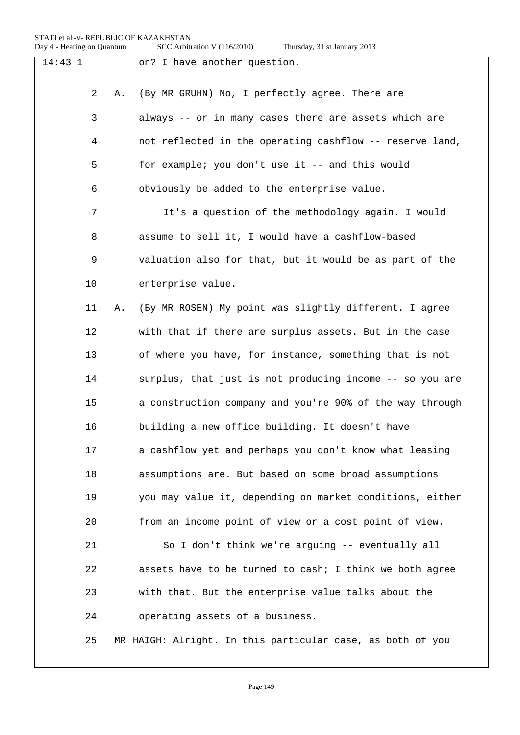| 14:431 |    | on? I have another question.                               |
|--------|----|------------------------------------------------------------|
| 2      | Α. | (By MR GRUHN) No, I perfectly agree. There are             |
| 3      |    | always -- or in many cases there are assets which are      |
| 4      |    | not reflected in the operating cashflow -- reserve land,   |
| 5      |    | for example; you don't use it -- and this would            |
| 6      |    | obviously be added to the enterprise value.                |
| 7      |    | It's a question of the methodology again. I would          |
| 8      |    | assume to sell it, I would have a cashflow-based           |
| 9      |    | valuation also for that, but it would be as part of the    |
| 10     |    | enterprise value.                                          |
| 11     | Α. | (By MR ROSEN) My point was slightly different. I agree     |
| 12     |    | with that if there are surplus assets. But in the case     |
| 13     |    | of where you have, for instance, something that is not     |
| 14     |    | surplus, that just is not producing income -- so you are   |
| 15     |    | a construction company and you're 90% of the way through   |
| 16     |    | building a new office building. It doesn't have            |
| 17     |    | a cashflow yet and perhaps you don't know what leasing     |
| 18     |    | assumptions are. But based on some broad assumptions       |
| 19     |    | you may value it, depending on market conditions, either   |
| 20     |    | from an income point of view or a cost point of view.      |
| 21     |    | So I don't think we're arguing -- eventually all           |
| 22     |    | assets have to be turned to cash; I think we both agree    |
| 23     |    | with that. But the enterprise value talks about the        |
| 24     |    | operating assets of a business.                            |
| 25     |    | MR HAIGH: Alright. In this particular case, as both of you |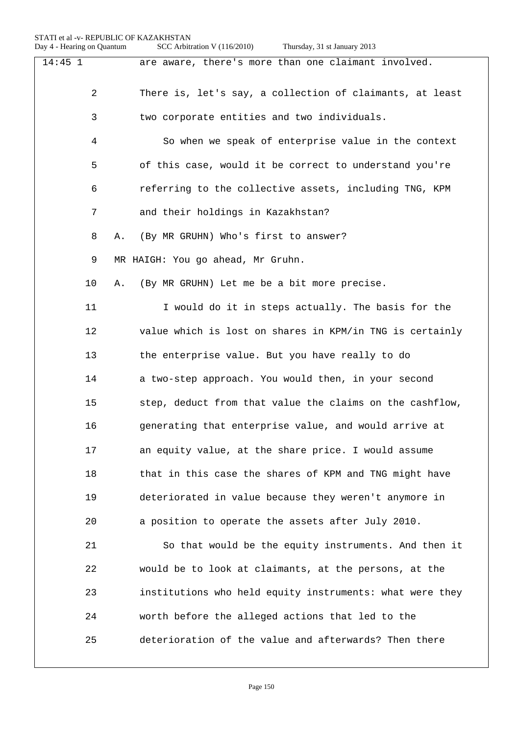| Thursday, 31 st January 2013 |  |  |  |
|------------------------------|--|--|--|
|------------------------------|--|--|--|

| $14:45$ 1 | are aware, there's more than one claimant involved.      |
|-----------|----------------------------------------------------------|
| 2         | There is, let's say, a collection of claimants, at least |
| 3         | two corporate entities and two individuals.              |
| 4         | So when we speak of enterprise value in the context      |
| 5         | of this case, would it be correct to understand you're   |
| 6         | referring to the collective assets, including TNG, KPM   |
| 7         | and their holdings in Kazakhstan?                        |
| 8         | (By MR GRUHN) Who's first to answer?<br>Α.               |
| 9         | MR HAIGH: You go ahead, Mr Gruhn.                        |
| 10        | (By MR GRUHN) Let me be a bit more precise.<br>Α.        |
| 11        | I would do it in steps actually. The basis for the       |
| 12        | value which is lost on shares in KPM/in TNG is certainly |
| 13        | the enterprise value. But you have really to do          |
| 14        | a two-step approach. You would then, in your second      |
| 15        | step, deduct from that value the claims on the cashflow, |
| 16        | generating that enterprise value, and would arrive at    |
| 17        | an equity value, at the share price. I would assume      |
| 18        | that in this case the shares of KPM and TNG might have   |
| 19        | deteriorated in value because they weren't anymore in    |
| 20        | a position to operate the assets after July 2010.        |
| 21        | So that would be the equity instruments. And then it     |
| 22        | would be to look at claimants, at the persons, at the    |
| 23        | institutions who held equity instruments: what were they |
| 24        | worth before the alleged actions that led to the         |
| 25        | deterioration of the value and afterwards? Then there    |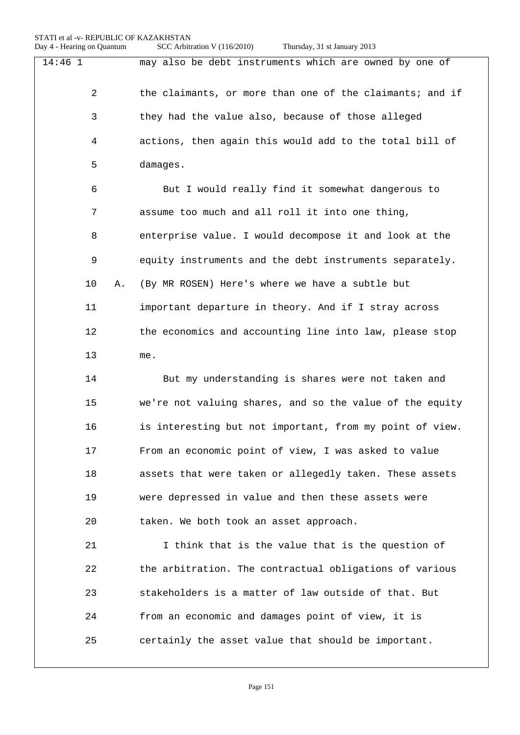| $14:46$ 1      | may also be debt instruments which are owned by one of   |
|----------------|----------------------------------------------------------|
| $\overline{2}$ | the claimants, or more than one of the claimants; and if |
| 3              | they had the value also, because of those alleged        |
| 4              | actions, then again this would add to the total bill of  |
| 5              | damages.                                                 |
| 6              | But I would really find it somewhat dangerous to         |
| 7              | assume too much and all roll it into one thing,          |
| 8              | enterprise value. I would decompose it and look at the   |
| 9              | equity instruments and the debt instruments separately.  |
| 10<br>Α.       | (By MR ROSEN) Here's where we have a subtle but          |
| 11             | important departure in theory. And if I stray across     |
| 12             | the economics and accounting line into law, please stop  |
| 13             | me.                                                      |
| 14             | But my understanding is shares were not taken and        |
| 15             | we're not valuing shares, and so the value of the equity |
| 16             | is interesting but not important, from my point of view. |
| 17             | From an economic point of view, I was asked to value     |
| 18             | assets that were taken or allegedly taken. These assets  |
| 19             | were depressed in value and then these assets were       |
| 20             | taken. We both took an asset approach.                   |
| 21             | I think that is the value that is the question of        |
| 22             | the arbitration. The contractual obligations of various  |
| 23             | stakeholders is a matter of law outside of that. But     |
| 24             | from an economic and damages point of view, it is        |
| 25             | certainly the asset value that should be important.      |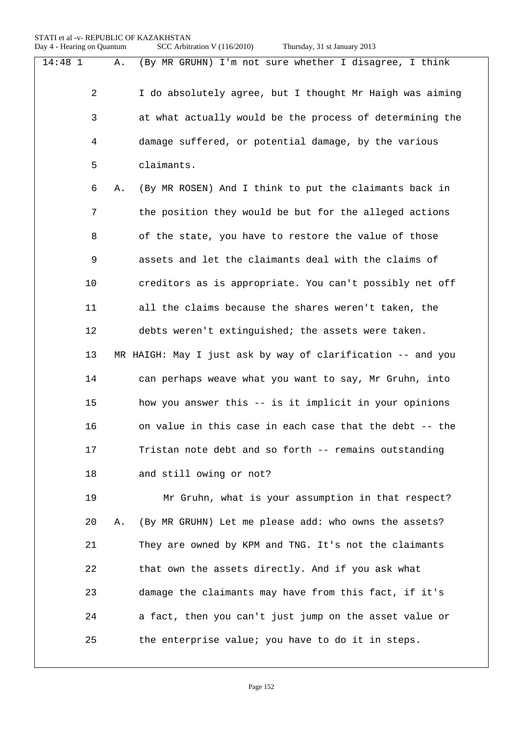| $14:48$ 1      | Α. | (By MR GRUHN) I'm not sure whether I disagree, I think      |
|----------------|----|-------------------------------------------------------------|
| $\overline{2}$ |    | I do absolutely agree, but I thought Mr Haigh was aiming    |
| 3              |    | at what actually would be the process of determining the    |
| 4              |    | damage suffered, or potential damage, by the various        |
| 5              |    | claimants.                                                  |
| 6              | Α. | (By MR ROSEN) And I think to put the claimants back in      |
| 7              |    | the position they would be but for the alleged actions      |
| 8              |    | of the state, you have to restore the value of those        |
| 9              |    | assets and let the claimants deal with the claims of        |
| 10             |    | creditors as is appropriate. You can't possibly net off     |
| 11             |    | all the claims because the shares weren't taken, the        |
| 12             |    | debts weren't extinguished; the assets were taken.          |
| 13             |    | MR HAIGH: May I just ask by way of clarification -- and you |
| 14             |    | can perhaps weave what you want to say, Mr Gruhn, into      |
| 15             |    | how you answer this -- is it implicit in your opinions      |
| 16             |    | on value in this case in each case that the debt -- the     |
| 17             |    | Tristan note debt and so forth -- remains outstanding       |
| 18             |    | and still owing or not?                                     |
| 19             |    | Mr Gruhn, what is your assumption in that respect?          |
| 20             | Α. | (By MR GRUHN) Let me please add: who owns the assets?       |
| 21             |    | They are owned by KPM and TNG. It's not the claimants       |
| 22             |    | that own the assets directly. And if you ask what           |
| 23             |    | damage the claimants may have from this fact, if it's       |
| 24             |    | a fact, then you can't just jump on the asset value or      |

25 the enterprise value; you have to do it in steps.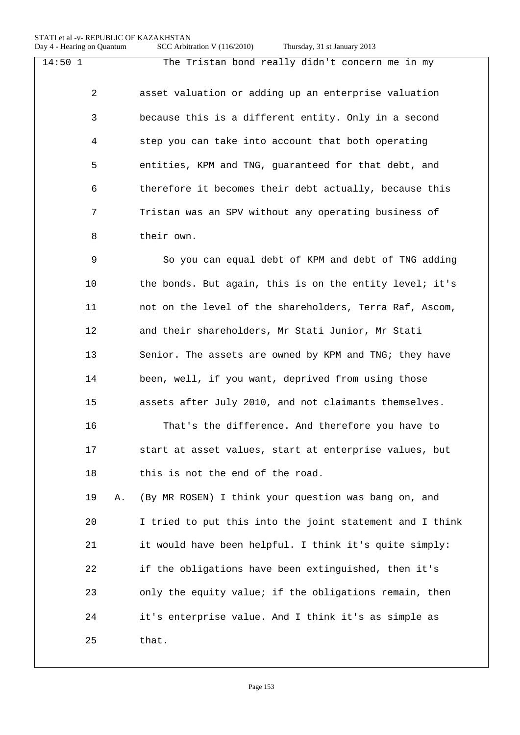14:50 1 The Tristan bond really didn't concern me in my 2 asset valuation or adding up an enterprise valuation 3 because this is a different entity. Only in a second 4 step you can take into account that both operating 5 entities, KPM and TNG, guaranteed for that debt, and 6 therefore it becomes their debt actually, because this 7 Tristan was an SPV without any operating business of 8 their own. 9 So you can equal debt of KPM and debt of TNG adding 10 the bonds. But again, this is on the entity level; it's 11 not on the level of the shareholders, Terra Raf, Ascom, 12 and their shareholders, Mr Stati Junior, Mr Stati 13 Senior. The assets are owned by KPM and TNG; they have 14 been, well, if you want, deprived from using those 15 assets after July 2010, and not claimants themselves. 16 That's the difference. And therefore you have to

17 start at asset values, start at enterprise values, but 18 this is not the end of the road.

19 A. (By MR ROSEN) I think your question was bang on, and 20 I tried to put this into the joint statement and I think 21 it would have been helpful. I think it's quite simply: 22 if the obligations have been extinguished, then it's 23 only the equity value; if the obligations remain, then 24 it's enterprise value. And I think it's as simple as 25 that.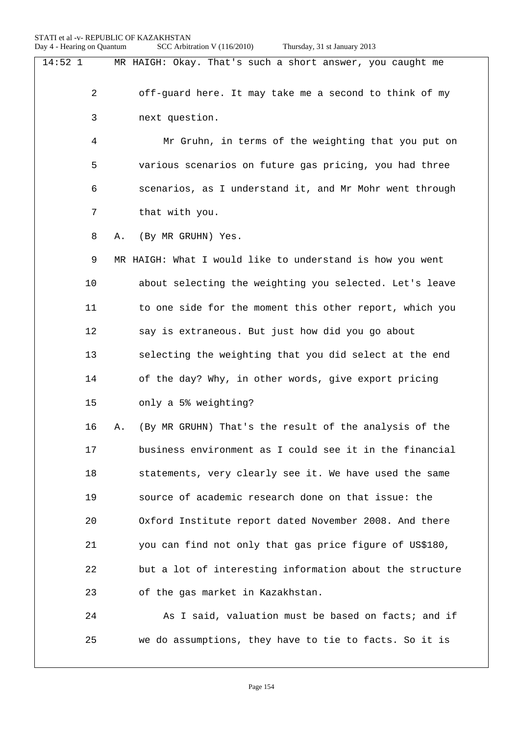| $14:52$ 1 |                | MR HAIGH: Okay. That's such a short answer, you caught me |
|-----------|----------------|-----------------------------------------------------------|
|           | $\overline{2}$ | off-guard here. It may take me a second to think of my    |
|           | 3              | next question.                                            |
|           | 4              | Mr Gruhn, in terms of the weighting that you put on       |
|           | 5              | various scenarios on future gas pricing, you had three    |
| 6         |                | scenarios, as I understand it, and Mr Mohr went through   |
|           | 7              | that with you.                                            |
| 8         | Α.             | (By MR GRUHN) Yes.                                        |
| 9         |                | MR HAIGH: What I would like to understand is how you went |
| 10        |                | about selecting the weighting you selected. Let's leave   |
| 11        |                | to one side for the moment this other report, which you   |
| 12        |                | say is extraneous. But just how did you go about          |
| 13        |                | selecting the weighting that you did select at the end    |
| 14        |                | of the day? Why, in other words, give export pricing      |
| 15        |                | only a 5% weighting?                                      |
| 16        | Α.             | (By MR GRUHN) That's the result of the analysis of the    |
| 17        |                | business environment as I could see it in the financial   |
| 18        |                | statements, very clearly see it. We have used the same    |
| 19        |                | source of academic research done on that issue: the       |
| 20        |                | Oxford Institute report dated November 2008. And there    |
| 21        |                | you can find not only that gas price figure of US\$180,   |
| 22        |                | but a lot of interesting information about the structure  |
| 23        |                | of the gas market in Kazakhstan.                          |
| 24        |                | As I said, valuation must be based on facts; and if       |
| 25        |                | we do assumptions, they have to tie to facts. So it is    |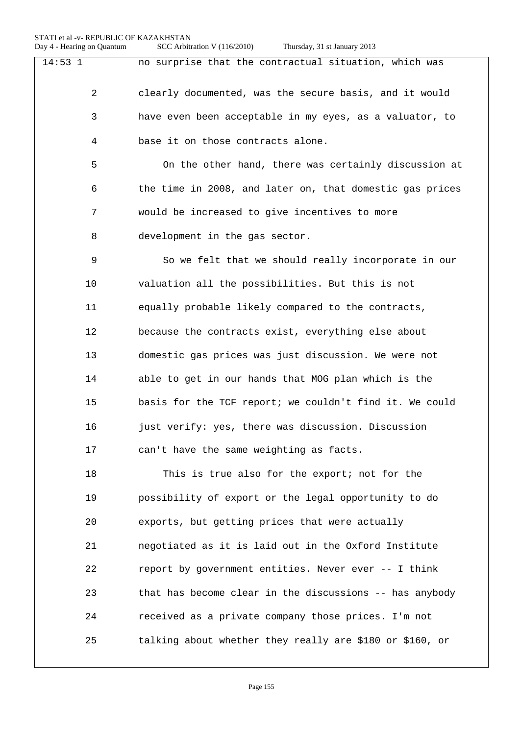| $14:53$ 1      | no surprise that the contractual situation, which was    |
|----------------|----------------------------------------------------------|
| $\overline{2}$ | clearly documented, was the secure basis, and it would   |
| 3              | have even been acceptable in my eyes, as a valuator, to  |
| 4              | base it on those contracts alone.                        |
| 5              | On the other hand, there was certainly discussion at     |
| 6              | the time in 2008, and later on, that domestic gas prices |
| 7              | would be increased to give incentives to more            |
| 8              | development in the gas sector.                           |
| 9              | So we felt that we should really incorporate in our      |
| 10             | valuation all the possibilities. But this is not         |
| 11             | equally probable likely compared to the contracts,       |
| 12             | because the contracts exist, everything else about       |
| 13             | domestic gas prices was just discussion. We were not     |
| 14             | able to get in our hands that MOG plan which is the      |
| 15             | basis for the TCF report; we couldn't find it. We could  |
| 16             | just verify: yes, there was discussion. Discussion       |
| 17             | can't have the same weighting as facts.                  |
| 18             | This is true also for the export; not for the            |
| 19             | possibility of export or the legal opportunity to do     |
| 20             | exports, but getting prices that were actually           |
| 21             | negotiated as it is laid out in the Oxford Institute     |
| 22             | report by government entities. Never ever -- I think     |
| 23             | that has become clear in the discussions -- has anybody  |
| 24             | received as a private company those prices. I'm not      |
| 25             | talking about whether they really are \$180 or \$160, or |
|                |                                                          |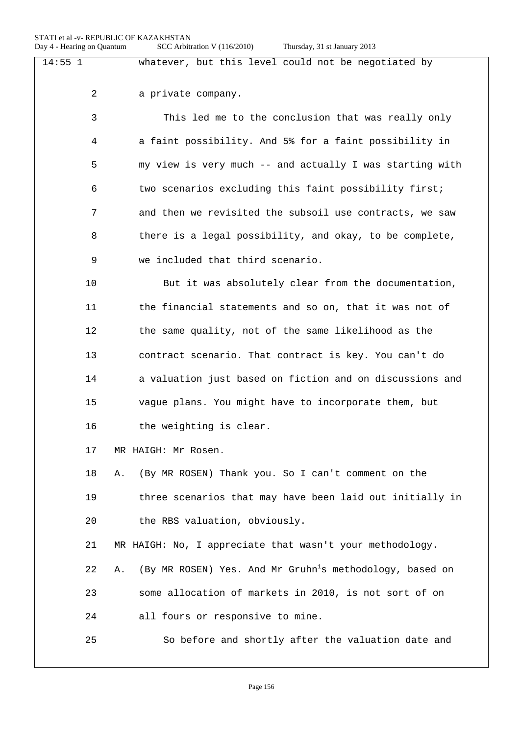| $14:55$ 1      | whatever, but this level could not be negotiated by                        |
|----------------|----------------------------------------------------------------------------|
| $\overline{a}$ | a private company.                                                         |
| 3              | This led me to the conclusion that was really only                         |
| 4              | a faint possibility. And 5% for a faint possibility in                     |
| 5              | my view is very much -- and actually I was starting with                   |
| 6              | two scenarios excluding this faint possibility first;                      |
| 7              | and then we revisited the subsoil use contracts, we saw                    |
| 8              | there is a legal possibility, and okay, to be complete,                    |
| 9              | we included that third scenario.                                           |
| 10             | But it was absolutely clear from the documentation,                        |
| 11             | the financial statements and so on, that it was not of                     |
| 12             | the same quality, not of the same likelihood as the                        |
| 13             | contract scenario. That contract is key. You can't do                      |
| 14             | a valuation just based on fiction and on discussions and                   |
| 15             | vague plans. You might have to incorporate them, but                       |
| 16             | the weighting is clear.                                                    |
| 17             | MR HAIGH: Mr Rosen.                                                        |
| 18             | (By MR ROSEN) Thank you. So I can't comment on the<br>Α.                   |
| 19             | three scenarios that may have been laid out initially in                   |
| 20             | the RBS valuation, obviously.                                              |
| 21             | MR HAIGH: No, I appreciate that wasn't your methodology.                   |
| 22             | (By MR ROSEN) Yes. And Mr Gruhn <sup>1</sup> s methodology, based on<br>Α. |
| 23             | some allocation of markets in 2010, is not sort of on                      |
| 24             | all fours or responsive to mine.                                           |
| 25             | So before and shortly after the valuation date and                         |
|                |                                                                            |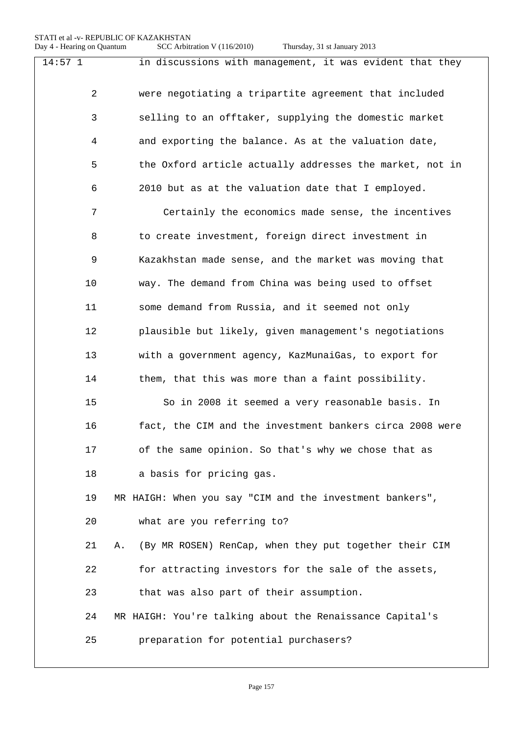| $14:57$ 1      | in discussions with management, it was evident that they     |
|----------------|--------------------------------------------------------------|
|                |                                                              |
| $\overline{2}$ | were negotiating a tripartite agreement that included        |
| 3              | selling to an offtaker, supplying the domestic market        |
| 4              | and exporting the balance. As at the valuation date,         |
| 5              | the Oxford article actually addresses the market, not in     |
| 6              | 2010 but as at the valuation date that I employed.           |
| 7              | Certainly the economics made sense, the incentives           |
| 8              | to create investment, foreign direct investment in           |
| 9              | Kazakhstan made sense, and the market was moving that        |
| 10             | way. The demand from China was being used to offset          |
| 11             | some demand from Russia, and it seemed not only              |
| 12             | plausible but likely, given management's negotiations        |
| 13             | with a government agency, KazMunaiGas, to export for         |
| 14             | them, that this was more than a faint possibility.           |
| 15             | So in 2008 it seemed a very reasonable basis. In             |
| 16             | fact, the CIM and the investment bankers circa 2008 were     |
| 17             | of the same opinion. So that's why we chose that as          |
| 18             | a basis for pricing gas.                                     |
| 19             | MR HAIGH: When you say "CIM and the investment bankers",     |
| 20             | what are you referring to?                                   |
| 21             | (By MR ROSEN) RenCap, when they put together their CIM<br>Α. |
| 22             | for attracting investors for the sale of the assets,         |
| 23             | that was also part of their assumption.                      |
| 24             | MR HAIGH: You're talking about the Renaissance Capital's     |
| 25             | preparation for potential purchasers?                        |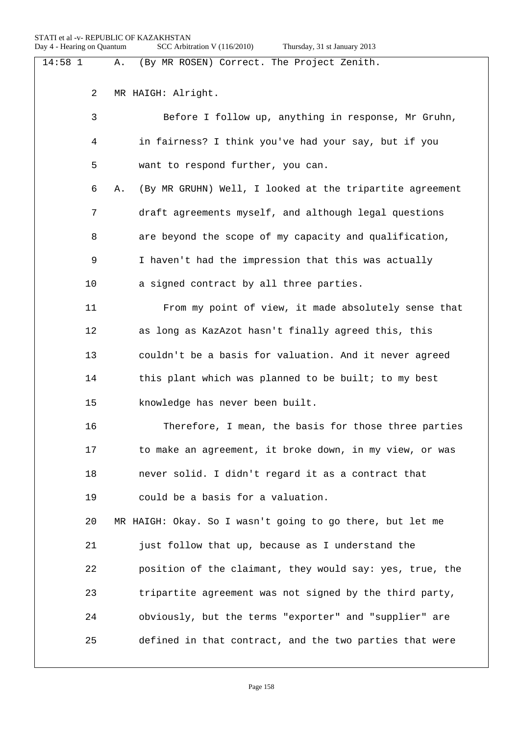| $14:58$ 1 | (By MR ROSEN) Correct. The Project Zenith.<br>Α.               |
|-----------|----------------------------------------------------------------|
| 2         | MR HAIGH: Alright.                                             |
| 3         | Before I follow up, anything in response, Mr Gruhn,            |
| 4         | in fairness? I think you've had your say, but if you           |
| 5         | want to respond further, you can.                              |
| 6         | (By MR GRUHN) Well, I looked at the tripartite agreement<br>Α. |
| 7         | draft agreements myself, and although legal questions          |
| 8         | are beyond the scope of my capacity and qualification,         |
| 9         | I haven't had the impression that this was actually            |
| 10        | a signed contract by all three parties.                        |
| 11        | From my point of view, it made absolutely sense that           |
| 12        | as long as KazAzot hasn't finally agreed this, this            |
| 13        | couldn't be a basis for valuation. And it never agreed         |
| 14        | this plant which was planned to be built; to my best           |
| 15        | knowledge has never been built.                                |
| 16        | Therefore, I mean, the basis for those three parties           |
| 17        | to make an agreement, it broke down, in my view, or was        |
| 18        | never solid. I didn't regard it as a contract that             |
| 19        | could be a basis for a valuation.                              |
| 20        | MR HAIGH: Okay. So I wasn't going to go there, but let me      |
| 21        | just follow that up, because as I understand the               |
| 22        | position of the claimant, they would say: yes, true, the       |
| 23        | tripartite agreement was not signed by the third party,        |
| 24        | obviously, but the terms "exporter" and "supplier" are         |
| 25        | defined in that contract, and the two parties that were        |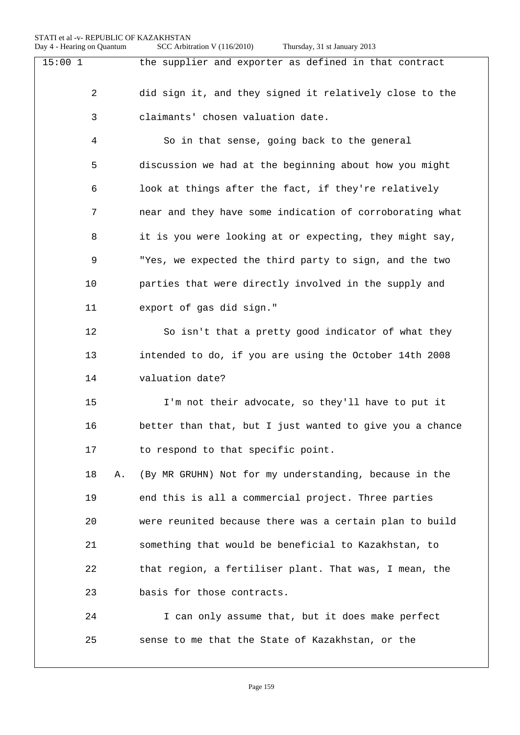| 15:001         |    | the supplier and exporter as defined in that contract    |
|----------------|----|----------------------------------------------------------|
| $\overline{2}$ |    | did sign it, and they signed it relatively close to the  |
| 3              |    | claimants' chosen valuation date.                        |
| 4              |    | So in that sense, going back to the general              |
| 5              |    | discussion we had at the beginning about how you might   |
| 6              |    | look at things after the fact, if they're relatively     |
| 7              |    | near and they have some indication of corroborating what |
| 8              |    | it is you were looking at or expecting, they might say,  |
| 9              |    | "Yes, we expected the third party to sign, and the two   |
| 10             |    | parties that were directly involved in the supply and    |
| 11             |    | export of gas did sign."                                 |
| 12             |    | So isn't that a pretty good indicator of what they       |
| 13             |    | intended to do, if you are using the October 14th 2008   |
| 14             |    | valuation date?                                          |
| 15             |    | I'm not their advocate, so they'll have to put it        |
| 16             |    | better than that, but I just wanted to give you a chance |
| 17             |    | to respond to that specific point.                       |
| 18             | Α. | (By MR GRUHN) Not for my understanding, because in the   |
| 19             |    | end this is all a commercial project. Three parties      |
| 20             |    | were reunited because there was a certain plan to build  |
| 21             |    | something that would be beneficial to Kazakhstan, to     |
| 22             |    | that region, a fertiliser plant. That was, I mean, the   |
| 23             |    | basis for those contracts.                               |
| 24             |    | I can only assume that, but it does make perfect         |
| 25             |    | sense to me that the State of Kazakhstan, or the         |
|                |    |                                                          |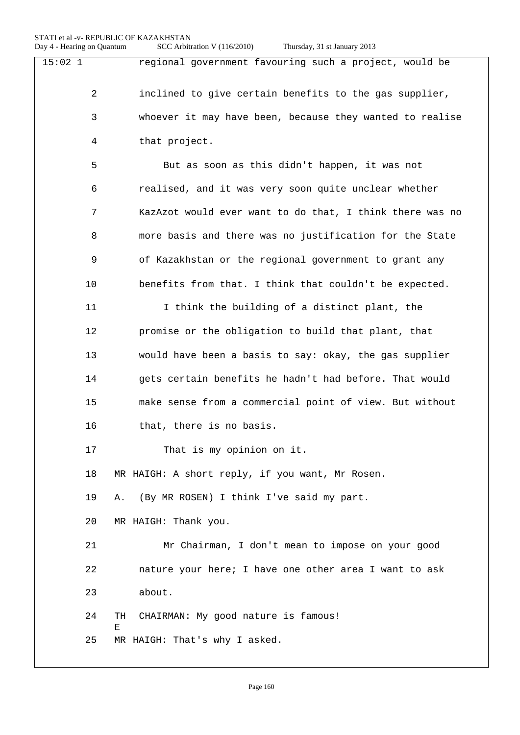| $15:02$ 1 |         | regional government favouring such a project, would be   |
|-----------|---------|----------------------------------------------------------|
| 2         |         | inclined to give certain benefits to the gas supplier,   |
| 3         |         | whoever it may have been, because they wanted to realise |
| 4         |         | that project.                                            |
| 5         |         | But as soon as this didn't happen, it was not            |
| 6         |         | realised, and it was very soon quite unclear whether     |
| 7         |         | KazAzot would ever want to do that, I think there was no |
| 8         |         | more basis and there was no justification for the State  |
| 9         |         | of Kazakhstan or the regional government to grant any    |
| 10        |         | benefits from that. I think that couldn't be expected.   |
| 11        |         | I think the building of a distinct plant, the            |
| 12        |         | promise or the obligation to build that plant, that      |
| 13        |         | would have been a basis to say: okay, the gas supplier   |
| 14        |         | gets certain benefits he hadn't had before. That would   |
| 15        |         | make sense from a commercial point of view. But without  |
| 16        |         | that, there is no basis.                                 |
| 17        |         | That is my opinion on it.                                |
| 18        |         | MR HAIGH: A short reply, if you want, Mr Rosen.          |
| 19        | Α.      | (By MR ROSEN) I think I've said my part.                 |
| 20        |         | MR HAIGH: Thank you.                                     |
| 21        |         | Mr Chairman, I don't mean to impose on your good         |
| 22        |         | nature your here; I have one other area I want to ask    |
| 23        |         | about.                                                   |
| 24        | TH<br>Е | CHAIRMAN: My good nature is famous!                      |
| 25        |         | MR HAIGH: That's why I asked.                            |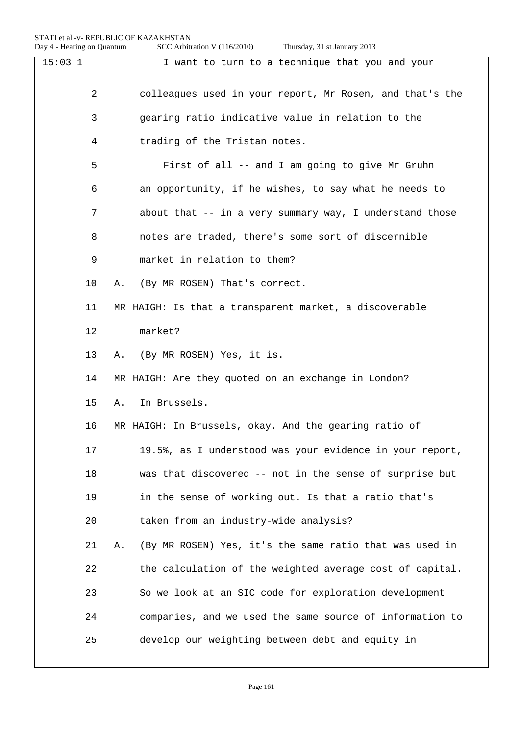| $15:03$ 1      | I want to turn to a technique that you and your               |
|----------------|---------------------------------------------------------------|
|                |                                                               |
| $\overline{a}$ | colleagues used in your report, Mr Rosen, and that's the      |
| 3              | gearing ratio indicative value in relation to the             |
| 4              | trading of the Tristan notes.                                 |
| 5              | First of all -- and I am going to give Mr Gruhn               |
| 6              | an opportunity, if he wishes, to say what he needs to         |
| 7              | about that -- in a very summary way, I understand those       |
| 8              | notes are traded, there's some sort of discernible            |
| 9              | market in relation to them?                                   |
| 10             | (By MR ROSEN) That's correct.<br>Α.                           |
| 11             | MR HAIGH: Is that a transparent market, a discoverable        |
| 12             | market?                                                       |
| 13             | (By MR ROSEN) Yes, it is.<br>Α.                               |
| 14             | MR HAIGH: Are they quoted on an exchange in London?           |
| 15             | In Brussels.<br>Α.                                            |
| 16             | MR HAIGH: In Brussels, okay. And the gearing ratio of         |
| 17             | 19.5%, as I understood was your evidence in your report,      |
| $18\,$         | was that discovered -- not in the sense of surprise but       |
| 19             | in the sense of working out. Is that a ratio that's           |
| 20             | taken from an industry-wide analysis?                         |
| 21             | (By MR ROSEN) Yes, it's the same ratio that was used in<br>Α. |
| 22             | the calculation of the weighted average cost of capital.      |
| 23             | So we look at an SIC code for exploration development         |
| 24             | companies, and we used the same source of information to      |
| 25             | develop our weighting between debt and equity in              |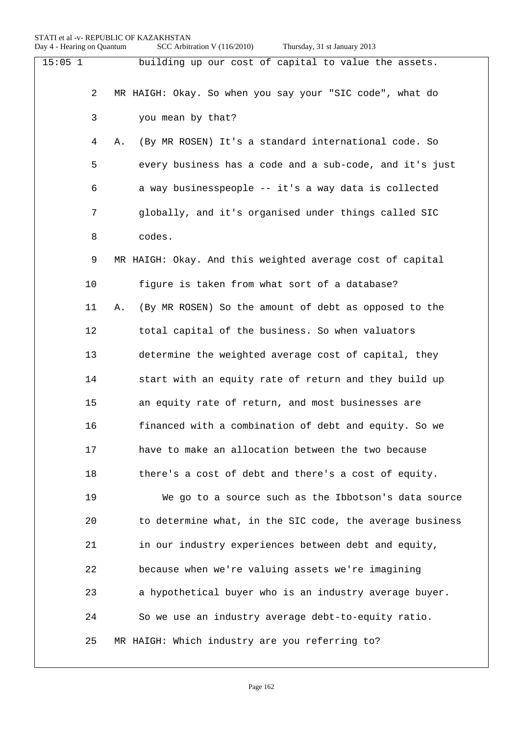| $15:05$ 1 | building up our cost of capital to value the assets.        |
|-----------|-------------------------------------------------------------|
| 2         | MR HAIGH: Okay. So when you say your "SIC code", what do    |
| 3         | you mean by that?                                           |
| 4         | (By MR ROSEN) It's a standard international code. So<br>Α.  |
| 5         | every business has a code and a sub-code, and it's just     |
| 6         | a way businesspeople -- it's a way data is collected        |
| 7         | globally, and it's organised under things called SIC        |
| 8         | codes.                                                      |
| 9         | MR HAIGH: Okay. And this weighted average cost of capital   |
| 10        | figure is taken from what sort of a database?               |
| 11        | (By MR ROSEN) So the amount of debt as opposed to the<br>Α. |
| 12        | total capital of the business. So when valuators            |
| 13        | determine the weighted average cost of capital, they        |
| 14        | start with an equity rate of return and they build up       |
| 15        | an equity rate of return, and most businesses are           |
| 16        | financed with a combination of debt and equity. So we       |
| 17        | have to make an allocation between the two because          |
| 18        | there's a cost of debt and there's a cost of equity.        |
| 19        | We go to a source such as the Ibbotson's data source        |
| 20        | to determine what, in the SIC code, the average business    |
| 21        | in our industry experiences between debt and equity,        |
| 22        | because when we're valuing assets we're imagining           |
| 23        | a hypothetical buyer who is an industry average buyer.      |
| 24        | So we use an industry average debt-to-equity ratio.         |
| 25        | MR HAIGH: Which industry are you referring to?              |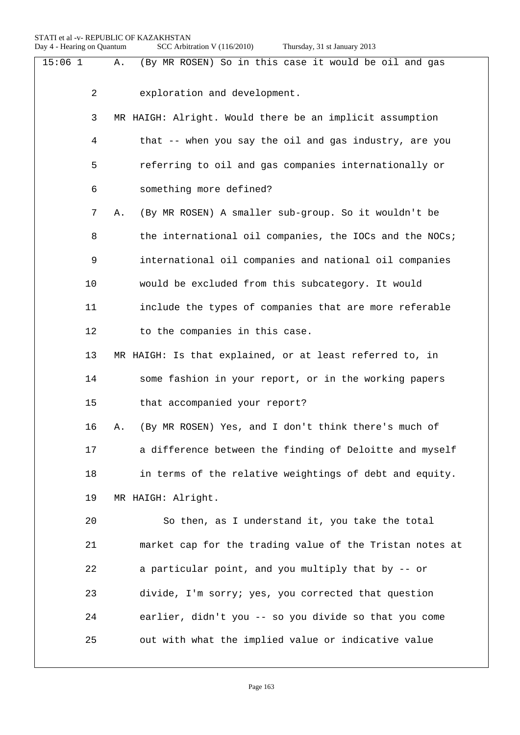| Thursday, 31 st January 2013 |  |  |  |
|------------------------------|--|--|--|
|------------------------------|--|--|--|

| $15:06$ 1      | (By MR ROSEN) So in this case it would be oil and gas<br>Α. |
|----------------|-------------------------------------------------------------|
| $\overline{2}$ | exploration and development.                                |
| 3              | MR HAIGH: Alright. Would there be an implicit assumption    |
| 4              | that -- when you say the oil and gas industry, are you      |
| 5              | referring to oil and gas companies internationally or       |
| 6              | something more defined?                                     |
| 7              | (By MR ROSEN) A smaller sub-group. So it wouldn't be<br>Α.  |
| 8              | the international oil companies, the IOCs and the NOCs;     |
| 9              | international oil companies and national oil companies      |
| 10             | would be excluded from this subcategory. It would           |
| 11             | include the types of companies that are more referable      |
| 12             | to the companies in this case.                              |
| 13             | MR HAIGH: Is that explained, or at least referred to, in    |
| 14             | some fashion in your report, or in the working papers       |
| 15             | that accompanied your report?                               |
| 16             | (By MR ROSEN) Yes, and I don't think there's much of<br>Α.  |
| 17             | a difference between the finding of Deloitte and myself     |
| 18             | in terms of the relative weightings of debt and equity.     |
| 19             | MR HAIGH: Alright.                                          |
| 20             | So then, as I understand it, you take the total             |
| 21             | market cap for the trading value of the Tristan notes at    |
| 22             | a particular point, and you multiply that by -- or          |
| 23             | divide, I'm sorry; yes, you corrected that question         |
| 24             | earlier, didn't you -- so you divide so that you come       |
| 25             | out with what the implied value or indicative value         |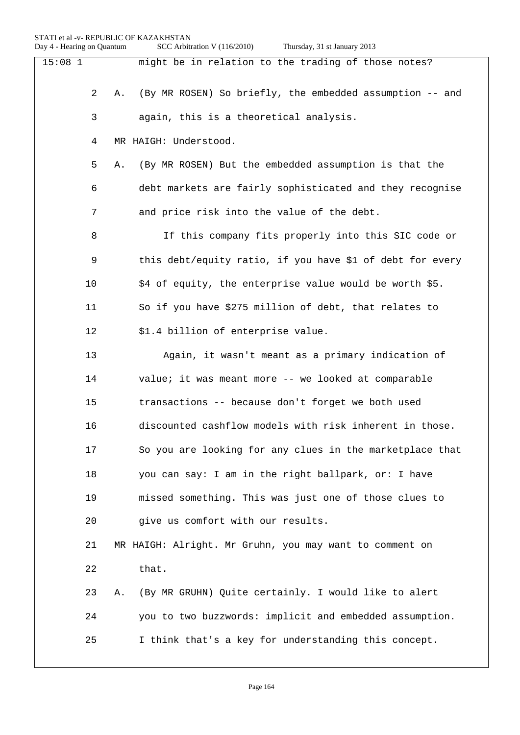| $15:08$ 1 | might be in relation to the trading of those notes?            |
|-----------|----------------------------------------------------------------|
| 2         | (By MR ROSEN) So briefly, the embedded assumption -- and<br>Α. |
| 3         | again, this is a theoretical analysis.                         |
| 4         | MR HAIGH: Understood.                                          |
| 5         | (By MR ROSEN) But the embedded assumption is that the<br>Α.    |
| 6         | debt markets are fairly sophisticated and they recognise       |
| 7         | and price risk into the value of the debt.                     |
| 8         | If this company fits properly into this SIC code or            |
| 9         | this debt/equity ratio, if you have \$1 of debt for every      |
| 10        | \$4 of equity, the enterprise value would be worth \$5.        |
| 11        | So if you have \$275 million of debt, that relates to          |
| 12        | \$1.4 billion of enterprise value.                             |
| 13        | Again, it wasn't meant as a primary indication of              |
| 14        | value; it was meant more -- we looked at comparable            |
| 15        | transactions -- because don't forget we both used              |
| 16        | discounted cashflow models with risk inherent in those.        |
| 17        | So you are looking for any clues in the marketplace that       |
| 18        | you can say: I am in the right ballpark, or: I have            |
| 19        | missed something. This was just one of those clues to          |
| 20        | give us comfort with our results.                              |
| 21        | MR HAIGH: Alright. Mr Gruhn, you may want to comment on        |
| 22        | that.                                                          |
| 23        | (By MR GRUHN) Quite certainly. I would like to alert<br>Α.     |
| 24        | you to two buzzwords: implicit and embedded assumption.        |
| 25        | I think that's a key for understanding this concept.           |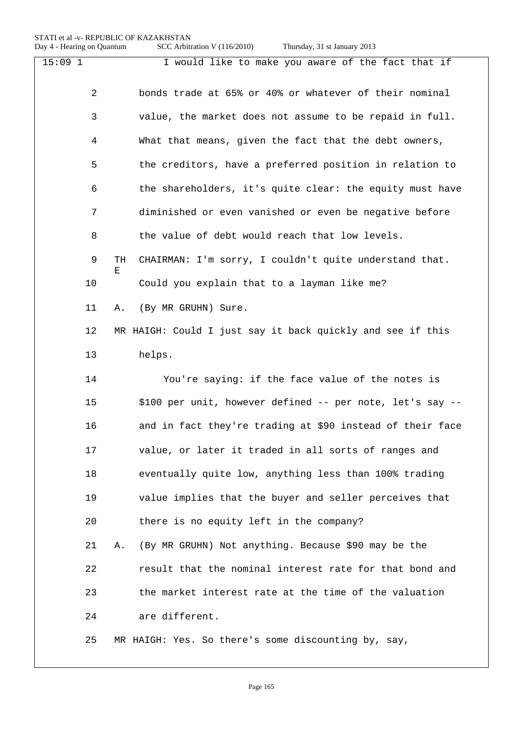| $15:09$ 1 | I would like to make you aware of the fact that if                |
|-----------|-------------------------------------------------------------------|
| 2         | bonds trade at 65% or 40% or whatever of their nominal            |
| 3         | value, the market does not assume to be repaid in full.           |
| 4         | What that means, given the fact that the debt owners,             |
| 5         | the creditors, have a preferred position in relation to           |
| 6         | the shareholders, it's quite clear: the equity must have          |
| 7         | diminished or even vanished or even be negative before            |
| 8         | the value of debt would reach that low levels.                    |
| 9         | TH<br>CHAIRMAN: I'm sorry, I couldn't quite understand that.<br>E |
| 10        | Could you explain that to a layman like me?                       |
| 11        | (By MR GRUHN) Sure.<br>Α.                                         |
| 12        | MR HAIGH: Could I just say it back quickly and see if this        |
| 13        | helps.                                                            |
| 14        | You're saying: if the face value of the notes is                  |
| 15        | \$100 per unit, however defined -- per note, let's say --         |
| 16        | and in fact they're trading at \$90 instead of their face         |
| 17        | value, or later it traded in all sorts of ranges and              |
| 18        | eventually quite low, anything less than 100% trading             |
| 19        | value implies that the buyer and seller perceives that            |
| 20        | there is no equity left in the company?                           |
| 21        | (By MR GRUHN) Not anything. Because \$90 may be the<br>Α.         |
| 22        | result that the nominal interest rate for that bond and           |
| 23        | the market interest rate at the time of the valuation             |
| 24        | are different.                                                    |
| 25        | MR HAIGH: Yes. So there's some discounting by, say,               |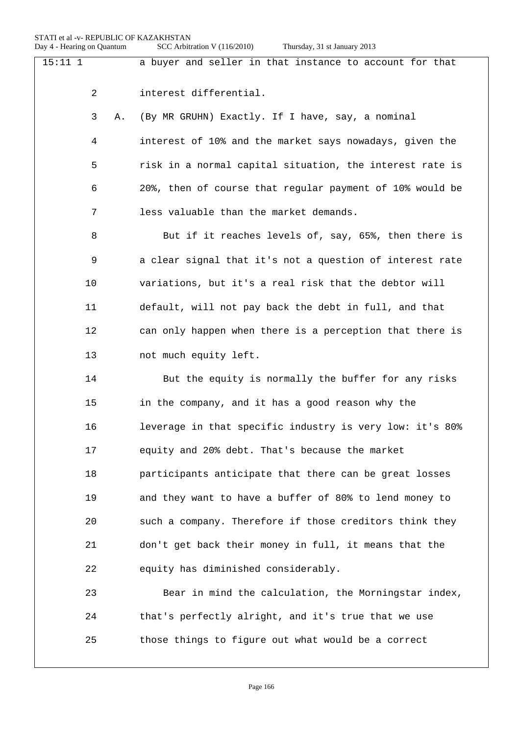|         | a buyer and seller in that instance to account for that  |
|---------|----------------------------------------------------------|
| 2       | interest differential.                                   |
| 3<br>Α. | (By MR GRUHN) Exactly. If I have, say, a nominal         |
| 4       | interest of 10% and the market says nowadays, given the  |
| 5       | risk in a normal capital situation, the interest rate is |
| 6       | 20%, then of course that regular payment of 10% would be |
| 7       | less valuable than the market demands.                   |
| 8       | But if it reaches levels of, say, 65%, then there is     |
| 9       | a clear signal that it's not a question of interest rate |
| 10      | variations, but it's a real risk that the debtor will    |
| 11      | default, will not pay back the debt in full, and that    |
| 12      | can only happen when there is a perception that there is |
| 13      | not much equity left.                                    |
| 14      | But the equity is normally the buffer for any risks      |
| 15      | in the company, and it has a good reason why the         |
| 16      | leverage in that specific industry is very low: it's 80% |
| 17      | equity and 20% debt. That's because the market           |
| 18      | participants anticipate that there can be great losses   |
| 19      | and they want to have a buffer of 80% to lend money to   |
| 20      | such a company. Therefore if those creditors think they  |
| 21      | don't get back their money in full, it means that the    |
| 22      | equity has diminished considerably.                      |
| 23      | Bear in mind the calculation, the Morningstar index,     |
| 24      | that's perfectly alright, and it's true that we use      |
| 25      | those things to figure out what would be a correct       |
|         |                                                          |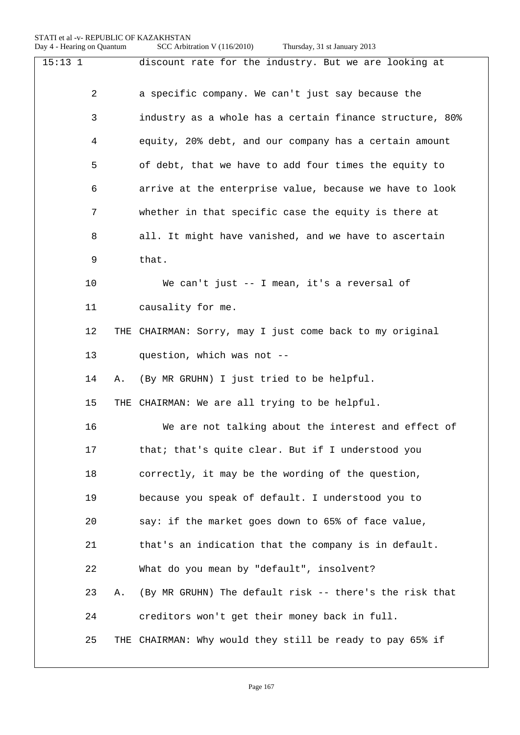| $15:13$ 1 |                |    | discount rate for the industry. But we are looking at     |
|-----------|----------------|----|-----------------------------------------------------------|
|           |                |    |                                                           |
|           | $\overline{2}$ |    | a specific company. We can't just say because the         |
|           | 3              |    | industry as a whole has a certain finance structure, 80%  |
|           | 4              |    | equity, 20% debt, and our company has a certain amount    |
|           | 5              |    | of debt, that we have to add four times the equity to     |
|           | 6              |    | arrive at the enterprise value, because we have to look   |
|           | 7              |    | whether in that specific case the equity is there at      |
|           | 8              |    | all. It might have vanished, and we have to ascertain     |
|           | 9              |    | that.                                                     |
|           | 10             |    | We can't just -- I mean, it's a reversal of               |
|           | 11             |    | causality for me.                                         |
|           | 12             |    | THE CHAIRMAN: Sorry, may I just come back to my original  |
|           | 13             |    | question, which was not --                                |
|           | 14             | Α. | (By MR GRUHN) I just tried to be helpful.                 |
|           | 15             |    | THE CHAIRMAN: We are all trying to be helpful.            |
|           | 16             |    | We are not talking about the interest and effect of       |
|           | 17             |    | that; that's quite clear. But if I understood you         |
|           | 18             |    | correctly, it may be the wording of the question,         |
|           | 19             |    | because you speak of default. I understood you to         |
|           | 20             |    | say: if the market goes down to 65% of face value,        |
|           | 21             |    | that's an indication that the company is in default.      |
|           | 22             |    | What do you mean by "default", insolvent?                 |
|           | 23             | Α. | (By MR GRUHN) The default risk -- there's the risk that   |
|           | 24             |    | creditors won't get their money back in full.             |
|           | 25             |    | THE CHAIRMAN: Why would they still be ready to pay 65% if |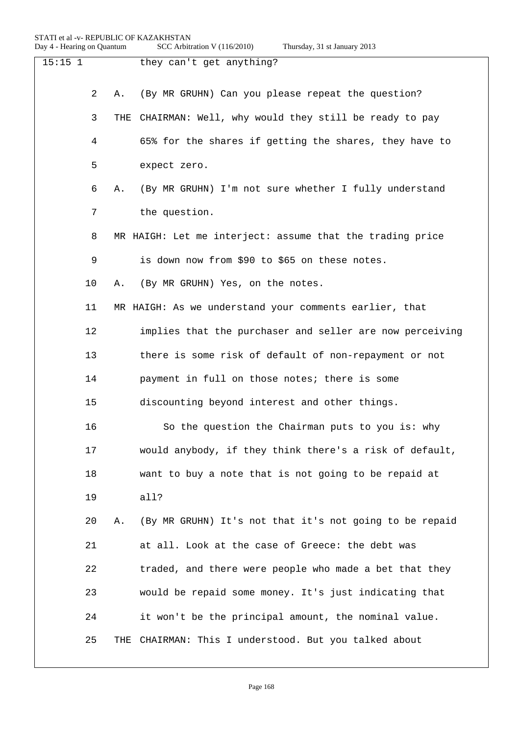| $15:15$ 1 |    |     | they can't get anything?                                  |
|-----------|----|-----|-----------------------------------------------------------|
|           | 2  | Α.  | (By MR GRUHN) Can you please repeat the question?         |
|           | 3  | THE | CHAIRMAN: Well, why would they still be ready to pay      |
|           | 4  |     | 65% for the shares if getting the shares, they have to    |
|           | 5  |     | expect zero.                                              |
|           | 6  | Α.  | (By MR GRUHN) I'm not sure whether I fully understand     |
|           | 7  |     | the question.                                             |
|           | 8  |     | MR HAIGH: Let me interject: assume that the trading price |
|           | 9  |     | is down now from \$90 to \$65 on these notes.             |
|           | 10 | Α.  | (By MR GRUHN) Yes, on the notes.                          |
|           | 11 |     | MR HAIGH: As we understand your comments earlier, that    |
|           | 12 |     | implies that the purchaser and seller are now perceiving  |
|           | 13 |     | there is some risk of default of non-repayment or not     |
|           | 14 |     | payment in full on those notes; there is some             |
|           | 15 |     | discounting beyond interest and other things.             |
|           | 16 |     | So the question the Chairman puts to you is: why          |
|           | 17 |     | would anybody, if they think there's a risk of default,   |
|           | 18 |     | want to buy a note that is not going to be repaid at      |
|           | 19 |     | all?                                                      |
|           | 20 | Α.  | (By MR GRUHN) It's not that it's not going to be repaid   |
|           | 21 |     | at all. Look at the case of Greece: the debt was          |
|           | 22 |     | traded, and there were people who made a bet that they    |
|           | 23 |     | would be repaid some money. It's just indicating that     |
|           | 24 |     | it won't be the principal amount, the nominal value.      |
|           | 25 | THE | CHAIRMAN: This I understood. But you talked about         |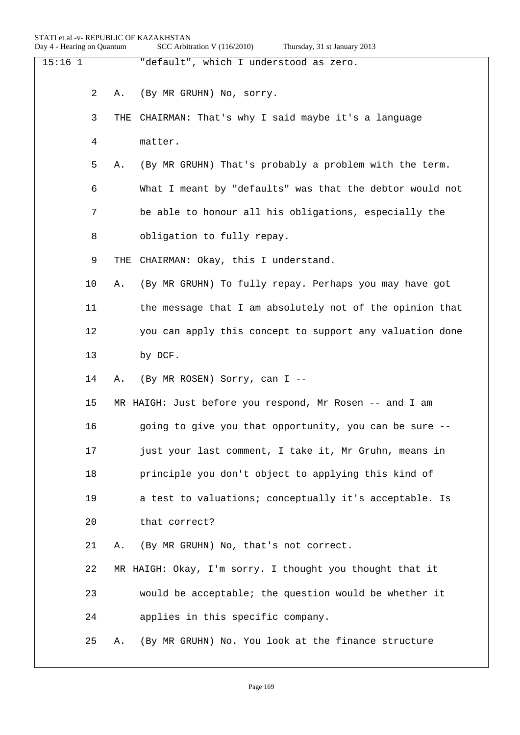| $15:16$ 1 |                |     | "default", which I understood as zero.                   |
|-----------|----------------|-----|----------------------------------------------------------|
|           | $\overline{2}$ | Α.  | (By MR GRUHN) No, sorry.                                 |
|           | 3              | THE | CHAIRMAN: That's why I said maybe it's a language        |
|           | 4              |     | matter.                                                  |
|           | 5              | Α.  | (By MR GRUHN) That's probably a problem with the term.   |
|           | 6              |     | What I meant by "defaults" was that the debtor would not |
|           | 7              |     | be able to honour all his obligations, especially the    |
|           | 8              |     | obligation to fully repay.                               |
|           | 9              | THE | CHAIRMAN: Okay, this I understand.                       |
|           | 10             | Α.  | (By MR GRUHN) To fully repay. Perhaps you may have got   |
|           | 11             |     | the message that I am absolutely not of the opinion that |
|           | 12             |     | you can apply this concept to support any valuation done |
|           | 13             |     | by DCF.                                                  |
|           | 14             | Α.  | (By MR ROSEN) Sorry, can I --                            |
|           | 15             |     | MR HAIGH: Just before you respond, Mr Rosen -- and I am  |
|           | 16             |     | going to give you that opportunity, you can be sure --   |
|           | 17             |     | just your last comment, I take it, Mr Gruhn, means in    |
|           | 18             |     | principle you don't object to applying this kind of      |
|           | 19             |     | a test to valuations; conceptually it's acceptable. Is   |
|           | 20             |     | that correct?                                            |
|           | 21             | Α.  | (By MR GRUHN) No, that's not correct.                    |
|           | 22             |     | MR HAIGH: Okay, I'm sorry. I thought you thought that it |
|           | 23             |     | would be acceptable; the question would be whether it    |
|           | 24             |     | applies in this specific company.                        |
|           | 25             | Α.  | (By MR GRUHN) No. You look at the finance structure      |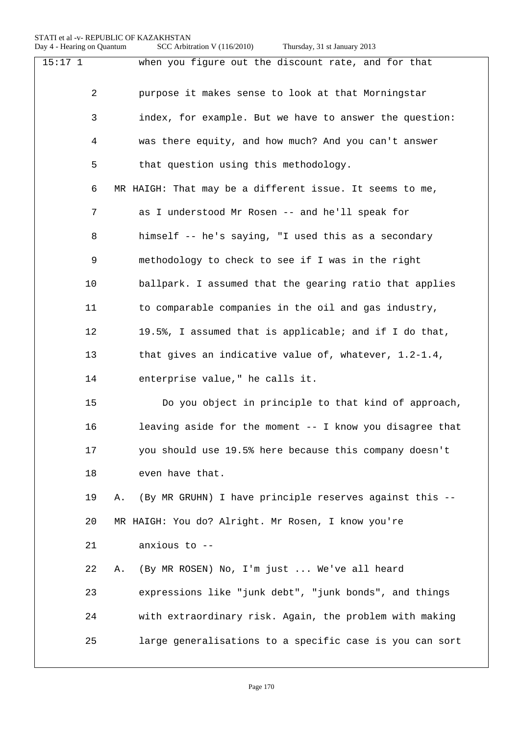| 15:171 | when you figure out the discount rate, and for that           |
|--------|---------------------------------------------------------------|
| 2      | purpose it makes sense to look at that Morningstar            |
| 3      | index, for example. But we have to answer the question:       |
| 4      | was there equity, and how much? And you can't answer          |
| 5      | that question using this methodology.                         |
| 6      | MR HAIGH: That may be a different issue. It seems to me,      |
| 7      | as I understood Mr Rosen -- and he'll speak for               |
| 8      | himself -- he's saying, "I used this as a secondary           |
| 9      | methodology to check to see if I was in the right             |
| 10     | ballpark. I assumed that the gearing ratio that applies       |
| 11     | to comparable companies in the oil and gas industry,          |
| 12     | 19.5%, I assumed that is applicable; and if I do that,        |
| 13     | that gives an indicative value of, whatever, $1.2-1.4$ ,      |
| 14     | enterprise value," he calls it.                               |
| 15     | Do you object in principle to that kind of approach,          |
| 16     | leaving aside for the moment -- I know you disagree that      |
| 17     | you should use 19.5% here because this company doesn't        |
| 18     | even have that.                                               |
| 19     | (By MR GRUHN) I have principle reserves against this --<br>Α. |
| 20     | MR HAIGH: You do? Alright. Mr Rosen, I know you're            |
| 21     | anxious to --                                                 |
| 22     | (By MR ROSEN) No, I'm just  We've all heard<br>Α.             |
| 23     | expressions like "junk debt", "junk bonds", and things        |
| 24     | with extraordinary risk. Again, the problem with making       |
| 25     | large generalisations to a specific case is you can sort      |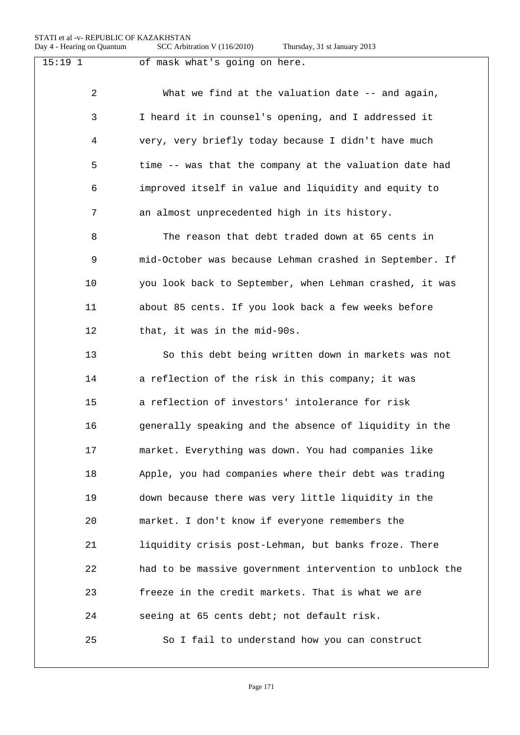| $15:19$ 1      | of mask what's going on here.                            |
|----------------|----------------------------------------------------------|
| $\overline{2}$ | What we find at the valuation date -- and again,         |
| 3              | I heard it in counsel's opening, and I addressed it      |
| 4              | very, very briefly today because I didn't have much      |
| 5              | time -- was that the company at the valuation date had   |
| 6              | improved itself in value and liquidity and equity to     |
| 7              | an almost unprecedented high in its history.             |
| 8              | The reason that debt traded down at 65 cents in          |
| 9              | mid-October was because Lehman crashed in September. If  |
| 10             | you look back to September, when Lehman crashed, it was  |
| 11             | about 85 cents. If you look back a few weeks before      |
| 12             | that, it was in the mid-90s.                             |
| 13             | So this debt being written down in markets was not       |
| 14             | a reflection of the risk in this company; it was         |
| 15             | a reflection of investors' intolerance for risk          |
| 16             | generally speaking and the absence of liquidity in the   |
| 17             | market. Everything was down. You had companies like      |
| 18             | Apple, you had companies where their debt was trading    |
| 19             | down because there was very little liquidity in the      |
| 20             | market. I don't know if everyone remembers the           |
| 21             | liquidity crisis post-Lehman, but banks froze. There     |
| 22             | had to be massive government intervention to unblock the |
| 23             | freeze in the credit markets. That is what we are        |
| 24             | seeing at 65 cents debt; not default risk.               |
| 25             | So I fail to understand how you can construct            |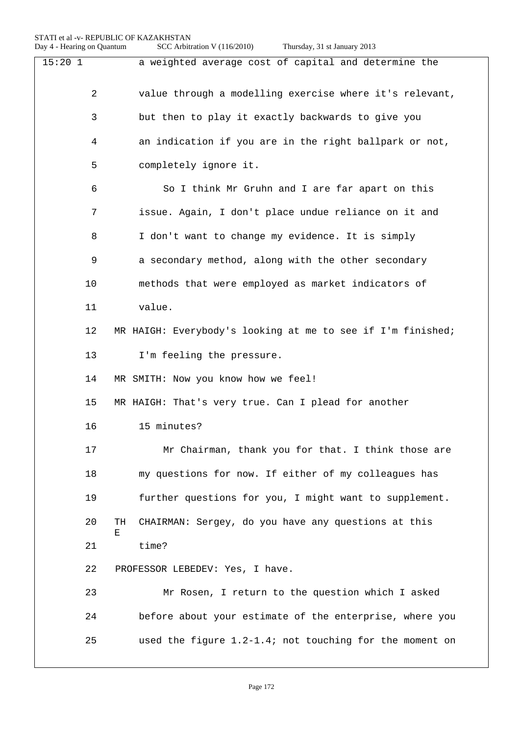| 15:201 | a weighted average cost of capital and determine the           |
|--------|----------------------------------------------------------------|
| 2      | value through a modelling exercise where it's relevant,        |
| 3      | but then to play it exactly backwards to give you              |
| 4      | an indication if you are in the right ballpark or not,         |
| 5      | completely ignore it.                                          |
| 6      | So I think Mr Gruhn and I are far apart on this                |
| 7      | issue. Again, I don't place undue reliance on it and           |
| 8      | I don't want to change my evidence. It is simply               |
| 9      | a secondary method, along with the other secondary             |
| 10     | methods that were employed as market indicators of             |
| 11     | value.                                                         |
| 12     | MR HAIGH: Everybody's looking at me to see if I'm finished;    |
| 13     | I'm feeling the pressure.                                      |
| 14     | MR SMITH: Now you know how we feel!                            |
| 15     | MR HAIGH: That's very true. Can I plead for another            |
| 16     | 15 minutes?                                                    |
| 17     | Mr Chairman, thank you for that. I think those are             |
| 18     | my questions for now. If either of my colleagues has           |
| 19     | further questions for you, I might want to supplement.         |
| 20     | CHAIRMAN: Sergey, do you have any questions at this<br>TH<br>Е |
| 21     | time?                                                          |
| 22     | PROFESSOR LEBEDEV: Yes, I have.                                |
| 23     | Mr Rosen, I return to the question which I asked               |
| 24     | before about your estimate of the enterprise, where you        |
| 25     | used the figure 1.2-1.4; not touching for the moment on        |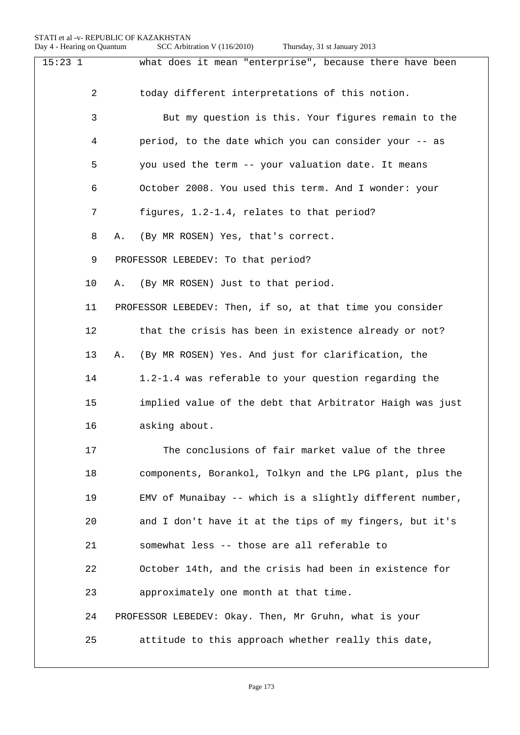|  |  | Thursday, 31 st January 2013 |  |
|--|--|------------------------------|--|
|--|--|------------------------------|--|

| $15:23$ 1      | what does it mean "enterprise", because there have been   |
|----------------|-----------------------------------------------------------|
| $\overline{a}$ | today different interpretations of this notion.           |
| 3              | But my question is this. Your figures remain to the       |
| 4              | period, to the date which you can consider your -- as     |
| 5              | you used the term -- your valuation date. It means        |
| 6              | October 2008. You used this term. And I wonder: your      |
| 7              | figures, 1.2-1.4, relates to that period?                 |
| 8              | (By MR ROSEN) Yes, that's correct.<br>Α.                  |
| 9              | PROFESSOR LEBEDEV: To that period?                        |
| 10             | (By MR ROSEN) Just to that period.<br>Α.                  |
| 11             | PROFESSOR LEBEDEV: Then, if so, at that time you consider |
| 12             | that the crisis has been in existence already or not?     |
| 13             | (By MR ROSEN) Yes. And just for clarification, the<br>Α.  |
| 14             | 1.2-1.4 was referable to your question regarding the      |
| 15             | implied value of the debt that Arbitrator Haigh was just  |
| 16             | asking about.                                             |
| 17             | The conclusions of fair market value of the three         |
| 18             | components, Borankol, Tolkyn and the LPG plant, plus the  |
| 19             | EMV of Munaibay -- which is a slightly different number,  |
| 20             | and I don't have it at the tips of my fingers, but it's   |
| 21             | somewhat less -- those are all referable to               |
| 22             | October 14th, and the crisis had been in existence for    |
| 23             | approximately one month at that time.                     |
| 24             | PROFESSOR LEBEDEV: Okay. Then, Mr Gruhn, what is your     |
| 25             | attitude to this approach whether really this date,       |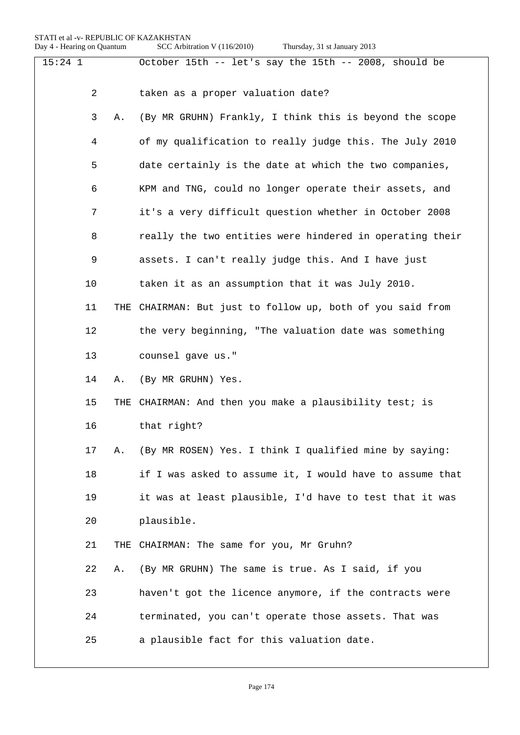| Thursday, 31 st January 2013 |  |  |
|------------------------------|--|--|
|                              |  |  |

| $15:24$ 1 |    |    | October 15th -- let's say the 15th -- 2008, should be      |
|-----------|----|----|------------------------------------------------------------|
|           | 2  |    | taken as a proper valuation date?                          |
|           | 3  | Α. | (By MR GRUHN) Frankly, I think this is beyond the scope    |
|           | 4  |    | of my qualification to really judge this. The July 2010    |
|           | 5  |    | date certainly is the date at which the two companies,     |
|           | 6  |    | KPM and TNG, could no longer operate their assets, and     |
|           | 7  |    | it's a very difficult question whether in October 2008     |
|           | 8  |    | really the two entities were hindered in operating their   |
|           | 9  |    | assets. I can't really judge this. And I have just         |
|           | 10 |    | taken it as an assumption that it was July 2010.           |
|           | 11 |    | THE CHAIRMAN: But just to follow up, both of you said from |
|           | 12 |    | the very beginning, "The valuation date was something      |
|           | 13 |    | counsel gave us."                                          |
|           | 14 | Α. | (By MR GRUHN) Yes.                                         |
|           | 15 |    | THE CHAIRMAN: And then you make a plausibility test; is    |
|           | 16 |    | that right?                                                |
|           | 17 | Α. | (By MR ROSEN) Yes. I think I qualified mine by saying:     |
|           | 18 |    | if I was asked to assume it, I would have to assume that   |
|           | 19 |    | it was at least plausible, I'd have to test that it was    |
|           | 20 |    | plausible.                                                 |
|           | 21 |    | THE CHAIRMAN: The same for you, Mr Gruhn?                  |
|           | 22 | Α. | (By MR GRUHN) The same is true. As I said, if you          |
|           | 23 |    | haven't got the licence anymore, if the contracts were     |
|           | 24 |    | terminated, you can't operate those assets. That was       |
|           | 25 |    | a plausible fact for this valuation date.                  |
|           |    |    |                                                            |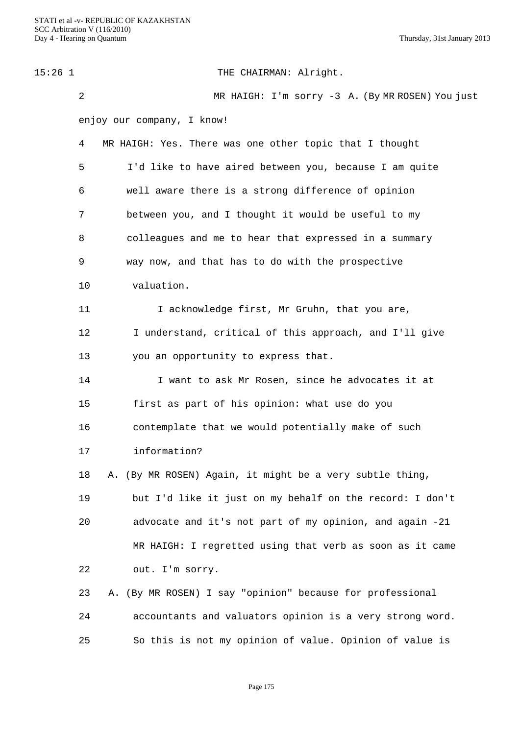| $15:26$ 1 |                | THE CHAIRMAN: Alright.                                    |
|-----------|----------------|-----------------------------------------------------------|
|           | $\overline{2}$ | MR HAIGH: I'm sorry -3 A. (By MR ROSEN) You just          |
|           |                | enjoy our company, I know!                                |
|           | 4              | MR HAIGH: Yes. There was one other topic that I thought   |
|           | 5              | I'd like to have aired between you, because I am quite    |
|           | 6              | well aware there is a strong difference of opinion        |
|           | 7              | between you, and I thought it would be useful to my       |
|           | 8              | colleagues and me to hear that expressed in a summary     |
|           | 9              | way now, and that has to do with the prospective          |
|           | 10             | valuation.                                                |
|           | 11             | I acknowledge first, Mr Gruhn, that you are,              |
|           | 12             | I understand, critical of this approach, and I'll give    |
|           | 13             | you an opportunity to express that.                       |
|           | 14             | I want to ask Mr Rosen, since he advocates it at          |
|           | 15             | first as part of his opinion: what use do you             |
|           | 16             | contemplate that we would potentially make of such        |
|           | 17             | information?                                              |
|           | 18             | A. (By MR ROSEN) Again, it might be a very subtle thing,  |
|           | 19             | but I'd like it just on my behalf on the record: I don't  |
|           | 20             | advocate and it's not part of my opinion, and again -21   |
|           |                | MR HAIGH: I regretted using that verb as soon as it came  |
|           | 22             | out. I'm sorry.                                           |
|           | 23             | A. (By MR ROSEN) I say "opinion" because for professional |
|           | 24             | accountants and valuators opinion is a very strong word.  |
|           | 25             | So this is not my opinion of value. Opinion of value is   |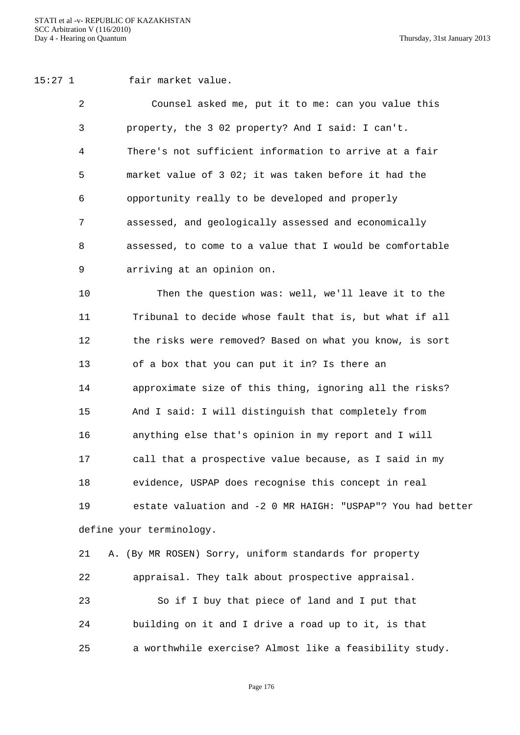15:27 1 fair market value.

 Counsel asked me, put it to me: can you value this property, the 3 02 property? And I said: I can't. There's not sufficient information to arrive at a fair market value of 3 02; it was taken before it had the opportunity really to be developed and properly assessed, and geologically assessed and economically assessed, to come to a value that I would be comfortable arriving at an opinion on.

 Then the question was: well, we'll leave it to the Tribunal to decide whose fault that is, but what if all the risks were removed? Based on what you know, is sort of a box that you can put it in? Is there an approximate size of this thing, ignoring all the risks? And I said: I will distinguish that completely from anything else that's opinion in my report and I will call that a prospective value because, as I said in my evidence, USPAP does recognise this concept in real estate valuation and -2 0 MR HAIGH: "USPAP"? You had better define your terminology.

 A. (By MR ROSEN) Sorry, uniform standards for property appraisal. They talk about prospective appraisal. So if I buy that piece of land and I put that building on it and I drive a road up to it, is that a worthwhile exercise? Almost like a feasibility study.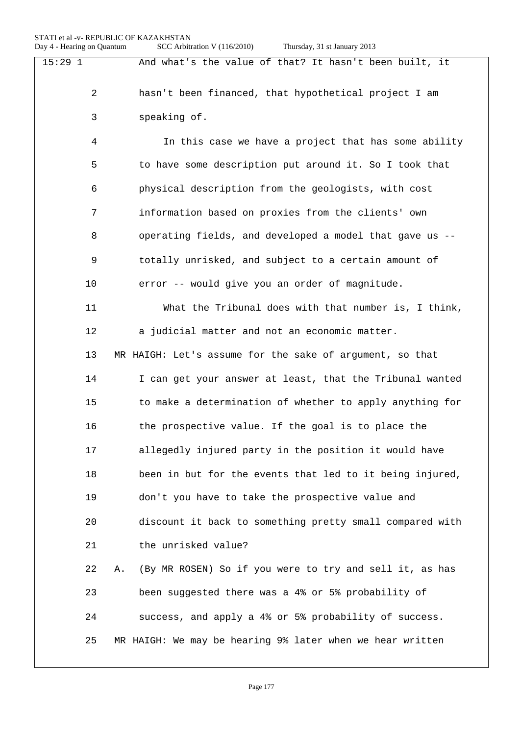Day 4 - Hearing on Quantum SCC Arbitration V (116/2010) Thursday, 31 st January 2013

15:29 1 And what's the value of that? It hasn't been built, it 2 hasn't been financed, that hypothetical project I am 3 speaking of. 4 In this case we have a project that has some ability 5 to have some description put around it. So I took that 6 physical description from the geologists, with cost 7 information based on proxies from the clients' own 8 operating fields, and developed a model that gave us -- 9 totally unrisked, and subject to a certain amount of 10 error -- would give you an order of magnitude. 11 What the Tribunal does with that number is, I think, 12 a judicial matter and not an economic matter. 13 MR HAIGH: Let's assume for the sake of argument, so that 14 I can get your answer at least, that the Tribunal wanted 15 to make a determination of whether to apply anything for 16 the prospective value. If the goal is to place the 17 allegedly injured party in the position it would have 18 been in but for the events that led to it being injured, 19 don't you have to take the prospective value and 20 discount it back to something pretty small compared with 21 the unrisked value? 22 A. (By MR ROSEN) So if you were to try and sell it, as has 23 been suggested there was a 4% or 5% probability of 24 success, and apply a 4% or 5% probability of success. 25 MR HAIGH: We may be hearing 9% later when we hear written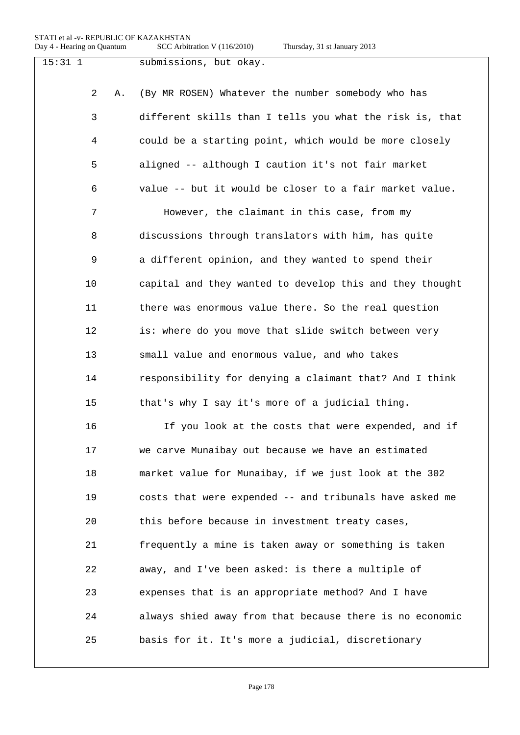| Thursday, 31 st January 2013 |  |  |  |  |
|------------------------------|--|--|--|--|
|------------------------------|--|--|--|--|

| $15:31$ 1 | submissions, but okay.                                   |
|-----------|----------------------------------------------------------|
| 2<br>Α.   | (By MR ROSEN) Whatever the number somebody who has       |
| 3         | different skills than I tells you what the risk is, that |
| 4         | could be a starting point, which would be more closely   |
| 5         | aligned -- although I caution it's not fair market       |
| 6         | value -- but it would be closer to a fair market value.  |
| 7         | However, the claimant in this case, from my              |
| 8         | discussions through translators with him, has quite      |
| 9         | a different opinion, and they wanted to spend their      |
| 10        | capital and they wanted to develop this and they thought |
| 11        | there was enormous value there. So the real question     |
| 12        | is: where do you move that slide switch between very     |
| 13        | small value and enormous value, and who takes            |
| 14        | responsibility for denying a claimant that? And I think  |
| 15        | that's why I say it's more of a judicial thing.          |
| 16        | If you look at the costs that were expended, and if      |
| 17        | we carve Munaibay out because we have an estimated       |
| 18        | market value for Munaibay, if we just look at the 302    |
| 19        | costs that were expended -- and tribunals have asked me  |
| 20        | this before because in investment treaty cases,          |
| 21        | frequently a mine is taken away or something is taken    |
| 22        | away, and I've been asked: is there a multiple of        |
| 23        | expenses that is an appropriate method? And I have       |
| 24        | always shied away from that because there is no economic |
| 25        | basis for it. It's more a judicial, discretionary        |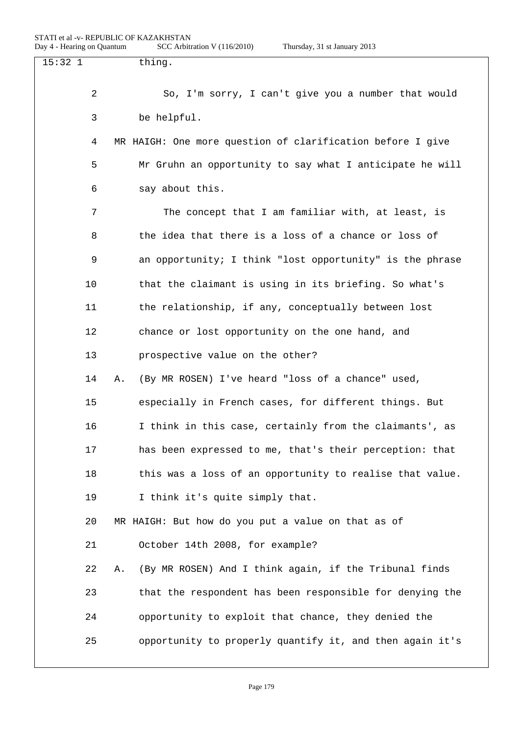| $15:32$ 1 | thing.                                                       |
|-----------|--------------------------------------------------------------|
| 2         | So, I'm sorry, I can't give you a number that would          |
| 3         | be helpful.                                                  |
| 4         | MR HAIGH: One more question of clarification before I give   |
| 5         | Mr Gruhn an opportunity to say what I anticipate he will     |
| 6         | say about this.                                              |
| 7         | The concept that I am familiar with, at least, is            |
| 8         | the idea that there is a loss of a chance or loss of         |
| 9         | an opportunity; I think "lost opportunity" is the phrase     |
| 10        | that the claimant is using in its briefing. So what's        |
| 11        | the relationship, if any, conceptually between lost          |
| 12        | chance or lost opportunity on the one hand, and              |
| 13        | prospective value on the other?                              |
| 14        | (By MR ROSEN) I've heard "loss of a chance" used,<br>Α.      |
| 15        | especially in French cases, for different things. But        |
| 16        | I think in this case, certainly from the claimants', as      |
| 17        | has been expressed to me, that's their perception: that      |
| 18        | this was a loss of an opportunity to realise that value.     |
| 19        | I think it's quite simply that.                              |
| 20        | MR HAIGH: But how do you put a value on that as of           |
| 21        | October 14th 2008, for example?                              |
| 22        | (By MR ROSEN) And I think again, if the Tribunal finds<br>Α. |
| 23        | that the respondent has been responsible for denying the     |
| 24        | opportunity to exploit that chance, they denied the          |
| 25        | opportunity to properly quantify it, and then again it's     |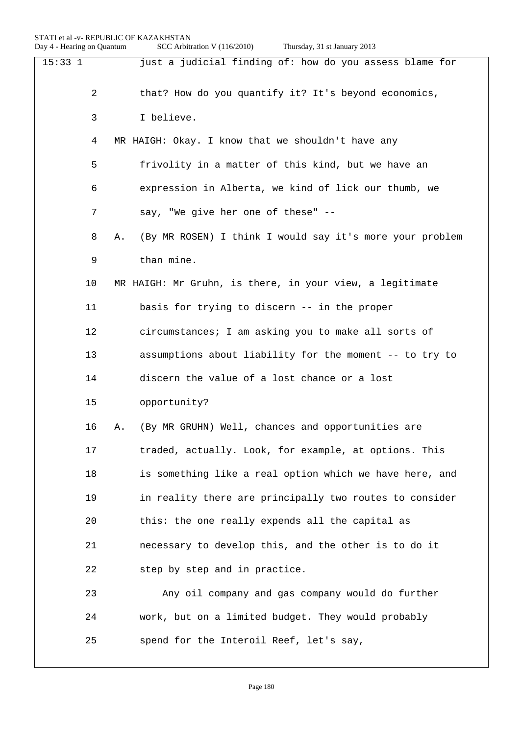| 15:331 | just a judicial finding of: how do you assess blame for        |
|--------|----------------------------------------------------------------|
| 2      | that? How do you quantify it? It's beyond economics,           |
| 3      | I believe.                                                     |
| 4      | MR HAIGH: Okay. I know that we shouldn't have any              |
| 5      | frivolity in a matter of this kind, but we have an             |
| 6      | expression in Alberta, we kind of lick our thumb, we           |
| 7      | say, "We give her one of these" --                             |
| 8      | (By MR ROSEN) I think I would say it's more your problem<br>Α. |
| 9      | than mine.                                                     |
| 10     | MR HAIGH: Mr Gruhn, is there, in your view, a legitimate       |
| 11     | basis for trying to discern -- in the proper                   |
| 12     | circumstances; I am asking you to make all sorts of            |
| 13     | assumptions about liability for the moment -- to try to        |
| 14     | discern the value of a lost chance or a lost                   |
| 15     | opportunity?                                                   |
| 16     | (By MR GRUHN) Well, chances and opportunities are<br>Α.        |
| 17     | traded, actually. Look, for example, at options. This          |
| 18     | is something like a real option which we have here, and        |
| 19     | in reality there are principally two routes to consider        |
| 20     | this: the one really expends all the capital as                |
| 21     | necessary to develop this, and the other is to do it           |
| 22     | step by step and in practice.                                  |
| 23     | Any oil company and gas company would do further               |
| 24     | work, but on a limited budget. They would probably             |
| 25     | spend for the Interoil Reef, let's say,                        |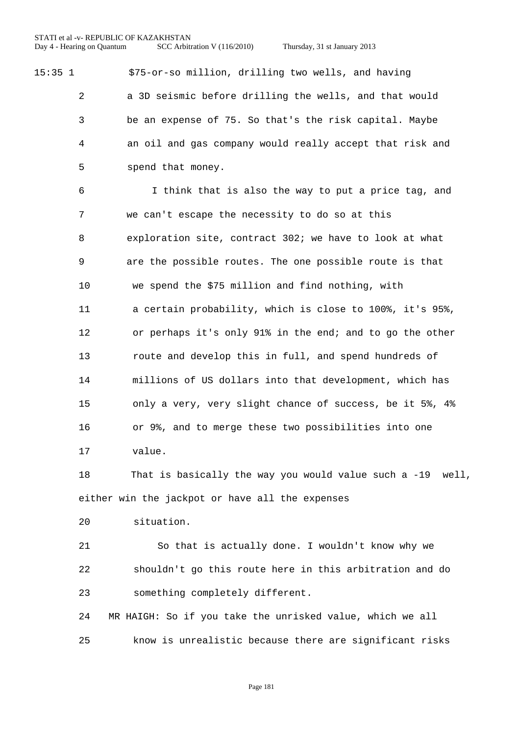15:35 1 \$75-or-so million, drilling two wells, and having a 3D seismic before drilling the wells, and that would be an expense of 75. So that's the risk capital. Maybe an oil and gas company would really accept that risk and spend that money.

> I think that is also the way to put a price tag, and we can't escape the necessity to do so at this exploration site, contract 302; we have to look at what are the possible routes. The one possible route is that we spend the \$75 million and find nothing, with a certain probability, which is close to 100%, it's 95%, or perhaps it's only 91% in the end; and to go the other route and develop this in full, and spend hundreds of millions of US dollars into that development, which has only a very, very slight chance of success, be it 5%, 4% or 9%, and to merge these two possibilities into one value.

 That is basically the way you would value such a -19 well, either win the jackpot or have all the expenses

situation.

 So that is actually done. I wouldn't know why we shouldn't go this route here in this arbitration and do something completely different.

 MR HAIGH: So if you take the unrisked value, which we all know is unrealistic because there are significant risks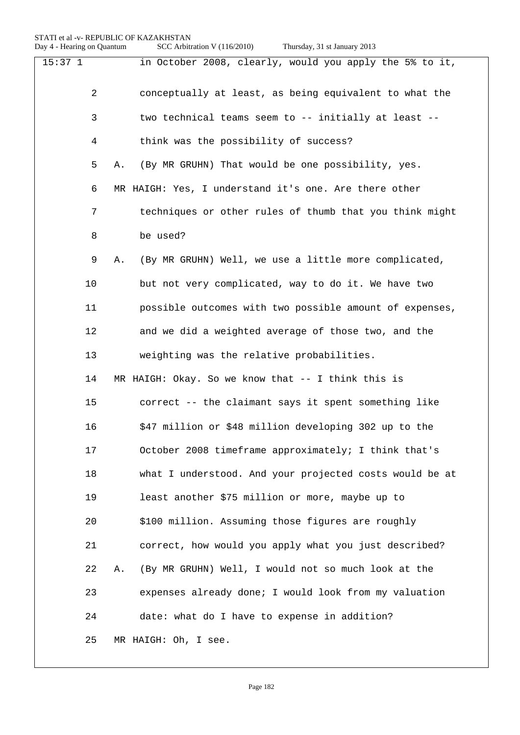| $15:37$ 1      |    | in October 2008, clearly, would you apply the 5% to it, |
|----------------|----|---------------------------------------------------------|
| $\overline{2}$ |    | conceptually at least, as being equivalent to what the  |
| 3              |    | two technical teams seem to -- initially at least --    |
| 4              |    | think was the possibility of success?                   |
| 5              | Α. | (By MR GRUHN) That would be one possibility, yes.       |
| 6              |    | MR HAIGH: Yes, I understand it's one. Are there other   |
| 7              |    | techniques or other rules of thumb that you think might |
| 8              |    | be used?                                                |
| 9              | Α. | (By MR GRUHN) Well, we use a little more complicated,   |
| 10             |    | but not very complicated, way to do it. We have two     |
| 11             |    | possible outcomes with two possible amount of expenses, |
| 12             |    | and we did a weighted average of those two, and the     |
| 13             |    | weighting was the relative probabilities.               |
| 14             |    | MR HAIGH: Okay. So we know that -- I think this is      |
| 15             |    | correct -- the claimant says it spent something like    |
| 16             |    | \$47 million or \$48 million developing 302 up to the   |
| 17             |    | October 2008 timeframe approximately; I think that's    |
| 18             |    | what I understood. And your projected costs would be at |
| 19             |    | least another \$75 million or more, maybe up to         |
| 20             |    | \$100 million. Assuming those figures are roughly       |
| 21             |    | correct, how would you apply what you just described?   |
| 22             | Α. | (By MR GRUHN) Well, I would not so much look at the     |
| 23             |    | expenses already done; I would look from my valuation   |
| 24             |    | date: what do I have to expense in addition?            |
| 25             |    | MR HAIGH: Oh, I see.                                    |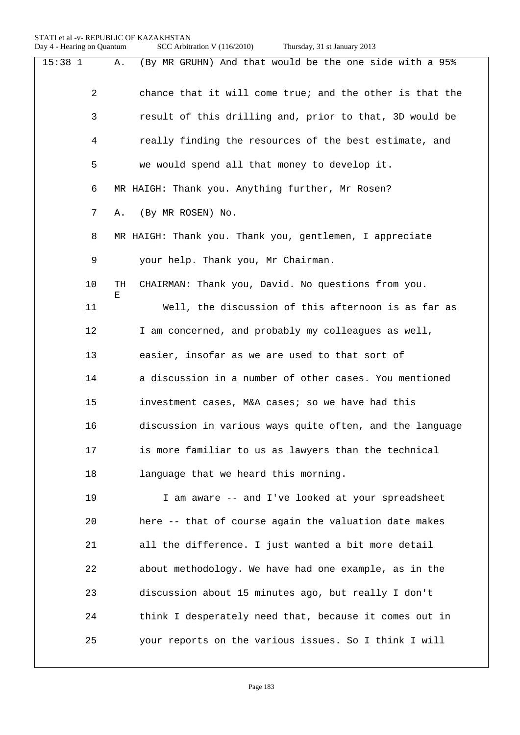| $15:38$ 1 |                | (By MR GRUHN) And that would be the one side with a 95%<br>Α. |
|-----------|----------------|---------------------------------------------------------------|
|           | $\overline{2}$ | chance that it will come true; and the other is that the      |
|           | 3              | result of this drilling and, prior to that, 3D would be       |
|           | 4              | really finding the resources of the best estimate, and        |
|           | 5              | we would spend all that money to develop it.                  |
|           | 6              | MR HAIGH: Thank you. Anything further, Mr Rosen?              |
|           | 7              | (By MR ROSEN) No.<br>Α.                                       |
|           | 8              | MR HAIGH: Thank you. Thank you, gentlemen, I appreciate       |
|           | 9              | your help. Thank you, Mr Chairman.                            |
|           | 10             | TH<br>CHAIRMAN: Thank you, David. No questions from you.<br>Ε |
|           | 11             | Well, the discussion of this afternoon is as far as           |
|           | 12             | I am concerned, and probably my colleagues as well,           |
|           | 13             | easier, insofar as we are used to that sort of                |
|           | 14             | a discussion in a number of other cases. You mentioned        |
|           | 15             | investment cases, M&A cases; so we have had this              |
|           | 16             | discussion in various ways quite often, and the language      |
|           | 17             | is more familiar to us as lawyers than the technical          |
|           | 18             | language that we heard this morning.                          |
|           | 19             | I am aware -- and I've looked at your spreadsheet             |
|           | 20             | here -- that of course again the valuation date makes         |
|           | 21             | all the difference. I just wanted a bit more detail           |
|           | 22             | about methodology. We have had one example, as in the         |
|           | 23             | discussion about 15 minutes ago, but really I don't           |
|           | 24             | think I desperately need that, because it comes out in        |
|           | 25             | your reports on the various issues. So I think I will         |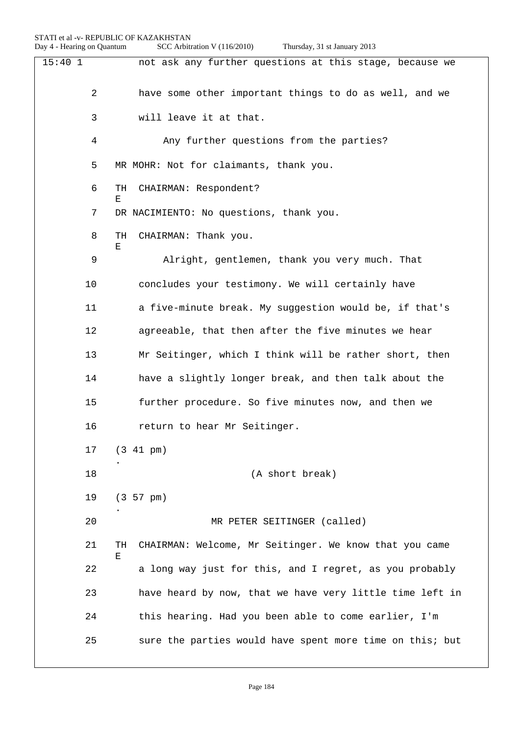| 15:401         | not ask any further questions at this stage, because we           |
|----------------|-------------------------------------------------------------------|
|                |                                                                   |
| $\overline{a}$ | have some other important things to do as well, and we            |
| 3              | will leave it at that.                                            |
| 4              | Any further questions from the parties?                           |
| 5              | MR MOHR: Not for claimants, thank you.                            |
| 6              | TH<br>CHAIRMAN: Respondent?<br>Ε                                  |
| 7              | DR NACIMIENTO: No questions, thank you.                           |
| 8              | TH<br>CHAIRMAN: Thank you.<br>Ε                                   |
| 9              | Alright, gentlemen, thank you very much. That                     |
| 10             | concludes your testimony. We will certainly have                  |
| 11             | a five-minute break. My suggestion would be, if that's            |
| 12             | agreeable, that then after the five minutes we hear               |
| 13             | Mr Seitinger, which I think will be rather short, then            |
| 14             | have a slightly longer break, and then talk about the             |
| 15             | further procedure. So five minutes now, and then we               |
| 16             | return to hear Mr Seitinger.                                      |
| 17             | (3 41 pm)                                                         |
| 18             | (A short break)                                                   |
| 19             | (3 57 pm)                                                         |
| 20             | MR PETER SEITINGER (called)                                       |
| 21             | CHAIRMAN: Welcome, Mr Seitinger. We know that you came<br>TН<br>Е |
| 22             | a long way just for this, and I regret, as you probably           |
| 23             | have heard by now, that we have very little time left in          |
| 24             | this hearing. Had you been able to come earlier, I'm              |
| 25             | sure the parties would have spent more time on this; but          |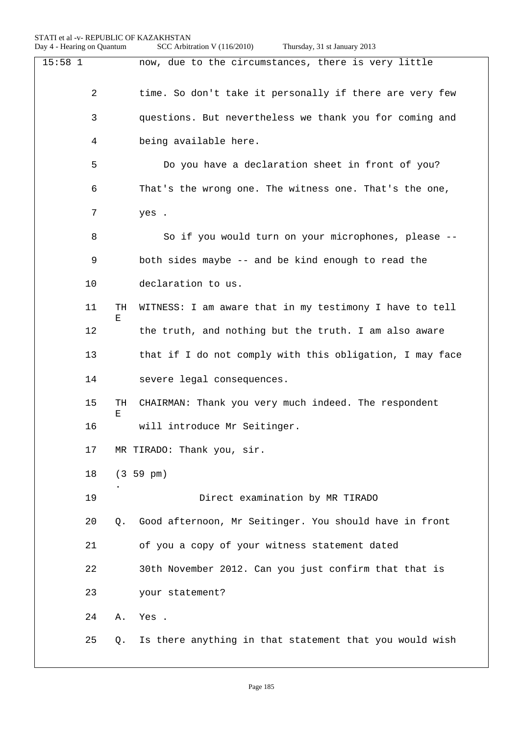| Day 4 - Hearing on Quantum |         | Thursday, 31 st January 2013<br>SCC Arbitration V (116/2010) |
|----------------------------|---------|--------------------------------------------------------------|
| $15:58$ 1                  |         | now, due to the circumstances, there is very little          |
| 2                          |         | time. So don't take it personally if there are very few      |
| 3                          |         | questions. But nevertheless we thank you for coming and      |
| 4                          |         | being available here.                                        |
| 5                          |         | Do you have a declaration sheet in front of you?             |
| 6                          |         | That's the wrong one. The witness one. That's the one,       |
| 7                          |         | yes.                                                         |
| 8                          |         | So if you would turn on your microphones, please --          |
| 9                          |         | both sides maybe -- and be kind enough to read the           |
| 10                         |         | declaration to us.                                           |
| 11                         | TH<br>Ε | WITNESS: I am aware that in my testimony I have to tell      |
| 12                         |         | the truth, and nothing but the truth. I am also aware        |
| 13                         |         | that if I do not comply with this obligation, I may face     |
| 14                         |         | severe legal consequences.                                   |
| 15                         | TH<br>Ε | CHAIRMAN: Thank you very much indeed. The respondent         |
| 16                         |         | will introduce Mr Seitinger.                                 |
| 17                         |         | MR TIRADO: Thank you, sir.                                   |
| 18                         |         | (3 59 pm)                                                    |
| 19                         |         | Direct examination by MR TIRADO                              |
| 20                         | Q.      | Good afternoon, Mr Seitinger. You should have in front       |
| 21                         |         | of you a copy of your witness statement dated                |
| 22                         |         | 30th November 2012. Can you just confirm that that is        |
| 23                         |         | your statement?                                              |
| 24                         | Α.      | Yes .                                                        |
| 25                         | Q.      | Is there anything in that statement that you would wish      |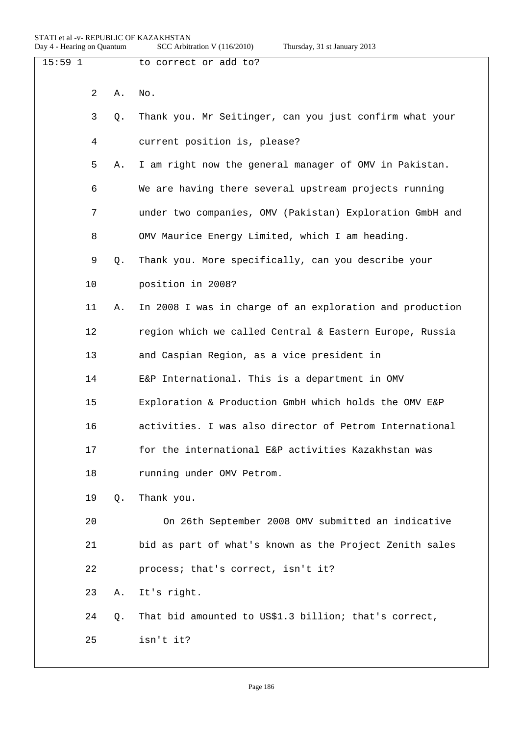| $15:59$ 1 |    |    | to correct or add to?                                    |
|-----------|----|----|----------------------------------------------------------|
|           | 2  | Α. | No.                                                      |
|           | 3  | Q. | Thank you. Mr Seitinger, can you just confirm what your  |
|           | 4  |    | current position is, please?                             |
|           | 5  | Α. | I am right now the general manager of OMV in Pakistan.   |
|           | 6  |    | We are having there several upstream projects running    |
|           | 7  |    | under two companies, OMV (Pakistan) Exploration GmbH and |
|           | 8  |    | OMV Maurice Energy Limited, which I am heading.          |
|           | 9  | О. | Thank you. More specifically, can you describe your      |
|           | 10 |    | position in 2008?                                        |
|           | 11 | Α. | In 2008 I was in charge of an exploration and production |
|           | 12 |    | region which we called Central & Eastern Europe, Russia  |
|           | 13 |    | and Caspian Region, as a vice president in               |
|           | 14 |    | E&P International. This is a department in OMV           |
|           | 15 |    | Exploration & Production GmbH which holds the OMV E&P    |
|           | 16 |    | activities. I was also director of Petrom International  |
|           | 17 |    | for the international E&P activities Kazakhstan was      |
|           | 18 |    | running under OMV Petrom.                                |
|           | 19 | Q. | Thank you.                                               |
|           | 20 |    | On 26th September 2008 OMV submitted an indicative       |
|           | 21 |    | bid as part of what's known as the Project Zenith sales  |
|           | 22 |    | process; that's correct, isn't it?                       |
|           | 23 | Α. | It's right.                                              |
|           | 24 | Q. | That bid amounted to US\$1.3 billion; that's correct,    |
|           | 25 |    | isn't it?                                                |
|           |    |    |                                                          |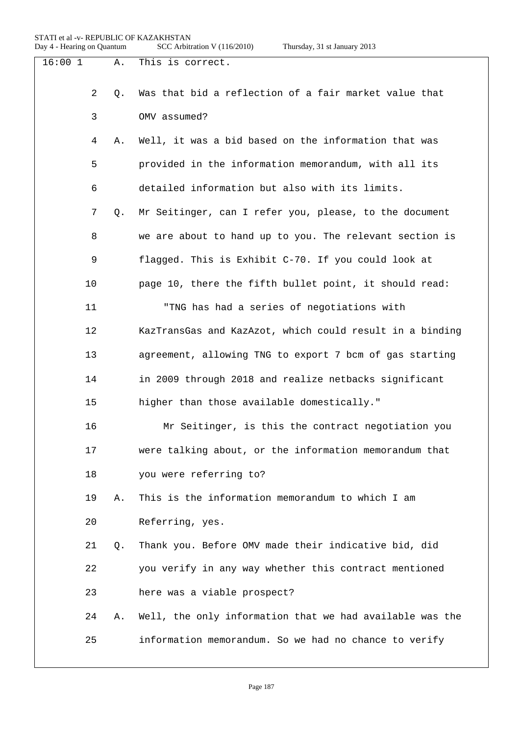| Thursday, 31 st January 2013 |  |  |  |
|------------------------------|--|--|--|
|------------------------------|--|--|--|

| 16:001 |                | Α. | This is correct.                                         |
|--------|----------------|----|----------------------------------------------------------|
|        | $\overline{2}$ | О. | Was that bid a reflection of a fair market value that    |
|        | 3              |    | OMV assumed?                                             |
|        | 4              | Α. | Well, it was a bid based on the information that was     |
|        | 5              |    | provided in the information memorandum, with all its     |
|        | 6              |    | detailed information but also with its limits.           |
|        | 7              | Q. | Mr Seitinger, can I refer you, please, to the document   |
|        | 8              |    | we are about to hand up to you. The relevant section is  |
|        | 9              |    | flagged. This is Exhibit C-70. If you could look at      |
|        | 10             |    | page 10, there the fifth bullet point, it should read:   |
|        | 11             |    | "TNG has had a series of negotiations with               |
|        | 12             |    | KazTransGas and KazAzot, which could result in a binding |
|        | 13             |    | agreement, allowing TNG to export 7 bcm of gas starting  |
|        | 14             |    | in 2009 through 2018 and realize netbacks significant    |
|        | 15             |    | higher than those available domestically."               |
|        | 16             |    | Mr Seitinger, is this the contract negotiation you       |
|        | 17             |    | were talking about, or the information memorandum that   |
|        | 18             |    | you were referring to?                                   |
|        | 19             | Α. | This is the information memorandum to which I am         |
|        | 20             |    | Referring, yes.                                          |
|        | 21             | Q. | Thank you. Before OMV made their indicative bid, did     |
|        | 22             |    | you verify in any way whether this contract mentioned    |
|        | 23             |    | here was a viable prospect?                              |
|        | 24             | Α. | Well, the only information that we had available was the |
|        | 25             |    | information memorandum. So we had no chance to verify    |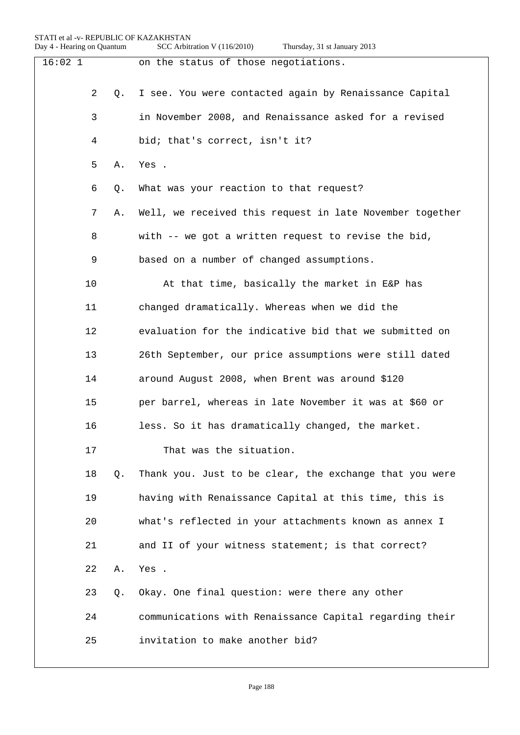| 16:021 |                |    | on the status of those negotiations.                     |
|--------|----------------|----|----------------------------------------------------------|
|        | $\overline{2}$ | Q. | I see. You were contacted again by Renaissance Capital   |
|        | 3              |    | in November 2008, and Renaissance asked for a revised    |
|        | 4              |    | bid; that's correct, isn't it?                           |
|        | 5              | Α. | Yes.                                                     |
|        |                |    |                                                          |
|        | 6              | Q. | What was your reaction to that request?                  |
|        | 7              | Α. | Well, we received this request in late November together |
|        | 8              |    | with -- we got a written request to revise the bid,      |
|        | 9              |    | based on a number of changed assumptions.                |
|        | 10             |    | At that time, basically the market in E&P has            |
|        | 11             |    | changed dramatically. Whereas when we did the            |
|        | 12             |    | evaluation for the indicative bid that we submitted on   |
|        | 13             |    | 26th September, our price assumptions were still dated   |
|        | 14             |    | around August 2008, when Brent was around \$120          |
|        | 15             |    | per barrel, whereas in late November it was at \$60 or   |
|        | 16             |    | less. So it has dramatically changed, the market.        |
|        | 17             |    | That was the situation.                                  |
|        | 18             | Q. | Thank you. Just to be clear, the exchange that you were  |
|        | 19             |    | having with Renaissance Capital at this time, this is    |
|        | 20             |    | what's reflected in your attachments known as annex I    |
|        | 21             |    | and II of your witness statement; is that correct?       |
|        | 22             | Α. | Yes.                                                     |
|        | 23             | Q. | Okay. One final question: were there any other           |
|        | 24             |    | communications with Renaissance Capital regarding their  |
|        | 25             |    | invitation to make another bid?                          |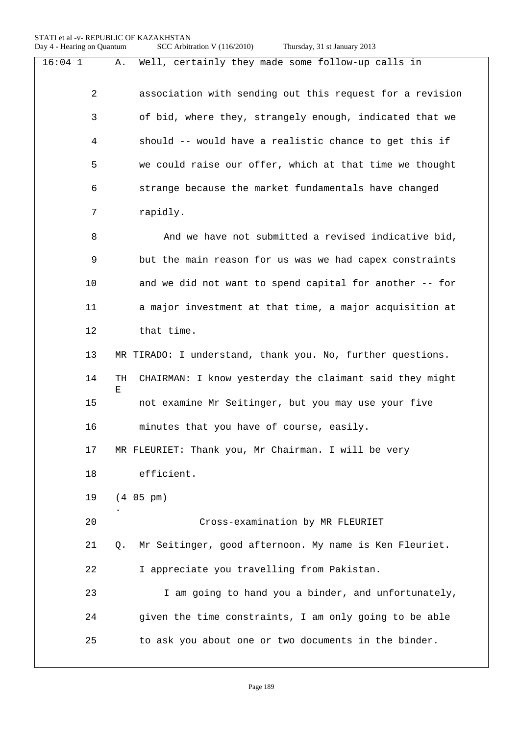| $16:04$ 1      | Well, certainly they made some follow-up calls in<br>Α.            |
|----------------|--------------------------------------------------------------------|
| $\overline{a}$ | association with sending out this request for a revision           |
| 3              | of bid, where they, strangely enough, indicated that we            |
| 4              | should -- would have a realistic chance to get this if             |
| 5              | we could raise our offer, which at that time we thought            |
| 6              | strange because the market fundamentals have changed               |
| 7              | rapidly.                                                           |
| 8              | And we have not submitted a revised indicative bid,                |
| 9              | but the main reason for us was we had capex constraints            |
| 10             | and we did not want to spend capital for another -- for            |
| 11             | a major investment at that time, a major acquisition at            |
| 12             | that time.                                                         |
| 13             | MR TIRADO: I understand, thank you. No, further questions.         |
| 14             | TH<br>CHAIRMAN: I know yesterday the claimant said they might<br>Ε |
| 15             | not examine Mr Seitinger, but you may use your five                |
| 16             | minutes that you have of course, easily.                           |
| 17             | MR FLEURIET: Thank you, Mr Chairman. I will be very                |
| 18             | efficient.                                                         |
| 19             | (4 05 pm)                                                          |
| 20             | Cross-examination by MR FLEURIET                                   |
| 21             | Mr Seitinger, good afternoon. My name is Ken Fleuriet.<br>Q.       |
| 22             | I appreciate you travelling from Pakistan.                         |
| 23             | I am going to hand you a binder, and unfortunately,                |
| 24             | given the time constraints, I am only going to be able             |
| 25             | to ask you about one or two documents in the binder.               |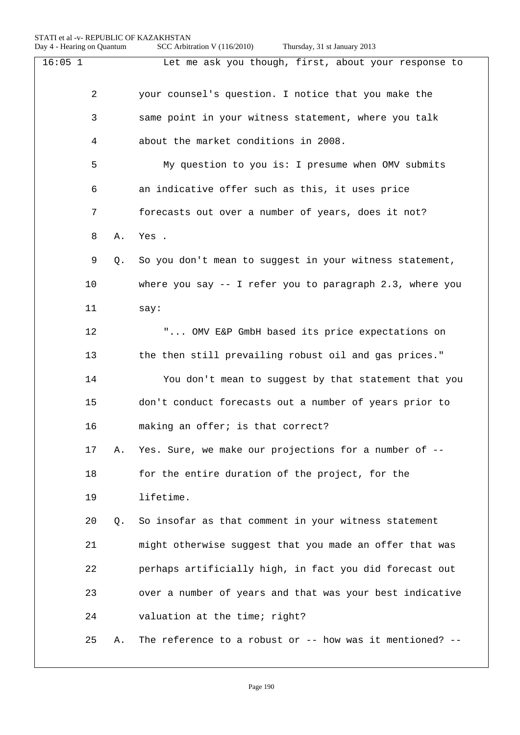| $16:05$ 1 |         |    | Let me ask you though, first, about your response to        |
|-----------|---------|----|-------------------------------------------------------------|
|           |         |    |                                                             |
|           | 2       |    | your counsel's question. I notice that you make the         |
|           | 3       |    | same point in your witness statement, where you talk        |
|           | 4       |    | about the market conditions in 2008.                        |
|           | 5       |    | My question to you is: I presume when OMV submits           |
|           | 6       |    | an indicative offer such as this, it uses price             |
|           | 7       |    | forecasts out over a number of years, does it not?          |
|           | 8       | Α. | Yes.                                                        |
|           | 9       | Q. | So you don't mean to suggest in your witness statement,     |
|           | $10 \,$ |    | where you say $-$ - I refer you to paragraph 2.3, where you |
|           | 11      |    | say:                                                        |
|           | 12      |    | " OMV E&P GmbH based its price expectations on              |
|           | 13      |    | the then still prevailing robust oil and gas prices."       |
|           | 14      |    | You don't mean to suggest by that statement that you        |
|           | 15      |    | don't conduct forecasts out a number of years prior to      |
|           | 16      |    | making an offer; is that correct?                           |
|           | 17      | Α. | Yes. Sure, we make our projections for a number of --       |
|           | 18      |    | for the entire duration of the project, for the             |
|           | 19      |    | lifetime.                                                   |
|           | 20      | Q. | So insofar as that comment in your witness statement        |
|           | 21      |    | might otherwise suggest that you made an offer that was     |
|           | 22      |    | perhaps artificially high, in fact you did forecast out     |
|           | 23      |    | over a number of years and that was your best indicative    |
|           | 24      |    | valuation at the time; right?                               |
|           | 25      | Α. | The reference to a robust or -- how was it mentioned? --    |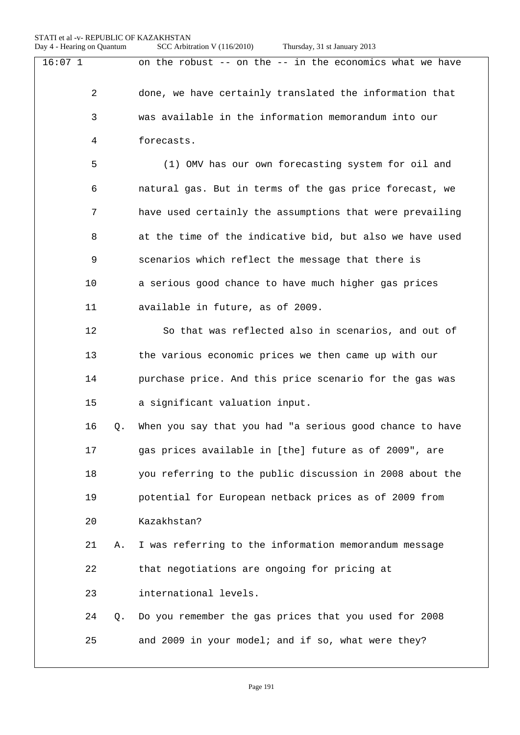Day 4 - Hearing on Quantum SCC Arbitration V (116/2010) Thursday, 31 st January 2013 16:07 1 on the robust -- on the -- in the economics what we have 2 done, we have certainly translated the information that 3 was available in the information memorandum into our 4 forecasts. 5 (1) OMV has our own forecasting system for oil and 6 natural gas. But in terms of the gas price forecast, we 7 have used certainly the assumptions that were prevailing 8 at the time of the indicative bid, but also we have used 9 scenarios which reflect the message that there is 10 a serious good chance to have much higher gas prices 11 available in future, as of 2009. 12 So that was reflected also in scenarios, and out of 13 the various economic prices we then came up with our 14 purchase price. And this price scenario for the gas was 15 a significant valuation input. 16 Q. When you say that you had "a serious good chance to have 17 gas prices available in [the] future as of 2009", are 18 you referring to the public discussion in 2008 about the 19 potential for European netback prices as of 2009 from 20 Kazakhstan? 21 A. I was referring to the information memorandum message 22 that negotiations are ongoing for pricing at 23 international levels. 24 Q. Do you remember the gas prices that you used for 2008

25 and 2009 in your model; and if so, what were they?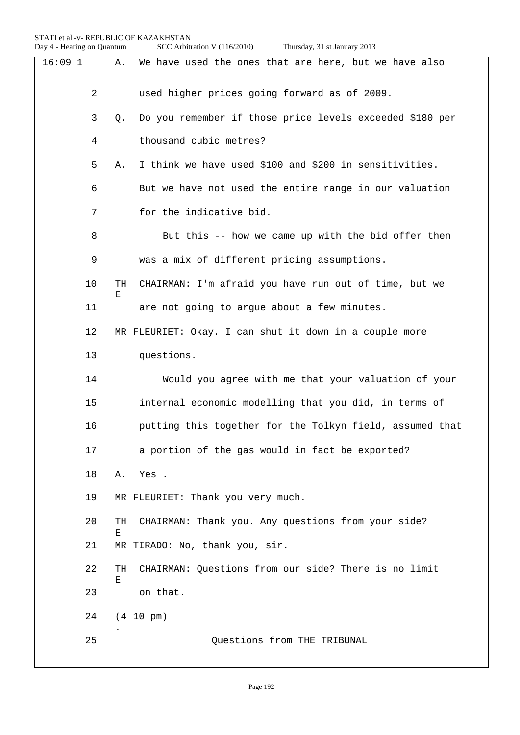|  |  | Thursday, 31 st January 2013 |  |
|--|--|------------------------------|--|
|--|--|------------------------------|--|

| $16:09$ 1 |    | Α.      | We have used the ones that are here, but we have also    |
|-----------|----|---------|----------------------------------------------------------|
|           | 2  |         | used higher prices going forward as of 2009.             |
|           | 3  | Q.      | Do you remember if those price levels exceeded \$180 per |
|           | 4  |         | thousand cubic metres?                                   |
|           | 5  | Α.      | I think we have used \$100 and \$200 in sensitivities.   |
|           | 6  |         | But we have not used the entire range in our valuation   |
|           | 7  |         | for the indicative bid.                                  |
|           | 8  |         | But this -- how we came up with the bid offer then       |
|           | 9  |         | was a mix of different pricing assumptions.              |
|           | 10 | TH<br>Е | CHAIRMAN: I'm afraid you have run out of time, but we    |
|           | 11 |         | are not going to argue about a few minutes.              |
|           | 12 |         | MR FLEURIET: Okay. I can shut it down in a couple more   |
|           | 13 |         | questions.                                               |
|           | 14 |         | Would you agree with me that your valuation of your      |
|           | 15 |         | internal economic modelling that you did, in terms of    |
|           | 16 |         | putting this together for the Tolkyn field, assumed that |
|           | 17 |         | a portion of the gas would in fact be exported?          |
|           | 18 | Α.      | Yes.                                                     |
|           | 19 |         | MR FLEURIET: Thank you very much.                        |
|           | 20 | TH<br>Е | CHAIRMAN: Thank you. Any questions from your side?       |
|           | 21 |         | MR TIRADO: No, thank you, sir.                           |
|           | 22 | TH<br>Е | CHAIRMAN: Questions from our side? There is no limit     |
|           | 23 |         | on that.                                                 |
|           | 24 |         | (4 10 pm)                                                |
|           | 25 |         | Questions from THE TRIBUNAL                              |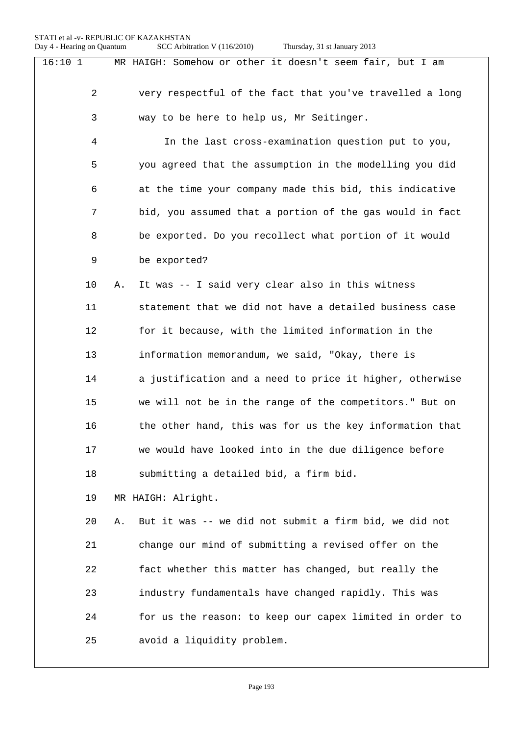| 16:101         | MR HAIGH: Somehow or other it doesn't seem fair, but I am    |
|----------------|--------------------------------------------------------------|
|                |                                                              |
| $\overline{a}$ | very respectful of the fact that you've travelled a long     |
| 3              | way to be here to help us, Mr Seitinger.                     |
| 4              | In the last cross-examination question put to you,           |
| 5              | you agreed that the assumption in the modelling you did      |
| 6              | at the time your company made this bid, this indicative      |
| 7              | bid, you assumed that a portion of the gas would in fact     |
| 8              | be exported. Do you recollect what portion of it would       |
| 9              | be exported?                                                 |
| 10             | It was -- I said very clear also in this witness<br>Α.       |
| 11             | statement that we did not have a detailed business case      |
| 12             | for it because, with the limited information in the          |
| 13             | information memorandum, we said, "Okay, there is             |
| 14             | a justification and a need to price it higher, otherwise     |
| 15             | we will not be in the range of the competitors." But on      |
| 16             | the other hand, this was for us the key information that     |
| 17             | we would have looked into in the due diligence before        |
| 18             | submitting a detailed bid, a firm bid.                       |
| 19             | MR HAIGH: Alright.                                           |
| 20             | But it was -- we did not submit a firm bid, we did not<br>Α. |
| 21             | change our mind of submitting a revised offer on the         |
| 22             | fact whether this matter has changed, but really the         |
| 23             | industry fundamentals have changed rapidly. This was         |
| 24             | for us the reason: to keep our capex limited in order to     |
| 25             | avoid a liquidity problem.                                   |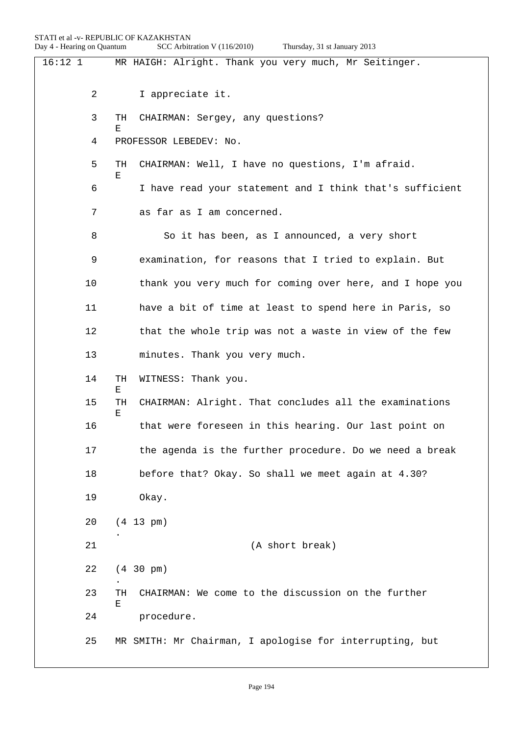| 16:12 <sub>1</sub> | MR HAIGH: Alright. Thank you very much, Mr Seitinger.             |
|--------------------|-------------------------------------------------------------------|
| $\overline{2}$     |                                                                   |
|                    | I appreciate it.                                                  |
| 3                  | TH<br>CHAIRMAN: Sergey, any questions?<br>Е                       |
| 4                  | PROFESSOR LEBEDEV: No.                                            |
| 5                  | CHAIRMAN: Well, I have no questions, I'm afraid.<br>TH<br>Е       |
| 6                  | I have read your statement and I think that's sufficient          |
| 7                  | as far as I am concerned.                                         |
| 8                  | So it has been, as I announced, a very short                      |
| 9                  | examination, for reasons that I tried to explain. But             |
| 10                 | thank you very much for coming over here, and I hope you          |
| 11                 | have a bit of time at least to spend here in Paris, so            |
| 12                 | that the whole trip was not a waste in view of the few            |
| 13                 | minutes. Thank you very much.                                     |
| 14                 | TH<br>WITNESS: Thank you.<br>Е                                    |
| 15                 | CHAIRMAN: Alright. That concludes all the examinations<br>TH<br>Е |
| 16                 | that were foreseen in this hearing. Our last point on             |
| $17$               | the agenda is the further procedure. Do we need a break           |
| 18                 | before that? Okay. So shall we meet again at 4.30?                |
| 19                 | Okay.                                                             |
| 20                 | $(4\ 13\ pm)$                                                     |
| 21                 | (A short break)                                                   |
| 22                 | $(4\;30\;pm)$                                                     |
| 23                 | CHAIRMAN: We come to the discussion on the further<br>TH<br>Ε     |
| 24                 | procedure.                                                        |
| 25                 | MR SMITH: Mr Chairman, I apologise for interrupting, but          |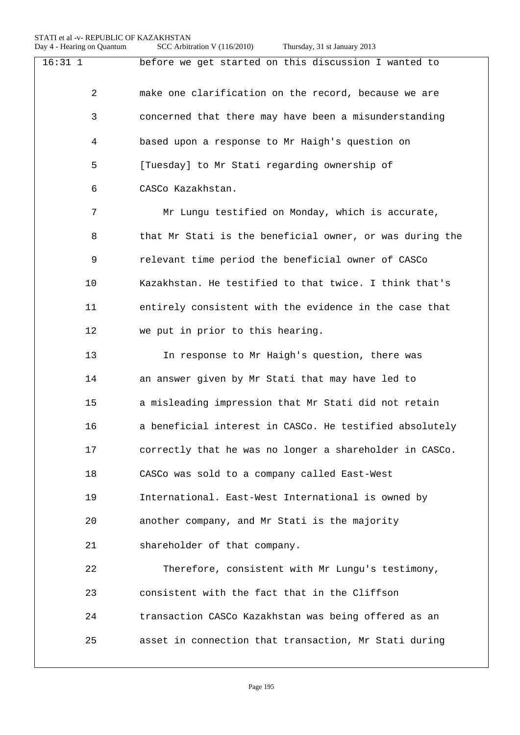| 16:311         | before we get started on this discussion I wanted to     |
|----------------|----------------------------------------------------------|
| $\overline{2}$ | make one clarification on the record, because we are     |
| 3              | concerned that there may have been a misunderstanding    |
| 4              | based upon a response to Mr Haigh's question on          |
| 5              | [Tuesday] to Mr Stati regarding ownership of             |
| 6              | CASCo Kazakhstan.                                        |
| 7              | Mr Lungu testified on Monday, which is accurate,         |
| 8              | that Mr Stati is the beneficial owner, or was during the |
| 9              | relevant time period the beneficial owner of CASCo       |
| 10             | Kazakhstan. He testified to that twice. I think that's   |
| 11             | entirely consistent with the evidence in the case that   |
| 12             | we put in prior to this hearing.                         |
| 13             | In response to Mr Haigh's question, there was            |
| 14             | an answer given by Mr Stati that may have led to         |
| 15             | a misleading impression that Mr Stati did not retain     |
| 16             | a beneficial interest in CASCo. He testified absolutely  |
| 17             | correctly that he was no longer a shareholder in CASCo.  |
| 18             | CASCo was sold to a company called East-West             |
| 19             | International. East-West International is owned by       |
| 20             | another company, and Mr Stati is the majority            |
| 21             | shareholder of that company.                             |
| 22             | Therefore, consistent with Mr Lungu's testimony,         |
| 23             | consistent with the fact that in the Cliffson            |
| 24             | transaction CASCo Kazakhstan was being offered as an     |
| 25             | asset in connection that transaction, Mr Stati during    |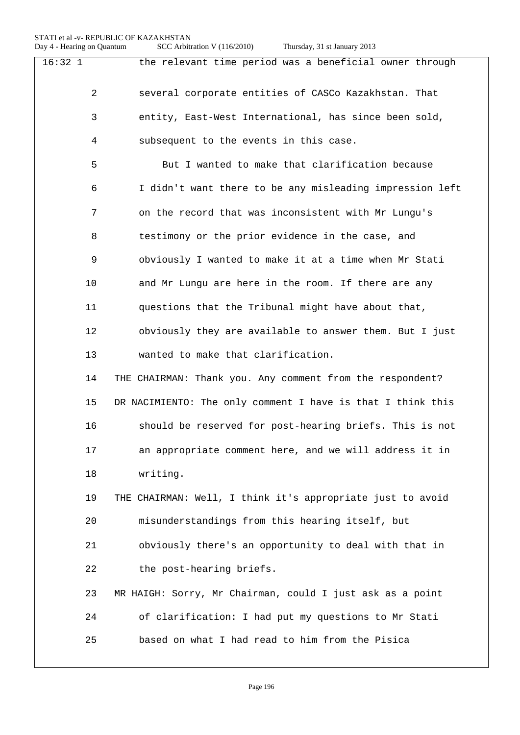| 16:321 | the relevant time period was a beneficial owner through     |
|--------|-------------------------------------------------------------|
| 2      | several corporate entities of CASCo Kazakhstan. That        |
| 3      | entity, East-West International, has since been sold,       |
| 4      | subsequent to the events in this case.                      |
| 5      | But I wanted to make that clarification because             |
| 6      | I didn't want there to be any misleading impression left    |
| 7      | on the record that was inconsistent with Mr Lungu's         |
| 8      | testimony or the prior evidence in the case, and            |
| 9      | obviously I wanted to make it at a time when Mr Stati       |
| 10     | and Mr Lungu are here in the room. If there are any         |
| 11     | questions that the Tribunal might have about that,          |
| 12     | obviously they are available to answer them. But I just     |
| 13     | wanted to make that clarification.                          |
| 14     | THE CHAIRMAN: Thank you. Any comment from the respondent?   |
| 15     | DR NACIMIENTO: The only comment I have is that I think this |
| 16     | should be reserved for post-hearing briefs. This is not     |
| 17     | an appropriate comment here, and we will address it in      |
| 18     | writing.                                                    |
| 19     | THE CHAIRMAN: Well, I think it's appropriate just to avoid  |
| 20     | misunderstandings from this hearing itself, but             |
| 21     | obviously there's an opportunity to deal with that in       |
| 22     | the post-hearing briefs.                                    |
| 23     | MR HAIGH: Sorry, Mr Chairman, could I just ask as a point   |
| 24     | of clarification: I had put my questions to Mr Stati        |
| 25     | based on what I had read to him from the Pisica             |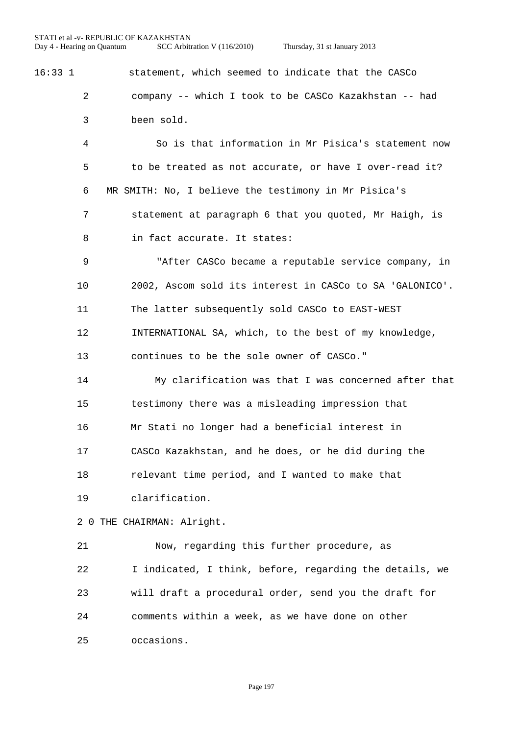Day 4 - Hearing on Quantum SCC Arbitration V (116/2010) Thursday, 31 st January 2013

16:33 1 statement, which seemed to indicate that the CASCo company -- which I took to be CASCo Kazakhstan -- had been sold.

> So is that information in Mr Pisica's statement now to be treated as not accurate, or have I over-read it? MR SMITH: No, I believe the testimony in Mr Pisica's statement at paragraph 6 that you quoted, Mr Haigh, is 8 in fact accurate. It states:

 "After CASCo became a reputable service company, in 2002, Ascom sold its interest in CASCo to SA 'GALONICO'. The latter subsequently sold CASCo to EAST-WEST INTERNATIONAL SA, which, to the best of my knowledge, continues to be the sole owner of CASCo."

 My clarification was that I was concerned after that testimony there was a misleading impression that Mr Stati no longer had a beneficial interest in CASCo Kazakhstan, and he does, or he did during the relevant time period, and I wanted to make that clarification.

2 0 THE CHAIRMAN: Alright.

 Now, regarding this further procedure, as I indicated, I think, before, regarding the details, we will draft a procedural order, send you the draft for comments within a week, as we have done on other occasions.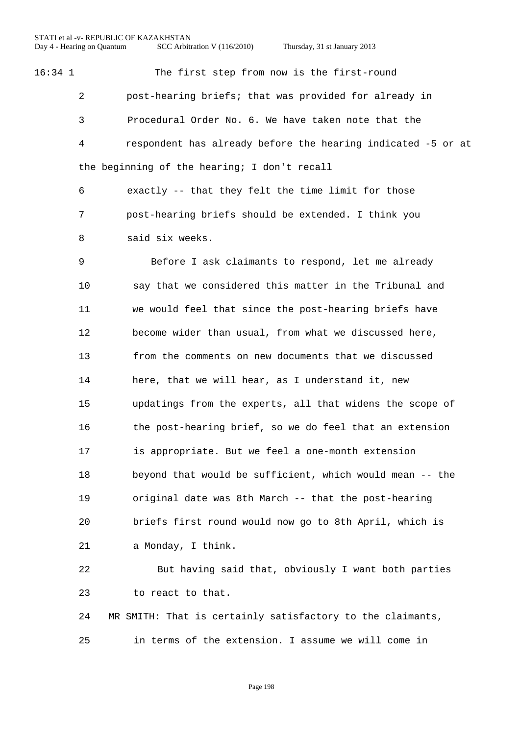16:34 1 The first step from now is the first-round post-hearing briefs; that was provided for already in Procedural Order No. 6. We have taken note that the respondent has already before the hearing indicated -5 or at the beginning of the hearing; I don't recall

 exactly -- that they felt the time limit for those post-hearing briefs should be extended. I think you said six weeks.

 Before I ask claimants to respond, let me already say that we considered this matter in the Tribunal and we would feel that since the post-hearing briefs have become wider than usual, from what we discussed here, from the comments on new documents that we discussed here, that we will hear, as I understand it, new updatings from the experts, all that widens the scope of the post-hearing brief, so we do feel that an extension is appropriate. But we feel a one-month extension beyond that would be sufficient, which would mean -- the original date was 8th March -- that the post-hearing briefs first round would now go to 8th April, which is a Monday, I think.

 But having said that, obviously I want both parties to react to that.

 MR SMITH: That is certainly satisfactory to the claimants, in terms of the extension. I assume we will come in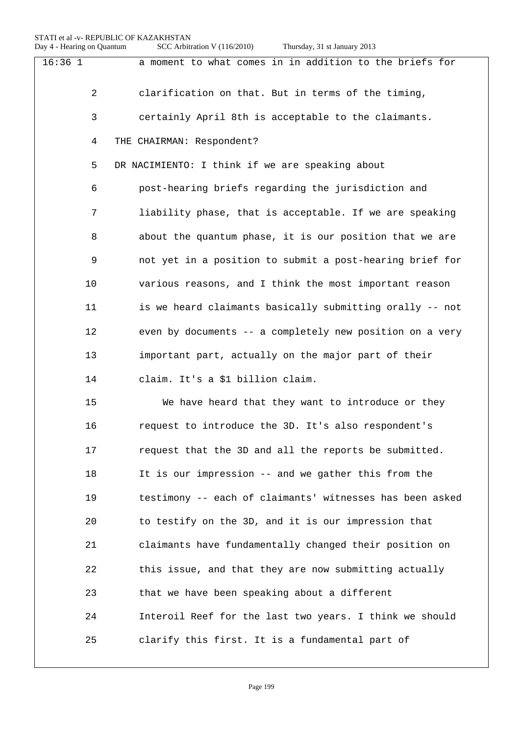| $16:36$ 1      | a moment to what comes in in addition to the briefs for  |
|----------------|----------------------------------------------------------|
| $\overline{2}$ | clarification on that. But in terms of the timing,       |
| 3              | certainly April 8th is acceptable to the claimants.      |
| 4              | THE CHAIRMAN: Respondent?                                |
| 5              | DR NACIMIENTO: I think if we are speaking about          |
| 6              | post-hearing briefs regarding the jurisdiction and       |
| 7              | liability phase, that is acceptable. If we are speaking  |
| 8              | about the quantum phase, it is our position that we are  |
| 9              | not yet in a position to submit a post-hearing brief for |
| 10             | various reasons, and I think the most important reason   |
| 11             | is we heard claimants basically submitting orally -- not |
| 12             | even by documents -- a completely new position on a very |
| 13             | important part, actually on the major part of their      |
| 14             | claim. It's a \$1 billion claim.                         |
| 15             | We have heard that they want to introduce or they        |
| 16             | request to introduce the 3D. It's also respondent's      |
| 17             | request that the 3D and all the reports be submitted.    |
| 18             | It is our impression -- and we gather this from the      |
| 19             | testimony -- each of claimants' witnesses has been asked |
| 20             | to testify on the 3D, and it is our impression that      |
| 21             | claimants have fundamentally changed their position on   |
| 22             | this issue, and that they are now submitting actually    |
| 23             | that we have been speaking about a different             |
| 24             | Interoil Reef for the last two years. I think we should  |
| 25             | clarify this first. It is a fundamental part of          |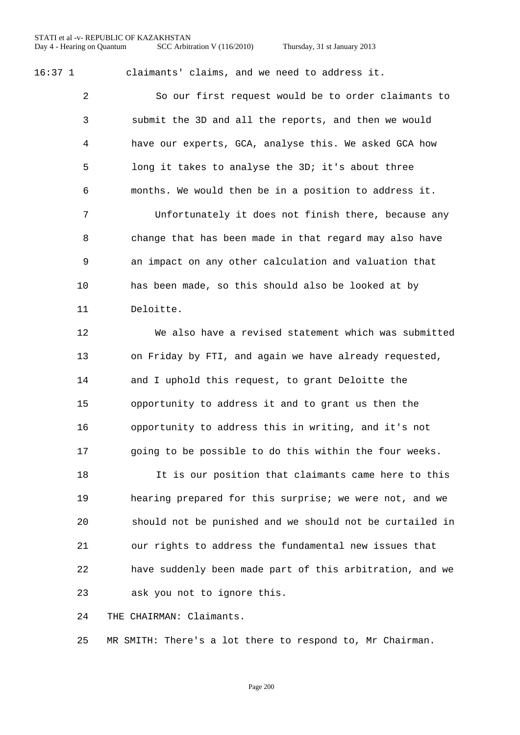16:37 1 claimants' claims, and we need to address it.

 So our first request would be to order claimants to submit the 3D and all the reports, and then we would have our experts, GCA, analyse this. We asked GCA how long it takes to analyse the 3D; it's about three months. We would then be in a position to address it.

 Unfortunately it does not finish there, because any change that has been made in that regard may also have an impact on any other calculation and valuation that has been made, so this should also be looked at by Deloitte.

 We also have a revised statement which was submitted on Friday by FTI, and again we have already requested, and I uphold this request, to grant Deloitte the opportunity to address it and to grant us then the opportunity to address this in writing, and it's not going to be possible to do this within the four weeks.

 It is our position that claimants came here to this hearing prepared for this surprise; we were not, and we should not be punished and we should not be curtailed in our rights to address the fundamental new issues that have suddenly been made part of this arbitration, and we ask you not to ignore this.

THE CHAIRMAN: Claimants.

MR SMITH: There's a lot there to respond to, Mr Chairman.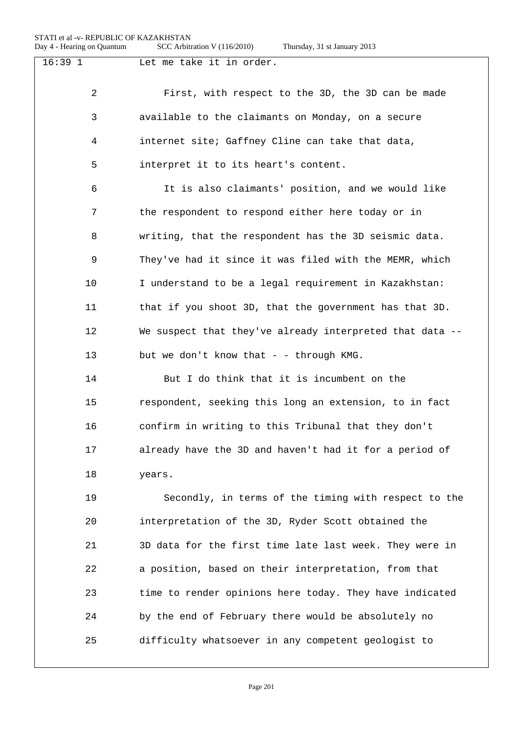| Thursday, 31 st January 2013 |  |  |
|------------------------------|--|--|
|                              |  |  |

| $16:39$ 1      | Let me take it in order.                                 |
|----------------|----------------------------------------------------------|
| $\overline{a}$ | First, with respect to the 3D, the 3D can be made        |
| 3              | available to the claimants on Monday, on a secure        |
| 4              | internet site; Gaffney Cline can take that data,         |
| 5              | interpret it to its heart's content.                     |
| 6              | It is also claimants' position, and we would like        |
| 7              | the respondent to respond either here today or in        |
| 8              | writing, that the respondent has the 3D seismic data.    |
| 9              | They've had it since it was filed with the MEMR, which   |
| 10             | I understand to be a legal requirement in Kazakhstan:    |
| 11             | that if you shoot 3D, that the government has that 3D.   |
| 12             | We suspect that they've already interpreted that data -- |
| 13             | but we don't know that - - through KMG.                  |
| 14             | But I do think that it is incumbent on the               |
| 15             | respondent, seeking this long an extension, to in fact   |
| 16             | confirm in writing to this Tribunal that they don't      |
| 17             | already have the 3D and haven't had it for a period of   |
| 18             | years.                                                   |
| 19             | Secondly, in terms of the timing with respect to the     |
| 20             | interpretation of the 3D, Ryder Scott obtained the       |
| 21             | 3D data for the first time late last week. They were in  |
| 22             | a position, based on their interpretation, from that     |
| 23             | time to render opinions here today. They have indicated  |
| 24             | by the end of February there would be absolutely no      |
| 25             | difficulty whatsoever in any competent geologist to      |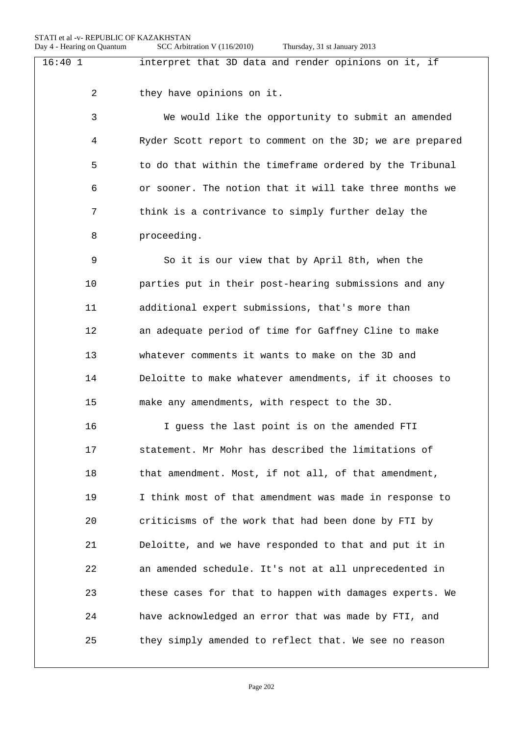| 16:401 | interpret that 3D data and render opinions on it, if     |
|--------|----------------------------------------------------------|
| 2      | they have opinions on it.                                |
| 3      | We would like the opportunity to submit an amended       |
|        |                                                          |
| 4      | Ryder Scott report to comment on the 3D; we are prepared |
| 5      | to do that within the timeframe ordered by the Tribunal  |
| 6      | or sooner. The notion that it will take three months we  |
| 7      | think is a contrivance to simply further delay the       |
| 8      | proceeding.                                              |
| 9      | So it is our view that by April 8th, when the            |
| 10     | parties put in their post-hearing submissions and any    |
| 11     | additional expert submissions, that's more than          |
| 12     | an adequate period of time for Gaffney Cline to make     |
| 13     | whatever comments it wants to make on the 3D and         |
| 14     | Deloitte to make whatever amendments, if it chooses to   |
| 15     | make any amendments, with respect to the 3D.             |
| 16     | I guess the last point is on the amended FTI             |
| 17     | statement. Mr Mohr has described the limitations of      |
| 18     | that amendment. Most, if not all, of that amendment,     |
| 19     | I think most of that amendment was made in response to   |
| 20     | criticisms of the work that had been done by FTI by      |
| 21     | Deloitte, and we have responded to that and put it in    |
| 22     | an amended schedule. It's not at all unprecedented in    |
| 23     | these cases for that to happen with damages experts. We  |
| 24     | have acknowledged an error that was made by FTI, and     |
| 25     | they simply amended to reflect that. We see no reason    |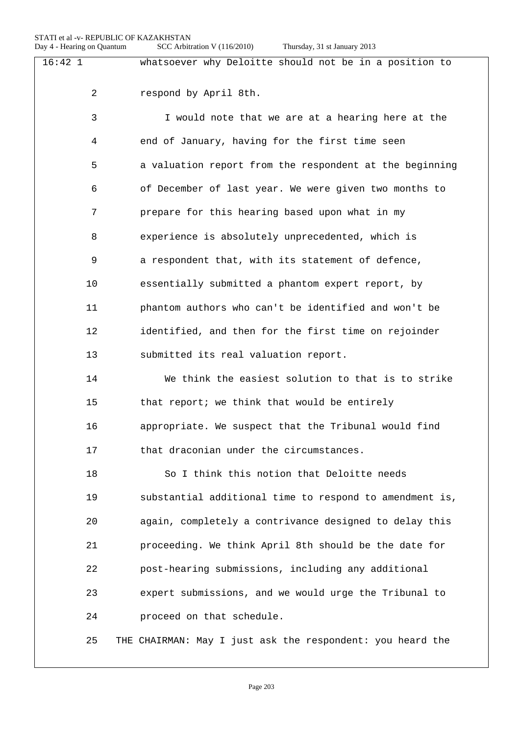| 16:421 | whatsoever why Deloitte should not be in a position to     |
|--------|------------------------------------------------------------|
| 2      | respond by April 8th.                                      |
| 3      | I would note that we are at a hearing here at the          |
| 4      | end of January, having for the first time seen             |
| 5      | a valuation report from the respondent at the beginning    |
| 6      | of December of last year. We were given two months to      |
| 7      | prepare for this hearing based upon what in my             |
| 8      | experience is absolutely unprecedented, which is           |
| 9      | a respondent that, with its statement of defence,          |
| 10     | essentially submitted a phantom expert report, by          |
| 11     | phantom authors who can't be identified and won't be       |
| 12     | identified, and then for the first time on rejoinder       |
| 13     | submitted its real valuation report.                       |
| 14     | We think the easiest solution to that is to strike         |
| 15     | that report; we think that would be entirely               |
| 16     | appropriate. We suspect that the Tribunal would find       |
| 17     | that draconian under the circumstances.                    |
| 18     | So I think this notion that Deloitte needs                 |
| 19     | substantial additional time to respond to amendment is,    |
| 20     | again, completely a contrivance designed to delay this     |
| 21     | proceeding. We think April 8th should be the date for      |
| 22     | post-hearing submissions, including any additional         |
| 23     | expert submissions, and we would urge the Tribunal to      |
| 24     | proceed on that schedule.                                  |
| 25     | THE CHAIRMAN: May I just ask the respondent: you heard the |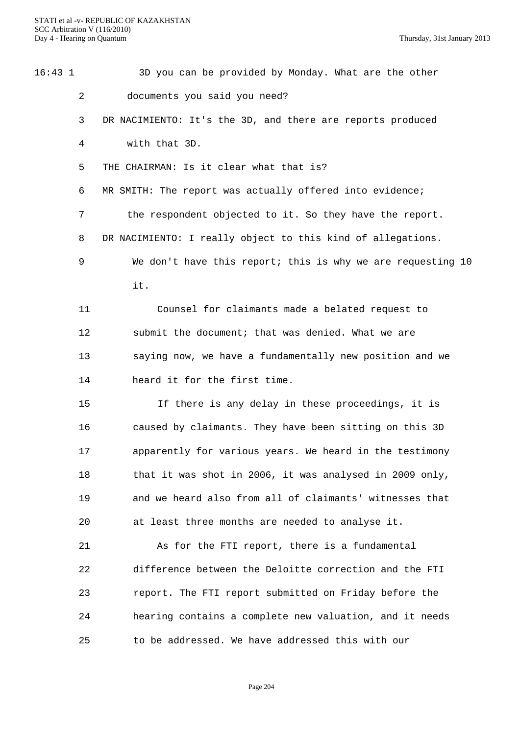|                | 3D you can be provided by Monday. What are the other        |
|----------------|-------------------------------------------------------------|
| $\overline{a}$ | documents you said you need?                                |
| 3              | DR NACIMIENTO: It's the 3D, and there are reports produced  |
| 4              | with that 3D.                                               |
| 5              | THE CHAIRMAN: Is it clear what that is?                     |
| 6              | MR SMITH: The report was actually offered into evidence;    |
| 7              | the respondent objected to it. So they have the report.     |
| 8              | DR NACIMIENTO: I really object to this kind of allegations. |
| 9              | We don't have this report; this is why we are requesting 10 |
|                | it.                                                         |
| 11             | Counsel for claimants made a belated request to             |
| 12             | submit the document; that was denied. What we are           |
| 13             | saying now, we have a fundamentally new position and we     |
| 14             | heard it for the first time.                                |
| 15             | If there is any delay in these proceedings, it is           |
| 16             | caused by claimants. They have been sitting on this 3D      |
| 17             | apparently for various years. We heard in the testimony     |
| 18             | that it was shot in 2006, it was analysed in 2009 only,     |
| 19             | and we heard also from all of claimants' witnesses that     |
| 20             | at least three months are needed to analyse it.             |
| 21             | As for the FTI report, there is a fundamental               |
| 22             | difference between the Deloitte correction and the FTI      |
| 23             | report. The FTI report submitted on Friday before the       |
| 24             | hearing contains a complete new valuation, and it needs     |
| 25             | to be addressed. We have addressed this with our            |
|                |                                                             |
|                |                                                             |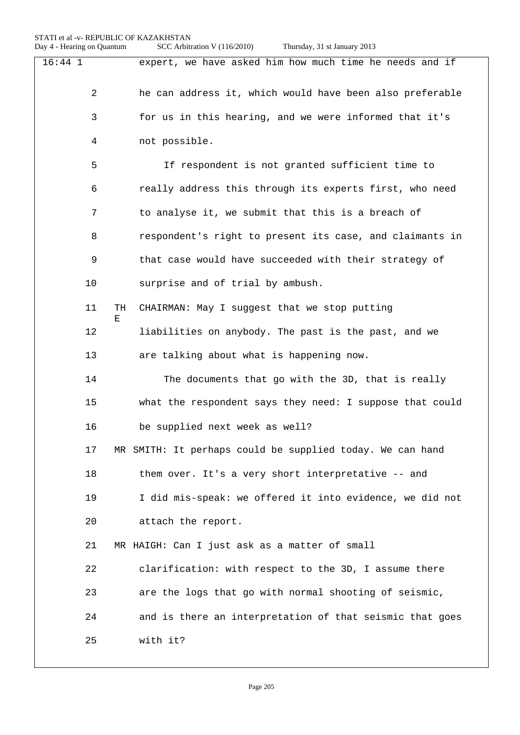| $16:44$ 1 | expert, we have asked him how much time he needs and if   |
|-----------|-----------------------------------------------------------|
| 2         | he can address it, which would have been also preferable  |
| 3         | for us in this hearing, and we were informed that it's    |
| 4         | not possible.                                             |
| 5         | If respondent is not granted sufficient time to           |
| 6         | really address this through its experts first, who need   |
| 7         | to analyse it, we submit that this is a breach of         |
| 8         | respondent's right to present its case, and claimants in  |
| 9         | that case would have succeeded with their strategy of     |
| 10        | surprise and of trial by ambush.                          |
| 11        | CHAIRMAN: May I suggest that we stop putting<br>TH<br>Е   |
| 12        | liabilities on anybody. The past is the past, and we      |
| 13        | are talking about what is happening now.                  |
| 14        | The documents that go with the 3D, that is really         |
| 15        | what the respondent says they need: I suppose that could  |
| 16        | be supplied next week as well?                            |
| 17        | MR SMITH: It perhaps could be supplied today. We can hand |
| 18        | them over. It's a very short interpretative -- and        |
| 19        | I did mis-speak: we offered it into evidence, we did not  |
| 20        | attach the report.                                        |
| 21        | MR HAIGH: Can I just ask as a matter of small             |
| 22        | clarification: with respect to the 3D, I assume there     |
| 23        | are the logs that go with normal shooting of seismic,     |
| 24        | and is there an interpretation of that seismic that goes  |
| 25        | with it?                                                  |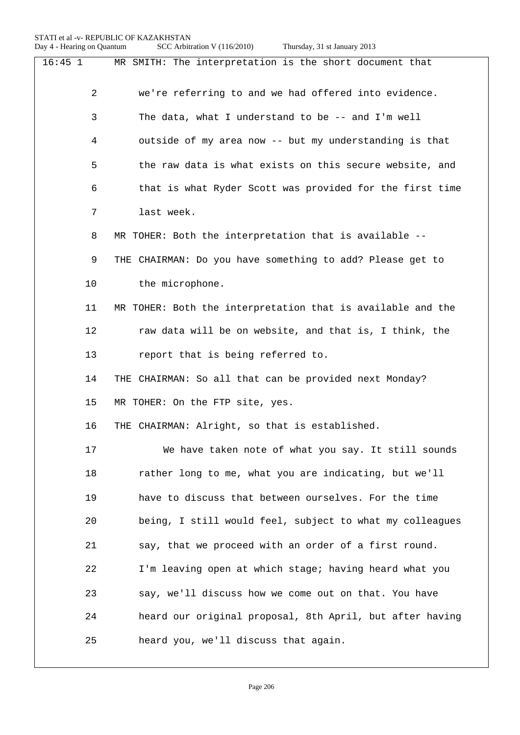| $16:45$ 1      | MR SMITH: The interpretation is the short document that     |
|----------------|-------------------------------------------------------------|
|                |                                                             |
| $\overline{a}$ | we're referring to and we had offered into evidence.        |
| 3              | The data, what I understand to be -- and I'm well           |
| 4              | outside of my area now -- but my understanding is that      |
| 5              | the raw data is what exists on this secure website, and     |
| 6              | that is what Ryder Scott was provided for the first time    |
| 7              | last week.                                                  |
| 8              | MR TOHER: Both the interpretation that is available --      |
| 9              | THE CHAIRMAN: Do you have something to add? Please get to   |
| 10             | the microphone.                                             |
| 11             | MR TOHER: Both the interpretation that is available and the |
| 12             | raw data will be on website, and that is, I think, the      |
| 13             | report that is being referred to.                           |
| 14             | THE CHAIRMAN: So all that can be provided next Monday?      |
| 15             | MR TOHER: On the FTP site, yes.                             |
| 16             | THE CHAIRMAN: Alright, so that is established.              |
| 17             | We have taken note of what you say. It still sounds         |
| 18             | rather long to me, what you are indicating, but we'll       |
| 19             | have to discuss that between ourselves. For the time        |
| 20             | being, I still would feel, subject to what my colleagues    |
| 21             | say, that we proceed with an order of a first round.        |
| 22             | I'm leaving open at which stage; having heard what you      |
| 23             | say, we'll discuss how we come out on that. You have        |
| 24             | heard our original proposal, 8th April, but after having    |
| 25             | heard you, we'll discuss that again.                        |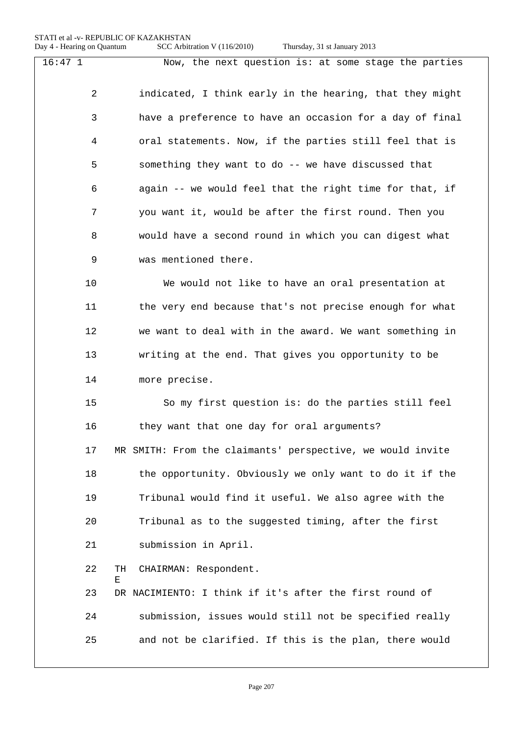| $16:47$ 1 | Now, the next question is: at some stage the parties       |
|-----------|------------------------------------------------------------|
|           |                                                            |
| 2         | indicated, I think early in the hearing, that they might   |
| 3         | have a preference to have an occasion for a day of final   |
| 4         | oral statements. Now, if the parties still feel that is    |
| 5         | something they want to do -- we have discussed that        |
| 6         | again -- we would feel that the right time for that, if    |
| 7         | you want it, would be after the first round. Then you      |
| 8         | would have a second round in which you can digest what     |
| 9         | was mentioned there.                                       |
| 10        | We would not like to have an oral presentation at          |
| 11        | the very end because that's not precise enough for what    |
| 12        | we want to deal with in the award. We want something in    |
| 13        | writing at the end. That gives you opportunity to be       |
| 14        | more precise.                                              |
| 15        | So my first question is: do the parties still feel         |
| 16        | they want that one day for oral arguments?                 |
| 17        | MR SMITH: From the claimants' perspective, we would invite |
| 18        | the opportunity. Obviously we only want to do it if the    |
| 19        | Tribunal would find it useful. We also agree with the      |
| 20        | Tribunal as to the suggested timing, after the first       |
| 21        | submission in April.                                       |
| 22        | TH<br>CHAIRMAN: Respondent.<br>Ε                           |
| 23        | DR NACIMIENTO: I think if it's after the first round of    |
| 24        | submission, issues would still not be specified really     |
| 25        | and not be clarified. If this is the plan, there would     |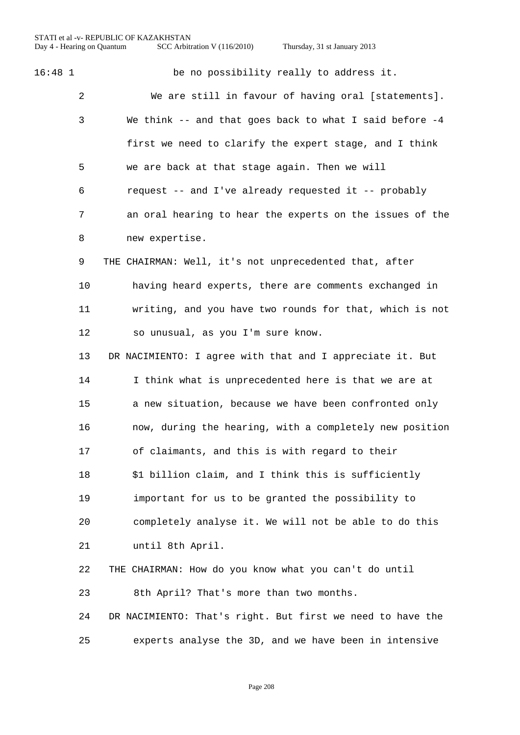16:48 1 be no possibility really to address it. We are still in favour of having oral [statements]. We think -- and that goes back to what I said before -4 first we need to clarify the expert stage, and I think we are back at that stage again. Then we will request -- and I've already requested it -- probably an oral hearing to hear the experts on the issues of the new expertise. THE CHAIRMAN: Well, it's not unprecedented that, after having heard experts, there are comments exchanged in writing, and you have two rounds for that, which is not so unusual, as you I'm sure know. DR NACIMIENTO: I agree with that and I appreciate it. But I think what is unprecedented here is that we are at a new situation, because we have been confronted only now, during the hearing, with a completely new position of claimants, and this is with regard to their 18 51 billion claim, and I think this is sufficiently important for us to be granted the possibility to completely analyse it. We will not be able to do this until 8th April. THE CHAIRMAN: How do you know what you can't do until 8th April? That's more than two months. DR NACIMIENTO: That's right. But first we need to have the experts analyse the 3D, and we have been in intensive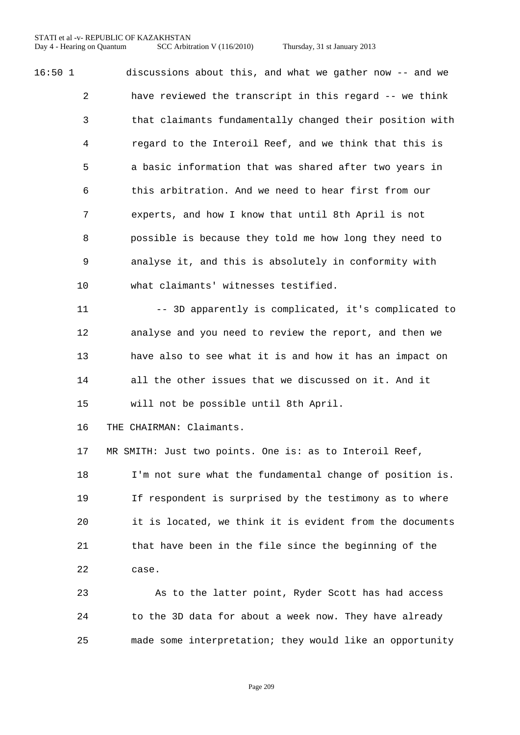Day 4 - Hearing on Quantum SCC Arbitration V (116/2010) Thursday, 31 st January 2013

16:50 1 discussions about this, and what we gather now -- and we have reviewed the transcript in this regard -- we think that claimants fundamentally changed their position with regard to the Interoil Reef, and we think that this is a basic information that was shared after two years in this arbitration. And we need to hear first from our experts, and how I know that until 8th April is not possible is because they told me how long they need to analyse it, and this is absolutely in conformity with what claimants' witnesses testified.

11 -- 3D apparently is complicated, it's complicated to analyse and you need to review the report, and then we have also to see what it is and how it has an impact on all the other issues that we discussed on it. And it will not be possible until 8th April.

THE CHAIRMAN: Claimants.

 MR SMITH: Just two points. One is: as to Interoil Reef, I'm not sure what the fundamental change of position is. If respondent is surprised by the testimony as to where it is located, we think it is evident from the documents that have been in the file since the beginning of the case.

 As to the latter point, Ryder Scott has had access to the 3D data for about a week now. They have already made some interpretation; they would like an opportunity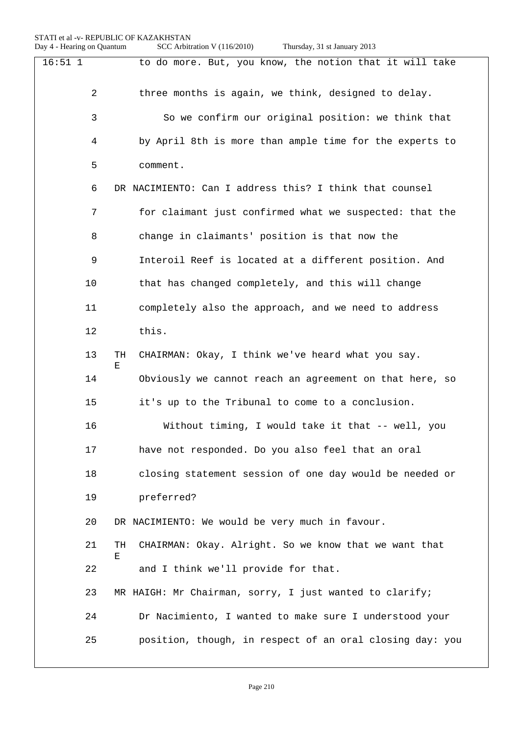| $16:51$ 1      |         | to do more. But, you know, the notion that it will take  |
|----------------|---------|----------------------------------------------------------|
| $\overline{a}$ |         | three months is again, we think, designed to delay.      |
| 3              |         | So we confirm our original position: we think that       |
| 4              |         | by April 8th is more than ample time for the experts to  |
| 5              |         | comment.                                                 |
| 6              |         | DR NACIMIENTO: Can I address this? I think that counsel  |
| 7              |         | for claimant just confirmed what we suspected: that the  |
| 8              |         | change in claimants' position is that now the            |
| 9              |         | Interoil Reef is located at a different position. And    |
| 10             |         | that has changed completely, and this will change        |
| 11             |         | completely also the approach, and we need to address     |
| 12             |         | this.                                                    |
| 13             | TH<br>Е | CHAIRMAN: Okay, I think we've heard what you say.        |
| 14             |         | Obviously we cannot reach an agreement on that here, so  |
| 15             |         | it's up to the Tribunal to come to a conclusion.         |
| 16             |         | Without timing, I would take it that -- well, you        |
| 17             |         | have not responded. Do you also feel that an oral        |
| 18             |         | closing statement session of one day would be needed or  |
| 19             |         | preferred?                                               |
| 20             |         | DR NACIMIENTO: We would be very much in favour.          |
| 21             | TH<br>Е | CHAIRMAN: Okay. Alright. So we know that we want that    |
| 22             |         | and I think we'll provide for that.                      |
| 23             |         | MR HAIGH: Mr Chairman, sorry, I just wanted to clarify;  |
| 24             |         | Dr Nacimiento, I wanted to make sure I understood your   |
| 25             |         | position, though, in respect of an oral closing day: you |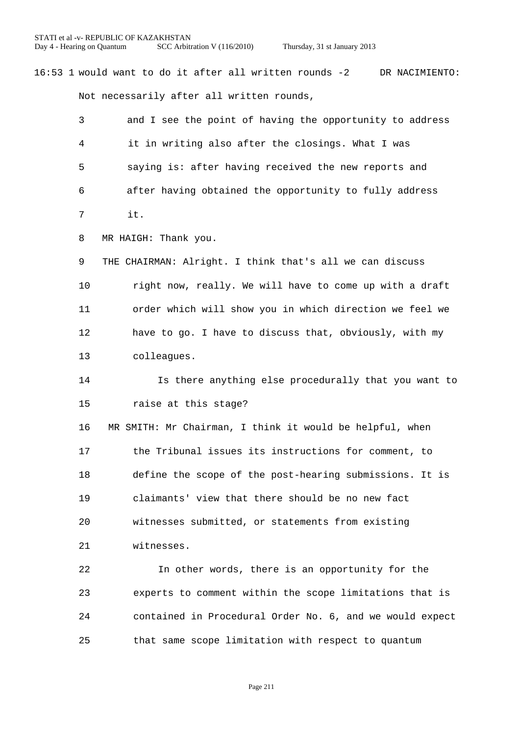- 16:53 1 would want to do it after all written rounds -2 DR NACIMIENTO: Not necessarily after all written rounds,
	- and I see the point of having the opportunity to address it in writing also after the closings. What I was saying is: after having received the new reports and after having obtained the opportunity to fully address
	- it.
	- MR HAIGH: Thank you.

 THE CHAIRMAN: Alright. I think that's all we can discuss right now, really. We will have to come up with a draft order which will show you in which direction we feel we have to go. I have to discuss that, obviously, with my colleagues.

 Is there anything else procedurally that you want to raise at this stage?

 MR SMITH: Mr Chairman, I think it would be helpful, when the Tribunal issues its instructions for comment, to define the scope of the post-hearing submissions. It is claimants' view that there should be no new fact witnesses submitted, or statements from existing witnesses.

 In other words, there is an opportunity for the experts to comment within the scope limitations that is contained in Procedural Order No. 6, and we would expect that same scope limitation with respect to quantum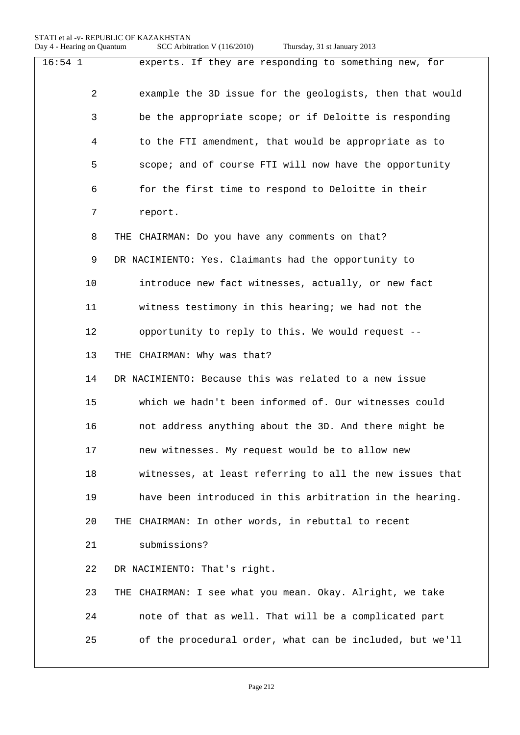| $16:54$ 1 | experts. If they are responding to something new, for     |
|-----------|-----------------------------------------------------------|
| 2         | example the 3D issue for the geologists, then that would  |
| 3         | be the appropriate scope; or if Deloitte is responding    |
| 4         | to the FTI amendment, that would be appropriate as to     |
| 5         | scope; and of course FTI will now have the opportunity    |
| 6         | for the first time to respond to Deloitte in their        |
| 7         | report.                                                   |
| 8         | THE CHAIRMAN: Do you have any comments on that?           |
| 9         | DR NACIMIENTO: Yes. Claimants had the opportunity to      |
| 10        | introduce new fact witnesses, actually, or new fact       |
| 11        | witness testimony in this hearing; we had not the         |
| 12        | opportunity to reply to this. We would request --         |
| 13        | THE CHAIRMAN: Why was that?                               |
| 14        | DR NACIMIENTO: Because this was related to a new issue    |
| 15        | which we hadn't been informed of. Our witnesses could     |
| 16        | not address anything about the 3D. And there might be     |
| 17        | new witnesses. My request would be to allow new           |
| 18        | witnesses, at least referring to all the new issues that  |
| 19        | have been introduced in this arbitration in the hearing.  |
| 20        | THE CHAIRMAN: In other words, in rebuttal to recent       |
| 21        | submissions?                                              |
| 22        | DR NACIMIENTO: That's right.                              |
| 23        | THE CHAIRMAN: I see what you mean. Okay. Alright, we take |
| 24        | note of that as well. That will be a complicated part     |
| 25        | of the procedural order, what can be included, but we'll  |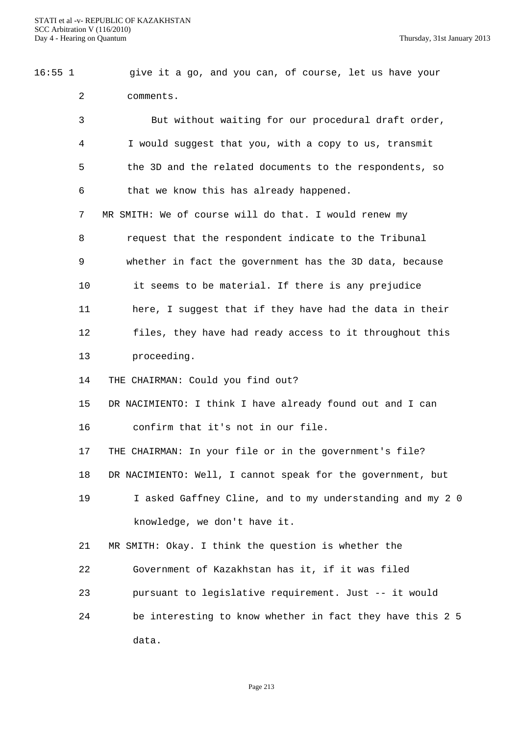16:55 1 give it a go, and you can, of course, let us have your comments.

| 3  | But without waiting for our procedural draft order,         |
|----|-------------------------------------------------------------|
| 4  | I would suggest that you, with a copy to us, transmit       |
| 5  | the 3D and the related documents to the respondents, so     |
| 6  | that we know this has already happened.                     |
| 7  | MR SMITH: We of course will do that. I would renew my       |
| 8  | request that the respondent indicate to the Tribunal        |
| 9  | whether in fact the government has the 3D data, because     |
| 10 | it seems to be material. If there is any prejudice          |
| 11 | here, I suggest that if they have had the data in their     |
| 12 | files, they have had ready access to it throughout this     |
| 13 | proceeding.                                                 |
| 14 | THE CHAIRMAN: Could you find out?                           |
| 15 | DR NACIMIENTO: I think I have already found out and I can   |
| 16 | confirm that it's not in our file.                          |
| 17 | THE CHAIRMAN: In your file or in the government's file?     |
| 18 | DR NACIMIENTO: Well, I cannot speak for the government, but |
| 19 | I asked Gaffney Cline, and to my understanding and my 2 0   |
|    | knowledge, we don't have it.                                |
| 21 | MR SMITH: Okay. I think the question is whether the         |
| 22 | Government of Kazakhstan has it, if it was filed            |
| 23 | pursuant to legislative requirement. Just -- it would       |
| 24 | be interesting to know whether in fact they have this 2 5   |
|    | data.                                                       |

Page 213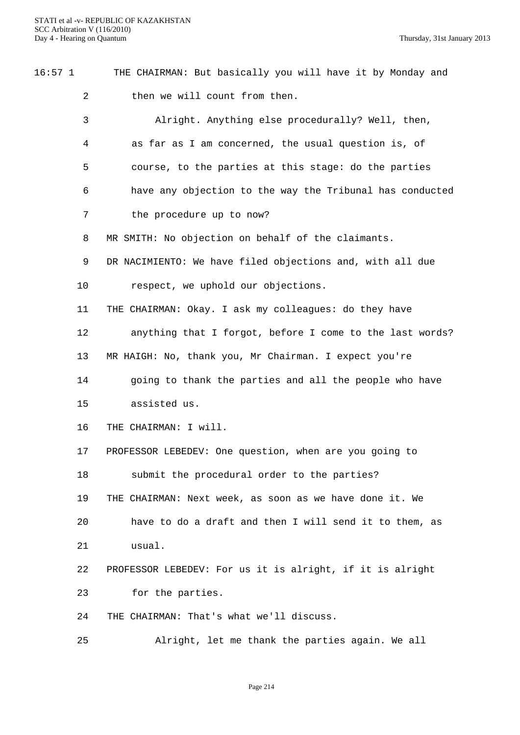16:57 1 THE CHAIRMAN: But basically you will have it by Monday and 2 then we will count from then.

|   | Alright. Anything else procedurally? Well, then,         |
|---|----------------------------------------------------------|
| 4 | as far as I am concerned, the usual question is, of      |
| 5 | course, to the parties at this stage: do the parties     |
| 6 | have any objection to the way the Tribunal has conducted |
| 7 | the procedure up to now?                                 |
| 8 | MR SMITH: No objection on behalf of the claimants.       |

DR NACIMIENTO: We have filed objections and, with all due

respect, we uphold our objections.

THE CHAIRMAN: Okay. I ask my colleagues: do they have

anything that I forgot, before I come to the last words?

MR HAIGH: No, thank you, Mr Chairman. I expect you're

 going to thank the parties and all the people who have assisted us.

THE CHAIRMAN: I will.

PROFESSOR LEBEDEV: One question, when are you going to

submit the procedural order to the parties?

 THE CHAIRMAN: Next week, as soon as we have done it. We have to do a draft and then I will send it to them, as

usual.

PROFESSOR LEBEDEV: For us it is alright, if it is alright

for the parties.

THE CHAIRMAN: That's what we'll discuss.

Alright, let me thank the parties again. We all

Page 214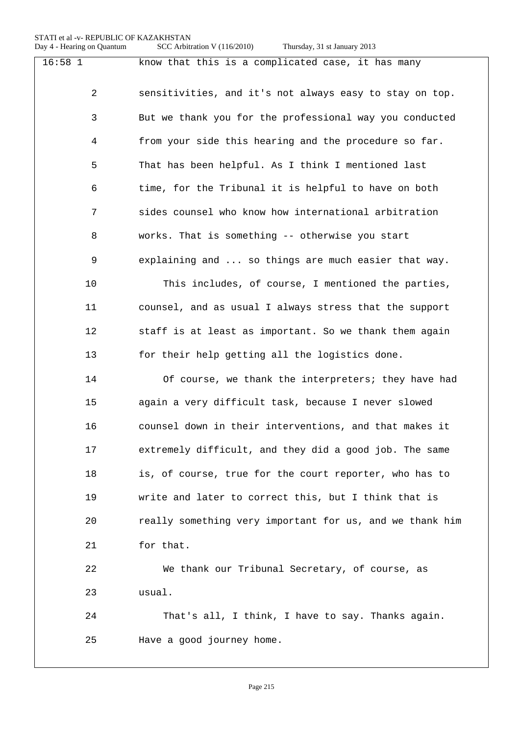SCC Arbitration V (116/2010) Thursday, 31 st January 2013

| $16:58$ 1      | know that this is a complicated case, it has many        |
|----------------|----------------------------------------------------------|
| $\overline{2}$ | sensitivities, and it's not always easy to stay on top.  |
| 3              | But we thank you for the professional way you conducted  |
| 4              | from your side this hearing and the procedure so far.    |
| 5              | That has been helpful. As I think I mentioned last       |
| 6              | time, for the Tribunal it is helpful to have on both     |
| 7              | sides counsel who know how international arbitration     |
| 8              | works. That is something -- otherwise you start          |
| 9              | explaining and  so things are much easier that way.      |
| 10             | This includes, of course, I mentioned the parties,       |
| 11             | counsel, and as usual I always stress that the support   |
| 12             | staff is at least as important. So we thank them again   |
| 13             | for their help getting all the logistics done.           |
| 14             | Of course, we thank the interpreters; they have had      |
| 15             | again a very difficult task, because I never slowed      |
| 16             | counsel down in their interventions, and that makes it   |
| 17             | extremely difficult, and they did a good job. The same   |
| 18             | is, of course, true for the court reporter, who has to   |
| 19             | write and later to correct this, but I think that is     |
| 20             | really something very important for us, and we thank him |
| 21             | for that.                                                |
| 22             | We thank our Tribunal Secretary, of course, as           |
| 23             | usual.                                                   |
| 24             | That's all, I think, I have to say. Thanks again.        |
| 25             | Have a good journey home.                                |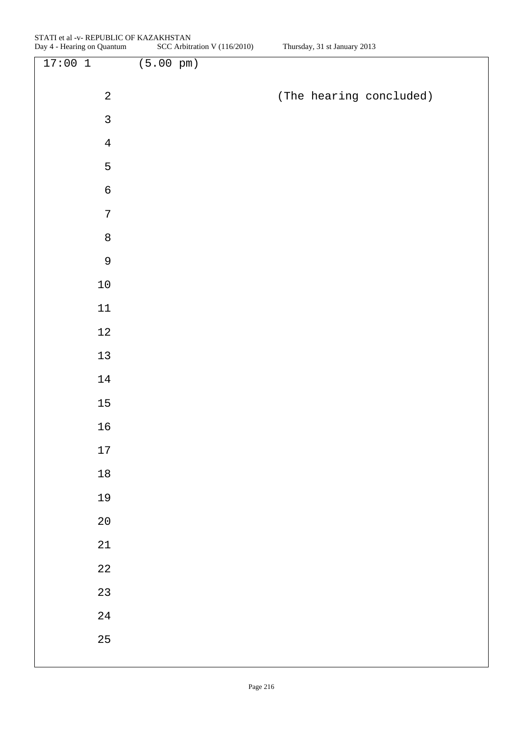| $17:00$ 1      | $(5.00 \text{ pm})$ |  |                         |
|----------------|---------------------|--|-------------------------|
| $\sqrt{2}$     |                     |  |                         |
|                |                     |  | (The hearing concluded) |
| $\mathsf{3}$   |                     |  |                         |
| $\overline{4}$ |                     |  |                         |
| 5              |                     |  |                         |
| $\epsilon$     |                     |  |                         |
| $\sqrt{ }$     |                     |  |                         |
| $\,8\,$        |                     |  |                         |
| $\mathfrak{g}$ |                     |  |                         |
| $10\,$         |                     |  |                         |
| $11\,$         |                     |  |                         |
| $12\,$         |                     |  |                         |
| $13$           |                     |  |                         |
| $14\,$         |                     |  |                         |
| $15\,$         |                     |  |                         |
| $16\,$         |                     |  |                         |
| $17\,$         |                     |  |                         |
| $18\,$         |                     |  |                         |
| 19             |                     |  |                         |
| $2\,0$         |                     |  |                         |
| $21\,$         |                     |  |                         |
| $2\sqrt{2}$    |                     |  |                         |
| 23             |                     |  |                         |
| $2\sqrt{4}$    |                     |  |                         |
| 25             |                     |  |                         |
|                |                     |  |                         |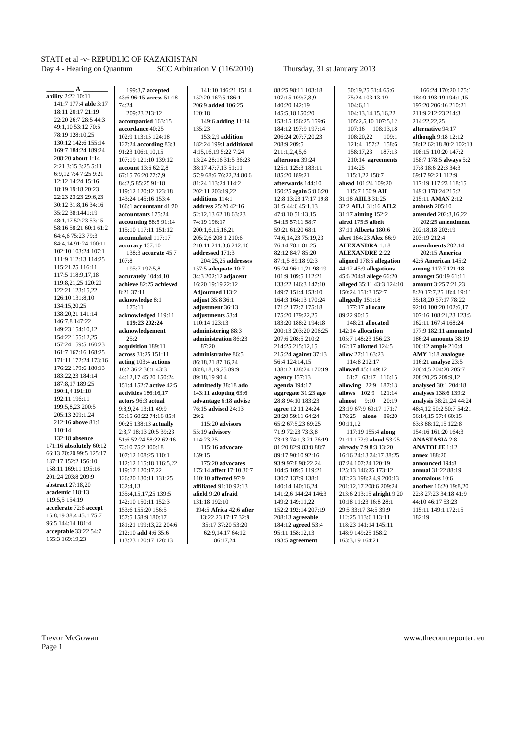ability  $2:22$   $10:11$ 141:7 177:4 able 3:17 18:11 20:17 21:19 22:20 26:7 28:5 44:3 49:1.10 53:12 70:5 78.19 128.10 25 130:12 142:6 155:14 169:7 184:24 189:24 208:20 about 1:14  $2:21$  3:15 3:25 5:11 6:9.12 7:4 7:25 9:21 12:12 14:24 15:16  $18.1919.1820.23$  $22.2323.2329623$  $30.1231.81634.16$ 35:22 38:1441:19 48:1.17 52:23 53:15 58:16 58:21 60:1 61:2 64:4.6 75:23 79:3 84:4 14 91:24 100:11  $102.10$   $103.24$   $107.1$ 111.9 112.13 114.25 115:21,25 116:11 117:5 118:9,17,18 119:8.21.25 120:20  $122.21$   $123.15$  22 126:10 131:8.10 134:15,20,25 138:20.21 141:14 146:7.8 147:22 149:23 154:10.12  $154.22$   $155.12$  25 157:24 159:5 160:23 161:7 167:16 168:25 171:11 172:24 173:16 176:22 179:6 180:13 183.22.23.184.14  $187.817189.25$  $190 \cdot 14191 \cdot 18$ 192:11 196:11 199:5,8,23 200:5 205:13 209:1,24 212:16 above 81:1  $110.14$  $132.18$  absence 171:16 absolutely 60:12 66:13 70:20 99:5 125:17 137:17 152:2 156:10  $158.11$   $169.11$   $195.16$ 201:24 203:8 209:9 abstract 27:18,20 academic 118:13 119:5.5 154:19 accelerate 72:6 accent 15.8 19 38.4 45.1 75.7  $96.5144.14181.4$ acceptable 33:22 54:7 155:3 169:19.23

199:3,7 accepted 43:6 96:15 access 51:18 74:24  $209.23213.12$ accompanied 163:15 accordance  $40.25$ 102:9 113:15 124:18 127:24 according 83:8 91:23 106:1,10,15  $107.19$  121.10 139.12 account 13:6 62:2.8  $67.1576.2077.79$ 84:2.5 85:25 91:18 119:12 120:12 123:18 143:24 145:16 153:4 166:1 accountant 41:20 accountants  $175.24$ accounting 88:5 91:14  $115:10$  117 $\cdot$ 11 151 $\cdot$ 12 accumulated 117:17 accuracy 137:10 138:3 accurate 45:7  $107.8$  $195.7197.58$ accurately 104:4,10 achieve 82:25 achieved  $8.2137.11$ acknowledge 8:1  $175.11$ acknowledged 119:11 119:23 202:24 acknowledgement  $25:2$ acquisition 189:11 across  $31.25$  151.11 acting 103:4 actions 16:2 36:2 38:1 43:3 44:12.17 45:20 150:24 151:4 152:7 active 42:5 activities 186:16.17 actors 96:3 actual  $9.892413.1149.9$ 53:15 60:22 74:16 85:4 90:25 138:13 actually 2:3,7 18:13 20:5 39:23  $51.652.2458.2262.16$  $73.1075210018$ 107:12 108:25 110:1 112:12 115:18 116:5,22 119:17 120:17,22 126:20 130:11 131:25  $132.413$ 135:4.15.17.25 139:5 142:10 150:11 152:3 153:6 155:20 156:5 157:5 158:9 180:17 181:21 199:13.22 204:6  $212:10$  add  $4:635:6$ 113:23 120:17 128:13

141:10 146:21 151:4 152:20 167:5 186:1 206:9 added 106:25  $120.18$ 149:6 adding 11:14  $135.23$  $153:2.9$  addition 182:24 199:1 additional 4:15,16,19 5:22 7:24  $13.2428.1631.536.23$ 38:17 47:7.13 51:11  $57.9686762224806$ 81:24 113:24 114:2 202:11 203:19,22 additions 114:1 address 25:20 42:16  $52.12.1362.1863.23$ 74:19 196:17  $200 \cdot 16151621$ 205:2,6 208:1 210:6 210:11 211:3,6 212:16 addressed 171:3  $204.25$  25 addresses 157:5 adequate 10:7 34:3 202:12 adiacent 16:20 19:19 22:12 Adjourned 113:2 adiust 35:8 36:1 adiustment 36:13 adjustments 53:4 110:14 123:13 administering 88:3 administration 86:23  $87:20$ administrative 86.5 86.18.21.87.16.24 88:8,18,19,25 89:9 89:18.19 90:4 admittedly 38:18 ado 143:11 adopting 63:6 advantage 6:18 advise 76:15 advised 24:13  $29.2$ 115:20 advisors 55:19 advisory  $114.2325$ 115:16 advocate 159:15  $175:20$  advocates 175:14 affect 17:10 36:7 110:10 affected 97:9 affiliated  $91:10.92:13$ afield  $9.20$  afraid 131:18 192:10 194:5 Africa 42:6 after 13:22,23 17:17 32:9 35:17 37:20 53:20  $62.9141764.12$ 86:17.24

107:15 109:7,8,9 140:20 142:19 145:5.18 150:20 153:15 156:25 159:6 184:12 197:9 197:14 206:24 207:7,20,23 208:9 209:5 211:1,2,4,5,6 afternoon 39.24 125:1 125:3 183:11  $185.20189.21$ afterwards 144:10 150:25 again 5:8 6:20 12:8 13:23 17:17 19:8 31:5 44:6 45:1.13  $47.81051.1315$ 54:15 57:11 58:7  $59.2161.2068.1$ 74:6,14,23 75:19,23 76:14 78:1 81:25 82:12 84:7 85:20  $87.1589.18923$ 95:24 96:11.21 98:19 101:9 109:5 112:21 133:22 146:3 147:10 149:7 151:4 153:10 164:3 164:13 170:24  $171.2$   $172.7$   $175.18$ 175:20 179:22.25 183:20 188:2 194:18 200:13 203:20 206:25 207:6 208:5 210:2 214:25 215:12.15 215:24 against 37:13  $56.4124.1415$ 138:12 138:24 170:19 agency 157:13 agenda 194:17 aggregate 31:23 ago 28.8.94.10.183.23 agree 12:11 24:24 28:20 59:11 64:24 65:2 67:5,23 69:25 71:9 72:23 73:3,8 73.13.74.1.3.21.76.19  $81.20829838887$ 89:17 90:10 92:16 93:9 97:8 98:22.24 104:5 109:5 119:21 130:7 137:9 138:1  $140.14$   $140.16$   $24$ 141:2.6 144:24 146:3 149:2 149:11,22 152:2 192:14 207:19 208:13 agreeable 184:12 agreed 53:4  $95.11$   $158.12$   $13$ 193:5 agreement

#### Thursday, 31 st January 2013

88:25 98:11 103:18

50:19,25 51:4 65:6 75:24 103:13,19 104:6,11 104:13.14.15.16.22  $105:2,5,10$   $107:5,12$ 107:16 108:13,18 108:20,22  $109:1$ 121:4 157:2 158:6 158:17,23 187:13  $210:14$  agreements 114:25  $115.122158.7$ ahead 101:24 109:20 115:7 150:9 AII 31:18 AIII.3 31:25 32:2 AII.1 31:16 AII.2 31:17 aiming 152:2 aired 175:5 albeit 37.11 Alberta 180.6 alert 164:23 Alex 66:9 **ALEXANDRA** 1:18 **ALEXANDRE 2:22** aligned 178:5 allegation 44:12 45:9 allegations 45:6 204:8 allege 66:20 alleged 35:11 43:3 124:10 150:24 151:3 152:7 allegedly 151:18  $177.17$  allocate  $89.2290.15$ 148:21 allocated 142:14 allocation 105:7 148:23 156:23 162:17 allotted 124:5 allow  $27.1163.23$  $114.8212.17$ allowed 45:1 49:12 61:7 63:17 116:15 allowing 22:9 187:13 allows 102:9 121:14 almost 9:10 20:19 23.19 67.9 69.17 171.7 176:25 alone 89:20 90:11.12 117:19 155:4 along  $21 \cdot 11$  172.9 aloud 53.25 already 7:9 8:3 13:20 16:16 24:13 34:17 38:25 87:24 107:24 120:19 125:13 146:25 173:12 182:23 198:2.4.9 200:13 201:12 17 208:6 209:24 213:6 213:15 alright 9:20 10:18 11:23 16:8 28:1 29:5 33:17 34:5 39:9 112:25 113:6 113:11 118:23 141:14 145:11  $148.9$   $149.25$   $158.2$ 

163:3,19 164:21

166:24 170:20 175:1 184:9 193:19 194:1,15 197:20 206:16 210:21 211:9 212:23 214:3 214:22,22,25 alternative 94:17 although 9:18 12:12 58:12 62:18 80:2 102:13 108:15 110:20 147:2  $158.7$  178.5 always 5.2 17:8 18:6 22:3 34:3  $69.17922111299$ 117:19 117:23 118:15 149:3 178:24 215:2 215:11 AMAN 2:12 ambush  $205:10$ amended 202:3 16 22  $202:25$  amendment  $202.1818202.19$ 203:19 212:4 amendments 202:14 202:15 America  $42.6$  American  $145.2$ among 117:7 121:18 amongst 50:19 61:11 amount 3:25 7:21,23 8:20 17:7,25 18:4 19:11 35:18.20 57:17 78:22  $92.10100.20102.617$ 107:16 108:21.23 123:5 162:11 167:4 168:24 177:9 182:11 amounted 186:24 amounts 38:19 106:12 ample 210:4  $AMY$  1:18 analogue 116:21 analyse 23:5 200:4,5 204:20 205:7 208:20.25 209:9.12 analysed 30:1 204:18 analyses 138:6 139:2 analysis 38:21.24 44:24  $48.41250.250.754.21$ 56:14,15 57:4 60:15 63:3 88:12.15 122:8 154:16 161:20 164:3 **ANASTASIA 2.8 ANATOLIE 1.12 annex** 188:20 announced 194:8 annual 31:22 88:19 anomalous 10:6 another  $16:2019:820$  $22.827.2334.1841.9$ 44:10 46:17 53:23 115:11 149:1 172:15 182:19

**Trevor McGowan** Page 1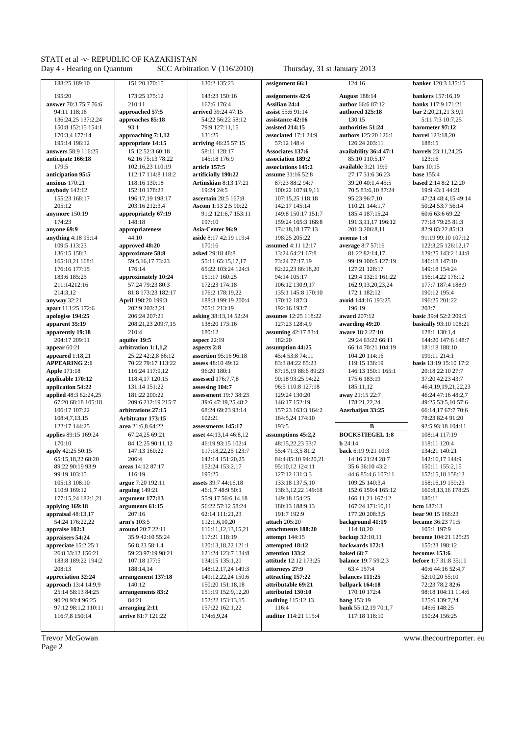188:25 189:10 151:20 170:15 130:2 135:23 **assignment 66:1** 124:16 **banker** 120:3 135:15 **arbitration 1:1,1,2** argument 177:13

**appraise 102:3 around** 20:7 22:11 116:11,12,13,15,21 **attachments 188:20** 114:18,20 105:1 197:9

195:20 173:25 175:12 143:23 150:16 **assignments 42:6 August** 188:14 **bankers** 157:16,19 **answer** 70:3 75:7 76:6 210:11 167:6 176:4 **Assilian 24:4 author** 66:6 87:12 **banks** 117:9 171:21 94:11 118:16 **approached 57:5 arrived** 39:24 47:15 **assist** 55:6 91:14 **authored 125:18 bar** 2:20,21,21 3:9,9 **approaches 85:18** 54:22 56:22 58:12 **assistance 42:16** 130:15 5:11 7:3 10:7,2<br>
93:1 79:9 127:11.15 **assisted 214:15 authorities 51:24 barometer 97:12** 150:8 152:15 154:1 93:1 79:9 127:11,15 **assisted 214:15 authorities 51:24 barometer 97:12**  195:14 196:12 **appropriate 14:15 appropriate 14:15 arriving** 46:25 57:15 **b** 57:12 148:4 **126:24 203:11** 126:24 **15:12 52:36 0:18 15:12 188:15 b 15:12 188:15 b 15:12 188:15 b 15:12 188:15 b 15:12 188: answers** 58:9 116:25 15:12 52:3 60:18 58:11 128:17 **Associates 137:6** availability 36:4 47:1 barrels 23:11,24,25<br>**anticipate 166:18** 62:16 175:13 78:22 145:18 176:9 association 189:2 85:10 110:5.17 123:16 **anticipate 166:18 62:16 75:13 78:22 145:18 176:9 articipate 166:18 b articipate 166:18 articipate 166:18 b articipate 179:5 b articipate 179:5 b articipate 179:5 b articipate 187:5 b artici** 179:5 102:16,23 110:19 **article 157:5 associations 145:2 available** 3:21 19:9 **bars** 10:15 **anticipation 95:5** 112:17 114:8 118:2 **artificially 190:22 assume** 31:16 52:8 27:17 31:6 36:23 **base** 155:4 **anxious** 170:21 118:16 130:18 **Artinskian** 8:13 17:21 87:23 88:2 94:7 39:20 40:1,4 45:5 **based** 2:14 8:2 12:20 **anybody** 142:12 152:10 178:23 19:24 24:5 100:22 107:8,9,11 70:5 83:6,10 87:24 19:9 43:1 44:21 205:12 203:16 212:3,4 **Ascom** 1:13 2:5 90:22 142:17 145:14 110:21 144:1,7 **50:24 53:7 56:14**<br>**appropriately 67:19** 91:2 121:6,7 153:11 149:8 150:17 151:7 185:4 187:15.24 60:6 63:6 69:22 **appropriately 67:19** 91:2 121:6,7 153:11 149:8 150:17 151:7 185:4 187:15,24 174:23 148:18 197:10 159:24 165:3 168:8 191:3,11,17 196:12 77:18 79:25 81:3 **anyone 69:9 appropriateness Asia-Center 96:9** 174:18,18 177:13 206:8,11 82:9 83:22 85:13 136:15 158:3 **approximate 58:8 asked** 29:18 48:8 **13:24 64:21 67:8** 81:22 82:14,17<br>165:18 21:168:1 **59:5 16:17 73:23** 55:11 65:15 17:17 129:14 73:24 77:17 19 99:19:100:5 127:19 165:18,21 168:1 59:5,16,17 73:23 | 55:11 65:15,17,17 | 73:24 77:17,19 | 99:19 100:5 127:19 | 146:18 147:10 176:16 177:15 176:14 65:22 103:24 124:3 82:22,23 86:18,20 127:21 128:17 149:18 154:24 183:6 185:25 **approximately 10:24** 151:17 160:25 94:14 105:17 129:4 132:1 161:22 156:14,22 176:12<br>211:14212:16 57:24 79:23 80:3 172:23 174:18 106:12 130:9.17 162:9.13.20.23.24 177:7 187:4 188:9 211:14212:16 57:24 79:23 80:3 172:23 174:18 106:12 130:9,17 162:9,13,20,23,24 177:7 187:4 188:9 214:3,12 81:8 173:23 182:17 176:2 178:19,22 135:1 145:8 170:10 172:1 182:12 190:12 195:4 **anyway** 32:21 **April** 198:20 199:3 199:19 200:4 170:12 187:3 **avoid** 144:16 193:25 196:25 201:22 **apart** 113:25 172:6 202:9 203:2,21 205:1 213:19 192:16 193:7 196:19 203:7 203:7 **apologise 194:25 apologise 194:25 apologise 194:25 apologise 194:25 apologise 194:25 basic** 39:4 52:2 209:5<br>**apoarent 35:19 basically** 93:10 108:2<br>**apoarent 35:19 basically** 93:10 108:2 **apparently 19:18** 210:4 180:12 180:12 **assuming** 42:17 83:4 **aware** 18:2 27:10 128:1 130:1,4<br>204:17 209:11 **aquifer 19:5 aspect** 22:19 182:20 **appeared** 1:18,21 25:22 42:2,8 66:12 **assertion** 95:16 96:18 45:4 53:8 74:11 104:20 114:16 199:11 214:1<br>**APPEARING 2:1** 20:22 79:17 113:22 **assess** 48:10 49:12 83:3 84:22 85:23 119:15 136:19 **basis** 13:19 15:10 **Apple** 171:18 116:24 117:9,12 96:20 180:1 87:15,19 88:6 89:23 146:13 150:1 165:1 20:18 22:10 27:7 **applicable 170:12** 118:4,17 120:15 **assessed** 176:7,7,8 90:18 93:25 94:22 175:6 183:19 37:20 42:23 43:7  $\begin{array}{|l|c|c|c|c|c|c|c|}\n\hline\n67:20 & 68:18 & 105:18 & 209:6 & 212:19 & 215:7 & 39:6 & 47:19,25 & 48:2 & 146:17 & 152:19 \\
\hline\n106:17 & 107:22 & \text{substituting } & 27:15 & 68:24 & 69:23 & 93:14 & 157:23 & 163:3 & 164:2\n\end{array}$ 108:4,7,13,15 **Arbitrator 173:15** 102:21 164:5,24 174:10 78:23 82:4 91:20 122:17 144:25 **area** 21:6,8 64:22 **assessments 145:17** 193:5<br>**applies** 89:15 169:24 67:24,25 69:21 **asset** 44:13,14 46:8,12 **assumptions 45:2,2 b BOCKSTIEGEL 1:8** 108:14 117:19 **asset** 44:13,14 46:8,12 **assumptions 45:2,2 bBOCKSTIEGEL 1:8** 108:14 117:19 170:10 84:12,25 90:11,12 46:19 93:15 102:4 48:15,22,23 53:7 **b** 24:14 **b** 24:14 118:11 120:4<br> **apply** 42:25 50:15 147:13 160:22 117:18,22,25 123:7 **b** 24:14 **back** 6:19 9:21 10:3 134:21 140:2 65:15,18,22 68:20 | 206:4 | 142:14 151:20,25 | 84:4 85:10 94:20,21 | 14:16 21:24 28:7 | 142:16,17 144:9 89:22 90:19 93:9 **areas** 14:12 87:17 152:24 153:2,17 95:10,12 124:11 35:6 36:10 43:2 150:11 155:2,15 99:19 103:15 116:19 116:19 195:25 127:12 131:3,3 44:6 85:4,6 107:11 157:15,18 158:13 105:13 108:10 **argue** 7:20 192:11 **assets** 39:7 44:16,18 133:18 137:5,10 109:25 140:3,4 158:16,19 159:23 **arguing** 149:21 46:1,7 48:9 50:1 138:3,12,22 149:18 152:6 159:4 165:12 160:8,13,16 178:2 **applying 169:18 arguments 61:15 56:22 57:12 58:24** 180:13 188:9,13 **167:24 171:10,11 bcm** 187:13 **appraisal** 48:13,17 **bear** 90:15 166:23<br>54:24 176:22,22 **arm's** 103:5 **112:1,6,10,20 bear 103:5 bear** 90:15 **bear** 90:15 **bear** 90:15 **bear** 90:15 **bear** 90:15 **bear** 90:15 **bear** 90:15 **bear** 90:15 **bear** 90:15 **bear** 54:24 176:22,22 **arm's** 103:5 112:1,6,10,20 **attach** 205:20 **background 41:19 became** 36:23 71:5 **appreciate** 15:2 25:1 56:8,23 58:1,4 120:13,18,22 121:1 **attempted 18:12 backwards 172:3** 155:23 198:12 26:8 33:12 156:21 59:23 97:19 98:21 121:24 123:7 134:8 **attention 133:2 baked** 68:7 **becomes 153:6 attitude** 12:12 173:25 208:13 188:14,14 148:12,17,24 149:3 **attorneys 27:9** 63:4 157:4 40:6 44:16 52:4,7<br>**preciation 32:24** arrangement 137:18 149:12.22.24 150:6 **attracting 157:22** balances 111:25 52:10.20 55:10 **appreciation 32:24 arrangement 137:18** 149:12,22,24 150:6 **attracting 157:22 balances 111:25 approach** 13:4 14:9,9 140:12 150:20 151:18,18 **attributable 69:21 ballpark 164:18** 72:23 78:2 82:6 90:20 93:4 96:25 84:21 11:125:6 139:7,24 153:12 153:13,15 **auditing** 115:12,13 **bang** 153:19 **bank** 55:12,19 70:1.7 146:6 148:25 116:7,8 150:14 **arrive** 81:7 121:22 174:6,9,24 **auditor** 114:21 115:4 117:18 118:10 150:24 156:25

170:3,4 177:14 **approaching 7:1,12** 131:25 **associated** 17:1 24:9 **authors** 125:20 126:1 **barrel** 123:18,20 **bank** 55:12.19 70:1.7

155:23 168:17 196:17,19 198:17 **ascertain** 28:5 167:8 107:15,25 118:18 95:23 96:7,10 47:24 48:4,15 49:14 **anything** 4:18 95:14 44:10 **aside** 8:17 42:19 119:4 198:25 205:22 **avenue 1:4** 91:19 99:10 107:12<br>199:5 113:23 **approved 48:20** 170:16 122:3.25 126:12.17 **avenue 4:11** 12:17 **avenue 8:7** 57:16 122:3.25 126:12.17 109:5 113:23 **approved 48:20** 170:16 **assumed** 4:11 12:17 **average** 8:7 57:16 122:3,25 126:12,17 **apparent 35:19** 208:21,23 209:7,15 138:20 173:16 127:23 128:4,9 **awarding 49:20 basically** 93:10 108:21 204:17 209:11 **aquifer 19:5 aspect** 22:19 **assumption 44:25 assumption 44:25 assumption 44:25 arbitration 1:1,1,2 aspects 2:8 assumption 44:25 b**  $\begin{bmatrix} 29:24\ 63:22\ 66:11\ 144:20\ 181:18\ 188:10\ \end{bmatrix}$ **APPEARING 2:1** 70:22 79:17 113:22 **assess** 48:10 49:12 **b** 83:3 84:22 85:23 119:15 136:19 **basis** 13:19 15:10 17:2<br> **Apple** 171:18 116:24 117:9,12 96:20 180:1 87:15.19 88:6 89:23 146:13 150:1 165:1 20:18 22:10 27:7 **application 54:22** 131:14 151:22 **assessing 104:7** 96:5 110:8 127:18 185:11,12 46:4,19,19,21,22,23<br>**applied** 48:3 62:24.25 181:22 200:22 **assessment** 19:7 38:23 129:24 130:20 **away** 21:15 22:7 46:24 47:16 48:2,7 **applied** 46:24,47:16 48:2,7<br> **applied** 46:24,47:16 48:2,7<br> **applied** 49:25 53:510 57:6<br> **away** 21:15 22:7<br> **away** 21:15 22:7<br> **away** 21:15 22:7<br> **applied** 49:25 53:510 57:6 **Azerbaijan 33:25** 66:14,17 67:7 70:6 **back** 6:19 9:21 10:3 134:21 140:21 110:9 169:12 **arguing** 149:21 46:1,7 48:9 50:1 138:3,12,22 149:18 154:25 152:6 159:4 165:12 160:8,13,16 178:25<br>177:15.24 182:1.21 **argument 177:13** 55:9.17 56:6.14.18 149:18 154:25 166:11.21 167:12 180:11 **appraisers 54:24** 35:9 42:10 55:24 117:21 118:19 **attempt** 144:15 **backup** 32:10,11 **become** 104:21 125:25 25:14 58:13 84:25 **arrangements 83:2** 151:19 152:9,12,20 **attributed 130:10** 170:10 172:4 98:18 104:11 114:6

Page 2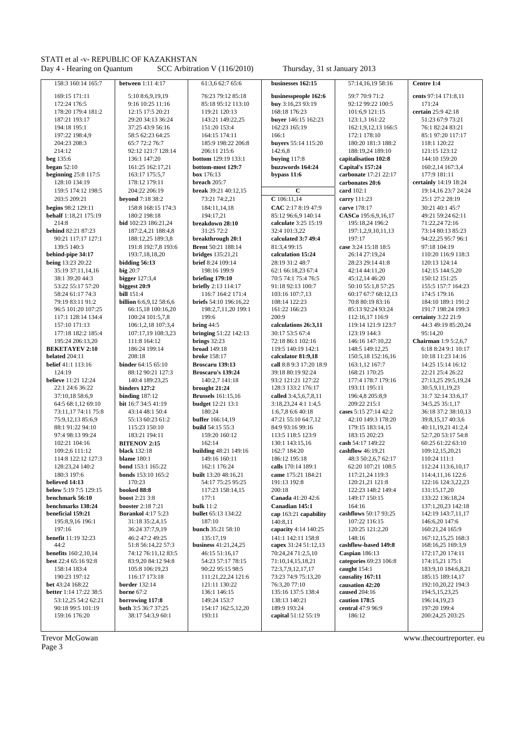169:15 171:11  $172.24$   $176.5$  $178.20179.4181.2$ 187:21 193:17 194:18 195:1 197:22 198:4,9  $204.23208.3$  $214.12$ beg 135:6 began  $52:10$ beginning 25:8 117:5  $128.10$  134.19  $150.5174.12198.5$  $203.5209.21$ hegins 08.2 120.11 hehalf 1:18 21 175:19  $214:8$ **behind** 82:21 87:23  $90.21$  117.17 127.1  $139.5140.3$ behind-pipe 34:17 being 13:23 20:22  $35.1937.111416$  $38.130.20443$ 53:22 55:17 57:20 58:24 61:17 74:3  $79.1983.1191.2$ 96:5 101:20 107:25  $117.1$   $128.14$   $134.4$  $157.10171.13$ 177-18 182-2 185-4 195:24 206:13.20 **BEKETAYEV 2:10** helated  $204.11$ helief 41:1 113:16  $124.19$ **believe** 11:21 12:24 22:1 24:6 36:22  $37.10185869$ 64:5 68:1.12 69:10 73.11 17 74.11 75.8 75:9,12,13 85:6,9  $88.191.2294.10$ 97.4 98.13 99.24  $102.21$   $104.16$ 109:2,6 111:12 114:8 122:12 127:3  $128.2324140.2$  $180.31976$ believed 14:13 below 5:19 7:5 129:15 benchmark 56:10 henchmorks 138.24 heneficial  $159.21$ 195:8,9,16 196:1  $197:16$ henefit  $11.1932.23$  $44.2$ **benefits** 160:2,10,14 best 22:4 65:16 92:8 158:14 183:4 190:23 197:12 het 43.24 168.22 hetter 1:14 17:22 38:5 53:12,25 54:2 62:21 90:18 99:5 101:19 159:16 176:20

158:3 160:14 165:7

**between** 1:11 4:17 5:10 8:6,9,19,19  $9.1610.2511.16$  $12:15$   $17:5$   $20:21$ 29:20 34:13 36:24 37:25 43:9 56:16 58:5 62:23 64:25  $65.772.276.7$  $92.12121.7128.14$ 136:1 147:20 161:25 162:17,21 163:17 175:5.7  $178.12$   $179.11$  $204.22.206.19$ **beyond** 7:18 38:2  $158.8$   $168.15$   $174.3$  $180.2198.18$ bid 102:23 186:21.24 187:2,4,21 188:4,8 188:12.25.189:3.8  $191.8192.78193.6$ 193:7, 18, 18, 20 bidding 56:13 big  $20:7$ **bigger** 127:3.4 biggest 20:9 bill  $151.4$ **billion** 6:6.9.12.58:6.6 66:15,18 100:16,20  $100.24$   $101.5$  7 8 106:1,2,18 107:3,4  $107.17$  19  $108.3$  23 111:8 164:12 186:24 199:14  $208.18$ **binder**  $64.1565.10$ 88:12 90:21 127:3  $140.4189.2325$ binders  $127:2$ **binding** 187:12 bit 16:7 34:5 41:19 43:14 48:1 50:4 55:13 60:23 61:2  $115.23$  150.10 183-21-194-11 **BITENOV 2:15 black** 132:18 **blame** 180:1 hond 153.1 165.22 **honds**  $153:10, 165:2$  $170.23$ booked 88:8 **boost** 2:21 3:8 hooster  $2.187.21$ **Borankol**  $4.175.23$ 31:18 35:2,4,15 36:24 37:7.9.19  $46.247.249.25$  $51.856.142257.3$ 74:12 76:11,12 83:5 83.9.20.84.12.94.8 105:8 106:19,23 116:17 173:18 **border** 132:14 horne  $67.2$ borrowing 117:8 **both** 3:5 36:7 37:25 38:17 54:3.9 60:1

61:3,6 62:7 65:6 76:23 79:12 85:18 85:18 95:12 113:10  $119.21$   $120.13$ 143:21 149:22.25 151:20 153:4 164:15 174:11 185:9 198:22 206:8  $206:11.215:6$ **bottom** 129:19 133:1 bottom-most 129:7 box 176:13 hreach  $205.7$ hreak  $39.21 \, \text{AD} \cdot 12 \, 15$  $73.2174.221$  $184.11$   $14$   $18$  $194.17.21$ breakdown 28:10 31:25 72:2 **hreakthrough 20:1 Brent 50.21 188.14 bridges** 135:21,21 hrief  $8.24109.14$  $198.16199.9$ briefing 179:10 briefly 2:13 114:17 116:7 164:2 171:4 briefs 54.10 196.16 22 198:2,7,11,20 199:1  $199.6$ bring 44:5 bringing 51:22 142:13  $brings$  32:23  $broad$  149:18 broke  $158:17$ **Reason 130.13** Broscaru's 139:24  $140.27141.18$ brought 21:24 **Brussels** 161:15.16 **budget** 12:21 13:1  $180.24$ **buffer** 166:14,19 **build**  $54.15.55.3$  $159.20160.12$  $162.14$ **building 48:21 149:16** 149:16 160:11  $162.1176.24$ huilt  $13.2048.1621$ 54:17 75:25 95:25 117:23 158:14,15  $177.1$ bulk  $11.2$ hullet 65.13 134.22  $187:10$ **bunch** 35:21 58:10  $135.1719$ husiness  $41.21$   $24$   $25$ 46:15 51:16,17 54:23 57:17 78:15 90:22 95:15 98:5 111:21.22.24 121:6 121:11 130:22 136:1 146:15  $149.24$   $153.7$ 154:17 162:5.12.20  $193:11$ 

businesspeople 162:6  $huv$  3.16 23 93.19  $168.18$   $176.23$ buyer 146:15 162:23 162:23 165:19  $166.1$ **buvers** 55:14 115:20  $142.68$ buying 117:8 buzzwords 164:24 bypass  $11:6$  $C$  106.11 14  $CAC 2.17 8.19 47.9$ 85:12 96:6,9 140:14 calculate 3:25 15:19 32:4 101:3,22 calculated 3:7 49:4  $81.349915$ calculation 15:24  $28.1931.248.7$  $62.166.182367.4$  $70.574.175.476.5$ 91:18 92:13 100:7  $103.16$   $107.7$  13  $108.14$   $122.23$ 161:22 166:23  $200-9$ calculations  $26.311$  $30.17535674$ 72:18 86:1 102:16 119:5 140:19 142:1 calculator 81:9.18 call 8:8 9:3 17:20 18:9 39.18.80.19.92.24  $93.2121.21127.22$ 128:3 133:2 176:17 called 3:4,5,6,7,8,11 3:18,23,24 4:1 1:4,5  $1.678664018$ 47:21 55:10 64:7,12  $84.993.1699.16$  $113.5118.5123.9$  $130.1143.1516$ 162:7 184:20 186:12 195:18 calls 170:14 189:1 came  $175:21.184:21$  $191.13192.8$  $200:18$ Canada 41:20 42:6 Canadian 145:1 cap 163:21 capability  $140:8.11$ capacity 4:14 140:25  $141 \cdot 1142 \cdot 11158 \cdot 8$ capex 31:24 51:12.13 70:24,24 71:2,5,10 71:10,14,15,18,21 72:3.7.9.12.17.17 73:23 74:9 75:13.20  $76.32077.10$ 135:16 137:5 138:4  $138.13140.21$ 189:9 193:24 capital 51:12 55:19

Thursday, 31 st January 2013

businesses 162:15

57:14,16,19 58:16  $59.770971.2$  $92.1299.22100.5$  $101.69121.15$ 123:1,3 161:22 162:1.9.12.13 166:5 172:1 178:10  $180.20$   $181.3$   $188.2$ 188-19 24 189-10 capitalisation 102:8 Capital's 157:24 carbonate 17:21 22:17 carbonates 20.6 card  $102.1$ carry 111:23 carve  $178.17$ CASCo 195.69 16 17 195:18.24 196:2 197:1,2,9,10,11,13  $197.17$  $case 3.24 15.18 18.5$ 26:14 27:19,24  $28.2329.1441.8$  $42.1444.1120$  $45.121446.20$ 50:10 55:1,8 57:25 60:17 67:7 68:12.13  $70.880.1983.16$ 85:13 92:24 93:24  $112.1617116.9$ 119:14 121:9 123:7  $123.19$   $144.3$ 146:16 147:10,22  $148.5$   $149.12$  25 150:5 18 152:16 16  $163.112167.7$ 168:21 170:25 177:4 178:7 179:16 193:11 195:11 196:4.8 205:8.9 209:22 215:1 cases 5:15 27:14 42:2 42:10 149:3 178:20  $179.15$   $183.14$  15  $183.15202.23$  $\cosh 54.17149.22$ cashflow 46:19.21 48:3 50:2,6,7 62:17  $62.20107.21108.5$  $117.2124119.3$ 120:21.21 121:8 122:23 148:2 149:4 149:17 150:15  $164.16$ cashflows 50.17 93.25 107:22 116:15 120:25 121:2,20  $148.16$ cashflow-hased 149.8 Caspian 186:13 categories 69:23 106:8 caught 154:1 causality 167:11 causation 42:20 caused  $204.16$ caution 178:5 central 47:9 96:9 186:12

Centre 1:4 cents 97:14 171:8,11  $171.24$ certain  $25.942.18$ 51:23 67:9 73:21 76:1 82:24 83:21 85:1 97:20 117:17  $118.1120.22$  $121.15123.12$ 144:10 159:20 160:2,14 167:3,4 177:9 181:11 certainly 14:19 18:24  $19.14$  16  $23.7$   $24.24$  $25.127.228.19$  $30.2140.145.7$  $49.2159.2462.11$ 71:22.24 72:16 73:14 80:13 85:23  $94.22.25.95.7.96.1$  $97.18104.19$ 110:20 116:9 118:3  $120.13124.14$  $142.15$   $144.5$  20  $150.12151.25$ 155:5 157:7 164:23 174:5 179:16 184:10 189:1 191:2 191:7 198:24 199:3 certainty 3:22 21:9 44:3 49:19 85:20.24  $95.1420$ Chairman 1:9 5:2,6,7  $6.188.249.110.17$  $10.18$   $11.23$   $14.16$  $14.25$  15.14 16.12 22:21 25:4 26:22 27:13.25 29:5.19.24 30:5.9.11.19.23 31:7 32:14 33:6.17 34:5.25 35:1.17 36:18 37:2 38:10.13 39:8,15,17 40:3,6  $40:11$  19 21  $41:2.4$  $52.72053.1754.8$  $60.2561.2263.10$ 109:12,15,20,21 110:24 111:1  $112.24$   $113.6$   $10.17$ 114.4 11 16 122.6 122:16 124:3,22,23 131:15.17.20 133:22 136:18,24  $137.12023142.18$  $142.19$   $143.7$  11 17 146:6,20 147:6 160:21.24 165:9  $167.12$  15 25  $168.3$ 168:16.25 169:3.9 172:17,20 174:11 174:15,21 175:1 183:9.10 184:6.8.21 185:15 189:14.17 192:10.20.22 194:3 194:5.15.23.25 196:14,19,23 197:20 199:4 200:24.25 203:25

**Trevor McGowan** Page 3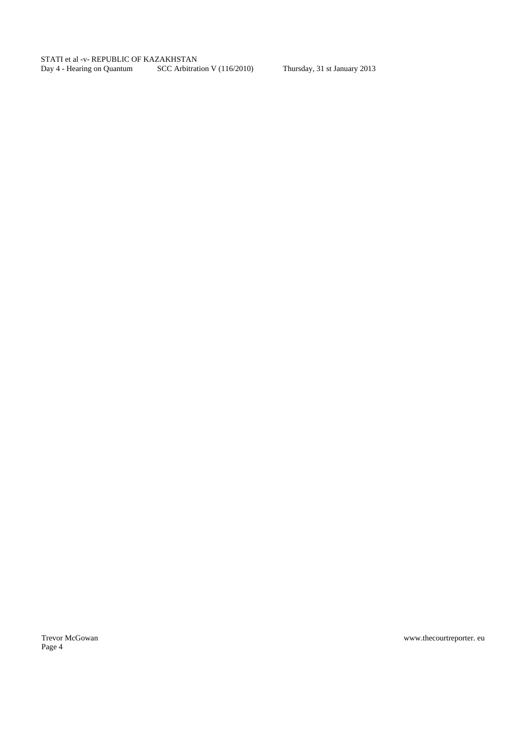Page 4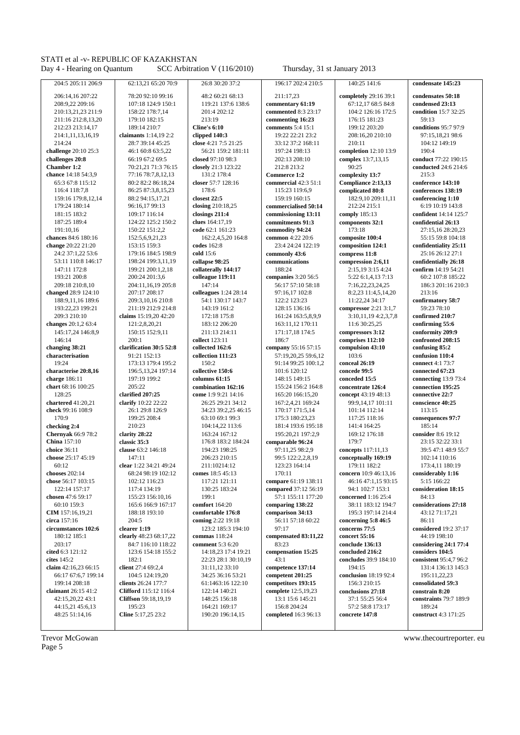**chances** 84:6 180:16 152:5,6,9,21,23 162:2,4,5,20 164:8 **common** 4:22 20:6 **change** 20:22 21:20 153:15 159:3 **changes** 20:1,2 63:4

**claimants** 1:14,19 2:2 **changing 38:21 clarification 30:5 52:8 collected 162:6 company** 55:16 57:15 **compulsion 43:10 confusing 85:2 China 15:3 classic 35:3 comparable 96:24 comparable 96:24 comparable 96:24 comparable 96:24 c** 

204:5 205:11 206:9 62:13,21 65:20 70:9 26:8 30:20 37:2 196:17 202:4 210:5 140:25 141:6 **condensate 145:23 collective 150:6** 101:6 120:12

206:14,16 207:22 78:20 92:10 99:16 48:2 60:21 68:13 211:17,23 **completely** 29:16 39:1 **condensates 50:18**  208:9,22 209:16 107:18 124:9 150:1 119:21 137:6 138:6 **commentary 61:19** 67:12,17 68:5 84:8 **condensed 23:13**  210:13,21,23 211:9 158:22 178:7,14 201:4 202:12 **commented** 8:3 23:17 104:2 126:16 172:5 **condition** 15:7 32:25 211:16 212:8,13,20 179:10 182:15 213:19 **commenting 16:23** 176:15 181:23 59:13 212:23 213:14,17 189:14 210:7 **Cline's 6:10 Cline's 6:10 comments** 5:4 15:1 199:12 203:20 **conditions** 95:7 97:9 **cline 140:3** 19:22 22:21 23:2 20:16,20 210:10 97:15,18.21 98:6 214:24 28:7 39:14 45:25 **close** 4:21 7:5 21:25 33:12 37:2 168:11 210:11 104:12 149:19 **challenge** 20:10 25:3 46:1 60:8 63:5,22 56:21 159:2 181:11 197:24 198:13 **completion** 12:10 13:9 190:4 **challenges 20:8 challenges 20:8 complex** 13:7,13,15 **complex** 13:7,13,15 **complex** 13:7,13,15 **conduct** 77:22 190:15 **complex** 13:7,13,15 **conducted** 24:6 214:6 **Chamber 1:2 Chamber 1:2 Chamber 1:2 conducted** 24:6 214:6 **conducted** 24:6 214:6 **conducted** 24:6 214:6 **conducted** 24:6 214:6 **chance** 14:18 54:3,9 77:16 78:7,8,12,13 131:2 178:4 **Commerce 1:2 complexity 13:7 complexity 13:7 commerce 1:2 complexity 13:7 complexity 13:7 complexity 13:7 commercial** 42:3 51:1 **Compliance 2:13 13** 65:3 67:8 115:12 80:2 82:2 86:18,24 **closer** 57:7 128:16 **commercial** 42:3 51:1 **Compliance 2:13,13 conference 143:10**  116:4 118:7,8 86:25 87:3,8,15,23 178:6 115:23 119:6,9 **complicated 80:8 conferences 138:19**  159:16 179:8,12,14 88:2 94:15,17,21 **closest 22:5** 159:19 160:15 179:24 180:14 96:16,17 99:13 **conferencing 1:10**<br>179:24 180:14 179:24 180:14 179:24 180:14 179:24 180:14 179:24 180:14 179:24 180:14 179:24 179:14 179:24 179 179:24 180:14 96:16,17 99:13 **closing** 210:18,25 **commercialised 50:14** 212:24 215:<br>181:15 183:2 109:17 116:14 **commercialised 50:14 commissioning 13:11 comply** 185:13 187:25 189:4 124:22 125:2 150:2 **clues** 164:17,19 **commitments 91:3 components 32:1 confidential 26:13**  191:10,16 150:22 151:2,2 **code** 62:1 161:23 **commodity 94:24** 173:18 27:15,16 28:20,23<br>**ances** 84:6 180:16 152:5,6,9,21,23 162:2,4,5,20 164:8 **common** 4:22 20:6 **composite 100:4** 55:15 59:8 104:18 24:2 37:1,22 53:6 179:16 184:5 198:9 **cold** 15:6 **commonly 43:6 compress 11:8** 25:16 26:12 27:1 53:11 110:8 146:17 198:24 199:3,11,19 **collapse 98:25 communications compression 2:6,11 confidentially 26:18**  147:11 172:8 199:21 200:1,2,18 **collaterally 144:17** 188:24 2:15,19 3:15 4:24 **confirm** 14:19 54:21<br>193:21 200:8 200:24 201:3.6 **colleague 119:11** companies 3:20 56:5 5:22 6:1.4.13 7:13 60:2 107:8 185:22 193:21 200:8 200:24 201:3,6 **colleague 119:11** companies 3:20 56:5 5:22 6:1,4,13 7:13 60:2 107:8 185:22<br>209:18 210:8 10:8 10:3 201:16 210:3 147:14 56:17 57:10 58:18 7:16 22.23.24.25 186:3 201:16 210:3 209:18 210:8,10 204:11,16,19 205:8 147:14 56:17 57:10 58:18 7:16,22,23,24,25 186:3 201:16 210:3 **changed** 28:9 124:10 207:17 208:17 **colleagues** 1:24 28:14 97:16,17 102:8 8:2,23 11:4,5,14,20 213:16 188:9,11,16 189:6 209:3,10,16 210:8 54:1 130:17 143:7 122:2 123:23 11:22,24 34:17 **confirmatory 58:7**  193:22,23 199:21 211:19 212:9 214:8 143:19 161:2 128:15 136:16 **compressor** 2:21 3:1,7 **compressor** 2:21 3:1,7 **compressor** 2:21 3:1,7 **compressor** 2:21 3:16 **compressor** 2:21 3:1,7 **compressor** 2:21 3:10,11,19 4:2.3.7.8 **claims** 15:19,20 42:20 172:18 175:8 161:24 163:5,8,9,9 3:10,11,19 4:2,3,7,8 **confirmed 210:7 confirmed 210:7** 183:12 206:20 163:11,12 170:11 11:6 30:25.25 **confirming 55:6** 145:17,24 146:8,9 | 150:15 152:9,11 | 211:13 214:11 | 171:17,18 174:5 **compressors 3:12 conformity 209:9** 146:14 200:1 **collect** 123:11 **company 55:16 57:15 <b>comprises 112:10** confronted 208:15 **company 55:16 company 55:16 company 55:16 company 55:16 company 55:16 company 55:16 company 55:16 company 55:16 compu characterisation** 91:21 152:13 **collection 111:23 collection 111:23 confusion 110:4 confusion 110:4 confusion 110:4 confusion 110:4 confusion 110:4 confusion 110:4 confusion 110:4 confusion 110:4 confu** 19:24 173:13 179:4 195:2 150:2<br>
characterise 20:8.16 196:5.13.24 197:14 collective 150:6 101:6 120:12 concede 99:5 connected 67:23 **charge** 186:11 197:19 199:2 **columns 61:15** 148:15 149:15 **conceded 15:5 connecting** 13:9 73:4<br> **complimation 162:16** 155:24 156:2 164:8 **concentrate 126:4 connection 195:25 combination 162:16** 155:24 156:2 164:8 **concentrate 126:4** connection 195:<br>128:25 **connective 22:7** come 1:9 9:21 14:16 165:20 166:15.20 **concent** 43:19 48:13 **connective 22:7** 128:25 **clarified 207:25 come** 1:9 9:21 14:16 **come 1:9 165:20 166:15,20 <b>concept** 43:19 48:13 **chartered** 41:20.21 **clarify** 10:22 22:22 26:25 29:21 34:12 **come 1:9 167:2.4.21 169:24** 99:9.14.17 101:11 **chartered** 41:20,21 **clarify** 10:22 22:22 26:25 29:21 34:12 **check** 99:16 108:9 **check** 99:16 108:9 26:1 29:31 26:07 26:1 29:31 26:07 26:1 29:31 26:07 26:1 29:31 26:07 26:1 26:07 26:1 26:07 26:1 26:1 26:07 26:1 26:05 26:0 **check** 99:16 108:9 26:1 29:8 126:9 34:23 39:2,25 46:15 170:17 171:5,14 101:14 112:14 113:15 170:9 199:25 208:4 63:10 69:1 99:3 175:3 180:23,23 117:25 118:16 **consequences 97:7 checking 2:4** 210:23 104:14,22 113:6 181:4 193:6 195:18 141:4 164:25 185:14<br>**Chernyak** 66:9 78:2 **clarity 28:22** 163:24 167:12 195:20,21 197:2,9 169:12 176:18 **consider** 8:6 19:12 **Chernyak** 66:9 78:2 **clarity 28:22 clarity 28:22** 163:24 167:12 195:20,21 197:2,9 169:12 176:18 **consider** 8:6 19:12 **classic 35:3** 176:8 183:2 184:24 **comparable 96:24** 179:7 23:15 32:22 33:1 **choice** 36:11 **clause** 63:2 146:18 194:23 198:25 97:11,25 98:2,9 **concepts** 117:11,13 39:5 47:1 48:9 55:7 **choose** 25:17 45:19 147:11 147:11 206:23 210:15 99:5 122:2,2,8,19 **conceptually 169:19** 102:14 110:16<br>
60:12 **clear** 1:22 34:21 49:24 11:160:19 173:4 11:180:19 173:4 11:180:19 60:12 **chooses** 202:14 **clear** 1:22 34:21 49:24 **chooses** 202:14 **chooses** 202:14 **c** 179:11 182:2 **chooses** 202:14 **chooses** 202:14 **concern** 10:9 46:13,16 **concern** 10:9 46:13,16 **concerne** 10:9 46:17 103:15 102:12 116:23 117:21 121:11 **compare** 61:19 138:11 **concerne** 1:19 138:11 **concerne** 1:19 138:11 15 93:15 5:15 **compare** 61:19 138:11 122:14 157:17 117:4 134:19 130:25 183:24 **compared** 37:12 56:19 94:1 102:7 153:1 **consideration 18:15 chosen** 47:6 59:17 155:23 156:10,16 199:1 57:1 155:11 177:20 **concerned** 1:16 25:4 84:13 60:10 159:3 165:6 166:9 167:17 **comfort** 164:20 **comparing 138:22** 38:11 183:12 194:7 **considerations 27:18 CIM** 157:16,19,21 188:18 193:10 **comfortable 176:8 comparison 34:13** 195:3 197:14 214:4 43:12<br> **comparison 34:13** 195:3 197:14 214:4 43:12 **coming** 2:22 19:18 **coming** 2:22 19:18 **company** 5:22 **concerning** 5:8 46:5 **circumstances 102:6 clearer 1:19 clearer 1:19 concerns 77:5 clearly** 48:23 68:17,22 **commas** 118:24 **compensated 83:11,22 concert 55:16 considered** 19:2 37:17 compensated 83:11,22 203:17 84:7 116:10 118:22 **comment** 5:3 6:20 83:23 **conclude 136:13** considering 24:1 77:4<br>123:6 154:18 155:2 14:18.23 17:4 19:21 **compensation 15:25** concluded 216:2 **considers** 104:5 **cited** 6:3 121:12 123:6 154:18 155:2 14:18,23 17:4 19:21 **compensation 15:25** cites 145:2 concluded 216:2 **considers 104:5 cites** 145:2 182:1 182:1 22:23 28:1 30:10,19 43:1 **concludes** 39:9 184:10 **consistent** 95:4,7 96:2 **consistent** 95:4,7 96:2 **client** 27:4 69:2,4 **c** 31:11,12 33:10 **competence 137:14** 194:15 66:17 67:6,7 199:14 104:5 124:19,20 34:25 36:16 53:21 **competent 201:25 conclusion** 18:19 92:4 195:11,22,23 199:14 208:18 **clients** 26:24 177:7 61:1463:16 122:10 **competitors 193:15** 156:3 210:15 **consolidated 59:3 claimant** 26:15 41:2 **Clifford** 115:12 116:4 122:14 140:21 **complete** 12:5,19,23 **conclusions 27:18 constrain 8:20**  42:15,20,22 43:1 **Cliffson** 59:18,19,19 148:25 156:18 13:1 15:6 145:21 **37:1 55:25 56:4 constraints** 79:7 189:9<br>44:15 21 45:6 13 156:8 204:24 57:2 58:8 173:1 189:24 44:15,21 45:6,13 | 195:23 | 164:21 169:17 | 156:8 204:24 | 57:2 58:8 173:17 | 189:24 48:25 51:14,16 **Cline** 5:17,25 23:2 190:20 196:14,15 **completed** 16:3 96:13 **concrete 147:8 construct** 4:3 171:25

**composition 124:1 confidentiality 25:11** 

181:15 183:2 109:17 116:14 **closings 211:4 commissioning 13:11 comply** 185:13 **confident** 14:14 125:7

Page 5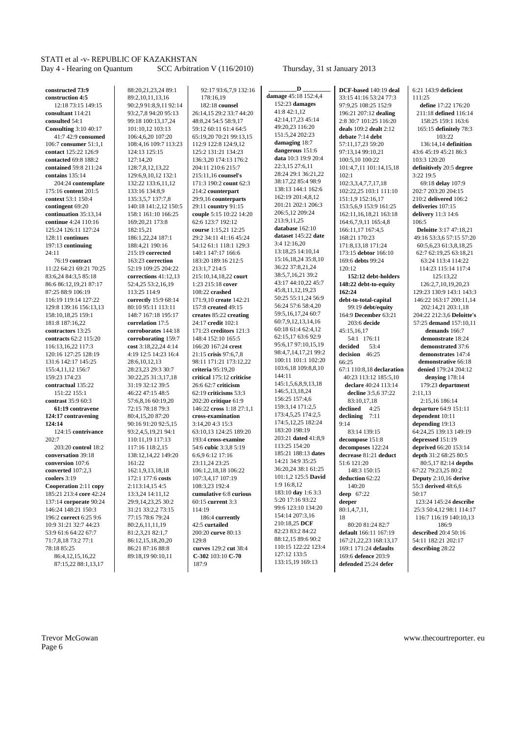**constructed 73:9 construction 4:5**  12:18 73:15 149:15 **consultant** 114:21 **consulted** 54:1 **Consulting** 3:10 40:17 41:7 42:9 **consumed** 106:7 **consumer** 51:1,1 **contact** 125:22 126:9 **contacted** 69:8 188:2 **contained** 59:8 211:24 **contains** 135:14 204:24 **contemplate** 175:16 **content** 201:5 **context** 53:1 150:4 **contingent** 69:20 **continuation** 35:13,14 **continue** 4:24 110:16 125:24 126:11 127:24 128:11 **continues** 197:13 **continuing** 24:11 76:19 **contract** 11:22 64:21 69:21 70:25 83:6,24 84:3,5 85:18 86:6 86:12,19,21 87:17 87:25 88:9 106:19 116:19 119:14 127:22 129:8 139:16 156:13,13 158:10,18,25 159:1 181:8 187:16,22 **contractors** 13:25 **contracts** 62:2 115:20 116:13,16,22 117:3 120:16 127:25 128:19 131:6 142:17 145:25 155:4,11,12 156:7 159:23 174:23 **contractual** 135:22 151:22 155:1 **contrast** 35:9 60:3 **61:19 contravene 124:17 contravening 124:14**  124:15 **contrivance** 202:7 203:20 **control** 18:2 **conversation** 39:18 **conversion** 107:6 **converted** 107:2,3 **coolers** 3:19 **Cooperation** 2:11 **copy** 185:21 213:4 **core** 42:24 137:14 **corporate** 90:24 146:24 148:21 150:3 196:2 **correct** 6:25 9:6 10:9 31:21 32:7 44:23 53:9 61:6 64:22 67:7 71:7,8,18 73:2 77:1 78:18 85:25 86:4,12,15,16,22

88:20,21,23,24 89:1 89:2,10,11,13,16 90:2,9 91:8,9,11 92:14 93:2,7,8 94:20 95:13 99:18 100:13,17,24 101:10,12 103:13 106:4,6,20 107:20 108:4,16 109:7 113:23 124:13 125:15  $127:14.20$ 128:7,8,12,13,22 129:6,9,10,12 132:1 132:22 133:6,11,12 133:16 134:8,9 135:3,5,7 137:7,8 140:18 141:2,12 150:5 158:1 161:10 166:25 169:20,21 173:8  $182.15.21$ 186:1,22,24 187:1 188:4,21 190:16 215:19 **corrected** 163:23 **correction** 52:19 109:25 204:22 **corrections** 41:12,13 52:4,25 53:2,16,19 113:25 114:9 **correctly** 15:9 68:14 80:10 95:11 113:11 148:7 167:18 195:17 **correlation** 17:5 **corroborates** 144:18 **corroborating** 159:7 **cost** 3:18,22,24 4:14 4:19 12:5 14:23 16:4 28:6,10,12,13 28:23,23 29:3 30:7 30:22,25 31:3,17,18 31:19 32:12 39:5 46:22 47:15 48:5 57:6,8,16 60:19,20 72:15 78:18 79:3 80:4,15,20 87:20 90:16 91:20 92:5,15 93:2,4,5,19,21 94:1 110:11,19 117:13 117:16 118:2,15 138:12,14,22 149:20 161:22 162:1,9,13,18,18 172:1 177:6 **costs**  $2.113.14154.5$ 13:3,24 14:11,12 29:9,14,23,25 30:2 31:21 33:2,2 73:15 77:15 78:6 79:24 80:2,6,11,11,19  $81.232182.17$ 86:12,15,18,20,20 86:21 87:16 88:8 89:18,19 90:10,11

92:17 93:6,7,9 132:16 178:16,19 182:18 **counsel** 26:14,15 29:2 33:7 44:20 48:8,24 54:5 58:9,17 59:12 60:11 61:4 64:5 65:19,20 70:21 99:13,15 112:9 122:8 124:9,12 125:2 131:21 134:23 136:3,20 174:13 176:2 204:11 210:6 215:7 215:11,16 **counsel's** 171:3 190:2 **count** 62:3 214:2 **counterpart** 29:9,16 **counterparts** 29:11 **country** 91:15 **couple** 5:15 10:22 14:20 62:6 123:7 192:12 **course** 1:15,21 12:25 29:2 34:11 41:16 45:24 54:12 61:1 118:1 129:3 140:1 147:17 166:6 183:20 189:16 212:5 213:1,7 214:5 215:10,14,18,22 **court** 1:23 215:18 **cover** 108:22 **crashed** 171:9,10 **create** 142:21 157:8 **created** 49:15 **creates** 85:22 **creating** 24:17 **credit** 102:1 171:23 **creditors** 121:3 148:4 152:10 165:5 166:20 167:24 **crest** 21:15 **crisis** 97:6,7,8 98:11 171:21 173:12,22 **criteria** 95:19,20 **critical** 175:12 **criticise** 26:6 62:7 **criticism** 62:19 **criticisms** 53:3 202:20 **critique** 61:9 146:22 **cross** 1:18 27:1,1 **cross-examination**  3:14,20 4:3 15:3 63:10,13 124:25 189:20 193:4 **cross-examine** 54:6 **cubic** 3:3,8 5:19 6:6,9 6:12 17:16 23:11,24 23:25 106:1,2,18,18 106:22 107:3,4,17 107:19 108:3,23 192:4 **cumulative** 6:8 **curious** 60:15 **current** 3:3 114:19 186:4 **currently** 42:5 **curtailed** 200:20 **curve** 80:13  $129.8$ **curves** 129:2 **cut** 38:4 **C-302** 103:10 **C-70** 187:9

 **\_\_\_\_\_\_\_\_\_ D \_\_\_\_\_\_\_\_\_ damage** 45:18 152:4,4 152:23 **damages** 41:8 42:1,12 42:14,17,23 45:14 49:20,23 116:20 151:5,24 202:23 **damaging** 18:7 **dangerous** 151:6 **data** 10:3 19:9 20:4 22:3,15 27:6,11 28:24 29:1 36:21,22 38:17,22 85:4 98:9 138:13 144:1 162:6 162:19 201:4,8,12 201:21 202:1 206:3 206:5,12 209:24 213:9,11,25 **database** 162:10 **dataset** 145:22 **date**  $3:4$  12:16,20 13:18,25 14:10,14 15:16,18,24 35:8,10 36:22 37:8,21,24 38:5,7,16,21 39:2 43:17 44:10,22 45:7 45:8,11,12,19,23 50:25 55:11,24 56:9 56:24 57:6 58:4,20 59:5,16,17,24 60:7 60:7,9,12,13,14,16 60:18 61:4 62:4,12  $62.15,17.63.692.9$ 95:6,17 97:10,15,19 98:4,7,14,17,21 99:2 100:11 101:1 102:20 103:6,18 109:8,8,10 145:1,5,6,8,9,13,18 146:5,13,18,24 156:25 157:4,6 159:3,14 171:2,5 173:4,5,25 174:2,5 174:5,12,25 182:24 183:20 198:19 203:21 **dated** 41:8,9 113:25 154:20 185:21 188:13 **dates** 14:21 34:9 35:25 36:20,24 38:1 61:25 101:1,2 125:5 **David** 1:9 16:8,12 183:10 **day** 1:6 3:3 5:20 17:16 93:22 99:6 123:10 134:20 154:14 207:3,16 210:18,25 **DCF** 82:23 83:2 84:22 88:12,15 89:6 90:2 110:15 122:22 123:4 127:12 133:5 133:15,19 169:13 **DCF-based** 140:19 **deal** 33:15 41:16 53:24 77:3 97:9,25 108:25 152:9 196:21 207:12 **dealing** 2:8 30:7 101:25 116:20 **deals** 109:2 **dealt** 2:12 **debate** 7:14 **debt** 57:11,17,23 59:20 97:13,14 99:10,21 100:5,10 100:22 101:4,7,11 101:14,15,18  $102.1$ 102:3,3,4,7,7,17,18 102:22,25 103:1 111:10 151:1,9 152:16,17 153:5,6,9 153:9 161:25 162:11,16,18,21 163:18 164:6,7,9,11 165:4,8 166:11,17 167:4,5 168:21 170:23 171:8,13,18 171:24 173:15 **debtor** 166:10 169:6 **debts** 99:24  $120:12$ **152:12 debt-holders 148:22 debt-to-equity 162:24 debt-to-total-capital**  99:19 **debt/equity** 164:9 **December** 63:21 203:6 **decide** 45:15,16,17 54:1 176:11 **decided** 53:4 **decision** 46:25 66:25 67:1 110:8,18 **declaration** 40:23 113:12 185:5,10 **declare** 40:24 113:14 **decline** 3:5,6 37:22 83:10,17,18 **declined** 4:25 **declining** 7:11 9:14 83:14 139:15 **decompose** 151:8 **decomposes** 122:24 **decrease** 81:21 **deduct** 51:6 121:20 148:3 150:15 **deduction** 62:22  $140.20$ **deep** 67:22 **deeper** 80:1,4,7,11, 18 80:20 81:24 82:7 **default** 166:11 167:19 167:21,22,23 168:13,17 169:1 171:24 **defaults** 169:6 **defence** 203:9 **defended** 25:24 **defer**

144:11

6:21 143:9 **deficient** 111:25 **define** 17:22 176:20 211:18 **defined** 116:14 158:25 159:1 163:6 165:15 **definitely** 78:3 103:22 136:14,14 **definition** 43:6 45:19 45:21 86:3 103:3 120:20 **definitively** 20:5 **degree**  $3.2219.5$ 69:18 **delay** 107:9 202:7 203:20 204:15 210:2 **delivered** 106:2 **deliveries** 107:15 **delivery** 11:3 14:6 106:5 **Deloitte** 3:17 47:18,21 49:16 53:3,6 57:15 57:20 60:5,6,23 61:3,8,18,25 62:7 62:19,25 63:18,21 63:24 113:4 114:22 114:23 115:14 117:4 125:13,22 126:2,7,10,19,20,23 129:23 130:9 143:1 143:3 146:22 163:17 200:11,14 202:14,21 203:1,18 204:22 212:3,6 **Deloitte's** 57:25 **demand** 157:10,11 **demands** 166:7 **demonstrate** 18:24 **demonstrated** 37:6 **demonstrates** 147:4 **demonstrative** 66:18 **denied** 179:24 204:12 **denying** 178:14 179:23 **department** 2:11,13 2:15,16 186:14 **departure** 64:9 151:11 **dependent** 10:11 **depending** 19:13 64:24,25 139:13 149:19 **depressed** 151:19 **deprived** 66:20 153:14 **depth** 31:2 68:25 80:5 80:5,17 82:14 **depths** 67:22 79:23,25 80:2 **Deputy** 2:10,16 **derive** 55:3 **derived** 48:6,6 50:17 123:24 145:24 **describe** 25:3 50:4,12 98:1 114:17 116:7 116:19 140:10,13 186:9 **described** 20:4 50:16 54:11 182:21 202:17

Page 6

87:15,22 88:1,13,17

Trevor McGowan www.thecourtreporter. eu

**describing** 28:22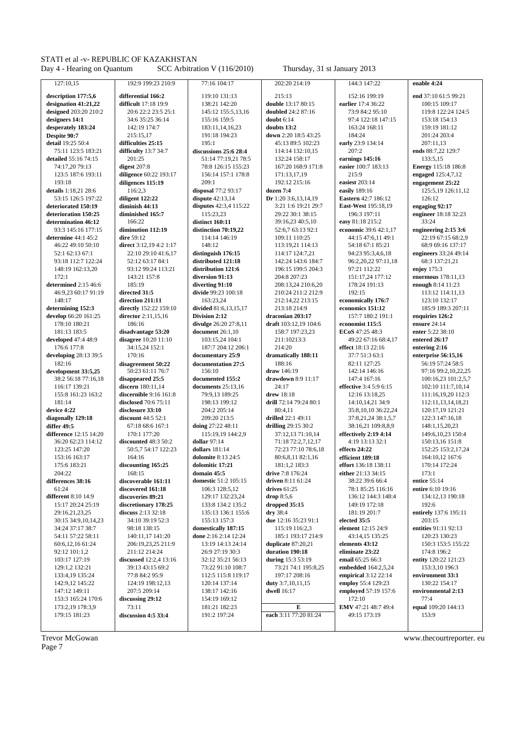desperately 183:24 142:19 174:7 183:11,14,16,23 **doubts 13:2** 163:24 168:11 159:19 181:12<br>Despite 90:7 215:15,17 191:18 194:23 **down** 2:20 18:5 43:25 184:24 203:4 **Despite 90:7** 215:15,17 191:18 194:23 **down** 2:20 18:5 43:25 184:24 **difficulties 25:15** 195:1 197:20 18:5 43:25 **down** 2:20 18:5 43:25 **difficulties 25:15 detailed** 55:16 74:15 201:25 **digest** 207:8 51:14 77:19,21 78:5 132:24 158:17 **earnings 145:16** 133:5,15<br>78:8 126:15 155:23 167:20 168:9 171:8 **easier** 100:7 183:13 **Energy** 115: **deteriorated 150:19** diminish 44:13 disputes 42:3,4 115:22 3:21 1:6 19:21 29:7 **East-West** 195:1<br>diminished 165:7 115:23.23 29:22 30:1 38:15 196:3 197:11 **determine** 44:1 45:2 **determined** 2:15 46:6 185:19 **diverting 91:10** 208:13,24 210:6,20 178:24 191:13 **enough** 8:14 11:23<br>46:9.23 60:17 91:19 **directed 31:5 divide** 99:23 100:18 210:24 211:2 212:9 192:15 113:12 114:11.13 **director** 2:11,15,16 **director** 2:11,15,16 **director** 2:11,15,16 **director** 2:12 **director** 2:12 **director** 2:12 **director director director director director director director director director director disagree** 10:20 11:10 103:15,24 104:1 211:10213:3 17:66 177:8 11:5,24 152:1 21:10213:3 49:22 67:16 68:4,17 **entered 26:17** developing 28:13 39:5 170:16 **documentary 25:9** dramatically 188:11 37:7 51:3 63:1 enterprise 56:15,16 differ 49:5 **differ 49:5 67:18 68:6 167:1 doing** 27:22 48:11 **drilling** 29:15 30:2 **difference** 12:15 14:20 170:1 177:20 115:19,19 144:2,9 115:19,19 144:2,9 37:12,13 71:10,14 **effectively 2:19 4:14** 149:6,10,23 150:4 **differences 38:16 discoverable 161:11 domestic** 51:2 105:15 **driven** 8:11 61:24 38:22 39:6 66:4 **entice** 55:14 **entice** 55:14 **discovered 161:18** 106:3 128:5 12

127:10,15 192:9 199:23 210:9 77:16 104:17 202:20 214:19 144:3 147:22 **enable 4:24** 

**description 177:5,6** differential 166:2 119:10 131:13 13:13 152:16 199:19 **end** 37:10 61:5 99:21 16:5 109:17 **end** 37:10 61:5 109:17 **designation 41:21,22** difficult 17:18 19:9 138:21 142:20 **double** 13:17 80:15 **earlier** 17:4 36:22 100:15 109:17 **designed** 203:20 210:2 20:6 22:2 23:5 25:1 145:12 155:5,13,16 **doubled** 24:2 87:16 73:9 84:2 95:10 119:8 122:24 124:5 **designers 14:1 15**3:18 154:13 **doubt** 6:14 **doubt** 6:14 **doubt** 6:14 **doubt** 6:14 **doubt** 6:14 **doubt** 6:14 **doubt** 6:14 **doubt** 6:14 **doubt** 97:4 122:18 147:15 **doubt detail** 19:25 50:4 **difficulties 25:15** 195:1 45:13 89:5 102:23 **early** 23:9 134:14 207:11,13 75:11 123:5 183:21 **difficulty** 13:7 34:7 **discussions 25:6 28:4** 114:14 132:10,15 207:2 **ends** 88:7,22 129:7 74:17,20 79:13 **digest** 207:8 78:8 126:15 155:23 167:20 168:9 171:8 **easier** 100:7 183:13 **Energy** 115:18 186:8 diligence 60:22 193:17 156:14 157:1 178:8 171:13,17,19 209:1 215:9 **engaged** 125:4,7,12<br>diligences **115:19** 209:1 192:12 215:16 **ensites 203:14** engagement 25:22 193:18 **diligences 115:19** 209:1 192:12 215:16 **easiest** 203:14 **engagement 25:22 details** 1:18,21 28:6 116:2,3 **disposal** 77:2 93:17 **dozen 7:4 easily** 189:16 125:5,19 126:11,12<br>53:15 126:5 197:22 **diligent 122:22 dispute** 42:13.14 **Dr** 1:20 3:6.13.14.19 **Eastern** 42:7 186:12 126:12 53:15 126:5 197:22 **diligent 122:22 dispute** 42:13,14 **Dr** 1:20 3:6,13,14,19 **Eastern** 42:7 186:12 126:12 **distinct 160:11**<br>**distinct 160:11** 29:16.23 40:5 10<br>**distinct 160:11** 29:16.23 40:5 10<br>**engineer** 18:18 32:23 **determination 46:12** 166:22 **distinct 160:11** 39:16,23 40:5,10 **easy** 81:18 215:2 33:24 93:3 145:16 177:15 **diminution 112:19 distinction 70:19,22 direction 70:19,22 economic** 39:6 42:1,17 **engineering 2:15 3:6 direction 70:19 14:14 146:19 expirition 70:17 expirition 70:17 expirition 70:17 exp** 46:22 49:10 50:10 **direct** 3:12,19 4:2 1:17 148:12 113:19,21 114:13 54:18 67:1 85:21 68:9 69:16 137:17 52:1 62:13 67:1 22:10 29:10 41:6,17 **distinguish 176:15** 114:17 124:7,21 94:23 95:3,4,6,18 **engineers** 33:24 49:14 93:18 112:7 122:24 52:12 63:17 84:1 **distributed 121:18** 142:24 143:6 184:7 96:2,20,22 97:11,18 68:3 137:21,21 148:19 162:13,20 93:12 99:24 113:21 **distribution 121:6** 196:15 199:5 204:3 97:21 112:22 **enjoy** 175:3 172:1 143:21 157:8 **diversion 91:13** 160 204:8 207:23 151:17,24 177:12 **enormous** 178:11,13<br> **diverting 91:10** 208:13.24 210:6.20 178:24 191:13 **enough** 8:14 11:23 directed 31:5 **divide** 99:23 100:18 210:24 211:2 212:9 192:15<br>direction 211:11 163:23 24 212:14 22 213:15 **conomically** 176:7 148:17 **direction 211:11** 163:23,24 212:14,22 213:15 **economically 176:7** 123:10 132:17 **determining 152:3** directly 152:22 159:10 **divided** 81:6,13,15,17 213:18 214:9 **economics 151:12** 185:9 189:3 207:11 **director** 2:11,15,16 **bivision 2:12 direction** 2:12 **direction** 2:12 **direction** 2:12 **direction** 2:1 178:10 180:21 186:16 **divulge** 26:20 27:8,11 **draft** 103:12,19 104:6 **economist 115:5 ensure** 24:14 181:13 183:5 **disadvantage 53:20 document** 26:1,10 158:7 197:23,23 **ECoS** 47:25 48:3 **enter** 5:22 38:10 176:6 177:8 34:15,24 152:1 187:7 204:12 206:1 214:20 **effect** 18:13 22:16 **entering 2:16**  182:16 **disagreement 50:22 documentation 27:5** 188:16 82:11 127:25 56:19 57:24 58:5 38:2 56:18 77:16,18 **disappeared 25:5 documented 155:2 disappeared 25:5 discern** 180:11,14 **documents** 25:13,16 **discernited 155:2 discernited 155:2 discernited 155:2 discernited 155:2 discernited 155:2 dis** 116:17 139:21 **discern** 180:11,14 **documents** 25:13,16 **discernible** 9:16 161:18 **discernible** 9:16 161:18 **discernible** 9:16 161:18 **discernible** 9:16 161:18 **discernible** 9:16 161:18 **discernible** 9:16 161:18 **discernibl** 155:8 161:23 163:2 **discernible** 9:16 161:8 79:9,13 189:25 **drew** 18:18 12:16 13:18,25 **disclosed** 70:6 75:11 18:19 13:19:12 14:10,14,21 34:9 112:11,13,14,18,21 drill 72:14 79:24 80:1 **device 4:22 disclosure 33:10 disclosure 33:10 20**4:2 205:14 **80:4,11 135:8,10,10 36:22,24** 120:17,19 121:21 **diagonally 129:18 discount** 44:5 52:1 **c** 209:20 213:5 **drilled** 22:1 49:11 **37:8,21,24 38:1,5,7** 122:3 147:16,18 **difference** 12:15 14:20 170:1 177:20 115:19,19 144:2,9 37:12,13 71:10,14 **effectively 2:19 4:14 discounted** 48:3 50:2 **difference** 12:15 14:12 **discounted** 48:3 50:2 36:20 62:23 114:12 **discounted** 48:3 50:2 **dollar** 97:14 71:18 72:2,7,12,17 4:19 13:13 32:1 150:13,16 151:8 132:2 73:14:17 160:13,16 151:8 **dollars** 181:14 72:27,12,17 **dollars** 181:14 152:25 153:2 17 123:25 147:20 50:5,7 54:17 122:23 **dollars** 181:14 72:23 77:10 78:6,18 **effects 24:22** 152:25 153:2,17,24 153:16 163:17 164:16 **dolomite** 8:13 24:5 80:6,8,11 82:1,16 **efficient 189:18** 164:10,12 167:6 175:6 183:21 **discounting 165:25 dolomitic 17:21 domain 45:5 effort** 136:18 138:11 170:14 172:24 **effort** 136:18 138:11 170:14 172:24 **effort** 136:18 138:11 170:14 172:24 204:22 168:15 **domain 45:5 drive** 7:8 176:24 **either** 21:13 34:15 173:1 61:24 **discovered 161:18** 106:3 128:5,12 **drives** 61:25 78:1 85:25 116:16 **entire** 6:10 19:16 **different** 8:10 14:9 **discoveries 89:21** 129:17 132:23,24 **drop** 8:5,6 136:12 144:3 148:4 134:12,13 190:18 15:17 20:24 25:19 **discretionary 178:25** 133:8 134:2 135:2 **dropped 35:15** 149:19 172:18 **discuss** 2:13 32:18 135:13 136:1 155:6 **drv** 38:4 181:19 201:7 **entirely** 1 29:16,21,23,25 **discuss** 2:13 32:18 135:13 136:1 155:6 **dry** 38:4 181:19 201:7 **entirely** 137:6 195:11 30:15 34:9.10.14.23 34:10 39:19 52:3 155:13 157:3 due 12:16 35:23 91:1 34:24 37:17 38:7 98:18 138:15 **domestically 187:15** 115:19 116:2,3 **element** 12:15 24:9 **entities** 91:11 92:13 54:11 57:22 58:11 140:11,17 141:20 **done** 2:16 2:14 12:24 185:1 193:17 214:9 43:14,15 135:25 120:23 130:23 60:6,12,16 61:24 206:19,23,25 211:9 13:19 14:13 24:14 **duplicate** 87:20,21 **elements 43:12** 150:3 153:5 155:22 92:12 101:1,2 211:12 214:24 26:9 27:19 30:3 **duration 190:18 eliminate 23:22** 174:8 196:2 103:17 127:19 **discussed** 12:2,4 13:16 32:12 35:21 56:13 **during** 15:3 53:19 **email** 65:25 66:3 **entity** 120:22 121:23 129:1,2 132:21 39:13 43:15 69:2 73:22 91:10 108:7 73:21 74:1 195:8,25 **embedded** 164:2,5,24 153:3,10 196:3 133:4,19 135:24 77:8 84:2 95:9 112:5 115:8 119:17 197:17 208:16 **empirical** 3:12 22:14 **environment 33:1**<br>142:9.12 145:22 124:19 198:12.13 120:14 137:14 **duty** 3:7.10.11.15 **employ** 55:4 129:23 130:22 154:17 142:9,12 145:22 124:19 124:19 198:12,13 120:14 137:14 **duty** 3:7,10,11,15 **employ** 55:4 129:23<br>147:12 149:11 207:5 209:14 138:17 142:16 **dwell** 16:17 **employed** 57:19 157 147:12 149:11 207:5 209:14 138:17 142:16 **dwell** 16:17 **employed** 57:19 157:6 **environmental 2:13**  153:3 165:24 170:6 **discussing 29:12** 154:19 169:12 172:10 77:4 173:2,19 178:3,9 73:11 181:21 182:23 **E EMV** 47:21 48:7 49:4 **equal** 109:20 144:13<br>179:15 181:23 **discussion 4:5 33:4** 191:2 197:24 **each** 3:11 77:20 81:24 49:15 173:19 153:9 179:15 181:23 **discussion 4:5 33:4** 191:2 197:24 **each** 3:11 77:20 81:24 49:15 173:19 153:9

**development 33:5,25 | 50:23 61:11 76:7 | 156:10 <b>draw** 146:19 | 142:14 146:16 97:16 99:2,10,22,25

Page 7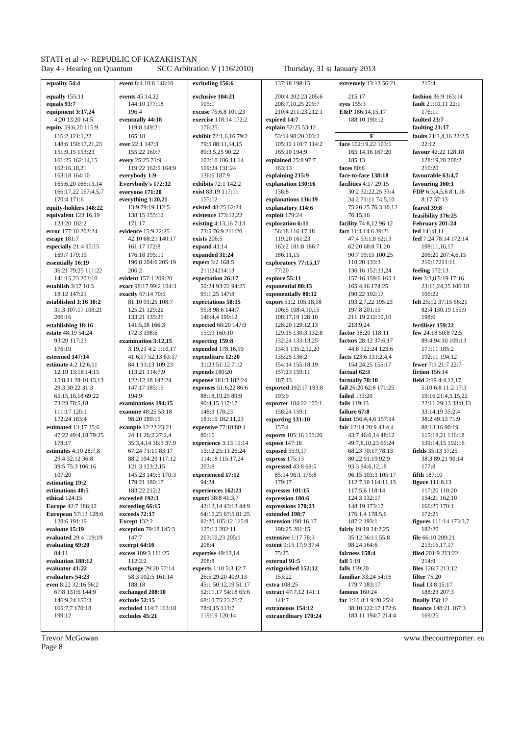equality 54:4 equally 155:11 equals 93:7 equipment 3:17,24 4:20 13:20 14:5 equity 59:6.20 115:9 116:2 121:1.22 148:6 150:17 21 23  $151.915153.23$  $161.25$   $162.14$  15  $162.161821$  $163.18$   $164.10$ 165:6,20 166:13,14 166:17.22 167:4.5.7  $170.4171.6$ equity-holders 148:22 equivalent 123:16,19 123:20 182:2 error 177.10 202.24 escape 181:7 especially 21:4 95:15 169:7 179:15 essentially 16:19 36:21 79:25 111:22  $141.1523203.10$ establish  $3:17,10:3$  $18.12.147.21$ established 3:16 30:2 31:3 107:17 108:21  $206.16$ establishing 18:16 estate 48:19 54:24 93:20 117:23  $176.19$ esteemed 147.14 estimate  $4.2$  12.6 11 12:19 13:18 14:15  $15:8$  11 28:10 13 13 29:3 30:22 31:3 65:15.16.18 69:22  $73.2378.518$ 111:17 120:1 172:24 183:4 estimated  $13:17.35:6$ 47:22 49:4.18 79:25 178:17 estimates 4:10 28:7.8 29:4 32:12 36:8  $30.575310616$  $107.20$ estimating 19:2 estimations 48:5 ethical 124:15 Europe 42:7 186:12 European 57:13 128:6  $128:6191:19$ evaluate 15:19 evaluated  $29.4119.19$ evaluating 69:20  $84.11$ evaluation 188:12 evaluator 41:22 evaluators 54:23 even 8:22 32:16 56:2  $67.8131.6144.9$ 146:9.24 155:3  $165.77170.18$ 

event 8:4 18:8 146:10 events  $45.1422$  $144.10$   $177.18$  $196.4$ eventually 44:18 119:8 149:21  $165.18$ ever  $22 \cdot 1147 \cdot 3$  $155.22.160.7$ every  $25.25.71.9$ 119:22 162:5 164:9 everybody 1:9 Everybody's 172:12 everyone 171:20 everything 1:20.21  $13.979.19112.5$  $138.15$   $155.12$  $171:17$ evidence 15:9 22:25  $42:1068:21140:17$  $161.17172.8$ 176:18 195:11  $196.8204.6205.19$  $206.2$  $evident 157:1 209:20$ exact  $98.1799.2104.3$ exactly 67:14 70:6  $81 \cdot 1091 \cdot 25108 \cdot 7$ 125:21 129:22  $133.21$   $135.25$ 141:5.18 166:3 172:3 198:6 examination 3:12,15  $3:19.21$  4:2  $1:10.17$  $41.6$  17 52.13 63.17  $84.1$  93.13 109.23 113:21 114:7,9  $122.12$  18  $142.24$ 147:17 185:19  $194.9$ examinations 194:15 examine 48:25 53:18 98:20 189:15 example 12:22 23:21 24:11 26:2 27:2.4 35:3,4,14 36:3 37:9 67:24 71:11 83:17 88:2 104:20 117:12  $121.3123.215$ 145:23 149:5 170:3  $179.21$   $180.17$  $183.22212.2$ exceeded 192:3 exceeding 66:15 exceeds 72:17 Except 132:2 exception 79:18 145:3  $147.7$ excerpt 64:16 excess 109:3 111:25  $112.22$ exchange 29:20 57:14 58:3 102:5 161:14  $188.18$ exchanged 208:10 exclude  $52:15$ excluded  $114.7163.10$ excludes 45:21

excluding 156:6 exclusive 104.21  $105.1$ excuse 75.6 8 101.23 exercise 118:14 172:2 176:25 exhibit 72:1.6.16 79:2 79.5 88.11 14 15  $89.352590.22$ 103:10 106:11.14  $109.24$   $131.24$  $136.6187.9$ exhibits 72:1 142:2 exist 83:19 117:11  $155.12$ evicted  $48.2562.24$ existence 173:12,22 existing 4:13,167:13  $73.5769211.20$ exists  $206:5$ expand 43:14 expanded 31:24 expect 3:2 168:5 211:24214:13 expectation  $26.17$  $50.2493.2294.25$  $95.125147.8$ expectations 58:15 .<br>95:8 98:6 144:7  $146.44190.12$ expected 68:20 147:9  $159.9160.10$ expecting 159:8 expended 178:16.19 expenditure 12:20  $31.2351.1271.2$ expends 180:20 expense 181:3 182:24 expenses 51:6.22 86:6 88:18.19.25 89:9 90:4,15 117:17 148:3 178:23 181:19 182:11,23 expensive 77:18 80:1  $80.16$ experience 3:13 11:14 13:12 25:11 26:24  $114.18$   $115.17$   $24$  $203.8$ experienced 17:12  $Q_{A} \cdot 2A$ experiences 162:21 expert 38:8 41:3.7 42:12.14 43:13 44:9  $64.152567.581.25$ 82:20 105:12 115:8 125:13 202:11  $203:10.23.205:1$  $208.4$ expertise 49:13,14  $208.8$ experts 1:10 5:3 12:7 26:5 29:20 40:9.13  $45.150.121951.17$  $52.11$  17  $54.18$  65.6 68:10 75:23 76:7  $78.915113.7$ 119:19 120:14

200:4 202:23 205:6  $208.71025209.7$ 210:4 211:23 212:1 expired 14:7 explain 52:25 53:12  $53.1498.20103.2$  $105.12$   $110.7$   $114.2$  $165.10194.9$ explained  $25.897.7$  $163.13$ explaining 215:9 explanation 130:16  $138.8$ evnlanations 136.10 explanatory 114:6 exploit 179:24 exploration 6:11 56.18 116.17 18  $119.20161.23$  $163.2$   $181.8$   $186.7$ 186:11.15 exploratory 77:15,17 77:20 evnlore  $55.11$ exponential 80:13 exponentially 80:12 export 51:2 105:18,18 106:5 108:4.10.15  $108.1719128.10$  $128.20129.1213$ 129:15 130:3 132:8 132:24 133:13,25  $134.1135.212.20$  $135.25136.2$  $154.14$   $155.18$  19  $157.13159.11$  $187.13$ exported 192:17 193:8  $193.9$ exporter 104:22 105:1 158:24 159:1 exporting 131:10  $157.4$ exports  $105:16$  155.20 expose 147:18 exposed 55:9,17 express  $175:13$ expressed 43:8 68:5 85:14 96:1 175:8  $179.17$ expresses 101:15 expression 180:6 expressions 170:23 extended 198:7 extension 198:16,17 198:25 201:15 extensive  $1.17.78.3$ extent 9:15 17:9 37:4  $75.25$ external 91:5 extinguished 152:12  $153:22$ extra 108:25 extract 47.7 12 141.1  $141.7$ extraneous 154:12 extraordinary 170:24

Thursday, 31 st January 2013

extremely 13:13 56:21

 $215.17$ 

215:4

137:18 198:15

 $e$ ves 155.3 E&P 186.14 15 17 188:10 190:12  $\overline{F}$ face 102:19 22 103:1  $165.14$  16  $167.20$  $185.13$ faces  $80.6$ face-to-face 138:18 facilities 4:17 29:15 30:2 32:22.25 33:4  $34.271.1174.510$  $75:202576:31012$  $76.15.16$ facility 74:8.12 96:12 fact 11.4 14.6 39.21  $47.453.1862.13$  $62.2068.871.20$ 90:7 99:15 100:25  $110.20$  133.3 136:16 152:23,24  $157.16$   $159.6$   $165.1$  $165.416174.25$ 190:22 192:17  $193.2722195.23$ 197:8 201:15  $211.19212.1010$  $213.924$ factor 38:20 118:11 factors 28:12 37:6.17 44:8 122:24 123:6 facts 123.6 131.2 4 4  $154.2425155.17$ factual 62:3 factually 70:10 fail 26:20 62:8 171:25 failed  $133.20$ fails 119:13 failure 67:8 faint 156:4,4,6 157:14 fair 12:14 20:9 43:4 4  $43.74661448.12$ 49:7,8,10,23 66:24 68:23 70:17 78:13 80:22 91:19 92:9  $93.394.61218$ 96:15 103:3 105:17 112:7,10 114:11,13 117:5.6 118:14  $124.3132.17$ 148:19 173:17  $176.14178.56$ 187:2 193:1 fairly 19:19 24:2.25  $35.1236.1155.8$  $98.24164.6$ fairness 158:4 fall  $5.19$ falls 139:20 familiar 33:24 54:16  $179.7183.17$ famous  $160.24$ far 1:16 8:1 9:20 25:4  $38.10122.17172.6$ 183:11 194:7 214:4

fashion  $36.9163.14$ fault  $21:10$  11  $22:1$  $176:11$ faulted 23:7 faulting 21:17 faults 21:3,4,16 22:2,5  $22.12$ favour 42:22 128:18 128:19.20 208:2  $210-20$ favourable 63:4,7 favouring 160:1 FDP 6:3.4.5.6 8:1.16  $8.1737.13$ feared 39:8 feasibility 176:25 February 201:24 fed 141.8 11 feel 7.24 78.14 172.14  $198.111617$ 206:20 207:4.6.15  $210:17211:11$ feeling 172:13 feet  $3.3.85.1917.16$ 23:11.24.25 106:18  $106:22$ felt 25:12.37:15.66:21 82:4 130:19 155:9  $198.6$ fertiliser  $159.22$ few 24:18 50:8 72:5 89:4 94:10 109:13 171:11 185:2  $192.11194.12$ fewer 7.1 21.7 22.7 fiction 156:14 field 2:19 4:4 12 17 5:10 6:8 11:2 17:3 19:16 21:4.5.15.22 22:11 29:13 33:8,13 33:14,19 35:2,4 38:2 49:13 71:9  $88.131690.19$ 115:18.21 116:18 139:14,15 192:16 fields 35:13 37:25 38:3 89:21 90:14  $177.8$ fifth 187:10 figure 111:8,13 117:20 118:20 154:21 162:10 166:25 170:1  $172.25$ figures 111:14 173:3,7 182:20  $file 66:10 209:21$  $213.161717$ filed 201:9 213:22  $214.9$ files 126:7 213:12 filter  $75:20$ final 13:8 15:17  $188.23207.3$ finally  $158:12$ finance 148:21 167:3 169:25

**Trevor McGowan** Page 8

 $199:12$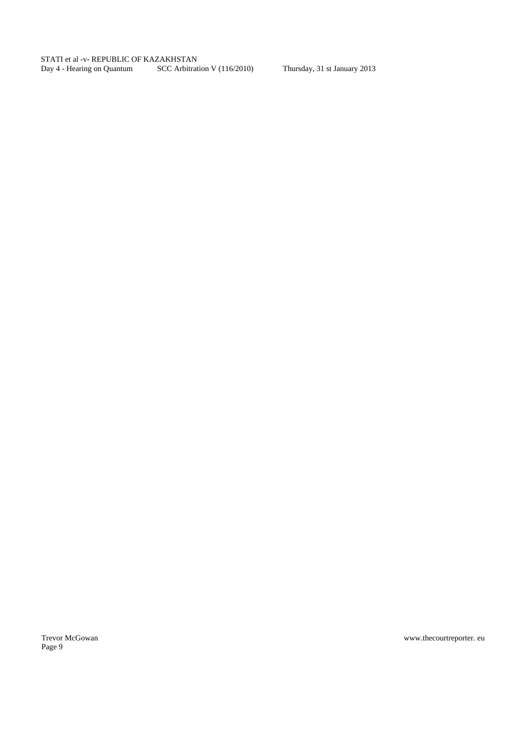Page 9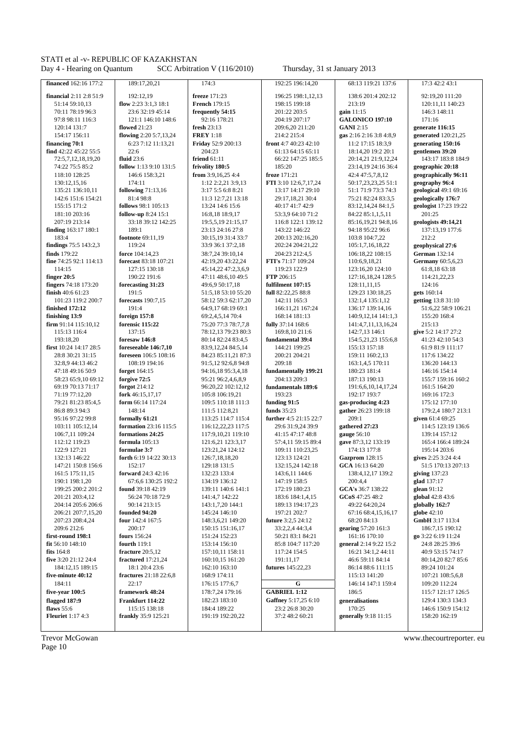Thursday, 31 st January 2013

| financed 162:16 177:2                    | 189:17,20,21                    | 174:3                                    | 192:25 196:14,20                    | 68:13 119:21 137:6                       | 17:3 42:2 43:1                              |
|------------------------------------------|---------------------------------|------------------------------------------|-------------------------------------|------------------------------------------|---------------------------------------------|
|                                          |                                 |                                          |                                     |                                          |                                             |
| <b>financial</b> 2:11 2:8 51:9           | 192:12,19                       | freeze 171:23                            | 196:25 198:1,12,13                  | 138:6 201:4 202:12                       | 92:19,20 111:20                             |
| 51:14 59:10.13                           | flow 2:23 3:1,3 18:1            | <b>French 179:15</b>                     | 198:15 199:18                       | 213:19                                   | 120:11,11 140:23                            |
| 70:11 78:19 96:3                         | 23:6 32:19 45:14                | frequently 54:15                         | 201:22 203:5                        | gain 11:15                               | 146:3 148:11                                |
| 97:8 98:11 116:3                         | 121:1 146:10 148:6              | 92:16 178:21                             | 204:19 207:17                       | <b>GALONICO 197:10</b>                   | 171:16                                      |
| 120:14 131:7                             | flowed 21:23                    | fresh $23:13$                            | 209:6,20 211:20                     | <b>GANI 2:15</b>                         | generate 116:15                             |
| 154:17 156:11                            | flowing 2:20 5:7,13,24          | <b>FREY</b> 1:18                         | 214:2 215:4                         | gas 2:16 2:16 3:8 4:8,9                  | generated 120:21,25                         |
| financing 70:1                           | 6:23 7:12 11:13,21              | Friday 52:9 200:13                       | front 4:7 40:23 42:10               | 11:2 17:15 18:3,9                        | generating 150:16                           |
| find 42:22 45:22 55:5                    | 22:6                            | 204:23                                   | 61:13 64:15 65:11                   | 18:14,20 19:2 20:1                       | gentlemen 39:20                             |
| 72:5,7,12,18,19,20                       | <b>fluid</b> 23:6               | friend $61:11$                           | 66:22 147:25 185:5                  | 20:14,21 21:9,12,24                      | 143:17 183:8 184:9                          |
| 74:22 75:5 85:2                          | follow 1:13 9:10 131:5          | frivolity 180:5                          | 185:20                              | 23:14,19 24:16 36:4                      | geographic 20:18                            |
| 118:10 128:25                            | 146:6 158:3.21                  | from 3:9,16,25 4:4                       | froze 171:21                        | 42:4 47:5,7,8,12                         | geographically 96:11                        |
| 130:12,15,16                             | 174:11                          | $1:12$ $2:2,21$ $3:9,13$                 | FTI 3:10 12:6,7,17,24               | 50:17,23,23,25 51:1                      | geography 96:4                              |
| 135:21 136:10,11                         | following 71:13,16<br>81:4 98:8 | 3:17 5:5 6:8 8:21                        | 13:17 14:17 29:10                   | 51:1 71:9 73:3 74:3                      | geological 49:1 69:16<br>geologically 176:7 |
| 142:6 151:6 154:21<br>155:15 171:2       | follows 98:1 105:13             | 11:3 12:7,21 13:18<br>13:24 14:6 15:6    | 29:17,18,21 30:4<br>40:17 41:7 42:9 | 75:21 82:24 83:3,5<br>83:12,14,24 84:1,5 | geologist 17:23 19:22                       |
| 181:10 203:16                            | follow-up 8:24 15:1             | 16:8,18 18:9,17                          | 53:3,9 64:10 71:2                   | 84:22 85:1,1,5,11                        | 201:25                                      |
| 207:19 213:14                            | 33:18 39:12 142:25              | 19:5,5,19 21:15,17                       | 116:8 122:1 139:12                  | 85:16,19,21 94:8,16                      | geologists 49:14,21                         |
| finding 163:17 180:1                     | 189:1                           | 23:13 24:16 27:8                         | 143:22 146:22                       | 94:18 95:22 96:6                         | 137:13,19 177:6                             |
| 183:4                                    | footnote 69:11,19               | 30:15,19 31:4 33:7                       | 200:13 202:16,20                    | 103:8 104:7,22                           | 212:2                                       |
| findings 75:5 143:2,3                    | 119:24                          | 33:9 36:1 37:2,18                        | 202:24 204:21,22                    | 105:1,7,16,18,22                         | geophysical 27:6                            |
| finds 179:22                             | force 104:14,23                 | 38:7,24 39:10,14                         | 204:23 212:4,5                      | 106:18,22 108:15                         | <b>German</b> 132:14                        |
| fine 74:25 92:1 114:13                   | forecast 83:18 107:21           | 42:19,20 43:22,24                        | FTI's 71:17 109:24                  | 110:6,9,18,21                            | <b>Germany</b> 60:5,6,23                    |
| 114:15                                   | 127:15 130:18                   | 45:14,22 47:2,3,6,9                      | 119:23 122:9                        | 123:16,20 124:10                         | 61:8,18 63:18                               |
| finger 20:5                              | 190:22 191:6                    | 47:11 48:6,10 49:5                       | FTP 206:15                          | 127:16,18,24 128:5                       | 114:21,22,23                                |
| fingers 74:18 173:20                     | forecasting 31:23               | 49:6,9 50:17,18                          | fulfilment 107:15                   | 128:11,11,15                             | 124:16                                      |
| finish $40:661:23$                       | 191:5                           | 51:5,18 53:10 55:20                      | full 82:22,25 88:8                  | 129:23 130:18,25                         | gets 160:14                                 |
| 101:23 119:2 200:7                       | forecasts 190:7,15              | 58:12 59:3 62:17,20                      | 142:11 165:3                        | 132:1,4 135:1,12                         | getting 13:8 31:10                          |
| finished 172:12                          | 191:4                           | 64:9,17 68:19 69:1                       | 166:11,21 167:24                    | 136:17 139:14,16                         | 51:6,22 58:9 106:21                         |
| finishing 13:9                           | foreign 157:8                   | 69:2,4,5,14 70:4                         | 168:14 181:13                       | 140:9,12,14 141:1,3                      | 155:20 168:4                                |
| firm 91:14 115:10,12                     | forensic 115:22                 | 75:20 77:3 78:7,7,8                      | fully 37:14 168:6                   | 141:4,7,11,13,16,24                      | 215:13                                      |
| 115:13 116:4                             | 137:15                          | 78:12,13 79:23 80:3                      | 169:8,10 211:6                      | 142:7,13 146:1                           | give 5:2 14:17 27:2                         |
| 193:18,20                                | foresaw 146:8                   | 80:14 82:24 83:4,5                       | fundamental 39:4                    | 154:5,21,23 155:6,8                      | 41:23 42:10 54:3                            |
| first 10:24 14:17 28:5                   | foreseeable 146:7,10            | 83:9,12,24 84:5,14                       | 144:21 199:25                       | 155:13 157:18                            | 61:9 81:9 111:17                            |
| 28:8 30:21 31:15                         | foreseen 106:5 108:16           | 84:23 85:11,21 87:3                      | 200:21 204:21                       | 159:11 160:2,13                          | 117:6 134:22                                |
| 32:8,9 44:13 46:2<br>47:18 49:16 50:9    | 108:19 194:16                   | 91:5,12 92:6,8 94:8                      | 209:18                              | 163:1,4,5 170:11                         | 136:20 144:13<br>146:16 154:14              |
|                                          | forget 164:15                   | 94:16,18 95:3,4,18                       | fundamentally 199:21                | 180:23 181:4                             |                                             |
| 58:23 65:9,10 69:12<br>69:19 70:13 71:17 | forgive 72:5<br>forgot 214:12   | 95:21 96:2,4,6,8,9<br>96:20,22 102:12,12 | 204:13 209:3<br>fundamentals 189:6  | 187:13 190:13<br>191:6,6,10,14,17,24     | 155:7 159:16 160:2<br>161:5 164:20          |
| 71:19 77:12,20                           | fork 46:15,17,17                | 105:8 106:19,21                          | 193:23                              | 192:17 193:7                             | 169:16 172:3                                |
| 79:21 81:23 85:4,5                       | form 66:14 117:24               | 109:5 110:18 111:3                       | funding 91:5                        | gas-producing 4:23                       | 175:12 177:10                               |
| 86:8 89:3 94:3                           | 148:14                          | 111:5 112:8,21                           | funds 35:23                         | gather 26:23 199:18                      | 179:2,4 180:7 213:1                         |
| 95:16 97:22 99:8                         | formally 61:21                  | 113:25 114:7 115:4                       | further 4:5 21:15 22:7              | 209:1                                    | given 61:4 69:25                            |
| 103:11 105:12,14                         | formation 23:16 115:5           | 116:12,22,23 117:5                       | 29:6 31:9,24 39:9                   | gathered 27:23                           | 114:5 123:19 136:6                          |
| 106:7,11 109:24                          | formations 24:25                | 117:9,10,21 119:10                       | 41:15 47:17 48:8                    | gauge 56:10                              | 139:14 157:12                               |
| 112:12 119:23                            | formula $105:13$                | 121:6,21 123:3,17                        | 57:4,11 59:15 89:4                  | gave 87:3,12 133:19                      | 165:4 166:4 189:24                          |
| 122:9 127:21                             | formulae 3:7                    | 123:21,24 124:12                         | 109:11 110:23,25                    | 174:13 177:8                             | 195:14 203:6                                |
| 132:13 146:22                            | forth 6:19 14:22 30:13          | 126:7, 18, 18, 20                        | 123:13 124:21                       | <b>Gazprom</b> 128:15                    | gives 2:25 3:24 4:4                         |
| 147:21 150:8 156:6                       | 152:17                          | 129:18 131:5                             | 132:15,24 142:18                    | GCA 16:13 64:20                          | 51:5 170:13 207:13                          |
| 161:5 175:11,15                          | forward 24:3 42:16              | 132:23 133:4                             | 143:6,11 144:6                      | 138:4, 12, 17 139:2                      | giving $137:23$                             |
| 190:1 198:1,20                           | 67:6,6 130:25 192:2             | 134:19 136:12                            | 147:19 158:5                        | 200:4,4                                  | glad 137:17                                 |
| 199:25 200:2 201:2                       | <b>found</b> 39:18 42:19        | 139:11 140:6 141:1                       | 172:19 180:23                       | GCA's 36:7 138:22                        | glean $91:12$                               |
| 201:21 203:4,12                          | 56:24 70:18 72:9                | 141:4,7 142:22                           | 183:6 184:1,4,15                    | GCoS 47:25 48:2                          | global 42:8 43:6                            |
| 204:14 205:6 206:6                       | 90:14 213:15                    | 143:1,7,20 144:1                         | 189:13 194:17,23                    | 49:22 64:20,24                           | globally 162:7                              |
| 206:21 207:7,15,20                       | founded 94:20                   | 145:24 146:10                            | 197:21 202:7<br>future 3:2,5 24:12  | 67:16 68:4,15,16,17                      | globe $42:10$<br>GmbH 3:17 113:4            |
| 207:23 208:4,24<br>209:6 212:6           | four 142:4 167:5<br>200:17      | 148:3,6,21 149:20<br>150:15 151:16,17    | 33:2,2,4 44:3,4                     | 68:20 84:13<br>gearing 57:20 161:3       | 186:7,15 190:12                             |
| first-round 198:1                        | <b>fours</b> 156:24             | 151:24 152:23                            | 50:21 83:1 84:21                    | 161:16 170:10                            | go 3:22 6:19 11:24                          |
| fit 56:10 148:10                         | fourth $119:1$                  | 153:14 156:10                            | 85:8 104:7 117:20                   | general 2:14 9:22 15:2                   | 24:8 28:25 39:6                             |
| fits $164:8$                             | fracture $20:5,12$              | 157:10,11 158:11                         | 117:24 154:5                        | 16:21 34:1,2 44:11                       | 40:9 53:15 74:17                            |
| five 3:20 21:12 24:4                     | fractured 17:21,24              | 160:10,15 161:20                         | 191:11,17                           | 46:6 59:11 84:14                         | 80:14,20 82:7 85:6                          |
| 184:12,15 189:15                         | 18:1 20:4 23:6                  | 162:10 163:10                            | <b>futures</b> 145:22,23            | 86:14 88:6 111:15                        | 89:24 101:24                                |
| five-minute 40:12                        | fractures 21:18 22:6,8          | 168:9 174:11                             |                                     | 115:13 141:20                            | 107:21 108:5,6,8                            |
| 184:11                                   | 22:17                           | 176:15 177:6,7                           | G                                   | 146:14 147:1 159:4                       | 109:20 112:24                               |
| five-year 100:5                          | framework 48:24                 | 178:7,24 179:16                          | <b>GABRIEL 1:12</b>                 | 186:5                                    | 115:7 121:17 126:5                          |
| flagged 187:9                            | Frankfurt 114:22                | 182:23 183:10                            | Gaffney 5:17,25 6:10                | generalisations                          | 129:4 130:3 134:3                           |
| flaws 55:6                               | 115:15 138:18                   | 184:4 189:22                             | 23:2 26:8 30:20                     | 170:25                                   | 146:6 150:9 154:12                          |
| <b>Fleuriet</b> 1:17 4:3                 | frankly 35:9 125:21             | 191:19 192:20,22                         | 37:2 48:2 60:21                     | generally 9:18 11:15                     | 158:20 162:19                               |
|                                          |                                 |                                          |                                     |                                          |                                             |

Trevor McGowan<br>Page 10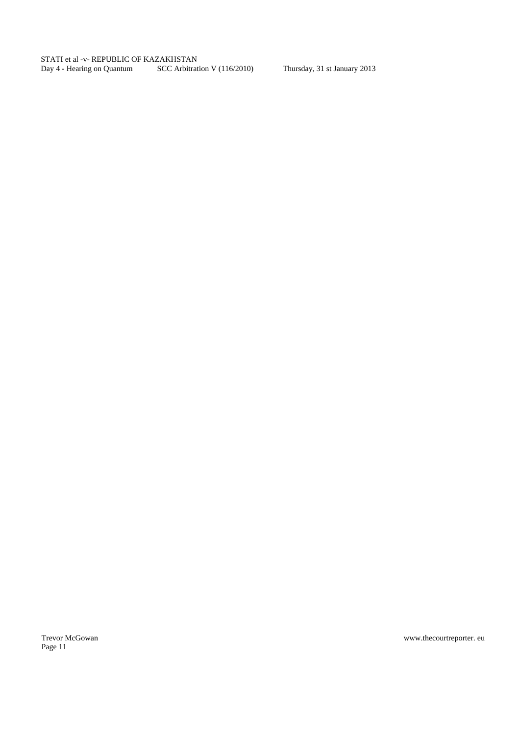Page 11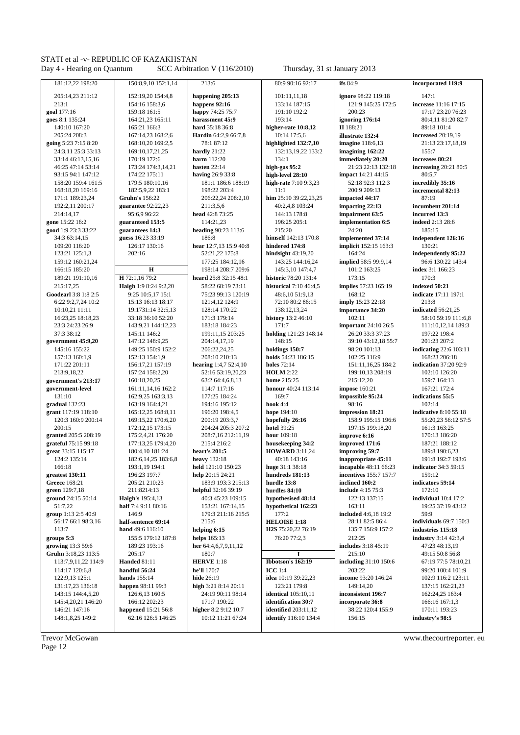181:12,22 198:20  $205.1423211.12$  $213.1$ goal 177:16 goes 8:1 135:24 140:10 167:20 205:24 208:3 going 5:23 7:15 8:20 24:3,11 25:3 33:13 33:14 46:13.15.16  $46.2547.1453.14$ 93:15 94:1 147:12  $158.20159.4161.5$  $168.1820169.16$ 171:1 189:23,24 192:2.11 200:17  $214.1417$  $\sigma$ one 15.22.16.2 good 1:9 23:3 33:22 34:3 63:14,15 109:20 116:20 123:21 125:1.3 159:12 160:21.24 166:15 185:20 189:21 191:10 16  $215.17.25$ **Goodearl 3:8 1:8 2:5** 6:22 9:2,7,24 10:2  $10(10.21.1111)$ 16:23.25 18:18.23 23:3 24:23 26:9 37:3 38:12 government 45:9,20  $145.16155.22$  $157.13160.19$  $171.22.201.11$ 213:9.18.22 government's 213:17 government-level  $131 \cdot 10$ gradual 132:23 grant 117:19 118:10 120:3 160:9 200:14  $200:15$  $$ grateful 75:15 99:18 great 33:15 115:17  $124.2135.14$  $166.18$ greatest 130:11 Greece 168:21 green 129.7 18 ground 24:15.50:14  $51:7.22$ group 1:13 2:5 40:9 56:17 66:1 98:3,16  $113:7$  $grouns 5:3$ growing 13:3 59:6 Gruhn 3:18,23 113:5 113-7 9 11 22 114-9 114:17 120:6.8 122:9,13 125:1 131:17,23 136:18  $143.15$   $144.4$  5 20  $145:42021146:20$  $146.21$   $147.16$ 148:1.8.25 149:2

150:8,9,10 152:1,14 152:19,20 154:4,8  $154.16$  158.3 6  $159.18161.5$ 164:21,23 165:11 165:21 166:3 167:14,23 168:2,6  $168.102016925$ 169:10,17,21,25 170:19 172:6  $173.24$   $174.3$   $14$  21 174:22 175:11 179:5 180:10 16  $182.5922183.1$ **Gruhn's 156:22** guarantee 92:22.23  $95.6996.22$ guaranteed 153:5 guarantees 14:3 guess 16:23 33:19 126:17 130:16  $202:16$  $\overline{H}$ H 72:1.16 79:2 Haigh 1:9 8:24 9:2.20  $9.2510.51715.1$  $15.1316.1318.17$  $19.1731.1432.513$  $33.1836.1052.20$ 143:9.21 144:12.23 145:11 146:2 147:12 148:9.25  $149.25$   $150.9$   $152.2$  $152.13154.19$ 156:17,21 157:19 157:24 158:2.20  $160:182025$  $161 \cdot 11$  14  $16162 \cdot 2$ 162:9.25 163:3.13 163:19 164:4.21 165:12,25 168:8,11  $169.1522170.620$  $172.12$  15  $173.15$ 175:2.4.21 176:20 177:13.25 179:4.20 180:4,10 181:24  $182.61425183.68$  $193.119194.1$ 196:23 197:7 205:21 210:23  $211.8214.13$ Haioh's 195.4 13 half 7:4 9:11 80:16  $146.9$ half-sentence 69:14 hand 49:6 116:10  $155.5179.12187.8$ 189.23 193.16  $205:17$ Handed  $81 \cdot 11$ handful 56:24 hands  $155.14$ happen 98:11 99:3  $126.613160.5$  $166.12202.23$ happened 15:21 56:8 62:16 126:5 146:25

213:6 happening 205:13 happens 92:16 happy 74:25 75:7 harassment 45:9 hard 35:18 36:8 Hardin 64:2,9 66:7,8  $78.187.12$ hardly  $21:22$ harm 112:20 hasten  $22.14$ having 26:9 33:8 181:1 186:6 188:19  $108.22.203.4$ 206:22.24 208:2.10  $211:3.5.6$ head  $42.873.25$  $114.2123$ heading 90:23 113:6  $186.8$ hear 12:7.13 15:9 40:8 52:21.22 175:8 177:25 184:12.16 198:14 208:7 209:6 heard 25.8 32.15 48.1  $58.2268.1073.11$  $75.2399.13120.19$  $121.412124.9$  $128.14$   $170.22$  $171.3179.14$ 183:18 184:23 199:11,15 203:25 204:14.17.19  $206.222425$ 208:10 210:13 hearing 1:4,7 52:4,10 52:16 53:19.20.23  $63.26446813$  $114.7117.16$ 177:25 184:24 194:16 195:12 196:20 198:4,5  $200·19203·37$  $204.24205.3207.2$ 208:7.16 212:11.19 215:4 216:2 heart's 201:5 heavy  $132.18$ held 121:10 150:23 help 20:15 24:21 183:9 193:3 215:13 helpful 32:16.39:19  $40.345.23109.15$  $153.21$   $167.14$  15 179:3 211:16 215:5  $215.6$ helping 6:15 helps  $165.13$ her 64:4,6,7,9,11,12  $180-7$ **HERVE** 1:18 he'll 170:7 hide  $26:19$ high 3:21 8:14 20:11  $24.1990.1198.14$  $171.7190.22$ higher 8:2 9:12 10:7

10:12 11:21 67:24

Thursday, 31 st January 2013

ifs  $84:9$ 

80:9 90:16 92:17 101:11,11,18  $133.14$   $187.15$  $191.10192.2$  $193.14$ higher-rate 10:8,12 10:14 17:5,6 highlighted 132:7.10 132:13,19,22 133:2  $134:1$ high-gas 95:2 high-level 28:10 high-rate 7:10 9:3.23  $11 - 1$ him  $25:10$  39:22,23,25 40:2.4.8 103:24  $144.13178.8$  $196.25205.1$ 215:20 himself 142:13 170:8 hindered 174:8 hindsight 43:19,20 143:25 144:16.24 145:3.10 147:4.7 historic  $78.201314$ historical  $7:10.46:4.5$  $48.61051.913$  $72.1080.286.15$ 138.12.13.24 history 13:2 46:10  $171:7$ holding 121:23 148:14  $148:15$ holdings 150:7 holds 54.23.186.15 holes  $72.14$  $HOLM 2:22$ home  $215:25$ honour  $40.24$  113.14  $169.7$ hook  $4:4$ **hope** 194:10 honefully  $26.16$ hotel  $39.25$ hour  $100.18$ housekeeping 34:2 **HOWARD 3:11,24**  $40.18143.16$  $h$ 100  $31 \cdot 1$   $38 \cdot 18$ hundreds  $181:13$ hurdle 13:8 hurdles 84:10 hypothesised 48:14 hypothetical 162:23  $177:2$ HELOISE 1:18 H<sub>2</sub>S 75:20,22 76:19  $76.2077.23$  $\mathbf I$ Thhotson's 162:19 **ICC** 1:4 idea 10:19 39:22,23 123:21 179:8 identical  $105:1011$ identification 30:7 identified 203:11,12 **identify** 116:10 134:4

ignore 98:22 119:18  $121.9$   $145.25$   $172.5$  $200.23$ ignoring 176:14  $\overline{II}$  188:21 illustrate 132:4 imagine  $118:613$ imagining 162:22 immediately 20:20  $21.2322.13132.18$ **impact** 14:21 44:15  $52.189231123$  $200.9200.13$ impacted 44:17 impacting 22:13 impairment 63:5 implementation 6:5  $24.20$ implemented 37:14 **implicit** 152:15 163:3  $164:24$ implied 58:5 99:9,14 101:2 163:25  $173.15$ implies 57:23 165:19  $168.12$ imply 15:23 22:18 importance 34:20  $102.11$ **important** 24:10 26:5 26:20 33:3 37:23 39:10 43:12.18 55:7  $98.20101.13$  $102.25116.9$ 151:11,16,25 184:2 199:10.13 208:19  $215:12.20$ **impose** 160:21 impossible 95:24 98:16 impression 18:21  $158.9195.15196.6$  $197.15199:18.20$ improve 6:16 improved 171:6 improving 59:7 inappropriate 45:11 incapable 48:11 66:23 incentives 155:7 157:7 inclined 160:2 include  $4.15.75.3$  $122.13137.15$  $163.11$ included 4:6,18 19:2 28:11 82:5 86:4 135:7 156:9 157:2  $212.25$ includes 3:18 45:19  $215:10$ including  $31:10$  150:6 203:22 income 93:20 146:24 149:14,20 inconsistent 196:7 incorporate 36:8 38:22 120:4 155:9 156:15

incorporated 119:9  $147.1$ increase 11:16 17:15  $17.1723207623$ 80:4.11 81:20 82:7 89:18 101:4 increased 20:19,19  $21.1323.171819$  $155.7$ increases 80:21 increasing 20:21 80:5  $80:5.7$ incredibly 35:16 ingromantal 87.12  $87.19$ incumbent 201:14 incurred 13.3 indeed  $2.13.28.6$  $185.15$ independent 126:16  $130:21$ independently 95:22 96:6 130:22 143:4 index 3:1 166:23  $170-3$ indexed  $50:21$ indicate  $17:11$   $197:1$  $213.8$ indicated  $56:21.25$ 58:10 59:19 111:6.8 111:10,12,14 189:3 197:22 198:4 201:23 207:2 indicating  $22:6$  103:11 168:23 206:18 indication  $37.2092.9$ 102:10 126:20  $159.7164.13$  $167.21$  172.4 indications 55:5  $102:14$ indicative  $8:1055:18$  $55.202356.1257.5$  $161.3163.25$  $170.13186.20$ 187:21 188:12 189:8 190:6,23  $191.8192.7193.6$ indicator  $34.359.15$  $159:12$ indicators 59:14  $172.10$ individual  $10:4$   $17:2$  $19.2537.1943.12$  $50.0$ individuals 69:7 150:3 industries 115:18 industry 3:14 42:3 4 47:23 48:13.19 49:15 50:8 56:8  $67.1977578.1021$ 99:20 100:4 101:9 102:9 116:2 123:11 137:15 162:21,23  $162.2425163.4$  $166.16167.13$ 170:11 193:23

**Trevor McGowan** Page 12

www.thecourtreporter. eu

industry's 98:5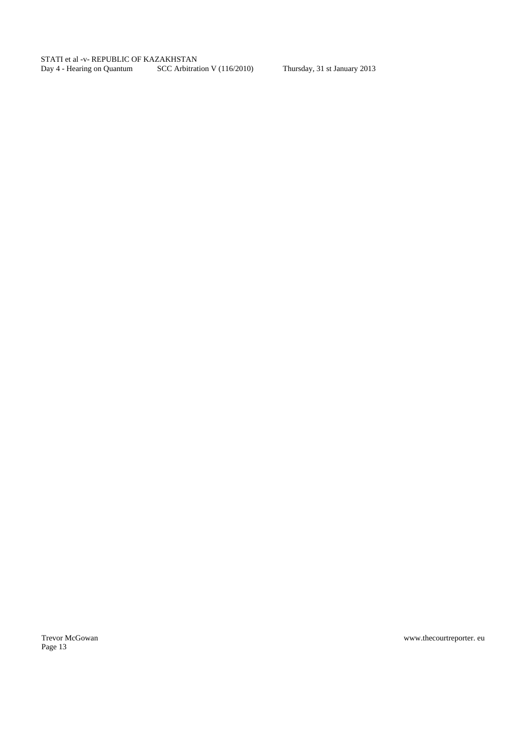Page 13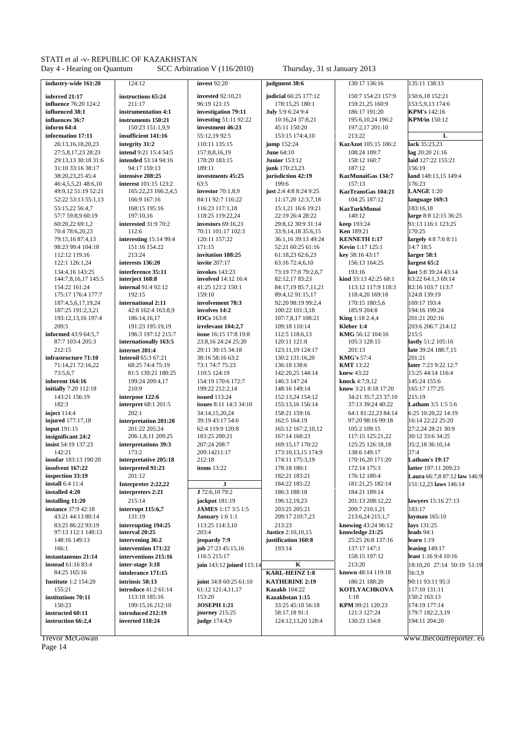| industry-wide 161:20                    | 124:12                                   | <b>invest 92:20</b>                         | judgment 38:6                            | 130:17 136:16                            | 135:11 138:13                                    |
|-----------------------------------------|------------------------------------------|---------------------------------------------|------------------------------------------|------------------------------------------|--------------------------------------------------|
| inferred 21:17                          | instructions 65:24                       | invested 92:10,21                           | judicial 66:25 177:12                    | 150:7 154:23 157:9                       | 150:6,18 152:21                                  |
| <b>influence</b> 76:20 124:2            | 211:17                                   | 96:19 121:15                                | 178:15,25 180:1                          | 159:21,25 160:9                          | 153:5,9,13 174:6                                 |
| influenced 38:1                         | instrumentation 4:1                      | investigation 79:11                         | July 5:9 6:24 9:4                        | 186:17 191:20                            | <b>KPM's</b> 142:16                              |
| influences 36:7                         | instruments 150:21                       | <b>investing 51:11 92:22</b>                | 10:16,24 37:8,21                         | 195:6,10,24 196:2                        | <b>KPM/in</b> 150:12                             |
| inform 64:4                             | 150:23 151:1,9,9                         | investment 46:23                            | 45:11 150:20                             | 197:2,17 201:10                          |                                                  |
| information 17:11                       | insufficient 141:16                      | 55:12,19 92:5                               | 153:15 174:4,10                          | 213:22                                   | L                                                |
| 26:13,16,18,20,23                       | integrity 31:2                           | 110:11 135:15                               | jump 152:24                              | KazAzot 105:15 106:2                     | lack 35:23,23                                    |
| 27:5,8,17,23 28:23                      | intend 9:21 15:4 54:5                    | 157:8,8,16,19                               | <b>June 64:10</b>                        | 108:24 109:7                             | lag 20:20 21:16                                  |
| 29:13,13 30:18 31:6                     | intended 53:14 94:16                     | 178:20 183:15                               | <b>Junior</b> 153:12                     | 158:12 160:7                             | laid 127:22 155:21                               |
| 31:10 33:16 38:17                       | 94:17 159:13                             | 189:11                                      | junk 170:23,23                           | 187:12                                   | 156:19                                           |
| 38:20,23,25 45:4                        | intensive 208:25                         | investments 45:25                           | jurisdiction 42:19                       | KazMunaiGas 134:7                        | land 148:13,15 149:4                             |
| 46:4,5,5,21 48:6,10                     | interest 101:15 123:2                    | 63:5                                        | 199:6                                    | 157:13                                   | 176:23                                           |
| 49:9,12 51:19 52:21                     | 165:22,23 166:2,4,5                      | investor 70:1,8,9                           | just 2:4 4:8 8:24 9:25                   | KazTransGas 104:21                       | <b>LANGE 1:20</b>                                |
| 52:22 53:13 55:1,13                     | 166:9 167:16                             | 84:11 92:7 116:22                           | 11:17,20 12:3,7,18                       | 104:25 187:12                            | language 169:3                                   |
| 55:15,22 56:4,7<br>57:7 59:8,9 60:19    | 168:15 195:16<br>197:10,16               | 116:23 117:1,18<br>118:25 119:22,24         | 15:1,21 16:6 19:21<br>22:19 26:4 28:22   | <b>KazTurkMunai</b><br>140:12            | 183:16,18<br>large 8:8 12:15 36:25               |
| 60:20,22 69:1,2                         | interested 31:9 70:2                     | investors 69:16,21                          | 29:8,12 30:9 31:14                       | keep 193:24                              | 91:13 116:1 123:25                               |
| 70:4 78:6,20,23                         | 112:6                                    | 70:11 101:17 102:3                          | 33:9,14,18 35:6,15                       | <b>Ken</b> 189:21<br><b>KENNETH 1:17</b> | 170:25                                           |
| 79:15,16 87:4,13<br>98:23 99:4 104:18   | interesting 15:14 99:4<br>151:16 154:22  | 120:11 157:22<br>171:15                     | 36:1,16 39:13 49:24<br>52:21 60:25 61:16 | <b>Kevin</b> 1:17 125:1                  | largely 4:8 7:6 8:11<br>14:7 18:5                |
| 112:12 119:16                           | 213:24                                   | invitation 188:25                           | 61:18,23 62:6,23                         | key 38:16 43:17                          | larger 58:1                                      |
| 122:1 126:1,24                          | interests 136:20                         | <b>invite 207:17</b>                        | 63:16 72:4,6,10                          | 156:13 164:25                            | largest 65:2                                     |
| 134:4,16 143:25                         | interference 35:11                       | invokes 143:23                              | 73:19 77:8 79:2,6,7                      | 193:16                                   | last 5:8 39:24 43:14                             |
| 144:7,8,16,17 145:5                     | interject 168:8                          | involved 14:12 16:4                         | 82:12,17 83:23                           | kind 33:13 42:25 68:1                    | 63:22 64:1,3 69:14                               |
| 154:22 161:24                           | internal 91:4 92:12                      | 41:25 121:2 150:1                           | 84:17,19 85:7,11,21                      | 113:12 117:9 118:3                       | 82:16 103:7 113:7                                |
| 175:17 176:4 177:7                      | 192:15                                   | 159:10                                      | 89:4,12 91:15,17                         | 118:4,20 169:18                          | 124:8 139:19                                     |
| 187:4,5,6,17,19,24                      | international 2:11                       | involvement 78:3                            | 92:20 98:19 99:2,4                       | 170:15 180:5,6                           | 169:17 193:4                                     |
| 187:25 191:2,3,21                       | 42:8 162:4 163:8,9                       | involves 14:2                               | 100:22 101:3,18                          | 185:9 204:8                              | 194:16 199:24                                    |
| 193:12,13,16 197:4<br>209:5             | 186:14,16,17                             | <b>IOCs</b> 163:8                           | 107:7,8,17 108:21<br>109:18 110:14       | <b>King</b> 1:18 2:4,4                   | 201:21 202:16                                    |
| informed 43:9 64:5,7                    | 191:23 195:19,19<br>196:3 197:12 215:7   | irrelevant 104:2,7<br>issue 16:15 17:8 19:8 | 112:5 118:6,13                           | Kleber 1:4<br>KMG 56:12 104:16           | 203:6 206:7 214:12<br>215:5                      |
| 87:7 103:4 205:3                        | internationally 163:5                    | 23:8,16 24:24 25:20                         | 120:11 121:8                             | 105:3 128:15                             | lastly 51:2 105:16                               |
| 212:15                                  | internet 201:4                           | 29:11 30:15 34:18                           | 123:11,19 124:17                         | 201:13                                   | late 39:24 188:7,15                              |
| infrastructure 71:10                    | <b>Interoil 65:3 67:21</b>               | 38:16 58:16 63:2                            | 130:2 131:16,20                          | <b>KMG's 57:4</b>                        | 201:21                                           |
| 71:14,21 72:16,22                       | 68:25 74:4 75:19                         | 73:1 74:7 75:23                             | 136:18 138:6                             | <b>KMT</b> 13:22                         | later 7:23 9:22 12:7                             |
| 73:5,6,7                                | 81:5 139:21 180:25                       | 110:5 124:19                                | 142:20,25 144:14                         | knew 43:22                               | 15:25 44:14 116:4                                |
| inherent 164:16                         | 199:24 209:4,17                          | 154:19 170:6 172:7                          | 146:3 147:24                             | knock 4:7,9,12                           | 145:24 155:6                                     |
| initially 7:20 112:18                   | 210:9                                    | 199:22 212:2,14                             | 148:16 149:14                            | know 3:21 8:18 17:20                     | 165:17 177:25                                    |
| 143:21 156:19                           | interpose 122:6                          | <b>issued</b> 113:24                        | 152:13,24 154:12                         | 34:21 35:7,23 37:10                      | 215:19                                           |
| 182:3<br>inject 114:4                   | interpret 68:1 201:5<br>202:1            | issues 8:11 14:3 34:10                      | 155:13,16 156:14                         | 37:13 39:24 40:22<br>64:1 81:22,23 84:14 | <b>Latham 3:5 1:5 5:6</b><br>6:25 10:20,22 14:19 |
| injured 177:17,18                       | interpretation 201:20                    | 34:14,15,20,24<br>39:19 43:17 54:6          | 158:21 159:16<br>162:5 164:19            | 97:20 98:16 99:18                        | 16:14 22:22 25:20                                |
| <b>input</b> 191:15                     | 201:22 205:24                            | 62:4 119:9 120:8                            | 165:12 167:2,10,12                       | 105:2 109:15                             | 27:2,24 28:21 30:9                               |
| insignificant 24:2                      | 206:1,8,11 209:25                        | 183:25 200:21                               | 167:14 168:23                            | 117:15 125:21,22                         | 30:12 33:6 34:25                                 |
| insist 54:19 137:23                     | interpretations 39:3                     | 207:24 208:7                                | 169:15,17 170:22                         | 125:25 126:18,18                         | 35:2,18 36:10,14                                 |
| 142:21                                  | 173:2                                    | 209:14211:17                                | 173:10,13,15 174:9                       | 138:6 149:17                             | 37:4                                             |
| insofar 183:13 190:20                   | interpretative 205:18                    | 212:18                                      | 174:11 175:3,19                          | 170:16,20 171:20                         | Latham's 19:17                                   |
| insolvent 167:22                        | interpreted 91:23                        | items 13:22                                 | 178:18 180:1                             | 172:14 175:3                             | latter 197:11 209:23                             |
| inspection 33:19                        | 201:12                                   |                                             | 182:21 183:21                            | 176:12 180:4                             | Laura 66:7,8 87:12 law 146:9                     |
| install 6:4 11:4<br>installed 4:20      | Interpreter 2:22,22<br>interpreters 2:21 | J                                           | 184:22 185:22                            | 181:21,25 182:14                         | 151:12,23 laws 146:14                            |
|                                         |                                          | J 72:6,10 79:2                              | 186:3 188:18                             | 184:21 189:14                            |                                                  |
| installing 11:20<br>instance 37:9 42:18 | 215:14<br>interrupt 115:6,7              | jackpot 181:19<br><b>JAMES</b> 1:17 3:5 1:5 | 196:12,19,23<br>203:25 205:21            | 201:13 208:12,22<br>209:7 210:1,21       | lawyers 15:16 27:13<br>183:17                    |
| 43:21 44:13 80:14                       | 131:19                                   | <b>January</b> 1:6 1:1                      | 209:17 210:7,23                          | 213:6,24 215:1,7                         | <b>layman</b> 165:10                             |
| 83:25 86:22 93:19<br>97:13 112:1 148:13 | interrupting 194:25<br>interval 20:25    | 113:25 114:3,10<br>203:4                    | 213:23<br><b>Justice</b> 2:10,10,15      | knowing 43:24 96:12<br>knowledge 21:25   | <b>lays</b> $131:25$<br>leads 94:1               |
| 148:16 149:13                           | intervening 36:2                         | jeopardy 7:9                                | justification 160:8                      | 25:25 26:8 137:16                        | <b>learn</b> 1:19                                |
| 166:1                                   | intervention 171:22                      | job $27:2345:15,16$                         | 193:14                                   | 137:17 147:1                             | leasing 149:17                                   |
| instantaneous 21:14                     | interventions 215:16                     | 116:5 215:17                                |                                          | 158:15 197:12                            | <b>least</b> 1:16 9:4 10:16                      |
| <b>instead</b> 61:16 83:4               | inter-stage 3:18                         | join 143:12 joined 115:14                   | K                                        | 213:20                                   | 18:10,20 27:14 50:19 51:19                       |
| 84:25 165:16                            | intolerance 171:15                       |                                             | <b>KARL-HEINZ 1:8</b>                    | known 48:14 119:18                       | 56:3,9                                           |
| <b>Institute</b> 1:2 154:20             | intrinsic 58:13                          | joint 34:8 60:25 61:10                      | <b>KATHERINE 2:19</b>                    | 186:21 188:20                            | 90:11 93:11 95:3                                 |
| 155:21                                  | <b>introduce</b> 41:2 61:14              | 61:12 121:4,11,17                           | <b>Kazakh</b> 104:22                     | <b>KOTLYACHKOVA</b>                      | 117:10 131:11                                    |
| institutions 70:11                      | 113:18 185:16                            | 153:20                                      | Kazakhstan 1:15                          | 1:18                                     | 150:2 163:13                                     |
| 150:23                                  | 199:15,16 212:10                         | <b>JOSEPH 1:21</b>                          | 33:25 45:10 56:18                        | KPM 99:21 120:23                         | 174:19 177:14                                    |
| instructed 60:11                        | introduced 212:19                        | <b>journey</b> 215:25                       | 58:17,1891:1                             | 121:3 127:24                             | 179:7 182:2,3,19                                 |
| instruction 66:2,4                      | inverted 118:24                          | <b>judge</b> 174:4,9                        | 124:12,13,20 128:4                       | 130:23 134:8                             | 194:11 204:20                                    |
|                                         |                                          |                                             |                                          |                                          |                                                  |

Trevor McGowan<br>Page 14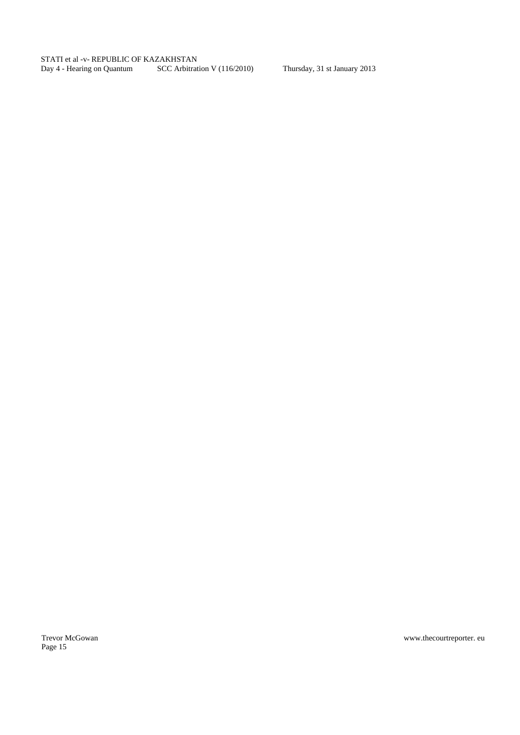Page 15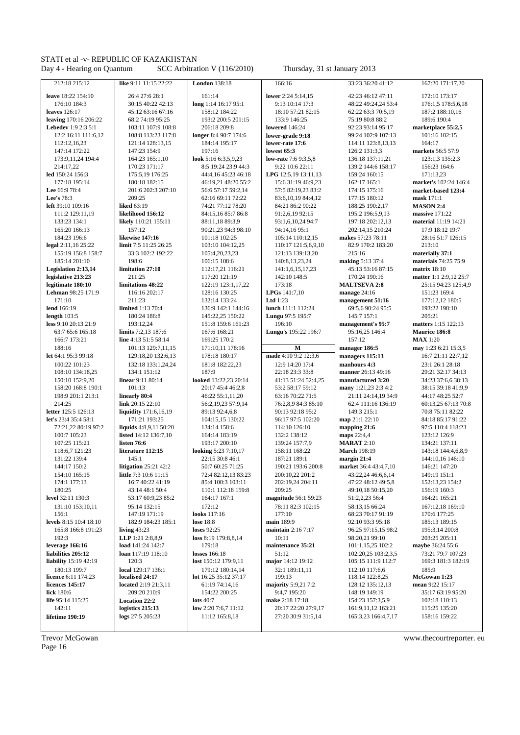| 212:18 215:12                         | like 9:11 11:15 22:22                   | <b>London</b> 138:18                      | 166:16                              | 33:23 36:20 41:12                                              | 167:20 171:17,20                                            |
|---------------------------------------|-----------------------------------------|-------------------------------------------|-------------------------------------|----------------------------------------------------------------|-------------------------------------------------------------|
| leave 18:22 154:10                    | 26:4 27:6 28:1                          | 161:14                                    | lower 2:24 5:14,15                  | 42:23 46:12 47:11                                              | 172:10 173:17                                               |
| 176:10 184:3                          | 30:15 40:22 42:13                       | long 1:14 16:17 95:1                      | 9:13 10:14 17:3                     | 48:22 49:24,24 53:4                                            | 176:1,5 178:5,6,18                                          |
| leaves 126:17                         | 45:12 63:16 67:16                       | 158:12 184:22                             | 18:10 57:21 82:15                   | 62:22 63:3 70:5,19                                             | 187:2 188:10,16                                             |
| leaving 170:16 206:22                 | 68:2 74:19 95:25                        | 193:2 200:5 201:15                        | 133:9 146:25                        | 75:19 80:8 88:2                                                | 189:6 190:4                                                 |
| Lebedev 1:9 2:3 5:1                   | 103:11 107:9 108:8                      | 206:18 209:8                              | <b>lowered</b> 146:24               | 92:23 93:14 95:17                                              | marketplace 55:2,5                                          |
| 12:2 16:11 111:6,12                   | 108:8 113:23 117:8                      | longer 8:4 90:7 174:6                     | lower-grade 9:18                    | 99:24 102:9 107:13                                             | 101:16 102:15                                               |
| 112:12,16,23                          | 121:14 128:13,15                        | 184:14 195:17                             | lower-rate 17:6                     | 114:11 123:8,13,13                                             | 164:17                                                      |
| 147:14 172:22                         | 147:23 154:9                            | 197:16                                    | lowest 65:3                         | 126:2 131:3,3                                                  | markets 56:5 57:9                                           |
| 173:9,11,24 194:4                     | 164:23 165:1,10                         | look 5:16 6:3,5,9,23                      | <b>low-rate</b> 7:6 9:3,5,8         | 136:18 137:11,21                                               | 123:1,3 135:2,3                                             |
| 214:17,22                             | 170:23 171:17                           | 8:5 19:24 23:9 44:3                       | 9:22 10:6 22:11                     | 139:2 144:6 158:17                                             | 156:23 164:6                                                |
| led 150:24 156:3                      | 175:5,19 176:25                         | 44:4,16 45:23 46:18                       | LPG 12:5,19 13:11,13                | 159:24 160:15                                                  | 171:13,23                                                   |
| 177:18 195:14                         | 180:18 182:15                           | 46:19,21 48:20 55:2                       | 15:6 31:19 46:9,23                  | 162:17 165:1                                                   | market's 102:24 146:4                                       |
| Lee 66:9 78:4                         | 201:6 202:3 207:10                      | 56:6 57:17 59:2,14                        | 57:5 82:19,23 83:2                  | 174:15 175:16                                                  | market-based 123:4                                          |
| Lee's 78:3                            | 209:25<br>liked 63:19                   | 62:16 69:11 72:22                         | 83:6, 10, 19 84: 4, 12              | 177:15 180:12                                                  | mask 171:1                                                  |
| left 39:10 109:16<br>111:2 129:11,19  | likelihood 156:12                       | 74:21 77:12 78:20<br>84:15,16 85:7 86:8   | 84:21 86:2 90:22<br>91:2,6,19 92:15 | 188:25 190:2,17<br>195:2 196:5,9,13                            | <b>MASON 2:4</b><br>massive 171:22                          |
| 133:23 134:1                          | likely 110:21 155:11                    | 88:11,18 89:3,9                           | 93:1,6,10,24 94:7                   | 197:18 202:12,13                                               | material 11:19 14:21                                        |
| 165:20 166:13                         | 157:12                                  | 90:21,23 94:3 98:10                       | 94:14,16 95:1                       | 202:14,15 210:24                                               | 17:9 18:12 19:7                                             |
| 184:23 196:6                          | likewise 147:16                         | 101:18 102:25                             | 105:14 110:12,15                    | makes 57:23 78:11                                              | 28:16 51:7 126:15                                           |
| legal $2:11,1625:22$                  | limit 7:5 11:25 26:25                   | 103:10 104:12,25                          | 110:17 121:5,6,9,10                 | 82:9 170:2 183:20                                              | 213:10                                                      |
| 155:19 156:8 158:7                    | 33:3 102:2 192:22                       | 105:4,20,23,23                            | 121:13 139:13,20                    | 215:16                                                         | materially 37:1                                             |
| 185:14 201:10                         | 198:6                                   | 106:15 108:6                              | 140:8, 13, 23, 24                   | making 5:13 37:4                                               | materials 74:25 75:9                                        |
| <b>Legislation 2:13,14</b>            | limitation 27:10                        | 112:17,21 116:21                          | 141:1,6,15,17,23                    | 45:13 53:16 87:15                                              | matrix 18:10                                                |
| legislative 213:23                    | 211:25                                  | 117:20 121:19                             | 142:10 148:5                        | 170:24 190:16                                                  | matter 1:1 2:9,12 25:7                                      |
| legitimate 180:10                     | limitations 48:22                       | 122:19 123:1,17,22                        | 173:18                              | <b>MALTSEVA 2:8</b>                                            | 25:15 94:23 125:4,9                                         |
| Lehman 98:25 171:9                    | 116:16 202:17                           | 128:16 130:25                             | <b>LPGs</b> $141:7,10$              | manage 24:16                                                   | 151:23 169:4                                                |
| 171:10                                | 211:23                                  | 132:14 133:24                             | Ltd $1:23$                          | management 51:16                                               | 177:12,12 180:5                                             |
| lend 166:19                           | limited 1:13 70:4                       | 136:9 142:1 144:16                        | lunch 111:1 112:24                  | 69:5,6 90:24 95:5                                              | 193:22 198:10                                               |
| length $103:5$                        | 180:24 186:8                            | 145:22,25 150:22                          | Lungu 97:5 195:7                    | 145:7 157:1                                                    | 205:21                                                      |
| less 9:10 20:13 21:9                  | 193:12,24                               | 151:8 159:6 161:23                        | 196:10                              | management's 95:7                                              | matters 1:15 122:13                                         |
| 63:7 65:6 165:18                      | limits 7:2,13 187:6                     | 167:6 168:21                              | Lungu's 195:22 196:7                | 95:16,25 146:4                                                 | <b>Maurice 186:8</b>                                        |
| 166:7 173:21                          | line 4:13 51:5 58:14                    | 169:25 170:2                              |                                     | 157:12                                                         | <b>MAX</b> 1:20                                             |
| 188:16                                | 101:13 129:7,11,15                      | 171:10,11 178:16                          | M                                   | manager 186:5                                                  | may 1:23 6:21 15:3,5                                        |
|                                       |                                         |                                           |                                     |                                                                |                                                             |
| let 64:1 95:3 99:18                   | 129:18,20 132:6,13                      | 178:18 180:17                             | made 4:10 9:2 12:3,6                | managers 115:13                                                | 16:7 21:11 22:7,12                                          |
| 100:22 101:23                         | 132:18 133:1,24,24                      | 181:8 182:22,23                           | 12:9 14:20 17:4                     | manhours 4:3                                                   | 23:1 26:1 28:18                                             |
| 108:10 134:18,25                      | 134:1 151:12                            | 187:9                                     | 22:18 23:3 33:8                     | manner 26:13 49:16                                             | 29:21 32:17 34:13                                           |
| 150:10 152:9,20                       | linear 9:11 80:14                       | looked 13:22,23 20:14                     | 41:13 51:24 52:4,25                 | manufactured 3:20                                              | 34:23 37:6,6 38:13                                          |
| 158:20 168:8 190:1                    | 101:13                                  | 20:17 45:4 46:2,8                         | 53:2 58:17 59:12                    | many 1:21,23 2:3 4:2                                           | 38:15 39:18 41:9,9                                          |
| 198:9 201:1 213:1                     | linearly 80:4                           | 46:22 55:1,11,20                          | 63:16 70:22 71:5                    | 21:11 24:14,19 34:9                                            | 44:17 48:25 52:7                                            |
| 214:25                                | link 20:15 22:10                        | 56:2,19,23 57:9,14                        | 76:2,8,9 84:3 85:10                 | 62:4 111:16 136:19                                             | 60:13,25 67:13 70:8                                         |
| letter 125:5 126:13                   | liquidity 171:6,16,19                   | 89:13 92:4,6,8                            | 90:13 92:18 95:2                    | 149:3 215:1                                                    | 70:8 75:11 82:22                                            |
| let's 23:4 35:4 58:1                  | 171:21 193:25<br>liquids 4:8,9,11 50:20 | 104:15,15 130:22                          | 96:17 97:5 102:20<br>114:10 126:10  | map 21:1 22:10                                                 | 84:18 85:17 91:22                                           |
| 72:21,22 80:19 97:2<br>100:7 105:23   | listed 14:12 136:7,10                   | 134:14 158:6<br>164:14 183:19             | 132:2 138:12                        | mapping 21:6<br>maps 22:4,4                                    | 97:5 110:4 118:23<br>123:12 126:9                           |
| 107:25 115:21                         | listen 76:6                             | 193:17 200:10                             | 139:24 157:7,9                      | <b>MARAT 2:10</b>                                              | 134:21 137:11                                               |
| 118:6,7 121:23                        | literature 112:15                       | <b>looking 5:23 7:10,17</b>               | 158:11 168:22                       | <b>March 198:19</b>                                            | 143:18 144:4,6,8,9                                          |
| 131:22 139:4                          | 145:1                                   | 22:15 30:8 46:1                           | 187:21 189:1                        | margin 21:4                                                    | 144:10,16 146:10                                            |
| 144:17 150:2                          | <b>litigation</b> 25:21 42:2            | 50:7 60:25 71:25                          | 190:21 193:6 200:8                  | market 36:4 43:4,7,10                                          | 146:21 147:20                                               |
| 154:10 165:15                         | little 7:3 10:6 11:15                   | 72:4 82:12,13 83:23                       | 200:10,22 201:2                     | 43:22,24 46:6,6,14                                             | 149:19 151:1                                                |
| 174:1 177:13                          | 16:7 40:22 41:19                        | 85:4 100:3 103:11                         | 202:19,24 204:11                    | 47:22 48:12 49:5,8                                             | 152:13,23 154:2                                             |
| 180:25                                | 43:14 48:1 50:4                         | 110:1 112:18 159:8                        | 209:25                              | 49:10,18 50:15,20                                              | 156:19 160:3                                                |
| level 32:11 130:3                     | 53:17 60:9,23 85:2                      | 164:17 167:1                              | magnitude 56:1 59:23                | 51:2,2,23 56:4                                                 | 164:21 165:21                                               |
| 131:10 153:10,11                      | 95:14 132:15                            | 172:12                                    | 78:11 82:3 102:15                   | 58:13,15 66:24                                                 | 167:12,18 169:10                                            |
| 156:1                                 | 147:19 171:19                           | looks 117:16                              | 177:10                              | 68:23 70:17 91:19                                              | 170:6 177:25                                                |
| levels 8:15 10:4 18:10                | 182:9 184:23 185:1                      | lose 18:8                                 | main 189:9                          | 92:10 93:3 95:18                                               | 185:13 189:15                                               |
| 165:8 166:8 191:23                    | living $43:23$                          | loses 92:25                               | maintain 2:16 7:17                  | 96:25 97:15,15 98:2<br>98:20.21 99:10                          | 195:3,14 200:8                                              |
| 192:3                                 | LLP 1:21 2:8,8,9<br>load 141:24 142:7   | loss 8:19 179:8,8,14<br>179:18            | 10:11                               |                                                                | 203:25 205:11                                               |
| leverage 166:16<br>liabilities 205:12 | loan 117:19 118:10<br>120:3             | losses 166:18<br>lost 150:12 179:9,11     | maintenance 35:21<br>51:12          | 101:1,15,25 102:2<br>102:20,25 103:2,3,5<br>105:15 111:9 112:7 | maybe 36:24 55:6<br>73:21 79:7 107:23<br>169:3 181:3 182:19 |
| liability 15:19 42:19                 |                                         |                                           | major 14:12 19:12                   |                                                                |                                                             |
| 180:13 199:7<br>licence 6:11 174:23   | local 129:17 136:1<br>localised 24:17   | 179:12 180:14,14<br>lot 16:25 35:12 37:17 | 32:1 189:11,11<br>199:13            | 112:10 117:6,6<br>118:14 122:8,25                              | 185:9<br>McGowan 1:23                                       |
| licences 145:17                       | <b>located</b> 2:19 21:3,11             | 61:19 74:14,16                            | majority 5:9,21 7:2                 | 128:12 135:12,13                                               | mean 9:22 15:17                                             |
| lick 180:6                            | 209:20 210:9                            | 154:22 200:25                             | 9:4,7 195:20                        | 148:19 149:19                                                  | 35:17 63:19 95:20                                           |
| life 95:14 115:25                     | <b>Location 22:2</b>                    | lots 40:7                                 | make 2:18 17:18                     | 154:23 157:3,5,9                                               | 102:18 110:13                                               |
| 142:11<br>lifetime 190:19             | logistics 215:13                        | low 2:20 7:6,7 11:12                      | 20:17 22:20 27:9,17                 | 161:9,11,12 163:21                                             | 115:25 135:20                                               |

Trevor McGowan<br>Page 16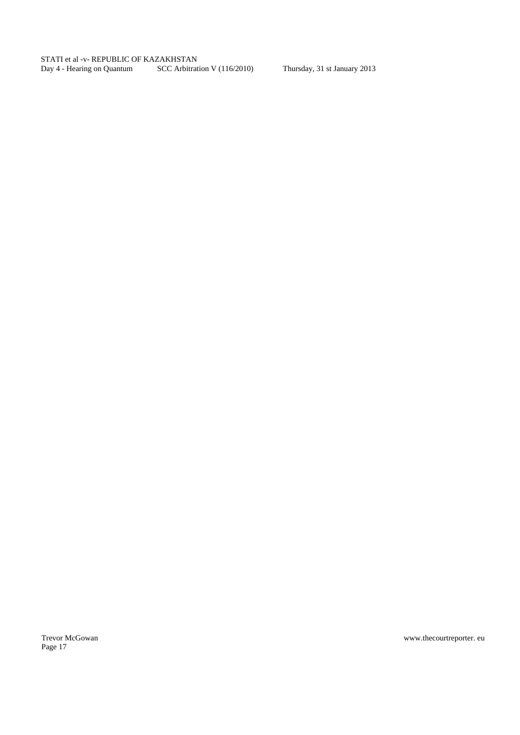Page 17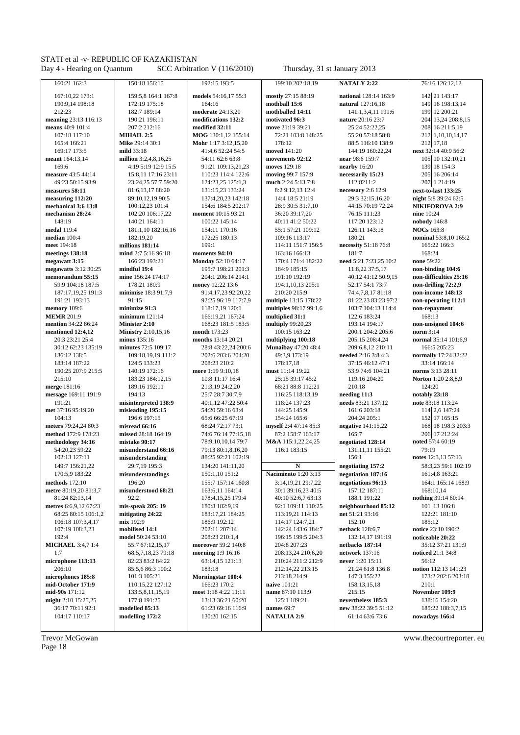187:17,19,25 191:3 **minimise** 18:3 91:7,9 91:4,17,23 92:20,22<br>191:21 193:13 91:15 92:25 96:19 117:7 9

**moment** 10:15 93:21 **Monday** 52:10 64:17 **Morningstar 100:4** 

167:10,22 173:1 159:5,8 164:1 167:8 **models** 54:16,17 55:3 **mostly** 27:15 88:19 **national** 128:14 163:9 142 21 143:17 190:9,14 198:18 172:19 175:18 164:16 **mothball 15:6 natural** 127:16,18 149 16 198:13,14 212:23 182:7 189:14 **moderate** 24:13,20 **mothballed 14:11** 141:1,3,4,11 191:6 199 12 200:21 **meaning** 23:13 116:13 190:21 196:11 **modifications 132:2 motivated 96:3 nature** 20:16 23:7 204 13,24 208:8,15 **means** 40:9 101:4 207:2 212:16 **modified 32:11 move** 21:19 39:21 25:24 52:22,25 208 16 211:5,19 107:18 117:10 **MIHAIL 2:5 MOG** 130:1,12 155:14 72:21 103:8 148:25 55:20 57:18 58:8 212 1,10,10,14,17 107:18 130:1,12 155:14 72:21 103:8 148:25 55:20 57:18 58:8 212 1,10,1<br>
178:12 17,18 88:5 116:10 138:9 212 17,18 165:4 166:21 **Mike** 29:14 30:1 **Mohr** 1:17 3:12,15,20 178:12 88:5 116:10 138:9 212 17,18 169:17 173:5 **mild** 33:18 **mild** 33:18 41:4,6 52:24 54:5 **moved** 141:20 **144:19 160:22,24 next** 32:14 40:9 56:2<br> **169:17 million** 3:2,4,8,16,25 54:11 62:6 63:8 **movements 92:12 164:15 near** 98:6 159:7 105 10 132:10 **meant** 164:13,14 **million** 3:2,4,8,16,25 54:11 62:6 63:8 **movements 92:12** 169:6 159:7 105 10 132:10,21<br>169:6 139:18 **moves** 129:18 **moves** 129:18 **marrby** 16:20 139 18 154:3 169:6 4:19 5:19 12:9 15:5 91:21 109:13,21,23 **moves** 129:18 **nearby** 16:20 139 18 154:3 **measure** 43:5 44:14 15:8,11 17:16 23:11 110:23 114:4 122:6 **moving** 99:7 157:9 **necessarily 15:23** 205 16 206:14<br>49:23 50:15 93:9 23:24,25 57:7 59:20 124:23,25 125:1,3 **much** 2:24 5:13 7:8 112:8211:2 207 1 214:19 49:23 50:15 93:9 23:24,25 57:7 59:20 124:23,25 125:1,3 **much** 2:24 5:13 7:8 112:8211:2 207 1 214:19 **measures 58:11 81:6,13,17 88:20 131:15,23 133:24** 8:2 9:12,13 12:4 **necessary** 2:6 12:9 **next-to-last 133:25 measuring 112:20** 89:10,12,19 90:5 137:4,20,23 142:18 14:4 18:5 21:19 29:3 32:15,16,20 **night** 5:8 39:24 62:5<br>**mechanical 3:6 13:8** 100:12.23 101:4 154:6 184:5 202:17 28:9 30:5 31:7.10 44:15 70:19 72:24 **NIKIFOROVA 2:9 mechanical 3:6 13:8** 100:12,23 101:4 154:6 184:5 202:17 28:9 30:5 31:7,10 44:15 70:19 72:24 **NIKIFOROVA 2:9**<br>**mechanism 28:24** 102:20 106:17.22 **moment** 10:15 93:21 36:20 39:17.20 76:15 111:23 **nine** 10:24 148:19 140:21 164:11 100:22 145:14 40:11 41:2 50:22 117:20 123:12 **nobody** 146:8 **medal** 119:4 181:1,10 182:16,16 154:11 170:16 55:1 57:21 109:12 126:11 143:18 **NOCs** 163:8 **median** 100:4 182:19,20 172:25 180:13 109:16 113:17 180:21 **nominal** 53:8,10 165:2 **millions 181:14** 199:1 114:11 151:7 156:5 **necessity** 51:18 76:8 165:22 166:3<br>**mind** 2:7 5:16 96:18 **moments 94:10** 163:16 166:13 181:7 187:18 76:8 188:24 **meetings 138:18 mind** 2:7 5:16 96:18 **moments 94:10** 163:16 166:13 181:7 182:24<br>**Monday 52:10 64:17** 170:4 171:4 182:22 need 5:21 7:23 25:10:2 **megawatts** 3:12 30:25 **mindful 19:4 19:4 19:5:7 198:21 201:3** 184:9 185:15 11:8,22 37:5,17 **non-binding 104:6 non-binding 104:6 memorandum 55:15 mine** 156:24 174:17 2004:1 206:14 214:1 191:10 192:19 101:2 41:12 **morandum 55:15 mine** 156:24 174:17 204:1 206:14 214:1 191:10 192:19 40:12 41:12 50:9,15 **non-difficulties 25:16**<br>59:9 104:18 187:5 178:21 180:9 **money** 12:22 13:6 194:1,10,13 205:1 52:17 54:1 73:7 **non-drilling 72:2.9** 59:9 104:18 187:5 178:21 180:9 **money** 12:22 13:6 194:1,10,13 205:1 52:17 54:1 73:7 **non-drilling 72:2,9 memory** 109:6 **minimize 91:3** 118:17,19 120:1 **multiples** 98:17 99:1,6 103:7 104:13 114:4 **non-repayment MEMR** 201:9 **minimum** 121:14 166:19,21 167:24 **multiplied 31:1** 122:6 183:24 168:13<br>**mention** 34:22 86:24 **Minister 2:10** 168:23 181:5 183:5 **multiply** 99:20.23 193:14 194:17 **non-unsigned 104:6 mention** 34:22 86:24 **Minister 2:10 Minister 2:10** 168:23 181:5 183:5 **multiply** 99:20,23 191:5 183:22 193:14 194:17 **non-unsigned 12:4.12 Ministry** 2:10.15.16 **month** 173:23 100:15 163:22 200:1 200:1 200:2 205:6 **nor ministry** 2:10,15,16 **month** 173:23 100:15 163:22 200:1 204:2 205:6 **norma** 3:14<br> **months** 13:14 20:21 **multiplying 100:18** 205:15 208:4 24 **normal** 35:14 101:6 9 20:3 23:21 25:4 **minus** 135:16 **months** 13:14 20:21 **months** 13:14 20:21 **minutiplying 100:18** 205:15 208:4,24 **normal** 35:14 10<br>28:8 43:22.24 200:6 **Munaibay** 47:20 48:4 209:6.8.12 210:11 166:5 205:23 **Munaibay** 47:20 48:4 136:12 138:5 109:18,19,19 111:2 202:6 203:6 204:20 49:3,9 173:19 **needed** 2:16 3:8 4:3 **normally** 17:24 32:22 183:14 187:22 | 124:5 133:23 | 208:23 210:2 | 178:17,18 | 37:15 46:12 47:1 | 33:14 166:14 190:25 207:9 215:5 140:19 172:16 **more** 1:19 9:10,18 **must** 11:14 19:22 53:9 74:6 104:21 **norms** 3:13 28:11 215:10 183:23 184:12,15 10:8 11:17 16:4 25:15 39:17 45:2 119:16 204:20 **Norton** 1:20 2:8,8,9 **merge** 181:16 189:16 192:11 1 21:3,19 24:2,20 1 68:21 88:8 112:21 210:18 124:20 **message** 169:11 191:9 194:13 25:7 28:7 30:7,9 116:25 118:13,19 **needing 11:3 notably 23:18** 191:21 **misinterpreted 138:9** 40:1,12 47:22 50:4 118:24 137:23 **needs** 83:21 137:12 **note** 83:18 113:24 **met** 37:16 95:19,20 **misleading 195:15** | 54:20 59:16 63:4 | 144:25 145:9 | 161:6 203:18 | 114 2,6 147:24 104:13 196:6 197:15 65:6 66:25 67:19 154:24 165:6 204:24 205:1 152 17 165:15 meters 79:24,24 80:3 **misread 66:16 misread 66:16 misread 66:16 misread 66:16 misread 172:9** 178:23 **misread 28:18 164:19 168** 172:9 178:23 **misread 28:18 164:19 172:9 172:2:24** 165:7 **method** 172:9 178:23 **missed** 28:18 164:19 74:6 76:14 77:15,18 87:2 158:7 163:17 165:7 163:14 206 17 212:24<br>**missed** 28:18 164:19 78:9,10,10,14 79:7 **M&A** 115:1,22,24.25 **negotiated 128:14** noted 57:4 60:19 **methodology 34:16** mistake 90:17 78:9,10,10,14 79:7 **M&A** 115:1,22,24,25 negotiated 128:14 54:20,23 59:22 **misunderstand 66:16** 79:13 80:1,8,16,20 116:1 183:15 131:11,11 155:21 79:19 102:13 127:11 **misunderstanding** 88:25 92:21 102:19 156:1 **notes** 12:3,13 57:13 149:7 156:21,22 **20:21 102:19** 134:20 141:11.20 **N negotiating 157:2** 58:3,23 59:1 102:19 170:5,9 183:22 **misunderstandings** 150:1,10 151:2 **Nacimiento** 1:20 3:13 **negotiation 187:16** 161:4,8 163:21 **methods** 172:10 196:20 155:7 157:14 160:8 3:14,19,21 29:7,22 **negotiations 96:13** 164:1 165:14 168:9 **metre** 80:19,20 81:3,7 **misunderstood 68:21** 163:6,11 164:14 178:4,15,25 179:4 30:1 39:16,23 40:5 157:12 187:11 168:10,14<br>81:24 82:13,14 168:10,14 178:4,15,25 179:4 40:10 52:6,7 63:13 188:1 191:22 **nothing** 39:14 81:24 82:13,14 92:2 178:4,15,25 179:4 40:10 52:6,7 63:13 188:1 191:22 **nothing** 39:14 60:14 **metres** 6:6,9,12 67:23 **mis-speak 205: 19** 180:8 182:9,19 92:1 109:11 110:25 **neighbourhood 85:12** 101 13 106:8 68:25 80:15 106:1,2 **mitigating 24:22** 183:17,21 184:25 113:19,21 114:13 **net** 51:21 93:16 122:21 181:10 106:18 107:3,4,17 **mix** 192:9 **mix** 192:9 186:9 192:12 114:17 124:7,21 152:10<br>107:19 108:3,23 **mobilised 14:1** 202:11 207:14 14:24 143:6 184:7 **netback** 128:6,7 107:19 108:3,23 **mobilised 14:1** 202:11 207:14 142:24 143:6 184:7 **netback** 128:6,7 **notice** 23:10 190:2 192:4 **model** 50:24 53:10 **model** 50:24 53:10 208:23 210:1,4 196:15 199:5 204:3 132:14,17 191:19 **noticeable 20:22**<br>**MICHAEL** 3:47 1:4 55:7 67:12 15:17 **moreover** 59:2 140:8 204:8 207:23 **nethacks 187:14** 35:12 37:21 131:9 **MICHAEL** 3:4,7 1:4 55:7 67:12,15,17 **moreover** 59:2 140:8 204:8 207:23 **netbacks 187:14** 35:12 37:21 131:9 1:7 68:5,7,18,23 79:18 **morning** 1:9 16:16 208:13,24 210:6,20 **network** 137:16 **noticed** 21:1 34:8 **microphone 113:13** 82:23 83:2 84:22 63:14,15 121:13 210:24 211:2 212:9 **never** 1:20 15:11 56:12<br>206:10 212:14,22 213:15 21:24 61:8 136:8 **notion** 11 206:10 85:5,6 86:3 100:2 183:18 212:14,22 213:15 21:24 61:8 136:8 **notion** 112:13 141:23<br>**213:18 213:18 214:9** 173:2 202:6 203:18 173:2 202:6 203:18 **mid-October 171:9** 10:15,22 127:12 166:23 170:2 **naive** 101:21 158:13,15,18 210:1 **mid-90s** 171:12 133:5,8,11,15,19 **most** 1:18 4:22 11:11 **name** 87:10 113:9 215:15 **November 109:9 might** 2:10 15:25,25 138:16 177:8 191:25 13:13 36:21 60:20 125:1 189:21 **nevertheless 185:3** 138:16 154:20<br>36:17 70:11 92:1 **modelled 85:13** 185:22 188:3.7 15

160:21 162:3 150:18 156:15 192:15 193:5 199:10 202:18,19 **NATALY 2:22** 76:16 126:12,12 191:21 193:13 91:15 92:25 96:19 117:7,9 **multiple** 13:15 178:22 81:22,23 83:23 97:2 **non-operating 112:1 new** 38:22 39:5 51:12 104:17 110:17 **modelling 172:2** 130:20 162:15 **NATALIA 2:9** 61:14 63:6 73:6 **nowadays 166:4** 

Page 18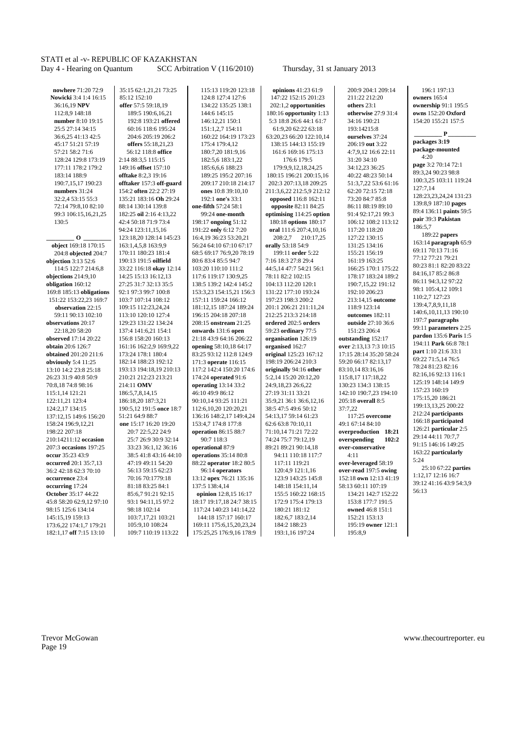**nowhere** 71:20 72:9 **Nowicki** 3:4 1:4 16:15 36:16,19 **NPV** 112:8,9 148:18 **number** 8:10 19:15 25:5 27:14 34:15 36:6,25 41:13 42:5 45:17 51:21 57:19 57:21 58:2 71:6 128:24 129:8 173:19 177:11 178:2 179:2 183:14 188:9 190:7,15,17 190:23 **numbers** 31:24 32:2,4 53:15 55:3 72:14 79:8,10 82:10 99:3 106:15,16,21,25 130:5

 **\_\_\_\_\_\_\_\_\_ O \_\_\_\_\_\_\_\_\_ object** 169:18 170:15 204:8 **objected** 204:7 **objection** 3:13 52:6 114:5 122:7 214:6,8 **objections** 214:9,10 **obligation** 160:12 169:8 185:13 **obligations** 151:22 153:22,23 169:7 **observation** 22:15 59:11 90:13 102:10 **observations** 20:17 22:18,20 58:20 **observed** 17:14 20:22 **obtain** 20:6 126:7 **obtained** 201:20 211:6 **obviously** 5:4 11:25 13:10 14:2 23:8 25:18 26:23 31:9 40:8 50:9 70:8,18 74:8 98:16 115:1,14 121:21 122:11,21 123:4 124:2,17 134:15 137:12,15 149:6 156:20 158:24 196:9,12,21 198:22 207:18 210:14211:12 **occasion** 207:3 **occasions** 197:25 **occur** 35:23 43:9 **occurred** 20:1 35:7,13 36:2 42:18 62:3 70:10 **occurrence** 23:4 **occurring** 17:24 **October** 35:17 44:22 45:8 58:20 62:9,12 97:10 98:15 125:6 134:14 145:15,19 159:13 173:6,22 174:1,7 179:21 182:1,17 **off** 7:15 13:10

35:15 62:1,21,21 73:25 85:12 152:10 **offer** 57:5 59:18,19 189:5 190:6,16,21 192:8 193:21 **offered** 60:16 118:6 195:24 204:6 205:19 206:2 **offers** 55:18,21,23 56:12 118:8 **office**  $2:14.88:3.5.115:15$ 149:16 **offset** 157:10 **offtake** 8:2,3 19:16 **offtaker** 157:3 **off-guard** 154:2 **often** 22:2 27:19 135:21 183:16 **Oh** 29:24 88:14 130:14 139:8 182:25 **oil** 2:16 4:13,22 42:4 50:18 71:9 73:4 94:24 123:11,15,16 123:18,20 128:14 145:23 163:1,4,5,8 163:9,9 170:11 180:23 181:4 190:13 191:5 **oilfield** 33:22 116:18 **okay** 12:14 14:25 15:13 16:12,13 27:25 31:7 32:13 35:5 92:1 97:3 99:7 100:8 103:7 107:14 108:12 109:15 112:23,24,24 113:10 120:10 127:4 129:23 131:22 134:24 137:4 141:6,21 154:1 156:8 158:20 160:13 161:16 162:2,9 169:9,22 173:24 178:1 180:4 182:14 188:23 192:12 193:13 194:18,19 210:13 210:21 212:23 213:21 214:11 **OMV** 186:5,7,8,14,15 186:18,20 187:3,21 190:5,12 191:5 **once** 18:7 51:21 64:9 88:7 **one** 15:17 16:20 19:20 20:7 22:5,22 24:9 25:7 26:9 30:9 32:14 33:23 36:1,12 36:16 38:5 41:8 43:16 44:10 47:19 49:11 54:20 56:13 59:15 62:23 70:16 70:1779:18 81:18 83:25 84:1 85:6,7 91:21 92:15 93:1 94:11,15 97:2 98:18 102:14 103:7,17,21 103:21 105:9,10 108:24 109:7 110:19 113:22

115:13 119:20 123:18 124:8 127:4 127:6 134:22 135:25 138:1 144:6 145:15 146:12,21 150:1 151:1,2,7 154:11 160:22 164:19 173:23 175:4 179:4,12 180:7,20 181:9,16  $182.56$  183 $\cdot$ 1,22 185:6,6,6 188:23 189:25 195:2 207:16 209:17 210:18 214:17 **ones** 10:8 39:10,10 192:1 **one's** 33:1 **one-fifth** 57:24 58:1 99:24 **one-month** 198:17 **ongoing** 51:12 191:22 **only** 6:12 7:20 16:4,19 36:23 53:20,21 56:24 64:10 67:10 67:17 68:5 69:17 76:9,20 78:19 80:6 83:4 85:5 94:7 103:20 110:10 111:2 117:6 119:17 130:9,25 138:5 139:2 142:4 145:2 153:3,23 154:15,21 156:3 157:11 159:24 166:12 181:12,15 187:24 189:24 196:15 204:18 207:18 208:15 **onstream** 21:25 **onwards** 131:6 **open** 21:18 43:9 64:16 206:22 **opening** 58:10,18 64:17 83:25 93:12 112:8 124:9 171:3 **operate** 116:15 117:2 142:4 150:20 174:6 174:24 **operated** 91:6 **operating** 13:14 33:2 46:10 49:9 86:12 90:10,14 93:25 111:21 112:6,10,20 120:20,21 136:16 148:2,17 149:4,24 153:4,7 174:8 177:8 **operation** 86:15 88:7 90:7 118:3 **operational** 87:9 **operations** 35:14 80:8 88:22 **operator** 18:2 80:5 96:14 **operators** 13:12 **opex** 76:21 135:16 137:5 138:4,14 **opinion** 12:8,15 16:17 18:17 19:17,18 24:7 38:15 117:24 140:23 141:14,22 144:18 157:17 160:17 169:11 175:6,15,20,23,24 175:25,25 176:9,16 178:9

**opinions** 41:23 61:9 147:22 152:15 201:23 202:1,2 **opportunities** 180:16 **opportunity** 1:13 5:3 18:8 26:6 44:1 61:7 61:9,20 62:22 63:18 63:20,23 66:20 122:10,14 138:15 144:13 155:19 161:6 169:16 175:13 176:6 179:5 179:9,9,12,18,24,25 180:15 196:21 200:15,16 202:3 207:13,18 209:25 211:3,6,22 212:5,9 212:12 **opposed** 116:8 162:11 **opposite** 82:11 84:25 **optimising** 114:25 **option** 180:18 **options** 180:17 **oral** 111:6 207:4,10,16 208:2,7 210:17,25 **orally** 53:18 54:9 199:11 **order** 5:22 7:16 18:3 27:8 29:4 44:5,14 47:7 54:21 56:1 78:11 82:2 102:15 104:13 112:20 120:1 131:22 177:10 193:24 197:23 198:3 200:2 201:1 206:21 211:11,24 212:25 213:3 214:18 **ordered** 202:5 **orders** 59:23 **ordinary** 77:5 **organisation** 126:19 **organised** 162:7 **original** 125:23 167:12 198:19 206:24 210:3 **originally** 94:16 **other** 5:2,14 15:20 20:12,20 24:9,18,23 26:6,22 27:19 31:11 33:21 35:9,21 36:1 36:6,12,16 38:5 47:5 49:6 50:12 54:13,17 59:14 61:23 62:6 63:8 70:10,11 71:10,14 71:21 72:22 74:24 75:7 79:12,19 89:21 89:21 90:14,18 94:11 110:18 117:7 117:11 119:21 120:4,9 121:1,16 123:9 143:25 145:8 148:18 154:11,14 155:5 160:22 168:15 172:9 175:4 179:13 180:21 181:12 182:6,7 183:2,14 184:2 188:23 193:1,16 197:24

200:9 204:1 209:14 211:22 212:20 **others** 23:1 **otherwise** 27:9 31:4 34:16 190:21 193:14215:8 **ourselves** 37:24 206:19 **out** 3:22 4:7,9,12 16:6 22:11 31:20 34:10 34:12,23 36:25 40:22 48:23 50:14 51:3,7,22 53:6 61:16 62:20 72:15 72:18 73:20 84:7 85:8 86:11 88:19 89:10 91:4 92:17,21 99:3 106:12 108:2 113:12 117:20 118:20 127:22 130:15 131:25 134:16 155:21 156:19 161:19 163:25 166:25 170:1 175:22 178:17 183:24 189:2 190:7,15,22 191:12 192:10 206:23 213:14,15 **outcome** 118:9 123:14 **outcomes** 182:11 **outside** 27:10 36:6 151:23 206:4 **outstanding** 152:17 **over** 2:13,13 7:3 10:15 17:15 28:14 35:20 58:24 59:20 66:17 82:13,17 83:10,14 83:16,16 115:8,17 117:18,22 130:23 134:3 138:15 142:10 190:7,23 194:10 205:18 **overall** 8:5  $37:7,22$ 117:25 **overcome** 49:1 67:14 84:10 **overproduction 18:21 overspending 102:2 over-conservative**  4:11 **over-leveraged** 58:19 **over-read** 197:5 **owing** 152:18 **own** 12:13 41:19 58:13 60:11 107:19 134:21 142:7 152:22 153:8 177:7 191:5 **owned** 46:8 151:1

> 152:21 153:13 195:19 **owner** 121:1

 $195.89$ 

**ownership** 91:1 195:5 **owns** 152:20 **Oxford** 154:20 155:21 157:5  **\_\_\_\_\_\_\_\_\_ P \_\_\_\_\_\_\_\_\_ packages 3:19 package-mounted**   $4:20$ **page** 3:2 70:14 72:1 89:3,24 90:23 98:8 100:3,25 103:11 119:24 127:7,14 128:23,23,24,24 131:23 139:8,9 187:10 **pages** 89:4 136:11 **paints** 59:5 **pair** 39:3 **Pakistan**  $186.57$ 189:22 **papers** 163:14 **paragraph** 65:9 69:11 70:13 71:16 77:12 77:21 79:21 80:23 81:1 82:20 83:22 84:16,17 85:2 86:8 86:11 94:3,12 97:22 98:1 105:4,12 109:1 110:2,7 127:23 139:4,7,8,9,11,18 140:6,10,11,13 190:10 197:7 **paragraphs** 99:11 **parameters** 2:25 **pardon** 135:6 **Paris** 1:5 194:11 **Park** 66:8 78:1 **part** 1:10 21:6 33:1 69:22 71:5,14 76:5 78:24 81:23 82:16 82:16,16 92:13 116:1 125:19 148:14 149:9 157:23 160:19 175:15,20 186:21 199:13,13,25 200:22 212:24 **participants** 166:18 **participated** 126:21 **particular** 2:5 29:14 44:11 70:7,7 91:15 146:16 149:25 163:22 **particularly** 5:24 25:10 67:22 **parties** 1:12,17 12:16 16:7 39:12 41:16 43:9 54:3,9 56:13

196:1 197:13 **owners** 165:4

Page 19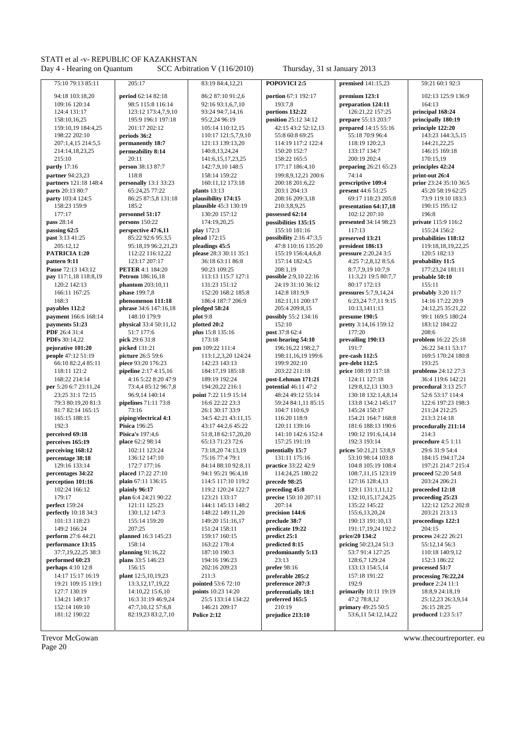94:18 103:18,20  $109.16120.14$  $124.4131.17$ 158:10,16,25 159:10,19 184:4,25 198:22 202:10  $207.1415214.55$ 214.14 18 23 25  $215:10$  $partlv$  17:16 partner 94:23 23 nartners  $121.18$   $148.4$ parts 20:13 80:7 party 103:4 124:5 158:23 159:9  $177.17$ pass 28:14 passing 62:5 past 3:13 41:25  $205:12.12$ PATRICIA 1:20 pattern 9:11 Pause 72:13 143:12 pay 117:1,18 118:8,19 120:2 142:13 166:11 167:25  $168.3$ payables 112:2 payment 166:6 168:14 navments  $51.23$ **PDF** 26.4 31.4 **PDFs**  $30.14.22$ peiorative 101:20 people 47:12 51:19 66:10 82:2,4 85:11  $118.11121.2$ 168:22 214:14 per 5:20 6:7 23:11,24 23:25 31:1 72:15 79:3 80:19.20 81:3  $81.782.14165.15$  $165.15$   $188.15$  $192.3$ perceived 69:18 nerceives 165:19 perceiving 168:12 percentage 38:18  $129.16$   $133.14$ percentages 34:22 perception 101:16  $102.24 166.12$  $179.17$ perfect 159:24 **perfectly** 10:18 34:3  $101.13118.23$  $149.2 166.24$ perform 27:6 44:21 performance 13:15  $37.7192225383$ performed 60:23 perhaps 4:10 12:8 14:17 15:17 16:19 19:21 109:15 119:1  $127.7130.19$  $134.21$   $149.17$ 152:14 169:10 181:12 190:22

75:10 79:13 85:11

205:17 period 62:14 82:18 98.5 115.8 116.14 123:12 173:4.7.9.10 195:9 196:1 197:18 201:17 202:12 periods 36:2 permanently 18:7 nermeability 8:14  $20:11$ person 38:13 87:7  $118.8$ nersonally  $13.133.23$ 65:24,25 77:22 86:25 87:5,8 131:18  $185:2$ personnel 51:17 persons 150:22 perspective 47:6,11 85:22 92:6 95:3,5 95:18.19 96:2.21.23 112:22 116:12.22  $123.17.207.17$ **PETER** 4:1 184:20 Petrom 186:16.18  $$ phase  $199.78$ phenomenon 111:18 phrase 34:6 147:16,18 148:10 179:9 physical 33:4 50:11.12  $51.71776$ pick 29:6.31:8 picked 131:21 picture 26:5 59:6 piece 93:20 176:23 **pipeline** 2:17 4:15.16  $4:165:228:2047:9$  $73.4485.1296.78$ 96:9,14 140:14 pipelines  $71:1173:8$  $73.16$ nining/electrical 4:1 Pisica 196:25 Pisica's  $197.46$ nlace 62:2.98:14  $102.11$   $123.24$ 136:12 147:10 172:7 177:16 placed 17:22 27:10 plain 67:11 136:15 plainly 96:17 plan 6:4 24:21 90:22  $121.11$   $125.23$  $130.112147.3$  $155.14$   $159.20$  $207.25$ **planned** 16:3 145:23  $158.14$ planning  $91:16,22$ plans 33:5 146:23  $156.15$ nlant 12:5 10 19 23 13:3, 12, 17, 19, 22  $14.102215610$  $16.331.1946.924$ 47:7,10,12 57:6,8 82:19.23 83:2.7.10

83:19 84:4,12,21  $86.287.1091.26$  $92.1693.16710$ 93:24 94:7.14.16 95:2.24 96:19 105:14 110:12,15 110:17 121:5,7,9,10  $121.13139.1320$ 140.8 13 24 24 141:6, 15, 17, 23, 25 142:7.9.10 148:5  $158.14$  159.22  $160.1112173.18$ plants 13:13 plausibility 174:15 plausible 45:3 130:19  $130.20157.12$ 174:19.20.25 play 172:3 plead 172:15 pleadings 45:5 please 28:3 30:11 35:1  $36.1863.1186.8$ 90:23 109:25 113:13 115:7 127:1 131:23 151:12  $152.20$   $168.2$   $185.8$ 186:4 187:7 206:9 pledged 58:24 plot 9:8  $ndotted$  20.2 plus 15:8 135:16  $173.18$ pm 109:22 111:4 113:1,2,3,20 124:24 142:23 143:13  $184.1719185.18$ 189:19 192:24 194:20,22 216:1 point 7:22 11:9 15:14 16:6 22:22 23:3  $26.130.17330$  $34.542.2143.1115$ 43:17 44:2,6 45:22  $51.81862.172020$ 65:13 71:23 72:6 73:18.20 74:13.19 75:16 77:4 79:1 84:14 88:10 92:8.11 94:1 95:21 96:4.18  $114.5117.10119.2$  $119.2120.24122.7$ 123:21 133:17  $144.1$   $145.13$   $148.2$  $148.22$   $149.11$  20  $149.20151.1617$  $151.24$   $158.11$  $150.17160.15$  $163.22$  178.4 187:10 190:3  $194.16196.23$  $202.16209.23$  $211-3$ pointed 53:6 72:10 noints  $10.23, 14.20$  $25.5133.14134.22$ 146:21 209:17 **Police 2:12** 

portion 67:1 192:17  $193.78$ portions 132:22 position 25:12 34:12 42:15 43:2 52:12,13 55:8 60:8 69:25  $114.19117.2122.4$  $150.20$   $152.7$ 158:22 165:5 177:17 186:4.10 199:8.9.12.21.200:6  $200.18201.622$  $203 \cdot 1204 \cdot 13$  $208.16209.318$ 210:3.8.9.25 nossessed  $62.14$ possibilities 135:15 155:10 181:16 possibility  $2:1647:3,5$ 47:8 110:16 135:20 155:19 156:4.4.6.8  $157.14$   $182.4$  5 208:1.19 possible 2:9,10 22:16 24:19 31:10 36:12  $142.81999$ 182:11.11 200:17  $205.4209.815$ possibly 55:2 134:16  $152.10$ post 37:8 62.4 post-hearing 54:10 196:16.22 198:2.7 198:11,16,19 199:6 199:9 202:10  $203.22211.18$ post-Lehman 171:21 potential  $46:11\,47:2$ 48:24 49:12 55:14 59:24 84:1.11 85:15  $104.7110.69$  $116.20118.9$  $120.11$   $139.16$  $141.10$   $142.6$   $152.4$  $157.25191.19$ potentially 15:7 131:11 175:16 **practice** 33:22 42:9 114:24.25 180:22 precede 98:25 preceding 45:8 precise 150:10 207:11  $207.14$ precision 144:6 preclude 38.7 predicate 19:22 predict 25:1 predicted 8:15 predominantly 5:13  $23.13$  $nrefer 98.16$ preferable 205:2 preference 207:3 preferentially 18:1 preferred 165.5 210:19 prejudice 213:10

Thursday, 31 st January 2013

premised 141:15,23

POPOVICI 2:5

premium 123:1 preparation 124:11  $126:2122.157:25$ prepare 55:13 203:7 prepared 14:15 55:16 55:18 70:9 96:4  $118.19120.23$  $133.17$   $134.7$ 200:19 202:4 preparing 26:21 65:23  $74.14$ **prescriptive 109.4** present 44:6 51:25 69:17 118:23 205:8 presentation 64:17,18  $102.12207.10$ presented 34:14 98:23  $117:13$ preserved 13:21 president 186:13 **pressure** 2:20.24 3:5  $4.257.28128.56$ 8:7,7,9,19 10:7,9 11:3,21 19:5 80:7,7 80:17 172:13 pressures  $5.791424$ 6:23.24 7:7.11 9:15  $10.131411.13$ presume 190:5 pretty 3:14.16 159:12  $177.20$ prevailing 190:13  $191:7$ pre-cash 112:5 pre-debt 112:5 **price** 108:19 117:18 124:11 127:18  $129.812.13130.3$ 130:18 132:1,4,8,14 133:8 134:2 145:17  $145.24$  150.17  $154.21$   $164.7$   $168.8$ 181:6 188:13 190:6 190.12.191.6.14.14 192:3 193:14 prices 50:21,21 53:8.9 53:10 98:14 103:8 104:8 105:19 108:4 108:7,11,15 123:19  $127.16$  128.4 13  $129.1131.11112$ 132:10.15.17.24.25 135:22 145:22 155:6.13.20.24  $190.13191.1013$ 191:17.19.24 192:2 price/20 134:2 pricing 50:23,24 51:3 53:7 91:4 127:25  $128.67129.24$  $133.13$   $154.5$   $14$ 157:18 191:22  $192.9$ **primarily** 10:11 19:19  $47.278.812$ primary 49:25 50:5 53:6.11 54:12.14.22

59:21 60:1 92:3 102:13 125:9 136:9  $164.13$ principal 168:24 principally 180:19  $\overline{\text{principle}}$  122:20 143:23 144:3,5,15  $144.21$  22.25  $146.15169.18$ 170:15.19 principles 42:24  $print-out 26.4$  $\frac{1}{2}$  prior 23.24.35.10.36.5  $45:2058:1962:25$ 73.9 119.10 183.3 190:15 195:12  $196.8$ private 115:9 116:2 155:24 156:2 probabilities 118:12 119:18.18.19.22.25  $120:5$  182:13 probability 11:5 177:23,24 181:11  $probable 50:10$  $155.11$ probably  $3:20$  11.7 14:16 17:22 20:9  $24.12.25.35.21.22$ 99:1 169:5 180:24  $183.12$   $184.22$  $208.6$ **problem**  $16:22.25:18$ 26:22 34:11 53:17 169:5 170:24 180:8  $193.25$ problems  $24.12.27.3$ 36:4 119:6 142:21 procedural 3:13 25:7 52:6 53:17 114:4 122:6 197:23 198:3  $211.24212.25$  $213.3214.18$ procedurally 211:14  $214.3$ procedure  $4.5111$  $29.631.9544$ 184-15 194-17 24 197:21 214:7 215:4 **proceed** 52:20 54:8  $203.24206.21$ proceeded 12:18 proceeding 25:23 122:12 125:2 202:8  $203.21213.13$ proceedings 122:1  $204.15$ process 24:22 26:21  $55.12.14.56.3$ 110-18 140-9 12  $152.3186.22$ processed 51:7 processing 76:22,24 produce  $2:24$  11:1  $18.8924.1819$ 25.12.23.26.3.9.14 26:15 28:25 **produced** 1:23 5:17

**Trevor McGowan** Page 20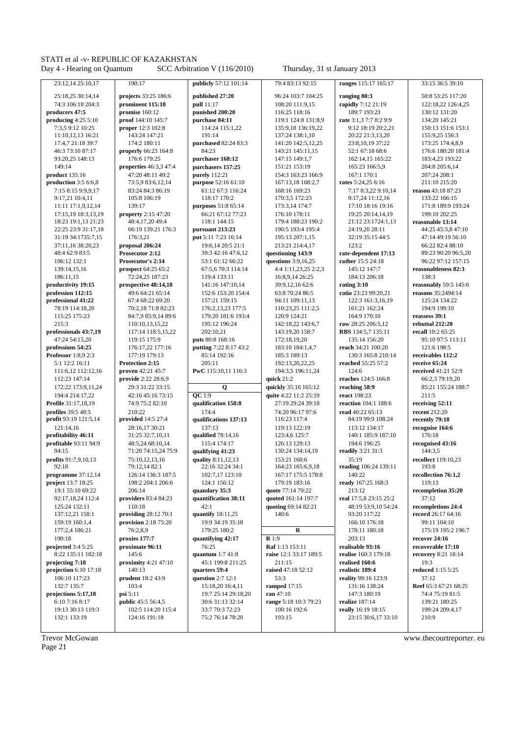**profession 112:15** 49:6 64:21 65:14 152:6 153:20 154:4 63:8 70:24 86:5<br> **professional 41:22** 67:4 68:22 69:20 157:21 159:15 94:11 109:11.13

**properties** 46:3,3 47:4 **proven** 42:21 45:7 **PwC** 115:10,11 116:3 194:3,5 **provide** 2:22 28:6.9 **providing** 28:12 70:1 **quantify** 18:11,25 140:6 19:13 30:13 119:3 102:5 114:20 115:4 33:7 70:3 72:23 100:16 192:6 **really** 16:19 18:15 199:24 209:4,17

**profit** 93:19 121:5,14 **provided** 14:5 27:4 **qualifications 137:13** 116:23 117:4 84:19 99:9 108:24 **recently 79:18** 

25:18,25 30:14,14 **projects** 33:25 186:6 **published 27:20 96:24** 103:7 104:25 **ranging 80:3 50:8 53:25 117:20 prominent 115:18 pull 11:17** 108:20 111:9,15 **rapidly** 7:12 21:19 **122:18.22** 126:4.25 74:3 106:18 204:3 **prominent 115:18 pull** 11:17 108:20 111:9,15 **rapidly** 7:12 21:19 122:18,22 126:4,25 **producers 47:5 <b>promise** 160:12 **punished 200:20** 116:25 118:16 189:7 193:23 130:12 130:12 131:20 **producing** 4:25 5:10 **proof** 144:10 145:7 **purchase 84:11** 119:1 124:8 131:8,9 **rate** 3:1,3 7:7 8:2 9:9 134:20 145:21 **proper** 12:3 102:8 114:24 115:1,22 135:9,18 136:19,22 151:19 20:2,21 150:13 151:6 153:1 7:3,5 9:12 10:25 **proper** 12:3 102:8 **proper** 12:3 102:8 **proper** 12:3 102:8 11:10,12,13 16:21 14:24 115:1,22 13:19,18 136:19,22 9:12 18:19 20:2,2 1:3,13,20 11:10,12,13 16:21 143:24 147:21 191:14 137:24 138:1,10 20:22 21:3,13,20 155:9,25 156:3 17:4,7 21:18 39:7 **17:4:2 180:11 <b>purchased** 82:24 83:3 141:20 142:5,12,25 23:8,10.19 37:22 173:25 174:4,8,9 46:3 73:10 87:17 **properly** 66:23 164:8 84:23 164:23 143:21 145:11,15 52:1 67:18 68:6 176:6 180:20 181:4<br>
93:20.25 148:13 165:22 183:4.23 193:22 162:14.15 165:22 183:4.23 193:22 93:20,25 148:13 176:6 179:25 **purchaser 168:12** 147:15 149:1,7 162:14,15 165:22 **183:4,23 193:2**<br>149:14 **properties** 46:3.3 47:4 **purchasers 157:25** 151:21 153:19 165:23 166:5.9 204:8 205:6.14 **product** 135:16 **15:16** 155:16 **151:120 48:11 49:2 purely** 112:21 154:3 163:23 166:9 167:1 170:1 207:24 208:1 **production** 3:5 6:6,8 73:5,9 83:6,12,14 **purpose** 52:16 61:10 167:13,18 168:2,7 **rates** 5:24,25 6:16 211:10 215:20 7:15 8:15 9:9,9,17 83:24 84:3 86:19 61:12 67:3 116:24 168:16 169:23 7:17 8:3,22 9:10,14 **reason** 43:18 87:23 9:17,21 10:4,11 | 105:8 106:19 | 118:17 170:2 | 170:3,5 172:23 | 9:17,24 11:12,16 | 133:22 166:15 11:11 17:1,9,12,14 139:17 13:15 17:10 18:16 19:16 17:15,19 18:3,13,14 **property** 2:15 47:20 **property** 2:15 47:20 17:10 178:11 17:15,19 18:3,13,19 **property** 2:15 47:20 166:21 67:12 77:23 176:10 178:11 19:25 20:14,14,19 19 **property** 2:15 47:20 **6** 66:21 67:12 77:23 176:10 178:11 19:25 20:14,14,19 199:10 202:25 18:23 19:1,13 21:23 | 48:4,17,20 49:4 | 118:1 144:15 | 179:4 188:23 190:2 | 21:12 23:1724:1,13 **reasonable 13:14** 22:25 23:9 31:17,18 66:19 139:21 176:3 **pursuant 213:23** 190:5 193:4 195:4 24:19,20 28:11 44:25 45:3,8 47:10 31:19 34:1735:7,15 176:3,21 **put** 5:11 7:23 16:14 195:13 207:1,15 32:19 35:15 44:5 47:14 49:19 56:10 37:11,16 38:20,23 **proposal 206:24 proposal 206:24 proposal 206:24 proposal 206:24 proposal 206:24 proposal 206:24 proposal 206:24 proposal 206:24 proposal 206:24 proposal 206:24 proposal 206:24 propo** 106:12 132:1 **Prosecutor's 2:14** 53:1 61:12 66:22 **questions** 3:9,16,25 **rather** 15:5 24:18 96:22 97:12 157:15 139:14,15,16 **prospect** 64:25 65:2 **67:5,6 70:3** 114:14 **1:11,23,25 2:2,3** 145:12 147:7 **reasonableness 82:3**<br>186:11,15 72:24.25 187:23 119:4 133:11 16:8.9,14 26:25 184:13 206:18 138:3 186:11,15 | 72:24,25 187:23 | 119:4 133:11 | 16:8,9,14 26:25 | 184:13 206:18 | 138:3 **productivity 19:15 prospective 48:14,18 14:16 147:10,14** 39:9,12,16 62:6 **rating 3:10 ratio 23:23 99:20 154:4 ratio 23:23 99:20 154:4 ratio 23:23 99:20 154:4 ratio 23:23 99:20 154:4 ratio 23:23 99:20 154:4 professional 41:22** 67:4 68:22 69:20 | 157:21 159:15 | 94:11 109:11,13 | 122:3 161:3,16,19 | 125:24 134:22 78:19 114:18,20 | 70:2,18 71:8 82:23 | 176:2,13,23 177:5 | 110:23,25 111:2,5 | 161:21 162:24 | 194:9 199:10 115:25 175:23 84:7,9 85:9,14 89:6 179:20 181:6 193:4 120:9 124:21 164:9 170:10 **reassess 39:1**<br>110:10,13,15.22 195:12 196:24 142:18.22 143:6.7 **raw** 28:25 206:5,12 **rebuttal 212:20 professionals 43:7,19 professionals 43:7,19 117:14 118:5,15,22** 202:10,21 **recall** 10:2 **professionals 43:7,19 recall** 10:2 65:25 **professionals 43:7,19 recall** 10:2 65:25 **professionals 43:7,11 recall** 10:2 65: 47:24 54:15,20 119:15 175:9 **puts** 80:8 168:16 172:18,19,20 135:14 156:20 95:10 97:5 113:11 **professions 54:25 professions 54:25** 176:17,22 177:16 **putting** 7:22 8:17 43:2 183:10 184:1,4,7 **reach** 34:21 100:20 121:6 198:5 **Professor** 1:8,9 2:3 177:19 179:13 177:19 179:13 **Professor** 1:8,9 2:3 177:19 179:13 85:14 192:16 185:3 189:13 130:3 165:8 210:14 **receivables 112:2**<br>**Protection 2:15** 205:11 192:13,20,22.25 **reached** 55:25 57:2 **receive 65:24** 5:1 12:2 16:11 **Protection 2:15** 205:11 116:3 **Protection 2:15 Protection 2:15 Protection 2:15 Protection 2:15 Protection 2:25 Protection 2:25 Protection 2:25 Protection 2:25 Protection 2:25 Protection 2:** 112:23 147:14 **provide** 2:22 28:6,9 **quick** 21:2 **reaches** 124:5 166:8 66:2,3 79:19,20 172:22 173:9,11,24 29:3 31:22 33:15 **Q quickly** 35:16 165:12 **reaching 58:9** 85:21 155:24 188:7 194:4 214:17,22 42:16 45:16 73:15 **QC** 1:9 **quite** 4:22 11:2 25:19 **react** 198:23 1:17,18,19 74:9 75:2 82:10 **qualification 158:8** 27:19 29:24 39:18 **reaction** 104:1 188:6 **receiving Profile** 31:17,18,19 74:9 75:2 82:10 **qualification 158:8** 27:19 29:24 39:18 **reaction** 104:1 188:6 **receiving 52:11 profiles** 39:5 48:5 210:22 22 174:4 **read** 40:22 65:13 **recent** 212:20 **read** 40:22 1797:6 **read** 40:22 65:13 **recent** 212:20 **read** 40:22 115:14 **recently 79:18** 121:14,16 28:16,17 30:21 137:13 119:13 122:19 113:12 134:17 **recognise 164:6 profitability 46:11** 31:25 32:7,10,11 **qualified** 78:14,16 123:4,6 125:7 140:1 185:9 187:10 176:18<br>**profitable** 93:11 94:9 48:5.24 68:10,14 115:4 174:17 126:13 129:13 194:6 196:25 **recognise profitable** 93:11 94:9 **48:5,24 68:10,14** 115:4 174:17 126:13 129:13 194:6 196:25 **recognised 43:16** 94:15 71:20 74:15,24 75:9 **qualifying 41:23** 130:24 134:14,19 **readily** 3:21 31:3 144:3,5 **profits** 91:7,9,10,13 75:10,12,13,16 **quality** 8:11,12,13 153:21 160:6 35:19 **recollect** 119:10,23<br>92:16 164:23 165:6.9.18 **reading** 106:24 139:11 193:8 92:18 **7**9:12,14 82:1 **22:16 32:24 34:1 164:23 165:6.9.18 reading** 106:24 139:11 **programme** 37:12,14 126:14 136:3 187:5 102:7,17 123:10 167:17 175:5 178:8 140:22 **recollection 76:1,2 project** 13:7 18:25 198:2 204:1 206:6 124:1 156:12 179:19 183:16 **ready** 167:25 168:3 19:13 **project** 13:7 18:25 198:2 204:1 206:6 124:1 156:12 179:19 183:16 **ready** 167:25 168:3 19:1 55:10 69:22 204:1 206:14 **quandary 35:3 quate**  $77:1479:22$  **recomplet** quote 77:14 79:22 213:12 **recompletion 35:20** 92:17,18,24 112:4 **providers** 83:4 84:23 **quantification 38:11 quoted** 161:14 197:7 **real** 17:5,8 23:15 25:2 37:12 125:24 132:11 110:18 110:18 12:12 125:24 137:12,21 158:1 **providing** 28:12 70:1 **quantify** 18:11,25 140:6 14:05 14:06 14:24 **recompletions 24:4 recompletions 24:4 record** 26:17 64:16 159:19 160:1,4 **provision** 2:18 75:20 19:9 34:19 35:18 166:10 176:18 177:2,4 186:21 166:10 176:18 177:2.4 186:21 166:20 179:25 180:2 177:2,4 186:21 76:2,8,9 179:25 180:2 **R** 178:11 180:18 175:19 195:2 196:7 190:18 **proxies 177:7 quantifying 42:17 R** 1:9 203:13 **recover 24:16 projected** 3:4 5:25 **proximate 96:11 proximate 96:11** *Provimate 96:11* **<b>Raf** 1:13 153:11 **Raf** 1:13 153:11 **Raf** 1:13 153:11 **Raf** 1:13 153:11 **Raf** 1:13 153:11 **Raf** 1:13 153:11 **Raf** 1:13 153:17 **Provimate 96:31 P raise** 12:1 33:17 189:5 **projecting 7:18 proximity** 4:21 47:10 45:1 199:8 211:25 211:15 **realised 160:6** 19:3 **projection** 6:10 17:18 140:13 **realised 47:18** 52:12 **realised 160:6 realised 160:6 realised 160:6 realised 160:6 realised 16 projection** 6:10 17:18 140:13 **quarters 59:4 raised** 47:18 52:12 **realistic 189:4** reduced 1:15 5:25 106:10 117:23 **prudent** 18:2 43:9 **question** 2:7 12:1 53:3 **reality** 99:16 123:9 **prudent** 18:2 43:9 **question** 2:7 12:1 53:3 **ramped** 17:15 131:16 138:24 **Reef** 65:3 132:7 135:7 103:4 15:18,20 16:4,11 **ramped** 17:15 131:16 138:24 **Reef** 65:3 67:21 68:25 **projections 5:17,18 psi** 5:11 **psi** 5:11 **psi** 5:13 **psilons** 5:17 **public** 45:5 56:4,5 **ppdic** 45:5 56:4,5 **ppdic** 45:5 56:4,5 **ppdic** 45:5 56:4,5 **ppdic** 45:5 56:4,5 **ppdic** 45:5 56:4,5 **ppdic** 45:5 56:4,5 **ppdic** 45: 6:10 7:16 8:17 **public** 45:5 56:4,5 30:6 31:13 32:14 **range** 5:18 10:3 79:23 **realize** 187:14 139:21 180:25

raw 28:25 206:5,12 193:15 23:15 30:6,17 33:10 210:9

23:12,14 25:10,17 190:17 **publicly** 57:12 101:14 79:4 83:13 92:15 **ranges** 115:17 165:17 33:15 36:5 39:10 48:4 62:9 83:5 **Prosecutor 2:12** 39:3 42:16 47:6,12 **questioning 143:9 rate-dependent 17:13** 89:23 90:20 96:5,20

Page 21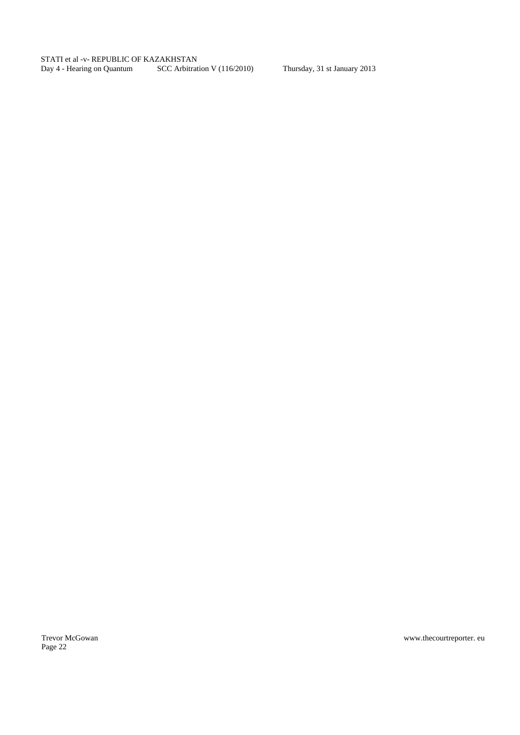Page 22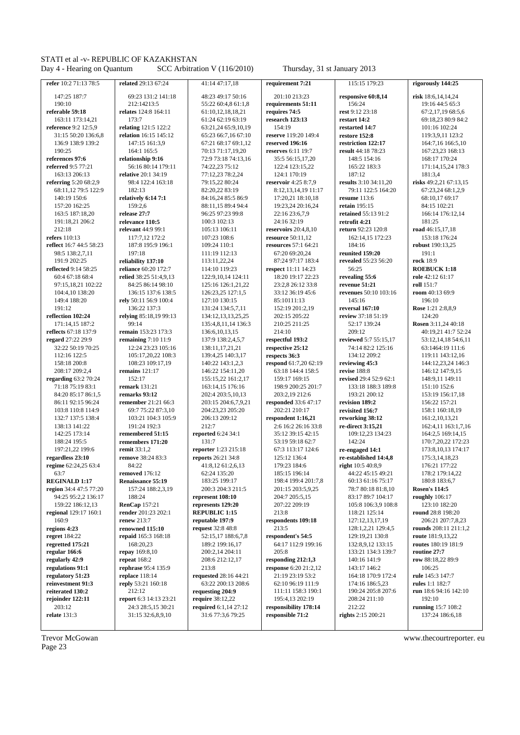**referable 59:18 relates** 124:8 164:11 61:10,12,18,18,21 **requires 74:5 rest** 9:12 23:18 67:2,17,19 68:5,6 163:11 173:14,21 173:14,21 173:7 61:24 62:19 63:19 **research 123:13 restart 14:2** 69:18,23 80:9 84:2 **reference** 9:2 12:5.9 **relating** 121:5 122:2 63:21.24 65:9 10.19 154:19 **restarted 14:7** 101:16 102:24 **references 97:6 relationship 9:16** 72:9 73:18 74:13,16 35:5 56:15,17,20 148:5 154:16 168:17 170:24<br>**referred** 9:5 77:21 56:16 80:14 179:11 74:22,23 75:12 122:4 123:15,22 165:22 183:3 171:14,15,24 178:3 **referring** 5:20 68:2,9 98:4 122:4 163:18 79:15,22 80:24 **reservoir** 4:25 8:7,9 **results** 3:10 34:11,20 **risks** 49:2,21 67:13,15 **refers** 110:13 117:7,12 172:2 107:23 108:6 **resource** 50:11,12 162:14,15 172:23 153:18 176:24 **reflect** 16:7 44:5 58:23 187:8 195:9 196:1 109:24 110:1 **resources** 57:1 64:21 184:16 **robust** 190:13,25 188:2,7,11 197:18 11:19 11:19 11:19 11:19 11:13 **reflected** 9:14 58:25 **reliance** 60:20 172:7 **reliance reflected** 9:14 58:25 **reliance reflect** 1:13 **reduck 1:18 reduck 1:18 reduck 1:18 reduck 1:18 reduck 1:18 reduck 1:18 reduck 1:18 reduck 1:17 rev reflection 102:24 relying** 85:18,19 99:13 134:12,13,13,25,25 202:15 205:22 **review** 37:18 51:19 124:20<br>171:14.15 187:2 99:14 136:3 135:4.8.11.14 136:3 210:25 211:25 52:17 139:24 **Rosen** 3:1 **regarding** 63:2 70:24 152:17 152:17 155:15,22 161:2,17 159:17 169:15 **revised** 29:4 52:9 62:1 148:9,11 149:11 159:17 151:18 175:16 198:9 200:25 201:7 1:18 75:19 83:1 **regardless 23:10**<br>**remove** 38:24 83:3 **reports** 26:21 34:8 125:12 136:4 **reports** 26:21 34:8 **reports** 26:21 34:8 **reports** 26:21 34:3 **reports** 26:21 34:3 **reports** 26:21 176:21 177:22 **regime** 62:24,25 63:4 84:22 **removed** 176:12 **11:8,12 61:2,6,13** 179:23 184:6 **right** 10:5 40:8,9 176:21 177:22 177:22 184:6 63:7 **right** 10:5 40:8,9 **right** 10:5 40:8,9 176:21 177:22 **REGINALD 1:17** Renaissance 55:19 183:25 199:17 198:4 199:4 201:7,8 60:13 61:16 75:17 180:8 183:6,7<br>
region 34:4 47:5 77:20 188:25 199:19 200:3 204:3 211:5 203:5 9.25 201:15 203:5 9.25 28:18 81:8 10 **Rosen's 114:5 region** 34:4 47:5 77:20 157:24 188:2,3,19 200:3 204:3 211:5 201:15 203:5,9,25 78:7 80:18 81:8,10 **Rosen's 114:5 regional** 129:17 160:1 **render** 201:23 202:1 **REPUBLIC 1:15** 213:8 118:21 125:14 **round** 28:8 198:20<br>160:9 **renew** 213:7 **render** 201:23 202:1 **renutable 197:9 respondents 109:18** 127:12 13 17:19 206:21 207:7 8 23 **regretted 175:21** 168:20,23 189:2 199:16,17 112:9 199:16 132:8,9,12 133:15 **routes** 180:19 181:9 **regular 166:6 repay** 169:8,10 200:2,14 204:11 205:8 133:21 134:3 139:7 **routine 27:7 regularly 42:9 repeat** 168:2 208:6 212:12,17 **responding 212:1,3** 140:16 141:9 **regulations 91:1 rephrase** 95:4 135:9 213:8 **regulatory 51:23 replace** 118:14 **requested** 28:16 44:21 **reduces 118:14 reduces 118:14 replace** 118:14<br>**reply** 53:21 160:18 63:22 200:13 208:6 62:10 96:19 111:9 174:16 186:5.23 **rules** 1:1 182:7 **reinvestment 91:3 reply** 53:21 160:18<br>**reiterated 130:2** 212:12 **rejoinder 122:11 report** 6:3 14:13 23:21 **require** 38:12.22 195:4,13 202:19 208:24 211:10 192:10

31:15 50:20 136:6,8 **relation** 16:15 145:12 65:23 66:7,16 67:10 **reserve** 119:20 1<br>136:9 138:9 139:2,11 147:15 161:3,9,11 16:11 16:12 **reserved** 196:16 **remain** 153:23 173:3 136:6,10,13,15

**refer** 10:2 71:13 78:5 **related** 29:13 67:24 41:14 47:17,18 **requirement 7:21** 115:15 179:23 **rigorously 144:25**  147:25 187:7 69:23 131:2 141:18 48:23 49:17 50:16 201:10 213:23 **responsive 60:8,14 risk** 18:6,14,14,24 190:10 212:14213:5 55:22 60:4,8 61:1,8 **requirements 51:11** 156:24 19:16 44:5 65:3 **reference** 9:2 12:5,9 **relating** 121:5 122:2 63:21,24 65:9,10,19 154:19 **restarted 14:7** 101:16 102:24<br>31:15 50:20 136:6.8 **relation** 16:15 145:12 65:23 66:7.16 67:10 **reserve** 119:20 149:4 **restore 152:8** 119:3.9.11 123: 136:9 138:9 139:2 147:15 161:3,9 67:21 68:17 69:1,12 **reserved 196:16 restriction 122:17** 164:7,16 166:5,10 190:25 164:1 165:5 70:13 71:17,19,20 **reserves** 6:11 19:7 **result** 44:18 78:23 167:23,23 168:13 163:13 206:13 **relative** 20:1 34:19 77:12,23 78:2,24 124:1 170:19 187:12 181:3,4 68:11,12 79:5 122:9 182:13 82:20,22 83:19 8:12,13,14,19 11:17 79:11 122:5 164:20 67:23,24 68:1,2,9 140:19 150:6 **relatively 6:14 7:1** 84:16,24 85:5 86:9 17:20,21 18:10,18 **resume** 113:6 68:10,17 69:17 157:20 162:25 159:2,6 88:11,15 89:4 94:4 19:23,24 20:16,24 **retain** 195:15 84:15 102:21 163:5 187:18,20 **release 27:7** 96:25 97:23 99:8 22:16 23:6,7,9 **retained** 55:13 91:2 166:14 176:12,14 191:18,21 206:2 **relevance 110:5** 100:3 102:13 24:16 32:19 **retrofit 4:21** 181:25 212:18 **relevant** 44:9 99:1 105:13 106:11 **reservoirs** 20:4,8,10 **return** 92:23 120:8 **road** 46:15,17,18 98:5 138:2,7,11 197:18 111:19 112:13 67:20 69:20,24 **reunited 159:20** 191:1 191:9 202:25 **reliability 137:10** 113:11,22,24 87:24 97:17 183:4 **revealed** 55:23 56:20 **rock** 18:9 60:4 67:18 68:4 **relied** 38:25 51:4,9,13 122:9,10,14 124:11 18:20 19:17 22:23 **revealing 55:6 role** 42:12 97:15,18,21 102:22 84:25 86:14 98:10 125:16 126:1.21.22 23:2.8 26:12 33:8 **revenue 51:21 roll** 151:7 97:15,18,21 102:22 84:25 86:14 98:10 125:16 126:1,21,22 23:2,8 26:12 33:8 **revenue 51:21** roll 151:7<br>104:4.10 138:20 136:15 137:6 138:5 126:23.25 127:1.5 33:12 36:19 45:6 **revenues** 50:10 103:16 **room** 40:13 69:9 149:4 188:20 **rely** 50:11 56:9 100:4 127:10 130:15 85:10111:13 145:16 196:10 191:12 **Rose** 1:21 2:8,8,9 **Rose** 1:21 2:3,8,9 32:22 50:19 70:25 12:24 23:23 105:16 138:11,17,21,21 **respective 25:12** 74:14 82:2 125:16 63:1464:19 111:6 112:16 122:5 105:17,20,22 108:3 139:4,25 140:3,17 **respects 36:3** 134:12 209:2 119:11 143:12,16 208:17 209:2,4 **remains** 121:17 146:22 154:11,20 63:18 144:4 158:5 **revise** 188:8 146:12 147:9,15 71:18 75:19 83:1 **remark** 131:21 163:14,15 176:16 198:9 200:25 201:7 133:18 188:3 189:8 151:10 152:6 84:20 85:17 86:1,5 **remarks 93:12** 202:4 203:5,10,13 203:2,19 212:6 193:21 200:12 153:19 156:17,18 86:11 92:15 96:24 **remember** 21:21 66:3 203:15 204:6,7,9,21 **responded** 33:6 47:17 **revision 189:2** 160:18 169:2 160:18 1<br>103:8 110:8 114:9 69:7 75:22 87:3 10 204:23 23:205:20 202:21 210:17 **revisited 156:7** 158:1 160:18 1 103:8 110:8 114:9 69:7 75:22 87:3,10 204:23,23 205:20 202:21 210:17 **revisited 156:7** 158:1 160:18,19 132:7 137:5 138:4 103:21 104:3 105:9 206:13 209:12 **respondent 1:16,21 reworking 38:12** 161:2,10,13,21 remembers 171:20<br>
188:27<br>
14:24<br>
195:18 53:19 59:18 62:7<br>
14:24<br>
14:1<br>
14:24<br>
14:1<br>
14:24<br>
14:24<br>
14:24<br>
14:24<br>
14:24<br>
14:23<br>
15:13<br>
15:13<br>
17:124:6 **removed** 176:12 **62:24 135:20** 185:15 196:14 **44:22 45:15 49:21 178:2 179:14,22** 94:25 95:2,2 136:17 188:24 **represent 108:10** 204:7 205:5,15 83:17 89:7 104:17 **roughly** 106:17 159:22 186:12,13 **RenCap** 157:21 **represents 129:20** 207:22 209:19 105:8 106:3,9 108:8 123:10 182:20 160:9 **renew** 213:7 **reputable 197:9 respondents 109:18** 127:12,13,17,19 206:21 207:7,8,23 **regret** 184:22 **repaid** 165:3 168:18 52:15,17 188:6,7,8 **respondent's 54:5** 129:19,21 130:8 **route** 181:9,13,22 **repay**  $169:8,10$ <br>**repeat**  $168:2$ <br>**200:2,14 204:11**<br>**200:2,14 204:11**<br>**140:16 141:9**<br>**140:16 141:9**<br>**140:16 141:9**<br>**140:16 141:9 rephrase** 95:4 135:9 213:8 **response** 6:20 21:2,12 143:17 146:2 106:25 203:12 24:3 28:5,15 30:21 **required** 6:1,14 27:12 **responsibility 178:14** 212:22 **running** 15:7 108:2 **relate** 131:3 31:15 32:6,8,9,10 31:6 77:3,6 79:25 **responsible 71:2 rights** 2:15 200:21 137:24 186:6,18

revenues 50:10 103:16

**referred** 9:5 77:21 **56:16 80:14 179:11 | 74:22,23 75:12 | 122:4 123:15,22 | 165:22 183:3 | 171:14,15,24 178:3** 171:14,15 187:2 99:14 135:4,8,11,14 136:3 210:25 211:25 52:17 139:24 **Rosen** 3:11,24 40:18<br>**reflects** 67:18 137:9 **remain** 153:23 173:3 136:6,10,13,15 214:10 209:12 40:19,21 41:7 52:24 **regard** 27:22 29:9 **remaining** 7:10 11:9 137:9 138:2,4,5,7 **respectful 193:2 reviewed** 5:7 55:15,17 53:12,14,18 54:6,11 158:18 200:8 108:23 109:17,19 140:22 143:1,2,3 **respond** 61:7,20 62:19 **reviewing 45:3** 144:12,23,24 146:3 168:17 200:2 147:0 15 138:13 141:22 191:24 192:3<br>
142:25 173:14 **remembered 51:15 reported** 6:24 34:1 **reported** 6:24 34:1 **reported** 6:24 34:1 **reported** 6:24 34:1 **reported** 6:24 34:1 **reported** 6:24 34:1 **reported** 6:24 34:1 **reported** 6:2 142:25 173:14 **remembered 51:15 reported** 6:24 34:1 **reported** 6:24 34:1 **reported** 6:24 34:1 **109:15 169:12,23** 134:23 **remembers 171:20** 131:7 **142:24** 155:12 169:12,23 170:7.20.22 172:23 197:21,22 199:6 **remit** 33:1,2 **reporter** 1:23 215:18 67:3 113:17 124:6 **re-engaged 14:1** 173:8,10,13 174:17 **regions 4:23 renowned 115:10 request** 32:8 48:8 **128:1,2,21 129:4,5 rounds** 208:11 211:1,2<br>**regioneri** 184:22 **repaid** 165:3 168:18 **129:15,17 188:6,7,8 respondent's 54:5** 129:19,21 130:8 **129:19,21 130:8 reiterated 130:2** 212:12 **requesting 204:9** 111:11 158:3 190:1 190:24 205:8 207:6 **run** 18:6 94:16 142:10

Page 23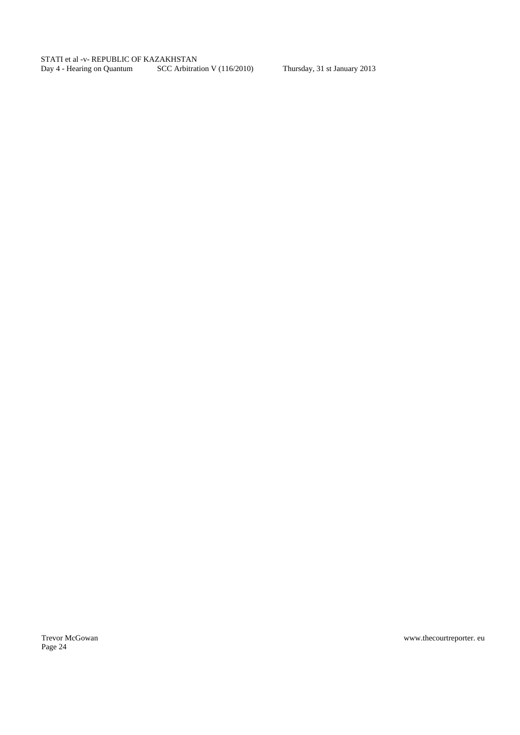Page 24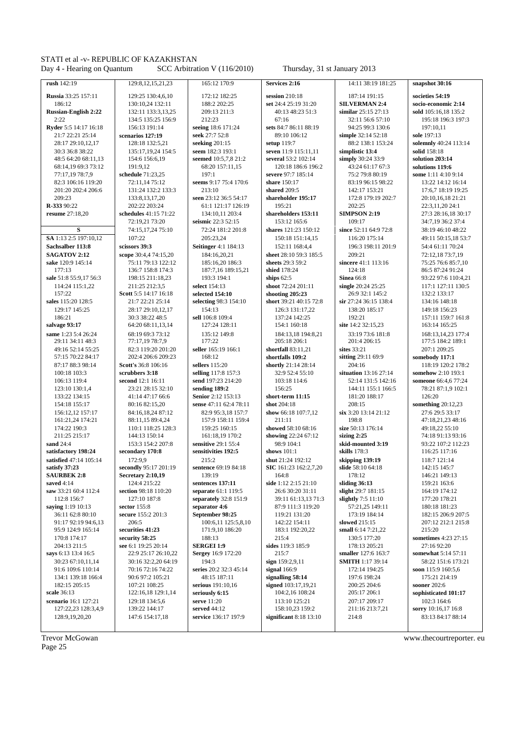rush 142:19 Russia 33:25 157:11  $186.12$ **Russian-English 2:22**  $2.22$ Ryder 5:5 14:17 16:18 21:7 22:21 25:14  $28.1729.101217$ 30:3 36:8 38:22 48:5 64:20 68:11,13 68:14.19 69:3 73:12 77:17.19 78:7.9  $82.3106.16119.20$  $201.2020242066$  $209.23$ R-333 90:22 **resume** 27:18,20 SA 1:13 2:5 197:10,12 Sachsalber 113.8 SAGATOV 2:12 sake 120.9 145.14  $177.13$ sale 51:8 55:9 17 56:3 114:24 115:1,22  $157:22$ sales 115:20 128:5 129:17 145:25  $186.21$ salvage 93:17 same  $1.23542624$ 29:11 34:11 48:3  $49.1652.1455.25$ 57:15 70:22 84:17 87:17 88:3 98:14 100:18 103:3  $106.13119.4$  $123 \cdot 10$  130 $\cdot$ 14 133:22 134:15 154:18 155:17  $156:12.12.157:17$  $161.21$  24  $174.21$  $174.22.190.3$ 211:25 215:17 sand 24:4 satisfactory 198:24 satisfied 47:14 105:14 satisfy 37:23 SAURBEK 2:8 saved  $4.14$ saw 33:21 60:4 112:4  $112.8156.7$ saying 1:19 10:13 36:11 62:8 80:10 91:17 92:19 94:6.13 95:9 124:9 165:14  $170.8$   $174.17$  $204.13211.5$ says 6:13 13:4 16:5  $30.2367.101114$  $91.6109.6110.14$  $134.1139.18166.4$ 182:15 205:15 scale 36:13 scenario 16:1 127:21  $127.22.23128.349$ 128:9.19.20.20

129:8, 12, 15, 21, 23 129:25 130:4,6,10  $130.1024132.11$ 132:11 133:3 13 25 134:5 135:25 156:9 156:13 191:14 scenarios 127:19  $128.18$  132.5 21 135:17,19,24 154:5 154:6 156:6.19 191:9.12 schedule 71:23,25  $72.11$  14  $75.12$  $131.24$   $132.2$   $133.3$ 133:8, 13, 17, 20 202:22 203:24 schedules 41:15 71:22  $72.192173.20$ 74:15,17,24 75:10  $107.22$ scissors 30.3 scope 30:4.4 74:15.20 75:11 79:13 122:12 136:7 158:8 174:3  $198.15211.1823$ 211:25 212:3,5 Scott 5:5 14:17 16:18 21:7 22:21 25:14 28:17 29:10.12.17  $30.338.2248.5$ 64:20 68:11.13.14  $68.1969373.12$ 77:17.19 78:7.9 82:3 119:20 201:20 202:4 206:6 209:23 Scott's 36.8 106.16 scrubbers 3:18 second 12:1-16:11  $23.2128.1532.10$ 41:14 47:17 66:6 80:16 82:15.20 84.16.18.24.87.12 88.11 15 89.4 24 110:1 118:25 128:3 144:13 150:14 153:3 154:2 207:8 secondary 170:8  $172.99$ secondly 95:17 201:19 **Secretary 2:10,19**  $124.4215.22$ section 98:18 110:20  $127.10$   $187.8$ sector 155:8 secure  $155:2.201:3$  $206:5$ securities 41:23 security 58:25 see 6:1 19:25 20:14 22:9 25:17 26:10,22 30:16 32:2.20 64:19  $70.1672.1674.22$  $90.697.2105.21$ 107:21 108:25 122:16.18 129:1.14  $129.18$  134.5 6  $139.22.144.17$ 147:6 154:17,18

165:12 170:9 172:12 182:25  $188.2202.25$  $209.13211.3$  $212.23$ seeing 18:6 171:24 seek 27:7 52:8 seeking 201:15 seem 182:3 193:1 seemed 10:5,7,8 21:2 68:20 157:11.15  $197:1$ seems  $9.177541706$  $213.10$ seen 23:12 36:5 54:17 61:1 121:17 126:19 134:10,11 203:4 seismic  $22.352.15$ 72:24 181:2 201:8  $205.23.24$ Seitinger 4:1 184:13 184:16.20.21  $185.16201863$ 187:7,16 189:15,21  $193.3194.1$ select 154:13 selected 154:10 selecting 98:3 154:10  $154.13$ cell 106:8 109:4  $127.24$   $128.11$  $135.12149.8$ 177:22 seller 165.19 166.1  $168.12$ sellers  $115:20$ selling 117:8 157:3 send  $197.23.214.20$ sending 189:2 Senior 2:12 153:13 sense 47:11 62:4 78:11 82.995.318157.7  $157.9$  158.11 159.4  $159.25160.15$ 161:18.19 170:2 sensitive 29:1 55:4 sensitivities 192:5  $215.2$ sentence  $69.1984.18$  $139.19$ sentences 137:11 separate 61:1 119:5 separately 32:8 151:9 separator 4:6 September 98:25 100:6.11 125:5.8.10 171:9,10 186:20  $188.13$ **SERGEI 1:9** Sergey 16:9 172:20  $104.3$ series  $20.232.345.14$  $48.15187.11$ serious 191:10,16 seriously 6:15 serve  $11:20$ served 44.12 service 136:17 197:9

#### Services 2:16 session 210:18 set  $24.4.25.19.31.20$  $40.1348.23513$  $67.16$ sets 84:7 86:11 88:19 89:10 106:12 setup  $119.7$ seven 11:9 115:11,11 several 53:2 102:14 120:18 186:6 196:2 severe 97:7 185:14 share  $150:17$  $chord 200.5$ shareholder 195:17 195:21 shareholders 153:11  $153.12 165.6$ shares 121:23 150:12 150:18 151:14,15  $152.11168.44$ sheet 28:10 59:3 185:5 sheets  $29.359.2$ shied 178:24 ships  $62:5$ shoot 72:24 201:11 shooting 205:23 short 39:21 40:15 72:8 126:3 131:17.22  $137.24$   $142.25$  $154.1160.18$ 184-13 18 194-8 21 205:18 206:1 shortfall  $83:11.21$ shortfalls 109:2 shortly  $21.1428.14$ 32:9 52:4 55:10 103:18 114:6  $156.25$ short-term 11:15 shot 204:18 show 66:18 107:7 12  $211 - 11$ showed 58:10 68:16 showing 22:24 67:12  $98.9104.1$ shows  $101:1$ shut 21.24 192.12 SIC 161.23 162.2.7.20  $164.8$ side 1:12 2:15 21:10 26:6 30:20 31:11  $30.1161.131371.3$ 87:9 111:3 119:20 119:21 131:20 142:22 154:11 183:1 192:20,22  $215.4$ sides  $119.3185.9$  $215:7$ sign 159:2.9.11 sional  $166.9$ sionalling 58:14 signed 103:17,19,21 104:2.16 108:24  $113.10$   $125.21$  $158.1023159.2$ significant 8:18 13:10

Thursday, 31 st January 2013

14:11 38:19 181:25

 $187.14$   $191.15$ SILVERMAN 2.4 similar  $25:15.27:13$ 32:11 56:6 57:10 94:25 99:3 130:6 simple 32:14 52:18 88.2.138.1.153.24 simplistic 13:4 simply 30:24 33:9  $43:2461:1767:3$ 75:2 79:8 80:19  $83.1996.1598.22$  $142.17$   $153.21$ 172:8 179:19 202:7  $202:25$ **SIMPSON 2:19**  $109.17$ since 52:11 64:9 72:8  $116.20$   $175.14$ 1963 19811 2019  $209.21$ sincere  $41:1113:16$  $124:18$ Sinea  $66.8$ single 20:24 25:25 26:9 32:1 145:2 sir 27:24 36:15 138:4 138:20 185:17  $192.21$ site  $14.232.15.23$ 33:19 73:6 181:8 201:4 206:15  $sites$  33.21 sitting 29:11 69:9  $204.16$ situation 13:16 27:14  $52.14131.5142.16$  $144.11$   $155.1$   $166.5$  $181.20$   $188.17$ 208:15  $\sin 3.20$  13.14 21.12  $198.8$ size 50:13 176:14 sizing 2:25 skid-mounted 3:19 skills  $178.3$ skipping 139:19 slide 58:10 64:18  $178.12$ sliding 36:13 slight 29:7 181:15 slightly  $7.511 \cdot 10$ 57:21,25 149:11  $173.19$   $184.14$ slowed 215:15 small 6:14 7:21.22  $130.5177.20$  $178.13205.21$ smaller 127:6 163:7 **SMITH** 1.17 30.14  $172.14$   $194.25$ 197.6 198.24 200:25 204:6 205:17 206:1  $207.17209.17$  $211.16213.721$ 214:8

snapshot 30:16 societies 54:19 socio-economic 2:14 sold  $105:1618135:2$ 195:18 196:3 197:3 197:10.11 sole 197:13 solemnly  $40.24$  113.14 solid  $158.18$ solution 203:14 solutions 119:6 some 1:11 4:10 9:14  $13.2214.1216.14$  $17.6718.1010.25$ 20:10,16,18 21:21 22:3.11.20 24:1 27:3 28:16,18 30:17  $34.71936.2374$ 38:19 46:10 48:22 49:11 50:15,18 53:7  $54.461.1170.24$ 72:12.18 73:7.19  $75.2576685710$ 86:5 87:24 91:24 93.22.97.6.110.4.21 117:1 127:11 130:5 132:2 133:17 134:16 148:18 149:18 156:23  $157.11$   $159.7$   $161.8$ 163:14 165:25 168.13 14 23 177.4 177:5 184:2 189:1  $207.1209.25$ somebody 117:1  $118.19120.2178.2$ somehow 2:10 193:1 someone 66:4.6.77:24 78:21 87:1,9 102:1  $126:20$ something 20:12,23  $27.629.533.17$  $47.18212348.16$ 49:18,22 55:10 74:18 91:13 93:16 93:22 107:2 112:23 116:25 117:16  $118.7121.14$  $142.15$   $145.7$  $146.21$   $149.13$  $159.21$   $163.6$  $164.19174.12$  $177.20178.21$ 180:18 181:23 182:15 206:9 207:5 207:12 212:1 215:8  $215.20$ sometimes  $4.23.27.15$  $27.169220$ somewhat 5:14 57:11 58:22 151:6 173:21 soon  $115.9160.56$  $175.21214.19$ sooner 202:6 sophisticated 101:17  $102.3164.6$ sorry 10:16,17 16:8 83:13 84:17 88:14

**Trevor McGowan** Page 25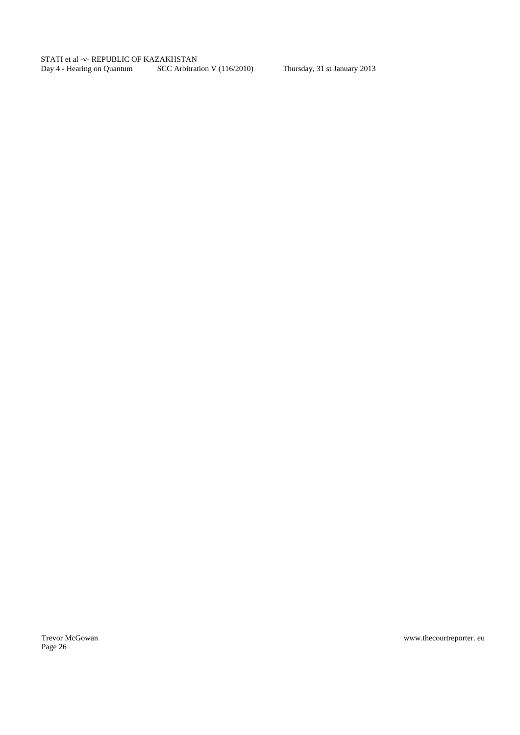Page 26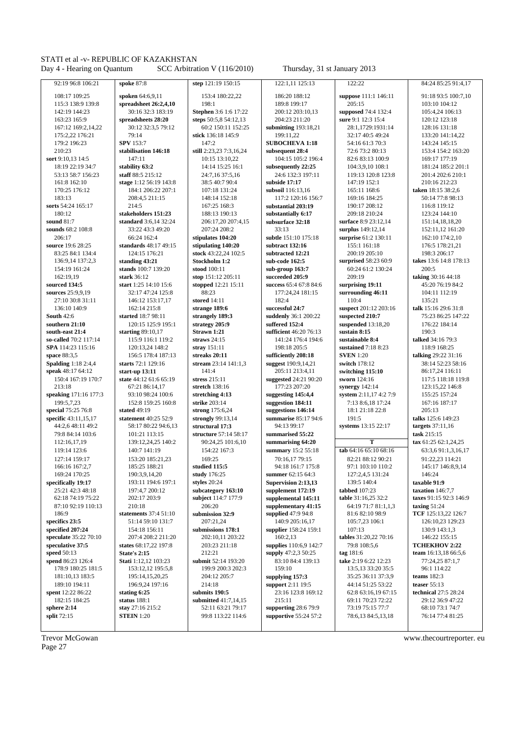Thursday, 31 st January 2013

| 92:19 96:8 106:21          | spoke 87:8                  | step 121:19 150:15                   | 122:1.11 125:13        | 122:22                 | 84:24 85:25 91:4,17    |
|----------------------------|-----------------------------|--------------------------------------|------------------------|------------------------|------------------------|
| 108:17 109:25              | spoken 64:6,9,11            | 153:4 180:22,22                      | 186:20 188:12          | suppose 111:1 146:11   | 91:18 93:5 100:7,10    |
| 115:3 138:9 139:8          | spreadsheet 26:2,4,10       | 198:1                                | 189:8 199:17           | 205:15                 | 103:10 104:12          |
| 142:19 144:23              | 30:16 32:3 183:19           | Stephen 3:6 1:6 17:22                | 200:12 203:10,13       | supposed 74:4 132:4    | 105:4,24 106:13        |
| 163:23 165:9               | spreadsheets 28:20          | steps 50:5,8 54:12,13                | 204:23 211:20          | sure 9:1 12:3 15:4     | 120:12 123:18          |
| 167:12 169:2,14,22         | 30:12 32:3,5 79:12          | 60:2 150:11 152:25                   | submitting 193:18,21   | 28:1,1729:1931:14      | 128:16 131:18          |
| 175:2,22 176:21            | 79:14                       | stick 136:18 145:9                   | 199:11,22              | 32:17 40:5 49:24       | 133:20 141:14,22       |
| 179:2 196:23               | <b>SPV</b> 153:7            | 147:2                                | <b>SUBOCHEVA 1:18</b>  | 54:16 61:3 70:3        | 143:24 145:15          |
| 210:23                     | stabilisation 146:18        | still 2:23,23 7:3,16,24              | subsequent 28:4        | 72:6 73:2 80:13        | 153:4 154:2 163:20     |
| sort 9:10,13 14:5          | 147:11                      | 10:15 13:10,22                       | 104:15 105:2 196:4     | 82:6 83:13 100:9       | 169:17 177:19          |
| 18:19 22:19 34:7           | stability 63:2              | 14:14 15:25 16:1                     | subsequently 22:25     | 104:3,9,10 108:1       | 181:24 185:2 201:1     |
| 53:13 58:7 156:23          | staff 88:5 215:12           | 24:7,16 37:5,16                      | 24:6 132:3 197:11      | 119:13 120:8 123:8     | 201:4 202:6 210:1      |
| 161:8 162:10               | stage 1:12 56:19 143:8      | 38:5 40:7 90:4                       | subside 17:17          | 147:19 152:1           | 210:16 212:23          |
|                            |                             |                                      |                        |                        |                        |
| 170:25 176:12              | 184:1 206:22 207:1          | 107:18 131:24                        | subsoil 116:13,16      | 165:11 168:6           | taken 18:15 38:2,6     |
| 183:13                     | 208:4,5 211:15              | 148:14 152:18                        | 117:2 120:16 156:7     | 169:16 184:25          | 50:14 77:8 98:13       |
| sorts 54:24 165:17         | 214:5                       | 167:25 168:3                         | substantial 203:19     | 190:17 208:12          | 116:8 119:12           |
| 180:12                     | stakeholders 151:23         | 188:13 190:13                        | substantially 6:17     | 209:18 210:24          | 123:24 144:10          |
| sound 81:7                 | standard 3:6,14 32:24       | 206:17,20 207:4,15                   | subsurface 32:18       | surface 8:9 23:12,14   | 151:14,18,18,20        |
| sounds 68:2 108:8          | 33:22 43:3 49:20            | 207:24 208:2                         | 33:13                  | surplus 149:12,14      | 152:11,12 161:20       |
| 206:17                     | 66:24 162:4                 | stipulates 104:20                    | subtle 151:10 175:18   | surprise 61:2 130:11   | 162:10 174:2,10        |
| source 19:6 28:25          | standards 48:17 49:15       | stipulating 140:20                   | subtract 132:16        | 155:1 161:18           | 176:5 178:21,21        |
| 83:25 84:1 134:4           | 124:15 176:21               | stock 43:22,24 102:5                 | subtracted 12:21       | 200:19 205:10          | 198:3 206:17           |
| 136:9,14 137:2,3           | standing 43:21              | Stockholm 1:2                        | sub-code 162:5         | surprised 58:23 60:9   | takes 13:6 14:8 178:13 |
| 154:19 161:24              | stands 100:7 139:20         | stood 100:11                         | sub-group 163:7        | 60:24 61:2 130:24      | 200:5                  |
| 162:19.19                  | stark $36:12$               | stop 151:12 205:11                   | succeeded 205:9        | 209:19                 | taking 30:16 44:18     |
| sourced 134:5              | start 1:25 14:10 15:6       | stopped 12:21 15:11                  | success 65:4 67:8 84:6 | surprising 19:11       | 45:20 76:19 84:2       |
| sources 25:9,9,19          | 32:17 47:24 125:8           | 88:23                                | 177:24,24 181:15       | surrounding 46:11      | 104:11 112:19          |
| 27:10 30:8 31:11           | 146:12 153:17,17            | stored 14:11                         | 182:4                  | 110:4                  | 135:21                 |
| 136:10 140:9               | 162:14 215:8                | strange 189:6                        | successful 24:7        | suspect 201:12 203:16  | talk 15:16 29:6 31:8   |
| <b>South 42:6</b>          | started 18:7 98:11          | strangely 189:3                      | suddenly 36:1 200:22   | suspected 210:7        | 75:23 86:25 147:22     |
| southern 21:10             | 120:15 125:9 195:1          | strategy 205:9                       | suffered 152:4         | suspended $13:18,20$   | 176:22 184:14          |
| south-east 21:4            | starting 89:10,17           | Strawn 1:21                          | sufficient 46:20 76:13 | sustain 8:15           | 190:3                  |
| so-called 70:2 117:14      | 115:9 116:1 119:2           | straws $24:15$                       | 141:24 176:4 194:6     | sustainable 8:4        | talked 34:16 79:3      |
| SPA 114:23 115:16          | 120:13,24 148:2             | stray $151:11$                       | 198:18 205:5           | sustained 7:18 8:23    | 118:9 168:25           |
| space 88:3,5               | 156:5 178:4 187:13          | streaks 20:11                        | sufficiently 208:18    | <b>SVEN</b> 1:20       | talking 29:22 31:16    |
| <b>Spalding</b> 1:18 2:4,4 | starts 72:1 129:16          | stream 23:14 141:1,3                 | suggest 190:9,14,21    | switch 178:12          | 38:14 52:23 58:16      |
| speak 48:17 64:12          | start-up $13:11$            | 141:4                                | 205:11 213:4,11        | switching 115:10       | 86:17,24 116:11        |
| 150:4 167:19 170:7         | state 44:12 61:6 65:19      | stress 215:11                        | suggested 24:21 90:20  | sworn 124:16           | 117:5 118:18 119:8     |
| 213:18                     | 67:21 86:14,17              | stretch 138:16                       | 177:23 207:20          | synergy $142:14$       | 123:15,22 146:8        |
| speaking 171:16 177:3      | 93:10 98:24 100:6           | stretching 4:13                      | suggesting 145:4,4     | system 2:11,17 4:2 7:9 | 155:25 157:24          |
| 199:5,7,23                 | 152:8 159:25 160:8          | strike 203:14                        | suggestion 184:11      | 7:13 8:6,18 17:24      | 167:16 187:17          |
| special 75:25 76:8         | stated 49:19                | strong 175:6,24                      | suggestions 146:14     | 18:1 21:18 22:8        | 205:13                 |
| specific 43:11,15,17       | statement 40:25 52:9        |                                      | summarise 85:17 94:6   | 191:5                  | talks 125:6 149:23     |
| 44:2,6 48:11 49:2          | 58:17 80:22 94:6,13         | strongly 99:13,14<br>structural 17:3 | 94:13 99:17            | systems 13:15 22:17    | targets $37:11,16$     |
| 79:8 84:14 103:6           |                             | structure 57:14 58:17                | summarised 55:22       |                        |                        |
|                            | 101:21 113:15               |                                      |                        |                        | task 215:15            |
| 112:16,17,19               | 139:12,24,25 140:2          | 90:24,25 101:6,10                    | summarising 64:20      | T                      | tax 61:25 62:1,24,25   |
| 119:14 123:6               | 140:7 141:19                | 154:22 167:3                         | summary 15:2 55:18     | tab 64:16 65:10 68:16  | 63:3,6 91:1,3,16,17    |
| 127:14 159:17              | 153:20 185:21.23            | 169:25                               | 70:16,17 79:15         | 82:21 88:12 90:21      | 91:22.23 114:21        |
| 166:16 167:2,7             | 185:25 188:21               | studied 115:5                        | 94:18 161:7 175:8      | 97:1 103:10 110:2      | 145:17 146:8,9,14      |
| 169:24 170:25              | 190:3,9,14,20               | study 176:25                         | summer 62:15 64:3      | 127:2,4,5 131:24       | 146:24                 |
| specifically 19:17         | 193:11 194:6 197:1          | styles $20:24$                       | Supervision 2:13,13    | 139:5 140:4            | taxable 91:9           |
| 25:21 42:3 48:18           | 197:4,7 200:12              | subcategory 163:10                   | supplement 172:19      | tabbed 107:23          | taxation 146:7,7       |
| 62:18 74:19 75:22          | 202:17 203:9                | subject 114:7 177:9                  | supplemental 145:11    | table 31:16,25 32:2    | taxes 91:15 92:3 146:9 |
| 87:10 92:19 110:13         | 210:18                      | 206:20                               | supplementary 41:15    | 64:19 71:7 81:1,1,3    | taxing $51:24$         |
| 186:9                      | statements 37:4 51:10       | submission 32:9                      | supplied 47:9 94:8     | 81:6 82:10 98:9        | TCF 125:13,22 126:7    |
| specifics 23:5             | 51:14 59:10 131:7           | 207:21,24                            | 140:9 205:16,17        | 105:7,23 106:1         | 126:10,23 129:23       |
| specified 207:24           | 154:18 156:11               | submissions 178:1                    | supplier 158:24 159:1  | 107:13                 | 130:9 143:1,3          |
| speculate 35:22 70:10      | 207:4 208:2 211:20          | 202:10,11 203:22                     | 160:2,13               | tables 31:20,22 70:16  | 146:22 155:15          |
| speculative 37:5           | states 68:17,22 197:8       | 203:23 211:18                        | supplies 110:6,9 142:7 | 79:8 108:5,6           | <b>TCHEKHOV 2:22</b>   |
| speed $50:13$              | State's 2:15                | 212:21                               | supply 47:2,3 50:25    | tag 181:6              | team 16:13,18 66:5,6   |
| spend 86:23 126:4          | <b>Stati</b> 1:12,12 103:23 | submit 52:14 193:20                  | 83:10 84:4 139:13      | take 2:19 6:22 12:23   | 77:24,25 87:1,7        |
| 178:9 180:25 181:5         | 153:12,12 195:5,8           | 199:9 200:3 202:3                    | 159:10                 | 13:5, 13 33:20 35:5    | 96:1 114:22            |
| 181:10,13 183:5            | 195:14,15,20,25             | 204:12 205:7                         |                        | 35:25 36:11 37:3,9     | teams $182:3$          |
|                            |                             |                                      | supplying 157:3        |                        |                        |
| 189:10 194:11              | 196:9,24 197:16             | 214:18                               | support 2:11 19:5      | 44:14 51:25 53:22      | teaser $55:13$         |
| spent 12:22 86:22          | stating 6:25                | submits 190:5                        | 23:16 123:8 169:12     | 62:8 63:16,19 67:15    | technical 27:5 28:24   |
| 182:15 184:25              | status 188:1                | submitted 41:7,14,15                 | 215:11                 | 69:11 70:23 72:22      | 29:12 36:9 47:22       |
| sphere 2:14                | stay 27:16 215:2            | 52:11 63:21 79:17                    | supporting 28:6 79:9   | 73:19 75:15 77:7       | 68:10 73:1 74:7        |
| split 72:15                | <b>STEIN 1:20</b>           | 99:8 113:22 114:6                    | supportive 55:24 57:2  | 78:6,13 84:5,13,18     | 76:14 77:4 81:25       |

Trevor McGowan<br>Page 27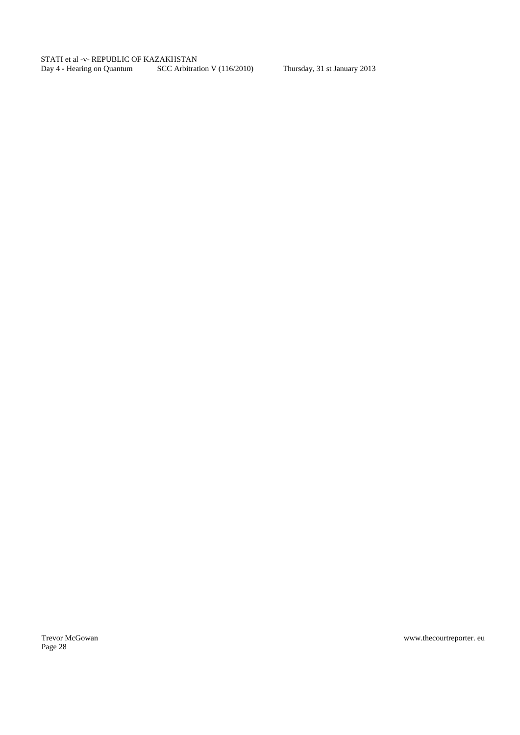Page 28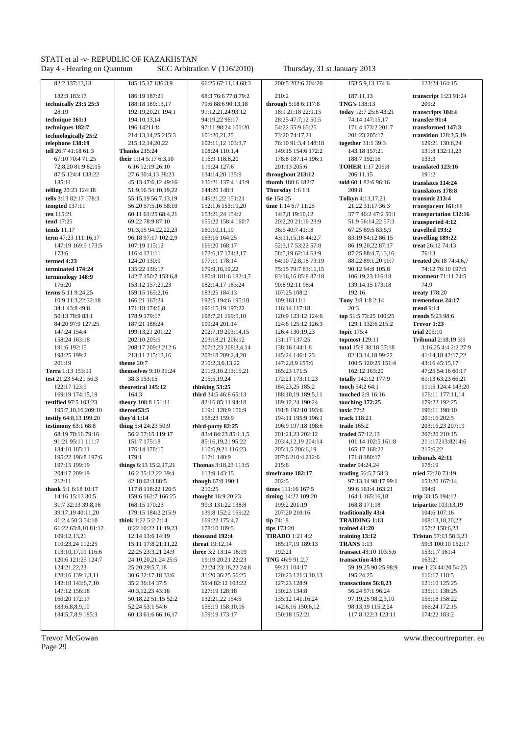$T<sub>h</sub>$ redor  $2013$  $21 \div T$ 

| ay 4 - Hearing on Quantum |                                    | $SCC$ Arbitration V (116/2010)          | Thursday, 31 st January 2013       |                                         |                                        |
|---------------------------|------------------------------------|-----------------------------------------|------------------------------------|-----------------------------------------|----------------------------------------|
| 82:2 137:13,18            | 185:15,17 186:3,9                  | 66:25 67:11,14 68:3                     | 200:5 202:6 204:20                 | 153:5,9,13 174:6                        | 123:24 164:15                          |
| 182:3 183:17              | 186:19 187:21                      | 68:3 76:6 77:8 79:2                     | 210:2                              | 187:11,13                               | transcript $1:2391:24$                 |
| technically 23:5 25:3     | 188:18 189:13,17                   | 79:6 88:6 90:13,18                      | through 5:18 6:117:8               | TNG's 138:13                            | 209:2                                  |
| 28:19                     | 192:19,20,21 194:1                 | 91:12,21,24 93:12                       | 18:1 21:18 22:9,15                 | today 12:7 25:6 43:21                   | transcripts 104:4                      |
| technique 161:1           | 194:10,13,14                       | 94:19,22 96:17                          | 28:25 47:7,12 50:5                 | 74:14 147:15,17                         | transfer 91:4                          |
| techniques 182:7          | 196:14211:8                        | 97:11 98:24 101:20                      | 54:22 55:9 65:25                   | 171:4 173:2 201:7                       | transformed 147:3                      |
| technologically 25:2      | 214:13,14,25 215:3                 | 101:20,21,25                            | 73:20 74:17,21                     | 201:23 205:17                           | transition $128:3,5,19$                |
| telephone 138:19          | 215:12,14,20,22                    | 102:11,12 103:3,7                       | 76:10 91:3,4 148:18                | together 31:1 39:3                      | 129:21 130:6,24                        |
| tell 26:7 41:18 61:3      | <b>Thanks</b> 215:24               | 108:24 110:1,4                          | 149:15 154:6 172:2                 | 143:18 157:21                           | 131:8 132:11,23                        |
| 67:10 70:4 71:25          | their 1:14 5:17 6:3,10             | 116:9 118:8,20                          | 178:8 187:14 196:1                 | 188:7 192:16                            | 133:3                                  |
| 72:8,20 81:9 82:15        | 6:16 12:19 26:10                   | 119:24 127:6                            | 201:13 205:6                       | <b>TOHER 1:17 206:8</b>                 | translated 123:16                      |
| 87:5 124:4 133:22         | 27:6 30:4,13 38:23                 | 134:14,20 135:9                         | throughout 213:12                  | 206:11,15                               | 191:2                                  |
| 185:11                    | 45:13 47:6,12 49:16                | 136:21 137:4 143:9                      | thumb 180:6 182:7                  | told 60:1 82:6 96:16                    | translates 114:24                      |
| telling 20:23 124:18      | 51:9,16 54:10,19,22                | 144:20 148:1                            | Thursday 1:6 1:1                   | 209:8                                   | translators 178:8                      |
| tells 3:13 82:17 178:3    | 55:15,19 56:7,13,19                | 149:21,22 151:21                        | tie 154:25                         | Tolkyn 4:13,17,21                       | transmit 213:4                         |
| tempted 137:11            | 56:20 57:5,16 58:10                | 152:1,6 153:19,20                       | time 1:14 6:7 11:25                | 21:22 31:17 36:3                        | transparent 161:11                     |
| ten 115:21                | 60:11 61:25 68:4,21                | 153:21,24 154:2                         | 14:7,8 19:10,12                    | 37:7 46:2 47:2 50:1                     | transportation 132:16                  |
| tend 17:25                | 69:22 78:9 87:10                   | 155:22 158:4 160:7                      | 20:2,20 21:16 23:9                 | 51:9 56:14,22 57:3                      | transported 4:12                       |
| tends 11:17               | 91:3,15 94:22,22,23                | 160:10,11,19                            | 36:5 40:7 41:18                    | 67:25 69:5 83:5,9                       | travelled 193:2                        |
| term 47:23 111:16,17      | 96:18 97:17 102:2,9                | 163:16 164:25                           | 43:11,15,18 44:2,7                 | 83:19 84:12 86:15                       | travelling 189:22                      |
| 147:19 169:5 173:5        | 107:19 115:12                      | 166:20 168:17                           | 52:3,17 53:22 57:8                 | 86:19,20,22 87:17                       | treat 26:12 74:13                      |
| 173:6                     | 116:4 121:11                       | 172:6,17 174:3,17                       | 58:5,19 62:14 63:9                 | 87:25 88:4,7,13,16                      | 76:13                                  |
| termed 4:23               | 124:20 130:9                       | 177:11 178:14                           | 64:10 72:8,18 73:19                | 88:22 89:1,20 90:7                      | treated 26:18 74:4,6,7                 |
| terminated 174:24         | 135:22 136:17                      | 179:9,16,19,22                          | 75:15 79:7 83:11,15                | 90:12 94:8 105:8                        | 74:12 76:10 197:5                      |
| terminology 148:9         | 142:7 150:7 153:6,8                | 180:8 181:6 182:4,7                     | 83:16,16 85:8 87:18                | 106:19,23 116:18                        | treatment 71:11 74:5                   |
| 176:20                    | 153:12 157:21,23                   | 182:14,17 183:24                        | 90:8 92:11 98:4                    | 139:14,15 173:18                        | 74:9                                   |
| terms 5:11 9:24,25        | 159:15 165:2,16                    | 183:25 184:13                           | 107:25 108:2                       | 192:16                                  | treaty 178:20                          |
| 10:9 11:3,22 32:18        | 166:21 167:24                      | 192:5 194:6 195:10                      | 109:16111:1                        | Tony 3:8 1:8 2:14                       | tremendous 24:17                       |
| 34:1 43:8 49:8            | 171:18 174:6,8                     | 196:15,19 197:22                        | 116:14 117:18                      | 20:3                                    | trend 9:14                             |
| 50:13 78:9 83:1           | 178:9 179:17                       | 198:7,21 199:5,10                       | 120:9 123:12 124:6                 | top 51:5 73:25 100:25                   | trends 5:23 98:6                       |
| 84:20 97:9 127:25         | 187:21 188:24                      | 199:24 201:14                           | 124:6 125:12 126:3                 | 129:1 132:6 215:2                       | Trevor 1:23                            |
| 147:24 154:4              | 199:13,21 201:22                   | 202:7,19 203:14,15                      | 126:4 130:19,23                    | topic 175:4                             | trial 205:10                           |
| 158:24 163:18             | 202:10 205:9<br>208:17 209:3 212:6 | 203:18,21 206:12                        | 131:17 137:25                      | topmost 129:11                          | Tribunal 2:18,19 3:9                   |
| 191:6 192:15              |                                    | 207:2,23 208:3,4,14                     | 138:16 144:1,8                     | total 15:8 38:18 57:18                  | 3:16,25 4:4 2:2 27:9                   |
| 198:25 199:2<br>201:19    | 213:11 215:13,16<br>theme 20:7     | 208:18 209:2,4,20                       | 145:24 146:1,23<br>147:2,8,9 155:6 | 82:13,14,18 99:22<br>100:5 120:25 151:4 | 41:14,18 42:17,22                      |
| Terra 1:13 153:11         | <b>themselves</b> 9:10 31:24       | 210:2,3,6,13,22                         | 165:23 171:5                       | 162:12 163:20                           | 43:16 45:15,17                         |
| test 21:23 54:21 56:3     | 38:3 153:15                        | 211:9,16 213:15,21                      | 172:21 173:11,23                   |                                         | 47:25 54:16 60:17<br>61:13 63:23 66:21 |
| 122:17 123:9              | theoretical 145:12                 | 215:5,19,24                             | 184:23,25 185:2                    | totally 142:12 177:9<br>touch 54:2 64:1 | 111:5 124:4 143:20                     |
| 169:19 174:15,19          | 164:3                              | thinking 53:25<br>third 34:5 46:8 65:13 | 188:10,19 189:5,11                 | touched 2:9 16:16                       | 176:11 177:11,14                       |
| testified 97:5 103:23     | theory 108:8 151:11                | 82:16 85:11 94:18                       | 189:12,24 190:24                   | touching 172:25                         | 179:22 192:25                          |
| 195:7,10,16 209:10        | thereof53:5                        | 119:1 128:9 156:9                       | 191:8 192:10 193:6                 | toxic 77:2                              | 196:11 198:10                          |
| testify 64:8,13 199:20    | they'd 1:14                        | 158:23 159:9                            | 194:11 195:9 196:1                 | track 118:21                            | 201:16 202:5                           |
| testimony $63:168:8$      | thing 5:4 24:23 50:9               | third-party 82:25                       | 196:9 197:18 198:6                 | trade 165:2                             | 203:16,23 207:19                       |
| 68:19 78:16 79:16         | 56:2 57:15 119:17                  | 83:4 84:23 85:1,1,5                     | 201:21,23 202:12                   | traded $57:12,13$                       | 207:20 210:15                          |
| 91:21 95:11 111:7         | 151:7 175:18                       | 85:16,19,21 95:22                       | 203:4,12,19 204:14                 | 101:14 102:5 161:8                      | 211:17213:8214:6                       |
| 184:10 185:11             | 176:14 178:15                      | 110:6,9,21 116:23                       | 205:1,5 206:6,19                   | 165:17 168:22                           | 215:6,22                               |
| 195:22 196:8 197:6        | 179:1                              | 117:1 140:9                             | 207:6 210:4 212:6                  | 171:8 180:17                            | tribunals 42:11                        |
| 197:15 199:19             | things 6:13 15:2,17,21             | Thomas 3:18,23 113:5                    | 215:6                              | trader 94:24,24                         | 178:19                                 |
| 204:17 209:19             | 16:2 35:12,22 39:4                 | 113:9 143:15                            | timeframe 182:17                   | trading 56:5,7 58:3                     | tried 72:20 73:19                      |
| 212:11                    | 42:18 62:3 88:5                    | though 67:8 190:1                       | 202:5                              | 97:13,14 98:17 99:1                     | 153:20 167:14                          |
| thank 5:1 6:18 10:17      | 117:8 118:22 126:5                 | 210:25                                  | times 111:16 167:5                 | 99:6 161:4 163:21                       | 194:9                                  |
| 14:16 15:13 30:5          | 159:6 162:7 166:25                 | thought 16:9 20:23                      | timing 14:22 109:20                | 164:1 165:16,18                         | trip 33:15 194:12                      |
| 31:7 32:13 39:8,16        | 168:15 170:23                      | 99:3 131:22 138:8                       | 199:2 201:19                       | 168:8 171:18                            | tripartite $103:13,19$                 |
| 39:17,19 40:11,20         | 179:15 184:2 215:9                 | 139:8 152:2 169:22                      | 207:20 210:16                      | traditionally 43:4                      | 104:6 107:16                           |
| 41:2,4 50:3 54:10         | think 1:22 5:2 7:14                | 169:22 175:4,7                          | $tip$ 74:18                        | <b>TRAIDING 1:13</b>                    | 108:13,18,20,22                        |
| 61:22 63:8,10 81:12       | 8:22 10:22 11:19,23                | 178:10 189:5                            | tips 173:20                        | trained 41:20                           | 157:2 158:6,23                         |
| 109:12,13,21              | 12:14 13:6 14:19                   | thousand 192:4                          | <b>TIRADO</b> 1:21 4:2             | training 13:12                          | <b>Tristan 57:13 58:3,23</b>           |
| 110:23,24 112:25          | 15:11 17:8 21:11,22                | threat 19:12,14                         | 185:17,19 189:13                   | <b>TRANS</b> 1:13                       | 59:3 100:10 152:17                     |
| 113:10,17,19 116:6        | 22:25 23:3,21 24:9                 | three 3:2 13:14 16:19                   | 192:21                             | transact 43:10 103:5,6                  | 153:1,7 161:4                          |
| 120:6 121:25 124:7        | 24:10,20,21,24 25:5                | 19:19 20:21 22:23                       | TNG 46:9 91:2,7                    | transaction 43:8                        | 163:21                                 |
| 124:21,22,23              | 25:20 29:5,7,18                    | 22:24 23:18,22 24:8                     | 99:21 104:17                       | 59:19,25 90:25 98:9                     | true 1:23 44:20 54:23                  |
| 128:16 139:1,3,11         | 30:6 32:17,18 33:6                 | 31:20 36:25 56:25                       | 120:23 121:3,10,13                 | 195:24,25                               | 116:17 118:5                           |
| 142:18 143:6,7,10         | 35:2 36:14 37:5                    | 59:4 82:12 103:22                       | 127:23 128:9                       | transactions 56:8,23                    | 121:10 125:25                          |
| 147:12 156:18             | 40:3,12,23 43:16                   | 127:19 128:18                           | 130:23 134:8                       | 56:24 57:1 96:24                        | 135:11 138:25                          |
| 160:20 172:17             | 50:18,22 51:15 52:2                | 132:21,22 154:5                         | 135:12 141:16,24                   | 97:19,25 98:2,3,10                      | 155:18 158:22                          |
| 183:6,8,8,9,10            | 52:24 53:1 54:6                    | 156:19 158:10,16                        | 142:6,16 150:6,12                  | 98:13,19 115:2,24                       | 166:24 172:15                          |
| 184:5,7,8,9 185:3         | 60:13 61:6 66:16,17                | 159:19 173:17                           | 150:18 152:21                      | 117:8 122:3 123:11                      | 174:22 183:2                           |
|                           |                                    |                                         |                                    |                                         |                                        |

Trevor McGowan<br>Page 29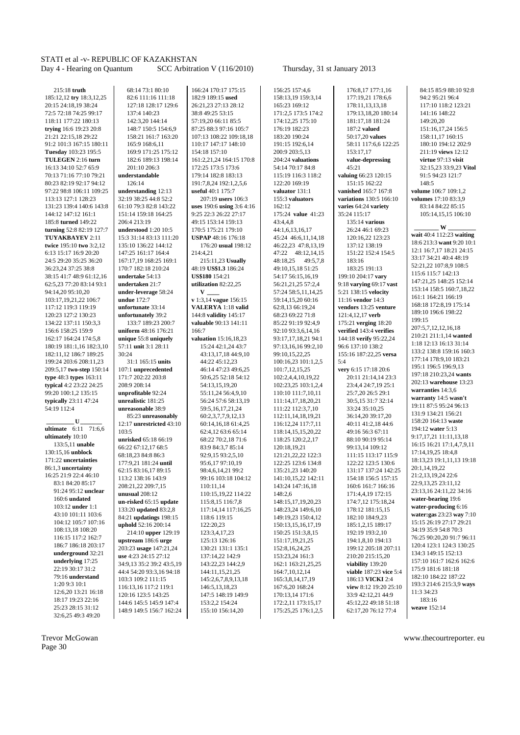215:18 **truth** 185:12,12 **try** 18:3,12,25 20:15 24:18,19 38:24 72:5 72:18 74:25 99:17 118:11 177:22 180:13 **trying** 16:6 19:23 20:8 21:21 22:15,18 29:22 91:2 101:3 167:15 180:11 **Tuesday** 103:23 195:5 **TULEGEN** 2:16 **turn** 16:13 34:10 52:7 65:9 70:13 71:16 77:10 79:21 80:23 82:19 92:17 94:12 97:22 98:8 106:11 109:25 113:13 127:1 128:23 131:23 139:4 140:6 143:8 144:12 147:12 161:1 185:8 **turned** 149:22 **turning** 52:8 82:19 127:7 **TUYAKBAYEV** 2:11 **twice** 195:10 **two** 3:2,12 6:13 15:17 16:9 20:20 24:5 29:20 35:25 36:20 36:23,24 37:25 38:8 38:15 41:7 48:9 61:12,16 62:5,23 77:20 83:14 93:1 94:14,20 95:10,20 103:17,19,21,22 106:7 117:12 119:3 119:19 120:23 127:2 130:23 134:22 137:11 150:3,3 156:6 158:25 159:9 162:17 164:24 174:5,8 180:19 181:1,16 182:3,10 182:11,12 186:7 189:25 199:24 203:6 208:11,23 209:5,17 **two-step** 150:14 **type** 48:3 **types** 163:11 **typical** 4:2 23:22 24:25 99:20 100:1,2 135:15 **typically** 23:11 47:24 54:19 112:4

 $\mathbf{U}$ **ultimate** 6:11 71:6,6 **ultimately** 10:10 133:5,11 **unable** 130:15,16 **unblock** 171:22 **uncertainties** 86:1,3 **uncertainty** 16:25 21:9 22:4 46:10 83:1 84:20 85:17 91:24 95:12 **unclear** 160:6 **undated** 103:12 **under** 1:1 43:10 101:11 103:6 104:12 105:7 107:16 108:13,18 108:20 116:15 117:2 162:7 186:7 186:18 203:17 **underground** 32:21 **underlying** 17:25 22:19 30:17 31:2 79:16 **understand** 1:20 9:3 10:1 12:6,20 13:21 16:18 18:17 19:23 22:16 25:23 28:15 31:12 32:6,25 49:3 49:20

Page 30

68:14 73:1 80:10 82:6 111:16 111:18 127:18 128:17 129:6 137:4 140:23 142:3,20 144:14 148:7 150:5 154:6,9 158:21 161:7 163:20 165:9 168:6,11 169:9 171:25 175:12 182:6 189:13 198:14 201:10 206:3 **understandable**   $126 \cdot 14$ **understanding** 12:13 32:19 38:25 44:8 52:2 61:10 79:3 82:8 143:22 151:14 159:18 164:25 206:4 213:19 **understood** 1:20 10:5 15:3 31:14 83:13 111:20 135:10 136:22 144:12 147:25 161:17 164:4 167:17,19 168:25 169:1 170:7 182:18 210:24 **undertake** 54:13 **undertaken** 21:7 **under-leverage** 58:24 **undue** 172:7 **unfortunate** 33:14 **unfortunately** 39:2 133:7 189:23 200:7 **uniform** 48:16 176:21 **unique** 55:8 **uniquely** 57:11 **unit** 3:1 28:11  $30.24$ 31:1 165:15 **units** 107:1 **unprecedented** 171:7 202:22 203:8 208:9 208:14 **unprofitable** 92:24 **unrealistic** 181:25 **unreasonable** 38:9 85:23 **unreasonably** 12:17 **unrestricted** 43:10  $103.5$ **unrisked** 65:18 66:19 66:22 67:12,17 68:5 68:18,23 84:8 86:3 177:9,21 181:24 **until** 62:15 83:16,17 89:15 113:2 138:16 143:9 208:21,22 209:7,15 **unusual** 208:12 **un-risked** 65:15 **update** 133:20 **updated** 83:2,8 84:21 **updatings** 198:15 **uphold** 52:16 200:14 214:10 **upper** 129:19 **upstream** 186:6 **urge** 203:23 **usage** 147:21,24 **use** 4:23 24:15 27:12 34:9,13 35:2 39:2 43:5,19 44:4 54:20 93:3,16 94:18 103:3 109:2 111:15 116:13,16 117:2 119:1 120:16 123:5 143:25 144:6 145:5 145:9 147:4 148:9 149:5 156:7 162:24

166:24 170:17 175:15 182:9 189:15 **used** 26:21,23 27:13 28:12 38:8 49:25 53:15 57:19,20 66:11 85:5 87:25 88:3 97:16 105:7 107:13 108:22 109:18,18 110:17 147:17 148:10 154:18 157:10 161:2,21,24 164:15 170:8 172:25 173:5 173:6 179:14 182:8 183:13 191:7,8,24 192:1,2,5,6 **useful** 40:1 175:7 207:19 **users** 106:3 **uses** 190:6 **using** 3:6 4:16 9:25 22:3 26:22 27:17 49:15 153:14 159:13 170:5 175:21 179:10 **USPAP** 48:16 176:18 176:20 **usual** 198:12 214:4,21 215:11,23 **Usually** 48:19 **US\$1.3** 186:24 **US\$180** 154:21 **utilization** 82:22,25  $\mathbf{v}$ **v** 1:3,14 **vague** 156:15 **VALERYA** 1:18 **valid** 144:8 **validity** 145:17 **valuable** 90:13 141:11 166:7 **valuation** 15:16,18,23 15:24 42:1,24 43:7 43:13,17,18 44:9,10  $44.2245.1223$ 46:14 47:23 49:6,25 50:6,25 52:18 54:12 54:13,15,19,20 55:11,24 56:4,9,10 56:24 57:6 58:13,19 59:5,16,17,21,24 60:2,3,7,7,9,12,13 60:14,16,18 61:4,25 62:4,12 63:6 65:14 68:22 70:2,18 71:6 83:9 84:3,7 85:14 92:9,15 93:2,5,10 95:6,17 97:10,19 98:4,6,14,21 99:2 99:16 103:18 104:12 110:11,14 110:15,19,22 114:22 115:8,15 116:7,8 117:14,14 117:16,25 118:6 119:15 122:20,23  $123.3, 4, 17, 23$ 125:13 126:16 130:21 131:1 135:1 137:14,22 142:9 143:22,23 144:2,9 144:11,15,21,25 145:2,6,7,8,9,13,18 146:5,13,18,23 147:5 148:19 149:9 153:2,2 154:24 155:10 156:14,20

156:25 157:4,6 158:13,19 159:3,14 165:23 169:12 171:2,5 173:5 174:2 174:12,25 175:10 176:19 182:23 183:20 190:24 191:15 192:6,14 200:9 203:5,13 204:24 **valuations** 54:14 70:17 84:8 115:19 116:3 118:2 122:20 169:19 **valuator** 131:1 155:3 **valuators** 162:12 175:24 **value** 41:23 43:4,4,8  $44.16131617$ 45:24 46:6,11,14,18 46:22,23 47:8,13,19 47:22 48:12,14,15  $48.18,25$   $49.5,78$ 49:10,15,18 51:25 54:17 56:15,16,19 56:21,21,25 57:2,4 57:24 58:5,11,14,25 59:14,15,20 60:16 62:8,13 66:19,24 68:23 69:22 71:8 85:22 91:19 92:4,9 92:10 93:3,6,14,16 93:17,17,18,21 94:1 97:13,16,16 99:2,10 99:10,15,22,25 100:16,23 101:1,2,5 101:7,12,15,25 102:2,4,4,10,19,22 102:23,25 103:1,2,4 110:10 111:7,10,11 111:14,17,18,20,21 111:22 112:3,7,10 112:11,14,18,19,21 116:12,24 117:7,11 118:14,15,15,20,22 118:25 120:2,2,17 120:18,19,21 121:21,22,22 122:3 122:25 123:6 134:8 135:21,23 140:20 141:10,15,22 142:11 143:24 147:16,18  $148.26$ 148:15,17,19,20,23 148:23,24 149:6,10 149:19,23 150:4,12 150:13,15,16,17,19 150:25 151:3,8,15 151:17,19,21,25 152:8,16,24,25 153:23,24 161:3 162:1 163:21,25,25 164:7,10,12,14 165:3,8,14,17,19 167:6,20 168:24 170:13,14 171:6 172:2,11 173:15,17 175:25,25 176:1,2,5

177:19,21 178:6,6 178:11,13,13,18 179:13,18,20 180:14 181:17,18 181:24 187:2 **valued** 50:17,20 **values** 58:11 117:6,6 122:25 153:17,17 **value-depressing** 45:21 **valuing** 66:23 120:15 151:15 162:22 **vanished** 165:7 167:8 **variations** 130:5 166:10 **varies** 64:24 **variety** 35:24 115:17 135:14 **various** 26:24 46:1 69:23 120:16,22 123:23 137:12 138:19 151:22 152:4 154:5 183:16 183:25 191:13 199:10 204:17 **vary** 9:18 **varying** 69:17 **vast** 5:21 138:15 **velocity** 11:16 **vendor** 14:3 **vendors** 13:25 **venture** 121:4,12,17 **verb** 175:21 **verging** 18:20 **verified** 143:4 **verifies** 144:18 **verify** 95:22,24 96:6 137:10 138:2 155:16 187:22,25 **versa** 5:4 **very** 6:15 17:18 20:6 20:11 21:14,14 23:3 23:4,4 24:7,19 25:1 25:7,20 26:5 29:1 30:5,15 31:7 32:14 33:24 35:10,25 36:14,20 39:17,20 40:11 41:2,18 44:6 49:16 56:3 67:11 88:10 90:19 95:14 99:13,14 109:12 111:15 113:17 115:9 122:22 123:5 130:6 131:17 137:24 142:25 154:18 156:5 157:15 160:6 161:7 166:16 171:4,4,19 172:15 174:7,12 175:18,24 178:12 181:15,15 182:10 184:9,23 185:1,2,15 189:17  $192.19 193.2 10$ 194:1,8,10 194:13 199:12 205:18 207:11 210:20 215:15,20 **viability** 139:20 **viable** 187:23 **vice** 5:4 186:13 **VICKI** 2:4 **view** 8:12 19:20 25:10 33:9 42:12,21 44:9 45:12,22 49:18 51:18 62:17,20 76:12 77:4

176:8,17 177:1,16

84:15 85:9 88:10 92:8 94:2 95:21 96:4 117:10 118:2 123:21 141:16 148:22 149:20,20 151:16,17,24 156:5 158:11,17 160:15 180:10 194:12 202:9 211:19 **views** 12:12 **virtue** 97:13 **visit** 32:15,23 33:9,23 **Vitol** 91:5 94:23 121:7 148:5 **volume** 106:7 109:1,2 **volumes** 17:10 83:3,9 83:14 84:22 85:15 105:14,15,15 106:10  **\_\_\_\_\_\_\_\_ W \_\_\_\_\_\_\_\_\_ wait** 40:4 112:23 **waiting** 18:6 213:3 **want** 9:20 10:1 12:1 16:7,17 18:21 24:15 33:17 34:21 40:4 48:19  $52:21,22,107:89$  108:5 115:6 115:7 142:13 147:21,25 148:25 152:14 153:14 158:5 160:7,18,22 161:1 164:21 166:19 168:18 172:8,19 175:14 189:10 196:6 198:22 199:15 207:5,7,12,12,16,18 210:21 211:1,14 **wanted** 1:18 12:13 16:13 31:14 133:2 138:8 159:16 160:3 177:14 178:9,10 183:21 195:1 196:5 196:9,13 197:18 210:23,24 **wants** 202:13 **warehouse** 13:23 **warranties** 14:3,6 **warranty** 14:5 **wasn't** 19:11 87:5 95:24 96:13 131:9 134:21 156:21 158:20 164:13 **waste** 194:12 **water** 5:13 9:17,17,21 11:11,13,18 16:15 16:21 17:1,4,7,9,11 17:14,19,25 18:4,8 18:13,23 19:1,11,13 19:18 20:1,14,19,22 21:2,13,19,24 22:6 22:9,13,25 23:11,12 23:13,16 24:11,22 34:16 **water-bearing** 19:6 **water-producing** 6:16 **water:gas** 23:23 **way** 7:10 15:15 26:19 27:17 29:21 34:19 35:9 54:8 70:3 76:25 90:20,20 91:7 96:11 120:4 123:1 124:3 130:25 134:3 149:15 152:13 157:10 161:7 162:6 162:6 175:9 181:6 181:18 182:10 184:22 187:22 193:3 214:6 215:3,9 **ways** 11:3 34:23 183:16

Trevor McGowan www.thecourtreporter. eu

**weave** 152:14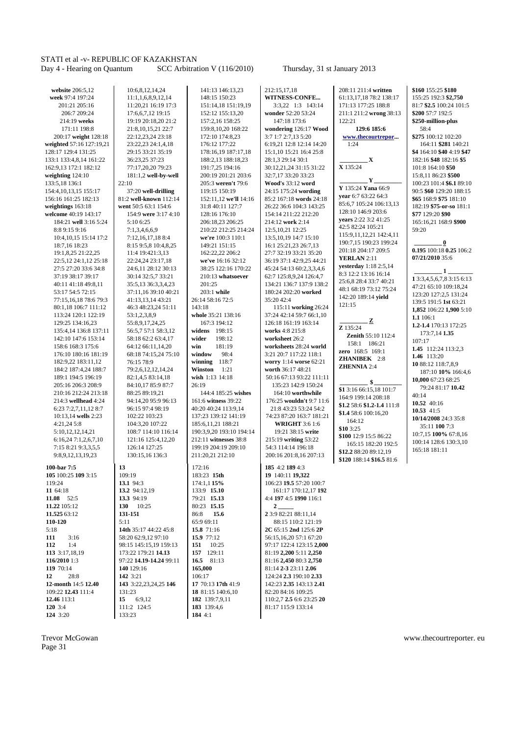10:6,8,12,14,24 11:1,1,6,8,9,12,14 11:20,21 16:19 17:3 17:6,6,7,12 19:15 19:19 20:18,20 21:2 21:8,10,15,21 22:7

**website** 206:5,12 **week** 97:4 197:24 201:21 205:16 206:7 209:24 214:19 **weeks** 171:11 198:8 200:17 **weight** 128:18 **weighted** 57:16 127:19,21 128:17 129:4 131:25 133:1 133:4,8,14 161:22 162:9,13 172:1 182:12 **weighting** 124:10 133:5,18 136:1 154:4,10,13,15 155:17 156:16 161:25 182:13 **weightings** 163:18 **welcome** 40:19 143:17 184:21 **well** 3:16 5:24 8:8 9:15 9:16 10:4,10,15 15:14 17:2 18:7,16 18:23 19:1,8,25 21:22,25 22:5,12 24:1,12 25:18 27:5 27:20 33:6 34:8 37:19 38:17 39:17 40:11 41:18 49:8,11 53:17 54:5 72:15 77:15,16,18 78:6 79:3 80:1,18 106:7 111:12 113:24 120:1 122:19 129:25 134:16,23 135:4,14 136:8 137:11 142:10 147:6 153:14 158:6 168:3 175:6 176:10 180:16 181:19 182:9,22 183:11,12 184:2 187:4,24 188:7 189:1 194:5 196:19 205:16 206:3 208:9 210:16 212:24 213:18 214:3 **wellhead** 4:24 6:23 7:2,7,11,12 8:7 10:13,14 **wells** 2:23 4:21,24 5:8 5:10,12,12,14,21  $6:16,24,7:1,2,6,7,10$  $7.158.219.3355$ 9:8,9,12,13,19,23 **100-bar 7:5 105** 100:25 **109** 3:15 119:24 **11** 64:18 **11.08** 52:5

22:12,23,24 23:18 23:22,23 24:1,4,18 29:15 33:21 35:19 36:23,25 37:23 77:17,20,20 79:23 181:1,2 **well-by-well** 22:10 37:20 **well-drilling** 81:2 **well-known** 112:14 **went** 50:5 63:1 154:6 154:9 **were** 3:17 4:10 5:10 6:25  $7:1,3,4,6,6,9$ 7:12,16,17,18 8:4 8:15 9:5,8 10:4,8,25 11:4 19:421:3,13  $22.24$   $24.23 \cdot 17,18$ 24:6,11 28:12 30:13 30:14 32:5,7 33:21 35:5,13 36:3,3,4,23 37:11,16 39:10 40:21 41:13,13,14 43:21 46:3 48:23,24 51:11 53:1,2,3,8,9 55:8,9,17,24,25 56:5,7 57:1 58:3,12 58:18 62:2 63:4,17 64:12 66:11,14,20 68:18 74:15,24 75:10 76:15 78:9 79:2,6,12,12,14,24 82:1,4,5 83:14,18 84:10,17 85:9 87:7 88:25 89:19,21 94:14,20 95:9 96:13 96:15 97:4 98:19 102:22 103:23 104:3,20 107:22 108:7 114:10 116:14 121:16 125:4,12,20 126:14 127:25 130:15,16 136:3 **13** 109:19 **13.1** 94:3 **13.2** 94:12,19 **13.3** 94:19 **130** 10:25 **131-151** 5:11 **14th** 35:17 44:22 45:8 58:20 62:9,12 97:10 98:15 145:15,19 159:13 173:22 179:21 **14.13** 97:22 **14.19-14.24** 99:11 **140** 129:16 **142** 3:21 **143** 3:22,23,24,25 **146**  $131.23$ **15** 6:9,12 111:2 124:5 133:23

141:13 146:13,23 148:15 150:23 151:14,18 151:19,19 152:12 155:13,20 157:2,16 158:25 159:8,10,20 168:22 172:10 174:8,23 176:12 177:22 178:16,19 187:17,18 188:2,13 188:18,23 191:7,25 194:16 200:19 201:21 203:6 205:3 **weren't** 79:6 119:15 150:19 152:11,12 **we'll** 14:16 31:8 40:11 127:7 128:16 176:10 206:18,23 206:25 210:22 212:25 214:24 **we're** 100:3 110:1 149:21 151:15 162:22,22 206:2 **we've** 16:16 32:12 38:25 122:16 170:22 210:13 **whatsoever** 201:25 203:1 **while** 26:14 58:16 72:5  $143.18$ **whole** 35:21 138:16 167:3 194:12 **widens** 198:15 **wider** 198:12 **win** 181:19 **window** 98:4 **winning** 118:7 **Winston** 1:21 **wish** 1:13 14:18 26:19 144:4 185:25 **wishes** 161:6 **witness** 39:22 40:20 40:24 113:9,14 137:23 139:12 141:19 185:6,11,21 188:21 190:3,9,20 193:10 194:14 212:11 **witnesses** 38:8 199:19 204:19 209:10 211:20,21 212:10  $172.16$ 183:23 **15th** 174:1,1 **15%** 133:9 **15.10** 79:21 **15.13** 80:23 **15.15** 86:8 **15.6** 65:9 69:11 **15.8** 71:16 **15.9** 77:12 **151** 10:25 **157** 129:11 **16.5** 81:13 **165,000** 106:17 **17** 70:13 **17th** 41:9 **18** 81:15 140:6,10 **182** 139:7,9,11 **183** 139:4,6 **184** 4:1

#### **WITNESS-CONFE...** 3:3,22 1:3 143:14 **wonder** 52:20 53:24 147:18 173:6 **wondering** 126:17 **Wood** 3:7 1:7 2:7,13 5:20 6:19,21 12:8 12:14 14:20 15:1,10 15:21 16:4 25:8 28:1,3 29:14 30:1 30:12,21,24 31:15 31:22 32:7,17 33:20 33:23 **Wood's** 33:12 **word** 24:15 175:24 **wording** 85:2 167:18 **words** 24:18 26:22 36:6 104:3 143:25 154:14 211:22 212:20 214:12 **work** 2:14 12:5,10,21 12:25 13:5,10,19 14:7 15:10 16:1 25:21,23 26:7,13 27:7 32:19 33:21 35:20 36:19 37:1 42:9,25 44:21 45:24 54:13 60:2,3,3,4,6 62:7 125:8,9,24 126:4,7 134:21 136:7 137:9 138:2 180:24 202:20 **worked** 35:20 42:4 115:11 **working** 26:24 37:24 42:14 59:7 66:1,10 126:18 161:19 163:14 **works** 4:8 215:8 **worksheet** 26:2 **worksheets** 28:24 **world** 3:21 20:7 117:22 118:1 **worry** 1:14 **worse** 62:21 **worth** 36:17 48:21 50:16 67:13 93:22 111:11 135:23 142:9 150:24 164:10 **worthwhile** 176:25 **wouldn't** 9:7 11:6 21:8 43:23 53:24 54:2 74:23 87:20 163:7 181:21 **WRIGHT** 3:6 1:6 19:21 38:15 **write** 215:19 **writing** 53:22 54:3 114:14 196:18 200:16 201:8,16 207:13 **185** 4:2 **189** 4:3 **19** 140:11 **19,322** 106:23 **19.5** 57:20 100:7 161:17 170:12,17 **192** 4:4 **197** 4:5 **1990** 116:1  $\gamma$ **2** 3:9 82:21 88:11,14 88:15 110:2 121:19 **2C** 65:15 **2nd** 125:6 **2P** 56:15,16,20 57:1 67:20 97:17 122:4 123:15 **2,000** 81:19 **2,200** 5:11 **2,250** 81:16 **2,450** 80:3 **2,750** 81:14 **2-3** 23:11 **2.06**

124:24 **2.3** 190:10 **2.33** 142:23 **2.35** 143:13 **2.41** 82:20 84:16 109:25 110:2,7 **2.5** 6:6 23:25 **20** 81:17 115:9 133:14

212:15,17,18

1:24 **X** 135:24

 **\_\_\_\_\_\_\_\_\_ X \_\_\_\_\_\_\_\_\_ Y \_\_\_\_\_\_\_\_\_ Y** 135:24 **Yana** 66:9 **year** 6:7 63:22 64:3 85:6,7 105:24 106:13,13 128:10 146:9 203:6 **years** 2:22 3:2 41:25 42:5 82:24 105:21 115:9,11,12,21 142:4,11 190:7,15 190:23 199:24 201:18 204:17 209:5 **YERLAN** 2:11 **yesterday** 1:18 2:5,14 8:3 12:2 13:16 16:14 25:6,8 28:4 33:7 40:21 48:1 68:19 73:12 75:24 142:20 189:14 **yield**  $121.15$ 

208:11 211:4 **written** 61:13,17,18 78:2 138:17 171:13 177:25 188:8 211:1 211:2 **wrong** 38:13

**129:6 185:6 www.thecourtrepor...** 

122:21

 $\mathbf{Z}$ **Z** 135:24 **Zenith** 55:10 112:4 158:1 186:21 **zero** 168:5 169:1 **ZHANIBEK** 2:8 **ZHENNIA** 2:4  **\_\_\_\_\_\_\_\_\_ \$ \_\_\_\_\_\_\_\_\_ \$1** 3:16 66:15,18 101:7 164:9 199:14 208:18 **\$1.2** 58:6 **\$1.2-1.4** 111:8 **\$1.4** 58:6 100:16,20 164:12 **\$10** 3:25 **\$100** 12:9 15:5 86:22 165:15 182:20 192:5 **\$12.2** 88:20 89:12,19 **\$120** 188:14 **\$16.5** 81:6

155:25 192:3 **\$2,750** 81:7 **\$2.5** 100:24 101:5 **\$200** 57:7 192:5 **\$250-million-plus** 58:4 **\$275** 100:12 102:20 164:11 **\$281** 140:21 **\$4** 164:10 **\$40** 4:19 **\$47** 182:16 **\$48** 182:16 **\$5** 101:8 164:10 **\$50** 15:8,11 86:23 **\$500** 100:23 101:4 **\$6.1** 89:10 90:5 **\$60** 129:20 188:15 **\$65** 168:9 **\$75** 181:10 182:19 **\$75-or-so** 181:1 **\$77** 129:20 **\$90** 165:16,21 168:9 **\$900** 59:20  $\mathbf{0}$ **0.195** 100:18 **0.25** 106:2 **07/21/2010** 35:6  **\_\_\_\_\_\_\_\_\_ 1 \_\_\_\_\_\_\_\_ 1** 3:3,4,5,6,7,8 3:15 6:13 47:21 65:10 109:18,24 123:20 127:2,5 131:24 139:5 191:5 **1st** 63:21 **1,852** 106:22 **1,900** 5:10 **1.1** 106:1 **1.2-1.4** 170:13 172:25 173:7,14 **1.35** 107:17 **1.45** 112:24 113:2,3 **1.46** 113:20 **10** 88:12 118:7,8,9 187:10 **10%** 166:4,6 **10,000** 67:23 68:25 79:24 81:17 **10.42**

**\$160** 155:25 **\$180**

 $40:14$ **10.52** 40:16 **10.53** 41:5 **10/14/2008** 24:3 35:8 35:11 **100** 7:3 10:7,15 **100%** 67:8,16 100:14 128:6 130:3,10 165:18 181:11

Page 31

**11.22** 105:12 **11.525** 63:12 **110-120** 5:18 **111** 3:16 **112** 1:4 **113** 3:17,18,19 **116/2010** 1:3 **119** 70:14 **12** 28:8 **12-month** 14:5 **12.40** 109:22 **12.43** 111:4 **12.46** 113:1 **120** 3:4 **124** 3:20